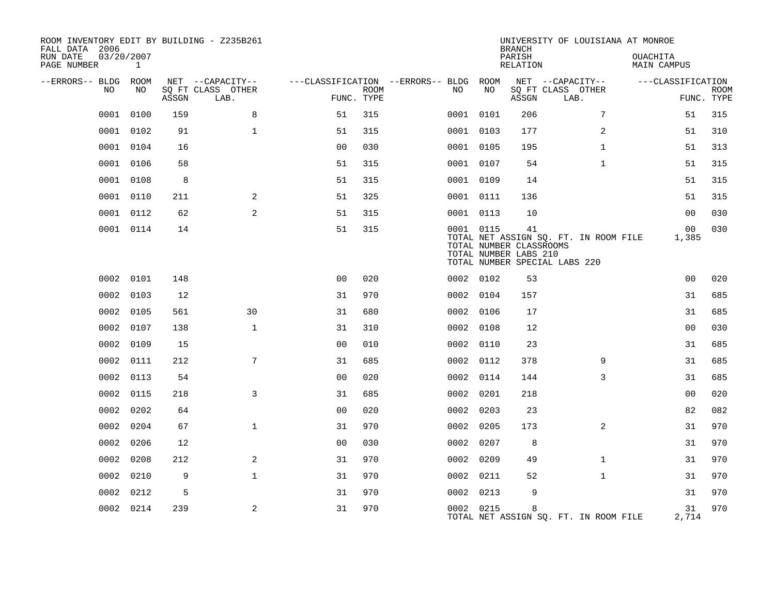| ROOM INVENTORY EDIT BY BUILDING - Z235B261<br>FALL DATA 2006 |                            |       |                           |                |             |                                   |           | <b>BRANCH</b>                                          | UNIVERSITY OF LOUISIANA AT MONROE                                      |                         |                           |
|--------------------------------------------------------------|----------------------------|-------|---------------------------|----------------|-------------|-----------------------------------|-----------|--------------------------------------------------------|------------------------------------------------------------------------|-------------------------|---------------------------|
| RUN DATE<br>PAGE NUMBER                                      | 03/20/2007<br>$\mathbf{1}$ |       |                           |                |             |                                   |           | PARISH<br>RELATION                                     |                                                                        | OUACHITA<br>MAIN CAMPUS |                           |
| --ERRORS-- BLDG                                              | ROOM                       |       | NET --CAPACITY--          |                |             | ---CLASSIFICATION --ERRORS-- BLDG | ROOM      |                                                        | NET --CAPACITY--                                                       | ---CLASSIFICATION       |                           |
| NO                                                           | NO.                        | ASSGN | SO FT CLASS OTHER<br>LAB. | FUNC. TYPE     | <b>ROOM</b> | NO.                               | NO        | ASSGN                                                  | SO FT CLASS OTHER<br>LAB.                                              |                         | <b>ROOM</b><br>FUNC. TYPE |
| 0001                                                         | 0100                       | 159   | 8                         | 51             | 315         |                                   | 0001 0101 | 206                                                    | 7                                                                      | 51                      | 315                       |
| 0001                                                         | 0102                       | 91    | $\mathbf{1}$              | 51             | 315         |                                   | 0001 0103 | 177                                                    | 2                                                                      | 51                      | 310                       |
|                                                              | 0001 0104                  | 16    |                           | 0 <sub>0</sub> | 030         |                                   | 0001 0105 | 195                                                    | $\mathbf{1}$                                                           | 51                      | 313                       |
| 0001                                                         | 0106                       | 58    |                           | 51             | 315         |                                   | 0001 0107 | 54                                                     | $\mathbf{1}$                                                           | 51                      | 315                       |
| 0001                                                         | 0108                       | 8     |                           | 51             | 315         |                                   | 0001 0109 | 14                                                     |                                                                        | 51                      | 315                       |
| 0001                                                         | 0110                       | 211   | 2                         | 51             | 325         |                                   | 0001 0111 | 136                                                    |                                                                        | 51                      | 315                       |
| 0001                                                         | 0112                       | 62    | 2                         | 51             | 315         |                                   | 0001 0113 | 10                                                     |                                                                        | 0 <sub>0</sub>          | 030                       |
|                                                              | 0001 0114                  | 14    |                           | 51             | 315         |                                   | 0001 0115 | 41<br>TOTAL NUMBER CLASSROOMS<br>TOTAL NUMBER LABS 210 | TOTAL NET ASSIGN SQ. FT. IN ROOM FILE<br>TOTAL NUMBER SPECIAL LABS 220 | 0 <sub>0</sub><br>1,385 | 030                       |
|                                                              | 0002 0101                  | 148   |                           | 0 <sub>0</sub> | 020         |                                   | 0002 0102 | 53                                                     |                                                                        | 0 <sub>0</sub>          | 020                       |
| 0002                                                         | 0103                       | 12    |                           | 31             | 970         |                                   | 0002 0104 | 157                                                    |                                                                        | 31                      | 685                       |
|                                                              | 0002 0105                  | 561   | 30                        | 31             | 680         |                                   | 0002 0106 | 17                                                     |                                                                        | 31                      | 685                       |
| 0002                                                         | 0107                       | 138   | $\mathbf{1}$              | 31             | 310         |                                   | 0002 0108 | 12                                                     |                                                                        | 0 <sub>0</sub>          | 030                       |
| 0002                                                         | 0109                       | 15    |                           | 0 <sub>0</sub> | 010         |                                   | 0002 0110 | 23                                                     |                                                                        | 31                      | 685                       |
| 0002                                                         | 0111                       | 212   | 7                         | 31             | 685         |                                   | 0002 0112 | 378                                                    | 9                                                                      | 31                      | 685                       |
| 0002                                                         | 0113                       | 54    |                           | 0 <sub>0</sub> | 020         |                                   | 0002 0114 | 144                                                    | 3                                                                      | 31                      | 685                       |
| 0002                                                         | 0115                       | 218   | 3                         | 31             | 685         |                                   | 0002 0201 | 218                                                    |                                                                        | 0 <sub>0</sub>          | 020                       |
| 0002                                                         | 0202                       | 64    |                           | 0 <sub>0</sub> | 020         | 0002                              | 0203      | 23                                                     |                                                                        | 82                      | 082                       |
| 0002                                                         | 0204                       | 67    | $\mathbf{1}$              | 31             | 970         |                                   | 0002 0205 | 173                                                    | 2                                                                      | 31                      | 970                       |
| 0002                                                         | 0206                       | 12    |                           | 0 <sub>0</sub> | 030         | 0002                              | 0207      | 8                                                      |                                                                        | 31                      | 970                       |
| 0002                                                         | 0208                       | 212   | 2                         | 31             | 970         |                                   | 0002 0209 | 49                                                     | $\mathbf{1}$                                                           | 31                      | 970                       |
| 0002                                                         | 0210                       | 9     | $\mathbf{1}$              | 31             | 970         | 0002                              | 0211      | 52                                                     | $\mathbf{1}$                                                           | 31                      | 970                       |
| 0002                                                         | 0212                       | 5     |                           | 31             | 970         |                                   | 0002 0213 | 9                                                      |                                                                        | 31                      | 970                       |
|                                                              | 0002 0214                  | 239   | 2                         | 31             | 970         |                                   | 0002 0215 | 8                                                      | TOTAL NET ASSIGN SQ. FT. IN ROOM FILE                                  | 31<br>2,714             | 970                       |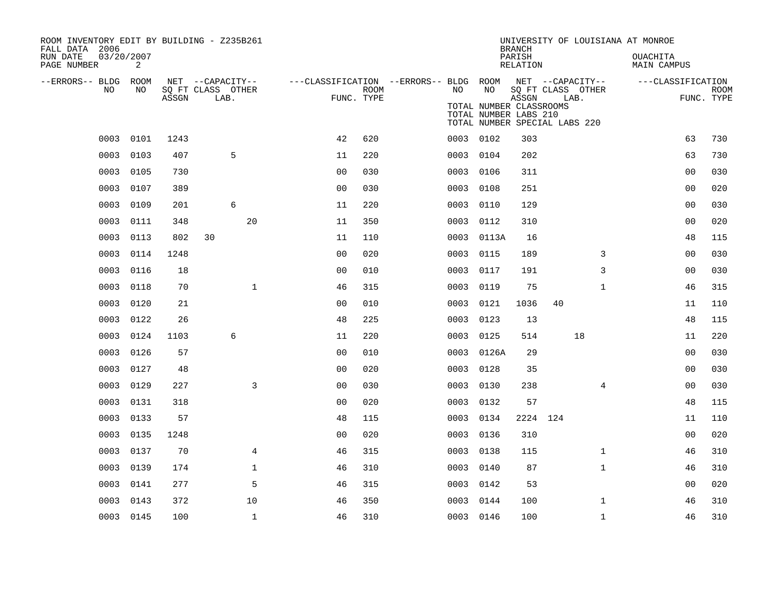| ROOM INVENTORY EDIT BY BUILDING - Z235B261<br>FALL DATA 2006 |                 |       |                                               |                |             |                                              |                                                                                         | <b>BRANCH</b>             |                           |              | UNIVERSITY OF LOUISIANA AT MONROE |                           |
|--------------------------------------------------------------|-----------------|-------|-----------------------------------------------|----------------|-------------|----------------------------------------------|-----------------------------------------------------------------------------------------|---------------------------|---------------------------|--------------|-----------------------------------|---------------------------|
| RUN DATE<br>PAGE NUMBER                                      | 03/20/2007<br>2 |       |                                               |                |             |                                              |                                                                                         | PARISH<br>RELATION        |                           |              | OUACHITA<br>MAIN CAMPUS           |                           |
| --ERRORS-- BLDG ROOM<br>NO                                   | NO              | ASSGN | NET --CAPACITY--<br>SQ FT CLASS OTHER<br>LAB. | FUNC. TYPE     | <b>ROOM</b> | ---CLASSIFICATION --ERRORS-- BLDG ROOM<br>NO | NO<br>TOTAL NUMBER CLASSROOMS<br>TOTAL NUMBER LABS 210<br>TOTAL NUMBER SPECIAL LABS 220 | NET --CAPACITY--<br>ASSGN | SQ FT CLASS OTHER<br>LAB. |              | ---CLASSIFICATION                 | <b>ROOM</b><br>FUNC. TYPE |
|                                                              | 0003 0101       | 1243  |                                               | 42             | 620         |                                              | 0003 0102                                                                               | 303                       |                           |              | 63                                | 730                       |
| 0003                                                         | 0103            | 407   | 5                                             | 11             | 220         |                                              | 0003 0104                                                                               | 202                       |                           |              | 63                                | 730                       |
| 0003                                                         | 0105            | 730   |                                               | 0 <sub>0</sub> | 030         | 0003                                         | 0106                                                                                    | 311                       |                           |              | 0 <sub>0</sub>                    | 030                       |
| 0003                                                         | 0107            | 389   |                                               | 0 <sub>0</sub> | 030         | 0003                                         | 0108                                                                                    | 251                       |                           |              | 00                                | 020                       |
| 0003                                                         | 0109            | 201   | 6                                             | 11             | 220         | 0003                                         | 0110                                                                                    | 129                       |                           |              | 00                                | 030                       |
| 0003                                                         | 0111            | 348   | 20                                            | 11             | 350         | 0003                                         | 0112                                                                                    | 310                       |                           |              | 0 <sub>0</sub>                    | 020                       |
| 0003                                                         | 0113            | 802   | 30                                            | 11             | 110         |                                              | 0003 0113A                                                                              | 16                        |                           |              | 48                                | 115                       |
| 0003                                                         | 0114            | 1248  |                                               | 0 <sub>0</sub> | 020         | 0003                                         | 0115                                                                                    | 189                       |                           | 3            | 0 <sub>0</sub>                    | 030                       |
| 0003                                                         | 0116            | 18    |                                               | 0 <sub>0</sub> | 010         | 0003                                         | 0117                                                                                    | 191                       |                           | 3            | 00                                | 030                       |
| 0003                                                         | 0118            | 70    | $\mathbf{1}$                                  | 46             | 315         | 0003                                         | 0119                                                                                    | 75                        |                           | $\mathbf{1}$ | 46                                | 315                       |
| 0003                                                         | 0120            | 21    |                                               | 0 <sub>0</sub> | 010         | 0003                                         | 0121                                                                                    | 1036                      | 40                        |              | 11                                | 110                       |
| 0003                                                         | 0122            | 26    |                                               | 48             | 225         | 0003                                         | 0123                                                                                    | 13                        |                           |              | 48                                | 115                       |
| 0003                                                         | 0124            | 1103  | 6                                             | 11             | 220         | 0003                                         | 0125                                                                                    | 514                       |                           | 18           | 11                                | 220                       |
| 0003                                                         | 0126            | 57    |                                               | 0 <sub>0</sub> | 010         | 0003                                         | 0126A                                                                                   | 29                        |                           |              | 0 <sub>0</sub>                    | 030                       |
| 0003                                                         | 0127            | 48    |                                               | 0 <sub>0</sub> | 020         | 0003                                         | 0128                                                                                    | 35                        |                           |              | 00                                | 030                       |
| 0003                                                         | 0129            | 227   | 3                                             | 0 <sub>0</sub> | 030         | 0003                                         | 0130                                                                                    | 238                       |                           | 4            | 00                                | 030                       |
| 0003                                                         | 0131            | 318   |                                               | 0 <sub>0</sub> | 020         | 0003                                         | 0132                                                                                    | 57                        |                           |              | 48                                | 115                       |
| 0003                                                         | 0133            | 57    |                                               | 48             | 115         | 0003                                         | 0134                                                                                    | 2224 124                  |                           |              | 11                                | 110                       |
| 0003                                                         | 0135            | 1248  |                                               | 0 <sub>0</sub> | 020         | 0003                                         | 0136                                                                                    | 310                       |                           |              | 0 <sub>0</sub>                    | 020                       |
| 0003                                                         | 0137            | 70    | 4                                             | 46             | 315         | 0003                                         | 0138                                                                                    | 115                       |                           | $\mathbf{1}$ | 46                                | 310                       |
| 0003                                                         | 0139            | 174   | $\mathbf{1}$                                  | 46             | 310         |                                              | 0003 0140                                                                               | 87                        |                           | $\mathbf{1}$ | 46                                | 310                       |
| 0003                                                         | 0141            | 277   | 5                                             | 46             | 315         | 0003                                         | 0142                                                                                    | 53                        |                           |              | 00                                | 020                       |
| 0003                                                         | 0143            | 372   | 10                                            | 46             | 350         | 0003                                         | 0144                                                                                    | 100                       |                           | $\mathbf{1}$ | 46                                | 310                       |
|                                                              | 0003 0145       | 100   | $\mathbf{1}$                                  | 46             | 310         |                                              | 0003 0146                                                                               | 100                       |                           | $\mathbf{1}$ | 46                                | 310                       |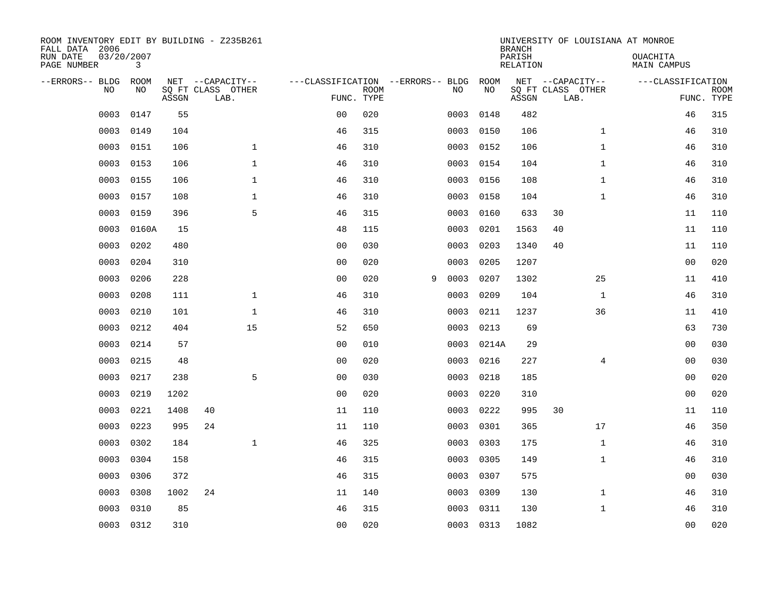| ROOM INVENTORY EDIT BY BUILDING - Z235B261<br>FALL DATA 2006<br>RUN DATE<br>PAGE NUMBER | 03/20/2007<br>3 |       |                                               |                                                 |             |   |      |            | <b>BRANCH</b><br>PARISH<br><b>RELATION</b> | UNIVERSITY OF LOUISIANA AT MONROE             | OUACHITA<br><b>MAIN CAMPUS</b> |                           |
|-----------------------------------------------------------------------------------------|-----------------|-------|-----------------------------------------------|-------------------------------------------------|-------------|---|------|------------|--------------------------------------------|-----------------------------------------------|--------------------------------|---------------------------|
| --ERRORS-- BLDG<br>NO                                                                   | ROOM<br>NO      | ASSGN | NET --CAPACITY--<br>SQ FT CLASS OTHER<br>LAB. | ---CLASSIFICATION --ERRORS-- BLDG<br>FUNC. TYPE | <b>ROOM</b> |   | NO   | ROOM<br>NO | ASSGN                                      | NET --CAPACITY--<br>SQ FT CLASS OTHER<br>LAB. | ---CLASSIFICATION              | <b>ROOM</b><br>FUNC. TYPE |
| 0003                                                                                    | 0147            | 55    |                                               | 0 <sub>0</sub>                                  | 020         |   | 0003 | 0148       | 482                                        |                                               | 46                             | 315                       |
| 0003                                                                                    | 0149            | 104   |                                               | 46                                              | 315         |   | 0003 | 0150       | 106                                        | $\mathbf{1}$                                  | 46                             | 310                       |
| 0003                                                                                    | 0151            | 106   | $\mathbf 1$                                   | 46                                              | 310         |   | 0003 | 0152       | 106                                        | $\mathbf{1}$                                  | 46                             | 310                       |
| 0003                                                                                    | 0153            | 106   | $\mathbf 1$                                   | 46                                              | 310         |   | 0003 | 0154       | 104                                        | $\mathbf{1}$                                  | 46                             | 310                       |
| 0003                                                                                    | 0155            | 106   | $\mathbf{1}$                                  | 46                                              | 310         |   | 0003 | 0156       | 108                                        | $\mathbf{1}$                                  | 46                             | 310                       |
| 0003                                                                                    | 0157            | 108   | $\mathbf 1$                                   | 46                                              | 310         |   | 0003 | 0158       | 104                                        | $\mathbf{1}$                                  | 46                             | 310                       |
| 0003                                                                                    | 0159            | 396   | 5                                             | 46                                              | 315         |   | 0003 | 0160       | 633                                        | 30                                            | 11                             | 110                       |
| 0003                                                                                    | 0160A           | 15    |                                               | 48                                              | 115         |   | 0003 | 0201       | 1563                                       | 40                                            | 11                             | 110                       |
| 0003                                                                                    | 0202            | 480   |                                               | 0 <sub>0</sub>                                  | 030         |   | 0003 | 0203       | 1340                                       | 40                                            | 11                             | 110                       |
| 0003                                                                                    | 0204            | 310   |                                               | 0 <sub>0</sub>                                  | 020         |   | 0003 | 0205       | 1207                                       |                                               | 00                             | 020                       |
| 0003                                                                                    | 0206            | 228   |                                               | 0 <sub>0</sub>                                  | 020         | 9 | 0003 | 0207       | 1302                                       | 25                                            | 11                             | 410                       |
| 0003                                                                                    | 0208            | 111   | $\mathbf 1$                                   | 46                                              | 310         |   | 0003 | 0209       | 104                                        | $\mathbf{1}$                                  | 46                             | 310                       |
| 0003                                                                                    | 0210            | 101   | $\mathbf{1}$                                  | 46                                              | 310         |   | 0003 | 0211       | 1237                                       | 36                                            | 11                             | 410                       |
| 0003                                                                                    | 0212            | 404   | 15                                            | 52                                              | 650         |   | 0003 | 0213       | 69                                         |                                               | 63                             | 730                       |
| 0003                                                                                    | 0214            | 57    |                                               | 0 <sub>0</sub>                                  | 010         |   | 0003 | 0214A      | 29                                         |                                               | 0 <sub>0</sub>                 | 030                       |
| 0003                                                                                    | 0215            | 48    |                                               | 00                                              | 020         |   | 0003 | 0216       | 227                                        | 4                                             | 00                             | 030                       |
| 0003                                                                                    | 0217            | 238   | 5                                             | 0 <sub>0</sub>                                  | 030         |   | 0003 | 0218       | 185                                        |                                               | 0 <sub>0</sub>                 | 020                       |
| 0003                                                                                    | 0219            | 1202  |                                               | 0 <sub>0</sub>                                  | 020         |   | 0003 | 0220       | 310                                        |                                               | 00                             | 020                       |
| 0003                                                                                    | 0221            | 1408  | 40                                            | 11                                              | 110         |   | 0003 | 0222       | 995                                        | 30                                            | 11                             | 110                       |
| 0003                                                                                    | 0223            | 995   | 24                                            | 11                                              | 110         |   | 0003 | 0301       | 365                                        | 17                                            | 46                             | 350                       |
| 0003                                                                                    | 0302            | 184   | $\mathbf{1}$                                  | 46                                              | 325         |   | 0003 | 0303       | 175                                        | $\mathbf{1}$                                  | 46                             | 310                       |
| 0003                                                                                    | 0304            | 158   |                                               | 46                                              | 315         |   | 0003 | 0305       | 149                                        | $\mathbf{1}$                                  | 46                             | 310                       |
| 0003                                                                                    | 0306            | 372   |                                               | 46                                              | 315         |   | 0003 | 0307       | 575                                        |                                               | 0 <sub>0</sub>                 | 030                       |
| 0003                                                                                    | 0308            | 1002  | 24                                            | 11                                              | 140         |   | 0003 | 0309       | 130                                        | $\mathbf{1}$                                  | 46                             | 310                       |
| 0003                                                                                    | 0310            | 85    |                                               | 46                                              | 315         |   | 0003 | 0311       | 130                                        | $\mathbf{1}$                                  | 46                             | 310                       |
|                                                                                         | 0003 0312       | 310   |                                               | 00                                              | 020         |   |      | 0003 0313  | 1082                                       |                                               | 00                             | 020                       |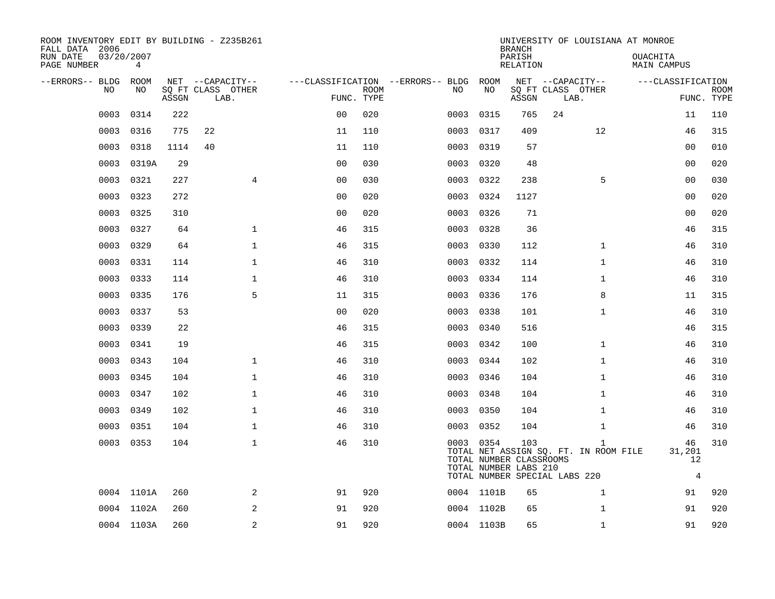| ROOM INVENTORY EDIT BY BUILDING - Z235B261<br>FALL DATA 2006 |            |       |                           |              |                |             |                                        |            | <b>BRANCH</b>                                           | UNIVERSITY OF LOUISIANA AT MONROE                     |                                      |                           |
|--------------------------------------------------------------|------------|-------|---------------------------|--------------|----------------|-------------|----------------------------------------|------------|---------------------------------------------------------|-------------------------------------------------------|--------------------------------------|---------------------------|
| 03/20/2007<br>RUN DATE<br>PAGE NUMBER                        | 4          |       |                           |              |                |             |                                        |            | PARISH<br>RELATION                                      |                                                       | OUACHITA<br>MAIN CAMPUS              |                           |
| --ERRORS-- BLDG ROOM                                         |            |       | NET --CAPACITY--          |              |                |             | ---CLASSIFICATION --ERRORS-- BLDG ROOM |            |                                                         | NET --CAPACITY--                                      | ---CLASSIFICATION                    |                           |
| NO                                                           | NO.        | ASSGN | SO FT CLASS OTHER<br>LAB. |              | FUNC. TYPE     | <b>ROOM</b> | NO.                                    | NO         | ASSGN                                                   | SQ FT CLASS OTHER<br>LAB.                             |                                      | <b>ROOM</b><br>FUNC. TYPE |
| 0003                                                         | 0314       | 222   |                           |              | 0 <sub>0</sub> | 020         | 0003                                   | 0315       | 765                                                     | 24                                                    | 11                                   | 110                       |
| 0003                                                         | 0316       | 775   | 22                        |              | 11             | 110         | 0003                                   | 0317       | 409                                                     | 12                                                    | 46                                   | 315                       |
| 0003                                                         | 0318       | 1114  | 40                        |              | 11             | 110         | 0003                                   | 0319       | 57                                                      |                                                       | 0 <sub>0</sub>                       | 010                       |
| 0003                                                         | 0319A      | 29    |                           |              | 0 <sub>0</sub> | 030         | 0003                                   | 0320       | 48                                                      |                                                       | 0 <sub>0</sub>                       | 020                       |
| 0003                                                         | 0321       | 227   |                           | 4            | 0 <sub>0</sub> | 030         | 0003                                   | 0322       | 238                                                     | 5                                                     | 00                                   | 030                       |
| 0003                                                         | 0323       | 272   |                           |              | 0 <sub>0</sub> | 020         | 0003                                   | 0324       | 1127                                                    |                                                       | 00                                   | 020                       |
| 0003                                                         | 0325       | 310   |                           |              | 00             | 020         | 0003                                   | 0326       | 71                                                      |                                                       | 00                                   | 020                       |
| 0003                                                         | 0327       | 64    |                           | $\mathbf{1}$ | 46             | 315         | 0003                                   | 0328       | 36                                                      |                                                       | 46                                   | 315                       |
| 0003                                                         | 0329       | 64    |                           | $\mathbf{1}$ | 46             | 315         | 0003                                   | 0330       | 112                                                     | $\mathbf{1}$                                          | 46                                   | 310                       |
| 0003                                                         | 0331       | 114   |                           | $\mathbf{1}$ | 46             | 310         | 0003                                   | 0332       | 114                                                     | $\mathbf{1}$                                          | 46                                   | 310                       |
| 0003                                                         | 0333       | 114   |                           | $\mathbf 1$  | 46             | 310         | 0003                                   | 0334       | 114                                                     | $\mathbf{1}$                                          | 46                                   | 310                       |
| 0003                                                         | 0335       | 176   |                           | 5            | 11             | 315         | 0003                                   | 0336       | 176                                                     | 8                                                     | 11                                   | 315                       |
| 0003                                                         | 0337       | 53    |                           |              | 0 <sub>0</sub> | 020         | 0003                                   | 0338       | 101                                                     | $\mathbf{1}$                                          | 46                                   | 310                       |
| 0003                                                         | 0339       | 22    |                           |              | 46             | 315         |                                        | 0003 0340  | 516                                                     |                                                       | 46                                   | 315                       |
| 0003                                                         | 0341       | 19    |                           |              | 46             | 315         | 0003                                   | 0342       | 100                                                     | $\mathbf{1}$                                          | 46                                   | 310                       |
| 0003                                                         | 0343       | 104   |                           | $\mathbf{1}$ | 46             | 310         |                                        | 0003 0344  | 102                                                     | $\mathbf{1}$                                          | 46                                   | 310                       |
| 0003                                                         | 0345       | 104   |                           | $\mathbf{1}$ | 46             | 310         | 0003                                   | 0346       | 104                                                     | $\mathbf{1}$                                          | 46                                   | 310                       |
| 0003                                                         | 0347       | 102   |                           | $\mathbf 1$  | 46             | 310         |                                        | 0003 0348  | 104                                                     | $\mathbf{1}$                                          | 46                                   | 310                       |
| 0003                                                         | 0349       | 102   |                           | $\mathbf 1$  | 46             | 310         | 0003                                   | 0350       | 104                                                     | $\mathbf{1}$                                          | 46                                   | 310                       |
| 0003                                                         | 0351       | 104   |                           | $\mathbf 1$  | 46             | 310         |                                        | 0003 0352  | 104                                                     | $\mathbf{1}$                                          | 46                                   | 310                       |
|                                                              | 0003 0353  | 104   |                           | $\mathbf{1}$ | 46             | 310         |                                        | 0003 0354  | 103<br>TOTAL NUMBER CLASSROOMS<br>TOTAL NUMBER LABS 210 | $\mathbf{1}$<br>TOTAL NET ASSIGN SQ. FT. IN ROOM FILE | 46<br>31,201<br>12<br>$\overline{4}$ | 310                       |
|                                                              | 0004 1101A | 260   |                           | 2            | 91             | 920         |                                        | 0004 1101B | 65                                                      | TOTAL NUMBER SPECIAL LABS 220<br>1                    | 91                                   | 920                       |
|                                                              | 0004 1102A | 260   |                           | 2            | 91             | 920         |                                        | 0004 1102B | 65                                                      | $\mathbf{1}$                                          | 91                                   | 920                       |
|                                                              | 0004 1103A | 260   |                           | 2            | 91             | 920         |                                        | 0004 1103B | 65                                                      | $\mathbf{1}$                                          | 91                                   | 920                       |
|                                                              |            |       |                           |              |                |             |                                        |            |                                                         |                                                       |                                      |                           |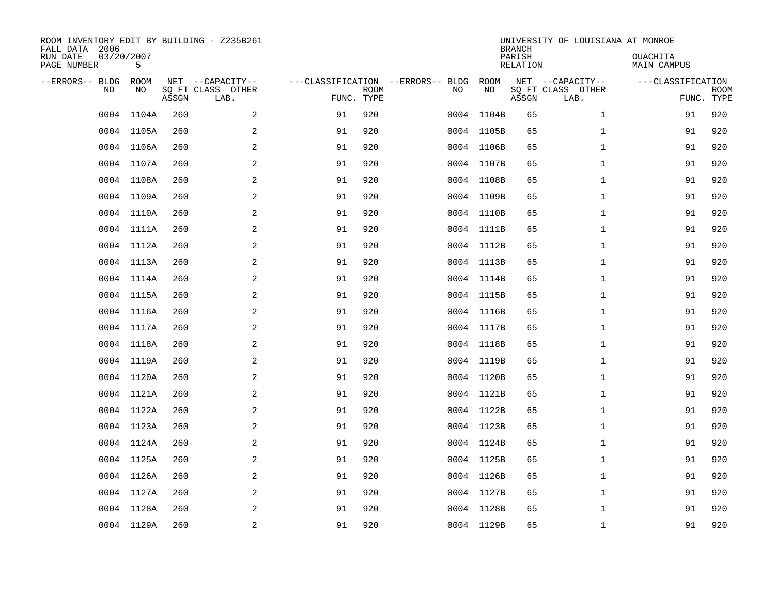| ROOM INVENTORY EDIT BY BUILDING - Z235B261<br>FALL DATA 2006<br>RUN DATE<br>PAGE NUMBER | 03/20/2007<br>5   |       |                                               |    |                           |                                         |            |            | <b>BRANCH</b><br>PARISH<br><b>RELATION</b> | UNIVERSITY OF LOUISIANA AT MONROE             | OUACHITA<br><b>MAIN CAMPUS</b>  |             |
|-----------------------------------------------------------------------------------------|-------------------|-------|-----------------------------------------------|----|---------------------------|-----------------------------------------|------------|------------|--------------------------------------------|-----------------------------------------------|---------------------------------|-------------|
| --ERRORS-- BLDG<br>NO                                                                   | <b>ROOM</b><br>NO | ASSGN | NET --CAPACITY--<br>SQ FT CLASS OTHER<br>LAB. |    | <b>ROOM</b><br>FUNC. TYPE | ---CLASSIFICATION --ERRORS-- BLDG<br>NO |            | ROOM<br>NO | ASSGN                                      | NET --CAPACITY--<br>SQ FT CLASS OTHER<br>LAB. | ---CLASSIFICATION<br>FUNC. TYPE | <b>ROOM</b> |
| 0004                                                                                    | 1104A             | 260   | 2                                             | 91 | 920                       |                                         | 0004       | 1104B      | 65                                         | $\mathbf{1}$                                  | 91                              | 920         |
|                                                                                         | 0004 1105A        | 260   | $\sqrt{2}$                                    | 91 | 920                       |                                         | 0004 1105B |            | 65                                         | $\mathbf{1}$                                  | 91                              | 920         |
| 0004                                                                                    | 1106A             | 260   | 2                                             | 91 | 920                       |                                         | 0004 1106B |            | 65                                         | $\mathbf{1}$                                  | 91                              | 920         |
|                                                                                         | 0004 1107A        | 260   | 2                                             | 91 | 920                       |                                         | 0004 1107B |            | 65                                         | $\mathbf{1}$                                  | 91                              | 920         |
| 0004                                                                                    | 1108A             | 260   | 2                                             | 91 | 920                       |                                         | 0004 1108B |            | 65                                         | $\mathbf{1}$                                  | 91                              | 920         |
|                                                                                         | 0004 1109A        | 260   | 2                                             | 91 | 920                       |                                         | 0004 1109B |            | 65                                         | $\mathbf{1}$                                  | 91                              | 920         |
| 0004                                                                                    | 1110A             | 260   | 2                                             | 91 | 920                       |                                         | 0004 1110B |            | 65                                         | $\mathbf{1}$                                  | 91                              | 920         |
|                                                                                         | 0004 1111A        | 260   | 2                                             | 91 | 920                       |                                         | 0004 1111B |            | 65                                         | $\mathbf{1}$                                  | 91                              | 920         |
|                                                                                         | 0004 1112A        | 260   | 2                                             | 91 | 920                       |                                         | 0004 1112B |            | 65                                         | $\mathbf{1}$                                  | 91                              | 920         |
|                                                                                         | 0004 1113A        | 260   | 2                                             | 91 | 920                       |                                         | 0004 1113B |            | 65                                         | $\mathbf{1}$                                  | 91                              | 920         |
|                                                                                         | 0004 1114A        | 260   | 2                                             | 91 | 920                       |                                         | 0004 1114B |            | 65                                         | $\mathbf{1}$                                  | 91                              | 920         |
|                                                                                         | 0004 1115A        | 260   | 2                                             | 91 | 920                       |                                         | 0004 1115B |            | 65                                         | $\mathbf{1}$                                  | 91                              | 920         |
| 0004                                                                                    | 1116A             | 260   | 2                                             | 91 | 920                       |                                         | 0004 1116B |            | 65                                         | $\mathbf{1}$                                  | 91                              | 920         |
|                                                                                         | 0004 1117A        | 260   | 2                                             | 91 | 920                       |                                         | 0004 1117B |            | 65                                         | $\mathbf{1}$                                  | 91                              | 920         |
| 0004                                                                                    | 1118A             | 260   | 2                                             | 91 | 920                       |                                         | 0004 1118B |            | 65                                         | $\mathbf{1}$                                  | 91                              | 920         |
|                                                                                         | 0004 1119A        | 260   | 2                                             | 91 | 920                       |                                         | 0004 1119B |            | 65                                         | $\mathbf{1}$                                  | 91                              | 920         |
|                                                                                         | 0004 1120A        | 260   | 2                                             | 91 | 920                       |                                         | 0004 1120B |            | 65                                         | $\mathbf{1}$                                  | 91                              | 920         |
| 0004                                                                                    | 1121A             | 260   | $\mathbf{2}$                                  | 91 | 920                       |                                         | 0004 1121B |            | 65                                         | $\mathbf{1}$                                  | 91                              | 920         |
|                                                                                         | 0004 1122A        | 260   | 2                                             | 91 | 920                       |                                         | 0004 1122B |            | 65                                         | $\mathbf{1}$                                  | 91                              | 920         |
|                                                                                         | 0004 1123A        | 260   | 2                                             | 91 | 920                       |                                         | 0004 1123B |            | 65                                         | $\mathbf{1}$                                  | 91                              | 920         |
|                                                                                         | 0004 1124A        | 260   | 2                                             | 91 | 920                       |                                         | 0004 1124B |            | 65                                         | $\mathbf{1}$                                  | 91                              | 920         |
|                                                                                         | 0004 1125A        | 260   | 2                                             | 91 | 920                       |                                         | 0004 1125B |            | 65                                         | $\mathbf{1}$                                  | 91                              | 920         |
|                                                                                         | 0004 1126A        | 260   | 2                                             | 91 | 920                       |                                         | 0004 1126B |            | 65                                         | $\mathbf{1}$                                  | 91                              | 920         |
|                                                                                         | 0004 1127A        | 260   | 2                                             | 91 | 920                       |                                         | 0004 1127B |            | 65                                         | $\mathbf{1}$                                  | 91                              | 920         |
|                                                                                         | 0004 1128A        | 260   | 2                                             | 91 | 920                       |                                         | 0004 1128B |            | 65                                         | $\mathbf{1}$                                  | 91                              | 920         |
|                                                                                         | 0004 1129A        | 260   | $\overline{c}$                                | 91 | 920                       |                                         | 0004 1129B |            | 65                                         | $\mathbf{1}$                                  | 91                              | 920         |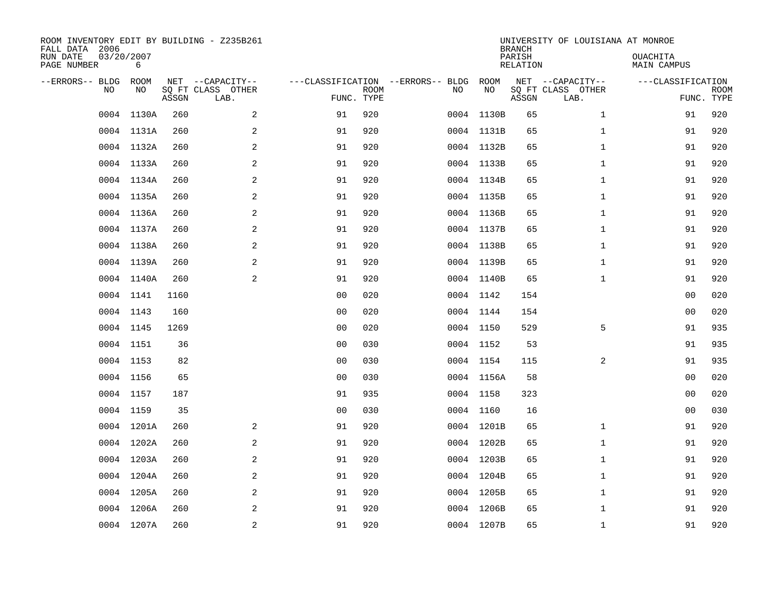| ROOM INVENTORY EDIT BY BUILDING - Z235B261<br>FALL DATA 2006<br>RUN DATE<br>PAGE NUMBER | 03/20/2007<br>6 |       |                                               |                                                 |             |    |            | <b>BRANCH</b><br>PARISH<br><b>RELATION</b> | UNIVERSITY OF LOUISIANA AT MONROE             | OUACHITA<br><b>MAIN CAMPUS</b>  |             |
|-----------------------------------------------------------------------------------------|-----------------|-------|-----------------------------------------------|-------------------------------------------------|-------------|----|------------|--------------------------------------------|-----------------------------------------------|---------------------------------|-------------|
| --ERRORS-- BLDG<br>NO                                                                   | ROOM<br>NO      | ASSGN | NET --CAPACITY--<br>SQ FT CLASS OTHER<br>LAB. | ---CLASSIFICATION --ERRORS-- BLDG<br>FUNC. TYPE | <b>ROOM</b> | NO | ROOM<br>NO | ASSGN                                      | NET --CAPACITY--<br>SQ FT CLASS OTHER<br>LAB. | ---CLASSIFICATION<br>FUNC. TYPE | <b>ROOM</b> |
| 0004                                                                                    | 1130A           | 260   | 2                                             | 91                                              | 920         |    | 0004 1130B | 65                                         | $\mathbf{1}$                                  | 91                              | 920         |
|                                                                                         | 0004 1131A      | 260   | 2                                             | 91                                              | 920         |    | 0004 1131B | 65                                         | $\mathbf{1}$                                  | 91                              | 920         |
|                                                                                         | 0004 1132A      | 260   | 2                                             | 91                                              | 920         |    | 0004 1132B | 65                                         | $\mathbf{1}$                                  | 91                              | 920         |
|                                                                                         | 0004 1133A      | 260   | 2                                             | 91                                              | 920         |    | 0004 1133B | 65                                         | $\mathbf{1}$                                  | 91                              | 920         |
| 0004                                                                                    | 1134A           | 260   | $\overline{a}$                                | 91                                              | 920         |    | 0004 1134B | 65                                         | $\mathbf{1}$                                  | 91                              | 920         |
|                                                                                         | 0004 1135A      | 260   | 2                                             | 91                                              | 920         |    | 0004 1135B | 65                                         | $\mathbf{1}$                                  | 91                              | 920         |
|                                                                                         | 0004 1136A      | 260   | 2                                             | 91                                              | 920         |    | 0004 1136B | 65                                         | $\mathbf{1}$                                  | 91                              | 920         |
|                                                                                         | 0004 1137A      | 260   | 2                                             | 91                                              | 920         |    | 0004 1137B | 65                                         | $\mathbf{1}$                                  | 91                              | 920         |
|                                                                                         | 0004 1138A      | 260   | 2                                             | 91                                              | 920         |    | 0004 1138B | 65                                         | $\mathbf{1}$                                  | 91                              | 920         |
|                                                                                         | 0004 1139A      | 260   | 2                                             | 91                                              | 920         |    | 0004 1139B | 65                                         | $\mathbf{1}$                                  | 91                              | 920         |
|                                                                                         | 0004 1140A      | 260   | 2                                             | 91                                              | 920         |    | 0004 1140B | 65                                         | $\mathbf{1}$                                  | 91                              | 920         |
|                                                                                         | 0004 1141       | 1160  |                                               | 0 <sub>0</sub>                                  | 020         |    | 0004 1142  | 154                                        |                                               | 00                              | 020         |
| 0004                                                                                    | 1143            | 160   |                                               | 0 <sub>0</sub>                                  | 020         |    | 0004 1144  | 154                                        |                                               | 00                              | 020         |
|                                                                                         | 0004 1145       | 1269  |                                               | 0 <sub>0</sub>                                  | 020         |    | 0004 1150  | 529                                        | 5                                             | 91                              | 935         |
|                                                                                         | 0004 1151       | 36    |                                               | 0 <sub>0</sub>                                  | 030         |    | 0004 1152  | 53                                         |                                               | 91                              | 935         |
|                                                                                         | 0004 1153       | 82    |                                               | 0 <sub>0</sub>                                  | 030         |    | 0004 1154  | 115                                        | 2                                             | 91                              | 935         |
|                                                                                         | 0004 1156       | 65    |                                               | 0 <sub>0</sub>                                  | 030         |    | 0004 1156A | 58                                         |                                               | 00                              | 020         |
|                                                                                         | 0004 1157       | 187   |                                               | 91                                              | 935         |    | 0004 1158  | 323                                        |                                               | 00                              | 020         |
|                                                                                         | 0004 1159       | 35    |                                               | 0 <sub>0</sub>                                  | 030         |    | 0004 1160  | 16                                         |                                               | 0 <sub>0</sub>                  | 030         |
|                                                                                         | 0004 1201A      | 260   | 2                                             | 91                                              | 920         |    | 0004 1201B | 65                                         | $\mathbf{1}$                                  | 91                              | 920         |
|                                                                                         | 0004 1202A      | 260   | 2                                             | 91                                              | 920         |    | 0004 1202B | 65                                         | $\mathbf{1}$                                  | 91                              | 920         |
|                                                                                         | 0004 1203A      | 260   | 2                                             | 91                                              | 920         |    | 0004 1203B | 65                                         | $\mathbf{1}$                                  | 91                              | 920         |
|                                                                                         | 0004 1204A      | 260   | 2                                             | 91                                              | 920         |    | 0004 1204B | 65                                         | $\mathbf{1}$                                  | 91                              | 920         |
| 0004                                                                                    | 1205A           | 260   | $\overline{a}$                                | 91                                              | 920         |    | 0004 1205B | 65                                         | $\mathbf{1}$                                  | 91                              | 920         |
|                                                                                         | 0004 1206A      | 260   | $\sqrt{2}$                                    | 91                                              | 920         |    | 0004 1206B | 65                                         | $\mathbf{1}$                                  | 91                              | 920         |
|                                                                                         | 0004 1207A      | 260   | 2                                             | 91                                              | 920         |    | 0004 1207B | 65                                         | $\mathbf{1}$                                  | 91                              | 920         |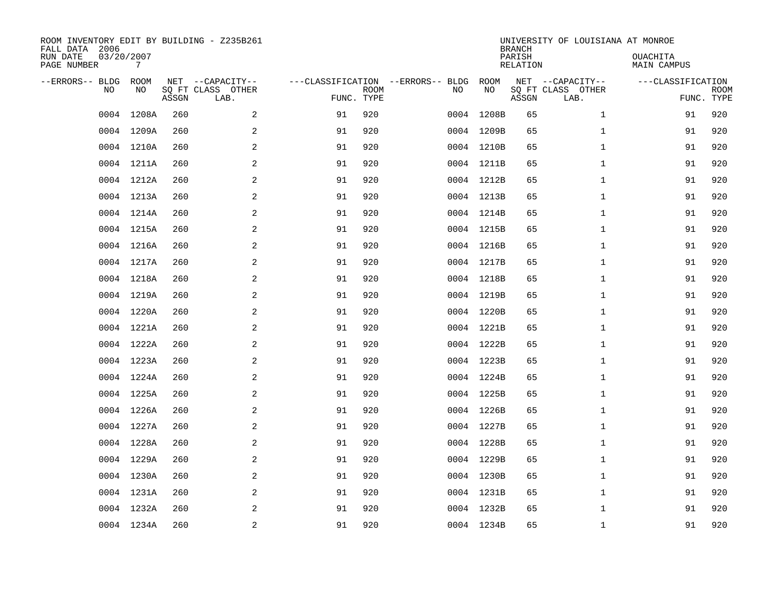| ROOM INVENTORY EDIT BY BUILDING - Z235B261<br>FALL DATA 2006<br>RUN DATE<br>PAGE NUMBER | 03/20/2007<br>7   |       |                                               |                                   |                           |      |            | <b>BRANCH</b><br>PARISH<br><b>RELATION</b> | UNIVERSITY OF LOUISIANA AT MONROE             | OUACHITA<br><b>MAIN CAMPUS</b>  |             |
|-----------------------------------------------------------------------------------------|-------------------|-------|-----------------------------------------------|-----------------------------------|---------------------------|------|------------|--------------------------------------------|-----------------------------------------------|---------------------------------|-------------|
| --ERRORS-- BLDG<br>NO                                                                   | <b>ROOM</b><br>NO | ASSGN | NET --CAPACITY--<br>SQ FT CLASS OTHER<br>LAB. | ---CLASSIFICATION --ERRORS-- BLDG | <b>ROOM</b><br>FUNC. TYPE | NO   | ROOM<br>NO | ASSGN                                      | NET --CAPACITY--<br>SQ FT CLASS OTHER<br>LAB. | ---CLASSIFICATION<br>FUNC. TYPE | <b>ROOM</b> |
| 0004                                                                                    | 1208A             | 260   | 2                                             | 91                                | 920                       | 0004 | 1208B      | 65                                         | $\mathbf{1}$                                  | 91                              | 920         |
|                                                                                         | 0004 1209A        | 260   | $\sqrt{2}$                                    | 91                                | 920                       |      | 0004 1209B | 65                                         | $\mathbf{1}$                                  | 91                              | 920         |
| 0004                                                                                    | 1210A             | 260   | 2                                             | 91                                | 920                       |      | 0004 1210B | 65                                         | $\mathbf{1}$                                  | 91                              | 920         |
|                                                                                         | 0004 1211A        | 260   | 2                                             | 91                                | 920                       |      | 0004 1211B | 65                                         | $\mathbf{1}$                                  | 91                              | 920         |
| 0004                                                                                    | 1212A             | 260   | 2                                             | 91                                | 920                       |      | 0004 1212B | 65                                         | $\mathbf{1}$                                  | 91                              | 920         |
|                                                                                         | 0004 1213A        | 260   | 2                                             | 91                                | 920                       |      | 0004 1213B | 65                                         | $\mathbf{1}$                                  | 91                              | 920         |
|                                                                                         | 0004 1214A        | 260   | 2                                             | 91                                | 920                       |      | 0004 1214B | 65                                         | $\mathbf{1}$                                  | 91                              | 920         |
|                                                                                         | 0004 1215A        | 260   | 2                                             | 91                                | 920                       |      | 0004 1215B | 65                                         | $\mathbf{1}$                                  | 91                              | 920         |
|                                                                                         | 0004 1216A        | 260   | 2                                             | 91                                | 920                       |      | 0004 1216B | 65                                         | $\mathbf{1}$                                  | 91                              | 920         |
|                                                                                         | 0004 1217A        | 260   | 2                                             | 91                                | 920                       |      | 0004 1217B | 65                                         | $\mathbf{1}$                                  | 91                              | 920         |
|                                                                                         | 0004 1218A        | 260   | 2                                             | 91                                | 920                       |      | 0004 1218B | 65                                         | $\mathbf{1}$                                  | 91                              | 920         |
|                                                                                         | 0004 1219A        | 260   | 2                                             | 91                                | 920                       |      | 0004 1219B | 65                                         | $\mathbf{1}$                                  | 91                              | 920         |
|                                                                                         | 0004 1220A        | 260   | 2                                             | 91                                | 920                       |      | 0004 1220B | 65                                         | $\mathbf{1}$                                  | 91                              | 920         |
|                                                                                         | 0004 1221A        | 260   | 2                                             | 91                                | 920                       |      | 0004 1221B | 65                                         | $\mathbf{1}$                                  | 91                              | 920         |
|                                                                                         | 0004 1222A        | 260   | 2                                             | 91                                | 920                       |      | 0004 1222B | 65                                         | $\mathbf{1}$                                  | 91                              | 920         |
|                                                                                         | 0004 1223A        | 260   | 2                                             | 91                                | 920                       |      | 0004 1223B | 65                                         | $\mathbf{1}$                                  | 91                              | 920         |
|                                                                                         | 0004 1224A        | 260   | 2                                             | 91                                | 920                       |      | 0004 1224B | 65                                         | $\mathbf{1}$                                  | 91                              | 920         |
| 0004                                                                                    | 1225A             | 260   | $\mathbf{2}$                                  | 91                                | 920                       |      | 0004 1225B | 65                                         | $\mathbf{1}$                                  | 91                              | 920         |
|                                                                                         | 0004 1226A        | 260   | 2                                             | 91                                | 920                       |      | 0004 1226B | 65                                         | $\mathbf{1}$                                  | 91                              | 920         |
|                                                                                         | 0004 1227A        | 260   | 2                                             | 91                                | 920                       |      | 0004 1227B | 65                                         | $\mathbf{1}$                                  | 91                              | 920         |
|                                                                                         | 0004 1228A        | 260   | 2                                             | 91                                | 920                       |      | 0004 1228B | 65                                         | $\mathbf{1}$                                  | 91                              | 920         |
|                                                                                         | 0004 1229A        | 260   | 2                                             | 91                                | 920                       |      | 0004 1229B | 65                                         | $\mathbf{1}$                                  | 91                              | 920         |
|                                                                                         | 0004 1230A        | 260   | 2                                             | 91                                | 920                       |      | 0004 1230B | 65                                         | $\mathbf{1}$                                  | 91                              | 920         |
|                                                                                         | 0004 1231A        | 260   | 2                                             | 91                                | 920                       |      | 0004 1231B | 65                                         | $\mathbf{1}$                                  | 91                              | 920         |
|                                                                                         | 0004 1232A        | 260   | 2                                             | 91                                | 920                       |      | 0004 1232B | 65                                         | $\mathbf{1}$                                  | 91                              | 920         |
|                                                                                         | 0004 1234A        | 260   | $\overline{c}$                                | 91                                | 920                       |      | 0004 1234B | 65                                         | $\mathbf{1}$                                  | 91                              | 920         |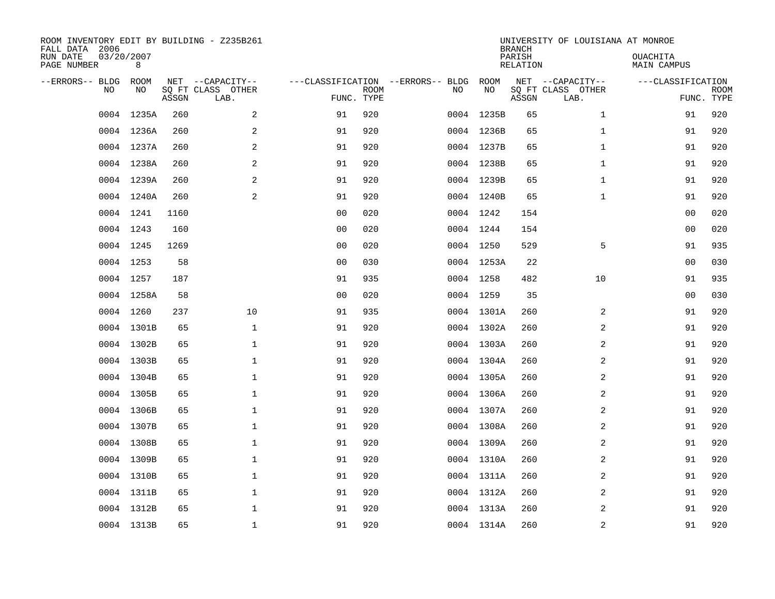| ROOM INVENTORY EDIT BY BUILDING - Z235B261<br>FALL DATA 2006<br>RUN DATE<br>PAGE NUMBER | 03/20/2007<br>8 |       |                                               |                                                 |             |    |            | <b>BRANCH</b><br>PARISH<br><b>RELATION</b> | UNIVERSITY OF LOUISIANA AT MONROE             | OUACHITA<br><b>MAIN CAMPUS</b>  |             |
|-----------------------------------------------------------------------------------------|-----------------|-------|-----------------------------------------------|-------------------------------------------------|-------------|----|------------|--------------------------------------------|-----------------------------------------------|---------------------------------|-------------|
| --ERRORS-- BLDG<br>NO                                                                   | ROOM<br>NO      | ASSGN | NET --CAPACITY--<br>SQ FT CLASS OTHER<br>LAB. | ---CLASSIFICATION --ERRORS-- BLDG<br>FUNC. TYPE | <b>ROOM</b> | NO | ROOM<br>NO | ASSGN                                      | NET --CAPACITY--<br>SQ FT CLASS OTHER<br>LAB. | ---CLASSIFICATION<br>FUNC. TYPE | <b>ROOM</b> |
| 0004                                                                                    | 1235A           | 260   | 2                                             | 91                                              | 920         |    | 0004 1235B | 65                                         | $\mathbf{1}$                                  | 91                              | 920         |
|                                                                                         | 0004 1236A      | 260   | 2                                             | 91                                              | 920         |    | 0004 1236B | 65                                         | $\mathbf{1}$                                  | 91                              | 920         |
|                                                                                         | 0004 1237A      | 260   | 2                                             | 91                                              | 920         |    | 0004 1237B | 65                                         | $\mathbf{1}$                                  | 91                              | 920         |
|                                                                                         | 0004 1238A      | 260   | $\overline{a}$                                | 91                                              | 920         |    | 0004 1238B | 65                                         | $\mathbf{1}$                                  | 91                              | 920         |
| 0004                                                                                    | 1239A           | 260   | 2                                             | 91                                              | 920         |    | 0004 1239B | 65                                         | $\mathbf{1}$                                  | 91                              | 920         |
|                                                                                         | 0004 1240A      | 260   | 2                                             | 91                                              | 920         |    | 0004 1240B | 65                                         | $\mathbf{1}$                                  | 91                              | 920         |
|                                                                                         | 0004 1241       | 1160  |                                               | 0 <sub>0</sub>                                  | 020         |    | 0004 1242  | 154                                        |                                               | 00                              | 020         |
|                                                                                         | 0004 1243       | 160   |                                               | 0 <sub>0</sub>                                  | 020         |    | 0004 1244  | 154                                        |                                               | 0 <sub>0</sub>                  | 020         |
|                                                                                         | 0004 1245       | 1269  |                                               | 0 <sub>0</sub>                                  | 020         |    | 0004 1250  | 529                                        | 5                                             | 91                              | 935         |
|                                                                                         | 0004 1253       | 58    |                                               | 0 <sub>0</sub>                                  | 030         |    | 0004 1253A | 22                                         |                                               | 00                              | 030         |
|                                                                                         | 0004 1257       | 187   |                                               | 91                                              | 935         |    | 0004 1258  | 482                                        | 10                                            | 91                              | 935         |
|                                                                                         | 0004 1258A      | 58    |                                               | 0 <sub>0</sub>                                  | 020         |    | 0004 1259  | 35                                         |                                               | 0 <sub>0</sub>                  | 030         |
|                                                                                         | 0004 1260       | 237   | 10                                            | 91                                              | 935         |    | 0004 1301A | 260                                        | 2                                             | 91                              | 920         |
|                                                                                         | 0004 1301B      | 65    | $\mathbf 1$                                   | 91                                              | 920         |    | 0004 1302A | 260                                        | 2                                             | 91                              | 920         |
|                                                                                         | 0004 1302B      | 65    | $\mathbf 1$                                   | 91                                              | 920         |    | 0004 1303A | 260                                        | 2                                             | 91                              | 920         |
|                                                                                         | 0004 1303B      | 65    | $\mathbf{1}$                                  | 91                                              | 920         |    | 0004 1304A | 260                                        | 2                                             | 91                              | 920         |
|                                                                                         | 0004 1304B      | 65    | $\mathbf 1$                                   | 91                                              | 920         |    | 0004 1305A | 260                                        | 2                                             | 91                              | 920         |
|                                                                                         | 0004 1305B      | 65    | $\mathbf{1}$                                  | 91                                              | 920         |    | 0004 1306A | 260                                        | $\overline{a}$                                | 91                              | 920         |
|                                                                                         | 0004 1306B      | 65    | $\mathbf{1}$                                  | 91                                              | 920         |    | 0004 1307A | 260                                        | $\overline{2}$                                | 91                              | 920         |
|                                                                                         | 0004 1307B      | 65    | $\mathbf 1$                                   | 91                                              | 920         |    | 0004 1308A | 260                                        | 2                                             | 91                              | 920         |
|                                                                                         | 0004 1308B      | 65    | 1                                             | 91                                              | 920         |    | 0004 1309A | 260                                        | 2                                             | 91                              | 920         |
|                                                                                         | 0004 1309B      | 65    | $\mathbf 1$                                   | 91                                              | 920         |    | 0004 1310A | 260                                        | 2                                             | 91                              | 920         |
|                                                                                         | 0004 1310B      | 65    | $\mathbf 1$                                   | 91                                              | 920         |    | 0004 1311A | 260                                        | 2                                             | 91                              | 920         |
|                                                                                         | 0004 1311B      | 65    | $\mathbf 1$                                   | 91                                              | 920         |    | 0004 1312A | 260                                        | 2                                             | 91                              | 920         |
|                                                                                         | 0004 1312B      | 65    | $\mathbf{1}$                                  | 91                                              | 920         |    | 0004 1313A | 260                                        | 2                                             | 91                              | 920         |
|                                                                                         | 0004 1313B      | 65    | $\mathbf{1}$                                  | 91                                              | 920         |    | 0004 1314A | 260                                        | $\overline{2}$                                | 91                              | 920         |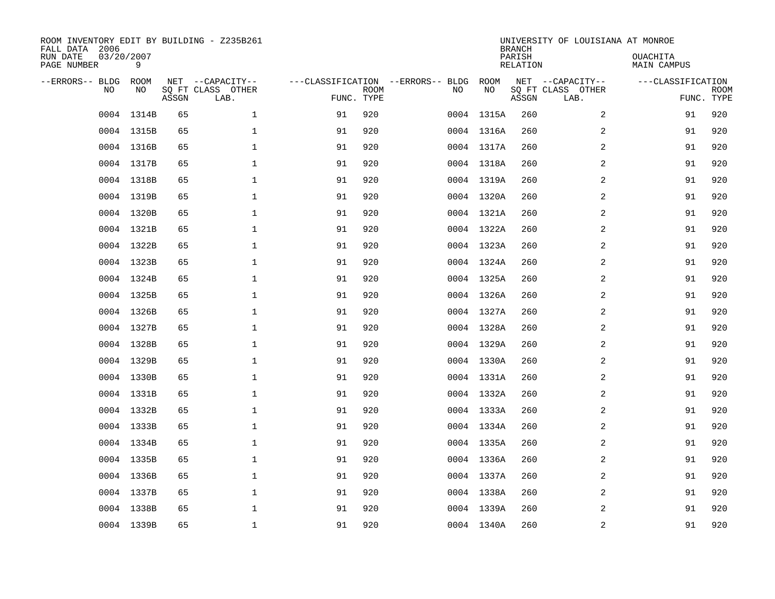| ROOM INVENTORY EDIT BY BUILDING - Z235B261<br>FALL DATA 2006 |                 |       |                           |                                   |             |     |            | <b>BRANCH</b>      | UNIVERSITY OF LOUISIANA AT MONROE |                                |                           |
|--------------------------------------------------------------|-----------------|-------|---------------------------|-----------------------------------|-------------|-----|------------|--------------------|-----------------------------------|--------------------------------|---------------------------|
| RUN DATE<br>PAGE NUMBER                                      | 03/20/2007<br>9 |       |                           |                                   |             |     |            | PARISH<br>RELATION |                                   | OUACHITA<br><b>MAIN CAMPUS</b> |                           |
| --ERRORS-- BLDG                                              | ROOM            |       | NET --CAPACITY--          | ---CLASSIFICATION --ERRORS-- BLDG |             |     | ROOM       |                    | NET --CAPACITY--                  | ---CLASSIFICATION              |                           |
| <b>NO</b>                                                    | NO.             | ASSGN | SO FT CLASS OTHER<br>LAB. | FUNC. TYPE                        | <b>ROOM</b> | NO. | NO         | ASSGN              | SQ FT CLASS OTHER<br>LAB.         |                                | <b>ROOM</b><br>FUNC. TYPE |
| 0004                                                         | 1314B           | 65    | $\mathbf 1$               | 91                                | 920         |     | 0004 1315A | 260                | 2                                 | 91                             | 920                       |
|                                                              | 0004 1315B      | 65    | $\mathbf{1}$              | 91                                | 920         |     | 0004 1316A | 260                | 2                                 | 91                             | 920                       |
|                                                              | 0004 1316B      | 65    | $\mathbf{1}$              | 91                                | 920         |     | 0004 1317A | 260                | $\overline{2}$                    | 91                             | 920                       |
|                                                              | 0004 1317B      | 65    | $\mathbf{1}$              | 91                                | 920         |     | 0004 1318A | 260                | 2                                 | 91                             | 920                       |
| 0004                                                         | 1318B           | 65    | 1                         | 91                                | 920         |     | 0004 1319A | 260                | 2                                 | 91                             | 920                       |
|                                                              | 0004 1319B      | 65    | 1                         | 91                                | 920         |     | 0004 1320A | 260                | 2                                 | 91                             | 920                       |
| 0004                                                         | 1320B           | 65    | $\mathbf 1$               | 91                                | 920         |     | 0004 1321A | 260                | $\overline{a}$                    | 91                             | 920                       |
|                                                              | 0004 1321B      | 65    | $\mathbf{1}$              | 91                                | 920         |     | 0004 1322A | 260                | 2                                 | 91                             | 920                       |
|                                                              | 0004 1322B      | 65    | $\mathbf{1}$              | 91                                | 920         |     | 0004 1323A | 260                | 2                                 | 91                             | 920                       |
|                                                              | 0004 1323B      | 65    | $\mathbf 1$               | 91                                | 920         |     | 0004 1324A | 260                | 2                                 | 91                             | 920                       |
|                                                              | 0004 1324B      | 65    | $\mathbf 1$               | 91                                | 920         |     | 0004 1325A | 260                | 2                                 | 91                             | 920                       |
|                                                              | 0004 1325B      | 65    | $\mathbf 1$               | 91                                | 920         |     | 0004 1326A | 260                | 2                                 | 91                             | 920                       |
|                                                              | 0004 1326B      | 65    | $\mathbf{1}$              | 91                                | 920         |     | 0004 1327A | 260                | 2                                 | 91                             | 920                       |
|                                                              | 0004 1327B      | 65    | $\mathbf{1}$              | 91                                | 920         |     | 0004 1328A | 260                | $\overline{a}$                    | 91                             | 920                       |
|                                                              | 0004 1328B      | 65    | $\mathbf 1$               | 91                                | 920         |     | 0004 1329A | 260                | 2                                 | 91                             | 920                       |
|                                                              | 0004 1329B      | 65    | $\mathbf 1$               | 91                                | 920         |     | 0004 1330A | 260                | 2                                 | 91                             | 920                       |
|                                                              | 0004 1330B      | 65    | $\mathbf 1$               | 91                                | 920         |     | 0004 1331A | 260                | 2                                 | 91                             | 920                       |
|                                                              | 0004 1331B      | 65    | $\mathbf 1$               | 91                                | 920         |     | 0004 1332A | 260                | 2                                 | 91                             | 920                       |
|                                                              | 0004 1332B      | 65    | $\mathbf 1$               | 91                                | 920         |     | 0004 1333A | 260                | 2                                 | 91                             | 920                       |
|                                                              | 0004 1333B      | 65    | $\mathbf{1}$              | 91                                | 920         |     | 0004 1334A | 260                | $\overline{2}$                    | 91                             | 920                       |
|                                                              | 0004 1334B      | 65    | $\mathbf 1$               | 91                                | 920         |     | 0004 1335A | 260                | 2                                 | 91                             | 920                       |
|                                                              | 0004 1335B      | 65    | $\mathbf 1$               | 91                                | 920         |     | 0004 1336A | 260                | 2                                 | 91                             | 920                       |
|                                                              | 0004 1336B      | 65    | $\mathbf 1$               | 91                                | 920         |     | 0004 1337A | 260                | 2                                 | 91                             | 920                       |
|                                                              | 0004 1337B      | 65    | $\mathbf{1}$              | 91                                | 920         |     | 0004 1338A | 260                | 2                                 | 91                             | 920                       |
|                                                              | 0004 1338B      | 65    | $\mathbf{1}$              | 91                                | 920         |     | 0004 1339A | 260                | 2                                 | 91                             | 920                       |
|                                                              | 0004 1339B      | 65    | $\mathbf{1}$              | 91                                | 920         |     | 0004 1340A | 260                | $\overline{2}$                    | 91                             | 920                       |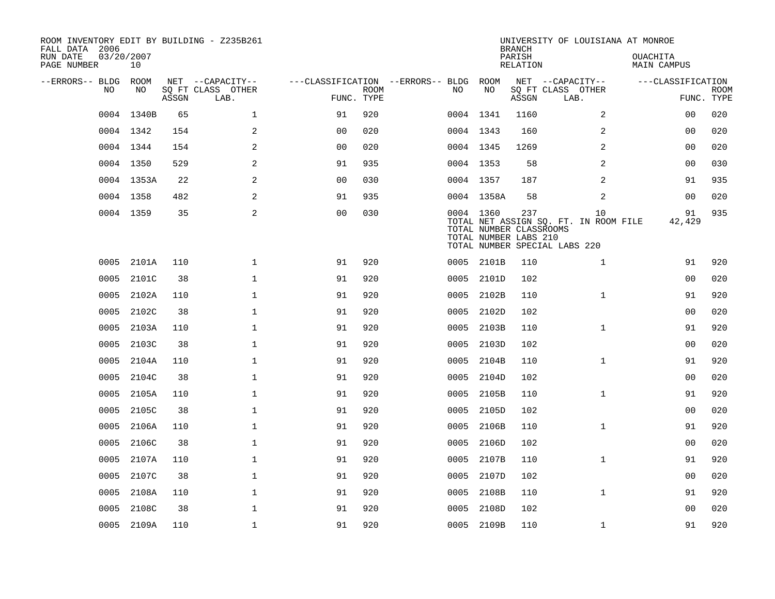| ROOM INVENTORY EDIT BY BUILDING - Z235B261<br>FALL DATA 2006 |                  |       |                           |                                   |             |           |            | <b>BRANCH</b>                                           | UNIVERSITY OF LOUISIANA AT MONROE                                            |                                |                           |
|--------------------------------------------------------------|------------------|-------|---------------------------|-----------------------------------|-------------|-----------|------------|---------------------------------------------------------|------------------------------------------------------------------------------|--------------------------------|---------------------------|
| RUN DATE<br>PAGE NUMBER                                      | 03/20/2007<br>10 |       |                           |                                   |             |           |            | PARISH<br>RELATION                                      |                                                                              | OUACHITA<br><b>MAIN CAMPUS</b> |                           |
| --ERRORS-- BLDG                                              | ROOM             |       | NET --CAPACITY--          | ---CLASSIFICATION --ERRORS-- BLDG |             |           | ROOM       |                                                         | NET --CAPACITY--                                                             | ---CLASSIFICATION              |                           |
| N <sub>O</sub>                                               | NO.              | ASSGN | SO FT CLASS OTHER<br>LAB. | FUNC. TYPE                        | <b>ROOM</b> | NO.       | NO         | ASSGN                                                   | SQ FT CLASS OTHER<br>LAB.                                                    |                                | <b>ROOM</b><br>FUNC. TYPE |
| 0004                                                         | 1340B            | 65    | $\mathbf 1$               | 91                                | 920         |           | 0004 1341  | 1160                                                    | 2                                                                            | 00                             | 020                       |
|                                                              | 0004 1342        | 154   | 2                         | 00                                | 020         | 0004 1343 |            | 160                                                     | 2                                                                            | 00                             | 020                       |
|                                                              | 0004 1344        | 154   | 2                         | 0 <sub>0</sub>                    | 020         |           | 0004 1345  | 1269                                                    | $\overline{2}$                                                               | 0 <sub>0</sub>                 | 020                       |
|                                                              | 0004 1350        | 529   | 2                         | 91                                | 935         |           | 0004 1353  | 58                                                      | 2                                                                            | 0 <sub>0</sub>                 | 030                       |
|                                                              | 0004 1353A       | 22    | 2                         | 00                                | 030         |           | 0004 1357  | 187                                                     | 2                                                                            | 91                             | 935                       |
|                                                              | 0004 1358        | 482   | $\mathbf{2}$              | 91                                | 935         |           | 0004 1358A | 58                                                      | 2                                                                            | 00                             | 020                       |
|                                                              | 0004 1359        | 35    | 2                         | 0 <sub>0</sub>                    | 030         |           | 0004 1360  | 237<br>TOTAL NUMBER CLASSROOMS<br>TOTAL NUMBER LABS 210 | 10<br>TOTAL NET ASSIGN SQ. FT. IN ROOM FILE<br>TOTAL NUMBER SPECIAL LABS 220 | 91<br>42,429                   | 935                       |
| 0005                                                         | 2101A            | 110   | $\mathbf 1$               | 91                                | 920         |           | 0005 2101B | 110                                                     | $\mathbf{1}$                                                                 | 91                             | 920                       |
| 0005                                                         | 2101C            | 38    | $\mathbf 1$               | 91                                | 920         | 0005      | 2101D      | 102                                                     |                                                                              | 00                             | 020                       |
| 0005                                                         | 2102A            | 110   | $\mathbf 1$               | 91                                | 920         | 0005      | 2102B      | 110                                                     | $\mathbf{1}$                                                                 | 91                             | 920                       |
| 0005                                                         | 2102C            | 38    | $\mathbf{1}$              | 91                                | 920         | 0005      | 2102D      | 102                                                     |                                                                              | 0 <sub>0</sub>                 | 020                       |
| 0005                                                         | 2103A            | 110   | $\mathbf{1}$              | 91                                | 920         | 0005      | 2103B      | 110                                                     | $\mathbf{1}$                                                                 | 91                             | 920                       |
| 0005                                                         | 2103C            | 38    | 1                         | 91                                | 920         | 0005      | 2103D      | 102                                                     |                                                                              | 00                             | 020                       |
| 0005                                                         | 2104A            | 110   | 1                         | 91                                | 920         | 0005      | 2104B      | 110                                                     | $\mathbf{1}$                                                                 | 91                             | 920                       |
| 0005                                                         | 2104C            | 38    | $\mathbf 1$               | 91                                | 920         | 0005      | 2104D      | 102                                                     |                                                                              | 00                             | 020                       |
| 0005                                                         | 2105A            | 110   | $\mathbf 1$               | 91                                | 920         | 0005      | 2105B      | 110                                                     | $\mathbf{1}$                                                                 | 91                             | 920                       |
| 0005                                                         | 2105C            | 38    | $\mathbf{1}$              | 91                                | 920         | 0005      | 2105D      | 102                                                     |                                                                              | 00                             | 020                       |
| 0005                                                         | 2106A            | 110   | $\mathbf{1}$              | 91                                | 920         | 0005      | 2106B      | 110                                                     | $\mathbf{1}$                                                                 | 91                             | 920                       |
| 0005                                                         | 2106C            | 38    | $\mathbf 1$               | 91                                | 920         | 0005      | 2106D      | 102                                                     |                                                                              | 00                             | 020                       |
| 0005                                                         | 2107A            | 110   | $\mathbf 1$               | 91                                | 920         | 0005      | 2107B      | 110                                                     | $\mathbf{1}$                                                                 | 91                             | 920                       |
| 0005                                                         | 2107C            | 38    | $\mathbf 1$               | 91                                | 920         | 0005      | 2107D      | 102                                                     |                                                                              | 00                             | 020                       |
| 0005                                                         | 2108A            | 110   | $\mathbf 1$               | 91                                | 920         | 0005      | 2108B      | 110                                                     | $\mathbf{1}$                                                                 | 91                             | 920                       |
| 0005                                                         | 2108C            | 38    | $\mathbf{1}$              | 91                                | 920         | 0005      | 2108D      | 102                                                     |                                                                              | 0 <sub>0</sub>                 | 020                       |
|                                                              | 0005 2109A       | 110   | $\mathbf{1}$              | 91                                | 920         |           | 0005 2109B | 110                                                     | $\mathbf{1}$                                                                 | 91                             | 920                       |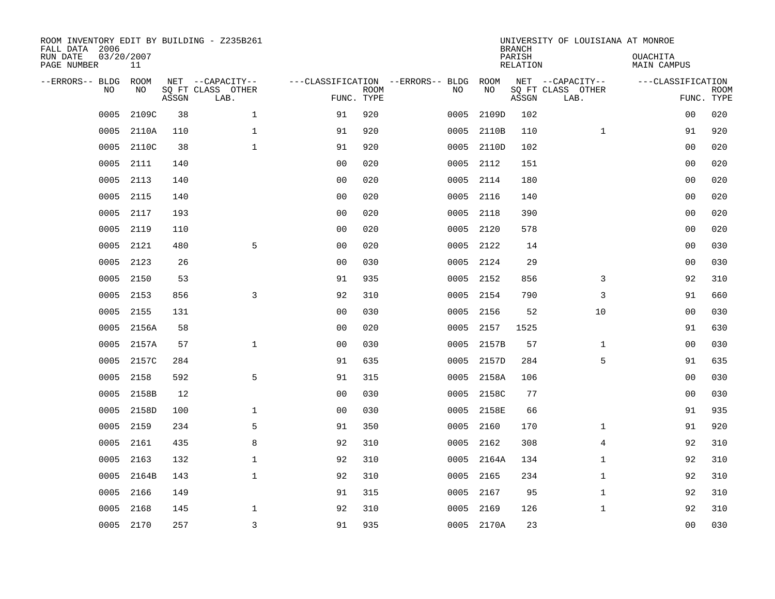| ROOM INVENTORY EDIT BY BUILDING - Z235B261<br>FALL DATA 2006<br>RUN DATE<br>PAGE NUMBER | 03/20/2007<br>11 |       |                                               |                                   |                           |      |            | <b>BRANCH</b><br>PARISH<br><b>RELATION</b> | UNIVERSITY OF LOUISIANA AT MONROE             | OUACHITA<br><b>MAIN CAMPUS</b> |                           |
|-----------------------------------------------------------------------------------------|------------------|-------|-----------------------------------------------|-----------------------------------|---------------------------|------|------------|--------------------------------------------|-----------------------------------------------|--------------------------------|---------------------------|
| --ERRORS-- BLDG<br>NO                                                                   | ROOM<br>NO       | ASSGN | NET --CAPACITY--<br>SQ FT CLASS OTHER<br>LAB. | ---CLASSIFICATION --ERRORS-- BLDG | <b>ROOM</b><br>FUNC. TYPE | NO   | ROOM<br>NO | ASSGN                                      | NET --CAPACITY--<br>SQ FT CLASS OTHER<br>LAB. | ---CLASSIFICATION              | <b>ROOM</b><br>FUNC. TYPE |
| 0005                                                                                    | 2109C            | 38    | $\mathbf{1}$                                  | 91                                | 920                       | 0005 | 2109D      | 102                                        |                                               | 0 <sub>0</sub>                 | 020                       |
| 0005                                                                                    | 2110A            | 110   | 1                                             | 91                                | 920                       | 0005 | 2110B      | 110                                        | $\mathbf{1}$                                  | 91                             | 920                       |
| 0005                                                                                    | 2110C            | 38    | $\mathbf{1}$                                  | 91                                | 920                       | 0005 | 2110D      | 102                                        |                                               | 00                             | 020                       |
| 0005                                                                                    | 2111             | 140   |                                               | 0 <sub>0</sub>                    | 020                       | 0005 | 2112       | 151                                        |                                               | 0 <sub>0</sub>                 | 020                       |
| 0005                                                                                    | 2113             | 140   |                                               | 0 <sub>0</sub>                    | 020                       | 0005 | 2114       | 180                                        |                                               | 0 <sub>0</sub>                 | 020                       |
| 0005                                                                                    | 2115             | 140   |                                               | 0 <sub>0</sub>                    | 020                       | 0005 | 2116       | 140                                        |                                               | 0 <sub>0</sub>                 | 020                       |
| 0005                                                                                    | 2117             | 193   |                                               | 0 <sub>0</sub>                    | 020                       | 0005 | 2118       | 390                                        |                                               | 0 <sub>0</sub>                 | 020                       |
| 0005                                                                                    | 2119             | 110   |                                               | 0 <sub>0</sub>                    | 020                       | 0005 | 2120       | 578                                        |                                               | 0 <sub>0</sub>                 | 020                       |
| 0005                                                                                    | 2121             | 480   | 5                                             | 0 <sub>0</sub>                    | 020                       | 0005 | 2122       | 14                                         |                                               | 0 <sub>0</sub>                 | 030                       |
| 0005                                                                                    | 2123             | 26    |                                               | 0 <sub>0</sub>                    | 030                       |      | 0005 2124  | 29                                         |                                               | 0 <sub>0</sub>                 | 030                       |
| 0005                                                                                    | 2150             | 53    |                                               | 91                                | 935                       | 0005 | 2152       | 856                                        | 3                                             | 92                             | 310                       |
| 0005                                                                                    | 2153             | 856   | 3                                             | 92                                | 310                       |      | 0005 2154  | 790                                        | 3                                             | 91                             | 660                       |
| 0005                                                                                    | 2155             | 131   |                                               | 0 <sub>0</sub>                    | 030                       | 0005 | 2156       | 52                                         | 10                                            | 00                             | 030                       |
| 0005                                                                                    | 2156A            | 58    |                                               | 0 <sub>0</sub>                    | 020                       | 0005 | 2157       | 1525                                       |                                               | 91                             | 630                       |
| 0005                                                                                    | 2157A            | 57    | $\mathbf{1}$                                  | 0 <sub>0</sub>                    | 030                       | 0005 | 2157B      | 57                                         | $\mathbf{1}$                                  | 00                             | 030                       |
| 0005                                                                                    | 2157C            | 284   |                                               | 91                                | 635                       | 0005 | 2157D      | 284                                        | 5                                             | 91                             | 635                       |
| 0005                                                                                    | 2158             | 592   | 5                                             | 91                                | 315                       | 0005 | 2158A      | 106                                        |                                               | 0 <sub>0</sub>                 | 030                       |
| 0005                                                                                    | 2158B            | 12    |                                               | 0 <sub>0</sub>                    | 030                       | 0005 | 2158C      | 77                                         |                                               | 00                             | 030                       |
| 0005                                                                                    | 2158D            | 100   | 1                                             | 0 <sub>0</sub>                    | 030                       | 0005 | 2158E      | 66                                         |                                               | 91                             | 935                       |
| 0005                                                                                    | 2159             | 234   | 5                                             | 91                                | 350                       | 0005 | 2160       | 170                                        | $\mathbf{1}$                                  | 91                             | 920                       |
| 0005                                                                                    | 2161             | 435   | 8                                             | 92                                | 310                       | 0005 | 2162       | 308                                        | 4                                             | 92                             | 310                       |
| 0005                                                                                    | 2163             | 132   | $\mathbf 1$                                   | 92                                | 310                       | 0005 | 2164A      | 134                                        | $\mathbf{1}$                                  | 92                             | 310                       |
| 0005                                                                                    | 2164B            | 143   | $\mathbf{1}$                                  | 92                                | 310                       | 0005 | 2165       | 234                                        | $\mathbf{1}$                                  | 92                             | 310                       |
| 0005                                                                                    | 2166             | 149   |                                               | 91                                | 315                       | 0005 | 2167       | 95                                         | $\mathbf{1}$                                  | 92                             | 310                       |
| 0005                                                                                    | 2168             | 145   | $\mathbf 1$                                   | 92                                | 310                       | 0005 | 2169       | 126                                        | $\mathbf{1}$                                  | 92                             | 310                       |
|                                                                                         | 0005 2170        | 257   | $\overline{3}$                                | 91                                | 935                       |      | 0005 2170A | 23                                         |                                               | 0 <sub>0</sub>                 | 030                       |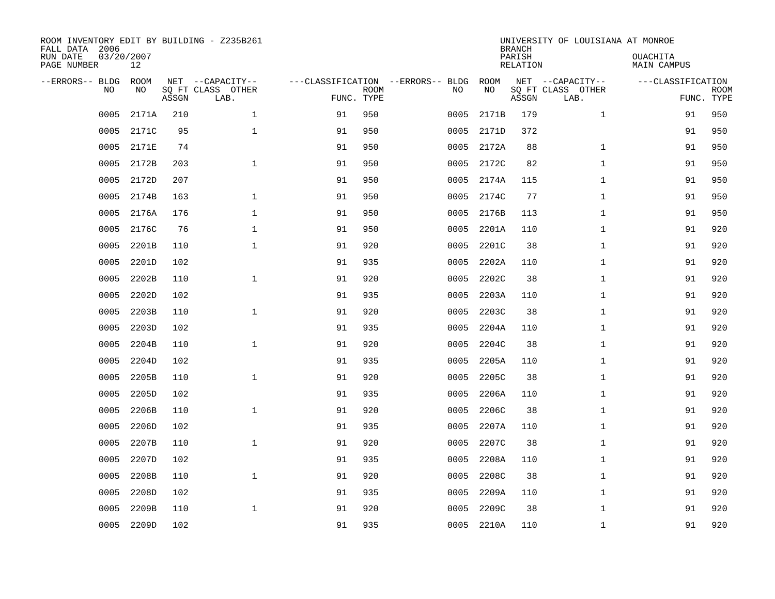| ROOM INVENTORY EDIT BY BUILDING - Z235B261<br>FALL DATA 2006<br>RUN DATE<br>PAGE NUMBER | 03/20/2007<br>12  |       |                                               |                                   |                           |      |            | <b>BRANCH</b><br>PARISH<br><b>RELATION</b> | UNIVERSITY OF LOUISIANA AT MONROE             | OUACHITA<br><b>MAIN CAMPUS</b> |                           |
|-----------------------------------------------------------------------------------------|-------------------|-------|-----------------------------------------------|-----------------------------------|---------------------------|------|------------|--------------------------------------------|-----------------------------------------------|--------------------------------|---------------------------|
| --ERRORS-- BLDG<br>NO                                                                   | <b>ROOM</b><br>NO | ASSGN | NET --CAPACITY--<br>SQ FT CLASS OTHER<br>LAB. | ---CLASSIFICATION --ERRORS-- BLDG | <b>ROOM</b><br>FUNC. TYPE | NO   | ROOM<br>NO | ASSGN                                      | NET --CAPACITY--<br>SQ FT CLASS OTHER<br>LAB. | ---CLASSIFICATION              | <b>ROOM</b><br>FUNC. TYPE |
| 0005                                                                                    | 2171A             | 210   | $\mathbf{1}$                                  | 91                                | 950                       | 0005 | 2171B      | 179                                        | $\mathbf{1}$                                  | 91                             | 950                       |
| 0005                                                                                    | 2171C             | 95    | $\mathbf 1$                                   | 91                                | 950                       | 0005 | 2171D      | 372                                        |                                               | 91                             | 950                       |
| 0005                                                                                    | 2171E             | 74    |                                               | 91                                | 950                       | 0005 | 2172A      | 88                                         | $\mathbf{1}$                                  | 91                             | 950                       |
| 0005                                                                                    | 2172B             | 203   | $\mathbf{1}$                                  | 91                                | 950                       | 0005 | 2172C      | 82                                         | $\mathbf{1}$                                  | 91                             | 950                       |
| 0005                                                                                    | 2172D             | 207   |                                               | 91                                | 950                       | 0005 | 2174A      | 115                                        | $\mathbf{1}$                                  | 91                             | 950                       |
| 0005                                                                                    | 2174B             | 163   | $\mathbf 1$                                   | 91                                | 950                       | 0005 | 2174C      | 77                                         | $\mathbf{1}$                                  | 91                             | 950                       |
| 0005                                                                                    | 2176A             | 176   | $\mathbf{1}$                                  | 91                                | 950                       | 0005 | 2176B      | 113                                        | $\mathbf{1}$                                  | 91                             | 950                       |
| 0005                                                                                    | 2176C             | 76    | $\mathbf{1}$                                  | 91                                | 950                       | 0005 | 2201A      | 110                                        | $\mathbf{1}$                                  | 91                             | 920                       |
| 0005                                                                                    | 2201B             | 110   | $\mathbf{1}$                                  | 91                                | 920                       | 0005 | 2201C      | 38                                         | $\mathbf{1}$                                  | 91                             | 920                       |
| 0005                                                                                    | 2201D             | 102   |                                               | 91                                | 935                       | 0005 | 2202A      | 110                                        | $\mathbf{1}$                                  | 91                             | 920                       |
| 0005                                                                                    | 2202B             | 110   | $\mathbf 1$                                   | 91                                | 920                       | 0005 | 2202C      | 38                                         | $\mathbf{1}$                                  | 91                             | 920                       |
| 0005                                                                                    | 2202D             | 102   |                                               | 91                                | 935                       | 0005 | 2203A      | 110                                        | $\mathbf{1}$                                  | 91                             | 920                       |
| 0005                                                                                    | 2203B             | 110   | $\mathbf{1}$                                  | 91                                | 920                       | 0005 | 2203C      | 38                                         | $\mathbf{1}$                                  | 91                             | 920                       |
| 0005                                                                                    | 2203D             | 102   |                                               | 91                                | 935                       | 0005 | 2204A      | 110                                        | $\mathbf{1}$                                  | 91                             | 920                       |
| 0005                                                                                    | 2204B             | 110   | $\mathbf{1}$                                  | 91                                | 920                       | 0005 | 2204C      | 38                                         | $\mathbf{1}$                                  | 91                             | 920                       |
| 0005                                                                                    | 2204D             | 102   |                                               | 91                                | 935                       | 0005 | 2205A      | 110                                        | $\mathbf{1}$                                  | 91                             | 920                       |
| 0005                                                                                    | 2205B             | 110   | $\mathbf{1}$                                  | 91                                | 920                       | 0005 | 2205C      | 38                                         | $\mathbf{1}$                                  | 91                             | 920                       |
| 0005                                                                                    | 2205D             | 102   |                                               | 91                                | 935                       | 0005 | 2206A      | 110                                        | $\mathbf{1}$                                  | 91                             | 920                       |
| 0005                                                                                    | 2206B             | 110   | $\mathbf 1$                                   | 91                                | 920                       | 0005 | 2206C      | 38                                         | $\mathbf{1}$                                  | 91                             | 920                       |
| 0005                                                                                    | 2206D             | 102   |                                               | 91                                | 935                       | 0005 | 2207A      | 110                                        | $\mathbf{1}$                                  | 91                             | 920                       |
| 0005                                                                                    | 2207B             | 110   | $\mathbf 1$                                   | 91                                | 920                       | 0005 | 2207C      | 38                                         | $\mathbf{1}$                                  | 91                             | 920                       |
| 0005                                                                                    | 2207D             | 102   |                                               | 91                                | 935                       | 0005 | 2208A      | 110                                        | $\mathbf{1}$                                  | 91                             | 920                       |
| 0005                                                                                    | 2208B             | 110   | $\mathbf{1}$                                  | 91                                | 920                       | 0005 | 2208C      | 38                                         | $\mathbf{1}$                                  | 91                             | 920                       |
| 0005                                                                                    | 2208D             | 102   |                                               | 91                                | 935                       | 0005 | 2209A      | 110                                        | $\mathbf{1}$                                  | 91                             | 920                       |
| 0005                                                                                    | 2209B             | 110   | $\mathbf 1$                                   | 91                                | 920                       | 0005 | 2209C      | 38                                         | $\mathbf{1}$                                  | 91                             | 920                       |
| 0005                                                                                    | 2209D             | 102   |                                               | 91                                | 935                       |      | 0005 2210A | 110                                        | $\mathbf{1}$                                  | 91                             | 920                       |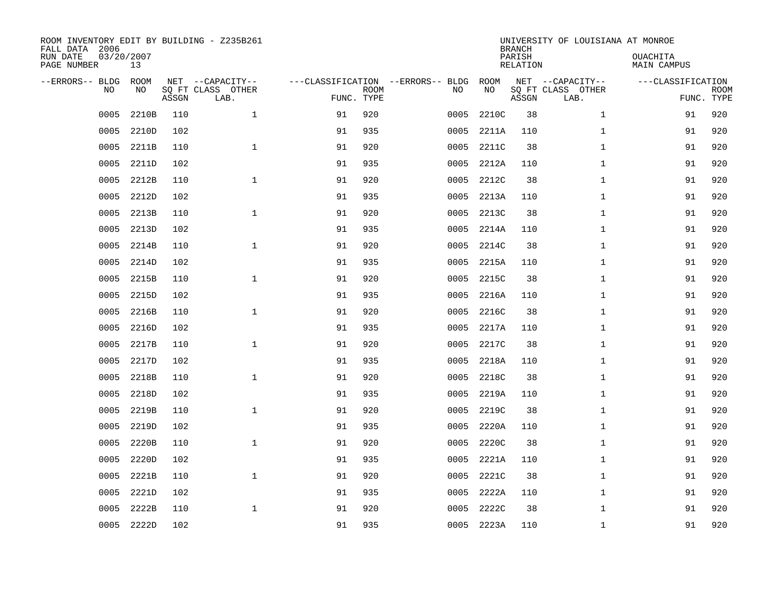| ROOM INVENTORY EDIT BY BUILDING - Z235B261<br>FALL DATA 2006<br>RUN DATE<br>PAGE NUMBER | 03/20/2007<br>13 |       |                                               |                                                 |             |      |            | <b>BRANCH</b><br>PARISH<br><b>RELATION</b> | UNIVERSITY OF LOUISIANA AT MONROE             | OUACHITA<br><b>MAIN CAMPUS</b>  |             |
|-----------------------------------------------------------------------------------------|------------------|-------|-----------------------------------------------|-------------------------------------------------|-------------|------|------------|--------------------------------------------|-----------------------------------------------|---------------------------------|-------------|
| --ERRORS-- BLDG<br>NO                                                                   | ROOM<br>NO       | ASSGN | NET --CAPACITY--<br>SQ FT CLASS OTHER<br>LAB. | ---CLASSIFICATION --ERRORS-- BLDG<br>FUNC. TYPE | <b>ROOM</b> | NO   | ROOM<br>NO | ASSGN                                      | NET --CAPACITY--<br>SQ FT CLASS OTHER<br>LAB. | ---CLASSIFICATION<br>FUNC. TYPE | <b>ROOM</b> |
| 0005                                                                                    | 2210B            | 110   | $\mathbf 1$                                   | 91                                              | 920         | 0005 | 2210C      | 38                                         | $\mathbf{1}$                                  | 91                              | 920         |
| 0005                                                                                    | 2210D            | 102   |                                               | 91                                              | 935         | 0005 | 2211A      | 110                                        | $\mathbf{1}$                                  | 91                              | 920         |
| 0005                                                                                    | 2211B            | 110   | $\mathbf 1$                                   | 91                                              | 920         | 0005 | 2211C      | 38                                         | $\mathbf{1}$                                  | 91                              | 920         |
| 0005                                                                                    | 2211D            | 102   |                                               | 91                                              | 935         | 0005 | 2212A      | 110                                        | $\mathbf{1}$                                  | 91                              | 920         |
| 0005                                                                                    | 2212B            | 110   | $\mathbf{1}$                                  | 91                                              | 920         | 0005 | 2212C      | 38                                         | $\mathbf{1}$                                  | 91                              | 920         |
| 0005                                                                                    | 2212D            | 102   |                                               | 91                                              | 935         | 0005 | 2213A      | 110                                        | $\mathbf{1}$                                  | 91                              | 920         |
| 0005                                                                                    | 2213B            | 110   | $\mathbf{1}$                                  | 91                                              | 920         | 0005 | 2213C      | 38                                         | $\mathbf{1}$                                  | 91                              | 920         |
| 0005                                                                                    | 2213D            | 102   |                                               | 91                                              | 935         | 0005 | 2214A      | 110                                        | $\mathbf{1}$                                  | 91                              | 920         |
| 0005                                                                                    | 2214B            | 110   | $\mathbf 1$                                   | 91                                              | 920         | 0005 | 2214C      | 38                                         | $\mathbf{1}$                                  | 91                              | 920         |
| 0005                                                                                    | 2214D            | 102   |                                               | 91                                              | 935         | 0005 | 2215A      | 110                                        | $\mathbf{1}$                                  | 91                              | 920         |
| 0005                                                                                    | 2215B            | 110   | $\mathbf{1}$                                  | 91                                              | 920         | 0005 | 2215C      | 38                                         | $\mathbf{1}$                                  | 91                              | 920         |
| 0005                                                                                    | 2215D            | 102   |                                               | 91                                              | 935         | 0005 | 2216A      | 110                                        | $\mathbf{1}$                                  | 91                              | 920         |
| 0005                                                                                    | 2216B            | 110   | $\mathbf 1$                                   | 91                                              | 920         | 0005 | 2216C      | 38                                         | $\mathbf{1}$                                  | 91                              | 920         |
| 0005                                                                                    | 2216D            | 102   |                                               | 91                                              | 935         | 0005 | 2217A      | 110                                        | $\mathbf{1}$                                  | 91                              | 920         |
| 0005                                                                                    | 2217B            | 110   | $\mathbf 1$                                   | 91                                              | 920         | 0005 | 2217C      | 38                                         | $\mathbf{1}$                                  | 91                              | 920         |
| 0005                                                                                    | 2217D            | 102   |                                               | 91                                              | 935         | 0005 | 2218A      | 110                                        | $\mathbf{1}$                                  | 91                              | 920         |
| 0005                                                                                    | 2218B            | 110   | $\mathbf 1$                                   | 91                                              | 920         | 0005 | 2218C      | 38                                         | $\mathbf{1}$                                  | 91                              | 920         |
| 0005                                                                                    | 2218D            | 102   |                                               | 91                                              | 935         | 0005 | 2219A      | 110                                        | $\mathbf{1}$                                  | 91                              | 920         |
| 0005                                                                                    | 2219B            | 110   | $\mathbf{1}$                                  | 91                                              | 920         | 0005 | 2219C      | 38                                         | $\mathbf{1}$                                  | 91                              | 920         |
| 0005                                                                                    | 2219D            | 102   |                                               | 91                                              | 935         | 0005 | 2220A      | 110                                        | $\mathbf{1}$                                  | 91                              | 920         |
| 0005                                                                                    | 2220B            | 110   | $\mathbf 1$                                   | 91                                              | 920         | 0005 | 2220C      | 38                                         | $\mathbf{1}$                                  | 91                              | 920         |
| 0005                                                                                    | 2220D            | 102   |                                               | 91                                              | 935         | 0005 | 2221A      | 110                                        | $\mathbf{1}$                                  | 91                              | 920         |
| 0005                                                                                    | 2221B            | 110   | $\mathbf{1}$                                  | 91                                              | 920         | 0005 | 2221C      | 38                                         | $\mathbf{1}$                                  | 91                              | 920         |
| 0005                                                                                    | 2221D            | 102   |                                               | 91                                              | 935         | 0005 | 2222A      | 110                                        | $\mathbf{1}$                                  | 91                              | 920         |
| 0005                                                                                    | 2222B            | 110   | $\mathbf 1$                                   | 91                                              | 920         | 0005 | 2222C      | 38                                         | $\mathbf{1}$                                  | 91                              | 920         |
|                                                                                         | 0005 2222D       | 102   |                                               | 91                                              | 935         |      | 0005 2223A | 110                                        | $\mathbf{1}$                                  | 91                              | 920         |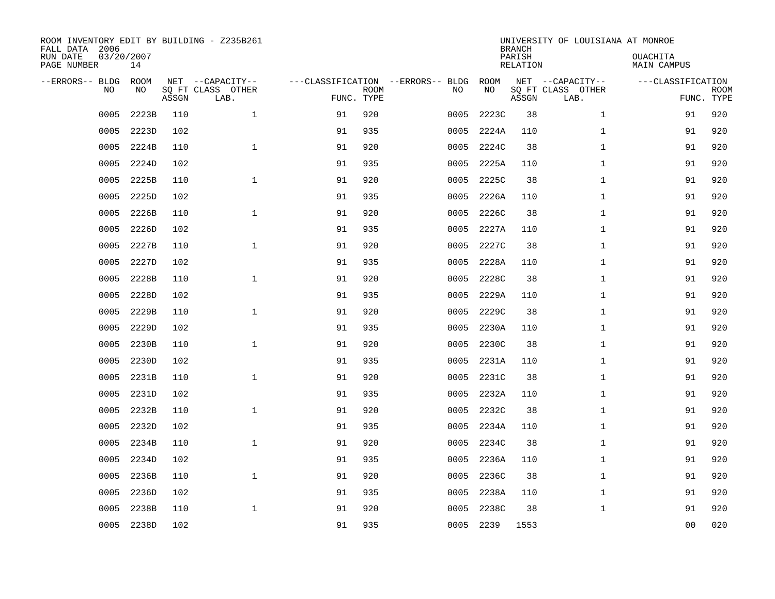| ROOM INVENTORY EDIT BY BUILDING - Z235B261<br>FALL DATA 2006<br>RUN DATE<br>PAGE NUMBER | 03/20/2007<br>14 |       |                                               |                                                 |             |           |            | <b>BRANCH</b><br>PARISH<br><b>RELATION</b> | UNIVERSITY OF LOUISIANA AT MONROE             | OUACHITA<br><b>MAIN CAMPUS</b>  |             |
|-----------------------------------------------------------------------------------------|------------------|-------|-----------------------------------------------|-------------------------------------------------|-------------|-----------|------------|--------------------------------------------|-----------------------------------------------|---------------------------------|-------------|
| --ERRORS-- BLDG<br>NO                                                                   | ROOM<br>NO       | ASSGN | NET --CAPACITY--<br>SQ FT CLASS OTHER<br>LAB. | ---CLASSIFICATION --ERRORS-- BLDG<br>FUNC. TYPE | <b>ROOM</b> | NO        | ROOM<br>NO | ASSGN                                      | NET --CAPACITY--<br>SQ FT CLASS OTHER<br>LAB. | ---CLASSIFICATION<br>FUNC. TYPE | <b>ROOM</b> |
| 0005                                                                                    | 2223B            | 110   | $\mathbf 1$                                   | 91                                              | 920         | 0005      | 2223C      | 38                                         | $\mathbf{1}$                                  | 91                              | 920         |
| 0005                                                                                    | 2223D            | 102   |                                               | 91                                              | 935         | 0005      | 2224A      | 110                                        | $\mathbf{1}$                                  | 91                              | 920         |
| 0005                                                                                    | 2224B            | 110   | $\mathbf 1$                                   | 91                                              | 920         | 0005      | 2224C      | 38                                         | $\mathbf{1}$                                  | 91                              | 920         |
| 0005                                                                                    | 2224D            | 102   |                                               | 91                                              | 935         | 0005      | 2225A      | 110                                        | $\mathbf{1}$                                  | 91                              | 920         |
| 0005                                                                                    | 2225B            | 110   | $\mathbf{1}$                                  | 91                                              | 920         | 0005      | 2225C      | 38                                         | $\mathbf{1}$                                  | 91                              | 920         |
| 0005                                                                                    | 2225D            | 102   |                                               | 91                                              | 935         | 0005      | 2226A      | 110                                        | $\mathbf{1}$                                  | 91                              | 920         |
| 0005                                                                                    | 2226B            | 110   | $\mathbf{1}$                                  | 91                                              | 920         | 0005      | 2226C      | 38                                         | $\mathbf{1}$                                  | 91                              | 920         |
| 0005                                                                                    | 2226D            | 102   |                                               | 91                                              | 935         | 0005      | 2227A      | 110                                        | $\mathbf{1}$                                  | 91                              | 920         |
| 0005                                                                                    | 2227B            | 110   | $\mathbf 1$                                   | 91                                              | 920         | 0005      | 2227C      | 38                                         | $\mathbf{1}$                                  | 91                              | 920         |
| 0005                                                                                    | 2227D            | 102   |                                               | 91                                              | 935         | 0005      | 2228A      | 110                                        | $\mathbf{1}$                                  | 91                              | 920         |
| 0005                                                                                    | 2228B            | 110   | $\mathbf{1}$                                  | 91                                              | 920         | 0005      | 2228C      | 38                                         | $\mathbf{1}$                                  | 91                              | 920         |
| 0005                                                                                    | 2228D            | 102   |                                               | 91                                              | 935         | 0005      | 2229A      | 110                                        | $\mathbf{1}$                                  | 91                              | 920         |
| 0005                                                                                    | 2229B            | 110   | $\mathbf 1$                                   | 91                                              | 920         | 0005      | 2229C      | 38                                         | $\mathbf{1}$                                  | 91                              | 920         |
| 0005                                                                                    | 2229D            | 102   |                                               | 91                                              | 935         | 0005      | 2230A      | 110                                        | $\mathbf{1}$                                  | 91                              | 920         |
| 0005                                                                                    | 2230B            | 110   | $\mathbf 1$                                   | 91                                              | 920         | 0005      | 2230C      | 38                                         | $\mathbf{1}$                                  | 91                              | 920         |
| 0005                                                                                    | 2230D            | 102   |                                               | 91                                              | 935         | 0005      | 2231A      | 110                                        | $\mathbf{1}$                                  | 91                              | 920         |
| 0005                                                                                    | 2231B            | 110   | $\mathbf 1$                                   | 91                                              | 920         | 0005      | 2231C      | 38                                         | $\mathbf{1}$                                  | 91                              | 920         |
| 0005                                                                                    | 2231D            | 102   |                                               | 91                                              | 935         | 0005      | 2232A      | 110                                        | $\mathbf{1}$                                  | 91                              | 920         |
| 0005                                                                                    | 2232B            | 110   | $\mathbf{1}$                                  | 91                                              | 920         | 0005      | 2232C      | 38                                         | $\mathbf{1}$                                  | 91                              | 920         |
| 0005                                                                                    | 2232D            | 102   |                                               | 91                                              | 935         | 0005      | 2234A      | 110                                        | $\mathbf{1}$                                  | 91                              | 920         |
| 0005                                                                                    | 2234B            | 110   | $\mathbf 1$                                   | 91                                              | 920         | 0005      | 2234C      | 38                                         | $\mathbf{1}$                                  | 91                              | 920         |
| 0005                                                                                    | 2234D            | 102   |                                               | 91                                              | 935         | 0005      | 2236A      | 110                                        | $\mathbf{1}$                                  | 91                              | 920         |
| 0005                                                                                    | 2236B            | 110   | $\mathbf{1}$                                  | 91                                              | 920         | 0005      | 2236C      | 38                                         | $\mathbf{1}$                                  | 91                              | 920         |
| 0005                                                                                    | 2236D            | 102   |                                               | 91                                              | 935         | 0005      | 2238A      | 110                                        | $\mathbf{1}$                                  | 91                              | 920         |
| 0005                                                                                    | 2238B            | 110   | $\mathbf 1$                                   | 91                                              | 920         | 0005      | 2238C      | 38                                         | $\mathbf{1}$                                  | 91                              | 920         |
|                                                                                         | 0005 2238D       | 102   |                                               | 91                                              | 935         | 0005 2239 |            | 1553                                       |                                               | 0 <sub>0</sub>                  | 020         |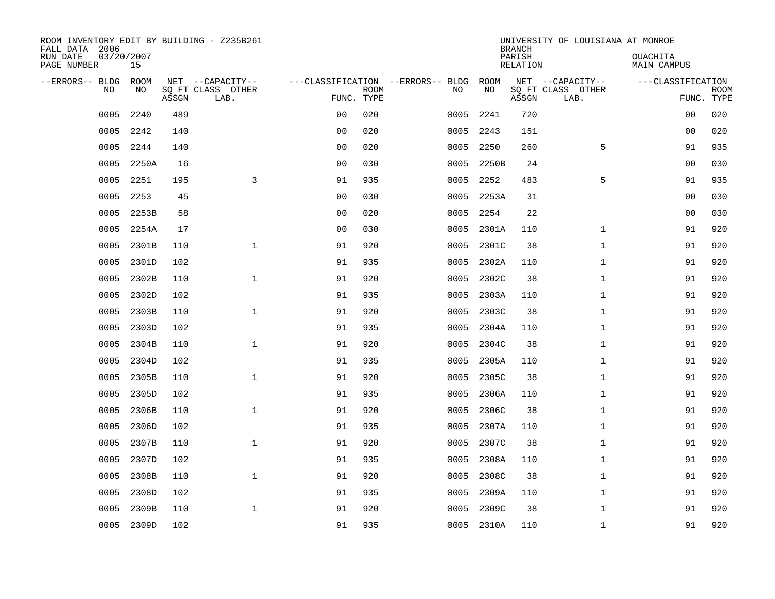| ROOM INVENTORY EDIT BY BUILDING - Z235B261<br>FALL DATA 2006 |                  |       |                           |                |             |                                   |            | <b>BRANCH</b>      | UNIVERSITY OF LOUISIANA AT MONROE |                                |                           |
|--------------------------------------------------------------|------------------|-------|---------------------------|----------------|-------------|-----------------------------------|------------|--------------------|-----------------------------------|--------------------------------|---------------------------|
| RUN DATE<br>PAGE NUMBER                                      | 03/20/2007<br>15 |       |                           |                |             |                                   |            | PARISH<br>RELATION |                                   | OUACHITA<br><b>MAIN CAMPUS</b> |                           |
| --ERRORS-- BLDG                                              | ROOM             |       | NET --CAPACITY--          |                |             | ---CLASSIFICATION --ERRORS-- BLDG | ROOM       |                    | NET --CAPACITY--                  | ---CLASSIFICATION              |                           |
| N <sub>O</sub>                                               | NO.              | ASSGN | SO FT CLASS OTHER<br>LAB. | FUNC. TYPE     | <b>ROOM</b> | NO.                               | NO         | ASSGN              | SO FT CLASS OTHER<br>LAB.         |                                | <b>ROOM</b><br>FUNC. TYPE |
| 0005                                                         | 2240             | 489   |                           | 0 <sub>0</sub> | 020         | 0005                              | 2241       | 720                |                                   | 00                             | 020                       |
| 0005                                                         | 2242             | 140   |                           | 00             | 020         | 0005                              | 2243       | 151                |                                   | 0 <sub>0</sub>                 | 020                       |
| 0005                                                         | 2244             | 140   |                           | 0 <sub>0</sub> | 020         | 0005                              | 2250       | 260                | 5                                 | 91                             | 935                       |
| 0005                                                         | 2250A            | 16    |                           | 0 <sub>0</sub> | 030         | 0005                              | 2250B      | 24                 |                                   | 0 <sub>0</sub>                 | 030                       |
| 0005                                                         | 2251             | 195   | 3                         | 91             | 935         | 0005                              | 2252       | 483                | 5                                 | 91                             | 935                       |
| 0005                                                         | 2253             | 45    |                           | 0 <sub>0</sub> | 030         | 0005                              | 2253A      | 31                 |                                   | 00                             | 030                       |
| 0005                                                         | 2253B            | 58    |                           | 0 <sub>0</sub> | 020         | 0005                              | 2254       | 22                 |                                   | 0 <sub>0</sub>                 | 030                       |
| 0005                                                         | 2254A            | 17    |                           | 0 <sub>0</sub> | 030         | 0005                              | 2301A      | 110                | $\mathbf{1}$                      | 91                             | 920                       |
| 0005                                                         | 2301B            | 110   | $\mathbf{1}$              | 91             | 920         | 0005                              | 2301C      | 38                 | $\mathbf{1}$                      | 91                             | 920                       |
| 0005                                                         | 2301D            | 102   |                           | 91             | 935         | 0005                              | 2302A      | 110                | $\mathbf{1}$                      | 91                             | 920                       |
| 0005                                                         | 2302B            | 110   | $\mathbf{1}$              | 91             | 920         | 0005                              | 2302C      | 38                 | $\mathbf{1}$                      | 91                             | 920                       |
| 0005                                                         | 2302D            | 102   |                           | 91             | 935         | 0005                              | 2303A      | 110                | $\mathbf{1}$                      | 91                             | 920                       |
| 0005                                                         | 2303B            | 110   | $\mathbf{1}$              | 91             | 920         | 0005                              | 2303C      | 38                 | $\mathbf{1}$                      | 91                             | 920                       |
| 0005                                                         | 2303D            | 102   |                           | 91             | 935         | 0005                              | 2304A      | 110                | $\mathbf{1}$                      | 91                             | 920                       |
| 0005                                                         | 2304B            | 110   | $\mathbf 1$               | 91             | 920         | 0005                              | 2304C      | 38                 | $\mathbf{1}$                      | 91                             | 920                       |
| 0005                                                         | 2304D            | 102   |                           | 91             | 935         | 0005                              | 2305A      | 110                | $\mathbf{1}$                      | 91                             | 920                       |
| 0005                                                         | 2305B            | 110   | $\mathbf{1}$              | 91             | 920         | 0005                              | 2305C      | 38                 | $\mathbf{1}$                      | 91                             | 920                       |
| 0005                                                         | 2305D            | 102   |                           | 91             | 935         | 0005                              | 2306A      | 110                | $\mathbf{1}$                      | 91                             | 920                       |
| 0005                                                         | 2306B            | 110   | $\mathbf{1}$              | 91             | 920         | 0005                              | 2306C      | 38                 | $\mathbf{1}$                      | 91                             | 920                       |
| 0005                                                         | 2306D            | 102   |                           | 91             | 935         | 0005                              | 2307A      | 110                | $\mathbf{1}$                      | 91                             | 920                       |
| 0005                                                         | 2307B            | 110   | $\mathbf 1$               | 91             | 920         | 0005                              | 2307C      | 38                 | $\mathbf{1}$                      | 91                             | 920                       |
| 0005                                                         | 2307D            | 102   |                           | 91             | 935         | 0005                              | 2308A      | 110                | $\mathbf{1}$                      | 91                             | 920                       |
| 0005                                                         | 2308B            | 110   | $\mathbf{1}$              | 91             | 920         | 0005                              | 2308C      | 38                 | $\mathbf{1}$                      | 91                             | 920                       |
| 0005                                                         | 2308D            | 102   |                           | 91             | 935         | 0005                              | 2309A      | 110                | $\mathbf{1}$                      | 91                             | 920                       |
| 0005                                                         | 2309B            | 110   | $\mathbf 1$               | 91             | 920         | 0005                              | 2309C      | 38                 | $\mathbf{1}$                      | 91                             | 920                       |
| 0005                                                         | 2309D            | 102   |                           | 91             | 935         |                                   | 0005 2310A | 110                | $\mathbf{1}$                      | 91                             | 920                       |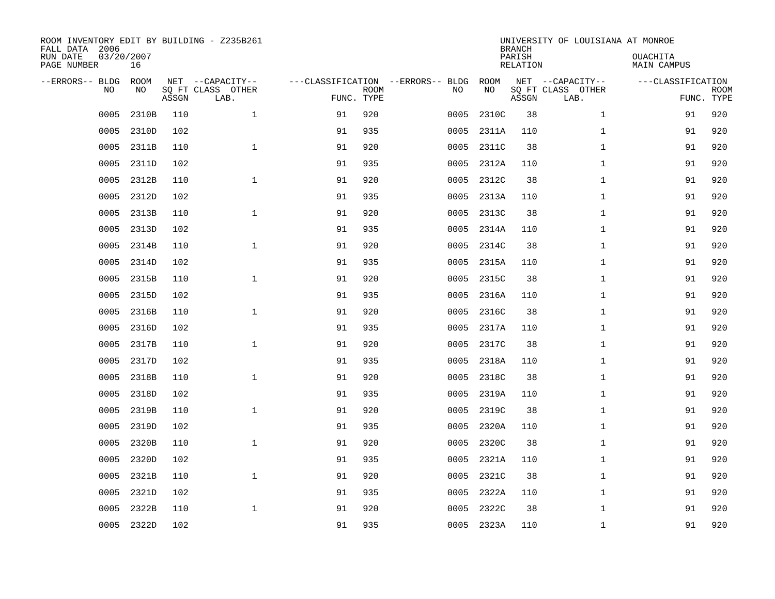| ROOM INVENTORY EDIT BY BUILDING - Z235B261<br>FALL DATA 2006<br>RUN DATE<br>PAGE NUMBER | 03/20/2007<br>16 |       |                                               |                                   |                           |      |            | <b>BRANCH</b><br>PARISH<br><b>RELATION</b> | UNIVERSITY OF LOUISIANA AT MONROE             | OUACHITA<br><b>MAIN CAMPUS</b>  |             |
|-----------------------------------------------------------------------------------------|------------------|-------|-----------------------------------------------|-----------------------------------|---------------------------|------|------------|--------------------------------------------|-----------------------------------------------|---------------------------------|-------------|
| --ERRORS-- BLDG<br>NO                                                                   | ROOM<br>NO       | ASSGN | NET --CAPACITY--<br>SQ FT CLASS OTHER<br>LAB. | ---CLASSIFICATION --ERRORS-- BLDG | <b>ROOM</b><br>FUNC. TYPE | NO   | ROOM<br>NO | ASSGN                                      | NET --CAPACITY--<br>SQ FT CLASS OTHER<br>LAB. | ---CLASSIFICATION<br>FUNC. TYPE | <b>ROOM</b> |
| 0005                                                                                    | 2310B            | 110   | $\mathbf{1}$                                  | 91                                | 920                       | 0005 | 2310C      | 38                                         | $\mathbf{1}$                                  | 91                              | 920         |
| 0005                                                                                    | 2310D            | 102   |                                               | 91                                | 935                       | 0005 | 2311A      | 110                                        | $\mathbf{1}$                                  | 91                              | 920         |
| 0005                                                                                    | 2311B            | 110   | $\mathbf 1$                                   | 91                                | 920                       | 0005 | 2311C      | 38                                         | $\mathbf{1}$                                  | 91                              | 920         |
| 0005                                                                                    | 2311D            | 102   |                                               | 91                                | 935                       | 0005 | 2312A      | 110                                        | $\mathbf{1}$                                  | 91                              | 920         |
| 0005                                                                                    | 2312B            | 110   | $\mathbf{1}$                                  | 91                                | 920                       | 0005 | 2312C      | 38                                         | $\mathbf{1}$                                  | 91                              | 920         |
| 0005                                                                                    | 2312D            | 102   |                                               | 91                                | 935                       | 0005 | 2313A      | 110                                        | $\mathbf{1}$                                  | 91                              | 920         |
| 0005                                                                                    | 2313B            | 110   | $\mathbf{1}$                                  | 91                                | 920                       | 0005 | 2313C      | 38                                         | $\mathbf{1}$                                  | 91                              | 920         |
| 0005                                                                                    | 2313D            | 102   |                                               | 91                                | 935                       | 0005 | 2314A      | 110                                        | $\mathbf{1}$                                  | 91                              | 920         |
| 0005                                                                                    | 2314B            | 110   | $\mathbf 1$                                   | 91                                | 920                       | 0005 | 2314C      | 38                                         | $\mathbf{1}$                                  | 91                              | 920         |
| 0005                                                                                    | 2314D            | 102   |                                               | 91                                | 935                       | 0005 | 2315A      | 110                                        | $\mathbf{1}$                                  | 91                              | 920         |
| 0005                                                                                    | 2315B            | 110   | $\mathbf 1$                                   | 91                                | 920                       | 0005 | 2315C      | 38                                         | $\mathbf{1}$                                  | 91                              | 920         |
| 0005                                                                                    | 2315D            | 102   |                                               | 91                                | 935                       | 0005 | 2316A      | 110                                        | $\mathbf{1}$                                  | 91                              | 920         |
| 0005                                                                                    | 2316B            | 110   | $\mathbf{1}$                                  | 91                                | 920                       | 0005 | 2316C      | 38                                         | $\mathbf{1}$                                  | 91                              | 920         |
| 0005                                                                                    | 2316D            | 102   |                                               | 91                                | 935                       | 0005 | 2317A      | 110                                        | $\mathbf{1}$                                  | 91                              | 920         |
| 0005                                                                                    | 2317B            | 110   | $\mathbf{1}$                                  | 91                                | 920                       | 0005 | 2317C      | 38                                         | $\mathbf{1}$                                  | 91                              | 920         |
| 0005                                                                                    | 2317D            | 102   |                                               | 91                                | 935                       | 0005 | 2318A      | 110                                        | $\mathbf{1}$                                  | 91                              | 920         |
| 0005                                                                                    | 2318B            | 110   | $\mathbf{1}$                                  | 91                                | 920                       | 0005 | 2318C      | 38                                         | $\mathbf{1}$                                  | 91                              | 920         |
| 0005                                                                                    | 2318D            | 102   |                                               | 91                                | 935                       | 0005 | 2319A      | 110                                        | $\mathbf{1}$                                  | 91                              | 920         |
| 0005                                                                                    | 2319B            | 110   | $\mathbf 1$                                   | 91                                | 920                       | 0005 | 2319C      | 38                                         | $\mathbf{1}$                                  | 91                              | 920         |
| 0005                                                                                    | 2319D            | 102   |                                               | 91                                | 935                       | 0005 | 2320A      | 110                                        | $\mathbf{1}$                                  | 91                              | 920         |
| 0005                                                                                    | 2320B            | 110   | $\mathbf 1$                                   | 91                                | 920                       | 0005 | 2320C      | 38                                         | $\mathbf{1}$                                  | 91                              | 920         |
| 0005                                                                                    | 2320D            | 102   |                                               | 91                                | 935                       | 0005 | 2321A      | 110                                        | $\mathbf{1}$                                  | 91                              | 920         |
| 0005                                                                                    | 2321B            | 110   | $\mathbf{1}$                                  | 91                                | 920                       | 0005 | 2321C      | 38                                         | $\mathbf{1}$                                  | 91                              | 920         |
| 0005                                                                                    | 2321D            | 102   |                                               | 91                                | 935                       | 0005 | 2322A      | 110                                        | $\mathbf{1}$                                  | 91                              | 920         |
| 0005                                                                                    | 2322B            | 110   | $\mathbf 1$                                   | 91                                | 920                       | 0005 | 2322C      | 38                                         | $\mathbf{1}$                                  | 91                              | 920         |
| 0005                                                                                    | 2322D            | 102   |                                               | 91                                | 935                       |      | 0005 2323A | 110                                        | $\mathbf{1}$                                  | 91                              | 920         |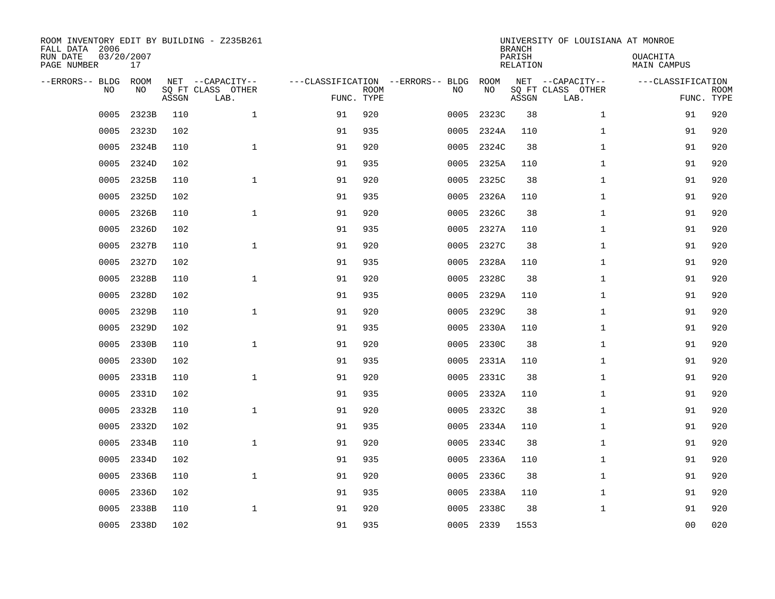| ROOM INVENTORY EDIT BY BUILDING - Z235B261<br>FALL DATA 2006<br>RUN DATE<br>PAGE NUMBER | 03/20/2007<br>17  |       |                                               |    |                           |                                         |            | <b>BRANCH</b><br>PARISH<br><b>RELATION</b> | UNIVERSITY OF LOUISIANA AT MONROE             | OUACHITA<br><b>MAIN CAMPUS</b> |                           |
|-----------------------------------------------------------------------------------------|-------------------|-------|-----------------------------------------------|----|---------------------------|-----------------------------------------|------------|--------------------------------------------|-----------------------------------------------|--------------------------------|---------------------------|
| --ERRORS-- BLDG<br>NO                                                                   | <b>ROOM</b><br>NO | ASSGN | NET --CAPACITY--<br>SQ FT CLASS OTHER<br>LAB. |    | <b>ROOM</b><br>FUNC. TYPE | ---CLASSIFICATION --ERRORS-- BLDG<br>NO | ROOM<br>NO | ASSGN                                      | NET --CAPACITY--<br>SQ FT CLASS OTHER<br>LAB. | ---CLASSIFICATION              | <b>ROOM</b><br>FUNC. TYPE |
| 0005                                                                                    | 2323B             | 110   | $\mathbf{1}$                                  | 91 | 920                       | 0005                                    | 2323C      | 38                                         | $\mathbf{1}$                                  | 91                             | 920                       |
| 0005                                                                                    | 2323D             | 102   |                                               | 91 | 935                       | 0005                                    | 2324A      | 110                                        | $\mathbf{1}$                                  | 91                             | 920                       |
| 0005                                                                                    | 2324B             | 110   | $\mathbf 1$                                   | 91 | 920                       | 0005                                    | 2324C      | 38                                         | $\mathbf{1}$                                  | 91                             | 920                       |
| 0005                                                                                    | 2324D             | 102   |                                               | 91 | 935                       | 0005                                    | 2325A      | 110                                        | $\mathbf{1}$                                  | 91                             | 920                       |
| 0005                                                                                    | 2325B             | 110   | $\mathbf{1}$                                  | 91 | 920                       | 0005                                    | 2325C      | 38                                         | $\mathbf{1}$                                  | 91                             | 920                       |
| 0005                                                                                    | 2325D             | 102   |                                               | 91 | 935                       | 0005                                    | 2326A      | 110                                        | $\mathbf{1}$                                  | 91                             | 920                       |
| 0005                                                                                    | 2326B             | 110   | $\mathbf{1}$                                  | 91 | 920                       | 0005                                    | 2326C      | 38                                         | $\mathbf{1}$                                  | 91                             | 920                       |
| 0005                                                                                    | 2326D             | 102   |                                               | 91 | 935                       | 0005                                    | 2327A      | 110                                        | $\mathbf{1}$                                  | 91                             | 920                       |
| 0005                                                                                    | 2327B             | 110   | $\mathbf 1$                                   | 91 | 920                       | 0005                                    | 2327C      | 38                                         | $\mathbf{1}$                                  | 91                             | 920                       |
| 0005                                                                                    | 2327D             | 102   |                                               | 91 | 935                       | 0005                                    | 2328A      | 110                                        | $\mathbf{1}$                                  | 91                             | 920                       |
| 0005                                                                                    | 2328B             | 110   | $\mathbf 1$                                   | 91 | 920                       | 0005                                    | 2328C      | 38                                         | $\mathbf{1}$                                  | 91                             | 920                       |
| 0005                                                                                    | 2328D             | 102   |                                               | 91 | 935                       | 0005                                    | 2329A      | 110                                        | $\mathbf{1}$                                  | 91                             | 920                       |
| 0005                                                                                    | 2329B             | 110   | $\mathbf{1}$                                  | 91 | 920                       | 0005                                    | 2329C      | 38                                         | $\mathbf{1}$                                  | 91                             | 920                       |
| 0005                                                                                    | 2329D             | 102   |                                               | 91 | 935                       | 0005                                    | 2330A      | 110                                        | $\mathbf{1}$                                  | 91                             | 920                       |
| 0005                                                                                    | 2330B             | 110   | $\mathbf{1}$                                  | 91 | 920                       | 0005                                    | 2330C      | 38                                         | $\mathbf{1}$                                  | 91                             | 920                       |
| 0005                                                                                    | 2330D             | 102   |                                               | 91 | 935                       | 0005                                    | 2331A      | 110                                        | $\mathbf{1}$                                  | 91                             | 920                       |
| 0005                                                                                    | 2331B             | 110   | $\mathbf{1}$                                  | 91 | 920                       | 0005                                    | 2331C      | 38                                         | $\mathbf{1}$                                  | 91                             | 920                       |
| 0005                                                                                    | 2331D             | 102   |                                               | 91 | 935                       | 0005                                    | 2332A      | 110                                        | $\mathbf{1}$                                  | 91                             | 920                       |
| 0005                                                                                    | 2332B             | 110   | $\mathbf 1$                                   | 91 | 920                       | 0005                                    | 2332C      | 38                                         | $\mathbf{1}$                                  | 91                             | 920                       |
| 0005                                                                                    | 2332D             | 102   |                                               | 91 | 935                       | 0005                                    | 2334A      | 110                                        | $\mathbf{1}$                                  | 91                             | 920                       |
| 0005                                                                                    | 2334B             | 110   | $\mathbf 1$                                   | 91 | 920                       | 0005                                    | 2334C      | 38                                         | $\mathbf{1}$                                  | 91                             | 920                       |
| 0005                                                                                    | 2334D             | 102   |                                               | 91 | 935                       | 0005                                    | 2336A      | 110                                        | $\mathbf{1}$                                  | 91                             | 920                       |
| 0005                                                                                    | 2336B             | 110   | $\mathbf{1}$                                  | 91 | 920                       | 0005                                    | 2336C      | 38                                         | $\mathbf{1}$                                  | 91                             | 920                       |
| 0005                                                                                    | 2336D             | 102   |                                               | 91 | 935                       | 0005                                    | 2338A      | 110                                        | $\mathbf{1}$                                  | 91                             | 920                       |
| 0005                                                                                    | 2338B             | 110   | $\mathbf 1$                                   | 91 | 920                       | 0005                                    | 2338C      | 38                                         | $\mathbf{1}$                                  | 91                             | 920                       |
| 0005                                                                                    | 2338D             | 102   |                                               | 91 | 935                       |                                         | 0005 2339  | 1553                                       |                                               | 0 <sub>0</sub>                 | 020                       |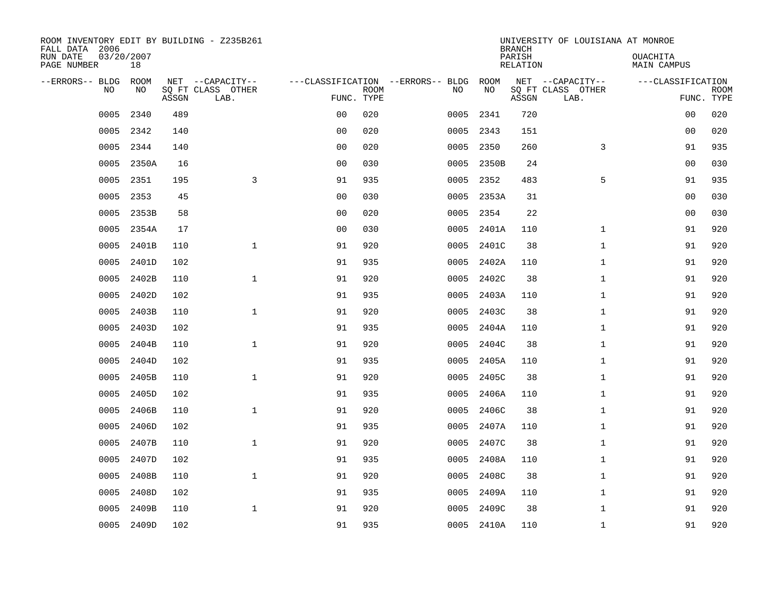| ROOM INVENTORY EDIT BY BUILDING - Z235B261<br>FALL DATA 2006 |                  |       |                           |                |             |                                   |            |       | <b>BRANCH</b>      | UNIVERSITY OF LOUISIANA AT MONROE |                         |                           |
|--------------------------------------------------------------|------------------|-------|---------------------------|----------------|-------------|-----------------------------------|------------|-------|--------------------|-----------------------------------|-------------------------|---------------------------|
| RUN DATE<br>PAGE NUMBER                                      | 03/20/2007<br>18 |       |                           |                |             |                                   |            |       | PARISH<br>RELATION |                                   | OUACHITA<br>MAIN CAMPUS |                           |
| --ERRORS-- BLDG                                              | ROOM             |       | NET --CAPACITY--          |                |             | ---CLASSIFICATION --ERRORS-- BLDG |            | ROOM  |                    | NET --CAPACITY--                  | ---CLASSIFICATION       |                           |
| N <sub>O</sub>                                               | NO.              | ASSGN | SO FT CLASS OTHER<br>LAB. | FUNC. TYPE     | <b>ROOM</b> | NO.                               |            | NO    | ASSGN              | SO FT CLASS OTHER<br>LAB.         |                         | <b>ROOM</b><br>FUNC. TYPE |
| 0005                                                         | 2340             | 489   |                           | 0 <sub>0</sub> | 020         | 0005                              |            | 2341  | 720                |                                   | 00                      | 020                       |
| 0005                                                         | 2342             | 140   |                           | 0 <sub>0</sub> | 020         |                                   | 0005       | 2343  | 151                |                                   | 0 <sub>0</sub>          | 020                       |
| 0005                                                         | 2344             | 140   |                           | 0 <sub>0</sub> | 020         | 0005                              |            | 2350  | 260                | 3                                 | 91                      | 935                       |
| 0005                                                         | 2350A            | 16    |                           | 0 <sub>0</sub> | 030         | 0005                              |            | 2350B | 24                 |                                   | 0 <sub>0</sub>          | 030                       |
| 0005                                                         | 2351             | 195   | 3                         | 91             | 935         | 0005                              |            | 2352  | 483                | 5                                 | 91                      | 935                       |
| 0005                                                         | 2353             | 45    |                           | 0 <sub>0</sub> | 030         | 0005                              |            | 2353A | 31                 |                                   | 00                      | 030                       |
| 0005                                                         | 2353B            | 58    |                           | 0 <sub>0</sub> | 020         | 0005                              |            | 2354  | 22                 |                                   | 0 <sub>0</sub>          | 030                       |
| 0005                                                         | 2354A            | 17    |                           | 0 <sub>0</sub> | 030         | 0005                              |            | 2401A | 110                | $\mathbf{1}$                      | 91                      | 920                       |
| 0005                                                         | 2401B            | 110   | $\mathbf{1}$              | 91             | 920         | 0005                              |            | 2401C | 38                 | $\mathbf{1}$                      | 91                      | 920                       |
| 0005                                                         | 2401D            | 102   |                           | 91             | 935         | 0005                              |            | 2402A | 110                | $\mathbf{1}$                      | 91                      | 920                       |
| 0005                                                         | 2402B            | 110   | $\mathbf{1}$              | 91             | 920         | 0005                              |            | 2402C | 38                 | $\mathbf{1}$                      | 91                      | 920                       |
| 0005                                                         | 2402D            | 102   |                           | 91             | 935         | 0005                              |            | 2403A | 110                | $\mathbf{1}$                      | 91                      | 920                       |
| 0005                                                         | 2403B            | 110   | $\mathbf{1}$              | 91             | 920         | 0005                              |            | 2403C | 38                 | $\mathbf{1}$                      | 91                      | 920                       |
| 0005                                                         | 2403D            | 102   |                           | 91             | 935         | 0005                              |            | 2404A | 110                | $\mathbf{1}$                      | 91                      | 920                       |
| 0005                                                         | 2404B            | 110   | $\mathbf 1$               | 91             | 920         | 0005                              |            | 2404C | 38                 | $\mathbf{1}$                      | 91                      | 920                       |
| 0005                                                         | 2404D            | 102   |                           | 91             | 935         | 0005                              |            | 2405A | 110                | $\mathbf{1}$                      | 91                      | 920                       |
| 0005                                                         | 2405B            | 110   | $\mathbf{1}$              | 91             | 920         | 0005                              |            | 2405C | 38                 | $\mathbf{1}$                      | 91                      | 920                       |
| 0005                                                         | 2405D            | 102   |                           | 91             | 935         | 0005                              |            | 2406A | 110                | $\mathbf{1}$                      | 91                      | 920                       |
| 0005                                                         | 2406B            | 110   | $\mathbf{1}$              | 91             | 920         | 0005                              |            | 2406C | 38                 | $\mathbf{1}$                      | 91                      | 920                       |
| 0005                                                         | 2406D            | 102   |                           | 91             | 935         | 0005                              |            | 2407A | 110                | $\mathbf{1}$                      | 91                      | 920                       |
| 0005                                                         | 2407B            | 110   | $\mathbf 1$               | 91             | 920         | 0005                              |            | 2407C | 38                 | $\mathbf{1}$                      | 91                      | 920                       |
| 0005                                                         | 2407D            | 102   |                           | 91             | 935         | 0005                              |            | 2408A | 110                | $\mathbf{1}$                      | 91                      | 920                       |
| 0005                                                         | 2408B            | 110   | $\mathbf{1}$              | 91             | 920         | 0005                              |            | 2408C | 38                 | $\mathbf{1}$                      | 91                      | 920                       |
| 0005                                                         | 2408D            | 102   |                           | 91             | 935         | 0005                              |            | 2409A | 110                | $\mathbf{1}$                      | 91                      | 920                       |
| 0005                                                         | 2409B            | 110   | $\mathbf 1$               | 91             | 920         | 0005                              |            | 2409C | 38                 | $\mathbf{1}$                      | 91                      | 920                       |
|                                                              | 0005 2409D       | 102   |                           | 91             | 935         |                                   | 0005 2410A |       | 110                | $\mathbf{1}$                      | 91                      | 920                       |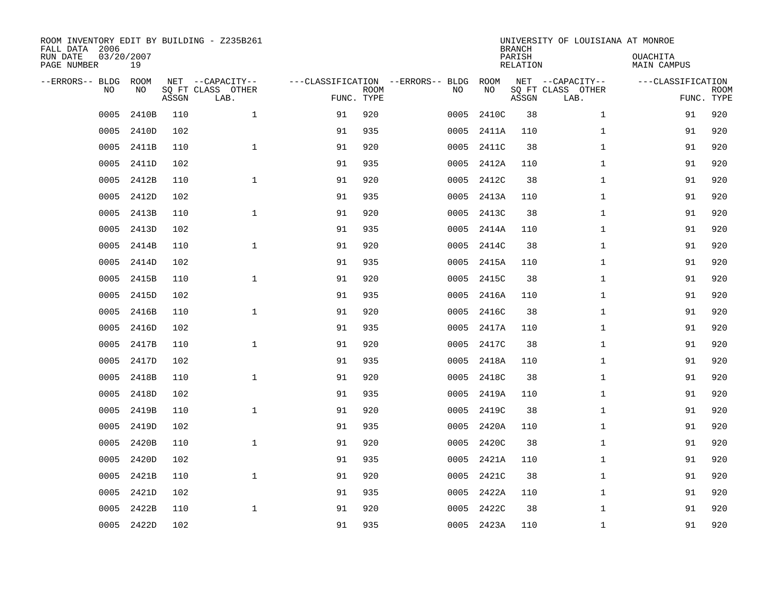| ROOM INVENTORY EDIT BY BUILDING - Z235B261<br>FALL DATA 2006<br>RUN DATE<br>PAGE NUMBER | 03/20/2007<br>19 |       |                                               |                                                 |             |      |            | <b>BRANCH</b><br>PARISH<br><b>RELATION</b> | UNIVERSITY OF LOUISIANA AT MONROE             | OUACHITA<br><b>MAIN CAMPUS</b>  |             |
|-----------------------------------------------------------------------------------------|------------------|-------|-----------------------------------------------|-------------------------------------------------|-------------|------|------------|--------------------------------------------|-----------------------------------------------|---------------------------------|-------------|
| --ERRORS-- BLDG<br>NO                                                                   | ROOM<br>NO       | ASSGN | NET --CAPACITY--<br>SQ FT CLASS OTHER<br>LAB. | ---CLASSIFICATION --ERRORS-- BLDG<br>FUNC. TYPE | <b>ROOM</b> | NO   | ROOM<br>NO | ASSGN                                      | NET --CAPACITY--<br>SQ FT CLASS OTHER<br>LAB. | ---CLASSIFICATION<br>FUNC. TYPE | <b>ROOM</b> |
| 0005                                                                                    | 2410B            | 110   | $\mathbf 1$                                   | 91                                              | 920         | 0005 | 2410C      | 38                                         | $\mathbf{1}$                                  | 91                              | 920         |
| 0005                                                                                    | 2410D            | 102   |                                               | 91                                              | 935         | 0005 | 2411A      | 110                                        | $\mathbf{1}$                                  | 91                              | 920         |
| 0005                                                                                    | 2411B            | 110   | $\mathbf 1$                                   | 91                                              | 920         | 0005 | 2411C      | 38                                         | $\mathbf{1}$                                  | 91                              | 920         |
| 0005                                                                                    | 2411D            | 102   |                                               | 91                                              | 935         | 0005 | 2412A      | 110                                        | $\mathbf{1}$                                  | 91                              | 920         |
| 0005                                                                                    | 2412B            | 110   | $\mathbf{1}$                                  | 91                                              | 920         | 0005 | 2412C      | 38                                         | $\mathbf{1}$                                  | 91                              | 920         |
| 0005                                                                                    | 2412D            | 102   |                                               | 91                                              | 935         | 0005 | 2413A      | 110                                        | $\mathbf{1}$                                  | 91                              | 920         |
| 0005                                                                                    | 2413B            | 110   | $\mathbf{1}$                                  | 91                                              | 920         | 0005 | 2413C      | 38                                         | $\mathbf{1}$                                  | 91                              | 920         |
| 0005                                                                                    | 2413D            | 102   |                                               | 91                                              | 935         | 0005 | 2414A      | 110                                        | $\mathbf{1}$                                  | 91                              | 920         |
| 0005                                                                                    | 2414B            | 110   | $\mathbf{1}$                                  | 91                                              | 920         | 0005 | 2414C      | 38                                         | $\mathbf{1}$                                  | 91                              | 920         |
| 0005                                                                                    | 2414D            | 102   |                                               | 91                                              | 935         | 0005 | 2415A      | 110                                        | $\mathbf{1}$                                  | 91                              | 920         |
| 0005                                                                                    | 2415B            | 110   | $\mathbf{1}$                                  | 91                                              | 920         | 0005 | 2415C      | 38                                         | $\mathbf{1}$                                  | 91                              | 920         |
| 0005                                                                                    | 2415D            | 102   |                                               | 91                                              | 935         | 0005 | 2416A      | 110                                        | $\mathbf{1}$                                  | 91                              | 920         |
| 0005                                                                                    | 2416B            | 110   | $\mathbf 1$                                   | 91                                              | 920         | 0005 | 2416C      | 38                                         | $\mathbf{1}$                                  | 91                              | 920         |
| 0005                                                                                    | 2416D            | 102   |                                               | 91                                              | 935         | 0005 | 2417A      | 110                                        | $\mathbf{1}$                                  | 91                              | 920         |
| 0005                                                                                    | 2417B            | 110   | $\mathbf 1$                                   | 91                                              | 920         | 0005 | 2417C      | 38                                         | $\mathbf{1}$                                  | 91                              | 920         |
| 0005                                                                                    | 2417D            | 102   |                                               | 91                                              | 935         | 0005 | 2418A      | 110                                        | $\mathbf{1}$                                  | 91                              | 920         |
| 0005                                                                                    | 2418B            | 110   | $\mathbf{1}$                                  | 91                                              | 920         | 0005 | 2418C      | 38                                         | $\mathbf{1}$                                  | 91                              | 920         |
| 0005                                                                                    | 2418D            | 102   |                                               | 91                                              | 935         | 0005 | 2419A      | 110                                        | $\mathbf{1}$                                  | 91                              | 920         |
| 0005                                                                                    | 2419B            | 110   | $\mathbf{1}$                                  | 91                                              | 920         | 0005 | 2419C      | 38                                         | $\mathbf{1}$                                  | 91                              | 920         |
| 0005                                                                                    | 2419D            | 102   |                                               | 91                                              | 935         | 0005 | 2420A      | 110                                        | $\mathbf{1}$                                  | 91                              | 920         |
| 0005                                                                                    | 2420B            | 110   | $\mathbf 1$                                   | 91                                              | 920         | 0005 | 2420C      | 38                                         | $\mathbf{1}$                                  | 91                              | 920         |
| 0005                                                                                    | 2420D            | 102   |                                               | 91                                              | 935         | 0005 | 2421A      | 110                                        | $\mathbf{1}$                                  | 91                              | 920         |
| 0005                                                                                    | 2421B            | 110   | $\mathbf{1}$                                  | 91                                              | 920         | 0005 | 2421C      | 38                                         | $\mathbf{1}$                                  | 91                              | 920         |
| 0005                                                                                    | 2421D            | 102   |                                               | 91                                              | 935         | 0005 | 2422A      | 110                                        | $\mathbf{1}$                                  | 91                              | 920         |
| 0005                                                                                    | 2422B            | 110   | $\mathbf 1$                                   | 91                                              | 920         | 0005 | 2422C      | 38                                         | $\mathbf{1}$                                  | 91                              | 920         |
|                                                                                         | 0005 2422D       | 102   |                                               | 91                                              | 935         |      | 0005 2423A | 110                                        | $\mathbf{1}$                                  | 91                              | 920         |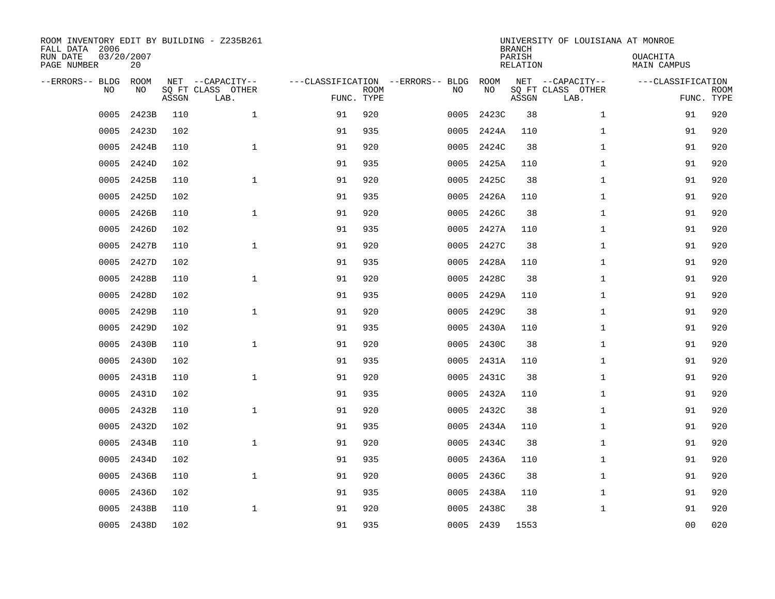| ROOM INVENTORY EDIT BY BUILDING - Z235B261<br>FALL DATA 2006<br>RUN DATE<br>PAGE NUMBER | 03/20/2007<br>20 |       |                                               |                                                 |             |      |            | <b>BRANCH</b><br>PARISH<br><b>RELATION</b> | UNIVERSITY OF LOUISIANA AT MONROE             | OUACHITA<br><b>MAIN CAMPUS</b>  |             |
|-----------------------------------------------------------------------------------------|------------------|-------|-----------------------------------------------|-------------------------------------------------|-------------|------|------------|--------------------------------------------|-----------------------------------------------|---------------------------------|-------------|
| --ERRORS-- BLDG<br>NO                                                                   | ROOM<br>NO       | ASSGN | NET --CAPACITY--<br>SQ FT CLASS OTHER<br>LAB. | ---CLASSIFICATION --ERRORS-- BLDG<br>FUNC. TYPE | <b>ROOM</b> | NO   | ROOM<br>NO | ASSGN                                      | NET --CAPACITY--<br>SQ FT CLASS OTHER<br>LAB. | ---CLASSIFICATION<br>FUNC. TYPE | <b>ROOM</b> |
| 0005                                                                                    | 2423B            | 110   | $\mathbf 1$                                   | 91                                              | 920         | 0005 | 2423C      | 38                                         | $\mathbf{1}$                                  | 91                              | 920         |
| 0005                                                                                    | 2423D            | 102   |                                               | 91                                              | 935         | 0005 | 2424A      | 110                                        | $\mathbf{1}$                                  | 91                              | 920         |
| 0005                                                                                    | 2424B            | 110   | $\mathbf 1$                                   | 91                                              | 920         | 0005 | 2424C      | 38                                         | $\mathbf{1}$                                  | 91                              | 920         |
| 0005                                                                                    | 2424D            | 102   |                                               | 91                                              | 935         | 0005 | 2425A      | 110                                        | $\mathbf{1}$                                  | 91                              | 920         |
| 0005                                                                                    | 2425B            | 110   | $\mathbf{1}$                                  | 91                                              | 920         | 0005 | 2425C      | 38                                         | $\mathbf{1}$                                  | 91                              | 920         |
| 0005                                                                                    | 2425D            | 102   |                                               | 91                                              | 935         | 0005 | 2426A      | 110                                        | $\mathbf{1}$                                  | 91                              | 920         |
| 0005                                                                                    | 2426B            | 110   | $\mathbf{1}$                                  | 91                                              | 920         | 0005 | 2426C      | 38                                         | $\mathbf{1}$                                  | 91                              | 920         |
| 0005                                                                                    | 2426D            | 102   |                                               | 91                                              | 935         | 0005 | 2427A      | 110                                        | $\mathbf{1}$                                  | 91                              | 920         |
| 0005                                                                                    | 2427B            | 110   | $\mathbf{1}$                                  | 91                                              | 920         | 0005 | 2427C      | 38                                         | $\mathbf{1}$                                  | 91                              | 920         |
| 0005                                                                                    | 2427D            | 102   |                                               | 91                                              | 935         | 0005 | 2428A      | 110                                        | $\mathbf{1}$                                  | 91                              | 920         |
| 0005                                                                                    | 2428B            | 110   | $\mathbf{1}$                                  | 91                                              | 920         | 0005 | 2428C      | 38                                         | $\mathbf{1}$                                  | 91                              | 920         |
| 0005                                                                                    | 2428D            | 102   |                                               | 91                                              | 935         | 0005 | 2429A      | 110                                        | $\mathbf{1}$                                  | 91                              | 920         |
| 0005                                                                                    | 2429B            | 110   | $\mathbf 1$                                   | 91                                              | 920         | 0005 | 2429C      | 38                                         | $\mathbf{1}$                                  | 91                              | 920         |
| 0005                                                                                    | 2429D            | 102   |                                               | 91                                              | 935         | 0005 | 2430A      | 110                                        | $\mathbf{1}$                                  | 91                              | 920         |
| 0005                                                                                    | 2430B            | 110   | $\mathbf 1$                                   | 91                                              | 920         | 0005 | 2430C      | 38                                         | $\mathbf{1}$                                  | 91                              | 920         |
| 0005                                                                                    | 2430D            | 102   |                                               | 91                                              | 935         | 0005 | 2431A      | 110                                        | $\mathbf{1}$                                  | 91                              | 920         |
| 0005                                                                                    | 2431B            | 110   | $\mathbf{1}$                                  | 91                                              | 920         | 0005 | 2431C      | 38                                         | $\mathbf{1}$                                  | 91                              | 920         |
| 0005                                                                                    | 2431D            | 102   |                                               | 91                                              | 935         | 0005 | 2432A      | 110                                        | $\mathbf{1}$                                  | 91                              | 920         |
| 0005                                                                                    | 2432B            | 110   | $\mathbf{1}$                                  | 91                                              | 920         | 0005 | 2432C      | 38                                         | $\mathbf{1}$                                  | 91                              | 920         |
| 0005                                                                                    | 2432D            | 102   |                                               | 91                                              | 935         | 0005 | 2434A      | 110                                        | $\mathbf{1}$                                  | 91                              | 920         |
| 0005                                                                                    | 2434B            | 110   | $\mathbf 1$                                   | 91                                              | 920         | 0005 | 2434C      | 38                                         | $\mathbf{1}$                                  | 91                              | 920         |
| 0005                                                                                    | 2434D            | 102   |                                               | 91                                              | 935         | 0005 | 2436A      | 110                                        | $\mathbf{1}$                                  | 91                              | 920         |
| 0005                                                                                    | 2436B            | 110   | $\mathbf{1}$                                  | 91                                              | 920         | 0005 | 2436C      | 38                                         | $\mathbf{1}$                                  | 91                              | 920         |
| 0005                                                                                    | 2436D            | 102   |                                               | 91                                              | 935         | 0005 | 2438A      | 110                                        | $\mathbf{1}$                                  | 91                              | 920         |
| 0005                                                                                    | 2438B            | 110   | $\mathbf 1$                                   | 91                                              | 920         | 0005 | 2438C      | 38                                         | $\mathbf{1}$                                  | 91                              | 920         |
|                                                                                         | 0005 2438D       | 102   |                                               | 91                                              | 935         |      | 0005 2439  | 1553                                       |                                               | 0 <sub>0</sub>                  | 020         |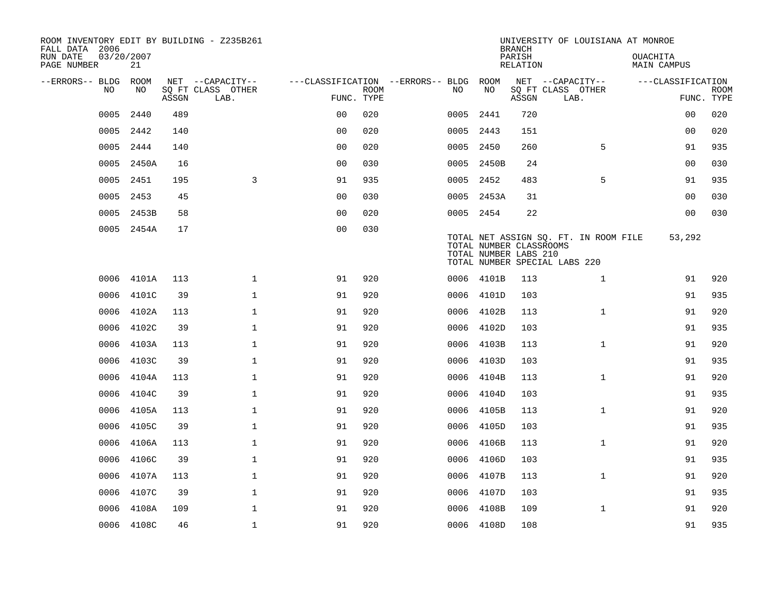| ROOM INVENTORY EDIT BY BUILDING - Z235B261<br>FALL DATA 2006 |                  |       |                           |                                        |             |           |            | <b>BRANCH</b>                                    | UNIVERSITY OF LOUISIANA AT MONROE                                      |                                |                           |
|--------------------------------------------------------------|------------------|-------|---------------------------|----------------------------------------|-------------|-----------|------------|--------------------------------------------------|------------------------------------------------------------------------|--------------------------------|---------------------------|
| RUN DATE<br>PAGE NUMBER                                      | 03/20/2007<br>21 |       |                           |                                        |             |           |            | PARISH<br>RELATION                               |                                                                        | OUACHITA<br><b>MAIN CAMPUS</b> |                           |
| --ERRORS-- BLDG ROOM                                         |                  |       | NET --CAPACITY--          | ---CLASSIFICATION --ERRORS-- BLDG ROOM |             |           |            |                                                  | NET --CAPACITY--                                                       | ---CLASSIFICATION              |                           |
| NO                                                           | NO               | ASSGN | SQ FT CLASS OTHER<br>LAB. | FUNC. TYPE                             | <b>ROOM</b> | NO        | NO         | ASSGN                                            | SQ FT CLASS OTHER<br>LAB.                                              |                                | <b>ROOM</b><br>FUNC. TYPE |
| 0005                                                         | 2440             | 489   |                           | 0 <sub>0</sub>                         | 020         | 0005      | 2441       | 720                                              |                                                                        | 00                             | 020                       |
| 0005                                                         | 2442             | 140   |                           | 0 <sub>0</sub>                         | 020         | 0005 2443 |            | 151                                              |                                                                        | 0 <sub>0</sub>                 | 020                       |
| 0005                                                         | 2444             | 140   |                           | 0 <sub>0</sub>                         | 020         | 0005 2450 |            | 260                                              | 5                                                                      | 91                             | 935                       |
|                                                              | 0005 2450A       | 16    |                           | 0 <sub>0</sub>                         | 030         |           | 0005 2450B | 24                                               |                                                                        | 00                             | 030                       |
| 0005                                                         | 2451             | 195   | 3                         | 91                                     | 935         | 0005 2452 |            | 483                                              | 5                                                                      | 91                             | 935                       |
| 0005                                                         | 2453             | 45    |                           | 0 <sub>0</sub>                         | 030         |           | 0005 2453A | 31                                               |                                                                        | 00                             | 030                       |
| 0005                                                         | 2453B            | 58    |                           | 0 <sub>0</sub>                         | 020         | 0005 2454 |            | 22                                               |                                                                        | 00                             | 030                       |
|                                                              | 0005 2454A       | 17    |                           | 0 <sub>0</sub>                         | 030         |           |            | TOTAL NUMBER CLASSROOMS<br>TOTAL NUMBER LABS 210 | TOTAL NET ASSIGN SQ. FT. IN ROOM FILE<br>TOTAL NUMBER SPECIAL LABS 220 | 53,292                         |                           |
| 0006                                                         | 4101A            | 113   | $\mathbf 1$               | 91                                     | 920         |           | 0006 4101B | 113                                              | $\mathbf{1}$                                                           | 91                             | 920                       |
| 0006                                                         | 4101C            | 39    | $\mathbf{1}$              | 91                                     | 920         |           | 0006 4101D | 103                                              |                                                                        | 91                             | 935                       |
| 0006                                                         | 4102A            | 113   | $\mathbf{1}$              | 91                                     | 920         | 0006      | 4102B      | 113                                              | $\mathbf{1}$                                                           | 91                             | 920                       |
| 0006                                                         | 4102C            | 39    | $\mathbf 1$               | 91                                     | 920         | 0006      | 4102D      | 103                                              |                                                                        | 91                             | 935                       |
| 0006                                                         | 4103A            | 113   | $\mathbf{1}$              | 91                                     | 920         | 0006      | 4103B      | 113                                              | $\mathbf{1}$                                                           | 91                             | 920                       |
| 0006                                                         | 4103C            | 39    | $\mathbf 1$               | 91                                     | 920         | 0006      | 4103D      | 103                                              |                                                                        | 91                             | 935                       |
| 0006                                                         | 4104A            | 113   | $\mathbf 1$               | 91                                     | 920         | 0006      | 4104B      | 113                                              | $\mathbf{1}$                                                           | 91                             | 920                       |
| 0006                                                         | 4104C            | 39    | $\mathbf{1}$              | 91                                     | 920         | 0006      | 4104D      | 103                                              |                                                                        | 91                             | 935                       |
| 0006                                                         | 4105A            | 113   | $\mathbf 1$               | 91                                     | 920         |           | 0006 4105B | 113                                              | $\mathbf{1}$                                                           | 91                             | 920                       |
| 0006                                                         | 4105C            | 39    | $\mathbf{1}$              | 91                                     | 920         | 0006      | 4105D      | 103                                              |                                                                        | 91                             | 935                       |
| 0006                                                         | 4106A            | 113   | $\mathbf 1$               | 91                                     | 920         | 0006      | 4106B      | 113                                              | $\mathbf{1}$                                                           | 91                             | 920                       |
| 0006                                                         | 4106C            | 39    | $\mathbf{1}$              | 91                                     | 920         | 0006      | 4106D      | 103                                              |                                                                        | 91                             | 935                       |
| 0006                                                         | 4107A            | 113   | $\mathbf{1}$              | 91                                     | 920         |           | 0006 4107B | 113                                              | $\mathbf{1}$                                                           | 91                             | 920                       |
| 0006                                                         | 4107C            | 39    | $\mathbf{1}$              | 91                                     | 920         | 0006      | 4107D      | 103                                              |                                                                        | 91                             | 935                       |
| 0006                                                         | 4108A            | 109   | $\mathbf{1}$              | 91                                     | 920         |           | 0006 4108B | 109                                              | $\mathbf{1}$                                                           | 91                             | 920                       |
|                                                              | 0006 4108C       | 46    | $\mathbf{1}$              | 91                                     | 920         |           | 0006 4108D | 108                                              |                                                                        | 91                             | 935                       |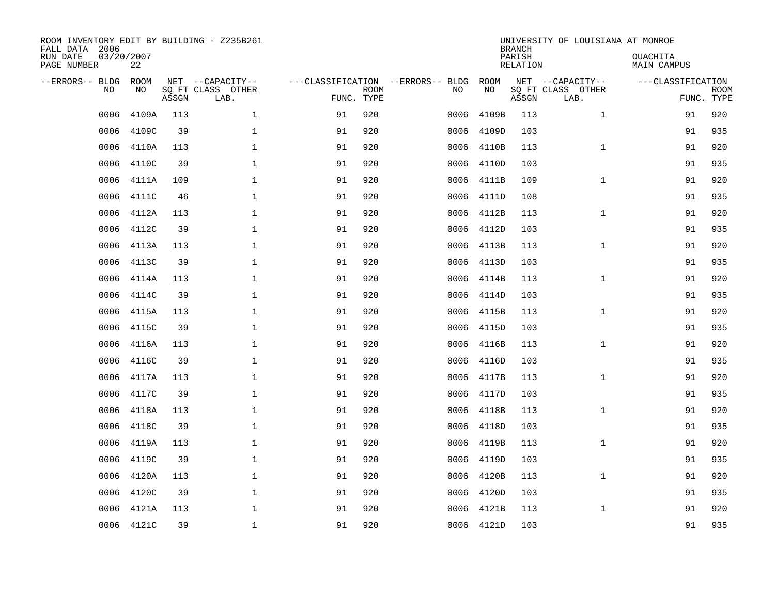| ROOM INVENTORY EDIT BY BUILDING - Z235B261<br>FALL DATA 2006<br>RUN DATE<br>PAGE NUMBER | 03/20/2007<br>22 |       |                                               |                                                 |             |      |            | <b>BRANCH</b><br>PARISH<br><b>RELATION</b> | UNIVERSITY OF LOUISIANA AT MONROE             | OUACHITA<br><b>MAIN CAMPUS</b>  |             |
|-----------------------------------------------------------------------------------------|------------------|-------|-----------------------------------------------|-------------------------------------------------|-------------|------|------------|--------------------------------------------|-----------------------------------------------|---------------------------------|-------------|
| --ERRORS-- BLDG<br>NO                                                                   | ROOM<br>NO       | ASSGN | NET --CAPACITY--<br>SQ FT CLASS OTHER<br>LAB. | ---CLASSIFICATION --ERRORS-- BLDG<br>FUNC. TYPE | <b>ROOM</b> | NO   | ROOM<br>NO | ASSGN                                      | NET --CAPACITY--<br>SQ FT CLASS OTHER<br>LAB. | ---CLASSIFICATION<br>FUNC. TYPE | <b>ROOM</b> |
| 0006                                                                                    | 4109A            | 113   | $\mathbf 1$                                   | 91                                              | 920         | 0006 | 4109B      | 113                                        | $\mathbf{1}$                                  | 91                              | 920         |
| 0006                                                                                    | 4109C            | 39    | 1                                             | 91                                              | 920         | 0006 | 4109D      | 103                                        |                                               | 91                              | 935         |
| 0006                                                                                    | 4110A            | 113   | 1                                             | 91                                              | 920         | 0006 | 4110B      | 113                                        | $\mathbf{1}$                                  | 91                              | 920         |
| 0006                                                                                    | 4110C            | 39    | $\mathbf 1$                                   | 91                                              | 920         | 0006 | 4110D      | 103                                        |                                               | 91                              | 935         |
| 0006                                                                                    | 4111A            | 109   | $\mathbf{1}$                                  | 91                                              | 920         | 0006 | 4111B      | 109                                        | $\mathbf{1}$                                  | 91                              | 920         |
| 0006                                                                                    | 4111C            | 46    | $\mathbf{1}$                                  | 91                                              | 920         |      | 0006 4111D | 108                                        |                                               | 91                              | 935         |
| 0006                                                                                    | 4112A            | 113   | $\mathbf{1}$                                  | 91                                              | 920         | 0006 | 4112B      | 113                                        | $\mathbf{1}$                                  | 91                              | 920         |
| 0006                                                                                    | 4112C            | 39    | $\mathbf{1}$                                  | 91                                              | 920         | 0006 | 4112D      | 103                                        |                                               | 91                              | 935         |
| 0006                                                                                    | 4113A            | 113   | $\mathbf{1}$                                  | 91                                              | 920         | 0006 | 4113B      | 113                                        | $\mathbf{1}$                                  | 91                              | 920         |
| 0006                                                                                    | 4113C            | 39    | $\mathbf{1}$                                  | 91                                              | 920         | 0006 | 4113D      | 103                                        |                                               | 91                              | 935         |
| 0006                                                                                    | 4114A            | 113   | $\mathbf{1}$                                  | 91                                              | 920         | 0006 | 4114B      | 113                                        | $\mathbf{1}$                                  | 91                              | 920         |
| 0006                                                                                    | 4114C            | 39    | $\mathbf{1}$                                  | 91                                              | 920         | 0006 | 4114D      | 103                                        |                                               | 91                              | 935         |
| 0006                                                                                    | 4115A            | 113   | $\mathbf 1$                                   | 91                                              | 920         | 0006 | 4115B      | 113                                        | $\mathbf{1}$                                  | 91                              | 920         |
| 0006                                                                                    | 4115C            | 39    | $\mathbf 1$                                   | 91                                              | 920         | 0006 | 4115D      | 103                                        |                                               | 91                              | 935         |
| 0006                                                                                    | 4116A            | 113   | 1                                             | 91                                              | 920         | 0006 | 4116B      | 113                                        | $\mathbf{1}$                                  | 91                              | 920         |
| 0006                                                                                    | 4116C            | 39    | $\mathbf 1$                                   | 91                                              | 920         | 0006 | 4116D      | 103                                        |                                               | 91                              | 935         |
| 0006                                                                                    | 4117A            | 113   | $\mathbf 1$                                   | 91                                              | 920         | 0006 | 4117B      | 113                                        | $\mathbf{1}$                                  | 91                              | 920         |
| 0006                                                                                    | 4117C            | 39    | $\mathbf{1}$                                  | 91                                              | 920         | 0006 | 4117D      | 103                                        |                                               | 91                              | 935         |
| 0006                                                                                    | 4118A            | 113   | $\mathbf{1}$                                  | 91                                              | 920         | 0006 | 4118B      | 113                                        | $\mathbf{1}$                                  | 91                              | 920         |
| 0006                                                                                    | 4118C            | 39    | 1                                             | 91                                              | 920         | 0006 | 4118D      | 103                                        |                                               | 91                              | 935         |
| 0006                                                                                    | 4119A            | 113   | 1                                             | 91                                              | 920         | 0006 | 4119B      | 113                                        | $\mathbf{1}$                                  | 91                              | 920         |
| 0006                                                                                    | 4119C            | 39    | $\mathbf 1$                                   | 91                                              | 920         | 0006 | 4119D      | 103                                        |                                               | 91                              | 935         |
| 0006                                                                                    | 4120A            | 113   | 1                                             | 91                                              | 920         | 0006 | 4120B      | 113                                        | $\mathbf{1}$                                  | 91                              | 920         |
| 0006                                                                                    | 4120C            | 39    | $\mathbf 1$                                   | 91                                              | 920         | 0006 | 4120D      | 103                                        |                                               | 91                              | 935         |
| 0006                                                                                    | 4121A            | 113   | $\mathbf 1$                                   | 91                                              | 920         | 0006 | 4121B      | 113                                        | $\mathbf{1}$                                  | 91                              | 920         |
|                                                                                         | 0006 4121C       | 39    | $\mathbf{1}$                                  | 91                                              | 920         |      | 0006 4121D | 103                                        |                                               | 91                              | 935         |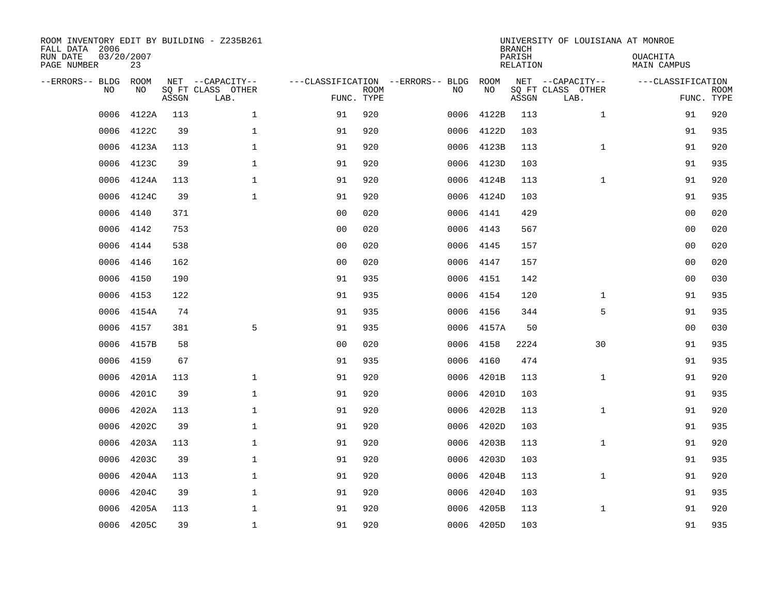| ROOM INVENTORY EDIT BY BUILDING - Z235B261<br>FALL DATA 2006<br>RUN DATE<br>PAGE NUMBER | 03/20/2007<br>23 |       |                                               |                                                 |             |           |            | <b>BRANCH</b><br>PARISH<br><b>RELATION</b> | UNIVERSITY OF LOUISIANA AT MONROE             | OUACHITA<br><b>MAIN CAMPUS</b>  |             |
|-----------------------------------------------------------------------------------------|------------------|-------|-----------------------------------------------|-------------------------------------------------|-------------|-----------|------------|--------------------------------------------|-----------------------------------------------|---------------------------------|-------------|
| --ERRORS-- BLDG<br>NO                                                                   | ROOM<br>NO       | ASSGN | NET --CAPACITY--<br>SQ FT CLASS OTHER<br>LAB. | ---CLASSIFICATION --ERRORS-- BLDG<br>FUNC. TYPE | <b>ROOM</b> | NO        | ROOM<br>NO | ASSGN                                      | NET --CAPACITY--<br>SQ FT CLASS OTHER<br>LAB. | ---CLASSIFICATION<br>FUNC. TYPE | <b>ROOM</b> |
| 0006                                                                                    | 4122A            | 113   | $\mathbf 1$                                   | 91                                              | 920         | 0006      | 4122B      | 113                                        | $\mathbf{1}$                                  | 91                              | 920         |
| 0006                                                                                    | 4122C            | 39    | $\mathbf 1$                                   | 91                                              | 920         | 0006      | 4122D      | 103                                        |                                               | 91                              | 935         |
| 0006                                                                                    | 4123A            | 113   | $\mathbf{1}$                                  | 91                                              | 920         | 0006      | 4123B      | 113                                        | $\mathbf{1}$                                  | 91                              | 920         |
| 0006                                                                                    | 4123C            | 39    | $\mathbf{1}$                                  | 91                                              | 920         |           | 0006 4123D | 103                                        |                                               | 91                              | 935         |
| 0006                                                                                    | 4124A            | 113   | $\mathbf{1}$                                  | 91                                              | 920         | 0006      | 4124B      | 113                                        | $\mathbf{1}$                                  | 91                              | 920         |
| 0006                                                                                    | 4124C            | 39    | $\mathbf{1}$                                  | 91                                              | 920         |           | 0006 4124D | 103                                        |                                               | 91                              | 935         |
| 0006                                                                                    | 4140             | 371   |                                               | 0 <sub>0</sub>                                  | 020         | 0006      | 4141       | 429                                        |                                               | 0 <sub>0</sub>                  | 020         |
| 0006                                                                                    | 4142             | 753   |                                               | 0 <sub>0</sub>                                  | 020         | 0006 4143 |            | 567                                        |                                               | 0 <sub>0</sub>                  | 020         |
| 0006                                                                                    | 4144             | 538   |                                               | 0 <sub>0</sub>                                  | 020         | 0006      | 4145       | 157                                        |                                               | 00                              | 020         |
| 0006                                                                                    | 4146             | 162   |                                               | 0 <sub>0</sub>                                  | 020         | 0006      | 4147       | 157                                        |                                               | 0 <sub>0</sub>                  | 020         |
| 0006                                                                                    | 4150             | 190   |                                               | 91                                              | 935         | 0006      | 4151       | 142                                        |                                               | 0 <sub>0</sub>                  | 030         |
| 0006                                                                                    | 4153             | 122   |                                               | 91                                              | 935         | 0006      | 4154       | 120                                        | $\mathbf{1}$                                  | 91                              | 935         |
| 0006                                                                                    | 4154A            | 74    |                                               | 91                                              | 935         | 0006      | 4156       | 344                                        | 5                                             | 91                              | 935         |
| 0006                                                                                    | 4157             | 381   | 5                                             | 91                                              | 935         | 0006      | 4157A      | 50                                         |                                               | 00                              | 030         |
| 0006                                                                                    | 4157B            | 58    |                                               | 0 <sub>0</sub>                                  | 020         | 0006      | 4158       | 2224                                       | 30                                            | 91                              | 935         |
| 0006                                                                                    | 4159             | 67    |                                               | 91                                              | 935         | 0006      | 4160       | 474                                        |                                               | 91                              | 935         |
| 0006                                                                                    | 4201A            | 113   | $\mathbf{1}$                                  | 91                                              | 920         | 0006      | 4201B      | 113                                        | $\mathbf{1}$                                  | 91                              | 920         |
| 0006                                                                                    | 4201C            | 39    | $\mathbf 1$                                   | 91                                              | 920         | 0006      | 4201D      | 103                                        |                                               | 91                              | 935         |
| 0006                                                                                    | 4202A            | 113   | $\mathbf 1$                                   | 91                                              | 920         | 0006      | 4202B      | 113                                        | $\mathbf{1}$                                  | 91                              | 920         |
| 0006                                                                                    | 4202C            | 39    | $\mathbf 1$                                   | 91                                              | 920         | 0006      | 4202D      | 103                                        |                                               | 91                              | 935         |
| 0006                                                                                    | 4203A            | 113   | $\mathbf{1}$                                  | 91                                              | 920         | 0006      | 4203B      | 113                                        | $\mathbf{1}$                                  | 91                              | 920         |
| 0006                                                                                    | 4203C            | 39    | $\mathbf 1$                                   | 91                                              | 920         | 0006      | 4203D      | 103                                        |                                               | 91                              | 935         |
| 0006                                                                                    | 4204A            | 113   | 1                                             | 91                                              | 920         | 0006      | 4204B      | 113                                        | $\mathbf{1}$                                  | 91                              | 920         |
| 0006                                                                                    | 4204C            | 39    | $\mathbf 1$                                   | 91                                              | 920         | 0006      | 4204D      | 103                                        |                                               | 91                              | 935         |
| 0006                                                                                    | 4205A            | 113   | $\mathbf{1}$                                  | 91                                              | 920         | 0006      | 4205B      | 113                                        | $\mathbf{1}$                                  | 91                              | 920         |
|                                                                                         | 0006 4205C       | 39    | $\mathbf 1$                                   | 91                                              | 920         |           | 0006 4205D | 103                                        |                                               | 91                              | 935         |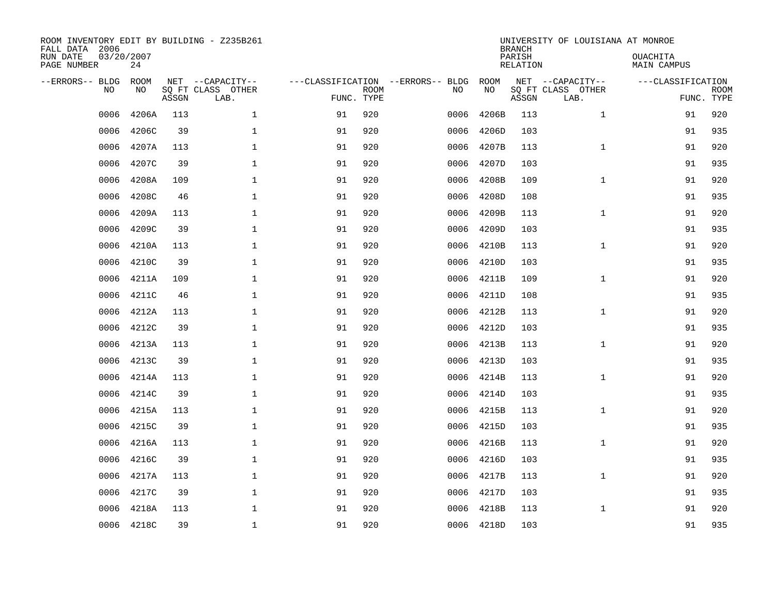| ROOM INVENTORY EDIT BY BUILDING - Z235B261<br>FALL DATA 2006<br>RUN DATE<br>PAGE NUMBER | 03/20/2007<br>24 |       |                                               |                                                 |             |      |            | <b>BRANCH</b><br>PARISH<br><b>RELATION</b> | UNIVERSITY OF LOUISIANA AT MONROE             | OUACHITA<br><b>MAIN CAMPUS</b>  |             |
|-----------------------------------------------------------------------------------------|------------------|-------|-----------------------------------------------|-------------------------------------------------|-------------|------|------------|--------------------------------------------|-----------------------------------------------|---------------------------------|-------------|
| --ERRORS-- BLDG<br>NO                                                                   | ROOM<br>NO       | ASSGN | NET --CAPACITY--<br>SQ FT CLASS OTHER<br>LAB. | ---CLASSIFICATION --ERRORS-- BLDG<br>FUNC. TYPE | <b>ROOM</b> | NO   | ROOM<br>NO | ASSGN                                      | NET --CAPACITY--<br>SQ FT CLASS OTHER<br>LAB. | ---CLASSIFICATION<br>FUNC. TYPE | <b>ROOM</b> |
| 0006                                                                                    | 4206A            | 113   | $\mathbf 1$                                   | 91                                              | 920         | 0006 | 4206B      | 113                                        | $\mathbf{1}$                                  | 91                              | 920         |
| 0006                                                                                    | 4206C            | 39    | 1                                             | 91                                              | 920         | 0006 | 4206D      | 103                                        |                                               | 91                              | 935         |
| 0006                                                                                    | 4207A            | 113   | 1                                             | 91                                              | 920         | 0006 | 4207B      | 113                                        | $\mathbf{1}$                                  | 91                              | 920         |
| 0006                                                                                    | 4207C            | 39    | $\mathbf 1$                                   | 91                                              | 920         | 0006 | 4207D      | 103                                        |                                               | 91                              | 935         |
| 0006                                                                                    | 4208A            | 109   | $\mathbf{1}$                                  | 91                                              | 920         | 0006 | 4208B      | 109                                        | $\mathbf{1}$                                  | 91                              | 920         |
| 0006                                                                                    | 4208C            | 46    | $\mathbf{1}$                                  | 91                                              | 920         | 0006 | 4208D      | 108                                        |                                               | 91                              | 935         |
| 0006                                                                                    | 4209A            | 113   | $\mathbf{1}$                                  | 91                                              | 920         | 0006 | 4209B      | 113                                        | $\mathbf{1}$                                  | 91                              | 920         |
| 0006                                                                                    | 4209C            | 39    | $\mathbf 1$                                   | 91                                              | 920         | 0006 | 4209D      | 103                                        |                                               | 91                              | 935         |
| 0006                                                                                    | 4210A            | 113   | $\mathbf 1$                                   | 91                                              | 920         | 0006 | 4210B      | 113                                        | $\mathbf{1}$                                  | 91                              | 920         |
| 0006                                                                                    | 4210C            | 39    | $\mathbf 1$                                   | 91                                              | 920         | 0006 | 4210D      | 103                                        |                                               | 91                              | 935         |
| 0006                                                                                    | 4211A            | 109   | $\mathbf 1$                                   | 91                                              | 920         | 0006 | 4211B      | 109                                        | $\mathbf{1}$                                  | 91                              | 920         |
| 0006                                                                                    | 4211C            | 46    | $\mathbf{1}$                                  | 91                                              | 920         | 0006 | 4211D      | 108                                        |                                               | 91                              | 935         |
| 0006                                                                                    | 4212A            | 113   | $\mathbf 1$                                   | 91                                              | 920         | 0006 | 4212B      | 113                                        | $\mathbf{1}$                                  | 91                              | 920         |
| 0006                                                                                    | 4212C            | 39    | $\mathbf 1$                                   | 91                                              | 920         | 0006 | 4212D      | 103                                        |                                               | 91                              | 935         |
| 0006                                                                                    | 4213A            | 113   | 1                                             | 91                                              | 920         | 0006 | 4213B      | 113                                        | $\mathbf{1}$                                  | 91                              | 920         |
| 0006                                                                                    | 4213C            | 39    | $\mathbf 1$                                   | 91                                              | 920         | 0006 | 4213D      | 103                                        |                                               | 91                              | 935         |
| 0006                                                                                    | 4214A            | 113   | $\mathbf 1$                                   | 91                                              | 920         | 0006 | 4214B      | 113                                        | $\mathbf{1}$                                  | 91                              | 920         |
| 0006                                                                                    | 4214C            | 39    | $\mathbf{1}$                                  | 91                                              | 920         | 0006 | 4214D      | 103                                        |                                               | 91                              | 935         |
| 0006                                                                                    | 4215A            | 113   | $\mathbf{1}$                                  | 91                                              | 920         | 0006 | 4215B      | 113                                        | $\mathbf{1}$                                  | 91                              | 920         |
| 0006                                                                                    | 4215C            | 39    | 1                                             | 91                                              | 920         | 0006 | 4215D      | 103                                        |                                               | 91                              | 935         |
| 0006                                                                                    | 4216A            | 113   | 1                                             | 91                                              | 920         | 0006 | 4216B      | 113                                        | $\mathbf{1}$                                  | 91                              | 920         |
| 0006                                                                                    | 4216C            | 39    | $\mathbf 1$                                   | 91                                              | 920         | 0006 | 4216D      | 103                                        |                                               | 91                              | 935         |
| 0006                                                                                    | 4217A            | 113   | 1                                             | 91                                              | 920         | 0006 | 4217B      | 113                                        | $\mathbf{1}$                                  | 91                              | 920         |
| 0006                                                                                    | 4217C            | 39    | $\mathbf 1$                                   | 91                                              | 920         | 0006 | 4217D      | 103                                        |                                               | 91                              | 935         |
| 0006                                                                                    | 4218A            | 113   | $\mathbf 1$                                   | 91                                              | 920         | 0006 | 4218B      | 113                                        | $\mathbf{1}$                                  | 91                              | 920         |
|                                                                                         | 0006 4218C       | 39    | $\mathbf{1}$                                  | 91                                              | 920         |      | 0006 4218D | 103                                        |                                               | 91                              | 935         |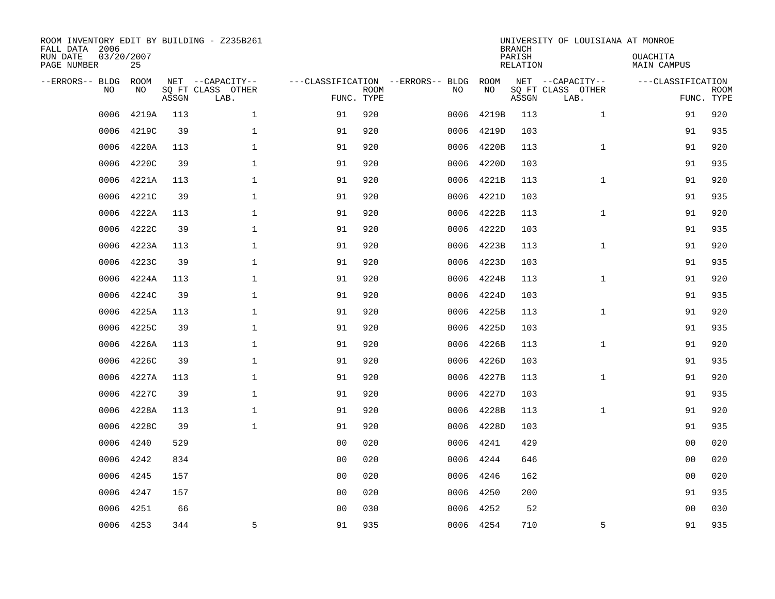| ROOM INVENTORY EDIT BY BUILDING - Z235B261<br>FALL DATA 2006<br>RUN DATE<br>PAGE NUMBER | 03/20/2007<br>25 |       |                                               |                                                 |             |      |            | <b>BRANCH</b><br>PARISH<br><b>RELATION</b> | UNIVERSITY OF LOUISIANA AT MONROE             | OUACHITA<br><b>MAIN CAMPUS</b>  |             |
|-----------------------------------------------------------------------------------------|------------------|-------|-----------------------------------------------|-------------------------------------------------|-------------|------|------------|--------------------------------------------|-----------------------------------------------|---------------------------------|-------------|
| --ERRORS-- BLDG<br>NO                                                                   | ROOM<br>NO       | ASSGN | NET --CAPACITY--<br>SQ FT CLASS OTHER<br>LAB. | ---CLASSIFICATION --ERRORS-- BLDG<br>FUNC. TYPE | <b>ROOM</b> | NO   | ROOM<br>NO | ASSGN                                      | NET --CAPACITY--<br>SQ FT CLASS OTHER<br>LAB. | ---CLASSIFICATION<br>FUNC. TYPE | <b>ROOM</b> |
| 0006                                                                                    | 4219A            | 113   | $\mathbf 1$                                   | 91                                              | 920         | 0006 | 4219B      | 113                                        | $\mathbf{1}$                                  | 91                              | 920         |
| 0006                                                                                    | 4219C            | 39    | 1                                             | 91                                              | 920         | 0006 | 4219D      | 103                                        |                                               | 91                              | 935         |
| 0006                                                                                    | 4220A            | 113   | 1                                             | 91                                              | 920         | 0006 | 4220B      | 113                                        | $\mathbf{1}$                                  | 91                              | 920         |
| 0006                                                                                    | 4220C            | 39    | $\mathbf 1$                                   | 91                                              | 920         | 0006 | 4220D      | 103                                        |                                               | 91                              | 935         |
| 0006                                                                                    | 4221A            | 113   | $\mathbf{1}$                                  | 91                                              | 920         | 0006 | 4221B      | 113                                        | $\mathbf{1}$                                  | 91                              | 920         |
| 0006                                                                                    | 4221C            | 39    | $\mathbf{1}$                                  | 91                                              | 920         | 0006 | 4221D      | 103                                        |                                               | 91                              | 935         |
| 0006                                                                                    | 4222A            | 113   | $\mathbf{1}$                                  | 91                                              | 920         | 0006 | 4222B      | 113                                        | $\mathbf{1}$                                  | 91                              | 920         |
| 0006                                                                                    | 4222C            | 39    | $\mathbf{1}$                                  | 91                                              | 920         | 0006 | 4222D      | 103                                        |                                               | 91                              | 935         |
| 0006                                                                                    | 4223A            | 113   | $\mathbf{1}$                                  | 91                                              | 920         | 0006 | 4223B      | 113                                        | $\mathbf{1}$                                  | 91                              | 920         |
| 0006                                                                                    | 4223C            | 39    | $\mathbf{1}$                                  | 91                                              | 920         | 0006 | 4223D      | 103                                        |                                               | 91                              | 935         |
| 0006                                                                                    | 4224A            | 113   | $\mathbf{1}$                                  | 91                                              | 920         | 0006 | 4224B      | 113                                        | $\mathbf{1}$                                  | 91                              | 920         |
| 0006                                                                                    | 4224C            | 39    | $\mathbf{1}$                                  | 91                                              | 920         | 0006 | 4224D      | 103                                        |                                               | 91                              | 935         |
| 0006                                                                                    | 4225A            | 113   | $\mathbf 1$                                   | 91                                              | 920         | 0006 | 4225B      | 113                                        | $\mathbf{1}$                                  | 91                              | 920         |
| 0006                                                                                    | 4225C            | 39    | $\mathbf 1$                                   | 91                                              | 920         | 0006 | 4225D      | 103                                        |                                               | 91                              | 935         |
| 0006                                                                                    | 4226A            | 113   | 1                                             | 91                                              | 920         | 0006 | 4226B      | 113                                        | $\mathbf{1}$                                  | 91                              | 920         |
| 0006                                                                                    | 4226C            | 39    | $\mathbf{1}$                                  | 91                                              | 920         | 0006 | 4226D      | 103                                        |                                               | 91                              | 935         |
| 0006                                                                                    | 4227A            | 113   | $\mathbf 1$                                   | 91                                              | 920         | 0006 | 4227B      | 113                                        | $\mathbf{1}$                                  | 91                              | 920         |
| 0006                                                                                    | 4227C            | 39    | $\mathbf{1}$                                  | 91                                              | 920         | 0006 | 4227D      | 103                                        |                                               | 91                              | 935         |
| 0006                                                                                    | 4228A            | 113   | $\mathbf{1}$                                  | 91                                              | 920         | 0006 | 4228B      | 113                                        | $\mathbf{1}$                                  | 91                              | 920         |
| 0006                                                                                    | 4228C            | 39    | $\mathbf 1$                                   | 91                                              | 920         | 0006 | 4228D      | 103                                        |                                               | 91                              | 935         |
| 0006                                                                                    | 4240             | 529   |                                               | 0 <sub>0</sub>                                  | 020         | 0006 | 4241       | 429                                        |                                               | 00                              | 020         |
| 0006                                                                                    | 4242             | 834   |                                               | 00                                              | 020         | 0006 | 4244       | 646                                        |                                               | 00                              | 020         |
| 0006                                                                                    | 4245             | 157   |                                               | 0 <sub>0</sub>                                  | 020         | 0006 | 4246       | 162                                        |                                               | 0 <sub>0</sub>                  | 020         |
| 0006                                                                                    | 4247             | 157   |                                               | 00                                              | 020         | 0006 | 4250       | 200                                        |                                               | 91                              | 935         |
| 0006                                                                                    | 4251             | 66    |                                               | 0 <sub>0</sub>                                  | 030         | 0006 | 4252       | 52                                         |                                               | 0 <sub>0</sub>                  | 030         |
|                                                                                         | 0006 4253        | 344   | 5                                             | 91                                              | 935         |      | 0006 4254  | 710                                        | 5                                             | 91                              | 935         |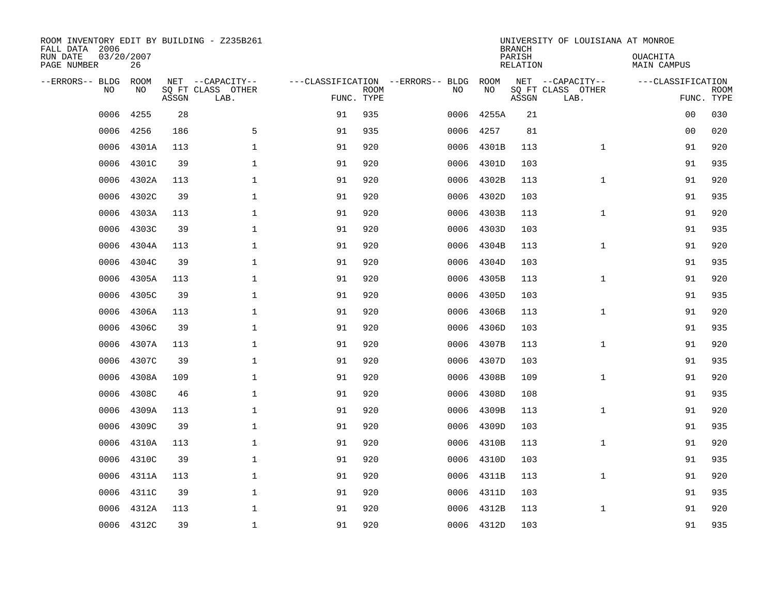| ROOM INVENTORY EDIT BY BUILDING - Z235B261<br>FALL DATA 2006<br>RUN DATE<br>PAGE NUMBER | 03/20/2007<br>26  |       |                                               |                                                 |             |      |            | <b>BRANCH</b><br>PARISH<br><b>RELATION</b> | UNIVERSITY OF LOUISIANA AT MONROE             | OUACHITA<br>MAIN CAMPUS         |             |
|-----------------------------------------------------------------------------------------|-------------------|-------|-----------------------------------------------|-------------------------------------------------|-------------|------|------------|--------------------------------------------|-----------------------------------------------|---------------------------------|-------------|
| --ERRORS-- BLDG<br>NO                                                                   | <b>ROOM</b><br>NO | ASSGN | NET --CAPACITY--<br>SQ FT CLASS OTHER<br>LAB. | ---CLASSIFICATION --ERRORS-- BLDG<br>FUNC. TYPE | <b>ROOM</b> | NO   | ROOM<br>NO | ASSGN                                      | NET --CAPACITY--<br>SQ FT CLASS OTHER<br>LAB. | ---CLASSIFICATION<br>FUNC. TYPE | <b>ROOM</b> |
| 0006                                                                                    | 4255              | 28    |                                               | 91                                              | 935         | 0006 | 4255A      | 21                                         |                                               | 0 <sub>0</sub>                  | 030         |
| 0006                                                                                    | 4256              | 186   | 5                                             | 91                                              | 935         | 0006 | 4257       | 81                                         |                                               | 0 <sub>0</sub>                  | 020         |
| 0006                                                                                    | 4301A             | 113   | $\mathbf 1$                                   | 91                                              | 920         | 0006 | 4301B      | 113                                        | $\mathbf{1}$                                  | 91                              | 920         |
| 0006                                                                                    | 4301C             | 39    | $\mathbf{1}$                                  | 91                                              | 920         | 0006 | 4301D      | 103                                        |                                               | 91                              | 935         |
| 0006                                                                                    | 4302A             | 113   | $\mathbf{1}$                                  | 91                                              | 920         | 0006 | 4302B      | 113                                        | $\mathbf{1}$                                  | 91                              | 920         |
| 0006                                                                                    | 4302C             | 39    | $\mathbf{1}$                                  | 91                                              | 920         | 0006 | 4302D      | 103                                        |                                               | 91                              | 935         |
| 0006                                                                                    | 4303A             | 113   | $\mathbf{1}$                                  | 91                                              | 920         | 0006 | 4303B      | 113                                        | $\mathbf{1}$                                  | 91                              | 920         |
| 0006                                                                                    | 4303C             | 39    | $\mathbf 1$                                   | 91                                              | 920         | 0006 | 4303D      | 103                                        |                                               | 91                              | 935         |
| 0006                                                                                    | 4304A             | 113   | $\mathbf 1$                                   | 91                                              | 920         | 0006 | 4304B      | 113                                        | $\mathbf{1}$                                  | 91                              | 920         |
| 0006                                                                                    | 4304C             | 39    | $\mathbf 1$                                   | 91                                              | 920         | 0006 | 4304D      | 103                                        |                                               | 91                              | 935         |
| 0006                                                                                    | 4305A             | 113   | $\mathbf 1$                                   | 91                                              | 920         | 0006 | 4305B      | 113                                        | $\mathbf{1}$                                  | 91                              | 920         |
| 0006                                                                                    | 4305C             | 39    | $\mathbf 1$                                   | 91                                              | 920         | 0006 | 4305D      | 103                                        |                                               | 91                              | 935         |
| 0006                                                                                    | 4306A             | 113   | $\mathbf 1$                                   | 91                                              | 920         | 0006 | 4306B      | 113                                        | $\mathbf{1}$                                  | 91                              | 920         |
| 0006                                                                                    | 4306C             | 39    | $\mathbf 1$                                   | 91                                              | 920         | 0006 | 4306D      | 103                                        |                                               | 91                              | 935         |
| 0006                                                                                    | 4307A             | 113   | $\mathbf 1$                                   | 91                                              | 920         | 0006 | 4307B      | 113                                        | $\mathbf{1}$                                  | 91                              | 920         |
| 0006                                                                                    | 4307C             | 39    | $\mathbf{1}$                                  | 91                                              | 920         | 0006 | 4307D      | 103                                        |                                               | 91                              | 935         |
| 0006                                                                                    | 4308A             | 109   | $\mathbf{1}$                                  | 91                                              | 920         | 0006 | 4308B      | 109                                        | $\mathbf{1}$                                  | 91                              | 920         |
| 0006                                                                                    | 4308C             | 46    | $\mathbf 1$                                   | 91                                              | 920         | 0006 | 4308D      | 108                                        |                                               | 91                              | 935         |
| 0006                                                                                    | 4309A             | 113   | 1                                             | 91                                              | 920         | 0006 | 4309B      | 113                                        | $\mathbf{1}$                                  | 91                              | 920         |
| 0006                                                                                    | 4309C             | 39    | 1                                             | 91                                              | 920         | 0006 | 4309D      | 103                                        |                                               | 91                              | 935         |
| 0006                                                                                    | 4310A             | 113   | 1                                             | 91                                              | 920         | 0006 | 4310B      | 113                                        | $\mathbf{1}$                                  | 91                              | 920         |
| 0006                                                                                    | 4310C             | 39    | $\mathbf 1$                                   | 91                                              | 920         | 0006 | 4310D      | 103                                        |                                               | 91                              | 935         |
| 0006                                                                                    | 4311A             | 113   | 1                                             | 91                                              | 920         | 0006 | 4311B      | 113                                        | $\mathbf{1}$                                  | 91                              | 920         |
| 0006                                                                                    | 4311C             | 39    | $\mathbf 1$                                   | 91                                              | 920         | 0006 | 4311D      | 103                                        |                                               | 91                              | 935         |
| 0006                                                                                    | 4312A             | 113   | $\mathbf 1$                                   | 91                                              | 920         | 0006 | 4312B      | 113                                        | $\mathbf{1}$                                  | 91                              | 920         |
|                                                                                         | 0006 4312C        | 39    | $\mathbf{1}$                                  | 91                                              | 920         |      | 0006 4312D | 103                                        |                                               | 91                              | 935         |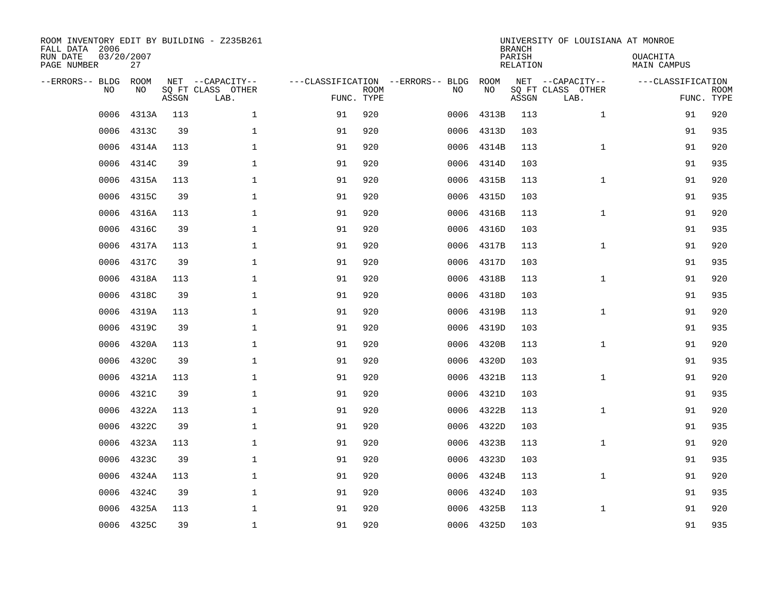| ROOM INVENTORY EDIT BY BUILDING - Z235B261<br>FALL DATA 2006<br>RUN DATE<br>PAGE NUMBER | 03/20/2007<br>27 |       |                                               |                                                 |             |      |            | <b>BRANCH</b><br>PARISH<br><b>RELATION</b> | UNIVERSITY OF LOUISIANA AT MONROE             | OUACHITA<br><b>MAIN CAMPUS</b>  |             |
|-----------------------------------------------------------------------------------------|------------------|-------|-----------------------------------------------|-------------------------------------------------|-------------|------|------------|--------------------------------------------|-----------------------------------------------|---------------------------------|-------------|
| --ERRORS-- BLDG<br>NO                                                                   | ROOM<br>NO       | ASSGN | NET --CAPACITY--<br>SQ FT CLASS OTHER<br>LAB. | ---CLASSIFICATION --ERRORS-- BLDG<br>FUNC. TYPE | <b>ROOM</b> | NO   | ROOM<br>NO | ASSGN                                      | NET --CAPACITY--<br>SQ FT CLASS OTHER<br>LAB. | ---CLASSIFICATION<br>FUNC. TYPE | <b>ROOM</b> |
| 0006                                                                                    | 4313A            | 113   | $\mathbf 1$                                   | 91                                              | 920         | 0006 | 4313B      | 113                                        | $\mathbf{1}$                                  | 91                              | 920         |
| 0006                                                                                    | 4313C            | 39    | 1                                             | 91                                              | 920         | 0006 | 4313D      | 103                                        |                                               | 91                              | 935         |
| 0006                                                                                    | 4314A            | 113   | 1                                             | 91                                              | 920         | 0006 | 4314B      | 113                                        | $\mathbf{1}$                                  | 91                              | 920         |
| 0006                                                                                    | 4314C            | 39    | $\mathbf 1$                                   | 91                                              | 920         | 0006 | 4314D      | 103                                        |                                               | 91                              | 935         |
| 0006                                                                                    | 4315A            | 113   | $\mathbf{1}$                                  | 91                                              | 920         | 0006 | 4315B      | 113                                        | $\mathbf{1}$                                  | 91                              | 920         |
| 0006                                                                                    | 4315C            | 39    | $\mathbf{1}$                                  | 91                                              | 920         |      | 0006 4315D | 103                                        |                                               | 91                              | 935         |
| 0006                                                                                    | 4316A            | 113   | $\mathbf{1}$                                  | 91                                              | 920         | 0006 | 4316B      | 113                                        | $\mathbf{1}$                                  | 91                              | 920         |
| 0006                                                                                    | 4316C            | 39    | $\mathbf 1$                                   | 91                                              | 920         | 0006 | 4316D      | 103                                        |                                               | 91                              | 935         |
| 0006                                                                                    | 4317A            | 113   | $\mathbf 1$                                   | 91                                              | 920         | 0006 | 4317B      | 113                                        | $\mathbf{1}$                                  | 91                              | 920         |
| 0006                                                                                    | 4317C            | 39    | $\mathbf 1$                                   | 91                                              | 920         | 0006 | 4317D      | 103                                        |                                               | 91                              | 935         |
| 0006                                                                                    | 4318A            | 113   | $\mathbf 1$                                   | 91                                              | 920         | 0006 | 4318B      | 113                                        | $\mathbf{1}$                                  | 91                              | 920         |
| 0006                                                                                    | 4318C            | 39    | $\mathbf{1}$                                  | 91                                              | 920         | 0006 | 4318D      | 103                                        |                                               | 91                              | 935         |
| 0006                                                                                    | 4319A            | 113   | $\mathbf 1$                                   | 91                                              | 920         | 0006 | 4319B      | 113                                        | $\mathbf{1}$                                  | 91                              | 920         |
| 0006                                                                                    | 4319C            | 39    | $\mathbf 1$                                   | 91                                              | 920         | 0006 | 4319D      | 103                                        |                                               | 91                              | 935         |
| 0006                                                                                    | 4320A            | 113   | 1                                             | 91                                              | 920         | 0006 | 4320B      | 113                                        | $\mathbf{1}$                                  | 91                              | 920         |
| 0006                                                                                    | 4320C            | 39    | $\mathbf 1$                                   | 91                                              | 920         | 0006 | 4320D      | 103                                        |                                               | 91                              | 935         |
| 0006                                                                                    | 4321A            | 113   | $\mathbf 1$                                   | 91                                              | 920         | 0006 | 4321B      | 113                                        | $\mathbf{1}$                                  | 91                              | 920         |
| 0006                                                                                    | 4321C            | 39    | $\mathbf{1}$                                  | 91                                              | 920         | 0006 | 4321D      | 103                                        |                                               | 91                              | 935         |
| 0006                                                                                    | 4322A            | 113   | $\mathbf{1}$                                  | 91                                              | 920         | 0006 | 4322B      | 113                                        | $\mathbf{1}$                                  | 91                              | 920         |
| 0006                                                                                    | 4322C            | 39    | 1                                             | 91                                              | 920         | 0006 | 4322D      | 103                                        |                                               | 91                              | 935         |
| 0006                                                                                    | 4323A            | 113   | 1                                             | 91                                              | 920         | 0006 | 4323B      | 113                                        | $\mathbf{1}$                                  | 91                              | 920         |
| 0006                                                                                    | 4323C            | 39    | $\mathbf 1$                                   | 91                                              | 920         | 0006 | 4323D      | 103                                        |                                               | 91                              | 935         |
| 0006                                                                                    | 4324A            | 113   | 1                                             | 91                                              | 920         | 0006 | 4324B      | 113                                        | $\mathbf{1}$                                  | 91                              | 920         |
| 0006                                                                                    | 4324C            | 39    | $\mathbf 1$                                   | 91                                              | 920         | 0006 | 4324D      | 103                                        |                                               | 91                              | 935         |
| 0006                                                                                    | 4325A            | 113   | $\mathbf 1$                                   | 91                                              | 920         | 0006 | 4325B      | 113                                        | $\mathbf{1}$                                  | 91                              | 920         |
|                                                                                         | 0006 4325C       | 39    | $\mathbf{1}$                                  | 91                                              | 920         |      | 0006 4325D | 103                                        |                                               | 91                              | 935         |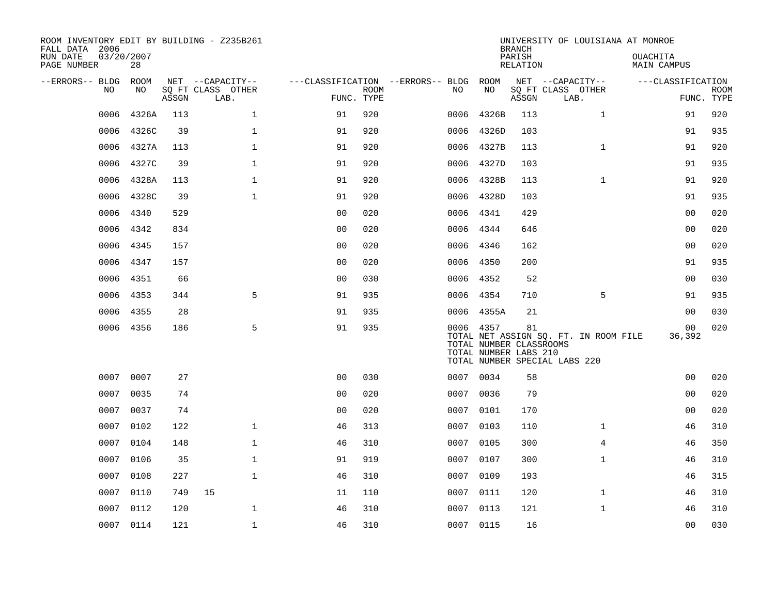| ROOM INVENTORY EDIT BY BUILDING - Z235B261<br>FALL DATA 2006 |                  |       |                           |                                   |             |      |                                                               | <b>BRANCH</b>      | UNIVERSITY OF LOUISIANA AT MONROE                                      |                                |                   |                           |
|--------------------------------------------------------------|------------------|-------|---------------------------|-----------------------------------|-------------|------|---------------------------------------------------------------|--------------------|------------------------------------------------------------------------|--------------------------------|-------------------|---------------------------|
| RUN DATE<br>PAGE NUMBER                                      | 03/20/2007<br>28 |       |                           |                                   |             |      |                                                               | PARISH<br>RELATION |                                                                        | <b>OUACHITA</b><br>MAIN CAMPUS |                   |                           |
| --ERRORS-- BLDG                                              | ROOM             |       | NET --CAPACITY--          | ---CLASSIFICATION --ERRORS-- BLDG |             |      | ROOM                                                          |                    | NET --CAPACITY--                                                       |                                | ---CLASSIFICATION |                           |
| NO                                                           | NO               | ASSGN | SQ FT CLASS OTHER<br>LAB. | FUNC. TYPE                        | <b>ROOM</b> | NO   | NO                                                            | ASSGN              | SQ FT CLASS OTHER<br>LAB.                                              |                                |                   | <b>ROOM</b><br>FUNC. TYPE |
| 0006                                                         | 4326A            | 113   | $\mathbf 1$               | 91                                | 920         | 0006 | 4326B                                                         | 113                | $\mathbf{1}$                                                           |                                | 91                | 920                       |
| 0006                                                         | 4326C            | 39    | $\mathbf 1$               | 91                                | 920         | 0006 | 4326D                                                         | 103                |                                                                        |                                | 91                | 935                       |
| 0006                                                         | 4327A            | 113   | $\mathbf{1}$              | 91                                | 920         | 0006 | 4327B                                                         | 113                | $\mathbf{1}$                                                           |                                | 91                | 920                       |
| 0006                                                         | 4327C            | 39    | 1                         | 91                                | 920         |      | 0006 4327D                                                    | 103                |                                                                        |                                | 91                | 935                       |
| 0006                                                         | 4328A            | 113   | $\mathbf{1}$              | 91                                | 920         | 0006 | 4328B                                                         | 113                | $\mathbf{1}$                                                           |                                | 91                | 920                       |
| 0006                                                         | 4328C            | 39    | $\mathbf{1}$              | 91                                | 920         |      | 0006 4328D                                                    | 103                |                                                                        |                                | 91                | 935                       |
| 0006                                                         | 4340             | 529   |                           | 0 <sub>0</sub>                    | 020         | 0006 | 4341                                                          | 429                |                                                                        |                                | 0 <sub>0</sub>    | 020                       |
| 0006                                                         | 4342             | 834   |                           | 0 <sub>0</sub>                    | 020         |      | 0006 4344                                                     | 646                |                                                                        |                                | 0 <sub>0</sub>    | 020                       |
| 0006                                                         | 4345             | 157   |                           | 0 <sub>0</sub>                    | 020         | 0006 | 4346                                                          | 162                |                                                                        |                                | 0 <sub>0</sub>    | 020                       |
| 0006                                                         | 4347             | 157   |                           | 0 <sub>0</sub>                    | 020         | 0006 | 4350                                                          | 200                |                                                                        |                                | 91                | 935                       |
| 0006                                                         | 4351             | 66    |                           | 0 <sub>0</sub>                    | 030         | 0006 | 4352                                                          | 52                 |                                                                        |                                | 0 <sub>0</sub>    | 030                       |
| 0006                                                         | 4353             | 344   | 5                         | 91                                | 935         |      | 0006 4354                                                     | 710                | 5                                                                      |                                | 91                | 935                       |
| 0006                                                         | 4355             | 28    |                           | 91                                | 935         | 0006 | 4355A                                                         | 21                 |                                                                        |                                | 0 <sub>0</sub>    | 030                       |
|                                                              | 0006 4356        | 186   | 5                         | 91                                | 935         |      | 0006 4357<br>TOTAL NUMBER CLASSROOMS<br>TOTAL NUMBER LABS 210 | 81                 | TOTAL NET ASSIGN SQ. FT. IN ROOM FILE<br>TOTAL NUMBER SPECIAL LABS 220 |                                | 00<br>36,392      | 020                       |
| 0007                                                         | 0007             | 27    |                           | 0 <sub>0</sub>                    | 030         |      | 0007 0034                                                     | 58                 |                                                                        |                                | 0 <sub>0</sub>    | 020                       |
| 0007                                                         | 0035             | 74    |                           | 0 <sub>0</sub>                    | 020         | 0007 | 0036                                                          | 79                 |                                                                        |                                | 0 <sub>0</sub>    | 020                       |
| 0007                                                         | 0037             | 74    |                           | 0 <sub>0</sub>                    | 020         |      | 0007 0101                                                     | 170                |                                                                        |                                | 00                | 020                       |
| 0007                                                         | 0102             | 122   | $\mathbf{1}$              | 46                                | 313         | 0007 | 0103                                                          | 110                | $\mathbf{1}$                                                           |                                | 46                | 310                       |
| 0007                                                         | 0104             | 148   | $\mathbf{1}$              | 46                                | 310         | 0007 | 0105                                                          | 300                | $\overline{4}$                                                         |                                | 46                | 350                       |
| 0007                                                         | 0106             | 35    | $\mathbf{1}$              | 91                                | 919         | 0007 | 0107                                                          | 300                | $\mathbf{1}$                                                           |                                | 46                | 310                       |
| 0007                                                         | 0108             | 227   | $\mathbf{1}$              | 46                                | 310         |      | 0007 0109                                                     | 193                |                                                                        |                                | 46                | 315                       |
| 0007                                                         | 0110             | 749   | 15                        | 11                                | 110         | 0007 | 0111                                                          | 120                | $\mathbf{1}$                                                           |                                | 46                | 310                       |
| 0007                                                         | 0112             | 120   | $\mathbf 1$               | 46                                | 310         |      | 0007 0113                                                     | 121                | $\mathbf{1}$                                                           |                                | 46                | 310                       |
|                                                              | 0007 0114        | 121   | $\mathbf 1$               | 46                                | 310         |      | 0007 0115                                                     | 16                 |                                                                        |                                | 00                | 030                       |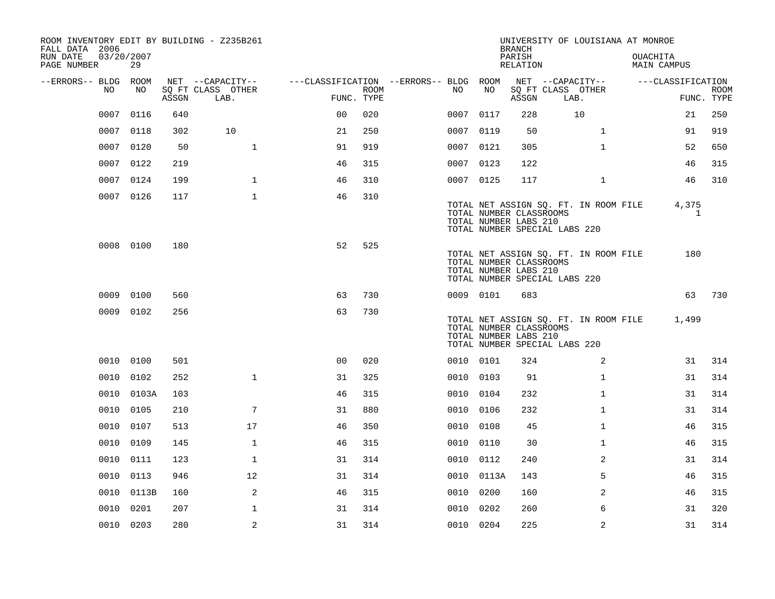| ROOM INVENTORY EDIT BY BUILDING - Z235B261<br>FALL DATA 2006 |                  |       |                           |                                        |      |           |            | <b>BRANCH</b>                                    |                               |                                       | UNIVERSITY OF LOUISIANA AT MONROE |                       |                           |
|--------------------------------------------------------------|------------------|-------|---------------------------|----------------------------------------|------|-----------|------------|--------------------------------------------------|-------------------------------|---------------------------------------|-----------------------------------|-----------------------|---------------------------|
| RUN DATE<br>PAGE NUMBER                                      | 03/20/2007<br>29 |       |                           |                                        |      |           |            | PARISH<br>RELATION                               |                               |                                       | OUACHITA<br><b>MAIN CAMPUS</b>    |                       |                           |
| --ERRORS-- BLDG ROOM                                         |                  |       | NET --CAPACITY--          | ---CLASSIFICATION --ERRORS-- BLDG ROOM |      |           |            |                                                  | NET --CAPACITY--              |                                       |                                   | ---CLASSIFICATION     |                           |
| NO                                                           | NO               | ASSGN | SO FT CLASS OTHER<br>LAB. | FUNC. TYPE                             | ROOM | NO        | NO         | ASSGN                                            | SQ FT CLASS OTHER<br>LAB.     |                                       |                                   |                       | <b>ROOM</b><br>FUNC. TYPE |
| 0007                                                         | 0116             | 640   |                           | 0 <sup>0</sup>                         | 020  | 0007 0117 |            | 228                                              |                               | 10                                    |                                   | 21                    | 250                       |
| 0007                                                         | 0118             | 302   | 10                        | 21                                     | 250  | 0007 0119 |            | 50                                               |                               | $\mathbf{1}$                          |                                   | 91                    | 919                       |
| 0007                                                         | 0120             | 50    | $\mathbf{1}$              | 91                                     | 919  | 0007 0121 |            | 305                                              |                               | $\mathbf{1}$                          |                                   | 52                    | 650                       |
|                                                              | 0007 0122        | 219   |                           | 46                                     | 315  | 0007 0123 |            | 122                                              |                               |                                       |                                   | 46                    | 315                       |
|                                                              | 0007 0124        | 199   | $\mathbf{1}$              | 46                                     | 310  | 0007 0125 |            | 117                                              |                               | $\mathbf{1}$                          |                                   | 46                    | 310                       |
|                                                              | 0007 0126        | 117   | $\mathbf{1}$              | 46                                     | 310  |           |            | TOTAL NUMBER CLASSROOMS<br>TOTAL NUMBER LABS 210 | TOTAL NUMBER SPECIAL LABS 220 | TOTAL NET ASSIGN SQ. FT. IN ROOM FILE |                                   | 4,375<br>$\mathbf{1}$ |                           |
|                                                              | 0008 0100        | 180   |                           | 52                                     | 525  |           |            | TOTAL NUMBER CLASSROOMS<br>TOTAL NUMBER LABS 210 | TOTAL NUMBER SPECIAL LABS 220 | TOTAL NET ASSIGN SQ. FT. IN ROOM FILE |                                   | 180                   |                           |
|                                                              | 0009 0100        | 560   |                           | 63                                     | 730  | 0009 0101 |            | 683                                              |                               |                                       |                                   | 63                    | 730                       |
|                                                              | 0009 0102        | 256   |                           | 63                                     | 730  |           |            | TOTAL NUMBER CLASSROOMS<br>TOTAL NUMBER LABS 210 | TOTAL NUMBER SPECIAL LABS 220 | TOTAL NET ASSIGN SQ. FT. IN ROOM FILE |                                   | 1,499                 |                           |
|                                                              | 0010 0100        | 501   |                           | 0 <sup>0</sup>                         | 020  | 0010 0101 |            | 324                                              |                               | 2                                     |                                   | 31                    | 314                       |
|                                                              | 0010 0102        | 252   | $\mathbf{1}$              | 31                                     | 325  | 0010 0103 |            | 91                                               |                               | $\mathbf{1}$                          |                                   | 31                    | 314                       |
| 0010                                                         | 0103A            | 103   |                           | 46                                     | 315  | 0010 0104 |            | 232                                              |                               | $\mathbf{1}$                          |                                   | 31                    | 314                       |
| 0010                                                         | 0105             | 210   | 7                         | 31                                     | 880  | 0010 0106 |            | 232                                              |                               | $\mathbf{1}$                          |                                   | 31                    | 314                       |
| 0010                                                         | 0107             | 513   | 17                        | 46                                     | 350  | 0010      | 0108       | 45                                               |                               | $\mathbf{1}$                          |                                   | 46                    | 315                       |
| 0010                                                         | 0109             | 145   | $\mathbf 1$               | 46                                     | 315  | 0010 0110 |            | 30                                               |                               | $\mathbf{1}$                          |                                   | 46                    | 315                       |
| 0010                                                         | 0111             | 123   | $\mathbf{1}$              | 31                                     | 314  | 0010      | 0112       | 240                                              |                               | 2                                     |                                   | 31                    | 314                       |
|                                                              | 0010 0113        | 946   | 12                        | 31                                     | 314  |           | 0010 0113A | 143                                              |                               | 5                                     |                                   | 46                    | 315                       |
|                                                              | 0010 0113B       | 160   | 2                         | 46                                     | 315  | 0010      | 0200       | 160                                              |                               | 2                                     |                                   | 46                    | 315                       |
| 0010                                                         | 0201             | 207   | $\mathbf 1$               | 31                                     | 314  | 0010      | 0202       | 260                                              |                               | 6                                     |                                   | 31                    | 320                       |
|                                                              | 0010 0203        | 280   | 2                         | 31                                     | 314  | 0010 0204 |            | 225                                              |                               | 2                                     |                                   | 31                    | 314                       |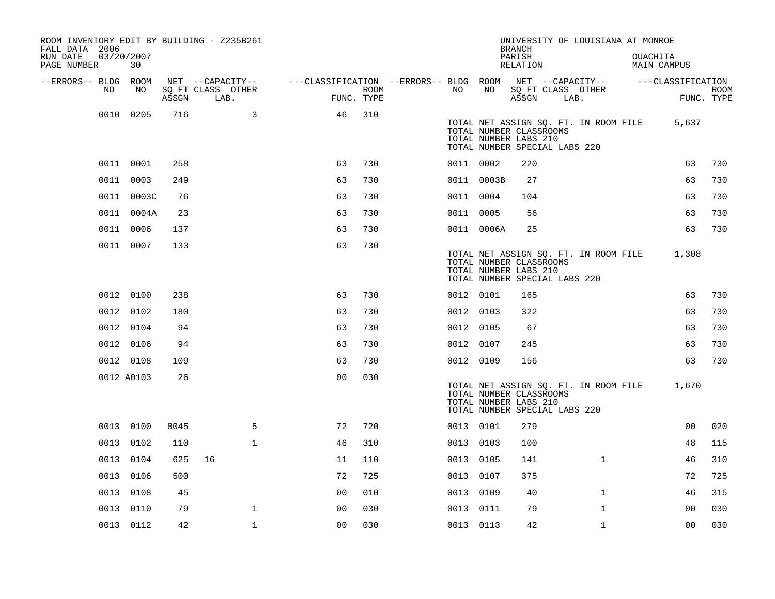| ROOM INVENTORY EDIT BY BUILDING - Z235B261<br>FALL DATA 2006 |                  |       |                                       |                                        |      |           |            | <b>BRANCH</b>                                                                     |      | UNIVERSITY OF LOUISIANA AT MONROE     |                                |                           |
|--------------------------------------------------------------|------------------|-------|---------------------------------------|----------------------------------------|------|-----------|------------|-----------------------------------------------------------------------------------|------|---------------------------------------|--------------------------------|---------------------------|
| RUN DATE<br>PAGE NUMBER                                      | 03/20/2007<br>30 |       |                                       |                                        |      |           |            | PARISH<br>RELATION                                                                |      |                                       | <b>OUACHITA</b><br>MAIN CAMPUS |                           |
| --ERRORS-- BLDG ROOM<br>NO.                                  | NO               |       | NET --CAPACITY--<br>SQ FT CLASS OTHER | ---CLASSIFICATION --ERRORS-- BLDG ROOM | ROOM | NO        | NO         |                                                                                   |      | NET --CAPACITY--                      | ---CLASSIFICATION              |                           |
|                                                              |                  | ASSGN | LAB.                                  | FUNC. TYPE                             |      |           |            | ASSGN                                                                             | LAB. | SQ FT CLASS OTHER                     |                                | <b>ROOM</b><br>FUNC. TYPE |
|                                                              | 0010 0205        | 716   | 3                                     | 46                                     | 310  |           |            | TOTAL NUMBER CLASSROOMS<br>TOTAL NUMBER LABS 210<br>TOTAL NUMBER SPECIAL LABS 220 |      | TOTAL NET ASSIGN SQ. FT. IN ROOM FILE | 5,637                          |                           |
|                                                              | 0011 0001        | 258   |                                       | 63                                     | 730  | 0011 0002 |            | 220                                                                               |      |                                       | 63                             | 730                       |
|                                                              | 0011 0003        | 249   |                                       | 63                                     | 730  |           | 0011 0003B | 27                                                                                |      |                                       | 63                             | 730                       |
|                                                              | 0011 0003C       | 76    |                                       | 63                                     | 730  | 0011 0004 |            | 104                                                                               |      |                                       | 63                             | 730                       |
|                                                              | 0011 0004A       | 23    |                                       | 63                                     | 730  | 0011 0005 |            | 56                                                                                |      |                                       | 63                             | 730                       |
|                                                              | 0011 0006        | 137   |                                       | 63                                     | 730  |           | 0011 0006A | 25                                                                                |      |                                       | 63                             | 730                       |
|                                                              | 0011 0007        | 133   |                                       | 63                                     | 730  |           |            | TOTAL NUMBER CLASSROOMS<br>TOTAL NUMBER LABS 210<br>TOTAL NUMBER SPECIAL LABS 220 |      | TOTAL NET ASSIGN SQ. FT. IN ROOM FILE | 1,308                          |                           |
|                                                              | 0012 0100        | 238   |                                       | 63                                     | 730  | 0012 0101 |            | 165                                                                               |      |                                       | 63                             | 730                       |
|                                                              | 0012 0102        | 180   |                                       | 63                                     | 730  | 0012 0103 |            | 322                                                                               |      |                                       | 63                             | 730                       |
|                                                              | 0012 0104        | 94    |                                       | 63                                     | 730  | 0012 0105 |            | 67                                                                                |      |                                       | 63                             | 730                       |
|                                                              | 0012 0106        | 94    |                                       | 63                                     | 730  | 0012 0107 |            | 245                                                                               |      |                                       | 63                             | 730                       |
|                                                              | 0012 0108        | 109   |                                       | 63                                     | 730  | 0012 0109 |            | 156                                                                               |      |                                       | 63                             | 730                       |
|                                                              | 0012 A0103       | 26    |                                       | 0 <sub>0</sub>                         | 030  |           |            | TOTAL NUMBER CLASSROOMS<br>TOTAL NUMBER LABS 210<br>TOTAL NUMBER SPECIAL LABS 220 |      | TOTAL NET ASSIGN SQ. FT. IN ROOM FILE | 1,670                          |                           |
|                                                              | 0013 0100        | 8045  | 5                                     | 72                                     | 720  | 0013 0101 |            | 279                                                                               |      |                                       | 0 <sub>0</sub>                 | 020                       |
|                                                              | 0013 0102        | 110   | $\mathbf{1}$                          | 46                                     | 310  | 0013 0103 |            | 100                                                                               |      |                                       | 48                             | 115                       |
|                                                              | 0013 0104        | 625   | 16                                    | 11                                     | 110  | 0013 0105 |            | 141                                                                               |      | $\mathbf{1}$                          | 46                             | 310                       |
|                                                              | 0013 0106        | 500   |                                       | 72                                     | 725  | 0013 0107 |            | 375                                                                               |      |                                       | 72                             | 725                       |
|                                                              | 0013 0108        | 45    |                                       | 0 <sub>0</sub>                         | 010  | 0013 0109 |            | 40                                                                                |      | $\mathbf{1}$                          | 46                             | 315                       |
|                                                              | 0013 0110        | 79    | $\mathbf{1}$                          | 0 <sub>0</sub>                         | 030  | 0013 0111 |            | 79                                                                                |      | $\mathbf{1}$                          | 0 <sub>0</sub>                 | 030                       |
|                                                              | 0013 0112        | 42    | $\mathbf 1$                           | 0 <sub>0</sub>                         | 030  | 0013 0113 |            | 42                                                                                |      | $\mathbf{1}$                          | 0 <sub>0</sub>                 | 030                       |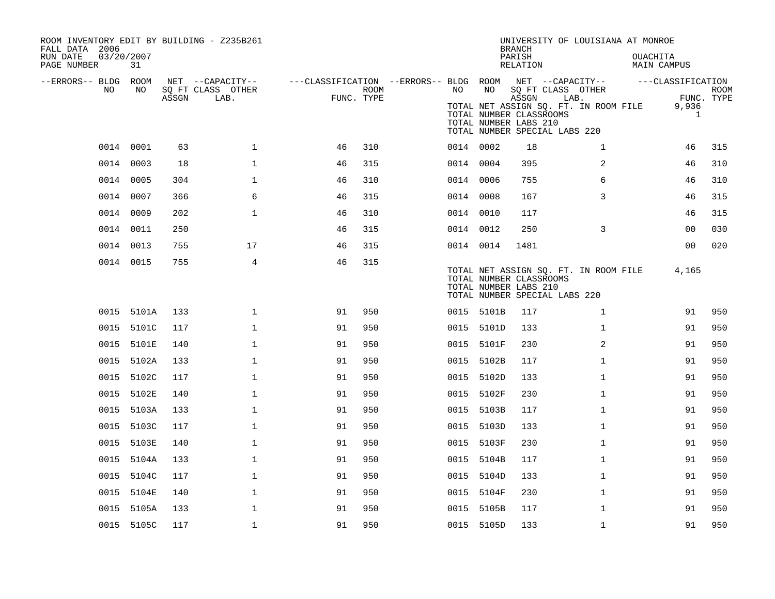| ROOM INVENTORY EDIT BY BUILDING - Z235B261<br>FALL DATA 2006 |            |       |                           |                                                         |                    |           |            | <b>BRANCH</b>                                                                              | UNIVERSITY OF LOUISIANA AT MONROE                                  |                         |                           |
|--------------------------------------------------------------|------------|-------|---------------------------|---------------------------------------------------------|--------------------|-----------|------------|--------------------------------------------------------------------------------------------|--------------------------------------------------------------------|-------------------------|---------------------------|
| RUN DATE<br>03/20/2007<br>PAGE NUMBER                        | 31         |       |                           |                                                         |                    |           |            | PARISH<br>RELATION                                                                         |                                                                    | OUACHITA<br>MAIN CAMPUS |                           |
| --ERRORS-- BLDG ROOM                                         |            |       | NET --CAPACITY--          | ---CLASSIFICATION --ERRORS-- BLDG ROOM NET --CAPACITY-- |                    |           |            |                                                                                            |                                                                    | ---CLASSIFICATION       |                           |
| NO.                                                          | NO         | ASSGN | SQ FT CLASS OTHER<br>LAB. |                                                         | ROOM<br>FUNC. TYPE | NO        | NO         | ASSGN<br>TOTAL NUMBER CLASSROOMS<br>TOTAL NUMBER LABS 210<br>TOTAL NUMBER SPECIAL LABS 220 | SQ FT CLASS OTHER<br>LAB.<br>TOTAL NET ASSIGN SQ. FT. IN ROOM FILE | 9,936<br>1              | <b>ROOM</b><br>FUNC. TYPE |
|                                                              | 0014 0001  | 63    | $\mathbf{1}$              | 46                                                      | 310                | 0014 0002 |            | 18                                                                                         | $\mathbf{1}$                                                       | 46                      | 315                       |
| 0014                                                         | 0003       | 18    | $\mathbf 1$               | 46                                                      | 315                | 0014 0004 |            | 395                                                                                        | 2                                                                  | 46                      | 310                       |
|                                                              | 0014 0005  | 304   | $\mathbf{1}$              | 46                                                      | 310                | 0014 0006 |            | 755                                                                                        | 6                                                                  | 46                      | 310                       |
|                                                              | 0014 0007  | 366   | 6                         | 46                                                      | 315                | 0014 0008 |            | 167                                                                                        | 3                                                                  | 46                      | 315                       |
|                                                              | 0014 0009  | 202   | $\mathbf{1}$              | 46                                                      | 310                | 0014 0010 |            | 117                                                                                        |                                                                    | 46                      | 315                       |
|                                                              | 0014 0011  | 250   |                           | 46                                                      | 315                | 0014 0012 |            | 250                                                                                        | 3                                                                  | 0 <sub>0</sub>          | 030                       |
|                                                              | 0014 0013  | 755   | 17                        | 46                                                      | 315                | 0014 0014 |            | 1481                                                                                       |                                                                    | 0 <sub>0</sub>          | 020                       |
|                                                              | 0014 0015  | 755   | 4                         | 46                                                      | 315                |           |            | TOTAL NUMBER CLASSROOMS<br>TOTAL NUMBER LABS 210<br>TOTAL NUMBER SPECIAL LABS 220          | TOTAL NET ASSIGN SQ. FT. IN ROOM FILE                              | 4,165                   |                           |
|                                                              | 0015 5101A | 133   | $\mathbf 1$               | 91                                                      | 950                |           | 0015 5101B | 117                                                                                        | $\mathbf{1}$                                                       | 91                      | 950                       |
|                                                              | 0015 5101C | 117   | $\mathbf{1}$              | 91                                                      | 950                |           | 0015 5101D | 133                                                                                        | $\mathbf{1}$                                                       | 91                      | 950                       |
|                                                              | 0015 5101E | 140   | $\mathbf{1}$              | 91                                                      | 950                |           | 0015 5101F | 230                                                                                        | 2                                                                  | 91                      | 950                       |
|                                                              | 0015 5102A | 133   | $\mathbf 1$               | 91                                                      | 950                |           | 0015 5102B | 117                                                                                        | $\mathbf{1}$                                                       | 91                      | 950                       |
|                                                              | 0015 5102C | 117   | $\mathbf 1$               | 91                                                      | 950                |           | 0015 5102D | 133                                                                                        | $\mathbf{1}$                                                       | 91                      | 950                       |
|                                                              | 0015 5102E | 140   | $\mathbf{1}$              | 91                                                      | 950                |           | 0015 5102F | 230                                                                                        | $\mathbf{1}$                                                       | 91                      | 950                       |
|                                                              | 0015 5103A | 133   | $\mathbf 1$               | 91                                                      | 950                |           | 0015 5103B | 117                                                                                        | $\mathbf{1}$                                                       | 91                      | 950                       |
|                                                              | 0015 5103C | 117   | $\mathbf{1}$              | 91                                                      | 950                |           | 0015 5103D | 133                                                                                        | $\mathbf{1}$                                                       | 91                      | 950                       |
|                                                              | 0015 5103E | 140   | $\mathbf{1}$              | 91                                                      | 950                |           | 0015 5103F | 230                                                                                        | $\mathbf{1}$                                                       | 91                      | 950                       |
| 0015                                                         | 5104A      | 133   | $\mathbf{1}$              | 91                                                      | 950                |           | 0015 5104B | 117                                                                                        | $\mathbf{1}$                                                       | 91                      | 950                       |
|                                                              | 0015 5104C | 117   | $\mathbf 1$               | 91                                                      | 950                |           | 0015 5104D | 133                                                                                        | $\mathbf{1}$                                                       | 91                      | 950                       |
|                                                              | 0015 5104E | 140   | $\mathbf 1$               | 91                                                      | 950                |           | 0015 5104F | 230                                                                                        | $\mathbf{1}$                                                       | 91                      | 950                       |
|                                                              | 0015 5105A | 133   | $\mathbf 1$               | 91                                                      | 950                |           | 0015 5105B | 117                                                                                        | $\mathbf{1}$                                                       | 91                      | 950                       |
|                                                              | 0015 5105C | 117   | $\mathbf 1$               | 91                                                      | 950                |           | 0015 5105D | 133                                                                                        | $\mathbf{1}$                                                       | 91                      | 950                       |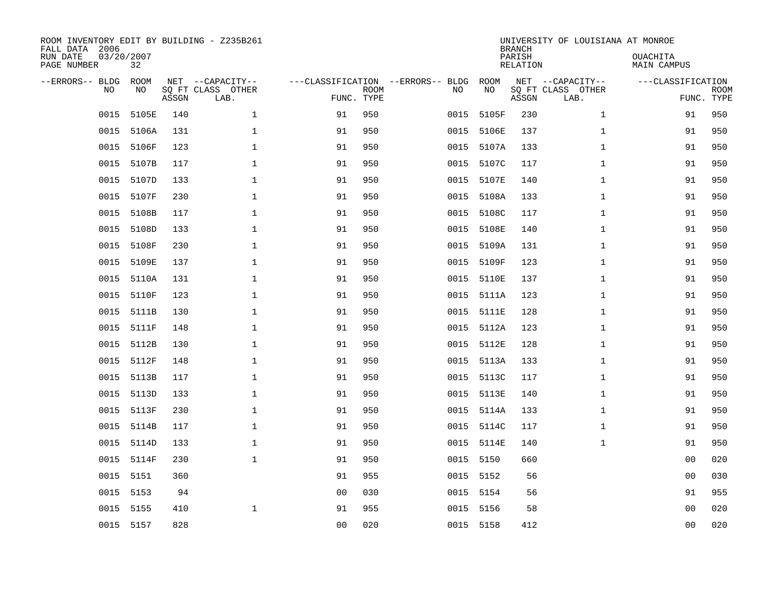| ROOM INVENTORY EDIT BY BUILDING - Z235B261<br>FALL DATA 2006<br>RUN DATE<br>PAGE NUMBER | 03/20/2007<br>32 |       |                                               |                                   |                           |           |            | <b>BRANCH</b><br>PARISH<br><b>RELATION</b> | UNIVERSITY OF LOUISIANA AT MONROE             | OUACHITA<br><b>MAIN CAMPUS</b>  |             |
|-----------------------------------------------------------------------------------------|------------------|-------|-----------------------------------------------|-----------------------------------|---------------------------|-----------|------------|--------------------------------------------|-----------------------------------------------|---------------------------------|-------------|
| --ERRORS-- BLDG<br><b>NO</b>                                                            | ROOM<br>NO.      | ASSGN | NET --CAPACITY--<br>SQ FT CLASS OTHER<br>LAB. | ---CLASSIFICATION --ERRORS-- BLDG | <b>ROOM</b><br>FUNC. TYPE | NO        | ROOM<br>NO | ASSGN                                      | NET --CAPACITY--<br>SQ FT CLASS OTHER<br>LAB. | ---CLASSIFICATION<br>FUNC. TYPE | <b>ROOM</b> |
| 0015                                                                                    | 5105E            | 140   | $\mathbf{1}$                                  | 91                                | 950                       | 0015      | 5105F      | 230                                        | $\mathbf{1}$                                  | 91                              | 950         |
| 0015                                                                                    | 5106A            | 131   | $\mathbf 1$                                   | 91                                | 950                       | 0015      | 5106E      | 137                                        | $\mathbf{1}$                                  | 91                              | 950         |
| 0015                                                                                    | 5106F            | 123   | $\mathbf{1}$                                  | 91                                | 950                       | 0015      | 5107A      | 133                                        | $\mathbf{1}$                                  | 91                              | 950         |
| 0015                                                                                    | 5107B            | 117   | $\mathbf{1}$                                  | 91                                | 950                       |           | 0015 5107C | 117                                        | $\mathbf{1}$                                  | 91                              | 950         |
| 0015                                                                                    | 5107D            | 133   | $\mathbf{1}$                                  | 91                                | 950                       | 0015      | 5107E      | 140                                        | $\mathbf{1}$                                  | 91                              | 950         |
| 0015                                                                                    | 5107F            | 230   | $\mathbf{1}$                                  | 91                                | 950                       |           | 0015 5108A | 133                                        | $\mathbf{1}$                                  | 91                              | 950         |
| 0015                                                                                    | 5108B            | 117   | $\mathbf{1}$                                  | 91                                | 950                       | 0015      | 5108C      | 117                                        | $\mathbf{1}$                                  | 91                              | 950         |
| 0015                                                                                    | 5108D            | 133   | $\mathbf 1$                                   | 91                                | 950                       | 0015      | 5108E      | 140                                        | $\mathbf{1}$                                  | 91                              | 950         |
| 0015                                                                                    | 5108F            | 230   | $\mathbf 1$                                   | 91                                | 950                       | 0015      | 5109A      | 131                                        | $\mathbf{1}$                                  | 91                              | 950         |
| 0015                                                                                    | 5109E            | 137   | $\mathbf 1$                                   | 91                                | 950                       |           | 0015 5109F | 123                                        | $\mathbf{1}$                                  | 91                              | 950         |
| 0015                                                                                    | 5110A            | 131   | $\mathbf 1$                                   | 91                                | 950                       | 0015      | 5110E      | 137                                        | $\mathbf{1}$                                  | 91                              | 950         |
| 0015                                                                                    | 5110F            | 123   | $\mathbf 1$                                   | 91                                | 950                       |           | 0015 5111A | 123                                        | $\mathbf{1}$                                  | 91                              | 950         |
| 0015                                                                                    | 5111B            | 130   | $\mathbf{1}$                                  | 91                                | 950                       | 0015      | 5111E      | 128                                        | $\mathbf{1}$                                  | 91                              | 950         |
| 0015                                                                                    | 5111F            | 148   | $\mathbf 1$                                   | 91                                | 950                       |           | 0015 5112A | 123                                        | $\mathbf{1}$                                  | 91                              | 950         |
| 0015                                                                                    | 5112B            | 130   | $\mathbf 1$                                   | 91                                | 950                       | 0015      | 5112E      | 128                                        | $\mathbf{1}$                                  | 91                              | 950         |
| 0015                                                                                    | 5112F            | 148   | $\mathbf 1$                                   | 91                                | 950                       |           | 0015 5113A | 133                                        | $\mathbf{1}$                                  | 91                              | 950         |
| 0015                                                                                    | 5113B            | 117   | $\mathbf 1$                                   | 91                                | 950                       | 0015      | 5113C      | 117                                        | $\mathbf{1}$                                  | 91                              | 950         |
| 0015                                                                                    | 5113D            | 133   | $\mathbf{1}$                                  | 91                                | 950                       |           | 0015 5113E | 140                                        | $\mathbf{1}$                                  | 91                              | 950         |
| 0015                                                                                    | 5113F            | 230   | $\mathbf 1$                                   | 91                                | 950                       | 0015      | 5114A      | 133                                        | $\mathbf{1}$                                  | 91                              | 950         |
| 0015                                                                                    | 5114B            | 117   | $\mathbf{1}$                                  | 91                                | 950                       |           | 0015 5114C | 117                                        | $\mathbf{1}$                                  | 91                              | 950         |
| 0015                                                                                    | 5114D            | 133   | $\mathbf{1}$                                  | 91                                | 950                       |           | 0015 5114E | 140                                        | $\mathbf{1}$                                  | 91                              | 950         |
| 0015                                                                                    | 5114F            | 230   | $\mathbf{1}$                                  | 91                                | 950                       | 0015 5150 |            | 660                                        |                                               | 0 <sub>0</sub>                  | 020         |
| 0015                                                                                    | 5151             | 360   |                                               | 91                                | 955                       | 0015 5152 |            | 56                                         |                                               | 00                              | 030         |
| 0015                                                                                    | 5153             | 94    |                                               | 0 <sub>0</sub>                    | 030                       | 0015 5154 |            | 56                                         |                                               | 91                              | 955         |
|                                                                                         | 0015 5155        | 410   | 1                                             | 91                                | 955                       | 0015 5156 |            | 58                                         |                                               | 00                              | 020         |
|                                                                                         | 0015 5157        | 828   |                                               | 0 <sub>0</sub>                    | 020                       | 0015 5158 |            | 412                                        |                                               | 0 <sub>0</sub>                  | 020         |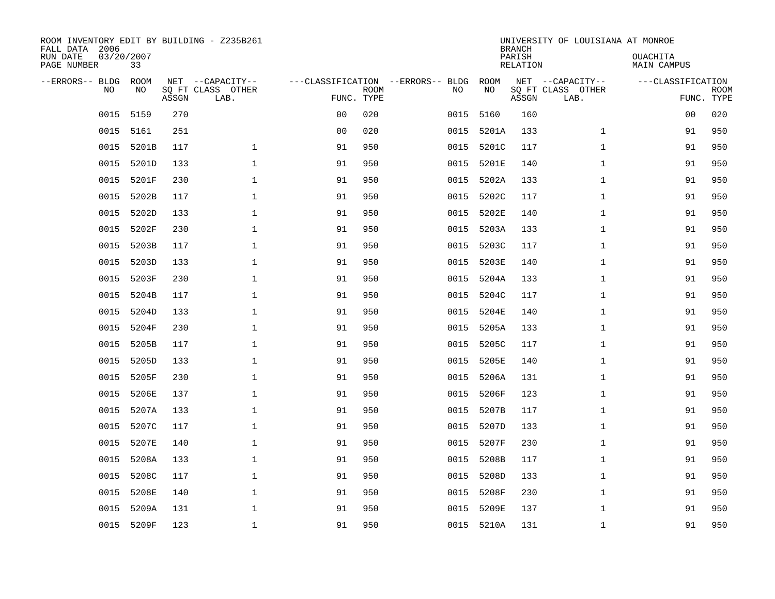| ROOM INVENTORY EDIT BY BUILDING - Z235B261<br>FALL DATA 2006<br>RUN DATE | 03/20/2007 |       |                                       |                                   |             |      |            | <b>BRANCH</b><br>PARISH | UNIVERSITY OF LOUISIANA AT MONROE     | OUACHITA           |             |
|--------------------------------------------------------------------------|------------|-------|---------------------------------------|-----------------------------------|-------------|------|------------|-------------------------|---------------------------------------|--------------------|-------------|
| PAGE NUMBER                                                              | 33         |       |                                       |                                   |             |      |            | <b>RELATION</b>         |                                       | <b>MAIN CAMPUS</b> |             |
| --ERRORS-- BLDG<br>NO                                                    | ROOM<br>NO |       | NET --CAPACITY--<br>SQ FT CLASS OTHER | ---CLASSIFICATION --ERRORS-- BLDG | <b>ROOM</b> | NO   | ROOM<br>NO |                         | NET --CAPACITY--<br>SQ FT CLASS OTHER | ---CLASSIFICATION  | <b>ROOM</b> |
|                                                                          |            | ASSGN | LAB.                                  | FUNC. TYPE                        |             |      |            | ASSGN                   | LAB.                                  | FUNC. TYPE         |             |
| 0015                                                                     | 5159       | 270   |                                       | 0 <sub>0</sub>                    | 020         | 0015 | 5160       | 160                     |                                       | 00                 | 020         |
| 0015                                                                     | 5161       | 251   |                                       | 0 <sub>0</sub>                    | 020         | 0015 | 5201A      | 133                     | $\mathbf{1}$                          | 91                 | 950         |
| 0015                                                                     | 5201B      | 117   | $\mathbf 1$                           | 91                                | 950         | 0015 | 5201C      | 117                     | $\mathbf{1}$                          | 91                 | 950         |
| 0015                                                                     | 5201D      | 133   | $\mathbf 1$                           | 91                                | 950         | 0015 | 5201E      | 140                     | $\mathbf{1}$                          | 91                 | 950         |
| 0015                                                                     | 5201F      | 230   | $\mathbf{1}$                          | 91                                | 950         | 0015 | 5202A      | 133                     | $\mathbf{1}$                          | 91                 | 950         |
| 0015                                                                     | 5202B      | 117   | $\mathbf{1}$                          | 91                                | 950         | 0015 | 5202C      | 117                     | $\mathbf{1}$                          | 91                 | 950         |
| 0015                                                                     | 5202D      | 133   | $\mathbf{1}$                          | 91                                | 950         | 0015 | 5202E      | 140                     | $\mathbf{1}$                          | 91                 | 950         |
| 0015                                                                     | 5202F      | 230   | $\mathbf{1}$                          | 91                                | 950         | 0015 | 5203A      | 133                     | $\mathbf{1}$                          | 91                 | 950         |
| 0015                                                                     | 5203B      | 117   | $\mathbf{1}$                          | 91                                | 950         | 0015 | 5203C      | 117                     | $\mathbf{1}$                          | 91                 | 950         |
| 0015                                                                     | 5203D      | 133   | $\mathbf{1}$                          | 91                                | 950         | 0015 | 5203E      | 140                     | $\mathbf{1}$                          | 91                 | 950         |
| 0015                                                                     | 5203F      | 230   | $\mathbf{1}$                          | 91                                | 950         | 0015 | 5204A      | 133                     | $\mathbf{1}$                          | 91                 | 950         |
| 0015                                                                     | 5204B      | 117   | $\mathbf{1}$                          | 91                                | 950         | 0015 | 5204C      | 117                     | $\mathbf{1}$                          | 91                 | 950         |
| 0015                                                                     | 5204D      | 133   | $\mathbf 1$                           | 91                                | 950         | 0015 | 5204E      | 140                     | $\mathbf{1}$                          | 91                 | 950         |
| 0015                                                                     | 5204F      | 230   | $\mathbf 1$                           | 91                                | 950         | 0015 | 5205A      | 133                     | $\mathbf{1}$                          | 91                 | 950         |
| 0015                                                                     | 5205B      | 117   | 1                                     | 91                                | 950         | 0015 | 5205C      | 117                     | $\mathbf{1}$                          | 91                 | 950         |
| 0015                                                                     | 5205D      | 133   | $\mathbf 1$                           | 91                                | 950         | 0015 | 5205E      | 140                     | $\mathbf{1}$                          | 91                 | 950         |
| 0015                                                                     | 5205F      | 230   | $\mathbf 1$                           | 91                                | 950         | 0015 | 5206A      | 131                     | $\mathbf{1}$                          | 91                 | 950         |
| 0015                                                                     | 5206E      | 137   | $\mathbf{1}$                          | 91                                | 950         | 0015 | 5206F      | 123                     | $\mathbf{1}$                          | 91                 | 950         |
| 0015                                                                     | 5207A      | 133   | $\mathbf{1}$                          | 91                                | 950         |      | 0015 5207B | 117                     | $\mathbf{1}$                          | 91                 | 950         |
| 0015                                                                     | 5207C      | 117   | $\mathbf 1$                           | 91                                | 950         | 0015 | 5207D      | 133                     | $\mathbf{1}$                          | 91                 | 950         |
| 0015                                                                     | 5207E      | 140   | 1                                     | 91                                | 950         | 0015 | 5207F      | 230                     | $\mathbf{1}$                          | 91                 | 950         |
| 0015                                                                     | 5208A      | 133   | $\mathbf{1}$                          | 91                                | 950         | 0015 | 5208B      | 117                     | $\mathbf{1}$                          | 91                 | 950         |
| 0015                                                                     | 5208C      | 117   | 1                                     | 91                                | 950         | 0015 | 5208D      | 133                     | $\mathbf{1}$                          | 91                 | 950         |
| 0015                                                                     | 5208E      | 140   | $\mathbf 1$                           | 91                                | 950         | 0015 | 5208F      | 230                     | $\mathbf{1}$                          | 91                 | 950         |
| 0015                                                                     | 5209A      | 131   | $\mathbf 1$                           | 91                                | 950         | 0015 | 5209E      | 137                     | $\mathbf{1}$                          | 91                 | 950         |
|                                                                          | 0015 5209F | 123   | $\mathbf{1}$                          | 91                                | 950         |      | 0015 5210A | 131                     | $\mathbf{1}$                          | 91                 | 950         |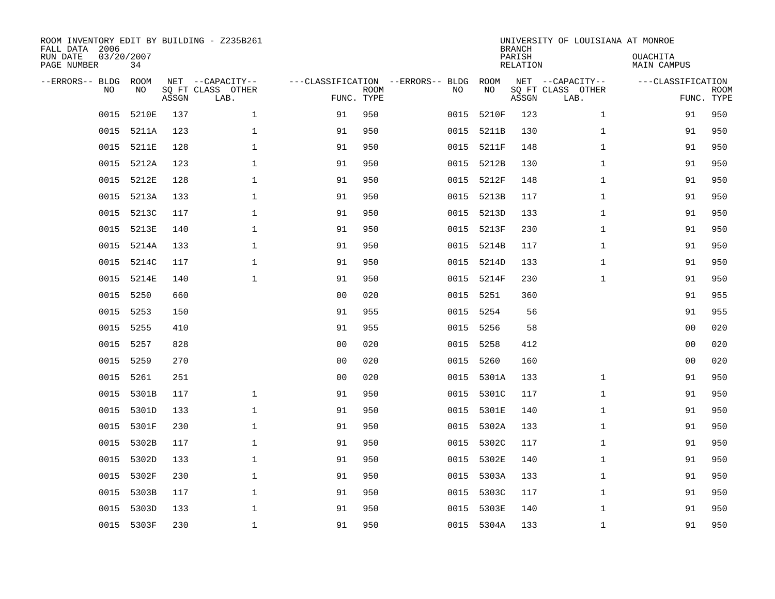| ROOM INVENTORY EDIT BY BUILDING - Z235B261<br>FALL DATA 2006<br>RUN DATE<br>PAGE NUMBER | 03/20/2007<br>34 |       |                                               |                                                 |             |           |            | <b>BRANCH</b><br>PARISH<br><b>RELATION</b> | UNIVERSITY OF LOUISIANA AT MONROE             | OUACHITA<br><b>MAIN CAMPUS</b>  |             |
|-----------------------------------------------------------------------------------------|------------------|-------|-----------------------------------------------|-------------------------------------------------|-------------|-----------|------------|--------------------------------------------|-----------------------------------------------|---------------------------------|-------------|
| --ERRORS-- BLDG<br>NO                                                                   | ROOM<br>NO       | ASSGN | NET --CAPACITY--<br>SQ FT CLASS OTHER<br>LAB. | ---CLASSIFICATION --ERRORS-- BLDG<br>FUNC. TYPE | <b>ROOM</b> | NO        | ROOM<br>NO | ASSGN                                      | NET --CAPACITY--<br>SQ FT CLASS OTHER<br>LAB. | ---CLASSIFICATION<br>FUNC. TYPE | <b>ROOM</b> |
| 0015                                                                                    | 5210E            | 137   | $\mathbf 1$                                   | 91                                              | 950         | 0015      | 5210F      | 123                                        | $\mathbf{1}$                                  | 91                              | 950         |
| 0015                                                                                    | 5211A            | 123   | 1                                             | 91                                              | 950         | 0015      | 5211B      | 130                                        | $\mathbf{1}$                                  | 91                              | 950         |
| 0015                                                                                    | 5211E            | 128   | 1                                             | 91                                              | 950         | 0015      | 5211F      | 148                                        | $\mathbf{1}$                                  | 91                              | 950         |
| 0015                                                                                    | 5212A            | 123   | $\mathbf 1$                                   | 91                                              | 950         |           | 0015 5212B | 130                                        | $\mathbf{1}$                                  | 91                              | 950         |
| 0015                                                                                    | 5212E            | 128   | $\mathbf{1}$                                  | 91                                              | 950         | 0015      | 5212F      | 148                                        | $\mathbf{1}$                                  | 91                              | 950         |
| 0015                                                                                    | 5213A            | 133   | $\mathbf{1}$                                  | 91                                              | 950         |           | 0015 5213B | 117                                        | $\mathbf{1}$                                  | 91                              | 950         |
| 0015                                                                                    | 5213C            | 117   | $\mathbf{1}$                                  | 91                                              | 950         | 0015      | 5213D      | 133                                        | $\mathbf{1}$                                  | 91                              | 950         |
| 0015                                                                                    | 5213E            | 140   | $\mathbf 1$                                   | 91                                              | 950         |           | 0015 5213F | 230                                        | $\mathbf{1}$                                  | 91                              | 950         |
| 0015                                                                                    | 5214A            | 133   | $\mathbf{1}$                                  | 91                                              | 950         | 0015      | 5214B      | 117                                        | $\mathbf{1}$                                  | 91                              | 950         |
| 0015                                                                                    | 5214C            | 117   | $\mathbf{1}$                                  | 91                                              | 950         |           | 0015 5214D | 133                                        | $\mathbf{1}$                                  | 91                              | 950         |
| 0015                                                                                    | 5214E            | 140   | $\mathbf{1}$                                  | 91                                              | 950         | 0015      | 5214F      | 230                                        | $\mathbf{1}$                                  | 91                              | 950         |
| 0015                                                                                    | 5250             | 660   |                                               | 0 <sub>0</sub>                                  | 020         | 0015      | 5251       | 360                                        |                                               | 91                              | 955         |
| 0015                                                                                    | 5253             | 150   |                                               | 91                                              | 955         | 0015      | 5254       | 56                                         |                                               | 91                              | 955         |
| 0015                                                                                    | 5255             | 410   |                                               | 91                                              | 955         | 0015 5256 |            | 58                                         |                                               | 00                              | 020         |
| 0015                                                                                    | 5257             | 828   |                                               | 0 <sub>0</sub>                                  | 020         | 0015      | 5258       | 412                                        |                                               | 0 <sub>0</sub>                  | 020         |
| 0015                                                                                    | 5259             | 270   |                                               | 0 <sub>0</sub>                                  | 020         | 0015      | 5260       | 160                                        |                                               | 0 <sub>0</sub>                  | 020         |
| 0015                                                                                    | 5261             | 251   |                                               | 0 <sub>0</sub>                                  | 020         | 0015      | 5301A      | 133                                        | $\mathbf{1}$                                  | 91                              | 950         |
| 0015                                                                                    | 5301B            | 117   | $\mathbf{1}$                                  | 91                                              | 950         | 0015      | 5301C      | 117                                        | $\mathbf{1}$                                  | 91                              | 950         |
|                                                                                         | 0015 5301D       | 133   | $\mathbf{1}$                                  | 91                                              | 950         |           | 0015 5301E | 140                                        | $\mathbf{1}$                                  | 91                              | 950         |
| 0015                                                                                    | 5301F            | 230   | $\mathbf 1$                                   | 91                                              | 950         |           | 0015 5302A | 133                                        | $\mathbf{1}$                                  | 91                              | 950         |
| 0015                                                                                    | 5302B            | 117   | $\mathbf 1$                                   | 91                                              | 950         |           | 0015 5302C | 117                                        | $\mathbf{1}$                                  | 91                              | 950         |
| 0015                                                                                    | 5302D            | 133   | $\mathbf 1$                                   | 91                                              | 950         | 0015      | 5302E      | 140                                        | $\mathbf{1}$                                  | 91                              | 950         |
| 0015                                                                                    | 5302F            | 230   | $\mathbf 1$                                   | 91                                              | 950         |           | 0015 5303A | 133                                        | $\mathbf{1}$                                  | 91                              | 950         |
| 0015                                                                                    | 5303B            | 117   | $\mathbf 1$                                   | 91                                              | 950         | 0015      | 5303C      | 117                                        | $\mathbf{1}$                                  | 91                              | 950         |
| 0015                                                                                    | 5303D            | 133   | $\mathbf{1}$                                  | 91                                              | 950         |           | 0015 5303E | 140                                        | $\mathbf{1}$                                  | 91                              | 950         |
|                                                                                         | 0015 5303F       | 230   | $\mathbf{1}$                                  | 91                                              | 950         |           | 0015 5304A | 133                                        | $\mathbf{1}$                                  | 91                              | 950         |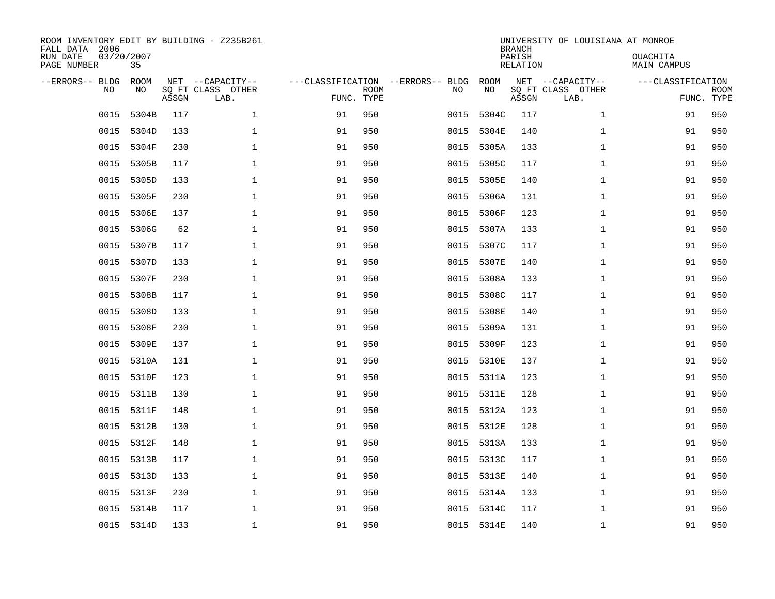| ROOM INVENTORY EDIT BY BUILDING - Z235B261<br>FALL DATA 2006<br>RUN DATE<br>PAGE NUMBER | 03/20/2007<br>35  |       |                                               |                                   |                           |      |            | <b>BRANCH</b><br>PARISH<br><b>RELATION</b> | UNIVERSITY OF LOUISIANA AT MONROE             | OUACHITA<br><b>MAIN CAMPUS</b>  |             |
|-----------------------------------------------------------------------------------------|-------------------|-------|-----------------------------------------------|-----------------------------------|---------------------------|------|------------|--------------------------------------------|-----------------------------------------------|---------------------------------|-------------|
| --ERRORS-- BLDG<br>NO                                                                   | <b>ROOM</b><br>NO | ASSGN | NET --CAPACITY--<br>SQ FT CLASS OTHER<br>LAB. | ---CLASSIFICATION --ERRORS-- BLDG | <b>ROOM</b><br>FUNC. TYPE | NO   | ROOM<br>NO | ASSGN                                      | NET --CAPACITY--<br>SQ FT CLASS OTHER<br>LAB. | ---CLASSIFICATION<br>FUNC. TYPE | <b>ROOM</b> |
| 0015                                                                                    | 5304B             | 117   | $\mathbf{1}$                                  | 91                                | 950                       | 0015 | 5304C      | 117                                        | $\mathbf{1}$                                  | 91                              | 950         |
| 0015                                                                                    | 5304D             | 133   | 1                                             | 91                                | 950                       | 0015 | 5304E      | 140                                        | $\mathbf{1}$                                  | 91                              | 950         |
| 0015                                                                                    | 5304F             | 230   | $\mathbf 1$                                   | 91                                | 950                       | 0015 | 5305A      | 133                                        | $\mathbf{1}$                                  | 91                              | 950         |
| 0015                                                                                    | 5305B             | 117   | $\mathbf 1$                                   | 91                                | 950                       | 0015 | 5305C      | 117                                        | $\mathbf{1}$                                  | 91                              | 950         |
| 0015                                                                                    | 5305D             | 133   | $\mathbf 1$                                   | 91                                | 950                       | 0015 | 5305E      | 140                                        | $\mathbf{1}$                                  | 91                              | 950         |
| 0015                                                                                    | 5305F             | 230   | $\mathbf 1$                                   | 91                                | 950                       | 0015 | 5306A      | 131                                        | $\mathbf{1}$                                  | 91                              | 950         |
| 0015                                                                                    | 5306E             | 137   | $\mathbf{1}$                                  | 91                                | 950                       | 0015 | 5306F      | 123                                        | $\mathbf{1}$                                  | 91                              | 950         |
| 0015                                                                                    | 5306G             | 62    | $\mathbf{1}$                                  | 91                                | 950                       |      | 0015 5307A | 133                                        | $\mathbf{1}$                                  | 91                              | 950         |
| 0015                                                                                    | 5307B             | 117   | $\mathbf{1}$                                  | 91                                | 950                       | 0015 | 5307C      | 117                                        | $\mathbf{1}$                                  | 91                              | 950         |
| 0015                                                                                    | 5307D             | 133   | $\mathbf 1$                                   | 91                                | 950                       | 0015 | 5307E      | 140                                        | $\mathbf{1}$                                  | 91                              | 950         |
| 0015                                                                                    | 5307F             | 230   | $\mathbf 1$                                   | 91                                | 950                       | 0015 | 5308A      | 133                                        | $\mathbf{1}$                                  | 91                              | 950         |
| 0015                                                                                    | 5308B             | 117   | $\mathbf 1$                                   | 91                                | 950                       | 0015 | 5308C      | 117                                        | $\mathbf{1}$                                  | 91                              | 950         |
| 0015                                                                                    | 5308D             | 133   | $\mathbf 1$                                   | 91                                | 950                       | 0015 | 5308E      | 140                                        | $\mathbf{1}$                                  | 91                              | 950         |
| 0015                                                                                    | 5308F             | 230   | $\mathbf 1$                                   | 91                                | 950                       | 0015 | 5309A      | 131                                        | $\mathbf{1}$                                  | 91                              | 950         |
| 0015                                                                                    | 5309E             | 137   | $\mathbf 1$                                   | 91                                | 950                       | 0015 | 5309F      | 123                                        | $\mathbf{1}$                                  | 91                              | 950         |
| 0015                                                                                    | 5310A             | 131   | $\mathbf{1}$                                  | 91                                | 950                       | 0015 | 5310E      | 137                                        | $\mathbf{1}$                                  | 91                              | 950         |
| 0015                                                                                    | 5310F             | 123   | 1                                             | 91                                | 950                       | 0015 | 5311A      | 123                                        | $\mathbf{1}$                                  | 91                              | 950         |
| 0015                                                                                    | 5311B             | 130   | $\mathbf 1$                                   | 91                                | 950                       | 0015 | 5311E      | 128                                        | $\mathbf{1}$                                  | 91                              | 950         |
| 0015                                                                                    | 5311F             | 148   | 1                                             | 91                                | 950                       |      | 0015 5312A | 123                                        | $\mathbf{1}$                                  | 91                              | 950         |
| 0015                                                                                    | 5312B             | 130   | 1                                             | 91                                | 950                       |      | 0015 5312E | 128                                        | $\mathbf{1}$                                  | 91                              | 950         |
|                                                                                         | 0015 5312F        | 148   | 1                                             | 91                                | 950                       |      | 0015 5313A | 133                                        | $\mathbf{1}$                                  | 91                              | 950         |
| 0015                                                                                    | 5313B             | 117   | $\mathbf 1$                                   | 91                                | 950                       | 0015 | 5313C      | 117                                        | $\mathbf{1}$                                  | 91                              | 950         |
| 0015                                                                                    | 5313D             | 133   | $\mathbf 1$                                   | 91                                | 950                       |      | 0015 5313E | 140                                        | $\mathbf{1}$                                  | 91                              | 950         |
| 0015                                                                                    | 5313F             | 230   | $\mathbf 1$                                   | 91                                | 950                       | 0015 | 5314A      | 133                                        | $\mathbf{1}$                                  | 91                              | 950         |
| 0015                                                                                    | 5314B             | 117   | $\mathbf{1}$                                  | 91                                | 950                       |      | 0015 5314C | 117                                        | $\mathbf{1}$                                  | 91                              | 950         |
|                                                                                         | 0015 5314D        | 133   | $\mathbf{1}$                                  | 91                                | 950                       |      | 0015 5314E | 140                                        | $\mathbf{1}$                                  | 91                              | 950         |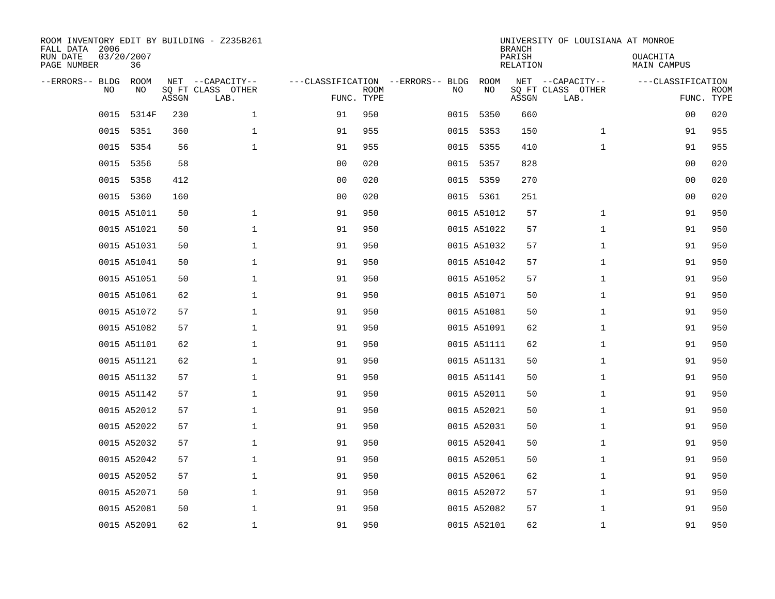| ROOM INVENTORY EDIT BY BUILDING - Z235B261<br>FALL DATA 2006<br>RUN DATE | 03/20/2007        |       |                                       |                |             |                                         |                   | <b>BRANCH</b><br>PARISH | UNIVERSITY OF LOUISIANA AT MONROE     | OUACHITA          |             |
|--------------------------------------------------------------------------|-------------------|-------|---------------------------------------|----------------|-------------|-----------------------------------------|-------------------|-------------------------|---------------------------------------|-------------------|-------------|
| PAGE NUMBER                                                              | 36                |       |                                       |                |             |                                         |                   | <b>RELATION</b>         |                                       | MAIN CAMPUS       |             |
| --ERRORS-- BLDG<br>NO                                                    | <b>ROOM</b><br>NO |       | NET --CAPACITY--<br>SQ FT CLASS OTHER |                | <b>ROOM</b> | ---CLASSIFICATION --ERRORS-- BLDG<br>NO | <b>ROOM</b><br>NO |                         | NET --CAPACITY--<br>SQ FT CLASS OTHER | ---CLASSIFICATION | <b>ROOM</b> |
|                                                                          |                   | ASSGN | LAB.                                  | FUNC. TYPE     |             |                                         |                   | ASSGN                   | LAB.                                  |                   | FUNC. TYPE  |
| 0015                                                                     | 5314F             | 230   | 1                                     | 91             | 950         | 0015                                    | 5350              | 660                     |                                       | 00                | 020         |
| 0015                                                                     | 5351              | 360   | $\mathbf{1}$                          | 91             | 955         |                                         | 0015 5353         | 150                     | $\mathbf{1}$                          | 91                | 955         |
| 0015                                                                     | 5354              | 56    | $\mathbf 1$                           | 91             | 955         | 0015                                    | 5355              | 410                     | $\mathbf{1}$                          | 91                | 955         |
|                                                                          | 0015 5356         | 58    |                                       | 0 <sub>0</sub> | 020         |                                         | 0015 5357         | 828                     |                                       | 00                | 020         |
| 0015                                                                     | 5358              | 412   |                                       | 0 <sub>0</sub> | 020         | 0015                                    | 5359              | 270                     |                                       | 00                | 020         |
|                                                                          | 0015 5360         | 160   |                                       | 0 <sub>0</sub> | 020         |                                         | 0015 5361         | 251                     |                                       | 0 <sub>0</sub>    | 020         |
|                                                                          | 0015 A51011       | 50    | $\mathbf{1}$                          | 91             | 950         |                                         | 0015 A51012       | 57                      | $\mathbf{1}$                          | 91                | 950         |
|                                                                          | 0015 A51021       | 50    | $\mathbf{1}$                          | 91             | 950         |                                         | 0015 A51022       | 57                      | $\mathbf{1}$                          | 91                | 950         |
|                                                                          | 0015 A51031       | 50    | $\mathbf 1$                           | 91             | 950         |                                         | 0015 A51032       | 57                      | $\mathbf{1}$                          | 91                | 950         |
|                                                                          | 0015 A51041       | 50    | $\mathbf 1$                           | 91             | 950         |                                         | 0015 A51042       | 57                      | $\mathbf{1}$                          | 91                | 950         |
|                                                                          | 0015 A51051       | 50    | $\mathbf 1$                           | 91             | 950         |                                         | 0015 A51052       | 57                      | $\mathbf{1}$                          | 91                | 950         |
|                                                                          | 0015 A51061       | 62    | $\mathbf 1$                           | 91             | 950         |                                         | 0015 A51071       | 50                      | $\mathbf{1}$                          | 91                | 950         |
|                                                                          | 0015 A51072       | 57    | $\mathbf 1$                           | 91             | 950         |                                         | 0015 A51081       | 50                      | $\mathbf{1}$                          | 91                | 950         |
|                                                                          | 0015 A51082       | 57    | $\mathbf 1$                           | 91             | 950         |                                         | 0015 A51091       | 62                      | $\mathbf{1}$                          | 91                | 950         |
|                                                                          | 0015 A51101       | 62    | $\mathbf 1$                           | 91             | 950         |                                         | 0015 A51111       | 62                      | $\mathbf{1}$                          | 91                | 950         |
|                                                                          | 0015 A51121       | 62    | $\mathbf 1$                           | 91             | 950         |                                         | 0015 A51131       | 50                      | $\mathbf{1}$                          | 91                | 950         |
|                                                                          | 0015 A51132       | 57    | 1                                     | 91             | 950         |                                         | 0015 A51141       | 50                      | $\mathbf{1}$                          | 91                | 950         |
|                                                                          | 0015 A51142       | 57    | $\mathbf 1$                           | 91             | 950         |                                         | 0015 A52011       | 50                      | $\mathbf{1}$                          | 91                | 950         |
|                                                                          | 0015 A52012       | 57    | 1                                     | 91             | 950         |                                         | 0015 A52021       | 50                      | $\mathbf{1}$                          | 91                | 950         |
|                                                                          | 0015 A52022       | 57    | $\mathbf 1$                           | 91             | 950         |                                         | 0015 A52031       | 50                      | $\mathbf{1}$                          | 91                | 950         |
|                                                                          | 0015 A52032       | 57    | $\mathbf 1$                           | 91             | 950         |                                         | 0015 A52041       | 50                      | $\mathbf{1}$                          | 91                | 950         |
|                                                                          | 0015 A52042       | 57    | $\mathbf 1$                           | 91             | 950         |                                         | 0015 A52051       | 50                      | $\mathbf{1}$                          | 91                | 950         |
|                                                                          | 0015 A52052       | 57    | $\mathbf 1$                           | 91             | 950         |                                         | 0015 A52061       | 62                      | $\mathbf{1}$                          | 91                | 950         |
|                                                                          | 0015 A52071       | 50    | $\mathbf 1$                           | 91             | 950         |                                         | 0015 A52072       | 57                      | $\mathbf{1}$                          | 91                | 950         |
|                                                                          | 0015 A52081       | 50    | $\mathbf 1$                           | 91             | 950         |                                         | 0015 A52082       | 57                      | $\mathbf{1}$                          | 91                | 950         |
|                                                                          | 0015 A52091       | 62    | $\mathbf{1}$                          | 91             | 950         |                                         | 0015 A52101       | 62                      | $\mathbf{1}$                          | 91                | 950         |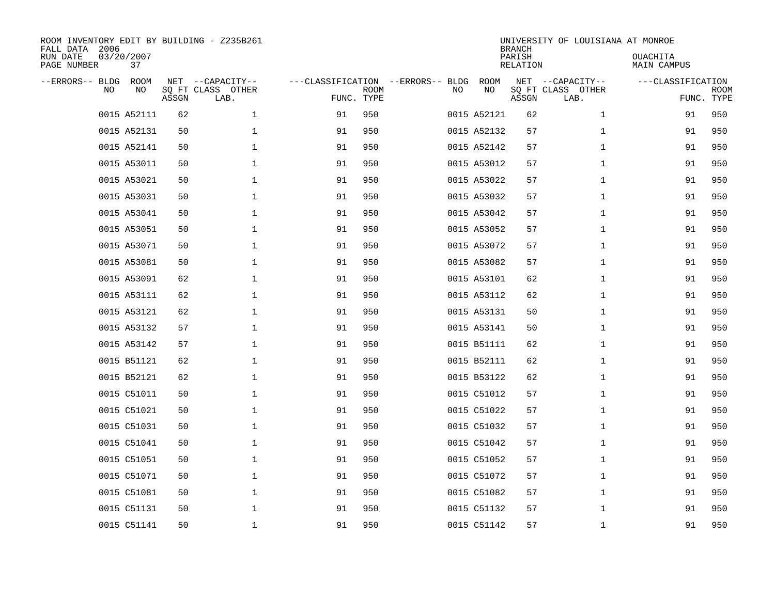| ROOM INVENTORY EDIT BY BUILDING - Z235B261<br>FALL DATA 2006<br>03/20/2007<br>RUN DATE<br>PAGE NUMBER | 37         |       |                                               |                                                 |             |    |             | <b>BRANCH</b><br>PARISH<br><b>RELATION</b> | UNIVERSITY OF LOUISIANA AT MONROE             | OUACHITA<br>MAIN CAMPUS |                           |
|-------------------------------------------------------------------------------------------------------|------------|-------|-----------------------------------------------|-------------------------------------------------|-------------|----|-------------|--------------------------------------------|-----------------------------------------------|-------------------------|---------------------------|
| --ERRORS-- BLDG<br>NO.                                                                                | ROOM<br>NO | ASSGN | NET --CAPACITY--<br>SQ FT CLASS OTHER<br>LAB. | ---CLASSIFICATION --ERRORS-- BLDG<br>FUNC. TYPE | <b>ROOM</b> | NO | ROOM<br>NO  | ASSGN                                      | NET --CAPACITY--<br>SQ FT CLASS OTHER<br>LAB. | ---CLASSIFICATION       | <b>ROOM</b><br>FUNC. TYPE |
| 0015 A52111                                                                                           |            | 62    | $\mathbf 1$                                   | 91                                              | 950         |    | 0015 A52121 | 62                                         | $\mathbf{1}$                                  | 91                      | 950                       |
| 0015 A52131                                                                                           |            | 50    | $\mathbf 1$                                   | 91                                              | 950         |    | 0015 A52132 | 57                                         | $\mathbf{1}$                                  | 91                      | 950                       |
| 0015 A52141                                                                                           |            | 50    | $\mathbf 1$                                   | 91                                              | 950         |    | 0015 A52142 | 57                                         | $\mathbf{1}$                                  | 91                      | 950                       |
| 0015 A53011                                                                                           |            | 50    | $\mathbf 1$                                   | 91                                              | 950         |    | 0015 A53012 | 57                                         | $\mathbf{1}$                                  | 91                      | 950                       |
| 0015 A53021                                                                                           |            | 50    | $\mathbf 1$                                   | 91                                              | 950         |    | 0015 A53022 | 57                                         | $\mathbf{1}$                                  | 91                      | 950                       |
| 0015 A53031                                                                                           |            | 50    | $\mathbf 1$                                   | 91                                              | 950         |    | 0015 A53032 | 57                                         | $\mathbf{1}$                                  | 91                      | 950                       |
| 0015 A53041                                                                                           |            | 50    | $\mathbf 1$                                   | 91                                              | 950         |    | 0015 A53042 | 57                                         | $\mathbf{1}$                                  | 91                      | 950                       |
| 0015 A53051                                                                                           |            | 50    | $\mathbf{1}$                                  | 91                                              | 950         |    | 0015 A53052 | 57                                         | $\mathbf{1}$                                  | 91                      | 950                       |
| 0015 A53071                                                                                           |            | 50    | $\mathbf 1$                                   | 91                                              | 950         |    | 0015 A53072 | 57                                         | $\mathbf{1}$                                  | 91                      | 950                       |
| 0015 A53081                                                                                           |            | 50    | $\mathbf{1}$                                  | 91                                              | 950         |    | 0015 A53082 | 57                                         | $\mathbf{1}$                                  | 91                      | 950                       |
| 0015 A53091                                                                                           |            | 62    | $\mathbf{1}$                                  | 91                                              | 950         |    | 0015 A53101 | 62                                         | $\mathbf{1}$                                  | 91                      | 950                       |
| 0015 A53111                                                                                           |            | 62    | $\mathbf{1}$                                  | 91                                              | 950         |    | 0015 A53112 | 62                                         | $\mathbf{1}$                                  | 91                      | 950                       |
| 0015 A53121                                                                                           |            | 62    | $\mathbf{1}$                                  | 91                                              | 950         |    | 0015 A53131 | 50                                         | $\mathbf{1}$                                  | 91                      | 950                       |
| 0015 A53132                                                                                           |            | 57    | $\mathbf{1}$                                  | 91                                              | 950         |    | 0015 A53141 | 50                                         | $\mathbf{1}$                                  | 91                      | 950                       |
| 0015 A53142                                                                                           |            | 57    | 1                                             | 91                                              | 950         |    | 0015 B51111 | 62                                         | $\mathbf{1}$                                  | 91                      | 950                       |
| 0015 B51121                                                                                           |            | 62    | $\mathbf 1$                                   | 91                                              | 950         |    | 0015 B52111 | 62                                         | $\mathbf{1}$                                  | 91                      | 950                       |
| 0015 B52121                                                                                           |            | 62    | $\mathbf 1$                                   | 91                                              | 950         |    | 0015 B53122 | 62                                         | $\mathbf{1}$                                  | 91                      | 950                       |
| 0015 C51011                                                                                           |            | 50    | $\mathbf 1$                                   | 91                                              | 950         |    | 0015 C51012 | 57                                         | $\mathbf{1}$                                  | 91                      | 950                       |
| 0015 C51021                                                                                           |            | 50    | $\mathbf 1$                                   | 91                                              | 950         |    | 0015 C51022 | 57                                         | $\mathbf{1}$                                  | 91                      | 950                       |
| 0015 C51031                                                                                           |            | 50    | $\mathbf 1$                                   | 91                                              | 950         |    | 0015 C51032 | 57                                         | $\mathbf{1}$                                  | 91                      | 950                       |
| 0015 C51041                                                                                           |            | 50    | $\mathbf{1}$                                  | 91                                              | 950         |    | 0015 C51042 | 57                                         | $\mathbf{1}$                                  | 91                      | 950                       |
| 0015 C51051                                                                                           |            | 50    | $\mathbf 1$                                   | 91                                              | 950         |    | 0015 C51052 | 57                                         | $\mathbf{1}$                                  | 91                      | 950                       |
| 0015 C51071                                                                                           |            | 50    | 1                                             | 91                                              | 950         |    | 0015 C51072 | 57                                         | $\mathbf{1}$                                  | 91                      | 950                       |
| 0015 C51081                                                                                           |            | 50    | 1                                             | 91                                              | 950         |    | 0015 C51082 | 57                                         | $\mathbf{1}$                                  | 91                      | 950                       |
| 0015 C51131                                                                                           |            | 50    | $\mathbf 1$                                   | 91                                              | 950         |    | 0015 C51132 | 57                                         | $\mathbf{1}$                                  | 91                      | 950                       |
| 0015 C51141                                                                                           |            | 50    | 1                                             | 91                                              | 950         |    | 0015 C51142 | 57                                         | $\mathbf{1}$                                  | 91                      | 950                       |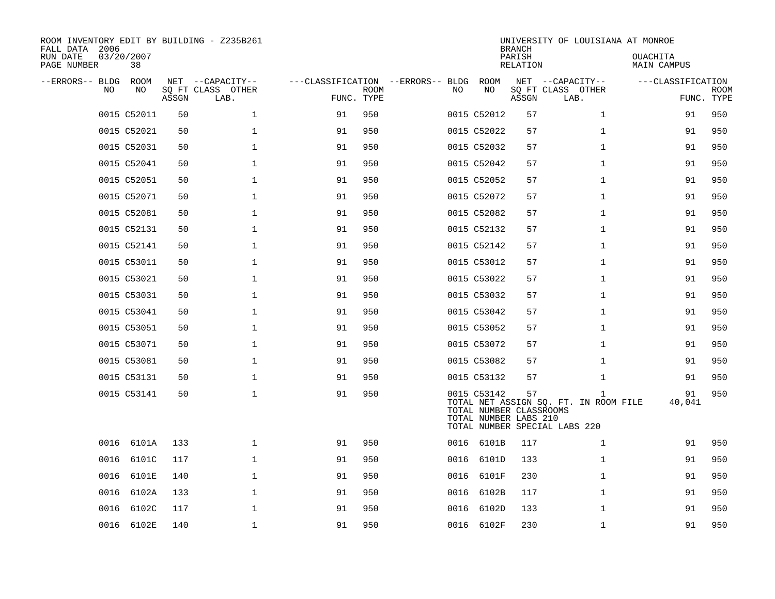| ROOM INVENTORY EDIT BY BUILDING - Z235B261<br>FALL DATA 2006<br>03/20/2007<br>RUN DATE<br>PAGE NUMBER<br>38 |              |                                               |                                                 |             |      |                                                                 | <b>BRANCH</b><br>PARISH<br><b>RELATION</b> | UNIVERSITY OF LOUISIANA AT MONROE                                           | OUACHITA<br><b>MAIN CAMPUS</b> |                           |
|-------------------------------------------------------------------------------------------------------------|--------------|-----------------------------------------------|-------------------------------------------------|-------------|------|-----------------------------------------------------------------|--------------------------------------------|-----------------------------------------------------------------------------|--------------------------------|---------------------------|
| --ERRORS-- BLDG<br>ROOM<br>NO.                                                                              | NO<br>ASSGN  | NET --CAPACITY--<br>SQ FT CLASS OTHER<br>LAB. | ---CLASSIFICATION --ERRORS-- BLDG<br>FUNC. TYPE | <b>ROOM</b> | NO   | ROOM<br>NO                                                      | ASSGN                                      | NET --CAPACITY--<br>SQ FT CLASS OTHER<br>LAB.                               | ---CLASSIFICATION              | <b>ROOM</b><br>FUNC. TYPE |
| 0015 C52011                                                                                                 | 50           | $\mathbf 1$                                   | 91                                              | 950         |      | 0015 C52012                                                     | 57                                         | $\mathbf{1}$                                                                | 91                             | 950                       |
| 0015 C52021                                                                                                 | 50           | $\mathbf 1$                                   | 91                                              | 950         |      | 0015 C52022                                                     | 57                                         | $\mathbf{1}$                                                                | 91                             | 950                       |
| 0015 C52031                                                                                                 | 50           | $\mathbf 1$                                   | 91                                              | 950         |      | 0015 C52032                                                     | 57                                         | $\mathbf{1}$                                                                | 91                             | 950                       |
| 0015 C52041                                                                                                 | 50           | $\mathbf 1$                                   | 91                                              | 950         |      | 0015 C52042                                                     | 57                                         | $\mathbf{1}$                                                                | 91                             | 950                       |
| 0015 C52051                                                                                                 | 50           | $\mathbf{1}$                                  | 91                                              | 950         |      | 0015 C52052                                                     | 57                                         | $\mathbf{1}$                                                                | 91                             | 950                       |
| 0015 C52071                                                                                                 | 50           | $\mathbf{1}$                                  | 91                                              | 950         |      | 0015 C52072                                                     | 57                                         | $\mathbf{1}$                                                                | 91                             | 950                       |
| 0015 C52081                                                                                                 | 50           | $\mathbf 1$                                   | 91                                              | 950         |      | 0015 C52082                                                     | 57                                         | $\mathbf{1}$                                                                | 91                             | 950                       |
| 0015 C52131                                                                                                 | 50           | $\mathbf 1$                                   | 91                                              | 950         |      | 0015 C52132                                                     | 57                                         | $\mathbf{1}$                                                                | 91                             | 950                       |
| 0015 C52141                                                                                                 | 50           | $\mathbf 1$                                   | 91                                              | 950         |      | 0015 C52142                                                     | 57                                         | $\mathbf{1}$                                                                | 91                             | 950                       |
| 0015 C53011                                                                                                 | 50           | $\mathbf{1}$                                  | 91                                              | 950         |      | 0015 C53012                                                     | 57                                         | $\mathbf{1}$                                                                | 91                             | 950                       |
| 0015 C53021                                                                                                 | 50           | $\mathbf 1$                                   | 91                                              | 950         |      | 0015 C53022                                                     | 57                                         | $\mathbf{1}$                                                                | 91                             | 950                       |
| 0015 C53031                                                                                                 | 50           | $\mathbf{1}$                                  | 91                                              | 950         |      | 0015 C53032                                                     | 57                                         | $\mathbf{1}$                                                                | 91                             | 950                       |
| 0015 C53041                                                                                                 | 50           | $\mathbf 1$                                   | 91                                              | 950         |      | 0015 C53042                                                     | 57                                         | $\mathbf{1}$                                                                | 91                             | 950                       |
| 0015 C53051                                                                                                 | 50           | $\mathbf 1$                                   | 91                                              | 950         |      | 0015 C53052                                                     | 57                                         | $\mathbf{1}$                                                                | 91                             | 950                       |
| 0015 C53071                                                                                                 | 50           | 1                                             | 91                                              | 950         |      | 0015 C53072                                                     | 57                                         | $\mathbf{1}$                                                                | 91                             | 950                       |
| 0015 C53081                                                                                                 | 50           | $\mathbf 1$                                   | 91                                              | 950         |      | 0015 C53082                                                     | 57                                         | $\mathbf{1}$                                                                | 91                             | 950                       |
| 0015 C53131                                                                                                 | 50           | $\mathbf 1$                                   | 91                                              | 950         |      | 0015 C53132                                                     | 57                                         | $\mathbf{1}$                                                                | 91                             | 950                       |
| 0015 C53141                                                                                                 | 50           | $\mathbf{1}$                                  | 91                                              | 950         |      | 0015 C53142<br>TOTAL NUMBER CLASSROOMS<br>TOTAL NUMBER LABS 210 | 57                                         | 1<br>TOTAL NET ASSIGN SQ. FT. IN ROOM FILE<br>TOTAL NUMBER SPECIAL LABS 220 | 91<br>40,041                   | 950                       |
| 0016 6101A                                                                                                  | 133          | $\mathbf 1$                                   | 91                                              | 950         |      | 0016 6101B                                                      | 117                                        | $\mathbf{1}$                                                                | 91                             | 950                       |
| 0016                                                                                                        | 6101C<br>117 | $\mathbf 1$                                   | 91                                              | 950         | 0016 | 6101D                                                           | 133                                        | $\mathbf{1}$                                                                | 91                             | 950                       |
| 0016                                                                                                        | 6101E<br>140 | $\mathbf 1$                                   | 91                                              | 950         | 0016 | 6101F                                                           | 230                                        | $\mathbf{1}$                                                                | 91                             | 950                       |
| 0016                                                                                                        | 6102A<br>133 | $\mathbf 1$                                   | 91                                              | 950         | 0016 | 6102B                                                           | 117                                        | $\mathbf{1}$                                                                | 91                             | 950                       |
| 0016                                                                                                        | 6102C<br>117 | $\mathbf 1$                                   | 91                                              | 950         | 0016 | 6102D                                                           | 133                                        | $\mathbf{1}$                                                                | 91                             | 950                       |
| 0016 6102E                                                                                                  | 140          | $\mathbf{1}$                                  | 91                                              | 950         |      | 0016 6102F                                                      | 230                                        | $\mathbf{1}$                                                                | 91                             | 950                       |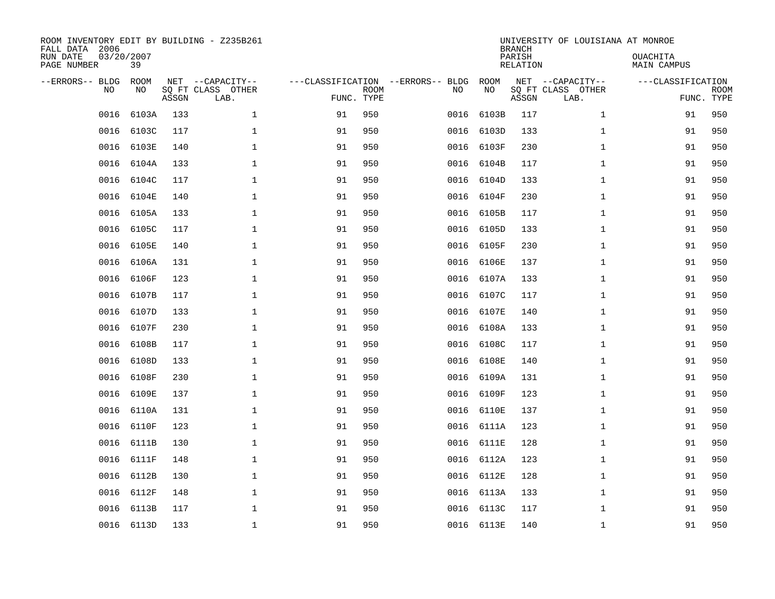| ROOM INVENTORY EDIT BY BUILDING - Z235B261<br>FALL DATA 2006<br>RUN DATE<br>PAGE NUMBER | 03/20/2007<br>39  |       |                                               |                                                 |             |      |            | <b>BRANCH</b><br>PARISH<br><b>RELATION</b> | UNIVERSITY OF LOUISIANA AT MONROE             | OUACHITA<br><b>MAIN CAMPUS</b> |                           |
|-----------------------------------------------------------------------------------------|-------------------|-------|-----------------------------------------------|-------------------------------------------------|-------------|------|------------|--------------------------------------------|-----------------------------------------------|--------------------------------|---------------------------|
| --ERRORS-- BLDG<br>NO.                                                                  | <b>ROOM</b><br>NO | ASSGN | NET --CAPACITY--<br>SQ FT CLASS OTHER<br>LAB. | ---CLASSIFICATION --ERRORS-- BLDG<br>FUNC. TYPE | <b>ROOM</b> | NO   | ROOM<br>NO | ASSGN                                      | NET --CAPACITY--<br>SQ FT CLASS OTHER<br>LAB. | ---CLASSIFICATION              | <b>ROOM</b><br>FUNC. TYPE |
| 0016                                                                                    | 6103A             | 133   | $\mathbf{1}$                                  | 91                                              | 950         | 0016 | 6103B      | 117                                        | $\mathbf{1}$                                  | 91                             | 950                       |
| 0016                                                                                    | 6103C             | 117   | $\mathbf 1$                                   | 91                                              | 950         | 0016 | 6103D      | 133                                        | $\mathbf{1}$                                  | 91                             | 950                       |
| 0016                                                                                    | 6103E             | 140   | $\mathbf 1$                                   | 91                                              | 950         | 0016 | 6103F      | 230                                        | $\mathbf{1}$                                  | 91                             | 950                       |
| 0016                                                                                    | 6104A             | 133   | $\mathbf 1$                                   | 91                                              | 950         | 0016 | 6104B      | 117                                        | $\mathbf{1}$                                  | 91                             | 950                       |
| 0016                                                                                    | 6104C             | 117   | $\mathbf 1$                                   | 91                                              | 950         | 0016 | 6104D      | 133                                        | $\mathbf{1}$                                  | 91                             | 950                       |
| 0016                                                                                    | 6104E             | 140   | $\mathbf{1}$                                  | 91                                              | 950         |      | 0016 6104F | 230                                        | $\mathbf{1}$                                  | 91                             | 950                       |
| 0016                                                                                    | 6105A             | 133   | $\mathbf{1}$                                  | 91                                              | 950         |      | 0016 6105B | 117                                        | $\mathbf{1}$                                  | 91                             | 950                       |
| 0016                                                                                    | 6105C             | 117   | $\mathbf 1$                                   | 91                                              | 950         |      | 0016 6105D | 133                                        | $\mathbf{1}$                                  | 91                             | 950                       |
| 0016                                                                                    | 6105E             | 140   | $\mathbf 1$                                   | 91                                              | 950         | 0016 | 6105F      | 230                                        | $\mathbf{1}$                                  | 91                             | 950                       |
| 0016                                                                                    | 6106A             | 131   | $\mathbf 1$                                   | 91                                              | 950         | 0016 | 6106E      | 137                                        | $\mathbf{1}$                                  | 91                             | 950                       |
| 0016                                                                                    | 6106F             | 123   | $\mathbf{1}$                                  | 91                                              | 950         | 0016 | 6107A      | 133                                        | $\mathbf{1}$                                  | 91                             | 950                       |
| 0016                                                                                    | 6107B             | 117   | $\mathbf 1$                                   | 91                                              | 950         | 0016 | 6107C      | 117                                        | $\mathbf{1}$                                  | 91                             | 950                       |
| 0016                                                                                    | 6107D             | 133   | $\mathbf{1}$                                  | 91                                              | 950         | 0016 | 6107E      | 140                                        | $\mathbf{1}$                                  | 91                             | 950                       |
| 0016                                                                                    | 6107F             | 230   | $\mathbf 1$                                   | 91                                              | 950         | 0016 | 6108A      | 133                                        | $\mathbf{1}$                                  | 91                             | 950                       |
| 0016                                                                                    | 6108B             | 117   | 1                                             | 91                                              | 950         | 0016 | 6108C      | 117                                        | $\mathbf{1}$                                  | 91                             | 950                       |
| 0016                                                                                    | 6108D             | 133   | 1                                             | 91                                              | 950         | 0016 | 6108E      | 140                                        | $\mathbf{1}$                                  | 91                             | 950                       |
| 0016                                                                                    | 6108F             | 230   | $\mathbf 1$                                   | 91                                              | 950         | 0016 | 6109A      | 131                                        | $\mathbf{1}$                                  | 91                             | 950                       |
| 0016                                                                                    | 6109E             | 137   | $\mathbf 1$                                   | 91                                              | 950         | 0016 | 6109F      | 123                                        | $\mathbf{1}$                                  | 91                             | 950                       |
| 0016                                                                                    | 6110A             | 131   | $\mathbf 1$                                   | 91                                              | 950         |      | 0016 6110E | 137                                        | $\mathbf{1}$                                  | 91                             | 950                       |
| 0016                                                                                    | 6110F             | 123   | $\mathbf 1$                                   | 91                                              | 950         |      | 0016 6111A | 123                                        | $\mathbf{1}$                                  | 91                             | 950                       |
| 0016                                                                                    | 6111B             | 130   | $\mathbf{1}$                                  | 91                                              | 950         |      | 0016 6111E | 128                                        | $\mathbf{1}$                                  | 91                             | 950                       |
| 0016                                                                                    | 6111F             | 148   | $\mathbf{1}$                                  | 91                                              | 950         | 0016 | 6112A      | 123                                        | $\mathbf{1}$                                  | 91                             | 950                       |
| 0016                                                                                    | 6112B             | 130   | $\mathbf{1}$                                  | 91                                              | 950         |      | 0016 6112E | 128                                        | $\mathbf{1}$                                  | 91                             | 950                       |
| 0016                                                                                    | 6112F             | 148   | $\mathbf 1$                                   | 91                                              | 950         | 0016 | 6113A      | 133                                        | $\mathbf{1}$                                  | 91                             | 950                       |
| 0016                                                                                    | 6113B             | 117   | $\mathbf 1$                                   | 91                                              | 950         |      | 0016 6113C | 117                                        | $\mathbf{1}$                                  | 91                             | 950                       |
|                                                                                         | 0016 6113D        | 133   | 1                                             | 91                                              | 950         |      | 0016 6113E | 140                                        | $\mathbf{1}$                                  | 91                             | 950                       |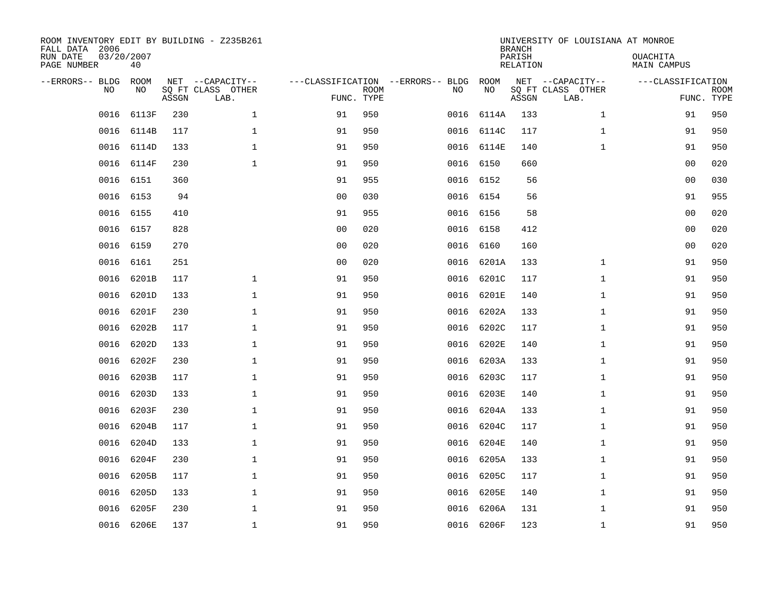| ROOM INVENTORY EDIT BY BUILDING - Z235B261<br>FALL DATA 2006<br>RUN DATE<br>PAGE NUMBER | 03/20/2007<br>40  |       |                                               |                                                 |             |           |            | <b>BRANCH</b><br>PARISH<br><b>RELATION</b> | UNIVERSITY OF LOUISIANA AT MONROE             | OUACHITA<br><b>MAIN CAMPUS</b> |                           |
|-----------------------------------------------------------------------------------------|-------------------|-------|-----------------------------------------------|-------------------------------------------------|-------------|-----------|------------|--------------------------------------------|-----------------------------------------------|--------------------------------|---------------------------|
| --ERRORS-- BLDG<br>NO.                                                                  | <b>ROOM</b><br>NO | ASSGN | NET --CAPACITY--<br>SQ FT CLASS OTHER<br>LAB. | ---CLASSIFICATION --ERRORS-- BLDG<br>FUNC. TYPE | <b>ROOM</b> | NO        | ROOM<br>NO | ASSGN                                      | NET --CAPACITY--<br>SQ FT CLASS OTHER<br>LAB. | ---CLASSIFICATION              | <b>ROOM</b><br>FUNC. TYPE |
| 0016                                                                                    | 6113F             | 230   | $\mathbf{1}$                                  | 91                                              | 950         | 0016      | 6114A      | 133                                        | $\mathbf{1}$                                  | 91                             | 950                       |
| 0016                                                                                    | 6114B             | 117   | $\mathbf{1}$                                  | 91                                              | 950         |           | 0016 6114C | 117                                        | $\mathbf{1}$                                  | 91                             | 950                       |
| 0016                                                                                    | 6114D             | 133   | $\mathbf{1}$                                  | 91                                              | 950         |           | 0016 6114E | 140                                        | $\mathbf{1}$                                  | 91                             | 950                       |
| 0016                                                                                    | 6114F             | 230   | $\mathbf{1}$                                  | 91                                              | 950         |           | 0016 6150  | 660                                        |                                               | 0 <sub>0</sub>                 | 020                       |
| 0016                                                                                    | 6151              | 360   |                                               | 91                                              | 955         | 0016      | 6152       | 56                                         |                                               | 0 <sub>0</sub>                 | 030                       |
| 0016                                                                                    | 6153              | 94    |                                               | 0 <sub>0</sub>                                  | 030         |           | 0016 6154  | 56                                         |                                               | 91                             | 955                       |
| 0016                                                                                    | 6155              | 410   |                                               | 91                                              | 955         | 0016 6156 |            | 58                                         |                                               | 0 <sub>0</sub>                 | 020                       |
| 0016                                                                                    | 6157              | 828   |                                               | 0 <sub>0</sub>                                  | 020         |           | 0016 6158  | 412                                        |                                               | 00                             | 020                       |
| 0016                                                                                    | 6159              | 270   |                                               | 0 <sub>0</sub>                                  | 020         | 0016      | 6160       | 160                                        |                                               | 00                             | 020                       |
| 0016                                                                                    | 6161              | 251   |                                               | 0 <sub>0</sub>                                  | 020         | 0016      | 6201A      | 133                                        | $\mathbf{1}$                                  | 91                             | 950                       |
| 0016                                                                                    | 6201B             | 117   | $\mathbf 1$                                   | 91                                              | 950         | 0016      | 6201C      | 117                                        | $\mathbf{1}$                                  | 91                             | 950                       |
| 0016                                                                                    | 6201D             | 133   | $\mathbf 1$                                   | 91                                              | 950         | 0016      | 6201E      | 140                                        | $\mathbf{1}$                                  | 91                             | 950                       |
| 0016                                                                                    | 6201F             | 230   | $\mathbf{1}$                                  | 91                                              | 950         | 0016      | 6202A      | 133                                        | $\mathbf{1}$                                  | 91                             | 950                       |
| 0016                                                                                    | 6202B             | 117   | $\mathbf{1}$                                  | 91                                              | 950         | 0016      | 6202C      | 117                                        | $\mathbf{1}$                                  | 91                             | 950                       |
| 0016                                                                                    | 6202D             | 133   | $\mathbf 1$                                   | 91                                              | 950         | 0016      | 6202E      | 140                                        | $\mathbf{1}$                                  | 91                             | 950                       |
| 0016                                                                                    | 6202F             | 230   | $\mathbf 1$                                   | 91                                              | 950         | 0016      | 6203A      | 133                                        | $\mathbf{1}$                                  | 91                             | 950                       |
| 0016                                                                                    | 6203B             | 117   | $\mathbf{1}$                                  | 91                                              | 950         |           | 0016 6203C | 117                                        | $\mathbf{1}$                                  | 91                             | 950                       |
| 0016                                                                                    | 6203D             | 133   | $\mathbf{1}$                                  | 91                                              | 950         | 0016      | 6203E      | 140                                        | $\mathbf{1}$                                  | 91                             | 950                       |
| 0016                                                                                    | 6203F             | 230   | $\mathbf{1}$                                  | 91                                              | 950         |           | 0016 6204A | 133                                        | $\mathbf{1}$                                  | 91                             | 950                       |
| 0016                                                                                    | 6204B             | 117   | $\mathbf{1}$                                  | 91                                              | 950         | 0016      | 6204C      | 117                                        | $\mathbf{1}$                                  | 91                             | 950                       |
| 0016                                                                                    | 6204D             | 133   | 1                                             | 91                                              | 950         | 0016      | 6204E      | 140                                        | $\mathbf{1}$                                  | 91                             | 950                       |
| 0016                                                                                    | 6204F             | 230   | $\mathbf 1$                                   | 91                                              | 950         | 0016      | 6205A      | 133                                        | $\mathbf{1}$                                  | 91                             | 950                       |
| 0016                                                                                    | 6205B             | 117   | 1                                             | 91                                              | 950         | 0016      | 6205C      | 117                                        | $\mathbf{1}$                                  | 91                             | 950                       |
| 0016                                                                                    | 6205D             | 133   | $\mathbf 1$                                   | 91                                              | 950         | 0016      | 6205E      | 140                                        | $\mathbf{1}$                                  | 91                             | 950                       |
| 0016                                                                                    | 6205F             | 230   | $\mathbf 1$                                   | 91                                              | 950         | 0016      | 6206A      | 131                                        | $\mathbf{1}$                                  | 91                             | 950                       |
|                                                                                         | 0016 6206E        | 137   | $\mathbf{1}$                                  | 91                                              | 950         |           | 0016 6206F | 123                                        | $\mathbf{1}$                                  | 91                             | 950                       |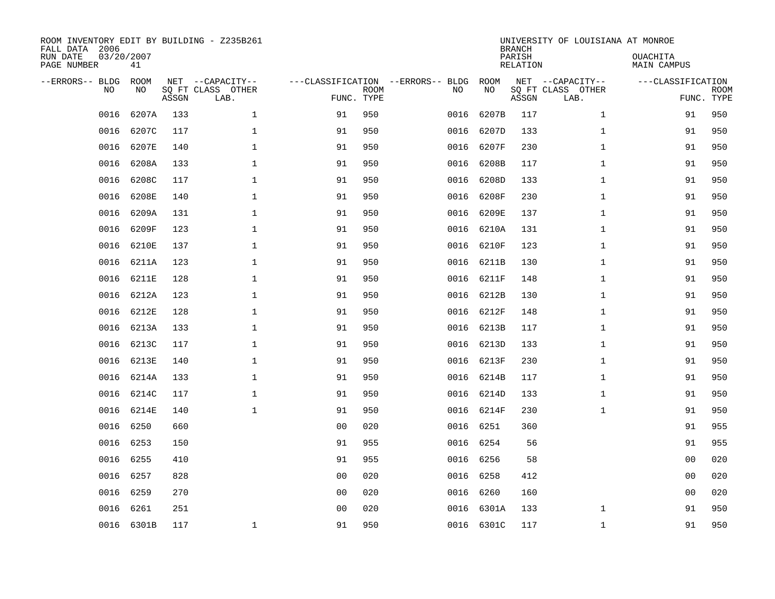| ROOM INVENTORY EDIT BY BUILDING - Z235B261<br>FALL DATA 2006<br>RUN DATE<br>PAGE NUMBER | 03/20/2007<br>41 |       |                                               |                                                 |             |           |            | <b>BRANCH</b><br>PARISH<br><b>RELATION</b> | UNIVERSITY OF LOUISIANA AT MONROE             | OUACHITA<br><b>MAIN CAMPUS</b>  |             |
|-----------------------------------------------------------------------------------------|------------------|-------|-----------------------------------------------|-------------------------------------------------|-------------|-----------|------------|--------------------------------------------|-----------------------------------------------|---------------------------------|-------------|
| --ERRORS-- BLDG<br>NO                                                                   | ROOM<br>NO       | ASSGN | NET --CAPACITY--<br>SQ FT CLASS OTHER<br>LAB. | ---CLASSIFICATION --ERRORS-- BLDG<br>FUNC. TYPE | <b>ROOM</b> | NO        | ROOM<br>NO | ASSGN                                      | NET --CAPACITY--<br>SQ FT CLASS OTHER<br>LAB. | ---CLASSIFICATION<br>FUNC. TYPE | <b>ROOM</b> |
| 0016                                                                                    | 6207A            | 133   | $\mathbf 1$                                   | 91                                              | 950         | 0016      | 6207B      | 117                                        | $\mathbf{1}$                                  | 91                              | 950         |
| 0016                                                                                    | 6207C            | 117   | 1                                             | 91                                              | 950         | 0016      | 6207D      | 133                                        | $\mathbf{1}$                                  | 91                              | 950         |
| 0016                                                                                    | 6207E            | 140   | 1                                             | 91                                              | 950         | 0016      | 6207F      | 230                                        | $\mathbf{1}$                                  | 91                              | 950         |
| 0016                                                                                    | 6208A            | 133   | $\mathbf 1$                                   | 91                                              | 950         | 0016      | 6208B      | 117                                        | $\mathbf{1}$                                  | 91                              | 950         |
| 0016                                                                                    | 6208C            | 117   | $\mathbf{1}$                                  | 91                                              | 950         | 0016      | 6208D      | 133                                        | $\mathbf{1}$                                  | 91                              | 950         |
| 0016                                                                                    | 6208E            | 140   | $\mathbf 1$                                   | 91                                              | 950         | 0016      | 6208F      | 230                                        | $\mathbf{1}$                                  | 91                              | 950         |
| 0016                                                                                    | 6209A            | 131   | $\mathbf{1}$                                  | 91                                              | 950         | 0016      | 6209E      | 137                                        | $\mathbf{1}$                                  | 91                              | 950         |
| 0016                                                                                    | 6209F            | 123   | $\mathbf{1}$                                  | 91                                              | 950         |           | 0016 6210A | 131                                        | $\mathbf{1}$                                  | 91                              | 950         |
| 0016                                                                                    | 6210E            | 137   | $\mathbf{1}$                                  | 91                                              | 950         | 0016      | 6210F      | 123                                        | $\mathbf{1}$                                  | 91                              | 950         |
| 0016                                                                                    | 6211A            | 123   | 1                                             | 91                                              | 950         |           | 0016 6211B | 130                                        | $\mathbf{1}$                                  | 91                              | 950         |
| 0016                                                                                    | 6211E            | 128   | $\mathbf 1$                                   | 91                                              | 950         | 0016      | 6211F      | 148                                        | $\mathbf{1}$                                  | 91                              | 950         |
| 0016                                                                                    | 6212A            | 123   | $\mathbf{1}$                                  | 91                                              | 950         |           | 0016 6212B | 130                                        | $\mathbf{1}$                                  | 91                              | 950         |
| 0016                                                                                    | 6212E            | 128   | $\mathbf{1}$                                  | 91                                              | 950         | 0016      | 6212F      | 148                                        | $\mathbf{1}$                                  | 91                              | 950         |
| 0016                                                                                    | 6213A            | 133   | $\mathbf 1$                                   | 91                                              | 950         | 0016      | 6213B      | 117                                        | $\mathbf{1}$                                  | 91                              | 950         |
| 0016                                                                                    | 6213C            | 117   | $\mathbf{1}$                                  | 91                                              | 950         | 0016      | 6213D      | 133                                        | $\mathbf{1}$                                  | 91                              | 950         |
| 0016                                                                                    | 6213E            | 140   | 1                                             | 91                                              | 950         | 0016      | 6213F      | 230                                        | $\mathbf{1}$                                  | 91                              | 950         |
| 0016                                                                                    | 6214A            | 133   | $\mathbf{1}$                                  | 91                                              | 950         | 0016      | 6214B      | 117                                        | $\mathbf{1}$                                  | 91                              | 950         |
| 0016                                                                                    | 6214C            | 117   | $\mathbf 1$                                   | 91                                              | 950         | 0016      | 6214D      | 133                                        | $\mathbf{1}$                                  | 91                              | 950         |
| 0016                                                                                    | 6214E            | 140   | $\mathbf 1$                                   | 91                                              | 950         |           | 0016 6214F | 230                                        | $\mathbf{1}$                                  | 91                              | 950         |
| 0016                                                                                    | 6250             | 660   |                                               | 0 <sub>0</sub>                                  | 020         | 0016 6251 |            | 360                                        |                                               | 91                              | 955         |
| 0016                                                                                    | 6253             | 150   |                                               | 91                                              | 955         | 0016 6254 |            | 56                                         |                                               | 91                              | 955         |
| 0016                                                                                    | 6255             | 410   |                                               | 91                                              | 955         | 0016      | 6256       | 58                                         |                                               | 0 <sub>0</sub>                  | 020         |
| 0016                                                                                    | 6257             | 828   |                                               | 0 <sub>0</sub>                                  | 020         | 0016 6258 |            | 412                                        |                                               | 0 <sub>0</sub>                  | 020         |
| 0016                                                                                    | 6259             | 270   |                                               | 0 <sub>0</sub>                                  | 020         | 0016      | 6260       | 160                                        |                                               | 0 <sub>0</sub>                  | 020         |
| 0016                                                                                    | 6261             | 251   |                                               | 0 <sub>0</sub>                                  | 020         |           | 0016 6301A | 133                                        | $\mathbf{1}$                                  | 91                              | 950         |
|                                                                                         | 0016 6301B       | 117   | $\mathbf 1$                                   | 91                                              | 950         |           | 0016 6301C | 117                                        | $\mathbf{1}$                                  | 91                              | 950         |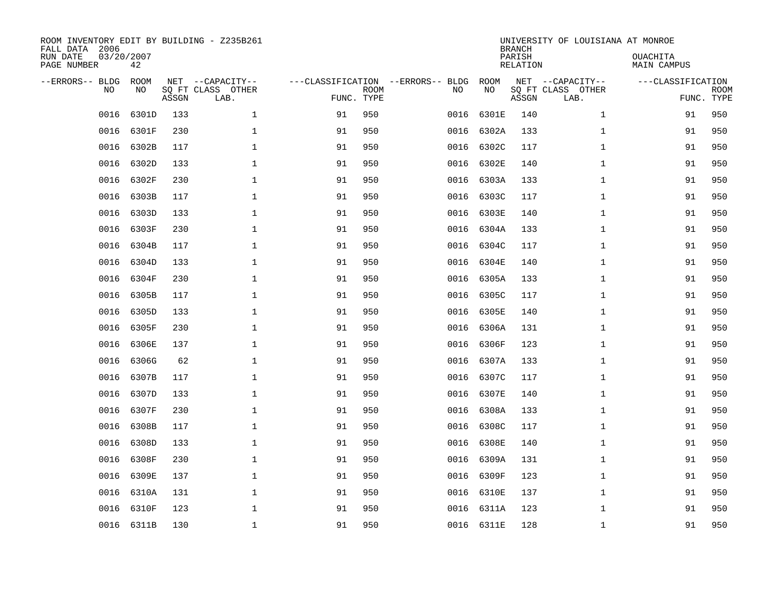| ROOM INVENTORY EDIT BY BUILDING - Z235B261<br>FALL DATA 2006<br>RUN DATE<br>PAGE NUMBER | 03/20/2007<br>42 |       |                                               |                                                 |             |      |            | <b>BRANCH</b><br>PARISH<br><b>RELATION</b> | UNIVERSITY OF LOUISIANA AT MONROE             | OUACHITA<br><b>MAIN CAMPUS</b>  |             |
|-----------------------------------------------------------------------------------------|------------------|-------|-----------------------------------------------|-------------------------------------------------|-------------|------|------------|--------------------------------------------|-----------------------------------------------|---------------------------------|-------------|
| --ERRORS-- BLDG<br>NO                                                                   | ROOM<br>NO       | ASSGN | NET --CAPACITY--<br>SQ FT CLASS OTHER<br>LAB. | ---CLASSIFICATION --ERRORS-- BLDG<br>FUNC. TYPE | <b>ROOM</b> | NO   | ROOM<br>NO | ASSGN                                      | NET --CAPACITY--<br>SQ FT CLASS OTHER<br>LAB. | ---CLASSIFICATION<br>FUNC. TYPE | <b>ROOM</b> |
| 0016                                                                                    | 6301D            | 133   | $\mathbf 1$                                   | 91                                              | 950         | 0016 | 6301E      | 140                                        | $\mathbf{1}$                                  | 91                              | 950         |
| 0016                                                                                    | 6301F            | 230   | 1                                             | 91                                              | 950         | 0016 | 6302A      | 133                                        | $\mathbf{1}$                                  | 91                              | 950         |
| 0016                                                                                    | 6302B            | 117   | 1                                             | 91                                              | 950         | 0016 | 6302C      | 117                                        | $\mathbf{1}$                                  | 91                              | 950         |
| 0016                                                                                    | 6302D            | 133   | $\mathbf 1$                                   | 91                                              | 950         | 0016 | 6302E      | 140                                        | $\mathbf{1}$                                  | 91                              | 950         |
| 0016                                                                                    | 6302F            | 230   | $\mathbf{1}$                                  | 91                                              | 950         | 0016 | 6303A      | 133                                        | $\mathbf{1}$                                  | 91                              | 950         |
| 0016                                                                                    | 6303B            | 117   | $\mathbf 1$                                   | 91                                              | 950         |      | 0016 6303C | 117                                        | $\mathbf{1}$                                  | 91                              | 950         |
| 0016                                                                                    | 6303D            | 133   | $\mathbf{1}$                                  | 91                                              | 950         | 0016 | 6303E      | 140                                        | $\mathbf{1}$                                  | 91                              | 950         |
| 0016                                                                                    | 6303F            | 230   | $\mathbf 1$                                   | 91                                              | 950         |      | 0016 6304A | 133                                        | $\mathbf{1}$                                  | 91                              | 950         |
| 0016                                                                                    | 6304B            | 117   | $\mathbf 1$                                   | 91                                              | 950         | 0016 | 6304C      | 117                                        | $\mathbf{1}$                                  | 91                              | 950         |
| 0016                                                                                    | 6304D            | 133   | $\mathbf 1$                                   | 91                                              | 950         | 0016 | 6304E      | 140                                        | $\mathbf{1}$                                  | 91                              | 950         |
| 0016                                                                                    | 6304F            | 230   | $\mathbf 1$                                   | 91                                              | 950         | 0016 | 6305A      | 133                                        | $\mathbf{1}$                                  | 91                              | 950         |
| 0016                                                                                    | 6305B            | 117   | $\mathbf{1}$                                  | 91                                              | 950         | 0016 | 6305C      | 117                                        | $\mathbf{1}$                                  | 91                              | 950         |
| 0016                                                                                    | 6305D            | 133   | $\mathbf 1$                                   | 91                                              | 950         | 0016 | 6305E      | 140                                        | $\mathbf{1}$                                  | 91                              | 950         |
| 0016                                                                                    | 6305F            | 230   | $\mathbf 1$                                   | 91                                              | 950         | 0016 | 6306A      | 131                                        | $\mathbf{1}$                                  | 91                              | 950         |
| 0016                                                                                    | 6306E            | 137   | 1                                             | 91                                              | 950         | 0016 | 6306F      | 123                                        | $\mathbf{1}$                                  | 91                              | 950         |
| 0016                                                                                    | 6306G            | 62    | $\mathbf 1$                                   | 91                                              | 950         | 0016 | 6307A      | 133                                        | $\mathbf{1}$                                  | 91                              | 950         |
| 0016                                                                                    | 6307B            | 117   | $\mathbf 1$                                   | 91                                              | 950         | 0016 | 6307C      | 117                                        | $\mathbf{1}$                                  | 91                              | 950         |
| 0016                                                                                    | 6307D            | 133   | $\mathbf{1}$                                  | 91                                              | 950         | 0016 | 6307E      | 140                                        | $\mathbf{1}$                                  | 91                              | 950         |
| 0016                                                                                    | 6307F            | 230   | $\mathbf{1}$                                  | 91                                              | 950         | 0016 | 6308A      | 133                                        | $\mathbf{1}$                                  | 91                              | 950         |
| 0016                                                                                    | 6308B            | 117   | $\mathbf 1$                                   | 91                                              | 950         | 0016 | 6308C      | 117                                        | $\mathbf{1}$                                  | 91                              | 950         |
| 0016                                                                                    | 6308D            | 133   | 1                                             | 91                                              | 950         | 0016 | 6308E      | 140                                        | $\mathbf{1}$                                  | 91                              | 950         |
| 0016                                                                                    | 6308F            | 230   | $\mathbf 1$                                   | 91                                              | 950         | 0016 | 6309A      | 131                                        | $\mathbf{1}$                                  | 91                              | 950         |
| 0016                                                                                    | 6309E            | 137   | 1                                             | 91                                              | 950         | 0016 | 6309F      | 123                                        | $\mathbf{1}$                                  | 91                              | 950         |
| 0016                                                                                    | 6310A            | 131   | $\mathbf 1$                                   | 91                                              | 950         |      | 0016 6310E | 137                                        | $\mathbf{1}$                                  | 91                              | 950         |
| 0016                                                                                    | 6310F            | 123   | $\mathbf 1$                                   | 91                                              | 950         |      | 0016 6311A | 123                                        | $\mathbf{1}$                                  | 91                              | 950         |
|                                                                                         | 0016 6311B       | 130   | $\mathbf{1}$                                  | 91                                              | 950         |      | 0016 6311E | 128                                        | $\mathbf{1}$                                  | 91                              | 950         |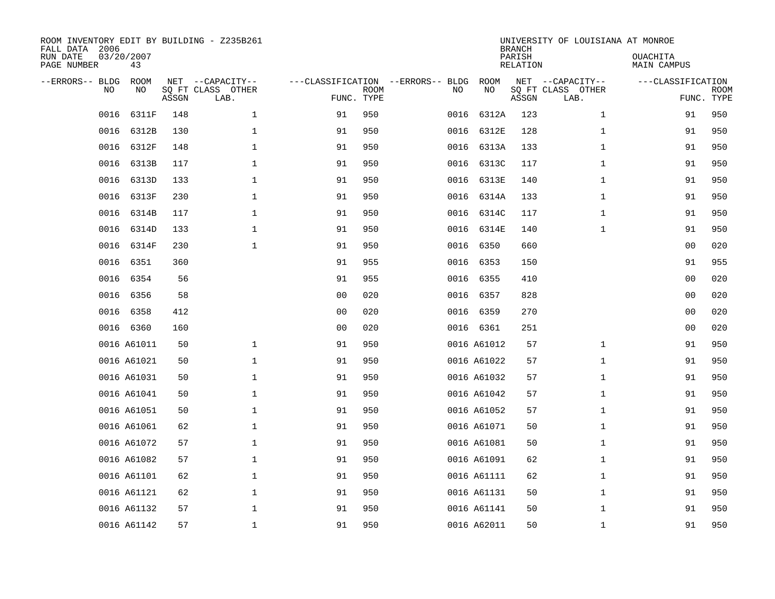| ROOM INVENTORY EDIT BY BUILDING - Z235B261<br>FALL DATA 2006<br>RUN DATE<br>PAGE NUMBER | 03/20/2007<br>43 |       |                                               |                                                 |             |      |             | <b>BRANCH</b><br>PARISH<br><b>RELATION</b> | UNIVERSITY OF LOUISIANA AT MONROE             | OUACHITA<br><b>MAIN CAMPUS</b>  |             |
|-----------------------------------------------------------------------------------------|------------------|-------|-----------------------------------------------|-------------------------------------------------|-------------|------|-------------|--------------------------------------------|-----------------------------------------------|---------------------------------|-------------|
| --ERRORS-- BLDG<br>NO                                                                   | ROOM<br>NO       | ASSGN | NET --CAPACITY--<br>SQ FT CLASS OTHER<br>LAB. | ---CLASSIFICATION --ERRORS-- BLDG<br>FUNC. TYPE | <b>ROOM</b> | NO   | ROOM<br>NO  | ASSGN                                      | NET --CAPACITY--<br>SQ FT CLASS OTHER<br>LAB. | ---CLASSIFICATION<br>FUNC. TYPE | <b>ROOM</b> |
| 0016                                                                                    | 6311F            | 148   | $\mathbf 1$                                   | 91                                              | 950         | 0016 | 6312A       | 123                                        | $\mathbf{1}$                                  | 91                              | 950         |
| 0016                                                                                    | 6312B            | 130   | $\mathbf 1$                                   | 91                                              | 950         | 0016 | 6312E       | 128                                        | $\mathbf{1}$                                  | 91                              | 950         |
| 0016                                                                                    | 6312F            | 148   | $\mathbf 1$                                   | 91                                              | 950         | 0016 | 6313A       | 133                                        | $\mathbf{1}$                                  | 91                              | 950         |
| 0016                                                                                    | 6313B            | 117   | $\mathbf{1}$                                  | 91                                              | 950         |      | 0016 6313C  | 117                                        | $\mathbf{1}$                                  | 91                              | 950         |
| 0016                                                                                    | 6313D            | 133   | $\mathbf 1$                                   | 91                                              | 950         | 0016 | 6313E       | 140                                        | $\mathbf{1}$                                  | 91                              | 950         |
| 0016                                                                                    | 6313F            | 230   | $\mathbf 1$                                   | 91                                              | 950         |      | 0016 6314A  | 133                                        | $\mathbf{1}$                                  | 91                              | 950         |
| 0016                                                                                    | 6314B            | 117   | $\mathbf{1}$                                  | 91                                              | 950         |      | 0016 6314C  | 117                                        | $\mathbf{1}$                                  | 91                              | 950         |
| 0016                                                                                    | 6314D            | 133   | $\mathbf{1}$                                  | 91                                              | 950         |      | 0016 6314E  | 140                                        | $\mathbf{1}$                                  | 91                              | 950         |
| 0016                                                                                    | 6314F            | 230   | $\mathbf{1}$                                  | 91                                              | 950         | 0016 | 6350        | 660                                        |                                               | 0 <sub>0</sub>                  | 020         |
| 0016                                                                                    | 6351             | 360   |                                               | 91                                              | 955         |      | 0016 6353   | 150                                        |                                               | 91                              | 955         |
| 0016                                                                                    | 6354             | 56    |                                               | 91                                              | 955         | 0016 | 6355        | 410                                        |                                               | 0 <sub>0</sub>                  | 020         |
| 0016                                                                                    | 6356             | 58    |                                               | 0 <sub>0</sub>                                  | 020         |      | 0016 6357   | 828                                        |                                               | 00                              | 020         |
| 0016                                                                                    | 6358             | 412   |                                               | 0 <sub>0</sub>                                  | 020         | 0016 | 6359        | 270                                        |                                               | 00                              | 020         |
|                                                                                         | 0016 6360        | 160   |                                               | 0 <sub>0</sub>                                  | 020         |      | 0016 6361   | 251                                        |                                               | 00                              | 020         |
|                                                                                         | 0016 A61011      | 50    | $\mathbf{1}$                                  | 91                                              | 950         |      | 0016 A61012 | 57                                         | $\mathbf{1}$                                  | 91                              | 950         |
|                                                                                         | 0016 A61021      | 50    | $\mathbf 1$                                   | 91                                              | 950         |      | 0016 A61022 | 57                                         | $\mathbf{1}$                                  | 91                              | 950         |
|                                                                                         | 0016 A61031      | 50    | $\mathbf 1$                                   | 91                                              | 950         |      | 0016 A61032 | 57                                         | $\mathbf{1}$                                  | 91                              | 950         |
|                                                                                         | 0016 A61041      | 50    | $\mathbf{1}$                                  | 91                                              | 950         |      | 0016 A61042 | 57                                         | $\mathbf{1}$                                  | 91                              | 950         |
|                                                                                         | 0016 A61051      | 50    | $\mathbf 1$                                   | 91                                              | 950         |      | 0016 A61052 | 57                                         | $\mathbf{1}$                                  | 91                              | 950         |
|                                                                                         | 0016 A61061      | 62    | $\mathbf 1$                                   | 91                                              | 950         |      | 0016 A61071 | 50                                         | $\mathbf{1}$                                  | 91                              | 950         |
|                                                                                         | 0016 A61072      | 57    | $\mathbf{1}$                                  | 91                                              | 950         |      | 0016 A61081 | 50                                         | $\mathbf{1}$                                  | 91                              | 950         |
|                                                                                         | 0016 A61082      | 57    | $\mathbf 1$                                   | 91                                              | 950         |      | 0016 A61091 | 62                                         | $\mathbf{1}$                                  | 91                              | 950         |
|                                                                                         | 0016 A61101      | 62    | $\mathbf 1$                                   | 91                                              | 950         |      | 0016 A61111 | 62                                         | $\mathbf{1}$                                  | 91                              | 950         |
|                                                                                         | 0016 A61121      | 62    | $\mathbf 1$                                   | 91                                              | 950         |      | 0016 A61131 | 50                                         | $\mathbf{1}$                                  | 91                              | 950         |
|                                                                                         | 0016 A61132      | 57    | $\mathbf 1$                                   | 91                                              | 950         |      | 0016 A61141 | 50                                         | $\mathbf{1}$                                  | 91                              | 950         |
|                                                                                         | 0016 A61142      | 57    | $\mathbf{1}$                                  | 91                                              | 950         |      | 0016 A62011 | 50                                         | $\mathbf{1}$                                  | 91                              | 950         |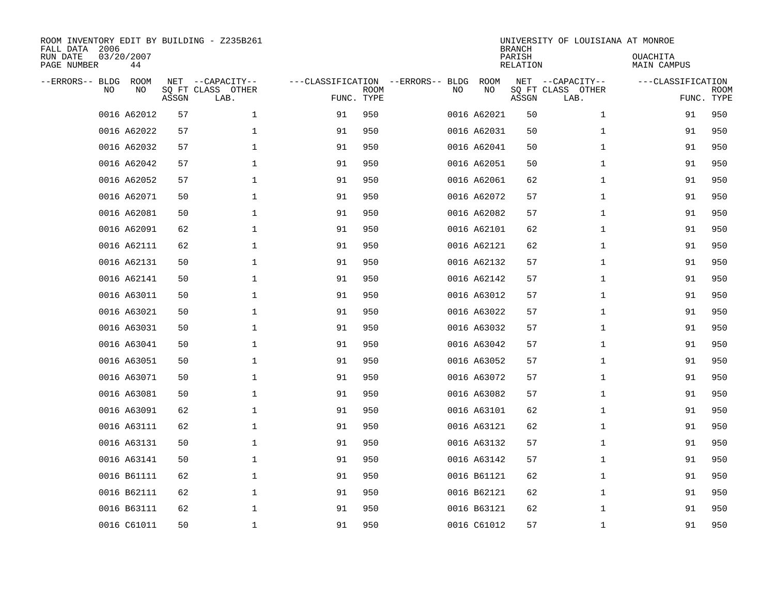| ROOM INVENTORY EDIT BY BUILDING - Z235B261<br>FALL DATA 2006<br>RUN DATE<br>PAGE NUMBER | 03/20/2007<br>44  |       |                                               |                                   |                           |    |             | <b>BRANCH</b><br>PARISH<br><b>RELATION</b> | UNIVERSITY OF LOUISIANA AT MONROE             | OUACHITA<br>MAIN CAMPUS |                           |
|-----------------------------------------------------------------------------------------|-------------------|-------|-----------------------------------------------|-----------------------------------|---------------------------|----|-------------|--------------------------------------------|-----------------------------------------------|-------------------------|---------------------------|
| --ERRORS-- BLDG<br>NO                                                                   | <b>ROOM</b><br>NO | ASSGN | NET --CAPACITY--<br>SQ FT CLASS OTHER<br>LAB. | ---CLASSIFICATION --ERRORS-- BLDG | <b>ROOM</b><br>FUNC. TYPE | NO | ROOM<br>NO  | ASSGN                                      | NET --CAPACITY--<br>SQ FT CLASS OTHER<br>LAB. | ---CLASSIFICATION       | <b>ROOM</b><br>FUNC. TYPE |
|                                                                                         | 0016 A62012       | 57    | 1                                             | 91                                | 950                       |    | 0016 A62021 | 50                                         | $\mathbf{1}$                                  | 91                      | 950                       |
|                                                                                         | 0016 A62022       | 57    | $\mathbf{1}$                                  | 91                                | 950                       |    | 0016 A62031 | 50                                         | $\mathbf{1}$                                  | 91                      | 950                       |
|                                                                                         | 0016 A62032       | 57    | $\mathbf 1$                                   | 91                                | 950                       |    | 0016 A62041 | 50                                         | $\mathbf{1}$                                  | 91                      | 950                       |
|                                                                                         | 0016 A62042       | 57    | $\mathbf 1$                                   | 91                                | 950                       |    | 0016 A62051 | 50                                         | $\mathbf{1}$                                  | 91                      | 950                       |
|                                                                                         | 0016 A62052       | 57    | $\mathbf 1$                                   | 91                                | 950                       |    | 0016 A62061 | 62                                         | $\mathbf{1}$                                  | 91                      | 950                       |
|                                                                                         | 0016 A62071       | 50    | $\mathbf 1$                                   | 91                                | 950                       |    | 0016 A62072 | 57                                         | $\mathbf{1}$                                  | 91                      | 950                       |
|                                                                                         | 0016 A62081       | 50    | $\mathbf{1}$                                  | 91                                | 950                       |    | 0016 A62082 | 57                                         | $\mathbf{1}$                                  | 91                      | 950                       |
|                                                                                         | 0016 A62091       | 62    | $\mathbf 1$                                   | 91                                | 950                       |    | 0016 A62101 | 62                                         | $\mathbf{1}$                                  | 91                      | 950                       |
|                                                                                         | 0016 A62111       | 62    | $\mathbf 1$                                   | 91                                | 950                       |    | 0016 A62121 | 62                                         | $\mathbf{1}$                                  | 91                      | 950                       |
|                                                                                         | 0016 A62131       | 50    | $\mathbf{1}$                                  | 91                                | 950                       |    | 0016 A62132 | 57                                         | $\mathbf{1}$                                  | 91                      | 950                       |
|                                                                                         | 0016 A62141       | 50    | $\mathbf 1$                                   | 91                                | 950                       |    | 0016 A62142 | 57                                         | $\mathbf{1}$                                  | 91                      | 950                       |
|                                                                                         | 0016 A63011       | 50    | $\mathbf 1$                                   | 91                                | 950                       |    | 0016 A63012 | 57                                         | $\mathbf{1}$                                  | 91                      | 950                       |
|                                                                                         | 0016 A63021       | 50    | $\mathbf 1$                                   | 91                                | 950                       |    | 0016 A63022 | 57                                         | $\mathbf{1}$                                  | 91                      | 950                       |
|                                                                                         | 0016 A63031       | 50    | $\mathbf 1$                                   | 91                                | 950                       |    | 0016 A63032 | 57                                         | $\mathbf{1}$                                  | 91                      | 950                       |
|                                                                                         | 0016 A63041       | 50    | $\mathbf 1$                                   | 91                                | 950                       |    | 0016 A63042 | 57                                         | $\mathbf{1}$                                  | 91                      | 950                       |
|                                                                                         | 0016 A63051       | 50    | $\mathbf 1$                                   | 91                                | 950                       |    | 0016 A63052 | 57                                         | $\mathbf{1}$                                  | 91                      | 950                       |
|                                                                                         | 0016 A63071       | 50    | 1                                             | 91                                | 950                       |    | 0016 A63072 | 57                                         | $\mathbf{1}$                                  | 91                      | 950                       |
|                                                                                         | 0016 A63081       | 50    | $\mathbf 1$                                   | 91                                | 950                       |    | 0016 A63082 | 57                                         | $\mathbf{1}$                                  | 91                      | 950                       |
|                                                                                         | 0016 A63091       | 62    | $\mathbf{1}$                                  | 91                                | 950                       |    | 0016 A63101 | 62                                         | $\mathbf{1}$                                  | 91                      | 950                       |
|                                                                                         | 0016 A63111       | 62    | $\mathbf 1$                                   | 91                                | 950                       |    | 0016 A63121 | 62                                         | $\mathbf{1}$                                  | 91                      | 950                       |
|                                                                                         | 0016 A63131       | 50    | $\mathbf 1$                                   | 91                                | 950                       |    | 0016 A63132 | 57                                         | $\mathbf{1}$                                  | 91                      | 950                       |
|                                                                                         | 0016 A63141       | 50    | $\mathbf 1$                                   | 91                                | 950                       |    | 0016 A63142 | 57                                         | $\mathbf{1}$                                  | 91                      | 950                       |
|                                                                                         | 0016 B61111       | 62    | $\mathbf 1$                                   | 91                                | 950                       |    | 0016 B61121 | 62                                         | $\mathbf{1}$                                  | 91                      | 950                       |
|                                                                                         | 0016 B62111       | 62    | $\mathbf 1$                                   | 91                                | 950                       |    | 0016 B62121 | 62                                         | $\mathbf{1}$                                  | 91                      | 950                       |
|                                                                                         | 0016 B63111       | 62    | $\mathbf 1$                                   | 91                                | 950                       |    | 0016 B63121 | 62                                         | $\mathbf{1}$                                  | 91                      | 950                       |
|                                                                                         | 0016 C61011       | 50    | $\mathbf 1$                                   | 91                                | 950                       |    | 0016 C61012 | 57                                         | $\mathbf{1}$                                  | 91                      | 950                       |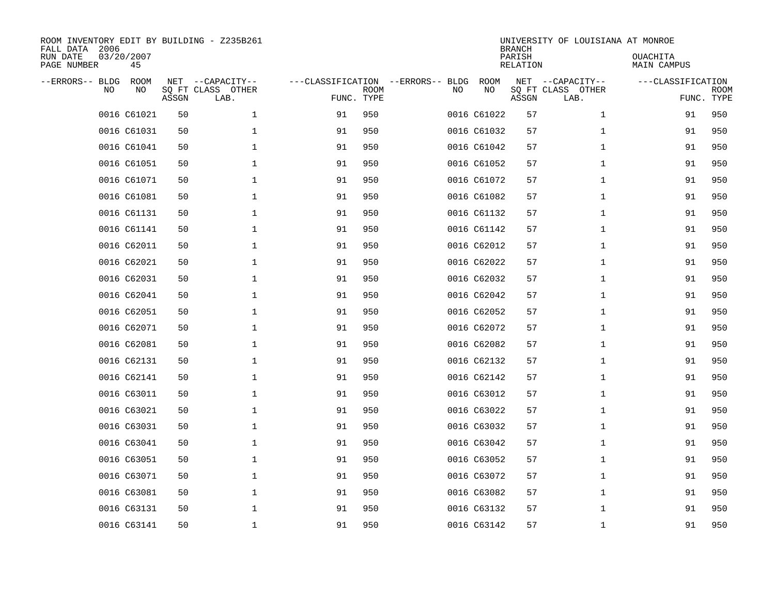| FALL DATA 2006<br>RUN DATE<br>PAGE NUMBER |    | 03/20/2007<br>45 |              | ROOM INVENTORY EDIT BY BUILDING - Z235B261 |                                   |                           |    |             | <b>BRANCH</b><br>PARISH<br>RELATION | UNIVERSITY OF LOUISIANA AT MONROE             | OUACHITA<br>MAIN CAMPUS         |             |
|-------------------------------------------|----|------------------|--------------|--------------------------------------------|-----------------------------------|---------------------------|----|-------------|-------------------------------------|-----------------------------------------------|---------------------------------|-------------|
| --ERRORS-- BLDG                           | NO | ROOM<br>NO       | NET<br>ASSGN | --CAPACITY--<br>SQ FT CLASS OTHER<br>LAB.  | ---CLASSIFICATION --ERRORS-- BLDG | <b>ROOM</b><br>FUNC. TYPE | NO | ROOM<br>NO  | ASSGN                               | NET --CAPACITY--<br>SQ FT CLASS OTHER<br>LAB. | ---CLASSIFICATION<br>FUNC. TYPE | <b>ROOM</b> |
|                                           |    | 0016 C61021      | 50           | $\mathbf{1}$                               | 91                                | 950                       |    | 0016 C61022 | 57                                  | $\mathbf{1}$                                  | 91                              | 950         |
|                                           |    | 0016 C61031      | 50           | $\mathbf 1$                                | 91                                | 950                       |    | 0016 C61032 | 57                                  | $\mathbf{1}$                                  | 91                              | 950         |
|                                           |    | 0016 C61041      | 50           | $\mathbf{1}$                               | 91                                | 950                       |    | 0016 C61042 | 57                                  | $\mathbf{1}$                                  | 91                              | 950         |
|                                           |    | 0016 C61051      | 50           | $\mathbf{1}$                               | 91                                | 950                       |    | 0016 C61052 | 57                                  | $\mathbf{1}$                                  | 91                              | 950         |
|                                           |    | 0016 C61071      | 50           | $\mathbf{1}$                               | 91                                | 950                       |    | 0016 C61072 | 57                                  | $\mathbf{1}$                                  | 91                              | 950         |
|                                           |    | 0016 C61081      | 50           | $\mathbf 1$                                | 91                                | 950                       |    | 0016 C61082 | 57                                  | $\mathbf{1}$                                  | 91                              | 950         |
|                                           |    | 0016 C61131      | 50           | $\mathbf 1$                                | 91                                | 950                       |    | 0016 C61132 | 57                                  | $\mathbf{1}$                                  | 91                              | 950         |
|                                           |    | 0016 C61141      | 50           | $\mathbf 1$                                | 91                                | 950                       |    | 0016 C61142 | 57                                  | $\mathbf{1}$                                  | 91                              | 950         |
|                                           |    | 0016 C62011      | 50           | $\mathbf 1$                                | 91                                | 950                       |    | 0016 C62012 | 57                                  | $\mathbf{1}$                                  | 91                              | 950         |
|                                           |    | 0016 C62021      | 50           | $\mathbf 1$                                | 91                                | 950                       |    | 0016 C62022 | 57                                  | $\mathbf{1}$                                  | 91                              | 950         |
|                                           |    | 0016 C62031      | 50           | $\mathbf 1$                                | 91                                | 950                       |    | 0016 C62032 | 57                                  | $\mathbf{1}$                                  | 91                              | 950         |
|                                           |    | 0016 C62041      | 50           | $\mathbf 1$                                | 91                                | 950                       |    | 0016 C62042 | 57                                  | $\mathbf{1}$                                  | 91                              | 950         |
|                                           |    | 0016 C62051      | 50           | $\mathbf 1$                                | 91                                | 950                       |    | 0016 C62052 | 57                                  | $\mathbf{1}$                                  | 91                              | 950         |
|                                           |    | 0016 C62071      | 50           | $\mathbf 1$                                | 91                                | 950                       |    | 0016 C62072 | 57                                  | $\mathbf{1}$                                  | 91                              | 950         |
|                                           |    | 0016 C62081      | 50           | $\mathbf 1$                                | 91                                | 950                       |    | 0016 C62082 | 57                                  | $\mathbf{1}$                                  | 91                              | 950         |
|                                           |    | 0016 C62131      | 50           | $\mathbf 1$                                | 91                                | 950                       |    | 0016 C62132 | 57                                  | $\mathbf{1}$                                  | 91                              | 950         |
|                                           |    | 0016 C62141      | 50           | $\mathbf 1$                                | 91                                | 950                       |    | 0016 C62142 | 57                                  | $\mathbf{1}$                                  | 91                              | 950         |
|                                           |    | 0016 C63011      | 50           | $\mathbf 1$                                | 91                                | 950                       |    | 0016 C63012 | 57                                  | $\mathbf{1}$                                  | 91                              | 950         |
|                                           |    | 0016 C63021      | 50           | $\mathbf 1$                                | 91                                | 950                       |    | 0016 C63022 | 57                                  | $\mathbf{1}$                                  | 91                              | 950         |
|                                           |    | 0016 C63031      | 50           | $\mathbf 1$                                | 91                                | 950                       |    | 0016 C63032 | 57                                  | $\mathbf{1}$                                  | 91                              | 950         |
|                                           |    | 0016 C63041      | 50           | $\mathbf 1$                                | 91                                | 950                       |    | 0016 C63042 | 57                                  | $\mathbf{1}$                                  | 91                              | 950         |
|                                           |    | 0016 C63051      | 50           | $\mathbf 1$                                | 91                                | 950                       |    | 0016 C63052 | 57                                  | $\mathbf{1}$                                  | 91                              | 950         |
|                                           |    | 0016 C63071      | 50           | $\mathbf 1$                                | 91                                | 950                       |    | 0016 C63072 | 57                                  | $\mathbf{1}$                                  | 91                              | 950         |
|                                           |    | 0016 C63081      | 50           | $\mathbf 1$                                | 91                                | 950                       |    | 0016 C63082 | 57                                  | $\mathbf{1}$                                  | 91                              | 950         |
|                                           |    | 0016 C63131      | 50           | 1                                          | 91                                | 950                       |    | 0016 C63132 | 57                                  | $\mathbf{1}$                                  | 91                              | 950         |
|                                           |    | 0016 C63141      | 50           | $\mathbf 1$                                | 91                                | 950                       |    | 0016 C63142 | 57                                  | $\mathbf{1}$                                  | 91                              | 950         |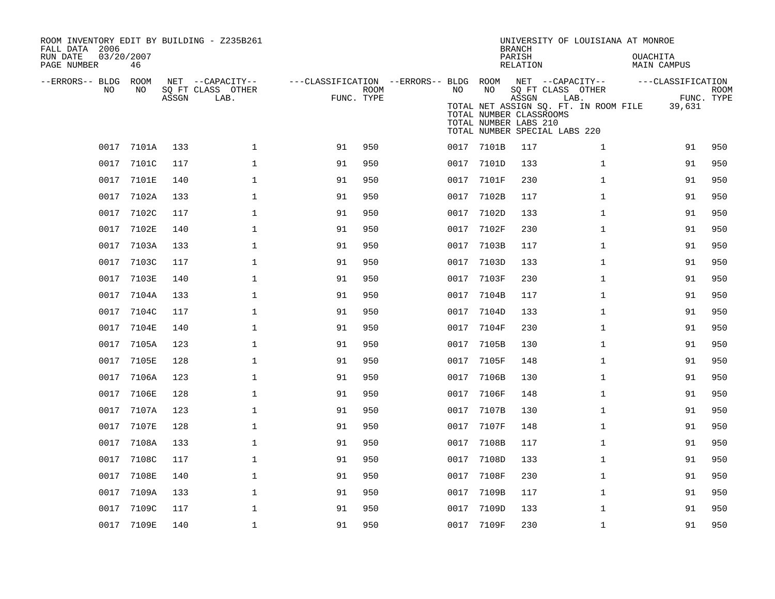| ROOM INVENTORY EDIT BY BUILDING - Z235B261<br>FALL DATA 2006<br>RUN DATE<br>PAGE NUMBER | 03/20/2007<br>46 |       |                                               |                                                      |             |      |                                                        | <b>BRANCH</b><br>PARISH<br><b>RELATION</b> | UNIVERSITY OF LOUISIANA AT MONROE                                                                                       | OUACHITA<br><b>MAIN CAMPUS</b> |                           |
|-----------------------------------------------------------------------------------------|------------------|-------|-----------------------------------------------|------------------------------------------------------|-------------|------|--------------------------------------------------------|--------------------------------------------|-------------------------------------------------------------------------------------------------------------------------|--------------------------------|---------------------------|
| --ERRORS-- BLDG<br>NO                                                                   | ROOM<br>NO       | ASSGN | NET --CAPACITY--<br>SQ FT CLASS OTHER<br>LAB. | ---CLASSIFICATION --ERRORS-- BLDG ROOM<br>FUNC. TYPE | <b>ROOM</b> | NO.  | NO<br>TOTAL NUMBER CLASSROOMS<br>TOTAL NUMBER LABS 210 | ASSGN                                      | NET --CAPACITY--<br>SQ FT CLASS OTHER<br>LAB.<br>TOTAL NET ASSIGN SQ. FT. IN ROOM FILE<br>TOTAL NUMBER SPECIAL LABS 220 | ---CLASSIFICATION<br>39,631    | <b>ROOM</b><br>FUNC. TYPE |
| 0017                                                                                    | 7101A            | 133   | $\mathbf{1}$                                  | 91                                                   | 950         |      | 0017 7101B                                             | 117                                        | $\mathbf{1}$                                                                                                            | 91                             | 950                       |
| 0017                                                                                    | 7101C            | 117   | $\mathbf{1}$                                  | 91                                                   | 950         | 0017 | 7101D                                                  | 133                                        | $\mathbf{1}$                                                                                                            | 91                             | 950                       |
| 0017                                                                                    | 7101E            | 140   | $\mathbf{1}$                                  | 91                                                   | 950         | 0017 | 7101F                                                  | 230                                        | $\mathbf{1}$                                                                                                            | 91                             | 950                       |
| 0017                                                                                    | 7102A            | 133   | $\mathbf 1$                                   | 91                                                   | 950         |      | 0017 7102B                                             | 117                                        | $\mathbf{1}$                                                                                                            | 91                             | 950                       |
| 0017                                                                                    | 7102C            | 117   | $\mathbf{1}$                                  | 91                                                   | 950         | 0017 | 7102D                                                  | 133                                        | $\mathbf{1}$                                                                                                            | 91                             | 950                       |
| 0017                                                                                    | 7102E            | 140   | $\mathbf{1}$                                  | 91                                                   | 950         | 0017 | 7102F                                                  | 230                                        | $\mathbf{1}$                                                                                                            | 91                             | 950                       |
| 0017                                                                                    | 7103A            | 133   | $\mathbf 1$                                   | 91                                                   | 950         | 0017 | 7103B                                                  | 117                                        | $\mathbf{1}$                                                                                                            | 91                             | 950                       |
| 0017                                                                                    | 7103C            | 117   | $\mathbf 1$                                   | 91                                                   | 950         | 0017 | 7103D                                                  | 133                                        | $\mathbf{1}$                                                                                                            | 91                             | 950                       |
| 0017                                                                                    | 7103E            | 140   | $\mathbf{1}$                                  | 91                                                   | 950         | 0017 | 7103F                                                  | 230                                        | $\mathbf{1}$                                                                                                            | 91                             | 950                       |
| 0017                                                                                    | 7104A            | 133   | $\mathbf 1$                                   | 91                                                   | 950         | 0017 | 7104B                                                  | 117                                        | $\mathbf{1}$                                                                                                            | 91                             | 950                       |
| 0017                                                                                    | 7104C            | 117   | $\mathbf 1$                                   | 91                                                   | 950         | 0017 | 7104D                                                  | 133                                        | $\mathbf{1}$                                                                                                            | 91                             | 950                       |
| 0017                                                                                    | 7104E            | 140   | $\mathbf 1$                                   | 91                                                   | 950         | 0017 | 7104F                                                  | 230                                        | $\mathbf{1}$                                                                                                            | 91                             | 950                       |
|                                                                                         | 0017 7105A       | 123   | $\mathbf{1}$                                  | 91                                                   | 950         | 0017 | 7105B                                                  | 130                                        | $\mathbf{1}$                                                                                                            | 91                             | 950                       |
| 0017                                                                                    | 7105E            | 128   | $\mathbf{1}$                                  | 91                                                   | 950         | 0017 | 7105F                                                  | 148                                        | $\mathbf{1}$                                                                                                            | 91                             | 950                       |
| 0017                                                                                    | 7106A            | 123   | $\mathbf{1}$                                  | 91                                                   | 950         | 0017 | 7106B                                                  | 130                                        | $\mathbf{1}$                                                                                                            | 91                             | 950                       |
| 0017                                                                                    | 7106E            | 128   | $\mathbf 1$                                   | 91                                                   | 950         | 0017 | 7106F                                                  | 148                                        | $\mathbf{1}$                                                                                                            | 91                             | 950                       |
| 0017                                                                                    | 7107A            | 123   | $\mathbf 1$                                   | 91                                                   | 950         |      | 0017 7107B                                             | 130                                        | $\mathbf{1}$                                                                                                            | 91                             | 950                       |
| 0017                                                                                    | 7107E            | 128   | $\mathbf 1$                                   | 91                                                   | 950         | 0017 | 7107F                                                  | 148                                        | $\mathbf{1}$                                                                                                            | 91                             | 950                       |
| 0017                                                                                    | 7108A            | 133   | $\mathbf{1}$                                  | 91                                                   | 950         | 0017 | 7108B                                                  | 117                                        | $\mathbf{1}$                                                                                                            | 91                             | 950                       |
| 0017                                                                                    | 7108C            | 117   | $\mathbf{1}$                                  | 91                                                   | 950         | 0017 | 7108D                                                  | 133                                        | $\mathbf{1}$                                                                                                            | 91                             | 950                       |
| 0017                                                                                    | 7108E            | 140   | $\mathbf 1$                                   | 91                                                   | 950         | 0017 | 7108F                                                  | 230                                        | $\mathbf{1}$                                                                                                            | 91                             | 950                       |
| 0017                                                                                    | 7109A            | 133   | $\mathbf 1$                                   | 91                                                   | 950         | 0017 | 7109B                                                  | 117                                        | $\mathbf{1}$                                                                                                            | 91                             | 950                       |
| 0017                                                                                    | 7109C            | 117   | $\mathbf{1}$                                  | 91                                                   | 950         | 0017 | 7109D                                                  | 133                                        | $\mathbf{1}$                                                                                                            | 91                             | 950                       |
|                                                                                         | 0017 7109E       | 140   | $\mathbf 1$                                   | 91                                                   | 950         |      | 0017 7109F                                             | 230                                        | $\mathbf{1}$                                                                                                            | 91                             | 950                       |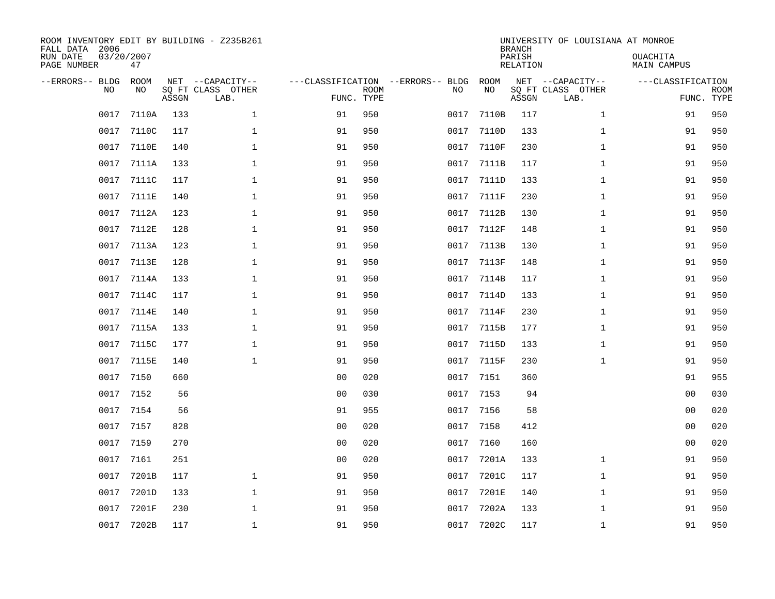| ROOM INVENTORY EDIT BY BUILDING - Z235B261<br>FALL DATA 2006<br>RUN DATE<br>PAGE NUMBER | 03/20/2007<br>47  |       |                                               |                                   |                           |      |            | <b>BRANCH</b><br>PARISH<br><b>RELATION</b> | UNIVERSITY OF LOUISIANA AT MONROE             | OUACHITA<br><b>MAIN CAMPUS</b>  |             |
|-----------------------------------------------------------------------------------------|-------------------|-------|-----------------------------------------------|-----------------------------------|---------------------------|------|------------|--------------------------------------------|-----------------------------------------------|---------------------------------|-------------|
| --ERRORS-- BLDG<br>NO                                                                   | <b>ROOM</b><br>NO | ASSGN | NET --CAPACITY--<br>SQ FT CLASS OTHER<br>LAB. | ---CLASSIFICATION --ERRORS-- BLDG | <b>ROOM</b><br>FUNC. TYPE | NO   | ROOM<br>NO | ASSGN                                      | NET --CAPACITY--<br>SQ FT CLASS OTHER<br>LAB. | ---CLASSIFICATION<br>FUNC. TYPE | <b>ROOM</b> |
| 0017                                                                                    | 7110A             | 133   | $\mathbf{1}$                                  | 91                                | 950                       | 0017 | 7110B      | 117                                        | $\mathbf{1}$                                  | 91                              | 950         |
| 0017                                                                                    | 7110C             | 117   | $\mathbf 1$                                   | 91                                | 950                       | 0017 | 7110D      | 133                                        | $\mathbf{1}$                                  | 91                              | 950         |
| 0017                                                                                    | 7110E             | 140   | $\mathbf 1$                                   | 91                                | 950                       | 0017 | 7110F      | 230                                        | $\mathbf{1}$                                  | 91                              | 950         |
| 0017                                                                                    | 7111A             | 133   | $\mathbf 1$                                   | 91                                | 950                       | 0017 | 7111B      | 117                                        | $\mathbf{1}$                                  | 91                              | 950         |
| 0017                                                                                    | 7111C             | 117   | $\mathbf{1}$                                  | 91                                | 950                       | 0017 | 7111D      | 133                                        | $\mathbf{1}$                                  | 91                              | 950         |
| 0017                                                                                    | 7111E             | 140   | $\mathbf 1$                                   | 91                                | 950                       | 0017 | 7111F      | 230                                        | $\mathbf{1}$                                  | 91                              | 950         |
| 0017                                                                                    | 7112A             | 123   | $\mathbf{1}$                                  | 91                                | 950                       | 0017 | 7112B      | 130                                        | $\mathbf{1}$                                  | 91                              | 950         |
| 0017                                                                                    | 7112E             | 128   | $\mathbf{1}$                                  | 91                                | 950                       | 0017 | 7112F      | 148                                        | $\mathbf{1}$                                  | 91                              | 950         |
| 0017                                                                                    | 7113A             | 123   | $\mathbf{1}$                                  | 91                                | 950                       | 0017 | 7113B      | 130                                        | $\mathbf{1}$                                  | 91                              | 950         |
| 0017                                                                                    | 7113E             | 128   | $\mathbf 1$                                   | 91                                | 950                       | 0017 | 7113F      | 148                                        | $\mathbf{1}$                                  | 91                              | 950         |
| 0017                                                                                    | 7114A             | 133   | $\mathbf 1$                                   | 91                                | 950                       | 0017 | 7114B      | 117                                        | $\mathbf{1}$                                  | 91                              | 950         |
| 0017                                                                                    | 7114C             | 117   | $\mathbf 1$                                   | 91                                | 950                       | 0017 | 7114D      | 133                                        | $\mathbf{1}$                                  | 91                              | 950         |
| 0017                                                                                    | 7114E             | 140   | $\mathbf 1$                                   | 91                                | 950                       | 0017 | 7114F      | 230                                        | $\mathbf{1}$                                  | 91                              | 950         |
| 0017                                                                                    | 7115A             | 133   | $\mathbf 1$                                   | 91                                | 950                       | 0017 | 7115B      | 177                                        | $\mathbf{1}$                                  | 91                              | 950         |
| 0017                                                                                    | 7115C             | 177   | $\mathbf 1$                                   | 91                                | 950                       | 0017 | 7115D      | 133                                        | $\mathbf{1}$                                  | 91                              | 950         |
| 0017                                                                                    | 7115E             | 140   | $\mathbf{1}$                                  | 91                                | 950                       | 0017 | 7115F      | 230                                        | $\mathbf{1}$                                  | 91                              | 950         |
| 0017                                                                                    | 7150              | 660   |                                               | 0 <sub>0</sub>                    | 020                       | 0017 | 7151       | 360                                        |                                               | 91                              | 955         |
| 0017                                                                                    | 7152              | 56    |                                               | 0 <sub>0</sub>                    | 030                       | 0017 | 7153       | 94                                         |                                               | 00                              | 030         |
| 0017                                                                                    | 7154              | 56    |                                               | 91                                | 955                       | 0017 | 7156       | 58                                         |                                               | 0 <sub>0</sub>                  | 020         |
| 0017                                                                                    | 7157              | 828   |                                               | 0 <sub>0</sub>                    | 020                       | 0017 | 7158       | 412                                        |                                               | 00                              | 020         |
| 0017                                                                                    | 7159              | 270   |                                               | 0 <sub>0</sub>                    | 020                       | 0017 | 7160       | 160                                        |                                               | 00                              | 020         |
| 0017                                                                                    | 7161              | 251   |                                               | 0 <sub>0</sub>                    | 020                       | 0017 | 7201A      | 133                                        | $\mathbf{1}$                                  | 91                              | 950         |
| 0017                                                                                    | 7201B             | 117   | $\mathbf 1$                                   | 91                                | 950                       | 0017 | 7201C      | 117                                        | $\mathbf{1}$                                  | 91                              | 950         |
| 0017                                                                                    | 7201D             | 133   | $\mathbf{1}$                                  | 91                                | 950                       | 0017 | 7201E      | 140                                        | $\mathbf{1}$                                  | 91                              | 950         |
| 0017                                                                                    | 7201F             | 230   | $\mathbf{1}$                                  | 91                                | 950                       | 0017 | 7202A      | 133                                        | $\mathbf{1}$                                  | 91                              | 950         |
| 0017                                                                                    | 7202B             | 117   | $\mathbf{1}$                                  | 91                                | 950                       | 0017 | 7202C      | 117                                        | $\mathbf{1}$                                  | 91                              | 950         |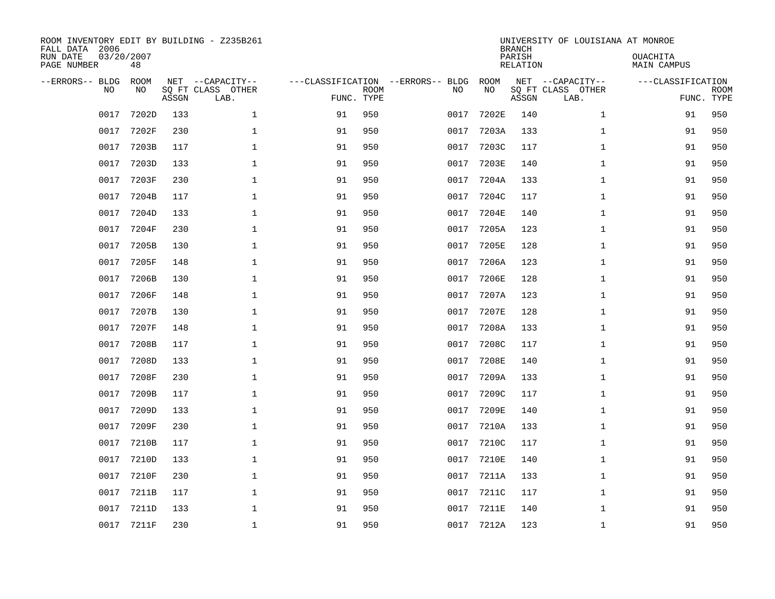| ROOM INVENTORY EDIT BY BUILDING - Z235B261<br>FALL DATA 2006<br>RUN DATE<br>PAGE NUMBER | 03/20/2007<br>48  |       |                                               |                                   |                           |      |              | <b>BRANCH</b><br>PARISH<br><b>RELATION</b> | UNIVERSITY OF LOUISIANA AT MONROE             | OUACHITA<br><b>MAIN CAMPUS</b>  |             |
|-----------------------------------------------------------------------------------------|-------------------|-------|-----------------------------------------------|-----------------------------------|---------------------------|------|--------------|--------------------------------------------|-----------------------------------------------|---------------------------------|-------------|
| --ERRORS-- BLDG<br>NO                                                                   | <b>ROOM</b><br>NO | ASSGN | NET --CAPACITY--<br>SQ FT CLASS OTHER<br>LAB. | ---CLASSIFICATION --ERRORS-- BLDG | <b>ROOM</b><br>FUNC. TYPE | NO   | ROOM<br>NO   | ASSGN                                      | NET --CAPACITY--<br>SQ FT CLASS OTHER<br>LAB. | ---CLASSIFICATION<br>FUNC. TYPE | <b>ROOM</b> |
| 0017                                                                                    | 7202D             | 133   | $\mathbf{1}$                                  | 91                                | 950                       | 0017 | 7202E        | 140                                        | $\mathbf{1}$                                  | 91                              | 950         |
| 0017                                                                                    | 7202F             | 230   | $\mathbf 1$                                   | 91                                | 950                       | 0017 | 7203A        | 133                                        | $\mathbf{1}$                                  | 91                              | 950         |
| 0017                                                                                    | 7203B             | 117   | $\mathbf 1$                                   | 91                                | 950                       | 0017 | 7203C        | 117                                        | $\mathbf{1}$                                  | 91                              | 950         |
| 0017                                                                                    | 7203D             | 133   | $\mathbf 1$                                   | 91                                | 950                       | 0017 | 7203E        | 140                                        | $\mathbf{1}$                                  | 91                              | 950         |
| 0017                                                                                    | 7203F             | 230   | $\mathbf 1$                                   | 91                                | 950                       | 0017 | 7204A        | 133                                        | $\mathbf{1}$                                  | 91                              | 950         |
| 0017                                                                                    | 7204B             | 117   | $\mathbf 1$                                   | 91                                | 950                       | 0017 | 7204C        | 117                                        | $\mathbf{1}$                                  | 91                              | 950         |
| 0017                                                                                    | 7204D             | 133   | $\mathbf{1}$                                  | 91                                | 950                       | 0017 | 7204E        | 140                                        | $\mathbf{1}$                                  | 91                              | 950         |
| 0017                                                                                    | 7204F             | 230   | $\mathbf{1}$                                  | 91                                | 950                       | 0017 | 7205A        | 123                                        | $\mathbf{1}$                                  | 91                              | 950         |
| 0017                                                                                    | 7205B             | 130   | $\mathbf{1}$                                  | 91                                | 950                       | 0017 | 7205E        | 128                                        | $\mathbf{1}$                                  | 91                              | 950         |
| 0017                                                                                    | 7205F             | 148   | $\mathbf 1$                                   | 91                                | 950                       | 0017 | 7206A        | 123                                        | $\mathbf{1}$                                  | 91                              | 950         |
| 0017                                                                                    | 7206B             | 130   | $\mathbf 1$                                   | 91                                | 950                       | 0017 | 7206E        | 128                                        | $\mathbf{1}$                                  | 91                              | 950         |
| 0017                                                                                    | 7206F             | 148   | $\mathbf 1$                                   | 91                                | 950                       | 0017 | 7207A        | 123                                        | $\mathbf{1}$                                  | 91                              | 950         |
| 0017                                                                                    | 7207B             | 130   | $\mathbf 1$                                   | 91                                | 950                       | 0017 | 7207E        | 128                                        | $\mathbf{1}$                                  | 91                              | 950         |
| 0017                                                                                    | 7207F             | 148   | $\mathbf 1$                                   | 91                                | 950                       | 0017 | 7208A        | 133                                        | $\mathbf{1}$                                  | 91                              | 950         |
| 0017                                                                                    | 7208B             | 117   | $\mathbf 1$                                   | 91                                | 950                       | 0017 | 7208C        | 117                                        | $\mathbf{1}$                                  | 91                              | 950         |
| 0017                                                                                    | 7208D             | 133   | $\mathbf{1}$                                  | 91                                | 950                       | 0017 | 7208E        | 140                                        | $\mathbf{1}$                                  | 91                              | 950         |
| 0017                                                                                    | 7208F             | 230   | $\mathbf{1}$                                  | 91                                | 950                       | 0017 | 7209A        | 133                                        | $\mathbf{1}$                                  | 91                              | 950         |
| 0017                                                                                    | 7209B             | 117   | $\mathbf 1$                                   | 91                                | 950                       | 0017 | 7209C        | 117                                        | $\mathbf{1}$                                  | 91                              | 950         |
| 0017                                                                                    | 7209D             | 133   | 1                                             | 91                                | 950                       | 0017 | <b>7209E</b> | 140                                        | $\mathbf{1}$                                  | 91                              | 950         |
| 0017                                                                                    | 7209F             | 230   | 1                                             | 91                                | 950                       | 0017 | 7210A        | 133                                        | $\mathbf{1}$                                  | 91                              | 950         |
| 0017                                                                                    | 7210B             | 117   | 1                                             | 91                                | 950                       | 0017 | 7210C        | 117                                        | $\mathbf{1}$                                  | 91                              | 950         |
| 0017                                                                                    | 7210D             | 133   | $\mathbf 1$                                   | 91                                | 950                       | 0017 | 7210E        | 140                                        | $\mathbf{1}$                                  | 91                              | 950         |
| 0017                                                                                    | <b>7210F</b>      | 230   | $\mathbf 1$                                   | 91                                | 950                       | 0017 | 7211A        | 133                                        | $\mathbf{1}$                                  | 91                              | 950         |
| 0017                                                                                    | 7211B             | 117   | $\mathbf 1$                                   | 91                                | 950                       | 0017 | 7211C        | 117                                        | $\mathbf{1}$                                  | 91                              | 950         |
| 0017                                                                                    | 7211D             | 133   | $\mathbf{1}$                                  | 91                                | 950                       | 0017 | 7211E        | 140                                        | $\mathbf{1}$                                  | 91                              | 950         |
|                                                                                         | 0017 7211F        | 230   | $\mathbf{1}$                                  | 91                                | 950                       | 0017 | 7212A        | 123                                        | $\mathbf{1}$                                  | 91                              | 950         |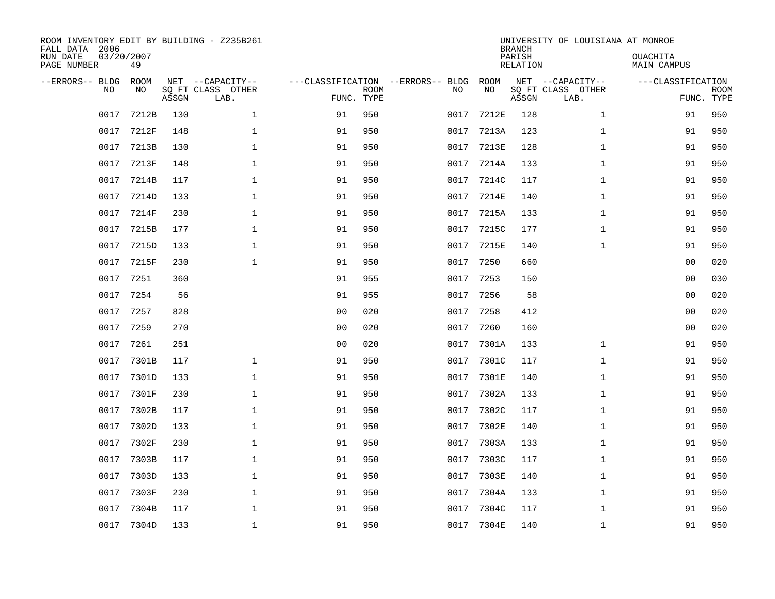| ROOM INVENTORY EDIT BY BUILDING - Z235B261<br>FALL DATA 2006<br>RUN DATE<br>PAGE NUMBER | 03/20/2007<br>49 |       |                                               |                                                 |             |      |            | <b>BRANCH</b><br>PARISH<br><b>RELATION</b> | UNIVERSITY OF LOUISIANA AT MONROE             | OUACHITA<br><b>MAIN CAMPUS</b>  |             |
|-----------------------------------------------------------------------------------------|------------------|-------|-----------------------------------------------|-------------------------------------------------|-------------|------|------------|--------------------------------------------|-----------------------------------------------|---------------------------------|-------------|
| --ERRORS-- BLDG<br>NO                                                                   | ROOM<br>NO       | ASSGN | NET --CAPACITY--<br>SQ FT CLASS OTHER<br>LAB. | ---CLASSIFICATION --ERRORS-- BLDG<br>FUNC. TYPE | <b>ROOM</b> | NO   | ROOM<br>NO | ASSGN                                      | NET --CAPACITY--<br>SQ FT CLASS OTHER<br>LAB. | ---CLASSIFICATION<br>FUNC. TYPE | <b>ROOM</b> |
| 0017                                                                                    | 7212B            | 130   | $\mathbf 1$                                   | 91                                              | 950         | 0017 | 7212E      | 128                                        | $\mathbf{1}$                                  | 91                              | 950         |
| 0017                                                                                    | 7212F            | 148   | 1                                             | 91                                              | 950         | 0017 | 7213A      | 123                                        | $\mathbf{1}$                                  | 91                              | 950         |
| 0017                                                                                    | 7213B            | 130   | 1                                             | 91                                              | 950         | 0017 | 7213E      | 128                                        | $\mathbf{1}$                                  | 91                              | 950         |
| 0017                                                                                    | 7213F            | 148   | $\mathbf 1$                                   | 91                                              | 950         | 0017 | 7214A      | 133                                        | $\mathbf{1}$                                  | 91                              | 950         |
| 0017                                                                                    | 7214B            | 117   | $\mathbf{1}$                                  | 91                                              | 950         | 0017 | 7214C      | 117                                        | $\mathbf{1}$                                  | 91                              | 950         |
| 0017                                                                                    | 7214D            | 133   | $\mathbf{1}$                                  | 91                                              | 950         | 0017 | 7214E      | 140                                        | $\mathbf{1}$                                  | 91                              | 950         |
| 0017                                                                                    | 7214F            | 230   | $\mathbf{1}$                                  | 91                                              | 950         | 0017 | 7215A      | 133                                        | $\mathbf{1}$                                  | 91                              | 950         |
| 0017                                                                                    | 7215B            | 177   | $\mathbf 1$                                   | 91                                              | 950         | 0017 | 7215C      | 177                                        | $\mathbf{1}$                                  | 91                              | 950         |
| 0017                                                                                    | 7215D            | 133   | $\mathbf{1}$                                  | 91                                              | 950         | 0017 | 7215E      | 140                                        | $\mathbf{1}$                                  | 91                              | 950         |
| 0017                                                                                    | 7215F            | 230   | $\mathbf{1}$                                  | 91                                              | 950         | 0017 | 7250       | 660                                        |                                               | 0 <sub>0</sub>                  | 020         |
| 0017                                                                                    | 7251             | 360   |                                               | 91                                              | 955         | 0017 | 7253       | 150                                        |                                               | 0 <sub>0</sub>                  | 030         |
| 0017                                                                                    | 7254             | 56    |                                               | 91                                              | 955         | 0017 | 7256       | 58                                         |                                               | 0 <sub>0</sub>                  | 020         |
| 0017                                                                                    | 7257             | 828   |                                               | 0 <sub>0</sub>                                  | 020         | 0017 | 7258       | 412                                        |                                               | 00                              | 020         |
| 0017                                                                                    | 7259             | 270   |                                               | 0 <sub>0</sub>                                  | 020         | 0017 | 7260       | 160                                        |                                               | 00                              | 020         |
| 0017                                                                                    | 7261             | 251   |                                               | 0 <sub>0</sub>                                  | 020         | 0017 | 7301A      | 133                                        | $\mathbf{1}$                                  | 91                              | 950         |
| 0017                                                                                    | 7301B            | 117   | $\mathbf{1}$                                  | 91                                              | 950         | 0017 | 7301C      | 117                                        | $\mathbf{1}$                                  | 91                              | 950         |
| 0017                                                                                    | 7301D            | 133   | $\mathbf 1$                                   | 91                                              | 950         | 0017 | 7301E      | 140                                        | $\mathbf{1}$                                  | 91                              | 950         |
| 0017                                                                                    | 7301F            | 230   | $\mathbf{1}$                                  | 91                                              | 950         | 0017 | 7302A      | 133                                        | $\mathbf{1}$                                  | 91                              | 950         |
| 0017                                                                                    | 7302B            | 117   | $\mathbf{1}$                                  | 91                                              | 950         | 0017 | 7302C      | 117                                        | $\mathbf{1}$                                  | 91                              | 950         |
| 0017                                                                                    | 7302D            | 133   | $\mathbf 1$                                   | 91                                              | 950         | 0017 | 7302E      | 140                                        | $\mathbf{1}$                                  | 91                              | 950         |
| 0017                                                                                    | 7302F            | 230   | 1                                             | 91                                              | 950         | 0017 | 7303A      | 133                                        | $\mathbf{1}$                                  | 91                              | 950         |
| 0017                                                                                    | 7303B            | 117   | $\mathbf 1$                                   | 91                                              | 950         | 0017 | 7303C      | 117                                        | $\mathbf{1}$                                  | 91                              | 950         |
| 0017                                                                                    | 7303D            | 133   | $\mathbf 1$                                   | 91                                              | 950         | 0017 | 7303E      | 140                                        | $\mathbf{1}$                                  | 91                              | 950         |
| 0017                                                                                    | 7303F            | 230   | $\mathbf 1$                                   | 91                                              | 950         | 0017 | 7304A      | 133                                        | $\mathbf{1}$                                  | 91                              | 950         |
| 0017                                                                                    | 7304B            | 117   | $\mathbf{1}$                                  | 91                                              | 950         | 0017 | 7304C      | 117                                        | $\mathbf{1}$                                  | 91                              | 950         |
|                                                                                         | 0017 7304D       | 133   | $\mathbf{1}$                                  | 91                                              | 950         | 0017 | 7304E      | 140                                        | $\mathbf{1}$                                  | 91                              | 950         |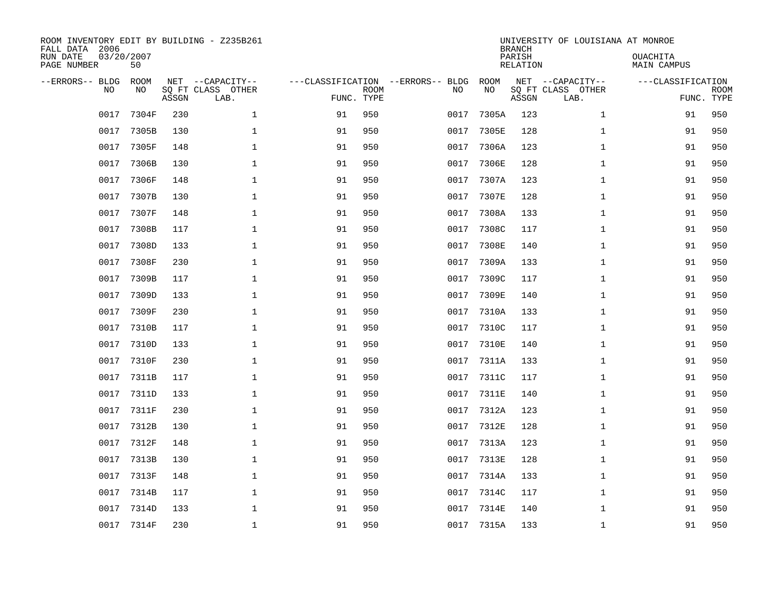| ROOM INVENTORY EDIT BY BUILDING - Z235B261<br>FALL DATA 2006<br>RUN DATE<br>PAGE NUMBER | 03/20/2007<br>50 |       |                                               |                                                 |             |      |            | <b>BRANCH</b><br>PARISH<br><b>RELATION</b> | UNIVERSITY OF LOUISIANA AT MONROE             | OUACHITA<br><b>MAIN CAMPUS</b>  |             |
|-----------------------------------------------------------------------------------------|------------------|-------|-----------------------------------------------|-------------------------------------------------|-------------|------|------------|--------------------------------------------|-----------------------------------------------|---------------------------------|-------------|
| --ERRORS-- BLDG<br>NO                                                                   | ROOM<br>NO       | ASSGN | NET --CAPACITY--<br>SQ FT CLASS OTHER<br>LAB. | ---CLASSIFICATION --ERRORS-- BLDG<br>FUNC. TYPE | <b>ROOM</b> | NO   | ROOM<br>NO | ASSGN                                      | NET --CAPACITY--<br>SQ FT CLASS OTHER<br>LAB. | ---CLASSIFICATION<br>FUNC. TYPE | <b>ROOM</b> |
| 0017                                                                                    | 7304F            | 230   | $\mathbf 1$                                   | 91                                              | 950         | 0017 | 7305A      | 123                                        | $\mathbf{1}$                                  | 91                              | 950         |
| 0017                                                                                    | 7305B            | 130   | $\mathbf 1$                                   | 91                                              | 950         | 0017 | 7305E      | 128                                        | $\mathbf{1}$                                  | 91                              | 950         |
| 0017                                                                                    | 7305F            | 148   | $\mathbf 1$                                   | 91                                              | 950         | 0017 | 7306A      | 123                                        | $\mathbf{1}$                                  | 91                              | 950         |
| 0017                                                                                    | 7306B            | 130   | $\mathbf 1$                                   | 91                                              | 950         | 0017 | 7306E      | 128                                        | $\mathbf{1}$                                  | 91                              | 950         |
| 0017                                                                                    | 7306F            | 148   | $\mathbf{1}$                                  | 91                                              | 950         | 0017 | 7307A      | 123                                        | $\mathbf{1}$                                  | 91                              | 950         |
| 0017                                                                                    | 7307B            | 130   | $\mathbf{1}$                                  | 91                                              | 950         | 0017 | 7307E      | 128                                        | $\mathbf{1}$                                  | 91                              | 950         |
| 0017                                                                                    | 7307F            | 148   | $\mathbf{1}$                                  | 91                                              | 950         | 0017 | 7308A      | 133                                        | $\mathbf{1}$                                  | 91                              | 950         |
| 0017                                                                                    | 7308B            | 117   | $\mathbf 1$                                   | 91                                              | 950         | 0017 | 7308C      | 117                                        | $\mathbf{1}$                                  | 91                              | 950         |
| 0017                                                                                    | 7308D            | 133   | $\mathbf 1$                                   | 91                                              | 950         | 0017 | 7308E      | 140                                        | $\mathbf{1}$                                  | 91                              | 950         |
| 0017                                                                                    | 7308F            | 230   | $\mathbf{1}$                                  | 91                                              | 950         | 0017 | 7309A      | 133                                        | $\mathbf{1}$                                  | 91                              | 950         |
| 0017                                                                                    | 7309B            | 117   | $\mathbf{1}$                                  | 91                                              | 950         | 0017 | 7309C      | 117                                        | $\mathbf{1}$                                  | 91                              | 950         |
| 0017                                                                                    | 7309D            | 133   | $\mathbf{1}$                                  | 91                                              | 950         | 0017 | 7309E      | 140                                        | $\mathbf{1}$                                  | 91                              | 950         |
| 0017                                                                                    | 7309F            | 230   | $\mathbf 1$                                   | 91                                              | 950         | 0017 | 7310A      | 133                                        | $\mathbf{1}$                                  | 91                              | 950         |
| 0017                                                                                    | 7310B            | 117   | $\mathbf 1$                                   | 91                                              | 950         | 0017 | 7310C      | 117                                        | $\mathbf{1}$                                  | 91                              | 950         |
| 0017                                                                                    | 7310D            | 133   | $\mathbf 1$                                   | 91                                              | 950         | 0017 | 7310E      | 140                                        | $\mathbf{1}$                                  | 91                              | 950         |
| 0017                                                                                    | 7310F            | 230   | $\mathbf 1$                                   | 91                                              | 950         | 0017 | 7311A      | 133                                        | $\mathbf{1}$                                  | 91                              | 950         |
| 0017                                                                                    | 7311B            | 117   | $\mathbf 1$                                   | 91                                              | 950         | 0017 | 7311C      | 117                                        | $\mathbf{1}$                                  | 91                              | 950         |
| 0017                                                                                    | 7311D            | 133   | $\mathbf{1}$                                  | 91                                              | 950         | 0017 | 7311E      | 140                                        | $\mathbf{1}$                                  | 91                              | 950         |
| 0017                                                                                    | 7311F            | 230   | $\mathbf{1}$                                  | 91                                              | 950         | 0017 | 7312A      | 123                                        | $\mathbf{1}$                                  | 91                              | 950         |
| 0017                                                                                    | 7312B            | 130   | $\mathbf 1$                                   | 91                                              | 950         | 0017 | 7312E      | 128                                        | $\mathbf{1}$                                  | 91                              | 950         |
| 0017                                                                                    | 7312F            | 148   | $\mathbf 1$                                   | 91                                              | 950         | 0017 | 7313A      | 123                                        | $\mathbf{1}$                                  | 91                              | 950         |
| 0017                                                                                    | 7313B            | 130   | $\mathbf 1$                                   | 91                                              | 950         | 0017 | 7313E      | 128                                        | $\mathbf{1}$                                  | 91                              | 950         |
| 0017                                                                                    | 7313F            | 148   | $\mathbf 1$                                   | 91                                              | 950         | 0017 | 7314A      | 133                                        | $\mathbf{1}$                                  | 91                              | 950         |
| 0017                                                                                    | 7314B            | 117   | $\mathbf 1$                                   | 91                                              | 950         | 0017 | 7314C      | 117                                        | $\mathbf{1}$                                  | 91                              | 950         |
| 0017                                                                                    | 7314D            | 133   | $\mathbf{1}$                                  | 91                                              | 950         | 0017 | 7314E      | 140                                        | $\mathbf{1}$                                  | 91                              | 950         |
|                                                                                         | 0017 7314F       | 230   | $\mathbf{1}$                                  | 91                                              | 950         |      | 0017 7315A | 133                                        | $\mathbf{1}$                                  | 91                              | 950         |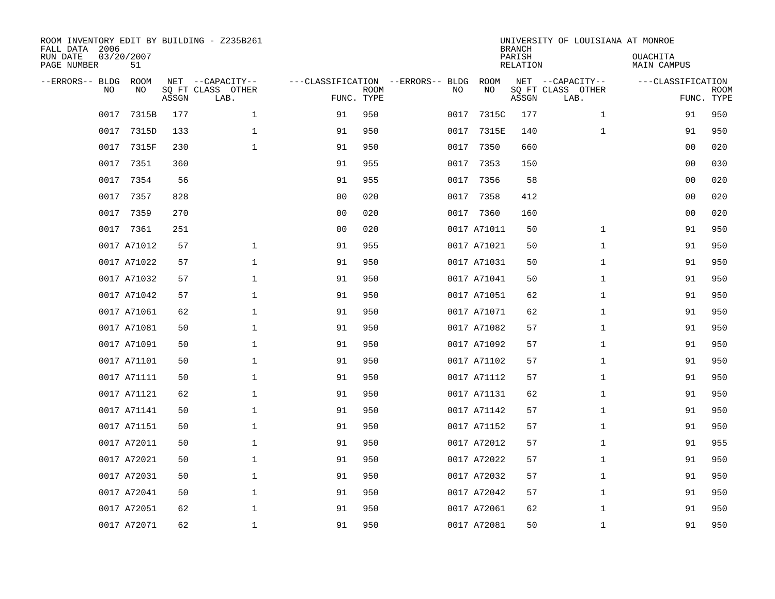| ROOM INVENTORY EDIT BY BUILDING - Z235B261<br>FALL DATA 2006<br>RUN DATE<br>PAGE NUMBER | 03/20/2007<br>51  |       |                                               |                |             |                                   |      |             | <b>BRANCH</b><br>PARISH<br><b>RELATION</b> | UNIVERSITY OF LOUISIANA AT MONROE             | OUACHITA<br>MAIN CAMPUS |                           |
|-----------------------------------------------------------------------------------------|-------------------|-------|-----------------------------------------------|----------------|-------------|-----------------------------------|------|-------------|--------------------------------------------|-----------------------------------------------|-------------------------|---------------------------|
| --ERRORS-- BLDG<br>NO                                                                   | <b>ROOM</b><br>NO | ASSGN | NET --CAPACITY--<br>SQ FT CLASS OTHER<br>LAB. | FUNC. TYPE     | <b>ROOM</b> | ---CLASSIFICATION --ERRORS-- BLDG | NO   | ROOM<br>NO  | ASSGN                                      | NET --CAPACITY--<br>SQ FT CLASS OTHER<br>LAB. | ---CLASSIFICATION       | <b>ROOM</b><br>FUNC. TYPE |
| 0017                                                                                    | 7315B             | 177   | $\mathbf{1}$                                  | 91             | 950         |                                   | 0017 | 7315C       | 177                                        | $\mathbf{1}$                                  | 91                      | 950                       |
| 0017                                                                                    | 7315D             | 133   | $\mathbf 1$                                   | 91             | 950         |                                   | 0017 | 7315E       | 140                                        | $\mathbf{1}$                                  | 91                      | 950                       |
| 0017                                                                                    | 7315F             | 230   | $\mathbf{1}$                                  | 91             | 950         |                                   | 0017 | 7350        | 660                                        |                                               | 00                      | 020                       |
| 0017                                                                                    | 7351              | 360   |                                               | 91             | 955         |                                   | 0017 | 7353        | 150                                        |                                               | 00                      | 030                       |
| 0017                                                                                    | 7354              | 56    |                                               | 91             | 955         |                                   | 0017 | 7356        | 58                                         |                                               | 0 <sub>0</sub>          | 020                       |
| 0017                                                                                    | 7357              | 828   |                                               | 0 <sub>0</sub> | 020         |                                   | 0017 | 7358        | 412                                        |                                               | 0 <sub>0</sub>          | 020                       |
| 0017                                                                                    | 7359              | 270   |                                               | 0 <sub>0</sub> | 020         |                                   | 0017 | 7360        | 160                                        |                                               | 0 <sub>0</sub>          | 020                       |
|                                                                                         | 0017 7361         | 251   |                                               | 0 <sub>0</sub> | 020         |                                   |      | 0017 A71011 | 50                                         | $\mathbf{1}$                                  | 91                      | 950                       |
|                                                                                         | 0017 A71012       | 57    | $\mathbf 1$                                   | 91             | 955         |                                   |      | 0017 A71021 | 50                                         | $\mathbf{1}$                                  | 91                      | 950                       |
|                                                                                         | 0017 A71022       | 57    | $\mathbf 1$                                   | 91             | 950         |                                   |      | 0017 A71031 | 50                                         | $\mathbf{1}$                                  | 91                      | 950                       |
|                                                                                         | 0017 A71032       | 57    | $\mathbf 1$                                   | 91             | 950         |                                   |      | 0017 A71041 | 50                                         | $\mathbf{1}$                                  | 91                      | 950                       |
|                                                                                         | 0017 A71042       | 57    | $\mathbf 1$                                   | 91             | 950         |                                   |      | 0017 A71051 | 62                                         | $\mathbf{1}$                                  | 91                      | 950                       |
|                                                                                         | 0017 A71061       | 62    | 1                                             | 91             | 950         |                                   |      | 0017 A71071 | 62                                         | $\mathbf{1}$                                  | 91                      | 950                       |
|                                                                                         | 0017 A71081       | 50    | $\mathbf{1}$                                  | 91             | 950         |                                   |      | 0017 A71082 | 57                                         | $\mathbf{1}$                                  | 91                      | 950                       |
|                                                                                         | 0017 A71091       | 50    | $\mathbf 1$                                   | 91             | 950         |                                   |      | 0017 A71092 | 57                                         | $\mathbf{1}$                                  | 91                      | 950                       |
|                                                                                         | 0017 A71101       | 50    | $\mathbf 1$                                   | 91             | 950         |                                   |      | 0017 A71102 | 57                                         | $\mathbf{1}$                                  | 91                      | 950                       |
|                                                                                         | 0017 A71111       | 50    | $\mathbf 1$                                   | 91             | 950         |                                   |      | 0017 A71112 | 57                                         | $\mathbf{1}$                                  | 91                      | 950                       |
|                                                                                         | 0017 A71121       | 62    | $\mathbf{1}$                                  | 91             | 950         |                                   |      | 0017 A71131 | 62                                         | $\mathbf{1}$                                  | 91                      | 950                       |
|                                                                                         | 0017 A71141       | 50    | $\mathbf 1$                                   | 91             | 950         |                                   |      | 0017 A71142 | 57                                         | $\mathbf{1}$                                  | 91                      | 950                       |
|                                                                                         | 0017 A71151       | 50    | 1                                             | 91             | 950         |                                   |      | 0017 A71152 | 57                                         | $\mathbf{1}$                                  | 91                      | 950                       |
|                                                                                         | 0017 A72011       | 50    | $\mathbf 1$                                   | 91             | 950         |                                   |      | 0017 A72012 | 57                                         | $\mathbf{1}$                                  | 91                      | 955                       |
|                                                                                         | 0017 A72021       | 50    | $\mathbf 1$                                   | 91             | 950         |                                   |      | 0017 A72022 | 57                                         | $\mathbf{1}$                                  | 91                      | 950                       |
|                                                                                         | 0017 A72031       | 50    | $\mathbf 1$                                   | 91             | 950         |                                   |      | 0017 A72032 | 57                                         | $\mathbf{1}$                                  | 91                      | 950                       |
|                                                                                         | 0017 A72041       | 50    | $\mathbf 1$                                   | 91             | 950         |                                   |      | 0017 A72042 | 57                                         | $\mathbf{1}$                                  | 91                      | 950                       |
|                                                                                         | 0017 A72051       | 62    | $\mathbf 1$                                   | 91             | 950         |                                   |      | 0017 A72061 | 62                                         | $\mathbf{1}$                                  | 91                      | 950                       |
|                                                                                         | 0017 A72071       | 62    | $\mathbf{1}$                                  | 91             | 950         |                                   |      | 0017 A72081 | 50                                         | $\mathbf{1}$                                  | 91                      | 950                       |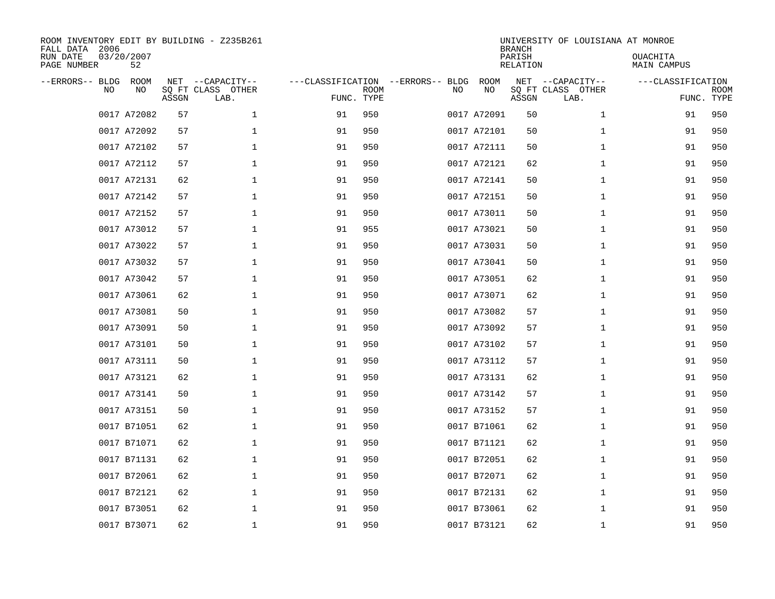| FALL DATA 2006<br>RUN DATE<br>PAGE NUMBER |     | 03/20/2007<br>52 |              | ROOM INVENTORY EDIT BY BUILDING - Z235B261 |                                   |                           |    |             | <b>BRANCH</b><br>PARISH<br>RELATION | UNIVERSITY OF LOUISIANA AT MONROE         | <b>OUACHITA</b><br>MAIN CAMPUS  |             |
|-------------------------------------------|-----|------------------|--------------|--------------------------------------------|-----------------------------------|---------------------------|----|-------------|-------------------------------------|-------------------------------------------|---------------------------------|-------------|
| --ERRORS-- BLDG                           | NO. | ROOM<br>NO.      | NET<br>ASSGN | --CAPACITY--<br>SQ FT CLASS OTHER<br>LAB.  | ---CLASSIFICATION --ERRORS-- BLDG | <b>ROOM</b><br>FUNC. TYPE | NO | ROOM<br>NO  | $\operatorname{NET}$<br>ASSGN       | --CAPACITY--<br>SQ FT CLASS OTHER<br>LAB. | ---CLASSIFICATION<br>FUNC. TYPE | <b>ROOM</b> |
|                                           |     | 0017 A72082      | 57           | $\mathbf{1}$                               | 91                                | 950                       |    | 0017 A72091 | 50                                  | $\mathbf{1}$                              | 91                              | 950         |
|                                           |     | 0017 A72092      | 57           | $\mathbf 1$                                | 91                                | 950                       |    | 0017 A72101 | 50                                  | $\mathbf{1}$                              | 91                              | 950         |
|                                           |     | 0017 A72102      | 57           | $\mathbf{1}$                               | 91                                | 950                       |    | 0017 A72111 | 50                                  | $\mathbf{1}$                              | 91                              | 950         |
|                                           |     | 0017 A72112      | 57           | $\mathbf{1}$                               | 91                                | 950                       |    | 0017 A72121 | 62                                  | $\mathbf{1}$                              | 91                              | 950         |
|                                           |     | 0017 A72131      | 62           | $\mathbf 1$                                | 91                                | 950                       |    | 0017 A72141 | 50                                  | $\mathbf{1}$                              | 91                              | 950         |
|                                           |     | 0017 A72142      | 57           | $\mathbf 1$                                | 91                                | 950                       |    | 0017 A72151 | 50                                  | $\mathbf{1}$                              | 91                              | 950         |
|                                           |     | 0017 A72152      | 57           | $\mathbf 1$                                | 91                                | 950                       |    | 0017 A73011 | 50                                  | $\mathbf{1}$                              | 91                              | 950         |
|                                           |     | 0017 A73012      | 57           | $\mathbf 1$                                | 91                                | 955                       |    | 0017 A73021 | 50                                  | $\mathbf{1}$                              | 91                              | 950         |
|                                           |     | 0017 A73022      | 57           | $\mathbf 1$                                | 91                                | 950                       |    | 0017 A73031 | 50                                  | $\mathbf{1}$                              | 91                              | 950         |
|                                           |     | 0017 A73032      | 57           | $\mathbf 1$                                | 91                                | 950                       |    | 0017 A73041 | 50                                  | $\mathbf{1}$                              | 91                              | 950         |
|                                           |     | 0017 A73042      | 57           | $\mathbf 1$                                | 91                                | 950                       |    | 0017 A73051 | 62                                  | $\mathbf{1}$                              | 91                              | 950         |
|                                           |     | 0017 A73061      | 62           | $\mathbf 1$                                | 91                                | 950                       |    | 0017 A73071 | 62                                  | $\mathbf{1}$                              | 91                              | 950         |
|                                           |     | 0017 A73081      | 50           | $\mathbf 1$                                | 91                                | 950                       |    | 0017 A73082 | 57                                  | $\mathbf{1}$                              | 91                              | 950         |
|                                           |     | 0017 A73091      | 50           | $\mathbf{1}$                               | 91                                | 950                       |    | 0017 A73092 | 57                                  | $\mathbf{1}$                              | 91                              | 950         |
|                                           |     | 0017 A73101      | 50           | $\mathbf 1$                                | 91                                | 950                       |    | 0017 A73102 | 57                                  | $\mathbf{1}$                              | 91                              | 950         |
|                                           |     | 0017 A73111      | 50           | $\mathbf 1$                                | 91                                | 950                       |    | 0017 A73112 | 57                                  | $\mathbf{1}$                              | 91                              | 950         |
|                                           |     | 0017 A73121      | 62           | $\mathbf 1$                                | 91                                | 950                       |    | 0017 A73131 | 62                                  | $\mathbf{1}$                              | 91                              | 950         |
|                                           |     | 0017 A73141      | 50           | $\mathbf 1$                                | 91                                | 950                       |    | 0017 A73142 | 57                                  | $\mathbf{1}$                              | 91                              | 950         |
|                                           |     | 0017 A73151      | 50           | 1                                          | 91                                | 950                       |    | 0017 A73152 | 57                                  | $\mathbf{1}$                              | 91                              | 950         |
|                                           |     | 0017 B71051      | 62           | $\mathbf 1$                                | 91                                | 950                       |    | 0017 B71061 | 62                                  | $\mathbf{1}$                              | 91                              | 950         |
|                                           |     | 0017 B71071      | 62           | $\mathbf 1$                                | 91                                | 950                       |    | 0017 B71121 | 62                                  | $\mathbf{1}$                              | 91                              | 950         |
|                                           |     | 0017 B71131      | 62           | $\mathbf 1$                                | 91                                | 950                       |    | 0017 B72051 | 62                                  | $\mathbf{1}$                              | 91                              | 950         |
|                                           |     | 0017 B72061      | 62           | $\mathbf 1$                                | 91                                | 950                       |    | 0017 B72071 | 62                                  | $\mathbf{1}$                              | 91                              | 950         |
|                                           |     | 0017 B72121      | 62           | $\mathbf 1$                                | 91                                | 950                       |    | 0017 B72131 | 62                                  | $\mathbf{1}$                              | 91                              | 950         |
|                                           |     | 0017 B73051      | 62           | 1                                          | 91                                | 950                       |    | 0017 B73061 | 62                                  | $\mathbf{1}$                              | 91                              | 950         |
|                                           |     | 0017 B73071      | 62           | $\mathbf 1$                                | 91                                | 950                       |    | 0017 B73121 | 62                                  | $\mathbf{1}$                              | 91                              | 950         |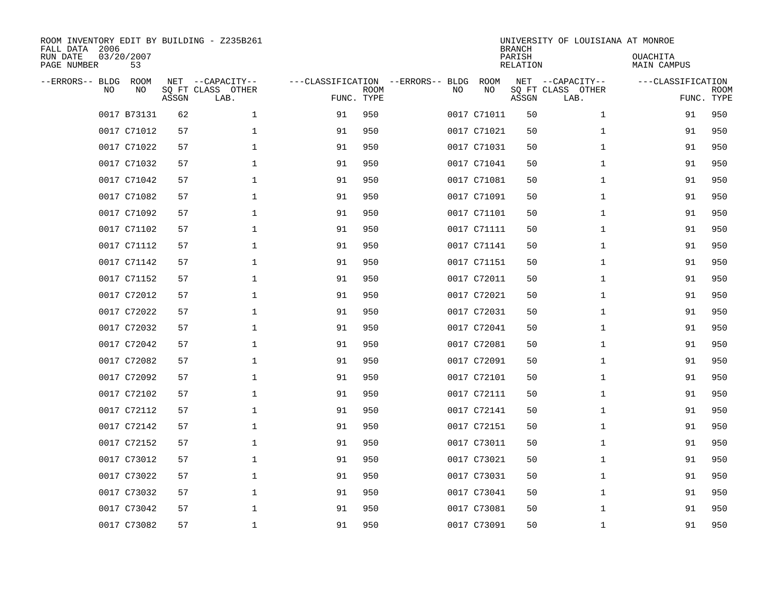| FALL DATA 2006<br>RUN DATE<br>PAGE NUMBER |     | 03/20/2007<br>53 |              | ROOM INVENTORY EDIT BY BUILDING - Z235B261 |                                   |                           |    |             | <b>BRANCH</b><br>PARISH<br>RELATION | UNIVERSITY OF LOUISIANA AT MONROE         | <b>OUACHITA</b><br>MAIN CAMPUS  |             |
|-------------------------------------------|-----|------------------|--------------|--------------------------------------------|-----------------------------------|---------------------------|----|-------------|-------------------------------------|-------------------------------------------|---------------------------------|-------------|
| --ERRORS-- BLDG                           | NO. | ROOM<br>NO.      | NET<br>ASSGN | --CAPACITY--<br>SQ FT CLASS OTHER<br>LAB.  | ---CLASSIFICATION --ERRORS-- BLDG | <b>ROOM</b><br>FUNC. TYPE | NO | ROOM<br>NO  | NET<br>ASSGN                        | --CAPACITY--<br>SQ FT CLASS OTHER<br>LAB. | ---CLASSIFICATION<br>FUNC. TYPE | <b>ROOM</b> |
|                                           |     | 0017 B73131      | 62           | $\mathbf{1}$                               | 91                                | 950                       |    | 0017 C71011 | 50                                  | $\mathbf{1}$                              | 91                              | 950         |
|                                           |     | 0017 C71012      | 57           | $\mathbf 1$                                | 91                                | 950                       |    | 0017 C71021 | 50                                  | $\mathbf{1}$                              | 91                              | 950         |
|                                           |     | 0017 C71022      | 57           | $\mathbf{1}$                               | 91                                | 950                       |    | 0017 C71031 | 50                                  | $\mathbf{1}$                              | 91                              | 950         |
|                                           |     | 0017 C71032      | 57           | $\mathbf{1}$                               | 91                                | 950                       |    | 0017 C71041 | 50                                  | $\mathbf{1}$                              | 91                              | 950         |
|                                           |     | 0017 C71042      | 57           | $\mathbf 1$                                | 91                                | 950                       |    | 0017 C71081 | 50                                  | $\mathbf{1}$                              | 91                              | 950         |
|                                           |     | 0017 C71082      | 57           | $\mathbf 1$                                | 91                                | 950                       |    | 0017 C71091 | 50                                  | $\mathbf{1}$                              | 91                              | 950         |
|                                           |     | 0017 C71092      | 57           | $\mathbf 1$                                | 91                                | 950                       |    | 0017 C71101 | 50                                  | $\mathbf{1}$                              | 91                              | 950         |
|                                           |     | 0017 C71102      | 57           | 1                                          | 91                                | 950                       |    | 0017 C71111 | 50                                  | $\mathbf{1}$                              | 91                              | 950         |
|                                           |     | 0017 C71112      | 57           | $\mathbf 1$                                | 91                                | 950                       |    | 0017 C71141 | 50                                  | $\mathbf{1}$                              | 91                              | 950         |
|                                           |     | 0017 C71142      | 57           | $\mathbf 1$                                | 91                                | 950                       |    | 0017 C71151 | 50                                  | $\mathbf{1}$                              | 91                              | 950         |
|                                           |     | 0017 C71152      | 57           | $\mathbf 1$                                | 91                                | 950                       |    | 0017 C72011 | 50                                  | $\mathbf{1}$                              | 91                              | 950         |
|                                           |     | 0017 C72012      | 57           | $\mathbf 1$                                | 91                                | 950                       |    | 0017 C72021 | 50                                  | $\mathbf{1}$                              | 91                              | 950         |
|                                           |     | 0017 C72022      | 57           | $\mathbf 1$                                | 91                                | 950                       |    | 0017 C72031 | 50                                  | $\mathbf{1}$                              | 91                              | 950         |
|                                           |     | 0017 C72032      | 57           | $\mathbf{1}$                               | 91                                | 950                       |    | 0017 C72041 | 50                                  | $\mathbf{1}$                              | 91                              | 950         |
|                                           |     | 0017 C72042      | 57           | 1                                          | 91                                | 950                       |    | 0017 C72081 | 50                                  | $\mathbf{1}$                              | 91                              | 950         |
|                                           |     | 0017 C72082      | 57           | $\mathbf 1$                                | 91                                | 950                       |    | 0017 C72091 | 50                                  | $\mathbf{1}$                              | 91                              | 950         |
|                                           |     | 0017 C72092      | 57           | $\mathbf 1$                                | 91                                | 950                       |    | 0017 C72101 | 50                                  | $\mathbf{1}$                              | 91                              | 950         |
|                                           |     | 0017 C72102      | 57           | $\mathbf 1$                                | 91                                | 950                       |    | 0017 C72111 | 50                                  | $\mathbf{1}$                              | 91                              | 950         |
|                                           |     | 0017 C72112      | 57           | 1                                          | 91                                | 950                       |    | 0017 C72141 | 50                                  | $\mathbf{1}$                              | 91                              | 950         |
|                                           |     | 0017 C72142      | 57           | $\mathbf 1$                                | 91                                | 950                       |    | 0017 C72151 | 50                                  | $\mathbf{1}$                              | 91                              | 950         |
|                                           |     | 0017 C72152      | 57           | $\mathbf 1$                                | 91                                | 950                       |    | 0017 C73011 | 50                                  | $\mathbf{1}$                              | 91                              | 950         |
|                                           |     | 0017 C73012      | 57           | $\mathbf 1$                                | 91                                | 950                       |    | 0017 C73021 | 50                                  | $\mathbf{1}$                              | 91                              | 950         |
|                                           |     | 0017 C73022      | 57           | $\mathbf 1$                                | 91                                | 950                       |    | 0017 C73031 | 50                                  | $\mathbf{1}$                              | 91                              | 950         |
|                                           |     | 0017 C73032      | 57           | $\mathbf 1$                                | 91                                | 950                       |    | 0017 C73041 | 50                                  | $\mathbf{1}$                              | 91                              | 950         |
|                                           |     | 0017 C73042      | 57           | 1                                          | 91                                | 950                       |    | 0017 C73081 | 50                                  | $\mathbf{1}$                              | 91                              | 950         |
|                                           |     | 0017 C73082      | 57           | $\mathbf 1$                                | 91                                | 950                       |    | 0017 C73091 | 50                                  | $\mathbf{1}$                              | 91                              | 950         |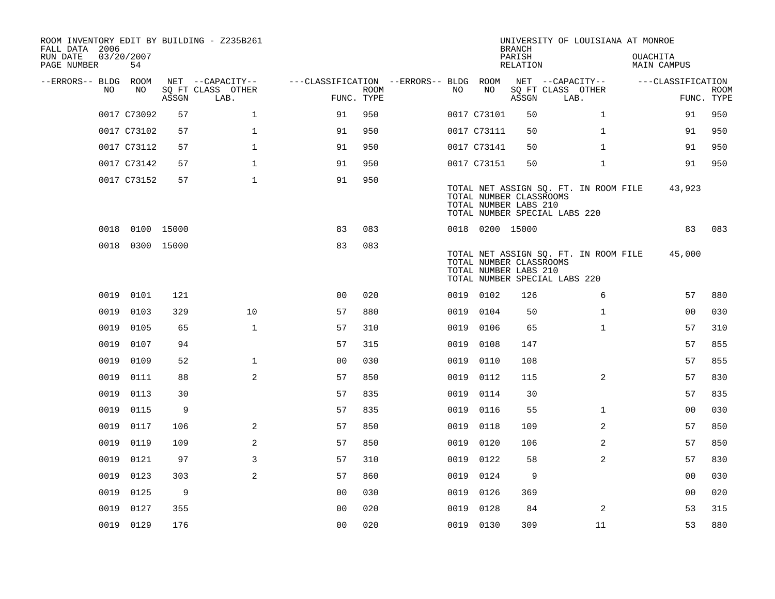| ROOM INVENTORY EDIT BY BUILDING - Z235B261<br>FALL DATA 2006 |                  |       |                           |                                        |      |      |                                                  | <b>BRANCH</b>      | UNIVERSITY OF LOUISIANA AT MONROE                                      |                                       |                           |
|--------------------------------------------------------------|------------------|-------|---------------------------|----------------------------------------|------|------|--------------------------------------------------|--------------------|------------------------------------------------------------------------|---------------------------------------|---------------------------|
| RUN DATE<br>PAGE NUMBER                                      | 03/20/2007<br>54 |       |                           |                                        |      |      |                                                  | PARISH<br>RELATION |                                                                        | <b>OUACHITA</b><br><b>MAIN CAMPUS</b> |                           |
| --ERRORS-- BLDG ROOM                                         |                  |       | NET --CAPACITY--          | ---CLASSIFICATION --ERRORS-- BLDG ROOM |      |      |                                                  |                    | NET --CAPACITY--                                                       | ---CLASSIFICATION                     |                           |
| NO.                                                          | NO               | ASSGN | SQ FT CLASS OTHER<br>LAB. | FUNC. TYPE                             | ROOM | NO   | NO                                               | ASSGN              | SQ FT CLASS OTHER<br>LAB.                                              |                                       | <b>ROOM</b><br>FUNC. TYPE |
|                                                              | 0017 C73092      | 57    | $\mathbf{1}$              | 91                                     | 950  |      | 0017 C73101                                      | 50                 | $\mathbf{1}$                                                           | 91                                    | 950                       |
|                                                              | 0017 C73102      | 57    | $\mathbf{1}$              | 91                                     | 950  |      | 0017 C73111                                      | 50                 | $\mathbf{1}$                                                           | 91                                    | 950                       |
|                                                              | 0017 C73112      | 57    | $\mathbf 1$               | 91                                     | 950  |      | 0017 C73141                                      | 50                 | $\mathbf{1}$                                                           | 91                                    | 950                       |
|                                                              | 0017 C73142      | 57    | $\mathbf{1}$              | 91                                     | 950  |      | 0017 C73151                                      | 50                 | $\mathbf{1}$                                                           | 91                                    | 950                       |
|                                                              | 0017 C73152      | 57    | $\mathbf{1}$              | 91                                     | 950  |      | TOTAL NUMBER CLASSROOMS<br>TOTAL NUMBER LABS 210 |                    | TOTAL NET ASSIGN SQ. FT. IN ROOM FILE<br>TOTAL NUMBER SPECIAL LABS 220 | 43,923                                |                           |
|                                                              | 0018 0100 15000  |       |                           | 83                                     | 083  |      | 0018 0200 15000                                  |                    |                                                                        | 83                                    | 083                       |
| 0018                                                         | 0300 15000       |       |                           | 83                                     | 083  |      | TOTAL NUMBER CLASSROOMS<br>TOTAL NUMBER LABS 210 |                    | TOTAL NET ASSIGN SQ. FT. IN ROOM FILE<br>TOTAL NUMBER SPECIAL LABS 220 | 45,000                                |                           |
| 0019                                                         | 0101             | 121   |                           | 0 <sub>0</sub>                         | 020  |      | 0019 0102                                        | 126                | 6                                                                      | 57                                    | 880                       |
| 0019                                                         | 0103             | 329   | 10                        | 57                                     | 880  | 0019 | 0104                                             | 50                 | $\mathbf{1}$                                                           | 0 <sub>0</sub>                        | 030                       |
| 0019                                                         | 0105             | 65    | $\mathbf 1$               | 57                                     | 310  |      | 0019 0106                                        | 65                 | $\mathbf{1}$                                                           | 57                                    | 310                       |
| 0019                                                         | 0107             | 94    |                           | 57                                     | 315  | 0019 | 0108                                             | 147                |                                                                        | 57                                    | 855                       |
| 0019                                                         | 0109             | 52    | $\mathbf{1}$              | 0 <sub>0</sub>                         | 030  | 0019 | 0110                                             | 108                |                                                                        | 57                                    | 855                       |
| 0019                                                         | 0111             | 88    | 2                         | 57                                     | 850  | 0019 | 0112                                             | 115                | $\overline{2}$                                                         | 57                                    | 830                       |
| 0019                                                         | 0113             | 30    |                           | 57                                     | 835  | 0019 | 0114                                             | 30                 |                                                                        | 57                                    | 835                       |
| 0019                                                         | 0115             | 9     |                           | 57                                     | 835  |      | 0019 0116                                        | 55                 | $\mathbf{1}$                                                           | 00                                    | 030                       |
| 0019                                                         | 0117             | 106   | 2                         | 57                                     | 850  | 0019 | 0118                                             | 109                | 2                                                                      | 57                                    | 850                       |
| 0019                                                         | 0119             | 109   | 2                         | 57                                     | 850  | 0019 | 0120                                             | 106                | 2                                                                      | 57                                    | 850                       |
| 0019                                                         | 0121             | 97    | 3                         | 57                                     | 310  | 0019 | 0122                                             | 58                 | $\overline{a}$                                                         | 57                                    | 830                       |
| 0019                                                         | 0123             | 303   | 2                         | 57                                     | 860  | 0019 | 0124                                             | 9                  |                                                                        | 00                                    | 030                       |
| 0019                                                         | 0125             | 9     |                           | 0 <sub>0</sub>                         | 030  | 0019 | 0126                                             | 369                |                                                                        | 0 <sub>0</sub>                        | 020                       |
| 0019                                                         | 0127             | 355   |                           | 0 <sub>0</sub>                         | 020  | 0019 | 0128                                             | 84                 | 2                                                                      | 53                                    | 315                       |
|                                                              | 0019 0129        | 176   |                           | 0 <sub>0</sub>                         | 020  |      | 0019 0130                                        | 309                | 11                                                                     | 53                                    | 880                       |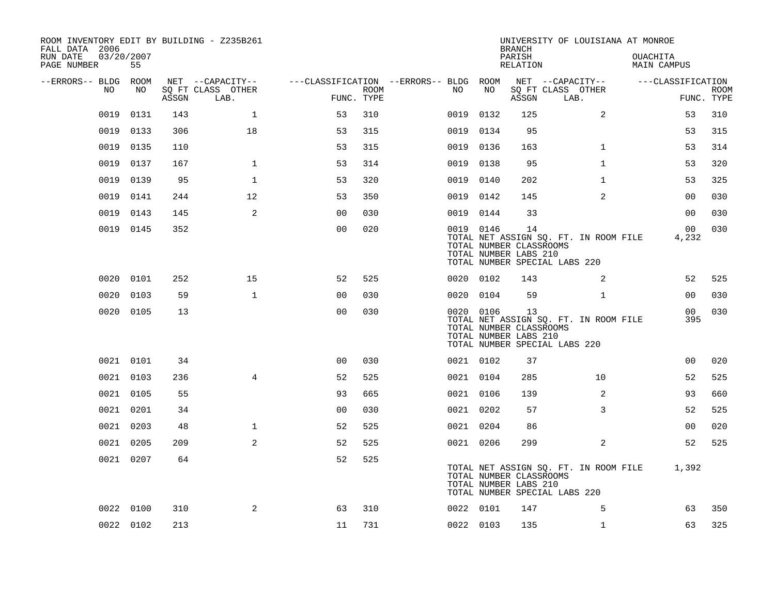| ROOM INVENTORY EDIT BY BUILDING - Z235B261<br>FALL DATA 2006 |                  |       |                           |                                        |      |           |           | <b>BRANCH</b>                                          | UNIVERSITY OF LOUISIANA AT MONROE                                      |                                |                |                           |
|--------------------------------------------------------------|------------------|-------|---------------------------|----------------------------------------|------|-----------|-----------|--------------------------------------------------------|------------------------------------------------------------------------|--------------------------------|----------------|---------------------------|
| RUN DATE<br>PAGE NUMBER                                      | 03/20/2007<br>55 |       |                           |                                        |      |           |           | PARISH<br>RELATION                                     |                                                                        | <b>OUACHITA</b><br>MAIN CAMPUS |                |                           |
| --ERRORS-- BLDG ROOM                                         |                  |       | NET --CAPACITY--          | ---CLASSIFICATION --ERRORS-- BLDG ROOM |      |           |           |                                                        | NET --CAPACITY--                                                       | ---CLASSIFICATION              |                |                           |
| NO                                                           | NO               | ASSGN | SQ FT CLASS OTHER<br>LAB. | FUNC. TYPE                             | ROOM | NO.       | NO        | ASSGN                                                  | SQ FT CLASS OTHER<br>LAB.                                              |                                |                | <b>ROOM</b><br>FUNC. TYPE |
| 0019                                                         | 0131             | 143   | $\mathbf{1}$              | 53                                     | 310  | 0019      | 0132      | 125                                                    | 2                                                                      |                                | 53             | 310                       |
| 0019                                                         | 0133             | 306   | 18                        | 53                                     | 315  | 0019 0134 |           | 95                                                     |                                                                        |                                | 53             | 315                       |
| 0019                                                         | 0135             | 110   |                           | 53                                     | 315  | 0019 0136 |           | 163                                                    | $\mathbf{1}$                                                           |                                | 53             | 314                       |
| 0019                                                         | 0137             | 167   | $\mathbf{1}$              | 53                                     | 314  | 0019 0138 |           | 95                                                     | $\mathbf{1}$                                                           |                                | 53             | 320                       |
| 0019                                                         | 0139             | 95    | 1                         | 53                                     | 320  | 0019 0140 |           | 202                                                    | $\mathbf{1}$                                                           |                                | 53             | 325                       |
| 0019                                                         | 0141             | 244   | 12                        | 53                                     | 350  | 0019 0142 |           | 145                                                    | 2                                                                      |                                | 00             | 030                       |
| 0019                                                         | 0143             | 145   | 2                         | 0 <sub>0</sub>                         | 030  | 0019 0144 |           | 33                                                     |                                                                        |                                | 00             | 030                       |
|                                                              | 0019 0145        | 352   |                           | 0 <sub>0</sub>                         | 020  | 0019 0146 |           | 14<br>TOTAL NUMBER CLASSROOMS<br>TOTAL NUMBER LABS 210 | TOTAL NET ASSIGN SQ. FT. IN ROOM FILE<br>TOTAL NUMBER SPECIAL LABS 220 | 4,232                          | 0 <sub>0</sub> | 030                       |
|                                                              | 0020 0101        | 252   | 15                        | 52                                     | 525  | 0020 0102 |           | 143                                                    | 2                                                                      |                                | 52             | 525                       |
|                                                              | 0020 0103        | 59    | $\mathbf{1}$              | 0 <sub>0</sub>                         | 030  | 0020 0104 |           | 59                                                     | $\mathbf{1}$                                                           |                                | 0 <sub>0</sub> | 030                       |
|                                                              | 0020 0105        | 13    |                           | 0 <sub>0</sub>                         | 030  |           | 0020 0106 | 13<br>TOTAL NUMBER CLASSROOMS<br>TOTAL NUMBER LABS 210 | TOTAL NET ASSIGN SQ. FT. IN ROOM FILE<br>TOTAL NUMBER SPECIAL LABS 220 |                                | 00<br>395      | 030                       |
|                                                              | 0021 0101        | 34    |                           | 0 <sub>0</sub>                         | 030  | 0021 0102 |           | 37                                                     |                                                                        |                                | 0 <sub>0</sub> | 020                       |
|                                                              | 0021 0103        | 236   | $\overline{4}$            | 52                                     | 525  | 0021 0104 |           | 285                                                    | 10                                                                     |                                | 52             | 525                       |
|                                                              | 0021 0105        | 55    |                           | 93                                     | 665  | 0021 0106 |           | 139                                                    | 2                                                                      |                                | 93             | 660                       |
|                                                              | 0021 0201        | 34    |                           | 0 <sub>0</sub>                         | 030  | 0021 0202 |           | 57                                                     | 3                                                                      |                                | 52             | 525                       |
|                                                              | 0021 0203        | 48    | $\mathbf 1$               | 52                                     | 525  | 0021 0204 |           | 86                                                     |                                                                        |                                | 0 <sub>0</sub> | 020                       |
|                                                              | 0021 0205        | 209   | 2                         | 52                                     | 525  | 0021 0206 |           | 299                                                    | 2                                                                      |                                | 52             | 525                       |
|                                                              | 0021 0207        | 64    |                           | 52                                     | 525  |           |           | TOTAL NUMBER CLASSROOMS<br>TOTAL NUMBER LABS 210       | TOTAL NET ASSIGN SQ. FT. IN ROOM FILE<br>TOTAL NUMBER SPECIAL LABS 220 | 1,392                          |                |                           |
|                                                              | 0022 0100        | 310   | 2                         | 63                                     | 310  | 0022 0101 |           | 147                                                    | 5                                                                      |                                | 63             | 350                       |
|                                                              | 0022 0102        | 213   |                           | 11                                     | 731  | 0022 0103 |           | 135                                                    | $\mathbf{1}$                                                           |                                | 63             | 325                       |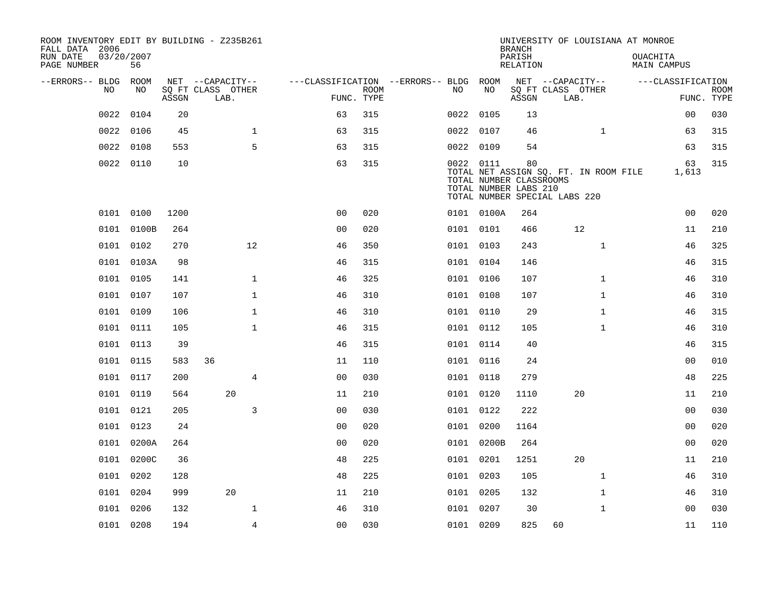| ROOM INVENTORY EDIT BY BUILDING - Z235B261<br>FALL DATA 2006 |                  |       |                           |                                        |                           |           |                                                                                   | <b>BRANCH</b>      |    | UNIVERSITY OF LOUISIANA AT MONROE     |                                       |                           |
|--------------------------------------------------------------|------------------|-------|---------------------------|----------------------------------------|---------------------------|-----------|-----------------------------------------------------------------------------------|--------------------|----|---------------------------------------|---------------------------------------|---------------------------|
| RUN DATE<br>PAGE NUMBER                                      | 03/20/2007<br>56 |       |                           |                                        |                           |           |                                                                                   | PARISH<br>RELATION |    |                                       | <b>OUACHITA</b><br><b>MAIN CAMPUS</b> |                           |
| --ERRORS-- BLDG ROOM                                         |                  |       | NET --CAPACITY--          | ---CLASSIFICATION --ERRORS-- BLDG ROOM |                           |           |                                                                                   |                    |    | NET --CAPACITY--                      | ---CLASSIFICATION                     |                           |
| NO.                                                          | NO               | ASSGN | SQ FT CLASS OTHER<br>LAB. |                                        | <b>ROOM</b><br>FUNC. TYPE | NO.       | NO                                                                                | ASSGN              |    | SQ FT CLASS OTHER<br>LAB.             |                                       | <b>ROOM</b><br>FUNC. TYPE |
| 0022                                                         | 0104             | 20    |                           | 63                                     | 315                       | 0022 0105 |                                                                                   | 13                 |    |                                       | 0 <sub>0</sub>                        | 030                       |
| 0022                                                         | 0106             | 45    | $\mathbf 1$               | 63                                     | 315                       | 0022 0107 |                                                                                   | 46                 |    | $\mathbf{1}$                          | 63                                    | 315                       |
| 0022                                                         | 0108             | 553   | 5                         | 63                                     | 315                       | 0022 0109 |                                                                                   | 54                 |    |                                       | 63                                    | 315                       |
|                                                              | 0022 0110        | 10    |                           | 63                                     | 315                       | 0022 0111 | TOTAL NUMBER CLASSROOMS<br>TOTAL NUMBER LABS 210<br>TOTAL NUMBER SPECIAL LABS 220 | 80                 |    | TOTAL NET ASSIGN SQ. FT. IN ROOM FILE | 63<br>1,613                           | 315                       |
|                                                              | 0101 0100        | 1200  |                           | 0 <sub>0</sub>                         | 020                       |           | 0101 0100A                                                                        | 264                |    |                                       | 00                                    | 020                       |
|                                                              | 0101 0100B       | 264   |                           | 0 <sub>0</sub>                         | 020                       | 0101 0101 |                                                                                   | 466                |    | 12                                    | 11                                    | 210                       |
|                                                              | 0101 0102        | 270   | 12                        | 46                                     | 350                       | 0101 0103 |                                                                                   | 243                |    | $\mathbf{1}$                          | 46                                    | 325                       |
|                                                              | 0101 0103A       | 98    |                           | 46                                     | 315                       | 0101 0104 |                                                                                   | 146                |    |                                       | 46                                    | 315                       |
|                                                              | 0101 0105        | 141   | $\mathbf{1}$              | 46                                     | 325                       | 0101 0106 |                                                                                   | 107                |    | $\mathbf{1}$                          | 46                                    | 310                       |
|                                                              | 0101 0107        | 107   | $\mathbf{1}$              | 46                                     | 310                       | 0101 0108 |                                                                                   | 107                |    | $\mathbf{1}$                          | 46                                    | 310                       |
|                                                              | 0101 0109        | 106   | $\mathbf{1}$              | 46                                     | 310                       | 0101 0110 |                                                                                   | 29                 |    | $\mathbf{1}$                          | 46                                    | 315                       |
|                                                              | 0101 0111        | 105   | $\mathbf 1$               | 46                                     | 315                       | 0101 0112 |                                                                                   | 105                |    | $\mathbf{1}$                          | 46                                    | 310                       |
|                                                              | 0101 0113        | 39    |                           | 46                                     | 315                       | 0101 0114 |                                                                                   | 40                 |    |                                       | 46                                    | 315                       |
|                                                              | 0101 0115        | 583   | 36                        | 11                                     | 110                       | 0101 0116 |                                                                                   | 24                 |    |                                       | 00                                    | 010                       |
|                                                              | 0101 0117        | 200   | $\overline{4}$            | 0 <sub>0</sub>                         | 030                       | 0101 0118 |                                                                                   | 279                |    |                                       | 48                                    | 225                       |
|                                                              | 0101 0119        | 564   | 20                        | 11                                     | 210                       | 0101 0120 |                                                                                   | 1110               |    | 20                                    | 11                                    | 210                       |
|                                                              | 0101 0121        | 205   | 3                         | 0 <sub>0</sub>                         | 030                       | 0101 0122 |                                                                                   | 222                |    |                                       | 00                                    | 030                       |
|                                                              | 0101 0123        | 24    |                           | 0 <sub>0</sub>                         | 020                       | 0101 0200 |                                                                                   | 1164               |    |                                       | 0 <sub>0</sub>                        | 020                       |
|                                                              | 0101 0200A       | 264   |                           | 0 <sub>0</sub>                         | 020                       |           | 0101 0200B                                                                        | 264                |    |                                       | 0 <sub>0</sub>                        | 020                       |
|                                                              | 0101 0200C       | 36    |                           | 48                                     | 225                       | 0101 0201 |                                                                                   | 1251               |    | 20                                    | 11                                    | 210                       |
|                                                              | 0101 0202        | 128   |                           | 48                                     | 225                       | 0101 0203 |                                                                                   | 105                |    | $\mathbf{1}$                          | 46                                    | 310                       |
|                                                              | 0101 0204        | 999   | 20                        | 11                                     | 210                       | 0101 0205 |                                                                                   | 132                |    | $\mathbf{1}$                          | 46                                    | 310                       |
|                                                              | 0101 0206        | 132   | 1                         | 46                                     | 310                       | 0101 0207 |                                                                                   | 30                 |    | $\mathbf{1}$                          | 00                                    | 030                       |
|                                                              | 0101 0208        | 194   | $\overline{4}$            | 0 <sub>0</sub>                         | 030                       | 0101 0209 |                                                                                   | 825                | 60 |                                       | 11                                    | 110                       |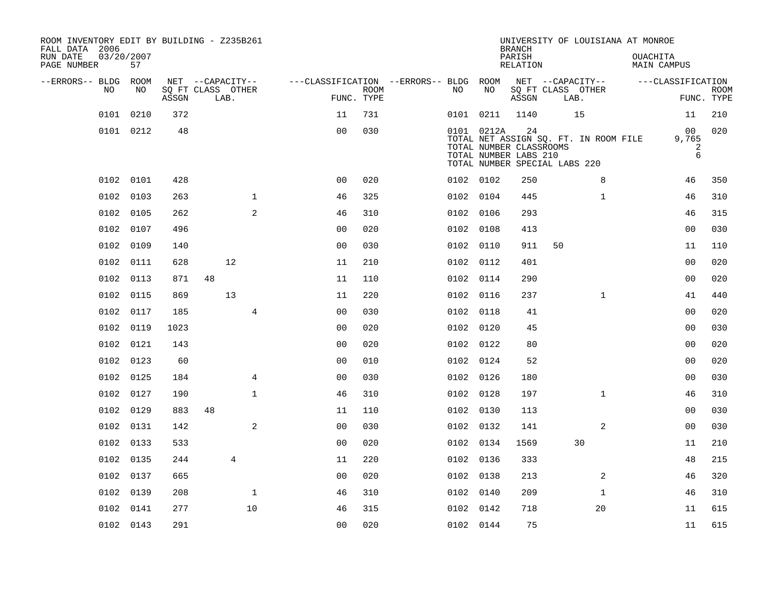| ROOM INVENTORY EDIT BY BUILDING - Z235B261<br>FALL DATA 2006 |                  |       |                           |                |                                        |             |           |                                                                                                 | <b>BRANCH</b>      |    | UNIVERSITY OF LOUISIANA AT MONROE     |          |                                |                           |
|--------------------------------------------------------------|------------------|-------|---------------------------|----------------|----------------------------------------|-------------|-----------|-------------------------------------------------------------------------------------------------|--------------------|----|---------------------------------------|----------|--------------------------------|---------------------------|
| RUN DATE<br>PAGE NUMBER                                      | 03/20/2007<br>57 |       |                           |                |                                        |             |           |                                                                                                 | PARISH<br>RELATION |    |                                       | OUACHITA | MAIN CAMPUS                    |                           |
| --ERRORS-- BLDG ROOM                                         |                  |       | NET --CAPACITY--          |                | ---CLASSIFICATION --ERRORS-- BLDG ROOM |             |           |                                                                                                 |                    |    | NET --CAPACITY--                      |          | ---CLASSIFICATION              |                           |
| NO.                                                          | NO.              | ASSGN | SQ FT CLASS OTHER<br>LAB. |                | FUNC. TYPE                             | <b>ROOM</b> | NO.       | NO                                                                                              | ASSGN              |    | SQ FT CLASS OTHER<br>LAB.             |          |                                | <b>ROOM</b><br>FUNC. TYPE |
|                                                              | 0101 0210        | 372   |                           |                | 11                                     | 731         |           | 0101 0211                                                                                       | 1140               |    | 15                                    |          | 11                             | 210                       |
|                                                              | 0101 0212        | 48    |                           |                | 0 <sub>0</sub>                         | 030         |           | 0101 0212A<br>TOTAL NUMBER CLASSROOMS<br>TOTAL NUMBER LABS 210<br>TOTAL NUMBER SPECIAL LABS 220 | 24                 |    | TOTAL NET ASSIGN SQ. FT. IN ROOM FILE |          | 00<br>9,765<br>$\sqrt{2}$<br>6 | 020                       |
|                                                              | 0102 0101        | 428   |                           |                | 0 <sub>0</sub>                         | 020         | 0102 0102 |                                                                                                 | 250                |    | 8                                     |          | 46                             | 350                       |
|                                                              | 0102 0103        | 263   |                           | $\mathbf 1$    | 46                                     | 325         | 0102 0104 |                                                                                                 | 445                |    | $\mathbf{1}$                          |          | 46                             | 310                       |
|                                                              | 0102 0105        | 262   |                           | 2              | 46                                     | 310         | 0102 0106 |                                                                                                 | 293                |    |                                       |          | 46                             | 315                       |
| 0102                                                         | 0107             | 496   |                           |                | 0 <sub>0</sub>                         | 020         | 0102 0108 |                                                                                                 | 413                |    |                                       |          | 0 <sub>0</sub>                 | 030                       |
|                                                              | 0102 0109        | 140   |                           |                | 0 <sub>0</sub>                         | 030         | 0102 0110 |                                                                                                 | 911                | 50 |                                       |          | 11                             | 110                       |
|                                                              | 0102 0111        | 628   | 12                        |                | 11                                     | 210         | 0102 0112 |                                                                                                 | 401                |    |                                       |          | 00                             | 020                       |
|                                                              | 0102 0113        | 871   | 48                        |                | 11                                     | 110         | 0102 0114 |                                                                                                 | 290                |    |                                       |          | 0 <sub>0</sub>                 | 020                       |
|                                                              | 0102 0115        | 869   | 13                        |                | 11                                     | 220         | 0102 0116 |                                                                                                 | 237                |    | $\mathbf{1}$                          |          | 41                             | 440                       |
| 0102                                                         | 0117             | 185   |                           | $\overline{4}$ | 0 <sub>0</sub>                         | 030         | 0102 0118 |                                                                                                 | 41                 |    |                                       |          | 0 <sub>0</sub>                 | 020                       |
|                                                              | 0102 0119        | 1023  |                           |                | 0 <sub>0</sub>                         | 020         | 0102 0120 |                                                                                                 | 45                 |    |                                       |          | 0 <sub>0</sub>                 | 030                       |
|                                                              | 0102 0121        | 143   |                           |                | 0 <sub>0</sub>                         | 020         | 0102 0122 |                                                                                                 | 80                 |    |                                       |          | 0 <sub>0</sub>                 | 020                       |
|                                                              | 0102 0123        | 60    |                           |                | 0 <sub>0</sub>                         | 010         | 0102 0124 |                                                                                                 | 52                 |    |                                       |          | 00                             | 020                       |
|                                                              | 0102 0125        | 184   |                           | 4              | 0 <sub>0</sub>                         | 030         | 0102 0126 |                                                                                                 | 180                |    |                                       |          | 00                             | 030                       |
|                                                              | 0102 0127        | 190   |                           | $\mathbf{1}$   | 46                                     | 310         | 0102 0128 |                                                                                                 | 197                |    | $\mathbf{1}$                          |          | 46                             | 310                       |
|                                                              | 0102 0129        | 883   | 48                        |                | 11                                     | 110         | 0102 0130 |                                                                                                 | 113                |    |                                       |          | 0 <sub>0</sub>                 | 030                       |
|                                                              | 0102 0131        | 142   |                           | 2              | 0 <sub>0</sub>                         | 030         | 0102 0132 |                                                                                                 | 141                |    | 2                                     |          | 00                             | 030                       |
|                                                              | 0102 0133        | 533   |                           |                | 0 <sub>0</sub>                         | 020         | 0102 0134 |                                                                                                 | 1569               |    | 30                                    |          | 11                             | 210                       |
|                                                              | 0102 0135        | 244   | 4                         |                | 11                                     | 220         | 0102 0136 |                                                                                                 | 333                |    |                                       |          | 48                             | 215                       |
|                                                              | 0102 0137        | 665   |                           |                | 0 <sub>0</sub>                         | 020         | 0102 0138 |                                                                                                 | 213                |    | 2                                     |          | 46                             | 320                       |
|                                                              | 0102 0139        | 208   |                           | $\mathbf 1$    | 46                                     | 310         | 0102 0140 |                                                                                                 | 209                |    | $\mathbf{1}$                          |          | 46                             | 310                       |
|                                                              | 0102 0141        | 277   |                           | 10             | 46                                     | 315         | 0102 0142 |                                                                                                 | 718                |    | 20                                    |          | 11                             | 615                       |
|                                                              | 0102 0143        | 291   |                           |                | 00                                     | 020         | 0102 0144 |                                                                                                 | 75                 |    |                                       |          | 11                             | 615                       |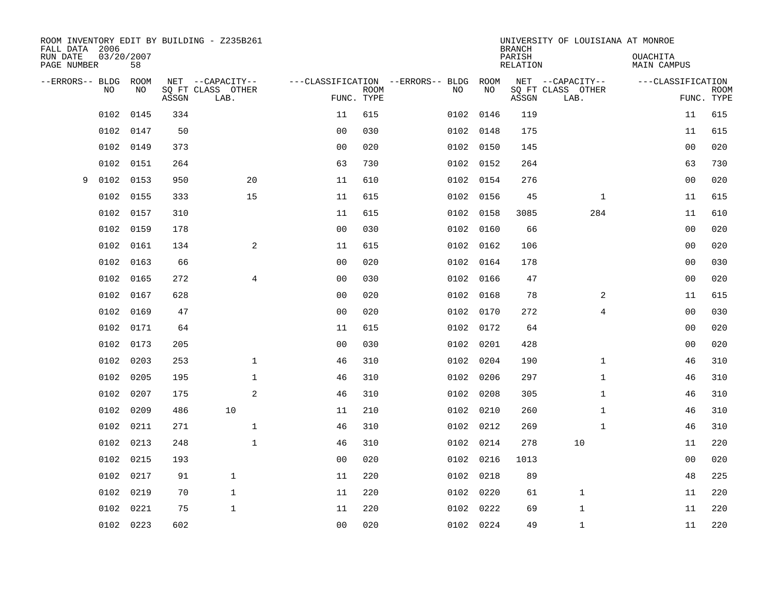| FALL DATA 2006          |      |                  |       | ROOM INVENTORY EDIT BY BUILDING - Z235B261 |                |             |                                         |            | <b>BRANCH</b>             | UNIVERSITY OF LOUISIANA AT MONROE     |                                |                           |
|-------------------------|------|------------------|-------|--------------------------------------------|----------------|-------------|-----------------------------------------|------------|---------------------------|---------------------------------------|--------------------------------|---------------------------|
| RUN DATE<br>PAGE NUMBER |      | 03/20/2007<br>58 |       |                                            |                |             |                                         |            | PARISH<br><b>RELATION</b> |                                       | OUACHITA<br><b>MAIN CAMPUS</b> |                           |
| --ERRORS-- BLDG         | NO   | ROOM<br>NO       |       | NET --CAPACITY--<br>SQ FT CLASS OTHER      |                |             | ---CLASSIFICATION --ERRORS-- BLDG<br>NO | ROOM<br>NO |                           | NET --CAPACITY--<br>SQ FT CLASS OTHER | ---CLASSIFICATION              |                           |
|                         |      |                  | ASSGN | LAB.                                       | FUNC. TYPE     | <b>ROOM</b> |                                         |            | ASSGN                     | LAB.                                  |                                | <b>ROOM</b><br>FUNC. TYPE |
|                         | 0102 | 0145             | 334   |                                            | 11             | 615         | 0102                                    | 0146       | 119                       |                                       | 11                             | 615                       |
|                         | 0102 | 0147             | 50    |                                            | 0 <sub>0</sub> | 030         |                                         | 0102 0148  | 175                       |                                       | 11                             | 615                       |
|                         | 0102 | 0149             | 373   |                                            | 0 <sub>0</sub> | 020         |                                         | 0102 0150  | 145                       |                                       | 0 <sub>0</sub>                 | 020                       |
|                         | 0102 | 0151             | 264   |                                            | 63             | 730         |                                         | 0102 0152  | 264                       |                                       | 63                             | 730                       |
| 9                       | 0102 | 0153             | 950   | 20                                         | 11             | 610         |                                         | 0102 0154  | 276                       |                                       | 0 <sub>0</sub>                 | 020                       |
|                         | 0102 | 0155             | 333   | 15                                         | 11             | 615         |                                         | 0102 0156  | 45                        | $\mathbf{1}$                          | 11                             | 615                       |
|                         | 0102 | 0157             | 310   |                                            | 11             | 615         |                                         | 0102 0158  | 3085                      | 284                                   | 11                             | 610                       |
|                         | 0102 | 0159             | 178   |                                            | 0 <sub>0</sub> | 030         |                                         | 0102 0160  | 66                        |                                       | 0 <sub>0</sub>                 | 020                       |
|                         | 0102 | 0161             | 134   | 2                                          | 11             | 615         | 0102                                    | 0162       | 106                       |                                       | 0 <sub>0</sub>                 | 020                       |
|                         | 0102 | 0163             | 66    |                                            | 0 <sub>0</sub> | 020         |                                         | 0102 0164  | 178                       |                                       | 0 <sub>0</sub>                 | 030                       |
|                         | 0102 | 0165             | 272   | 4                                          | 0 <sub>0</sub> | 030         | 0102                                    | 0166       | 47                        |                                       | 0 <sub>0</sub>                 | 020                       |
|                         | 0102 | 0167             | 628   |                                            | 0 <sub>0</sub> | 020         |                                         | 0102 0168  | 78                        | 2                                     | 11                             | 615                       |
|                         | 0102 | 0169             | 47    |                                            | 0 <sub>0</sub> | 020         |                                         | 0102 0170  | 272                       | 4                                     | 00                             | 030                       |
|                         | 0102 | 0171             | 64    |                                            | 11             | 615         |                                         | 0102 0172  | 64                        |                                       | 00                             | 020                       |
|                         | 0102 | 0173             | 205   |                                            | 0 <sub>0</sub> | 030         |                                         | 0102 0201  | 428                       |                                       | 00                             | 020                       |
|                         | 0102 | 0203             | 253   | $\mathbf{1}$                               | 46             | 310         |                                         | 0102 0204  | 190                       | $\mathbf{1}$                          | 46                             | 310                       |
|                         | 0102 | 0205             | 195   | $\mathbf{1}$                               | 46             | 310         |                                         | 0102 0206  | 297                       | $\mathbf{1}$                          | 46                             | 310                       |
|                         | 0102 | 0207             | 175   | $\mathbf{2}$                               | 46             | 310         |                                         | 0102 0208  | 305                       | $\mathbf{1}$                          | 46                             | 310                       |
|                         | 0102 | 0209             | 486   | 10                                         | 11             | 210         |                                         | 0102 0210  | 260                       | $\mathbf{1}$                          | 46                             | 310                       |
|                         | 0102 | 0211             | 271   | $\mathbf 1$                                | 46             | 310         |                                         | 0102 0212  | 269                       | $\mathbf{1}$                          | 46                             | 310                       |
|                         | 0102 | 0213             | 248   | $\mathbf{1}$                               | 46             | 310         |                                         | 0102 0214  | 278                       | 10                                    | 11                             | 220                       |
|                         | 0102 | 0215             | 193   |                                            | 0 <sub>0</sub> | 020         |                                         | 0102 0216  | 1013                      |                                       | 00                             | 020                       |
|                         | 0102 | 0217             | 91    | $\mathbf{1}$                               | 11             | 220         |                                         | 0102 0218  | 89                        |                                       | 48                             | 225                       |
|                         | 0102 | 0219             | 70    | $\mathbf{1}$                               | 11             | 220         |                                         | 0102 0220  | 61                        | $\mathbf 1$                           | 11                             | 220                       |
|                         | 0102 | 0221             | 75    | $\mathbf{1}$                               | 11             | 220         | 0102                                    | 0222       | 69                        | 1                                     | 11                             | 220                       |
|                         |      | 0102 0223        | 602   |                                            | 0 <sub>0</sub> | 020         |                                         | 0102 0224  | 49                        | $\mathbf{1}$                          | 11                             | 220                       |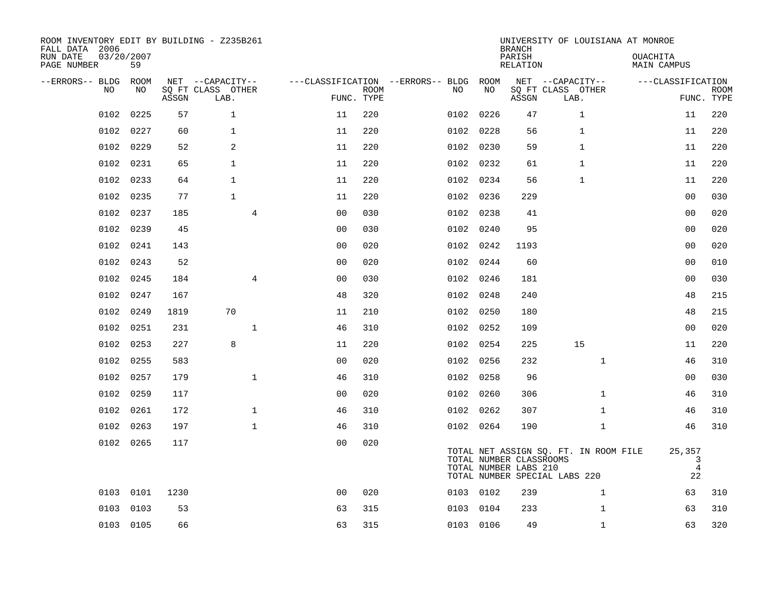| FALL DATA 2006<br>RUN DATE<br>PAGE NUMBER | 03/20/2007 | 59          |       | ROOM INVENTORY EDIT BY BUILDING - Z235B261    |                                        |                           |      |           | <b>BRANCH</b><br>PARISH<br>RELATION              | UNIVERSITY OF LOUISIANA AT MONROE                                      | <b>OUACHITA</b><br><b>MAIN CAMPUS</b> |                           |
|-------------------------------------------|------------|-------------|-------|-----------------------------------------------|----------------------------------------|---------------------------|------|-----------|--------------------------------------------------|------------------------------------------------------------------------|---------------------------------------|---------------------------|
| --ERRORS-- BLDG                           | NO.        | ROOM<br>NO. | ASSGN | NET --CAPACITY--<br>SQ FT CLASS OTHER<br>LAB. | ---CLASSIFICATION --ERRORS-- BLDG ROOM | <b>ROOM</b><br>FUNC. TYPE | NO   | NO        | ASSGN                                            | NET --CAPACITY--<br>SQ FT CLASS OTHER<br>LAB.                          | ---CLASSIFICATION                     | <b>ROOM</b><br>FUNC. TYPE |
|                                           | 0102       | 0225        | 57    | $\mathbf{1}$                                  | 11                                     | 220                       | 0102 | 0226      | 47                                               | $\mathbf{1}$                                                           | 11                                    | 220                       |
|                                           | 0102       | 0227        | 60    | $\mathbf{1}$                                  | 11                                     | 220                       |      | 0102 0228 | 56                                               | $\mathbf{1}$                                                           | 11                                    | 220                       |
|                                           | 0102       | 0229        | 52    | 2                                             | 11                                     | 220                       |      | 0102 0230 | 59                                               | $\mathbf{1}$                                                           | 11                                    | 220                       |
|                                           | 0102       | 0231        | 65    | $\mathbf{1}$                                  | 11                                     | 220                       |      | 0102 0232 | 61                                               | $\mathbf{1}$                                                           | 11                                    | 220                       |
|                                           | 0102       | 0233        | 64    | $\mathbf{1}$                                  | 11                                     | 220                       | 0102 | 0234      | 56                                               | 1                                                                      | 11                                    | 220                       |
|                                           | 0102       | 0235        | 77    | $\mathbf{1}$                                  | 11                                     | 220                       |      | 0102 0236 | 229                                              |                                                                        | 00                                    | 030                       |
|                                           | 0102       | 0237        | 185   | $\overline{4}$                                | 0 <sub>0</sub>                         | 030                       | 0102 | 0238      | 41                                               |                                                                        | 0 <sub>0</sub>                        | 020                       |
|                                           | 0102       | 0239        | 45    |                                               | 0 <sub>0</sub>                         | 030                       |      | 0102 0240 | 95                                               |                                                                        | 0 <sub>0</sub>                        | 020                       |
|                                           | 0102       | 0241        | 143   |                                               | 0 <sub>0</sub>                         | 020                       | 0102 | 0242      | 1193                                             |                                                                        | 00                                    | 020                       |
|                                           | 0102       | 0243        | 52    |                                               | 0 <sub>0</sub>                         | 020                       |      | 0102 0244 | 60                                               |                                                                        | 00                                    | 010                       |
|                                           | 0102       | 0245        | 184   | $\overline{4}$                                | 0 <sub>0</sub>                         | 030                       |      | 0102 0246 | 181                                              |                                                                        | 0 <sub>0</sub>                        | 030                       |
|                                           | 0102       | 0247        | 167   |                                               | 48                                     | 320                       |      | 0102 0248 | 240                                              |                                                                        | 48                                    | 215                       |
|                                           | 0102       | 0249        | 1819  | 70                                            | 11                                     | 210                       | 0102 | 0250      | 180                                              |                                                                        | 48                                    | 215                       |
|                                           | 0102       | 0251        | 231   | $\mathbf{1}$                                  | 46                                     | 310                       |      | 0102 0252 | 109                                              |                                                                        | 0 <sub>0</sub>                        | 020                       |
|                                           | 0102       | 0253        | 227   | 8                                             | 11                                     | 220                       |      | 0102 0254 | 225                                              | 15                                                                     | 11                                    | 220                       |
|                                           | 0102       | 0255        | 583   |                                               | 0 <sub>0</sub>                         | 020                       |      | 0102 0256 | 232                                              | $\mathbf{1}$                                                           | 46                                    | 310                       |
|                                           | 0102 0257  |             | 179   | $\mathbf{1}$                                  | 46                                     | 310                       |      | 0102 0258 | 96                                               |                                                                        | 00                                    | 030                       |
|                                           | 0102       | 0259        | 117   |                                               | 0 <sub>0</sub>                         | 020                       |      | 0102 0260 | 306                                              | $\mathbf{1}$                                                           | 46                                    | 310                       |
|                                           | 0102 0261  |             | 172   | $\mathbf 1$                                   | 46                                     | 310                       |      | 0102 0262 | 307                                              | $\mathbf{1}$                                                           | 46                                    | 310                       |
|                                           | 0102       | 0263        | 197   | $\mathbf{1}$                                  | 46                                     | 310                       |      | 0102 0264 | 190                                              | $\mathbf{1}$                                                           | 46                                    | 310                       |
|                                           | 0102 0265  |             | 117   |                                               | 0 <sub>0</sub>                         | 020                       |      |           | TOTAL NUMBER CLASSROOMS<br>TOTAL NUMBER LABS 210 | TOTAL NET ASSIGN SQ. FT. IN ROOM FILE<br>TOTAL NUMBER SPECIAL LABS 220 | 25,357<br>3<br>4<br>22                |                           |
|                                           | 0103       | 0101        | 1230  |                                               | 0 <sub>0</sub>                         | 020                       |      | 0103 0102 | 239                                              | $\mathbf{1}$                                                           | 63                                    | 310                       |
|                                           | 0103       | 0103        | 53    |                                               | 63                                     | 315                       |      | 0103 0104 | 233                                              | $\mathbf{1}$                                                           | 63                                    | 310                       |
|                                           | 0103 0105  |             | 66    |                                               | 63                                     | 315                       |      | 0103 0106 | 49                                               | $\mathbf{1}$                                                           | 63                                    | 320                       |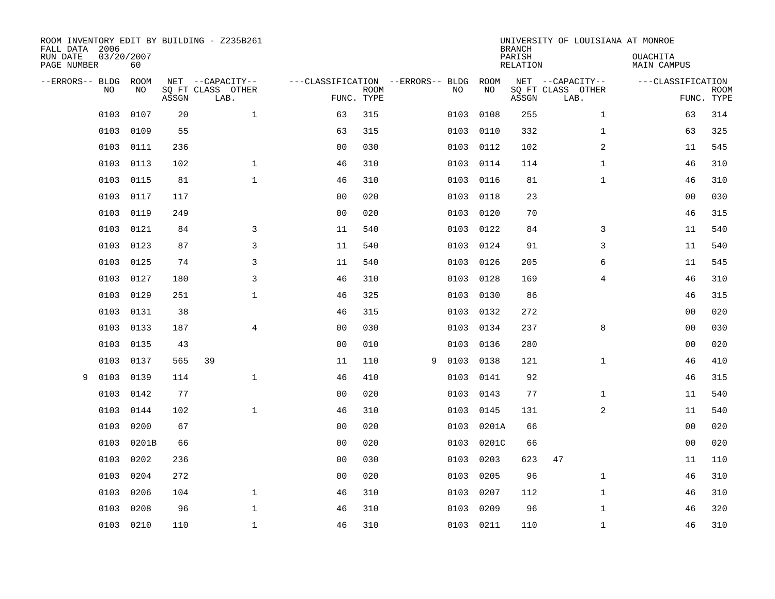| ROOM INVENTORY EDIT BY BUILDING - Z235B261<br>FALL DATA 2006<br>RUN DATE<br>PAGE NUMBER | 03/20/2007<br>60 |       |                                               |                |                           |                                   |      |            | <b>BRANCH</b><br>PARISH<br><b>RELATION</b> | UNIVERSITY OF LOUISIANA AT MONROE             | OUACHITA<br><b>MAIN CAMPUS</b> |                           |
|-----------------------------------------------------------------------------------------|------------------|-------|-----------------------------------------------|----------------|---------------------------|-----------------------------------|------|------------|--------------------------------------------|-----------------------------------------------|--------------------------------|---------------------------|
| --ERRORS-- BLDG<br>NO.                                                                  | ROOM<br>NO       | ASSGN | NET --CAPACITY--<br>SQ FT CLASS OTHER<br>LAB. |                | <b>ROOM</b><br>FUNC. TYPE | ---CLASSIFICATION --ERRORS-- BLDG | NO   | ROOM<br>NO | ASSGN                                      | NET --CAPACITY--<br>SQ FT CLASS OTHER<br>LAB. | ---CLASSIFICATION              | <b>ROOM</b><br>FUNC. TYPE |
| 0103                                                                                    | 0107             | 20    | $\mathbf 1$                                   | 63             | 315                       |                                   | 0103 | 0108       | 255                                        | $\mathbf{1}$                                  | 63                             | 314                       |
| 0103                                                                                    | 0109             | 55    |                                               | 63             | 315                       |                                   | 0103 | 0110       | 332                                        | $\mathbf{1}$                                  | 63                             | 325                       |
| 0103                                                                                    | 0111             | 236   |                                               | 0 <sub>0</sub> | 030                       |                                   | 0103 | 0112       | 102                                        | 2                                             | 11                             | 545                       |
| 0103                                                                                    | 0113             | 102   | $\mathbf{1}$                                  | 46             | 310                       |                                   | 0103 | 0114       | 114                                        | $\mathbf{1}$                                  | 46                             | 310                       |
| 0103                                                                                    | 0115             | 81    | $\mathbf{1}$                                  | 46             | 310                       |                                   | 0103 | 0116       | 81                                         | $\mathbf{1}$                                  | 46                             | 310                       |
| 0103                                                                                    | 0117             | 117   |                                               | 0 <sub>0</sub> | 020                       |                                   | 0103 | 0118       | 23                                         |                                               | 00                             | 030                       |
| 0103                                                                                    | 0119             | 249   |                                               | 0 <sub>0</sub> | 020                       |                                   | 0103 | 0120       | 70                                         |                                               | 46                             | 315                       |
| 0103                                                                                    | 0121             | 84    | 3                                             | 11             | 540                       |                                   | 0103 | 0122       | 84                                         | 3                                             | 11                             | 540                       |
| 0103                                                                                    | 0123             | 87    | $\overline{3}$                                | 11             | 540                       |                                   | 0103 | 0124       | 91                                         | 3                                             | 11                             | 540                       |
| 0103                                                                                    | 0125             | 74    | 3                                             | 11             | 540                       |                                   | 0103 | 0126       | 205                                        | 6                                             | 11                             | 545                       |
| 0103                                                                                    | 0127             | 180   | 3                                             | 46             | 310                       |                                   | 0103 | 0128       | 169                                        | 4                                             | 46                             | 310                       |
| 0103                                                                                    | 0129             | 251   | $\mathbf 1$                                   | 46             | 325                       |                                   | 0103 | 0130       | 86                                         |                                               | 46                             | 315                       |
| 0103                                                                                    | 0131             | 38    |                                               | 46             | 315                       |                                   | 0103 | 0132       | 272                                        |                                               | 0 <sub>0</sub>                 | 020                       |
| 0103                                                                                    | 0133             | 187   | 4                                             | 0 <sub>0</sub> | 030                       |                                   | 0103 | 0134       | 237                                        | 8                                             | 00                             | 030                       |
| 0103                                                                                    | 0135             | 43    |                                               | 0 <sup>0</sup> | 010                       |                                   | 0103 | 0136       | 280                                        |                                               | 0 <sub>0</sub>                 | 020                       |
| 0103                                                                                    | 0137             | 565   | 39                                            | 11             | 110                       | 9                                 | 0103 | 0138       | 121                                        | $\mathbf{1}$                                  | 46                             | 410                       |
| 0103<br>9                                                                               | 0139             | 114   | $\mathbf{1}$                                  | 46             | 410                       |                                   | 0103 | 0141       | 92                                         |                                               | 46                             | 315                       |
| 0103                                                                                    | 0142             | 77    |                                               | 0 <sub>0</sub> | 020                       |                                   | 0103 | 0143       | 77                                         | $\mathbf{1}$                                  | 11                             | 540                       |
| 0103                                                                                    | 0144             | 102   | $\mathbf{1}$                                  | 46             | 310                       |                                   | 0103 | 0145       | 131                                        | 2                                             | 11                             | 540                       |
| 0103                                                                                    | 0200             | 67    |                                               | 0 <sub>0</sub> | 020                       |                                   | 0103 | 0201A      | 66                                         |                                               | 00                             | 020                       |
| 0103                                                                                    | 0201B            | 66    |                                               | 0 <sub>0</sub> | 020                       |                                   | 0103 | 0201C      | 66                                         |                                               | 0 <sub>0</sub>                 | 020                       |
| 0103                                                                                    | 0202             | 236   |                                               | 0 <sub>0</sub> | 030                       |                                   | 0103 | 0203       | 623                                        | 47                                            | 11                             | 110                       |
| 0103                                                                                    | 0204             | 272   |                                               | 0 <sub>0</sub> | 020                       |                                   | 0103 | 0205       | 96                                         | $\mathbf{1}$                                  | 46                             | 310                       |
| 0103                                                                                    | 0206             | 104   | $\mathbf{1}$                                  | 46             | 310                       |                                   | 0103 | 0207       | 112                                        | $\mathbf{1}$                                  | 46                             | 310                       |
| 0103                                                                                    | 0208             | 96    | $\mathbf{1}$                                  | 46             | 310                       |                                   | 0103 | 0209       | 96                                         | $\mathbf{1}$                                  | 46                             | 320                       |
|                                                                                         | 0103 0210        | 110   | $\mathbf 1$                                   | 46             | 310                       |                                   |      | 0103 0211  | 110                                        | $\mathbf{1}$                                  | 46                             | 310                       |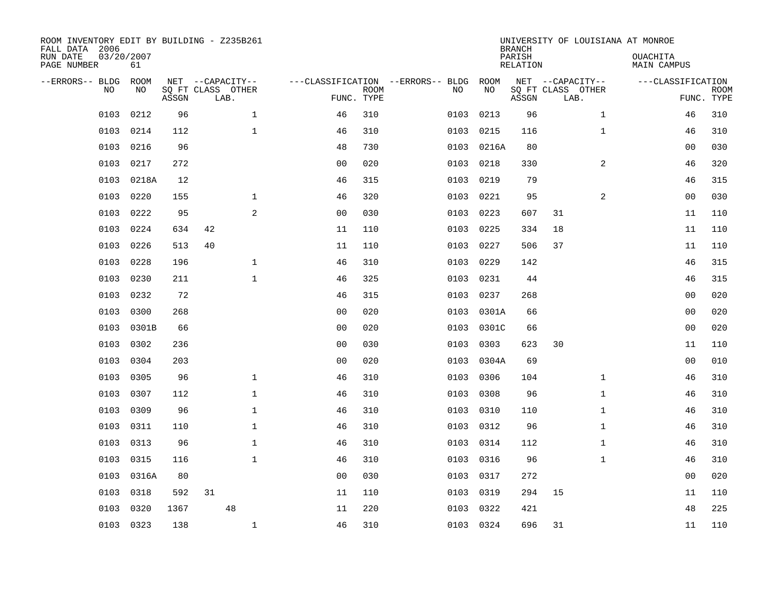| ROOM INVENTORY EDIT BY BUILDING - Z235B261<br>FALL DATA 2006 |           |       |    |                           |                |                           |                                        |           | <b>BRANCH</b>      | UNIVERSITY OF LOUISIANA AT MONROE |                                |                           |
|--------------------------------------------------------------|-----------|-------|----|---------------------------|----------------|---------------------------|----------------------------------------|-----------|--------------------|-----------------------------------|--------------------------------|---------------------------|
| 03/20/2007<br>RUN DATE<br>PAGE NUMBER                        | 61        |       |    |                           |                |                           |                                        |           | PARISH<br>RELATION |                                   | <b>OUACHITA</b><br>MAIN CAMPUS |                           |
| --ERRORS-- BLDG ROOM                                         |           |       |    | NET --CAPACITY--          |                |                           | ---CLASSIFICATION --ERRORS-- BLDG ROOM |           |                    | NET --CAPACITY--                  | ---CLASSIFICATION              |                           |
| NO.                                                          | NO        | ASSGN |    | SQ FT CLASS OTHER<br>LAB. |                | <b>ROOM</b><br>FUNC. TYPE | NO                                     | NO        | ASSGN              | SQ FT CLASS OTHER<br>LAB.         |                                | <b>ROOM</b><br>FUNC. TYPE |
| 0103                                                         | 0212      | 96    |    | $\mathbf{1}$              | 46             | 310                       | 0103                                   | 0213      | 96                 | $\mathbf{1}$                      | 46                             | 310                       |
| 0103                                                         | 0214      | 112   |    | $\mathbf 1$               | 46             | 310                       | 0103                                   | 0215      | 116                | $\mathbf{1}$                      | 46                             | 310                       |
| 0103                                                         | 0216      | 96    |    |                           | 48             | 730                       | 0103                                   | 0216A     | 80                 |                                   | 00                             | 030                       |
| 0103                                                         | 0217      | 272   |    |                           | 0 <sub>0</sub> | 020                       | 0103                                   | 0218      | 330                | $\overline{a}$                    | 46                             | 320                       |
| 0103                                                         | 0218A     | 12    |    |                           | 46             | 315                       | 0103                                   | 0219      | 79                 |                                   | 46                             | 315                       |
| 0103                                                         | 0220      | 155   |    | 1                         | 46             | 320                       | 0103                                   | 0221      | 95                 | 2                                 | 00                             | 030                       |
| 0103                                                         | 0222      | 95    |    | 2                         | 0 <sub>0</sub> | 030                       | 0103                                   | 0223      | 607                | 31                                | 11                             | 110                       |
| 0103                                                         | 0224      | 634   | 42 |                           | 11             | 110                       | 0103                                   | 0225      | 334                | 18                                | 11                             | 110                       |
| 0103                                                         | 0226      | 513   | 40 |                           | 11             | 110                       | 0103                                   | 0227      | 506                | 37                                | 11                             | 110                       |
| 0103                                                         | 0228      | 196   |    | $\mathbf 1$               | 46             | 310                       | 0103                                   | 0229      | 142                |                                   | 46                             | 315                       |
| 0103                                                         | 0230      | 211   |    | $\mathbf{1}$              | 46             | 325                       | 0103                                   | 0231      | 44                 |                                   | 46                             | 315                       |
| 0103                                                         | 0232      | 72    |    |                           | 46             | 315                       | 0103                                   | 0237      | 268                |                                   | 0 <sub>0</sub>                 | 020                       |
| 0103                                                         | 0300      | 268   |    |                           | 0 <sub>0</sub> | 020                       | 0103                                   | 0301A     | 66                 |                                   | 00                             | 020                       |
| 0103                                                         | 0301B     | 66    |    |                           | 0 <sub>0</sub> | 020                       | 0103                                   | 0301C     | 66                 |                                   | 00                             | 020                       |
| 0103                                                         | 0302      | 236   |    |                           | 0 <sub>0</sub> | 030                       | 0103                                   | 0303      | 623                | 30                                | 11                             | 110                       |
| 0103                                                         | 0304      | 203   |    |                           | 0 <sub>0</sub> | 020                       | 0103                                   | 0304A     | 69                 |                                   | 00                             | 010                       |
| 0103                                                         | 0305      | 96    |    | $\mathbf{1}$              | 46             | 310                       | 0103                                   | 0306      | 104                | $\mathbf{1}$                      | 46                             | 310                       |
| 0103                                                         | 0307      | 112   |    | $\mathbf{1}$              | 46             | 310                       | 0103                                   | 0308      | 96                 | $\mathbf{1}$                      | 46                             | 310                       |
| 0103                                                         | 0309      | 96    |    | $\mathbf{1}$              | 46             | 310                       | 0103                                   | 0310      | 110                | $\mathbf{1}$                      | 46                             | 310                       |
| 0103                                                         | 0311      | 110   |    | $\mathbf 1$               | 46             | 310                       | 0103                                   | 0312      | 96                 | $\mathbf{1}$                      | 46                             | 310                       |
| 0103                                                         | 0313      | 96    |    | $\mathbf 1$               | 46             | 310                       |                                        | 0103 0314 | 112                | $\mathbf{1}$                      | 46                             | 310                       |
| 0103                                                         | 0315      | 116   |    | $\mathbf 1$               | 46             | 310                       | 0103                                   | 0316      | 96                 | $\mathbf{1}$                      | 46                             | 310                       |
| 0103                                                         | 0316A     | 80    |    |                           | 0 <sub>0</sub> | 030                       | 0103                                   | 0317      | 272                |                                   | 0 <sub>0</sub>                 | 020                       |
| 0103                                                         | 0318      | 592   | 31 |                           | 11             | 110                       | 0103                                   | 0319      | 294                | 15                                | 11                             | 110                       |
| 0103                                                         | 0320      | 1367  |    | 48                        | 11             | 220                       | 0103                                   | 0322      | 421                |                                   | 48                             | 225                       |
|                                                              | 0103 0323 | 138   |    | $\mathbf{1}$              | 46             | 310                       |                                        | 0103 0324 | 696                | 31                                | 11                             | 110                       |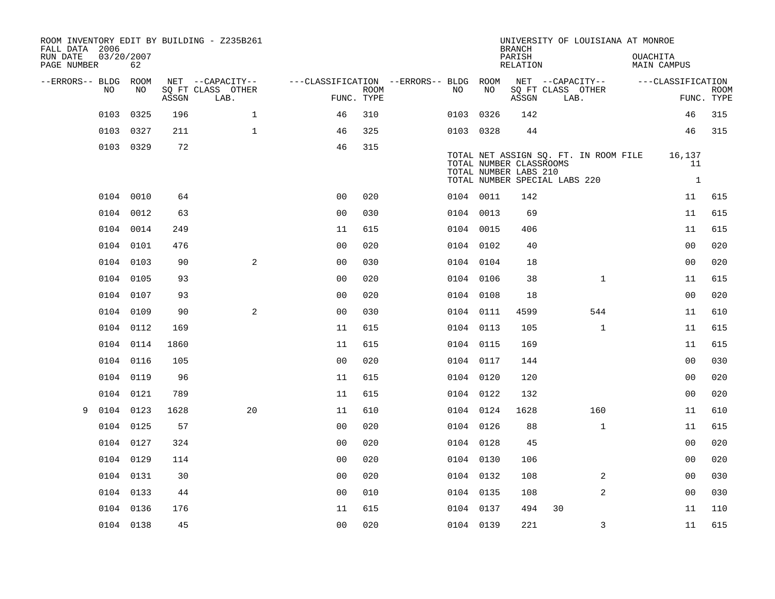| FALL DATA 2006          |            |           |       | ROOM INVENTORY EDIT BY BUILDING - Z235B261 |                                        |             |           |    | <b>BRANCH</b>                                                                     |                           | UNIVERSITY OF LOUISIANA AT MONROE     |          |                              |                           |
|-------------------------|------------|-----------|-------|--------------------------------------------|----------------------------------------|-------------|-----------|----|-----------------------------------------------------------------------------------|---------------------------|---------------------------------------|----------|------------------------------|---------------------------|
| RUN DATE<br>PAGE NUMBER | 03/20/2007 | 62        |       |                                            |                                        |             |           |    | PARISH<br>RELATION                                                                |                           |                                       | OUACHITA | MAIN CAMPUS                  |                           |
| --ERRORS-- BLDG ROOM    | NO.        | NO.       |       | NET --CAPACITY--                           | ---CLASSIFICATION --ERRORS-- BLDG ROOM |             | NO.       | NO |                                                                                   |                           | NET --CAPACITY--                      |          | ---CLASSIFICATION            |                           |
|                         |            |           | ASSGN | SQ FT CLASS OTHER<br>LAB.                  | FUNC. TYPE                             | <b>ROOM</b> |           |    | ASSGN                                                                             | SQ FT CLASS OTHER<br>LAB. |                                       |          |                              | <b>ROOM</b><br>FUNC. TYPE |
|                         | 0103       | 0325      | 196   | $\mathbf{1}$                               | 46                                     | 310         | 0103 0326 |    | 142                                                                               |                           |                                       |          | 46                           | 315                       |
|                         |            | 0103 0327 | 211   | $\mathbf{1}$                               | 46                                     | 325         | 0103 0328 |    | 44                                                                                |                           |                                       |          | 46                           | 315                       |
|                         |            | 0103 0329 | 72    |                                            | 46                                     | 315         |           |    | TOTAL NUMBER CLASSROOMS<br>TOTAL NUMBER LABS 210<br>TOTAL NUMBER SPECIAL LABS 220 |                           | TOTAL NET ASSIGN SQ. FT. IN ROOM FILE |          | 16,137<br>11<br>$\mathbf{1}$ |                           |
|                         |            | 0104 0010 | 64    |                                            | 0 <sub>0</sub>                         | 020         | 0104 0011 |    | 142                                                                               |                           |                                       |          | 11                           | 615                       |
|                         |            | 0104 0012 | 63    |                                            | 0 <sub>0</sub>                         | 030         | 0104 0013 |    | 69                                                                                |                           |                                       |          | 11                           | 615                       |
|                         |            | 0104 0014 | 249   |                                            | 11                                     | 615         | 0104 0015 |    | 406                                                                               |                           |                                       |          | 11                           | 615                       |
|                         |            | 0104 0101 | 476   |                                            | 0 <sub>0</sub>                         | 020         | 0104 0102 |    | 40                                                                                |                           |                                       |          | 0 <sub>0</sub>               | 020                       |
|                         |            | 0104 0103 | 90    | 2                                          | 0 <sub>0</sub>                         | 030         | 0104 0104 |    | 18                                                                                |                           |                                       |          | 0 <sub>0</sub>               | 020                       |
|                         |            | 0104 0105 | 93    |                                            | 0 <sub>0</sub>                         | 020         | 0104 0106 |    | 38                                                                                |                           | $\mathbf{1}$                          |          | 11                           | 615                       |
|                         |            | 0104 0107 | 93    |                                            | 0 <sub>0</sub>                         | 020         | 0104 0108 |    | 18                                                                                |                           |                                       |          | 0 <sub>0</sub>               | 020                       |
|                         |            | 0104 0109 | 90    | 2                                          | 0 <sub>0</sub>                         | 030         | 0104 0111 |    | 4599                                                                              |                           | 544                                   |          | 11                           | 610                       |
|                         |            | 0104 0112 | 169   |                                            | 11                                     | 615         | 0104 0113 |    | 105                                                                               |                           | $\mathbf{1}$                          |          | 11                           | 615                       |
|                         |            | 0104 0114 | 1860  |                                            | 11                                     | 615         | 0104 0115 |    | 169                                                                               |                           |                                       |          | 11                           | 615                       |
|                         |            | 0104 0116 | 105   |                                            | 0 <sub>0</sub>                         | 020         | 0104 0117 |    | 144                                                                               |                           |                                       |          | 0 <sub>0</sub>               | 030                       |
|                         | 0104       | 0119      | 96    |                                            | 11                                     | 615         | 0104 0120 |    | 120                                                                               |                           |                                       |          | 00                           | 020                       |
|                         |            | 0104 0121 | 789   |                                            | 11                                     | 615         | 0104 0122 |    | 132                                                                               |                           |                                       |          | 00                           | 020                       |
| 9                       |            | 0104 0123 | 1628  | 20                                         | 11                                     | 610         | 0104 0124 |    | 1628                                                                              |                           | 160                                   |          | 11                           | 610                       |
|                         |            | 0104 0125 | 57    |                                            | 0 <sub>0</sub>                         | 020         | 0104 0126 |    | 88                                                                                |                           | $\mathbf{1}$                          |          | 11                           | 615                       |
|                         |            | 0104 0127 | 324   |                                            | 0 <sub>0</sub>                         | 020         | 0104 0128 |    | 45                                                                                |                           |                                       |          | 0 <sub>0</sub>               | 020                       |
|                         |            | 0104 0129 | 114   |                                            | 0 <sub>0</sub>                         | 020         | 0104 0130 |    | 106                                                                               |                           |                                       |          | 00                           | 020                       |
|                         |            | 0104 0131 | 30    |                                            | 0 <sub>0</sub>                         | 020         | 0104 0132 |    | 108                                                                               |                           | 2                                     |          | 0 <sub>0</sub>               | 030                       |
|                         |            | 0104 0133 | 44    |                                            | 0 <sub>0</sub>                         | 010         | 0104 0135 |    | 108                                                                               |                           | $\overline{a}$                        |          | 0 <sub>0</sub>               | 030                       |
|                         |            | 0104 0136 | 176   |                                            | 11                                     | 615         | 0104 0137 |    | 494                                                                               | 30                        |                                       |          | 11                           | 110                       |
|                         |            | 0104 0138 | 45    |                                            | 0 <sub>0</sub>                         | 020         | 0104 0139 |    | 221                                                                               |                           | 3                                     |          | 11                           | 615                       |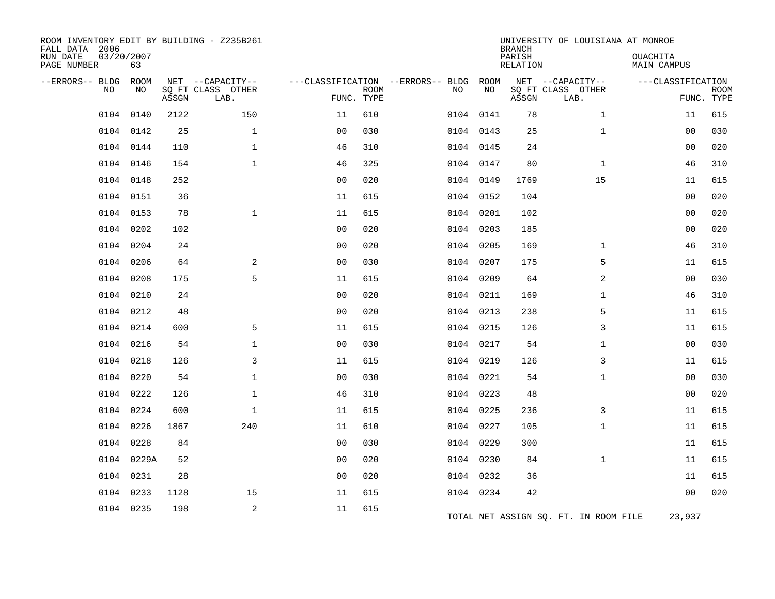| ROOM INVENTORY EDIT BY BUILDING - Z235B261<br>FALL DATA 2006<br>RUN DATE<br>PAGE NUMBER | 03/20/2007<br>63 |       |                                               |                |                           |                                         |            | <b>BRANCH</b><br>PARISH<br>RELATION | UNIVERSITY OF LOUISIANA AT MONROE             | OUACHITA<br>MAIN CAMPUS |                           |
|-----------------------------------------------------------------------------------------|------------------|-------|-----------------------------------------------|----------------|---------------------------|-----------------------------------------|------------|-------------------------------------|-----------------------------------------------|-------------------------|---------------------------|
| --ERRORS-- BLDG<br>NO                                                                   | ROOM<br>NO       | ASSGN | NET --CAPACITY--<br>SO FT CLASS OTHER<br>LAB. |                | <b>ROOM</b><br>FUNC. TYPE | ---CLASSIFICATION --ERRORS-- BLDG<br>NO | ROOM<br>NO | ASSGN                               | NET --CAPACITY--<br>SO FT CLASS OTHER<br>LAB. | ---CLASSIFICATION       | <b>ROOM</b><br>FUNC. TYPE |
| 0104                                                                                    | 0140             | 2122  | 150                                           | 11             | 610                       |                                         | 0104 0141  | 78                                  | $\mathbf{1}$                                  | 11                      | 615                       |
|                                                                                         | 0104 0142        | 25    | $\mathbf 1$                                   | 0 <sub>0</sub> | 030                       |                                         | 0104 0143  | 25                                  | $\mathbf{1}$                                  | 00                      | 030                       |
|                                                                                         | 0104 0144        | 110   | $\mathbf{1}$                                  | 46             | 310                       |                                         | 0104 0145  | 24                                  |                                               | 0 <sub>0</sub>          | 020                       |
| 0104                                                                                    | 0146             | 154   | $\mathbf{1}$                                  | 46             | 325                       |                                         | 0104 0147  | 80                                  | $\mathbf{1}$                                  | 46                      | 310                       |
| 0104                                                                                    | 0148             | 252   |                                               | 0 <sub>0</sub> | 020                       |                                         | 0104 0149  | 1769                                | 15                                            | 11                      | 615                       |
| 0104                                                                                    | 0151             | 36    |                                               | 11             | 615                       |                                         | 0104 0152  | 104                                 |                                               | 0 <sub>0</sub>          | 020                       |
|                                                                                         | 0104 0153        | 78    | $\mathbf 1$                                   | 11             | 615                       |                                         | 0104 0201  | 102                                 |                                               | 00                      | 020                       |
| 0104                                                                                    | 0202             | 102   |                                               | 0 <sub>0</sub> | 020                       |                                         | 0104 0203  | 185                                 |                                               | 00                      | 020                       |
| 0104                                                                                    | 0204             | 24    |                                               | 00             | 020                       |                                         | 0104 0205  | 169                                 | $\mathbf{1}$                                  | 46                      | 310                       |
| 0104                                                                                    | 0206             | 64    | 2                                             | 0 <sub>0</sub> | 030                       |                                         | 0104 0207  | 175                                 | 5                                             | 11                      | 615                       |
| 0104                                                                                    | 0208             | 175   | 5                                             | 11             | 615                       |                                         | 0104 0209  | 64                                  | 2                                             | 0 <sub>0</sub>          | 030                       |
| 0104                                                                                    | 0210             | 24    |                                               | 00             | 020                       |                                         | 0104 0211  | 169                                 | $\mathbf{1}$                                  | 46                      | 310                       |
|                                                                                         | 0104 0212        | 48    |                                               | 0 <sub>0</sub> | 020                       |                                         | 0104 0213  | 238                                 | 5                                             | 11                      | 615                       |
| 0104                                                                                    | 0214             | 600   | 5                                             | 11             | 615                       |                                         | 0104 0215  | 126                                 | 3                                             | 11                      | 615                       |
|                                                                                         | 0104 0216        | 54    | $\mathbf 1$                                   | 0 <sub>0</sub> | 030                       |                                         | 0104 0217  | 54                                  | $\mathbf{1}$                                  | 00                      | 030                       |
| 0104                                                                                    | 0218             | 126   | 3                                             | 11             | 615                       |                                         | 0104 0219  | 126                                 | 3                                             | 11                      | 615                       |
| 0104                                                                                    | 0220             | 54    | $\mathbf{1}$                                  | 0 <sub>0</sub> | 030                       |                                         | 0104 0221  | 54                                  | $\mathbf{1}$                                  | 00                      | 030                       |
| 0104                                                                                    | 0222             | 126   | $\mathbf{1}$                                  | 46             | 310                       |                                         | 0104 0223  | 48                                  |                                               | 00                      | 020                       |
| 0104                                                                                    | 0224             | 600   | $\mathbf{1}$                                  | 11             | 615                       |                                         | 0104 0225  | 236                                 | 3                                             | 11                      | 615                       |
| 0104                                                                                    | 0226             | 1867  | 240                                           | 11             | 610                       |                                         | 0104 0227  | 105                                 | $\mathbf{1}$                                  | 11                      | 615                       |
| 0104                                                                                    | 0228             | 84    |                                               | 0 <sub>0</sub> | 030                       |                                         | 0104 0229  | 300                                 |                                               | 11                      | 615                       |
|                                                                                         | 0104 0229A       | 52    |                                               | 0 <sub>0</sub> | 020                       |                                         | 0104 0230  | 84                                  | $\mathbf{1}$                                  | 11                      | 615                       |
| 0104                                                                                    | 0231             | 28    |                                               | 0 <sub>0</sub> | 020                       | 0104                                    | 0232       | 36                                  |                                               | 11                      | 615                       |
| 0104                                                                                    | 0233             | 1128  | 15                                            | 11             | 615                       |                                         | 0104 0234  | 42                                  |                                               | 00                      | 020                       |
|                                                                                         | 0104 0235        | 198   | 2                                             | 11             | 615                       |                                         |            |                                     | TOTAL NET ASSIGN SQ. FT. IN ROOM FILE         | 23,937                  |                           |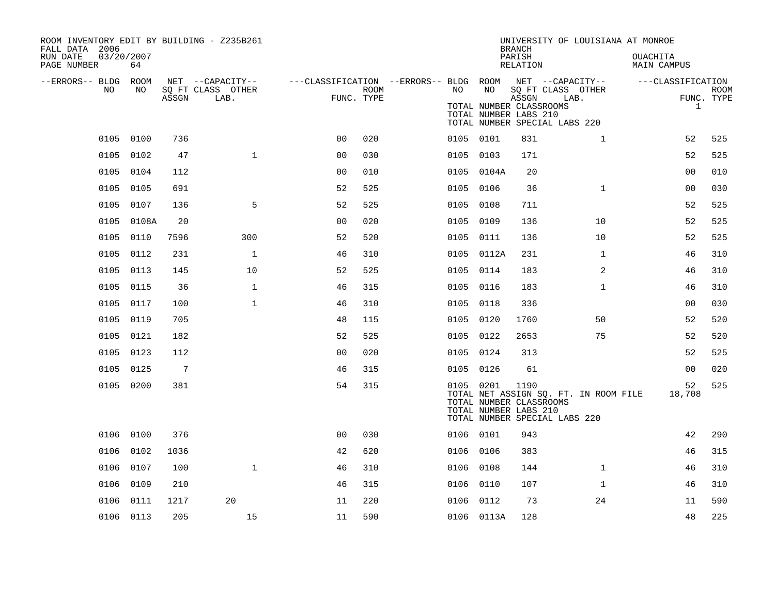| ROOM INVENTORY EDIT BY BUILDING - Z235B261<br>FALL DATA 2006 |            |                |                                       |                |            |           |                                                               | <b>BRANCH</b>      | UNIVERSITY OF LOUISIANA AT MONROE                                            |                                       |                           |
|--------------------------------------------------------------|------------|----------------|---------------------------------------|----------------|------------|-----------|---------------------------------------------------------------|--------------------|------------------------------------------------------------------------------|---------------------------------------|---------------------------|
| RUN DATE<br>03/20/2007<br>PAGE NUMBER                        | 64         |                |                                       |                |            |           |                                                               | PARISH<br>RELATION |                                                                              | <b>OUACHITA</b><br><b>MAIN CAMPUS</b> |                           |
| --ERRORS-- BLDG ROOM<br>NO                                   | NO         |                | NET --CAPACITY--<br>SQ FT CLASS OTHER |                | ROOM       | NO        | NO                                                            |                    | ---CLASSIFICATION --ERRORS-- BLDG ROOM NET --CAPACITY--<br>SQ FT CLASS OTHER | ---CLASSIFICATION                     |                           |
|                                                              |            | ASSGN          | LAB.                                  |                | FUNC. TYPE |           | TOTAL NUMBER CLASSROOMS<br>TOTAL NUMBER LABS 210              | ASSGN              | LAB.<br>TOTAL NUMBER SPECIAL LABS 220                                        | $\mathbf{1}$                          | <b>ROOM</b><br>FUNC. TYPE |
|                                                              | 0105 0100  | 736            |                                       | 0 <sub>0</sub> | 020        | 0105 0101 |                                                               | 831                | $\mathbf{1}$                                                                 | 52                                    | 525                       |
|                                                              | 0105 0102  | 47             | $\mathbf{1}$                          | 0 <sub>0</sub> | 030        | 0105 0103 |                                                               | 171                |                                                                              | 52                                    | 525                       |
|                                                              | 0105 0104  | 112            |                                       | 0 <sub>0</sub> | 010        |           | 0105 0104A                                                    | 20                 |                                                                              | 0 <sub>0</sub>                        | 010                       |
|                                                              | 0105 0105  | 691            |                                       | 52             | 525        | 0105 0106 |                                                               | 36                 | $\mathbf{1}$                                                                 | 0 <sub>0</sub>                        | 030                       |
|                                                              | 0105 0107  | 136            | 5                                     | 52             | 525        | 0105 0108 |                                                               | 711                |                                                                              | 52                                    | 525                       |
|                                                              | 0105 0108A | 20             |                                       | 0 <sub>0</sub> | 020        | 0105 0109 |                                                               | 136                | 10                                                                           | 52                                    | 525                       |
|                                                              | 0105 0110  | 7596           | 300                                   | 52             | 520        | 0105 0111 |                                                               | 136                | 10                                                                           | 52                                    | 525                       |
|                                                              | 0105 0112  | 231            | $\mathbf{1}$                          | 46             | 310        |           | 0105 0112A                                                    | 231                | $\mathbf{1}$                                                                 | 46                                    | 310                       |
|                                                              | 0105 0113  | 145            | 10                                    | 52             | 525        | 0105 0114 |                                                               | 183                | 2                                                                            | 46                                    | 310                       |
|                                                              | 0105 0115  | 36             | $\mathbf{1}$                          | 46             | 315        | 0105 0116 |                                                               | 183                | $\mathbf{1}$                                                                 | 46                                    | 310                       |
|                                                              | 0105 0117  | 100            | $\mathbf{1}$                          | 46             | 310        | 0105 0118 |                                                               | 336                |                                                                              | 0 <sub>0</sub>                        | 030                       |
|                                                              | 0105 0119  | 705            |                                       | 48             | 115        | 0105 0120 |                                                               | 1760               | 50                                                                           | 52                                    | 520                       |
|                                                              | 0105 0121  | 182            |                                       | 52             | 525        |           | 0105 0122                                                     | 2653               | 75                                                                           | 52                                    | 520                       |
|                                                              | 0105 0123  | 112            |                                       | 0 <sub>0</sub> | 020        | 0105 0124 |                                                               | 313                |                                                                              | 52                                    | 525                       |
|                                                              | 0105 0125  | $\overline{7}$ |                                       | 46             | 315        |           | 0105 0126                                                     | 61                 |                                                                              | 0 <sub>0</sub>                        | 020                       |
|                                                              | 0105 0200  | 381            |                                       | 54             | 315        |           | 0105 0201<br>TOTAL NUMBER CLASSROOMS<br>TOTAL NUMBER LABS 210 | 1190               | TOTAL NET ASSIGN SQ. FT. IN ROOM FILE<br>TOTAL NUMBER SPECIAL LABS 220       | 52<br>18,708                          | 525                       |
|                                                              | 0106 0100  | 376            |                                       | 0 <sup>0</sup> | 030        | 0106 0101 |                                                               | 943                |                                                                              | 42                                    | 290                       |
| 0106                                                         | 0102       | 1036           |                                       | 42             | 620        | 0106      | 0106                                                          | 383                |                                                                              | 46                                    | 315                       |
|                                                              | 0106 0107  | 100            | $\mathbf 1$                           | 46             | 310        |           | 0106 0108                                                     | 144                | $\mathbf{1}$                                                                 | 46                                    | 310                       |
| 0106                                                         | 0109       | 210            |                                       | 46             | 315        | 0106      | 0110                                                          | 107                | $\mathbf{1}$                                                                 | 46                                    | 310                       |
| 0106                                                         | 0111       | 1217           | 20                                    | 11             | 220        |           | 0106 0112                                                     | 73                 | 24                                                                           | 11                                    | 590                       |
|                                                              | 0106 0113  | 205            | 15                                    | 11             | 590        |           | 0106 0113A                                                    | 128                |                                                                              | 48                                    | 225                       |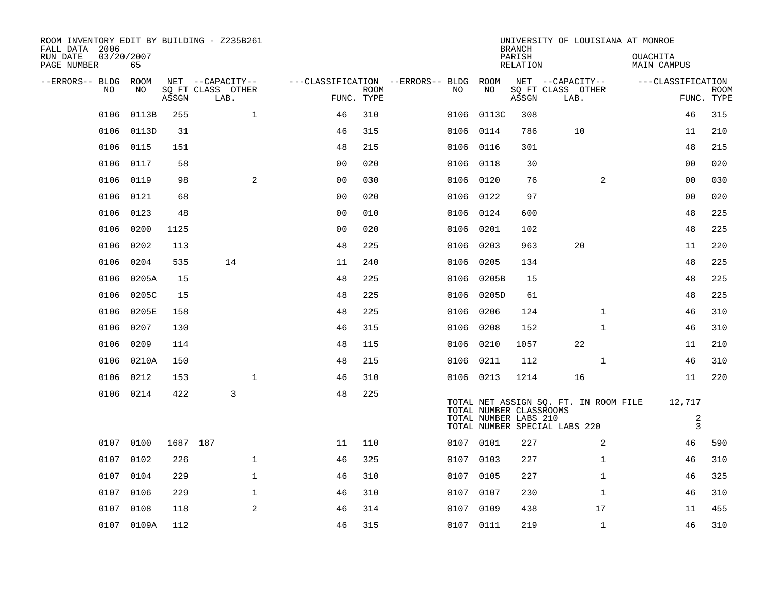| ROOM INVENTORY EDIT BY BUILDING - Z235B261<br>FALL DATA 2006 |                  |          |                           |                |             |                                        |                                                  | <b>BRANCH</b>      | UNIVERSITY OF LOUISIANA AT MONROE                                      |                                |                           |
|--------------------------------------------------------------|------------------|----------|---------------------------|----------------|-------------|----------------------------------------|--------------------------------------------------|--------------------|------------------------------------------------------------------------|--------------------------------|---------------------------|
| RUN DATE<br>PAGE NUMBER                                      | 03/20/2007<br>65 |          |                           |                |             |                                        |                                                  | PARISH<br>RELATION |                                                                        | <b>OUACHITA</b><br>MAIN CAMPUS |                           |
| --ERRORS-- BLDG ROOM                                         |                  |          | NET --CAPACITY--          |                |             | ---CLASSIFICATION --ERRORS-- BLDG ROOM |                                                  |                    | NET --CAPACITY--                                                       | ---CLASSIFICATION              |                           |
| NO                                                           | NO               | ASSGN    | SQ FT CLASS OTHER<br>LAB. | FUNC. TYPE     | <b>ROOM</b> | NO                                     | NO                                               | ASSGN              | SQ FT CLASS OTHER<br>LAB.                                              |                                | <b>ROOM</b><br>FUNC. TYPE |
| 0106                                                         | 0113B            | 255      | $\mathbf 1$               | 46             | 310         | 0106                                   | 0113C                                            | 308                |                                                                        | 46                             | 315                       |
| 0106                                                         | 0113D            | 31       |                           | 46             | 315         |                                        | 0106 0114                                        | 786                | 10                                                                     | 11                             | 210                       |
| 0106                                                         | 0115             | 151      |                           | 48             | 215         |                                        | 0106 0116                                        | 301                |                                                                        | 48                             | 215                       |
| 0106                                                         | 0117             | 58       |                           | 0 <sub>0</sub> | 020         |                                        | 0106 0118                                        | 30                 |                                                                        | 0 <sub>0</sub>                 | 020                       |
| 0106                                                         | 0119             | 98       | 2                         | 00             | 030         |                                        | 0106 0120                                        | 76                 | 2                                                                      | 00                             | 030                       |
| 0106                                                         | 0121             | 68       |                           | 0 <sub>0</sub> | 020         |                                        | 0106 0122                                        | 97                 |                                                                        | 00                             | 020                       |
| 0106                                                         | 0123             | 48       |                           | 0 <sub>0</sub> | 010         |                                        | 0106 0124                                        | 600                |                                                                        | 48                             | 225                       |
| 0106                                                         | 0200             | 1125     |                           | 0 <sub>0</sub> | 020         |                                        | 0106 0201                                        | 102                |                                                                        | 48                             | 225                       |
| 0106                                                         | 0202             | 113      |                           | 48             | 225         | 0106                                   | 0203                                             | 963                | 20                                                                     | 11                             | 220                       |
| 0106                                                         | 0204             | 535      | 14                        | 11             | 240         | 0106                                   | 0205                                             | 134                |                                                                        | 48                             | 225                       |
| 0106                                                         | 0205A            | 15       |                           | 48             | 225         | 0106                                   | 0205B                                            | 15                 |                                                                        | 48                             | 225                       |
| 0106                                                         | 0205C            | 15       |                           | 48             | 225         |                                        | 0106 0205D                                       | 61                 |                                                                        | 48                             | 225                       |
| 0106                                                         | 0205E            | 158      |                           | 48             | 225         | 0106                                   | 0206                                             | 124                | $\mathbf{1}$                                                           | 46                             | 310                       |
| 0106                                                         | 0207             | 130      |                           | 46             | 315         | 0106                                   | 0208                                             | 152                | $\mathbf{1}$                                                           | 46                             | 310                       |
| 0106                                                         | 0209             | 114      |                           | 48             | 115         |                                        | 0106 0210                                        | 1057               | 22                                                                     | 11                             | 210                       |
|                                                              | 0106 0210A       | 150      |                           | 48             | 215         |                                        | 0106 0211                                        | 112                | $\mathbf{1}$                                                           | 46                             | 310                       |
|                                                              | 0106 0212        | 153      | $\mathbf{1}$              | 46             | 310         |                                        | 0106 0213                                        | 1214               | 16                                                                     | 11                             | 220                       |
|                                                              | 0106 0214        | 422      | 3                         | 48             | 225         |                                        | TOTAL NUMBER CLASSROOMS<br>TOTAL NUMBER LABS 210 |                    | TOTAL NET ASSIGN SQ. FT. IN ROOM FILE<br>TOTAL NUMBER SPECIAL LABS 220 | 12,717<br>2<br>$\overline{3}$  |                           |
|                                                              | 0107 0100        | 1687 187 |                           | 11             | 110         |                                        | 0107 0101                                        | 227                | 2                                                                      | 46                             | 590                       |
| 0107                                                         | 0102             | 226      | $\mathbf{1}$              | 46             | 325         |                                        | 0107 0103                                        | 227                | $\mathbf{1}$                                                           | 46                             | 310                       |
|                                                              | 0107 0104        | 229      | $\mathbf{1}$              | 46             | 310         |                                        | 0107 0105                                        | 227                | $\mathbf{1}$                                                           | 46                             | 325                       |
| 0107                                                         | 0106             | 229      | $\mathbf{1}$              | 46             | 310         | 0107                                   | 0107                                             | 230                | $\mathbf{1}$                                                           | 46                             | 310                       |
|                                                              | 0107 0108        | 118      | 2                         | 46             | 314         |                                        | 0107 0109                                        | 438                | 17                                                                     | 11                             | 455                       |
|                                                              | 0107 0109A       | 112      |                           | 46             | 315         |                                        | 0107 0111                                        | 219                | $\mathbf{1}$                                                           | 46                             | 310                       |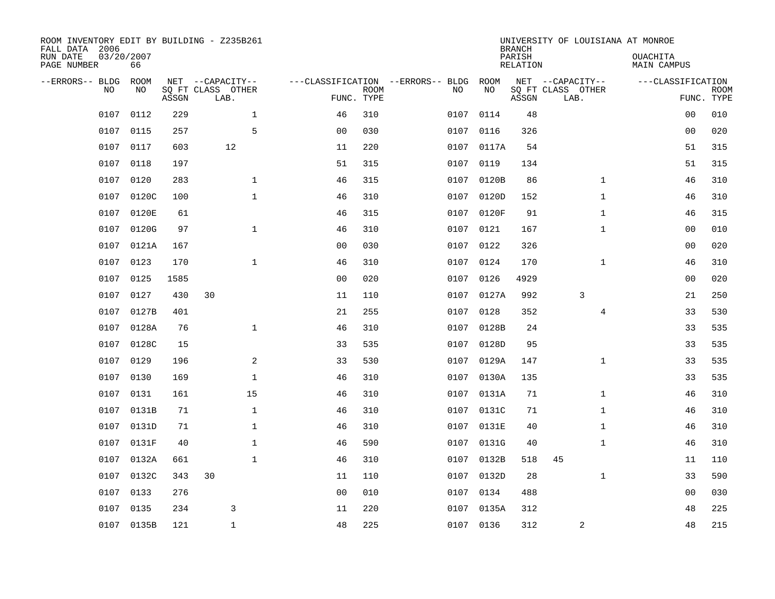| FALL DATA 2006<br>RUN DATE<br>PAGE NUMBER | 03/20/2007 | 66          |       | ROOM INVENTORY EDIT BY BUILDING - Z235B261    |                                   |                           |      |            | <b>BRANCH</b><br>PARISH<br>RELATION | UNIVERSITY OF LOUISIANA AT MONROE             | <b>OUACHITA</b><br>MAIN CAMPUS  |             |
|-------------------------------------------|------------|-------------|-------|-----------------------------------------------|-----------------------------------|---------------------------|------|------------|-------------------------------------|-----------------------------------------------|---------------------------------|-------------|
| --ERRORS-- BLDG                           | <b>NO</b>  | ROOM<br>NO. | ASSGN | NET --CAPACITY--<br>SO FT CLASS OTHER<br>LAB. | ---CLASSIFICATION --ERRORS-- BLDG | <b>ROOM</b><br>FUNC. TYPE | NO   | ROOM<br>NO | ASSGN                               | NET --CAPACITY--<br>SQ FT CLASS OTHER<br>LAB. | ---CLASSIFICATION<br>FUNC. TYPE | <b>ROOM</b> |
|                                           | 0107       | 0112        | 229   | $\mathbf{1}$                                  | 46                                | 310                       | 0107 | 0114       | 48                                  |                                               | 00                              | 010         |
|                                           | 0107       | 0115        | 257   | 5                                             | 0 <sub>0</sub>                    | 030                       | 0107 | 0116       | 326                                 |                                               | 0 <sub>0</sub>                  | 020         |
|                                           | 0107       | 0117        | 603   | 12                                            | 11                                | 220                       | 0107 | 0117A      | 54                                  |                                               | 51                              | 315         |
|                                           | 0107       | 0118        | 197   |                                               | 51                                | 315                       |      | 0107 0119  | 134                                 |                                               | 51                              | 315         |
|                                           | 0107       | 0120        | 283   | $\mathbf{1}$                                  | 46                                | 315                       | 0107 | 0120B      | 86                                  | $\mathbf{1}$                                  | 46                              | 310         |
|                                           | 0107       | 0120C       | 100   | $\mathbf{1}$                                  | 46                                | 310                       |      | 0107 0120D | 152                                 | $\mathbf{1}$                                  | 46                              | 310         |
|                                           | 0107       | 0120E       | 61    |                                               | 46                                | 315                       | 0107 | 0120F      | 91                                  | $\mathbf{1}$                                  | 46                              | 315         |
|                                           | 0107       | 0120G       | 97    | $\mathbf{1}$                                  | 46                                | 310                       |      | 0107 0121  | 167                                 | $\mathbf{1}$                                  | 0 <sub>0</sub>                  | 010         |
|                                           | 0107       | 0121A       | 167   |                                               | 0 <sub>0</sub>                    | 030                       | 0107 | 0122       | 326                                 |                                               | 0 <sub>0</sub>                  | 020         |
|                                           | 0107 0123  |             | 170   | $\mathbf 1$                                   | 46                                | 310                       |      | 0107 0124  | 170                                 | $\mathbf{1}$                                  | 46                              | 310         |
|                                           | 0107       | 0125        | 1585  |                                               | 0 <sub>0</sub>                    | 020                       | 0107 | 0126       | 4929                                |                                               | 00                              | 020         |
|                                           | 0107       | 0127        | 430   | 30                                            | 11                                | 110                       |      | 0107 0127A | 992                                 | 3                                             | 21                              | 250         |
|                                           | 0107       | 0127B       | 401   |                                               | 21                                | 255                       | 0107 | 0128       | 352                                 | 4                                             | 33                              | 530         |
|                                           | 0107       | 0128A       | 76    | $\mathbf{1}$                                  | 46                                | 310                       | 0107 | 0128B      | 24                                  |                                               | 33                              | 535         |
|                                           | 0107       | 0128C       | 15    |                                               | 33                                | 535                       | 0107 | 0128D      | 95                                  |                                               | 33                              | 535         |
|                                           | 0107       | 0129        | 196   | 2                                             | 33                                | 530                       | 0107 | 0129A      | 147                                 | $\mathbf{1}$                                  | 33                              | 535         |
|                                           | 0107       | 0130        | 169   | $\mathbf 1$                                   | 46                                | 310                       | 0107 | 0130A      | 135                                 |                                               | 33                              | 535         |
|                                           | 0107       | 0131        | 161   | 15                                            | 46                                | 310                       | 0107 | 0131A      | 71                                  | $\mathbf{1}$                                  | 46                              | 310         |
|                                           | 0107       | 0131B       | 71    | $\mathbf{1}$                                  | 46                                | 310                       |      | 0107 0131C | 71                                  | $\mathbf{1}$                                  | 46                              | 310         |
|                                           | 0107       | 0131D       | 71    | $\mathbf{1}$                                  | 46                                | 310                       |      | 0107 0131E | 40                                  | $\mathbf{1}$                                  | 46                              | 310         |
|                                           | 0107       | 0131F       | 40    | $\mathbf{1}$                                  | 46                                | 590                       |      | 0107 0131G | 40                                  | $\mathbf{1}$                                  | 46                              | 310         |
|                                           | 0107       | 0132A       | 661   | $\mathbf{1}$                                  | 46                                | 310                       | 0107 | 0132B      | 518                                 | 45                                            | 11                              | 110         |
|                                           | 0107       | 0132C       | 343   | 30                                            | 11                                | 110                       |      | 0107 0132D | 28                                  | $\mathbf{1}$                                  | 33                              | 590         |
|                                           | 0107       | 0133        | 276   |                                               | 0 <sub>0</sub>                    | 010                       | 0107 | 0134       | 488                                 |                                               | 0 <sub>0</sub>                  | 030         |
|                                           | 0107       | 0135        | 234   | 3                                             | 11                                | 220                       |      | 0107 0135A | 312                                 |                                               | 48                              | 225         |
|                                           |            | 0107 0135B  | 121   | $\mathbf{1}$                                  | 48                                | 225                       |      | 0107 0136  | 312                                 | 2                                             | 48                              | 215         |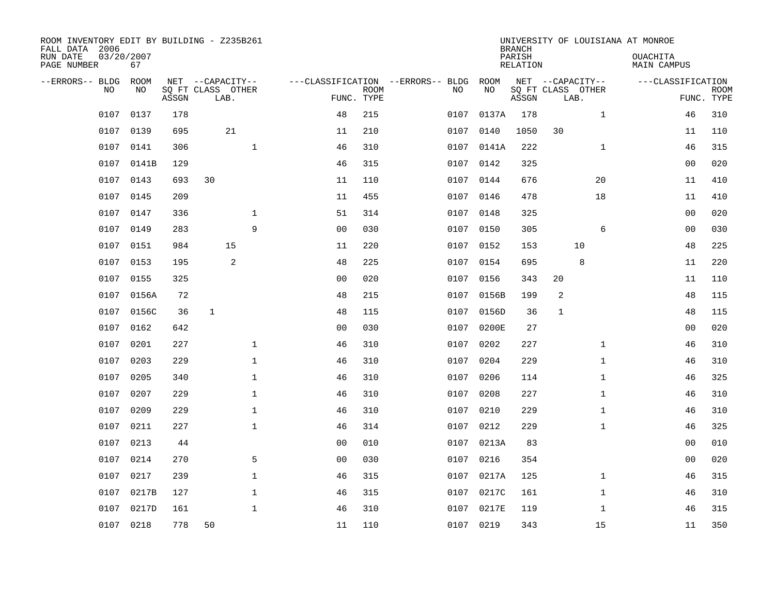| ROOM INVENTORY EDIT BY BUILDING - Z235B261<br>FALL DATA 2006 |                  |       |                           |              |                                   |             |      |            | <b>BRANCH</b>      |                           |              | UNIVERSITY OF LOUISIANA AT MONROE |                           |
|--------------------------------------------------------------|------------------|-------|---------------------------|--------------|-----------------------------------|-------------|------|------------|--------------------|---------------------------|--------------|-----------------------------------|---------------------------|
| RUN DATE<br>PAGE NUMBER                                      | 03/20/2007<br>67 |       |                           |              |                                   |             |      |            | PARISH<br>RELATION |                           |              | <b>OUACHITA</b><br>MAIN CAMPUS    |                           |
| --ERRORS-- BLDG ROOM                                         |                  |       | NET --CAPACITY--          |              | ---CLASSIFICATION --ERRORS-- BLDG |             |      | ROOM       |                    | NET --CAPACITY--          |              | ---CLASSIFICATION                 |                           |
| <b>NO</b>                                                    | NO.              | ASSGN | SQ FT CLASS OTHER<br>LAB. |              | FUNC. TYPE                        | <b>ROOM</b> | NO.  | NO         | ASSGN              | SQ FT CLASS OTHER<br>LAB. |              |                                   | <b>ROOM</b><br>FUNC. TYPE |
| 0107                                                         | 0137             | 178   |                           |              | 48                                | 215         | 0107 | 0137A      | 178                |                           | $\mathbf{1}$ | 46                                | 310                       |
| 0107                                                         | 0139             | 695   | 21                        |              | 11                                | 210         | 0107 | 0140       | 1050               | 30                        |              | 11                                | 110                       |
| 0107                                                         | 0141             | 306   |                           | $\mathbf{1}$ | 46                                | 310         |      | 0107 0141A | 222                |                           | $\mathbf{1}$ | 46                                | 315                       |
| 0107                                                         | 0141B            | 129   |                           |              | 46                                | 315         |      | 0107 0142  | 325                |                           |              | 00                                | 020                       |
| 0107                                                         | 0143             | 693   | 30                        |              | 11                                | 110         | 0107 | 0144       | 676                |                           | 20           | 11                                | 410                       |
| 0107                                                         | 0145             | 209   |                           |              | 11                                | 455         |      | 0107 0146  | 478                |                           | 18           | 11                                | 410                       |
| 0107                                                         | 0147             | 336   |                           | $\mathbf 1$  | 51                                | 314         | 0107 | 0148       | 325                |                           |              | 0 <sub>0</sub>                    | 020                       |
| 0107                                                         | 0149             | 283   |                           | 9            | 0 <sub>0</sub>                    | 030         |      | 0107 0150  | 305                |                           | 6            | 0 <sub>0</sub>                    | 030                       |
| 0107                                                         | 0151             | 984   | 15                        |              | 11                                | 220         | 0107 | 0152       | 153                |                           | 10           | 48                                | 225                       |
|                                                              | 0107 0153        | 195   | $\overline{2}$            |              | 48                                | 225         |      | 0107 0154  | 695                |                           | 8            | 11                                | 220                       |
| 0107                                                         | 0155             | 325   |                           |              | 0 <sub>0</sub>                    | 020         | 0107 | 0156       | 343                | 20                        |              | 11                                | 110                       |
|                                                              | 0107 0156A       | 72    |                           |              | 48                                | 215         |      | 0107 0156B | 199                | 2                         |              | 48                                | 115                       |
| 0107                                                         | 0156C            | 36    | $\mathbf{1}$              |              | 48                                | 115         | 0107 | 0156D      | 36                 | $\mathbf{1}$              |              | 48                                | 115                       |
| 0107                                                         | 0162             | 642   |                           |              | 00                                | 030         |      | 0107 0200E | 27                 |                           |              | 00                                | 020                       |
| 0107                                                         | 0201             | 227   |                           | $\mathbf 1$  | 46                                | 310         | 0107 | 0202       | 227                |                           | $\mathbf{1}$ | 46                                | 310                       |
| 0107                                                         | 0203             | 229   |                           | $\mathbf 1$  | 46                                | 310         | 0107 | 0204       | 229                |                           | $\mathbf{1}$ | 46                                | 310                       |
| 0107                                                         | 0205             | 340   |                           | $\mathbf{1}$ | 46                                | 310         | 0107 | 0206       | 114                |                           | $\mathbf{1}$ | 46                                | 325                       |
| 0107                                                         | 0207             | 229   |                           | $\mathbf{1}$ | 46                                | 310         | 0107 | 0208       | 227                |                           | $\mathbf{1}$ | 46                                | 310                       |
| 0107                                                         | 0209             | 229   |                           | $\mathbf 1$  | 46                                | 310         |      | 0107 0210  | 229                |                           | $\mathbf{1}$ | 46                                | 310                       |
| 0107                                                         | 0211             | 227   |                           | $\mathbf 1$  | 46                                | 314         |      | 0107 0212  | 229                |                           | $\mathbf{1}$ | 46                                | 325                       |
| 0107                                                         | 0213             | 44    |                           |              | 0 <sub>0</sub>                    | 010         |      | 0107 0213A | 83                 |                           |              | 0 <sub>0</sub>                    | 010                       |
| 0107                                                         | 0214             | 270   |                           | 5            | 0 <sub>0</sub>                    | 030         | 0107 | 0216       | 354                |                           |              | 0 <sub>0</sub>                    | 020                       |
| 0107                                                         | 0217             | 239   |                           | 1            | 46                                | 315         |      | 0107 0217A | 125                |                           | $\mathbf{1}$ | 46                                | 315                       |
| 0107                                                         | 0217B            | 127   |                           | 1            | 46                                | 315         | 0107 | 0217C      | 161                |                           | $\mathbf{1}$ | 46                                | 310                       |
| 0107                                                         | 0217D            | 161   |                           | $\mathbf{1}$ | 46                                | 310         | 0107 | 0217E      | 119                |                           | $\mathbf{1}$ | 46                                | 315                       |
| 0107                                                         | 0218             | 778   | 50                        |              | 11                                | 110         |      | 0107 0219  | 343                |                           | 15           | 11                                | 350                       |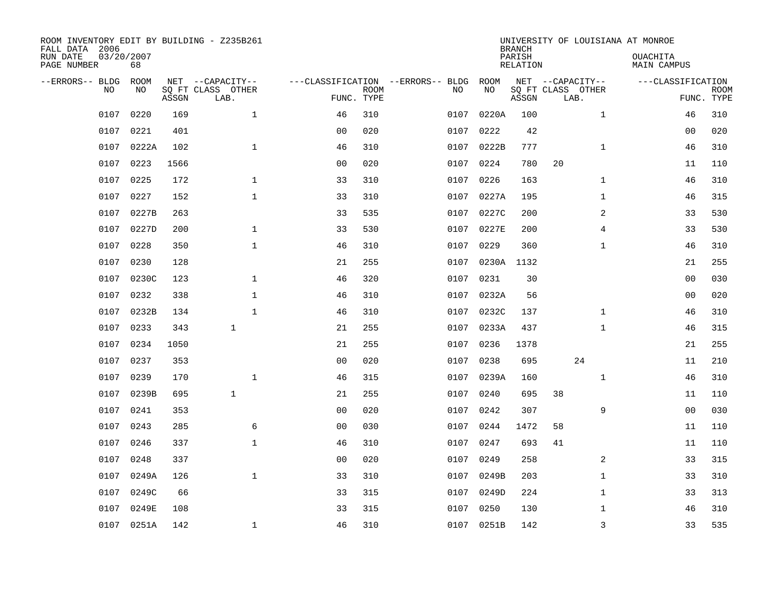| ROOM INVENTORY EDIT BY BUILDING - Z235B261<br>FALL DATA 2006<br>RUN DATE<br>PAGE NUMBER | 03/20/2007<br>68 |       |                                               |                                                 |             |      |            | <b>BRANCH</b><br>PARISH<br><b>RELATION</b> |    |                                               | UNIVERSITY OF LOUISIANA AT MONROE<br>OUACHITA<br><b>MAIN CAMPUS</b> |                |             |
|-----------------------------------------------------------------------------------------|------------------|-------|-----------------------------------------------|-------------------------------------------------|-------------|------|------------|--------------------------------------------|----|-----------------------------------------------|---------------------------------------------------------------------|----------------|-------------|
| --ERRORS-- BLDG<br>NO                                                                   | ROOM<br>NO       | ASSGN | NET --CAPACITY--<br>SQ FT CLASS OTHER<br>LAB. | ---CLASSIFICATION --ERRORS-- BLDG<br>FUNC. TYPE | <b>ROOM</b> | NO   | ROOM<br>NO | ASSGN                                      |    | NET --CAPACITY--<br>SQ FT CLASS OTHER<br>LAB. | ---CLASSIFICATION                                                   | FUNC. TYPE     | <b>ROOM</b> |
| 0107                                                                                    | 0220             | 169   | $\mathbf 1$                                   | 46                                              | 310         | 0107 | 0220A      | 100                                        |    | $\mathbf{1}$                                  |                                                                     | 46             | 310         |
| 0107                                                                                    | 0221             | 401   |                                               | 0 <sub>0</sub>                                  | 020         | 0107 | 0222       | 42                                         |    |                                               |                                                                     | 00             | 020         |
| 0107                                                                                    | 0222A            | 102   | $\mathbf{1}$                                  | 46                                              | 310         | 0107 | 0222B      | 777                                        |    | $\mathbf{1}$                                  |                                                                     | 46             | 310         |
| 0107                                                                                    | 0223             | 1566  |                                               | 0 <sub>0</sub>                                  | 020         | 0107 | 0224       | 780                                        | 20 |                                               |                                                                     | 11             | 110         |
| 0107                                                                                    | 0225             | 172   | $\mathbf{1}$                                  | 33                                              | 310         | 0107 | 0226       | 163                                        |    | $\mathbf{1}$                                  |                                                                     | 46             | 310         |
| 0107                                                                                    | 0227             | 152   | $\mathbf{1}$                                  | 33                                              | 310         | 0107 | 0227A      | 195                                        |    | $\mathbf{1}$                                  |                                                                     | 46             | 315         |
| 0107                                                                                    | 0227B            | 263   |                                               | 33                                              | 535         | 0107 | 0227C      | 200                                        |    | 2                                             |                                                                     | 33             | 530         |
| 0107                                                                                    | 0227D            | 200   | $\mathbf{1}$                                  | 33                                              | 530         |      | 0107 0227E | 200                                        |    | 4                                             |                                                                     | 33             | 530         |
| 0107                                                                                    | 0228             | 350   | $\mathbf{1}$                                  | 46                                              | 310         | 0107 | 0229       | 360                                        |    | $\mathbf{1}$                                  |                                                                     | 46             | 310         |
| 0107                                                                                    | 0230             | 128   |                                               | 21                                              | 255         |      | 0107 0230A | 1132                                       |    |                                               |                                                                     | 21             | 255         |
| 0107                                                                                    | 0230C            | 123   | $\mathbf 1$                                   | 46                                              | 320         | 0107 | 0231       | 30                                         |    |                                               |                                                                     | 00             | 030         |
| 0107                                                                                    | 0232             | 338   | $\mathbf 1$                                   | 46                                              | 310         |      | 0107 0232A | 56                                         |    |                                               |                                                                     | 00             | 020         |
| 0107                                                                                    | 0232B            | 134   | $\mathbf{1}$                                  | 46                                              | 310         | 0107 | 0232C      | 137                                        |    | $\mathbf{1}$                                  |                                                                     | 46             | 310         |
| 0107                                                                                    | 0233             | 343   | $\mathbf{1}$                                  | 21                                              | 255         | 0107 | 0233A      | 437                                        |    | $\mathbf{1}$                                  |                                                                     | 46             | 315         |
| 0107                                                                                    | 0234             | 1050  |                                               | 21                                              | 255         | 0107 | 0236       | 1378                                       |    |                                               |                                                                     | 21             | 255         |
| 0107                                                                                    | 0237             | 353   |                                               | 0 <sub>0</sub>                                  | 020         | 0107 | 0238       | 695                                        |    | 24                                            |                                                                     | 11             | 210         |
| 0107                                                                                    | 0239             | 170   | $\mathbf 1$                                   | 46                                              | 315         | 0107 | 0239A      | 160                                        |    | $\mathbf{1}$                                  |                                                                     | 46             | 310         |
| 0107                                                                                    | 0239B            | 695   | $\mathbf{1}$                                  | 21                                              | 255         | 0107 | 0240       | 695                                        | 38 |                                               |                                                                     | 11             | 110         |
| 0107                                                                                    | 0241             | 353   |                                               | 0 <sub>0</sub>                                  | 020         | 0107 | 0242       | 307                                        |    | 9                                             |                                                                     | 0 <sub>0</sub> | 030         |
| 0107                                                                                    | 0243             | 285   | 6                                             | 00                                              | 030         | 0107 | 0244       | 1472                                       | 58 |                                               |                                                                     | 11             | 110         |
| 0107                                                                                    | 0246             | 337   | $\mathbf{1}$                                  | 46                                              | 310         | 0107 | 0247       | 693                                        | 41 |                                               |                                                                     | 11             | 110         |
| 0107                                                                                    | 0248             | 337   |                                               | 00                                              | 020         | 0107 | 0249       | 258                                        |    | $\overline{2}$                                |                                                                     | 33             | 315         |
| 0107                                                                                    | 0249A            | 126   | $\mathbf{1}$                                  | 33                                              | 310         |      | 0107 0249B | 203                                        |    | $\mathbf{1}$                                  |                                                                     | 33             | 310         |
| 0107                                                                                    | 0249C            | 66    |                                               | 33                                              | 315         | 0107 | 0249D      | 224                                        |    | $\mathbf{1}$                                  |                                                                     | 33             | 313         |
| 0107                                                                                    | 0249E            | 108   |                                               | 33                                              | 315         | 0107 | 0250       | 130                                        |    | $\mathbf{1}$                                  |                                                                     | 46             | 310         |
|                                                                                         | 0107 0251A       | 142   | $\mathbf{1}$                                  | 46                                              | 310         |      | 0107 0251B | 142                                        |    | 3                                             |                                                                     | 33             | 535         |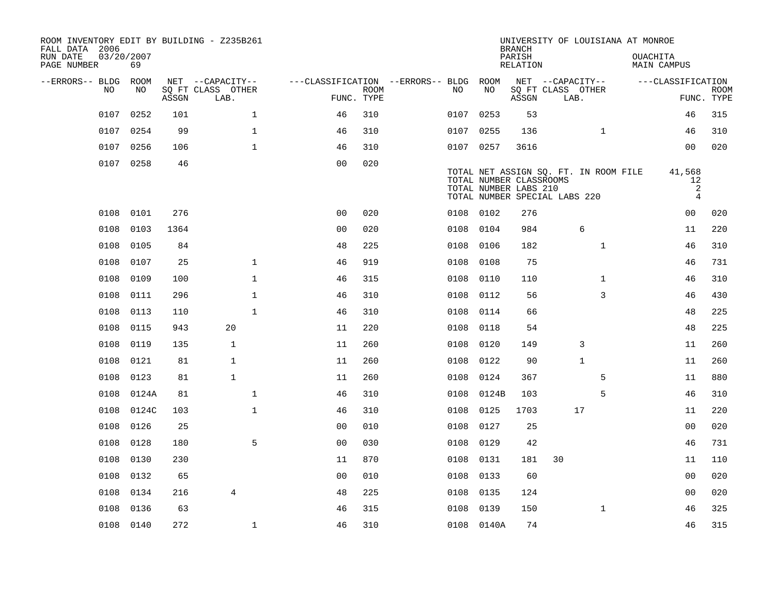| ROOM INVENTORY EDIT BY BUILDING - Z235B261<br>FALL DATA 2006 |                  |       |                           |                                        |             |           |                                                                                   | <b>BRANCH</b>      |    | UNIVERSITY OF LOUISIANA AT MONROE     |                 |                                     |                           |
|--------------------------------------------------------------|------------------|-------|---------------------------|----------------------------------------|-------------|-----------|-----------------------------------------------------------------------------------|--------------------|----|---------------------------------------|-----------------|-------------------------------------|---------------------------|
| RUN DATE<br>PAGE NUMBER                                      | 03/20/2007<br>69 |       |                           |                                        |             |           |                                                                                   | PARISH<br>RELATION |    |                                       | <b>OUACHITA</b> | MAIN CAMPUS                         |                           |
| --ERRORS-- BLDG ROOM                                         |                  |       | NET --CAPACITY--          | ---CLASSIFICATION --ERRORS-- BLDG ROOM |             |           |                                                                                   |                    |    | NET --CAPACITY--                      |                 | ---CLASSIFICATION                   |                           |
| NO.                                                          | NO.              | ASSGN | SQ FT CLASS OTHER<br>LAB. | FUNC. TYPE                             | <b>ROOM</b> | NO.       | NO                                                                                | ASSGN              |    | SQ FT CLASS OTHER<br>LAB.             |                 |                                     | <b>ROOM</b><br>FUNC. TYPE |
| 0107                                                         | 0252             | 101   | $\mathbf{1}$              | 46                                     | 310         | 0107      | 0253                                                                              | 53                 |    |                                       |                 | 46                                  | 315                       |
| 0107                                                         | 0254             | 99    | $\mathbf{1}$              | 46                                     | 310         | 0107 0255 |                                                                                   | 136                |    | $\mathbf{1}$                          |                 | 46                                  | 310                       |
| 0107                                                         | 0256             | 106   | 1                         | 46                                     | 310         | 0107 0257 |                                                                                   | 3616               |    |                                       |                 | 0 <sub>0</sub>                      | 020                       |
|                                                              | 0107 0258        | 46    |                           | 0 <sub>0</sub>                         | 020         |           | TOTAL NUMBER CLASSROOMS<br>TOTAL NUMBER LABS 210<br>TOTAL NUMBER SPECIAL LABS 220 |                    |    | TOTAL NET ASSIGN SQ. FT. IN ROOM FILE |                 | 41,568<br>12<br>2<br>$\overline{4}$ |                           |
| 0108                                                         | 0101             | 276   |                           | 0 <sub>0</sub>                         | 020         | 0108 0102 |                                                                                   | 276                |    |                                       |                 | 00                                  | 020                       |
| 0108                                                         | 0103             | 1364  |                           | 0 <sub>0</sub>                         | 020         | 0108      | 0104                                                                              | 984                |    | 6                                     |                 | 11                                  | 220                       |
| 0108                                                         | 0105             | 84    |                           | 48                                     | 225         | 0108      | 0106                                                                              | 182                |    | $\mathbf{1}$                          |                 | 46                                  | 310                       |
| 0108                                                         | 0107             | 25    | $\mathbf{1}$              | 46                                     | 919         | 0108 0108 |                                                                                   | 75                 |    |                                       |                 | 46                                  | 731                       |
| 0108                                                         | 0109             | 100   | $\mathbf{1}$              | 46                                     | 315         | 0108      | 0110                                                                              | 110                |    | $\mathbf{1}$                          |                 | 46                                  | 310                       |
| 0108                                                         | 0111             | 296   | $\mathbf 1$               | 46                                     | 310         | 0108      | 0112                                                                              | 56                 |    | 3                                     |                 | 46                                  | 430                       |
| 0108                                                         | 0113             | 110   | $\mathbf{1}$              | 46                                     | 310         | 0108      | 0114                                                                              | 66                 |    |                                       |                 | 48                                  | 225                       |
| 0108                                                         | 0115             | 943   | 20                        | 11                                     | 220         | 0108      | 0118                                                                              | 54                 |    |                                       |                 | 48                                  | 225                       |
| 0108                                                         | 0119             | 135   | $\mathbf{1}$              | 11                                     | 260         | 0108      | 0120                                                                              | 149                |    | 3                                     |                 | 11                                  | 260                       |
| 0108                                                         | 0121             | 81    | $\mathbf{1}$              | 11                                     | 260         | 0108      | 0122                                                                              | 90                 |    | $\mathbf{1}$                          |                 | 11                                  | 260                       |
| 0108                                                         | 0123             | 81    | $\mathbf{1}$              | 11                                     | 260         | 0108      | 0124                                                                              | 367                |    | 5                                     |                 | 11                                  | 880                       |
| 0108                                                         | 0124A            | 81    | $\mathbf 1$               | 46                                     | 310         | 0108      | 0124B                                                                             | 103                |    | 5                                     |                 | 46                                  | 310                       |
| 0108                                                         | 0124C            | 103   | $\mathbf{1}$              | 46                                     | 310         | 0108      | 0125                                                                              | 1703               |    | 17                                    |                 | 11                                  | 220                       |
| 0108                                                         | 0126             | 25    |                           | 0 <sub>0</sub>                         | 010         | 0108      | 0127                                                                              | 25                 |    |                                       |                 | 0 <sub>0</sub>                      | 020                       |
| 0108                                                         | 0128             | 180   | 5                         | 0 <sub>0</sub>                         | 030         | 0108      | 0129                                                                              | 42                 |    |                                       |                 | 46                                  | 731                       |
| 0108                                                         | 0130             | 230   |                           | 11                                     | 870         | 0108      | 0131                                                                              | 181                | 30 |                                       |                 | 11                                  | 110                       |
| 0108                                                         | 0132             | 65    |                           | 0 <sub>0</sub>                         | 010         | 0108      | 0133                                                                              | 60                 |    |                                       |                 | 00                                  | 020                       |
| 0108                                                         | 0134             | 216   | 4                         | 48                                     | 225         | 0108      | 0135                                                                              | 124                |    |                                       |                 | 0 <sub>0</sub>                      | 020                       |
| 0108                                                         | 0136             | 63    |                           | 46                                     | 315         | 0108      | 0139                                                                              | 150                |    | $\mathbf{1}$                          |                 | 46                                  | 325                       |
|                                                              | 0108 0140        | 272   | $\mathbf{1}$              | 46                                     | 310         |           | 0108 0140A                                                                        | 74                 |    |                                       |                 | 46                                  | 315                       |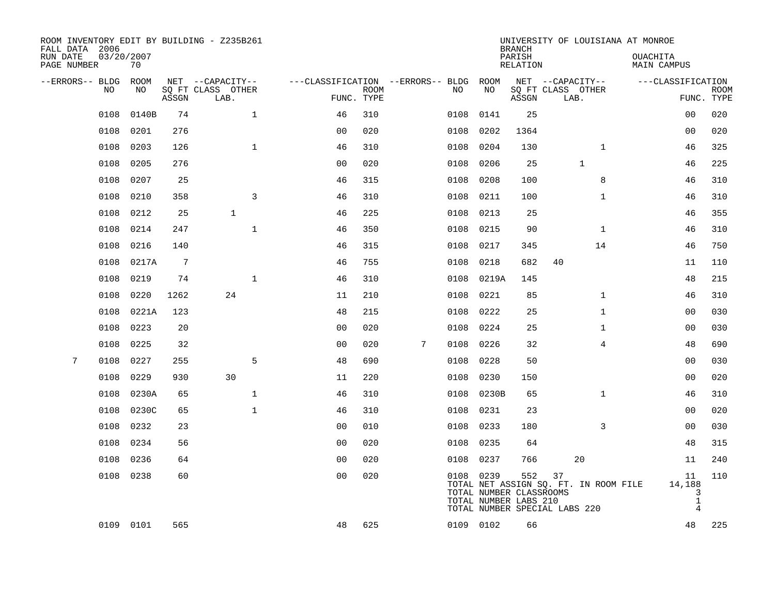| ROOM INVENTORY EDIT BY BUILDING - Z235B261<br>FALL DATA 2006<br>RUN DATE | 03/20/2007 |       |                                       |                                   |             |   |           |                                                  | <b>BRANCH</b><br>PARISH | UNIVERSITY OF LOUISIANA AT MONROE                                            | OUACHITA                                            |             |
|--------------------------------------------------------------------------|------------|-------|---------------------------------------|-----------------------------------|-------------|---|-----------|--------------------------------------------------|-------------------------|------------------------------------------------------------------------------|-----------------------------------------------------|-------------|
| PAGE NUMBER                                                              | 70         |       |                                       |                                   |             |   |           |                                                  | <b>RELATION</b>         |                                                                              | <b>MAIN CAMPUS</b>                                  |             |
| --ERRORS-- BLDG<br>NO                                                    | ROOM<br>NO |       | NET --CAPACITY--<br>SQ FT CLASS OTHER | ---CLASSIFICATION --ERRORS-- BLDG | <b>ROOM</b> |   | NO        | ROOM<br>NO                                       |                         | NET --CAPACITY--<br>SQ FT CLASS OTHER                                        | ---CLASSIFICATION                                   | <b>ROOM</b> |
|                                                                          |            | ASSGN | LAB.                                  |                                   | FUNC. TYPE  |   |           |                                                  | ASSGN                   | LAB.                                                                         |                                                     | FUNC. TYPE  |
| 0108                                                                     | 0140B      | 74    | $\mathbf 1$                           | 46                                | 310         |   | 0108      | 0141                                             | 25                      |                                                                              | 0 <sub>0</sub>                                      | 020         |
| 0108                                                                     | 0201       | 276   |                                       | 0 <sub>0</sub>                    | 020         |   | 0108      | 0202                                             | 1364                    |                                                                              | 00                                                  | 020         |
| 0108                                                                     | 0203       | 126   | $\mathbf{1}$                          | 46                                | 310         |   | 0108      | 0204                                             | 130                     | $\mathbf{1}$                                                                 | 46                                                  | 325         |
| 0108                                                                     | 0205       | 276   |                                       | 00                                | 020         |   | 0108      | 0206                                             | 25                      | $\mathbf{1}$                                                                 | 46                                                  | 225         |
| 0108                                                                     | 0207       | 25    |                                       | 46                                | 315         |   | 0108      | 0208                                             | 100                     | 8                                                                            | 46                                                  | 310         |
| 0108                                                                     | 0210       | 358   | 3                                     | 46                                | 310         |   | 0108      | 0211                                             | 100                     | $\mathbf{1}$                                                                 | 46                                                  | 310         |
| 0108                                                                     | 0212       | 25    | $\mathbf{1}$                          | 46                                | 225         |   | 0108      | 0213                                             | 25                      |                                                                              | 46                                                  | 355         |
| 0108                                                                     | 0214       | 247   | $\mathbf{1}$                          | 46                                | 350         |   | 0108      | 0215                                             | 90                      | $\mathbf{1}$                                                                 | 46                                                  | 310         |
| 0108                                                                     | 0216       | 140   |                                       | 46                                | 315         |   | 0108      | 0217                                             | 345                     | 14                                                                           | 46                                                  | 750         |
| 0108                                                                     | 0217A      | 7     |                                       | 46                                | 755         |   | 0108      | 0218                                             | 682                     | 40                                                                           | 11                                                  | 110         |
| 0108                                                                     | 0219       | 74    | $\mathbf{1}$                          | 46                                | 310         |   | 0108      | 0219A                                            | 145                     |                                                                              | 48                                                  | 215         |
| 0108                                                                     | 0220       | 1262  | 24                                    | 11                                | 210         |   | 0108      | 0221                                             | 85                      | $\mathbf{1}$                                                                 | 46                                                  | 310         |
| 0108                                                                     | 0221A      | 123   |                                       | 48                                | 215         |   | 0108      | 0222                                             | 25                      | $\mathbf{1}$                                                                 | 00                                                  | 030         |
| 0108                                                                     | 0223       | 20    |                                       | 0 <sub>0</sub>                    | 020         |   | 0108      | 0224                                             | 25                      | $\mathbf{1}$                                                                 | 00                                                  | 030         |
| 0108                                                                     | 0225       | 32    |                                       | 0 <sub>0</sub>                    | 020         | 7 | 0108      | 0226                                             | 32                      | 4                                                                            | 48                                                  | 690         |
| 7<br>0108                                                                | 0227       | 255   | 5                                     | 48                                | 690         |   | 0108      | 0228                                             | 50                      |                                                                              | 00                                                  | 030         |
| 0108                                                                     | 0229       | 930   | 30                                    | 11                                | 220         |   | 0108      | 0230                                             | 150                     |                                                                              | 0 <sub>0</sub>                                      | 020         |
| 0108                                                                     | 0230A      | 65    | $\mathbf 1$                           | 46                                | 310         |   | 0108      | 0230B                                            | 65                      | $\mathbf{1}$                                                                 | 46                                                  | 310         |
| 0108                                                                     | 0230C      | 65    | $\mathbf 1$                           | 46                                | 310         |   | 0108      | 0231                                             | 23                      |                                                                              | 00                                                  | 020         |
| 0108                                                                     | 0232       | 23    |                                       | 0 <sub>0</sub>                    | 010         |   | 0108      | 0233                                             | 180                     | 3                                                                            | 00                                                  | 030         |
| 0108                                                                     | 0234       | 56    |                                       | 0 <sub>0</sub>                    | 020         |   | 0108      | 0235                                             | 64                      |                                                                              | 48                                                  | 315         |
| 0108                                                                     | 0236       | 64    |                                       | 0 <sub>0</sub>                    | 020         |   | 0108      | 0237                                             | 766                     | 20                                                                           | 11                                                  | 240         |
|                                                                          | 0108 0238  | 60    |                                       | 0 <sub>0</sub>                    | 020         |   | 0108 0239 | TOTAL NUMBER CLASSROOMS<br>TOTAL NUMBER LABS 210 | 552                     | 37<br>TOTAL NET ASSIGN SQ. FT. IN ROOM FILE<br>TOTAL NUMBER SPECIAL LABS 220 | 11<br>14,188<br>3<br>$\mathbf{1}$<br>$\overline{4}$ | 110         |
|                                                                          | 0109 0101  | 565   |                                       | 48                                | 625         |   | 0109 0102 |                                                  | 66                      |                                                                              | 48                                                  | 225         |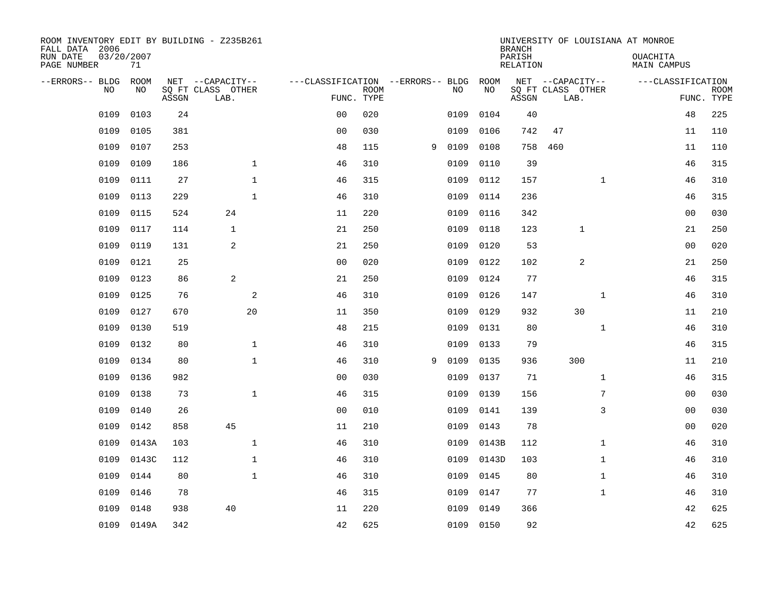| ROOM INVENTORY EDIT BY BUILDING - Z235B261<br>FALL DATA 2006 |                  |       |                           |                                   |                           |   |      |           | <b>BRANCH</b>             |                           |              | UNIVERSITY OF LOUISIANA AT MONROE |                           |
|--------------------------------------------------------------|------------------|-------|---------------------------|-----------------------------------|---------------------------|---|------|-----------|---------------------------|---------------------------|--------------|-----------------------------------|---------------------------|
| RUN DATE<br>PAGE NUMBER                                      | 03/20/2007<br>71 |       |                           |                                   |                           |   |      |           | PARISH<br><b>RELATION</b> |                           |              | OUACHITA<br><b>MAIN CAMPUS</b>    |                           |
| --ERRORS-- BLDG                                              | ROOM             |       | NET --CAPACITY--          | ---CLASSIFICATION --ERRORS-- BLDG |                           |   |      | ROOM      |                           | NET --CAPACITY--          |              | ---CLASSIFICATION                 |                           |
| NO                                                           | NO               | ASSGN | SQ FT CLASS OTHER<br>LAB. |                                   | <b>ROOM</b><br>FUNC. TYPE |   | NO   | NO        | ASSGN                     | SQ FT CLASS OTHER<br>LAB. |              |                                   | <b>ROOM</b><br>FUNC. TYPE |
| 0109                                                         | 0103             | 24    |                           | 0 <sub>0</sub>                    | 020                       |   | 0109 | 0104      | 40                        |                           |              | 48                                | 225                       |
| 0109                                                         | 0105             | 381   |                           | 0 <sub>0</sub>                    | 030                       |   | 0109 | 0106      | 742                       | 47                        |              | 11                                | 110                       |
| 0109                                                         | 0107             | 253   |                           | 48                                | 115                       | 9 | 0109 | 0108      | 758                       | 460                       |              | 11                                | 110                       |
| 0109                                                         | 0109             | 186   | $\mathbf{1}$              | 46                                | 310                       |   | 0109 | 0110      | 39                        |                           |              | 46                                | 315                       |
| 0109                                                         | 0111             | 27    | $\mathbf{1}$              | 46                                | 315                       |   | 0109 | 0112      | 157                       |                           | $\mathbf{1}$ | 46                                | 310                       |
| 0109                                                         | 0113             | 229   | $\mathbf{1}$              | 46                                | 310                       |   | 0109 | 0114      | 236                       |                           |              | 46                                | 315                       |
| 0109                                                         | 0115             | 524   | 24                        | 11                                | 220                       |   | 0109 | 0116      | 342                       |                           |              | 00                                | 030                       |
| 0109                                                         | 0117             | 114   | $\mathbf{1}$              | 21                                | 250                       |   | 0109 | 0118      | 123                       | $\mathbf 1$               |              | 21                                | 250                       |
| 0109                                                         | 0119             | 131   | 2                         | 21                                | 250                       |   | 0109 | 0120      | 53                        |                           |              | 0 <sub>0</sub>                    | 020                       |
| 0109                                                         | 0121             | 25    |                           | 0 <sub>0</sub>                    | 020                       |   | 0109 | 0122      | 102                       | 2                         |              | 21                                | 250                       |
| 0109                                                         | 0123             | 86    | 2                         | 21                                | 250                       |   | 0109 | 0124      | 77                        |                           |              | 46                                | 315                       |
| 0109                                                         | 0125             | 76    | 2                         | 46                                | 310                       |   | 0109 | 0126      | 147                       |                           | $\mathbf{1}$ | 46                                | 310                       |
| 0109                                                         | 0127             | 670   | 20                        | 11                                | 350                       |   | 0109 | 0129      | 932                       | 30                        |              | 11                                | 210                       |
| 0109                                                         | 0130             | 519   |                           | 48                                | 215                       |   | 0109 | 0131      | 80                        |                           | $\mathbf{1}$ | 46                                | 310                       |
| 0109                                                         | 0132             | 80    | $\mathbf 1$               | 46                                | 310                       |   | 0109 | 0133      | 79                        |                           |              | 46                                | 315                       |
| 0109                                                         | 0134             | 80    | $\mathbf{1}$              | 46                                | 310                       | 9 | 0109 | 0135      | 936                       | 300                       |              | 11                                | 210                       |
| 0109                                                         | 0136             | 982   |                           | 0 <sub>0</sub>                    | 030                       |   | 0109 | 0137      | 71                        |                           | $\mathbf{1}$ | 46                                | 315                       |
| 0109                                                         | 0138             | 73    | $\mathbf{1}$              | 46                                | 315                       |   | 0109 | 0139      | 156                       |                           | 7            | 0 <sub>0</sub>                    | 030                       |
| 0109                                                         | 0140             | 26    |                           | 0 <sub>0</sub>                    | 010                       |   | 0109 | 0141      | 139                       |                           | 3            | 0 <sub>0</sub>                    | 030                       |
| 0109                                                         | 0142             | 858   | 45                        | 11                                | 210                       |   | 0109 | 0143      | 78                        |                           |              | 00                                | 020                       |
| 0109                                                         | 0143A            | 103   | $\mathbf 1$               | 46                                | 310                       |   | 0109 | 0143B     | 112                       |                           | $\mathbf{1}$ | 46                                | 310                       |
| 0109                                                         | 0143C            | 112   | $\mathbf{1}$              | 46                                | 310                       |   | 0109 | 0143D     | 103                       |                           | $\mathbf{1}$ | 46                                | 310                       |
| 0109                                                         | 0144             | 80    | $\mathbf{1}$              | 46                                | 310                       |   | 0109 | 0145      | 80                        |                           | $\mathbf{1}$ | 46                                | 310                       |
| 0109                                                         | 0146             | 78    |                           | 46                                | 315                       |   | 0109 | 0147      | 77                        |                           | $\mathbf{1}$ | 46                                | 310                       |
| 0109                                                         | 0148             | 938   | 40                        | 11                                | 220                       |   | 0109 | 0149      | 366                       |                           |              | 42                                | 625                       |
| 0109                                                         | 0149A            | 342   |                           | 42                                | 625                       |   |      | 0109 0150 | 92                        |                           |              | 42                                | 625                       |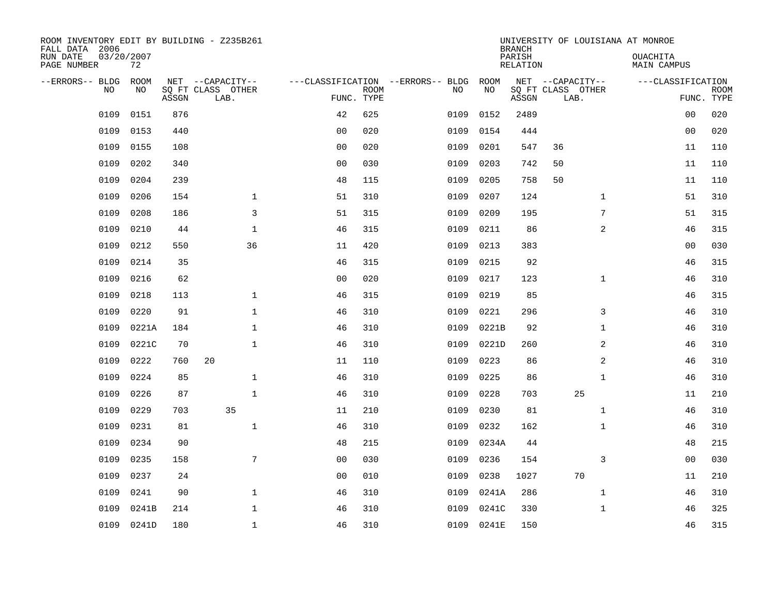| ROOM INVENTORY EDIT BY BUILDING - Z235B261<br>FALL DATA 2006 |                  |       |                           |                |             |                                   |       | <b>BRANCH</b>      | UNIVERSITY OF LOUISIANA AT MONROE |                                |                           |
|--------------------------------------------------------------|------------------|-------|---------------------------|----------------|-------------|-----------------------------------|-------|--------------------|-----------------------------------|--------------------------------|---------------------------|
| RUN DATE<br>PAGE NUMBER                                      | 03/20/2007<br>72 |       |                           |                |             |                                   |       | PARISH<br>RELATION |                                   | OUACHITA<br><b>MAIN CAMPUS</b> |                           |
| --ERRORS-- BLDG                                              | ROOM             |       | NET --CAPACITY--          |                |             | ---CLASSIFICATION --ERRORS-- BLDG | ROOM  |                    | NET --CAPACITY--                  | ---CLASSIFICATION              |                           |
| N <sub>O</sub>                                               | NO.              | ASSGN | SO FT CLASS OTHER<br>LAB. | FUNC. TYPE     | <b>ROOM</b> | NO.                               | NO    | ASSGN              | SQ FT CLASS OTHER<br>LAB.         |                                | <b>ROOM</b><br>FUNC. TYPE |
| 0109                                                         | 0151             | 876   |                           | 42             | 625         | 0109                              | 0152  | 2489               |                                   | 00                             | 020                       |
| 0109                                                         | 0153             | 440   |                           | 0 <sub>0</sub> | 020         | 0109                              | 0154  | 444                |                                   | 0 <sub>0</sub>                 | 020                       |
| 0109                                                         | 0155             | 108   |                           | 0 <sub>0</sub> | 020         | 0109                              | 0201  | 547                | 36                                | 11                             | 110                       |
| 0109                                                         | 0202             | 340   |                           | 0 <sub>0</sub> | 030         | 0109                              | 0203  | 742                | 50                                | 11                             | 110                       |
| 0109                                                         | 0204             | 239   |                           | 48             | 115         | 0109                              | 0205  | 758                | 50                                | 11                             | 110                       |
| 0109                                                         | 0206             | 154   | $\mathbf 1$               | 51             | 310         | 0109                              | 0207  | 124                | $\mathbf{1}$                      | 51                             | 310                       |
| 0109                                                         | 0208             | 186   | 3                         | 51             | 315         | 0109                              | 0209  | 195                | $7\phantom{.0}$                   | 51                             | 315                       |
| 0109                                                         | 0210             | 44    | $\mathbf{1}$              | 46             | 315         | 0109                              | 0211  | 86                 | $\overline{a}$                    | 46                             | 315                       |
| 0109                                                         | 0212             | 550   | 36                        | 11             | 420         | 0109                              | 0213  | 383                |                                   | 0 <sub>0</sub>                 | 030                       |
| 0109                                                         | 0214             | 35    |                           | 46             | 315         | 0109                              | 0215  | 92                 |                                   | 46                             | 315                       |
| 0109                                                         | 0216             | 62    |                           | 0 <sub>0</sub> | 020         | 0109                              | 0217  | 123                | $\mathbf{1}$                      | 46                             | 310                       |
| 0109                                                         | 0218             | 113   | $\mathbf{1}$              | 46             | 315         | 0109                              | 0219  | 85                 |                                   | 46                             | 315                       |
| 0109                                                         | 0220             | 91    | $\mathbf{1}$              | 46             | 310         | 0109                              | 0221  | 296                | 3                                 | 46                             | 310                       |
| 0109                                                         | 0221A            | 184   | $\mathbf{1}$              | 46             | 310         | 0109                              | 0221B | 92                 | $\mathbf{1}$                      | 46                             | 310                       |
| 0109                                                         | 0221C            | 70    | $\mathbf{1}$              | 46             | 310         | 0109                              | 0221D | 260                | 2                                 | 46                             | 310                       |
| 0109                                                         | 0222             | 760   | 20                        | 11             | 110         | 0109                              | 0223  | 86                 | 2                                 | 46                             | 310                       |
| 0109                                                         | 0224             | 85    | $\mathbf{1}$              | 46             | 310         | 0109                              | 0225  | 86                 | $\mathbf{1}$                      | 46                             | 310                       |
| 0109                                                         | 0226             | 87    | $\mathbf 1$               | 46             | 310         | 0109                              | 0228  | 703                | 25                                | 11                             | 210                       |
| 0109                                                         | 0229             | 703   | 35                        | 11             | 210         | 0109                              | 0230  | 81                 | $\mathbf{1}$                      | 46                             | 310                       |
| 0109                                                         | 0231             | 81    | $\mathbf{1}$              | 46             | 310         | 0109                              | 0232  | 162                | $\mathbf{1}$                      | 46                             | 310                       |
| 0109                                                         | 0234             | 90    |                           | 48             | 215         | 0109                              | 0234A | 44                 |                                   | 48                             | 215                       |
| 0109                                                         | 0235             | 158   | 7                         | 0 <sub>0</sub> | 030         | 0109                              | 0236  | 154                | 3                                 | 00                             | 030                       |
| 0109                                                         | 0237             | 24    |                           | 0 <sub>0</sub> | 010         | 0109                              | 0238  | 1027               | 70                                | 11                             | 210                       |
| 0109                                                         | 0241             | 90    | $\mathbf{1}$              | 46             | 310         | 0109                              | 0241A | 286                | $\mathbf{1}$                      | 46                             | 310                       |
| 0109                                                         | 0241B            | 214   | $\mathbf 1$               | 46             | 310         | 0109                              | 0241C | 330                | $\mathbf{1}$                      | 46                             | 325                       |
| 0109                                                         | 0241D            | 180   | $\mathbf{1}$              | 46             | 310         | 0109                              | 0241E | 150                |                                   | 46                             | 315                       |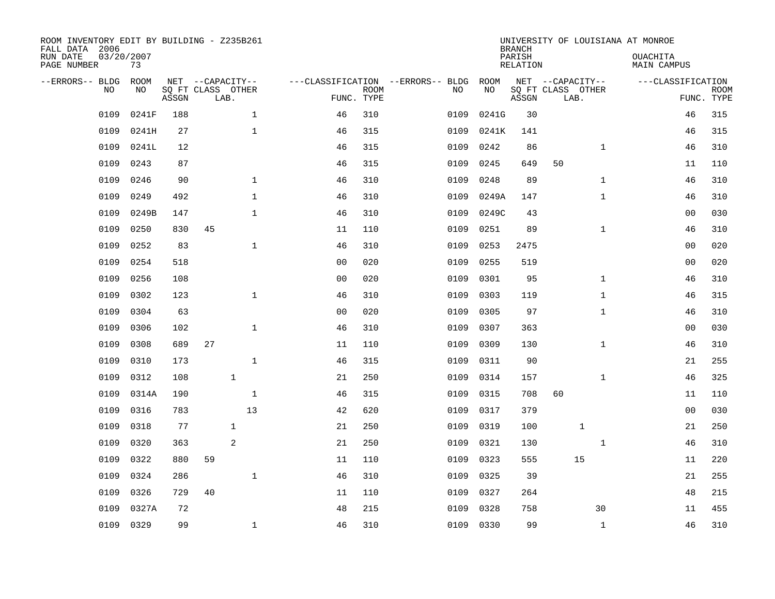| ROOM INVENTORY EDIT BY BUILDING - Z235B261<br>FALL DATA 2006<br>RUN DATE<br>PAGE NUMBER | 03/20/2007<br>73  |       |                                               |              |                |                           |                                         |            | <b>BRANCH</b><br>PARISH<br><b>RELATION</b> | UNIVERSITY OF LOUISIANA AT MONROE             |              | OUACHITA<br><b>MAIN CAMPUS</b> |                           |
|-----------------------------------------------------------------------------------------|-------------------|-------|-----------------------------------------------|--------------|----------------|---------------------------|-----------------------------------------|------------|--------------------------------------------|-----------------------------------------------|--------------|--------------------------------|---------------------------|
| --ERRORS-- BLDG<br>NO                                                                   | <b>ROOM</b><br>NO | ASSGN | NET --CAPACITY--<br>SQ FT CLASS OTHER<br>LAB. |              |                | <b>ROOM</b><br>FUNC. TYPE | ---CLASSIFICATION --ERRORS-- BLDG<br>NO | ROOM<br>NO | ASSGN                                      | NET --CAPACITY--<br>SQ FT CLASS OTHER<br>LAB. |              | ---CLASSIFICATION              | <b>ROOM</b><br>FUNC. TYPE |
| 0109                                                                                    | 0241F             | 188   |                                               | $\mathbf{1}$ | 46             | 310                       | 0109                                    | 0241G      | 30                                         |                                               |              | 46                             | 315                       |
| 0109                                                                                    | 0241H             | 27    |                                               | $\mathbf{1}$ | 46             | 315                       | 0109                                    | 0241K      | 141                                        |                                               |              | 46                             | 315                       |
| 0109                                                                                    | 0241L             | 12    |                                               |              | 46             | 315                       | 0109                                    | 0242       | 86                                         |                                               | $\mathbf{1}$ | 46                             | 310                       |
| 0109                                                                                    | 0243              | 87    |                                               |              | 46             | 315                       | 0109                                    | 0245       | 649                                        | 50                                            |              | 11                             | 110                       |
| 0109                                                                                    | 0246              | 90    |                                               | $\mathbf{1}$ | 46             | 310                       | 0109                                    | 0248       | 89                                         |                                               | $\mathbf{1}$ | 46                             | 310                       |
| 0109                                                                                    | 0249              | 492   |                                               | $\mathbf{1}$ | 46             | 310                       | 0109                                    | 0249A      | 147                                        |                                               | $\mathbf{1}$ | 46                             | 310                       |
| 0109                                                                                    | 0249B             | 147   |                                               | $\mathbf{1}$ | 46             | 310                       | 0109                                    | 0249C      | 43                                         |                                               |              | 00                             | 030                       |
| 0109                                                                                    | 0250              | 830   | 45                                            |              | 11             | 110                       | 0109                                    | 0251       | 89                                         |                                               | $\mathbf{1}$ | 46                             | 310                       |
| 0109                                                                                    | 0252              | 83    |                                               | $\mathbf{1}$ | 46             | 310                       | 0109                                    | 0253       | 2475                                       |                                               |              | 0 <sub>0</sub>                 | 020                       |
| 0109                                                                                    | 0254              | 518   |                                               |              | 0 <sub>0</sub> | 020                       | 0109                                    | 0255       | 519                                        |                                               |              | 0 <sub>0</sub>                 | 020                       |
| 0109                                                                                    | 0256              | 108   |                                               |              | 0 <sub>0</sub> | 020                       | 0109                                    | 0301       | 95                                         |                                               | $\mathbf{1}$ | 46                             | 310                       |
| 0109                                                                                    | 0302              | 123   |                                               | $\mathbf{1}$ | 46             | 310                       | 0109                                    | 0303       | 119                                        |                                               | $\mathbf{1}$ | 46                             | 315                       |
| 0109                                                                                    | 0304              | 63    |                                               |              | 0 <sub>0</sub> | 020                       | 0109                                    | 0305       | 97                                         |                                               | $\mathbf{1}$ | 46                             | 310                       |
| 0109                                                                                    | 0306              | 102   |                                               | $\mathbf{1}$ | 46             | 310                       | 0109                                    | 0307       | 363                                        |                                               |              | 0 <sub>0</sub>                 | 030                       |
| 0109                                                                                    | 0308              | 689   | 27                                            |              | 11             | 110                       | 0109                                    | 0309       | 130                                        |                                               | $\mathbf{1}$ | 46                             | 310                       |
| 0109                                                                                    | 0310              | 173   |                                               | $\mathbf 1$  | 46             | 315                       | 0109                                    | 0311       | 90                                         |                                               |              | 21                             | 255                       |
| 0109                                                                                    | 0312              | 108   | $\mathbf{1}$                                  |              | 21             | 250                       | 0109                                    | 0314       | 157                                        |                                               | $\mathbf{1}$ | 46                             | 325                       |
| 0109                                                                                    | 0314A             | 190   |                                               | $\mathbf 1$  | 46             | 315                       | 0109                                    | 0315       | 708                                        | 60                                            |              | 11                             | 110                       |
| 0109                                                                                    | 0316              | 783   |                                               | 13           | 42             | 620                       | 0109                                    | 0317       | 379                                        |                                               |              | 0 <sub>0</sub>                 | 030                       |
| 0109                                                                                    | 0318              | 77    | $\mathbf{1}$                                  |              | 21             | 250                       | 0109                                    | 0319       | 100                                        | $\mathbf{1}$                                  |              | 21                             | 250                       |
| 0109                                                                                    | 0320              | 363   | 2                                             |              | 21             | 250                       | 0109                                    | 0321       | 130                                        |                                               | $\mathbf{1}$ | 46                             | 310                       |
| 0109                                                                                    | 0322              | 880   | 59                                            |              | 11             | 110                       | 0109                                    | 0323       | 555                                        | 15                                            |              | 11                             | 220                       |
| 0109                                                                                    | 0324              | 286   |                                               | $\mathbf{1}$ | 46             | 310                       | 0109                                    | 0325       | 39                                         |                                               |              | 21                             | 255                       |
| 0109                                                                                    | 0326              | 729   | 40                                            |              | 11             | 110                       | 0109                                    | 0327       | 264                                        |                                               |              | 48                             | 215                       |
| 0109                                                                                    | 0327A             | 72    |                                               |              | 48             | 215                       | 0109                                    | 0328       | 758                                        |                                               | 30           | 11                             | 455                       |
| 0109                                                                                    | 0329              | 99    |                                               | $\mathbf 1$  | 46             | 310                       |                                         | 0109 0330  | 99                                         |                                               | $\mathbf{1}$ | 46                             | 310                       |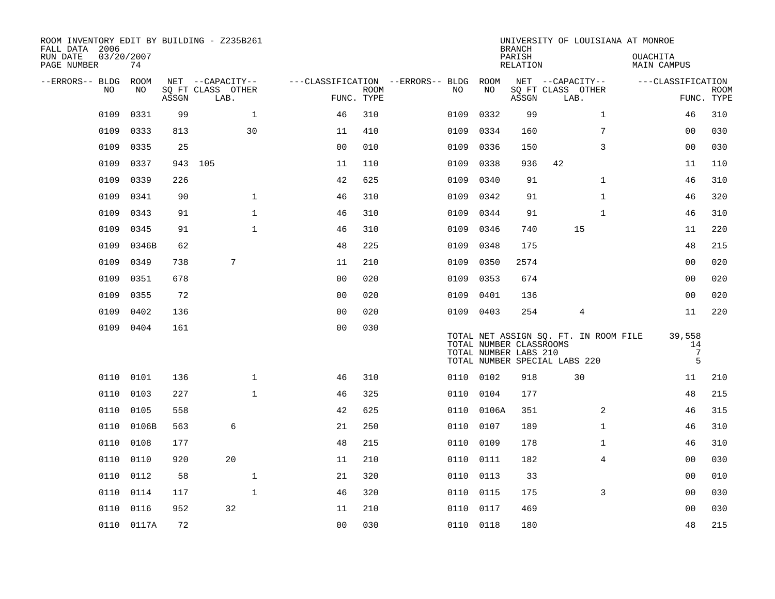| ROOM INVENTORY EDIT BY BUILDING - Z235B261<br>FALL DATA 2006 |                  |       |                           |                |                           |                                   |            | <b>BRANCH</b>                                    | UNIVERSITY OF LOUISIANA AT MONROE                                      |                |                                      |                           |
|--------------------------------------------------------------|------------------|-------|---------------------------|----------------|---------------------------|-----------------------------------|------------|--------------------------------------------------|------------------------------------------------------------------------|----------------|--------------------------------------|---------------------------|
| RUN DATE<br>PAGE NUMBER                                      | 03/20/2007<br>74 |       |                           |                |                           |                                   |            | PARISH<br>RELATION                               |                                                                        |                | <b>OUACHITA</b><br>MAIN CAMPUS       |                           |
| --ERRORS-- BLDG                                              | ROOM             |       | NET --CAPACITY--          |                |                           | ---CLASSIFICATION --ERRORS-- BLDG | ROOM       |                                                  | NET --CAPACITY--                                                       |                | ---CLASSIFICATION                    |                           |
| N <sub>O</sub>                                               | NO.              | ASSGN | SO FT CLASS OTHER<br>LAB. |                | <b>ROOM</b><br>FUNC. TYPE | NO.                               | NO         | ASSGN                                            | SQ FT CLASS OTHER<br>LAB.                                              |                |                                      | <b>ROOM</b><br>FUNC. TYPE |
| 0109                                                         | 0331             | 99    | $\mathbf{1}$              | 46             | 310                       | 0109                              | 0332       | 99                                               |                                                                        | $\mathbf{1}$   | 46                                   | 310                       |
| 0109                                                         | 0333             | 813   | 30                        | 11             | 410                       | 0109                              | 0334       | 160                                              |                                                                        | 7              | 0 <sub>0</sub>                       | 030                       |
| 0109                                                         | 0335             | 25    |                           | 0 <sub>0</sub> | 010                       | 0109                              | 0336       | 150                                              |                                                                        | 3              | 00                                   | 030                       |
| 0109                                                         | 0337             |       | 943 105                   | 11             | 110                       | 0109                              | 0338       | 936                                              | 42                                                                     |                | 11                                   | 110                       |
| 0109                                                         | 0339             | 226   |                           | 42             | 625                       | 0109                              | 0340       | 91                                               |                                                                        | $\mathbf{1}$   | 46                                   | 310                       |
| 0109                                                         | 0341             | 90    | $\mathbf{1}$              | 46             | 310                       | 0109                              | 0342       | 91                                               |                                                                        | $\mathbf{1}$   | 46                                   | 320                       |
| 0109                                                         | 0343             | 91    | $\mathbf{1}$              | 46             | 310                       | 0109                              | 0344       | 91                                               |                                                                        | $\mathbf{1}$   | 46                                   | 310                       |
| 0109                                                         | 0345             | 91    | $\mathbf{1}$              | 46             | 310                       | 0109                              | 0346       | 740                                              | 15                                                                     |                | 11                                   | 220                       |
| 0109                                                         | 0346B            | 62    |                           | 48             | 225                       | 0109                              | 0348       | 175                                              |                                                                        |                | 48                                   | 215                       |
| 0109                                                         | 0349             | 738   | 7                         | 11             | 210                       | 0109                              | 0350       | 2574                                             |                                                                        |                | 0 <sub>0</sub>                       | 020                       |
| 0109                                                         | 0351             | 678   |                           | 0 <sub>0</sub> | 020                       | 0109                              | 0353       | 674                                              |                                                                        |                | 0 <sub>0</sub>                       | 020                       |
| 0109                                                         | 0355             | 72    |                           | 0 <sub>0</sub> | 020                       | 0109                              | 0401       | 136                                              |                                                                        |                | 0 <sub>0</sub>                       | 020                       |
| 0109                                                         | 0402             | 136   |                           | 0 <sub>0</sub> | 020                       | 0109                              | 0403       | 254                                              | 4                                                                      |                | 11                                   | 220                       |
| 0109                                                         | 0404             | 161   |                           | 0 <sub>0</sub> | 030                       |                                   |            | TOTAL NUMBER CLASSROOMS<br>TOTAL NUMBER LABS 210 | TOTAL NET ASSIGN SQ. FT. IN ROOM FILE<br>TOTAL NUMBER SPECIAL LABS 220 |                | 39,558<br>14<br>$7\phantom{.0}$<br>5 |                           |
|                                                              | 0110 0101        | 136   | $\mathbf{1}$              | 46             | 310                       |                                   | 0110 0102  | 918                                              | 30                                                                     |                | 11                                   | 210                       |
| 0110                                                         | 0103             | 227   | $\mathbf{1}$              | 46             | 325                       | 0110                              | 0104       | 177                                              |                                                                        |                | 48                                   | 215                       |
| 0110                                                         | 0105             | 558   |                           | 42             | 625                       |                                   | 0110 0106A | 351                                              |                                                                        | 2              | 46                                   | 315                       |
| 0110                                                         | 0106B            | 563   | 6                         | 21             | 250                       | 0110                              | 0107       | 189                                              |                                                                        | $\mathbf{1}$   | 46                                   | 310                       |
| 0110                                                         | 0108             | 177   |                           | 48             | 215                       |                                   | 0110 0109  | 178                                              |                                                                        | $\mathbf{1}$   | 46                                   | 310                       |
| 0110                                                         | 0110             | 920   | 20                        | 11             | 210                       | 0110                              | 0111       | 182                                              |                                                                        | $\overline{4}$ | 0 <sub>0</sub>                       | 030                       |
| 0110                                                         | 0112             | 58    | $\mathbf 1$               | 21             | 320                       |                                   | 0110 0113  | 33                                               |                                                                        |                | 00                                   | 010                       |
| 0110                                                         | 0114             | 117   | $\mathbf{1}$              | 46             | 320                       | 0110                              | 0115       | 175                                              |                                                                        | 3              | 00                                   | 030                       |
| 0110                                                         | 0116             | 952   | 32                        | 11             | 210                       | 0110                              | 0117       | 469                                              |                                                                        |                | 0 <sub>0</sub>                       | 030                       |
|                                                              | 0110 0117A       | 72    |                           | 0 <sub>0</sub> | 030                       |                                   | 0110 0118  | 180                                              |                                                                        |                | 48                                   | 215                       |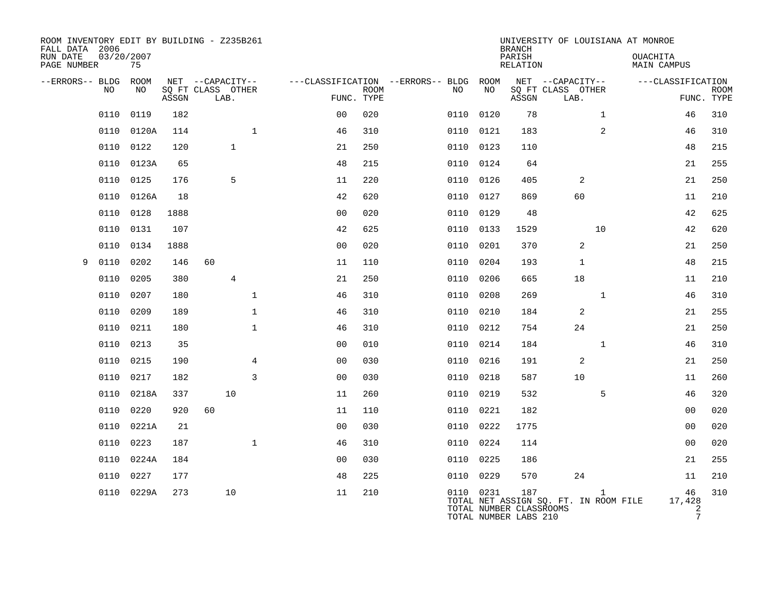| ROOM INVENTORY EDIT BY BUILDING - Z235B261<br>FALL DATA 2006 |                  |       |                                       |                |                |             |                                              |           | <b>BRANCH</b>                                           |                                       | UNIVERSITY OF LOUISIANA AT MONROE     |                                              |             |
|--------------------------------------------------------------|------------------|-------|---------------------------------------|----------------|----------------|-------------|----------------------------------------------|-----------|---------------------------------------------------------|---------------------------------------|---------------------------------------|----------------------------------------------|-------------|
| RUN DATE<br>PAGE NUMBER                                      | 03/20/2007<br>75 |       |                                       |                |                |             |                                              |           | PARISH<br><b>RELATION</b>                               |                                       | <b>OUACHITA</b><br><b>MAIN CAMPUS</b> |                                              |             |
| --ERRORS-- BLDG ROOM<br>NO                                   | NO               |       | NET --CAPACITY--<br>SQ FT CLASS OTHER |                |                | <b>ROOM</b> | ---CLASSIFICATION --ERRORS-- BLDG ROOM<br>NO | NO        |                                                         | NET --CAPACITY--<br>SQ FT CLASS OTHER | ---CLASSIFICATION                     |                                              | <b>ROOM</b> |
|                                                              |                  | ASSGN | LAB.                                  |                |                | FUNC. TYPE  |                                              |           | ASSGN                                                   | LAB.                                  |                                       | FUNC. TYPE                                   |             |
| 0110                                                         | 0119             | 182   |                                       |                | 0 <sub>0</sub> | 020         | 0110                                         | 0120      | 78                                                      |                                       | $\mathbf{1}$                          | 46                                           | 310         |
| 0110                                                         | 0120A            | 114   |                                       | $\mathbf 1$    | 46             | 310         | 0110                                         | 0121      | 183                                                     |                                       | 2                                     | 46                                           | 310         |
| 0110                                                         | 0122             | 120   | $\mathbf{1}$                          |                | 21             | 250         | 0110                                         | 0123      | 110                                                     |                                       |                                       | 48                                           | 215         |
| 0110                                                         | 0123A            | 65    |                                       |                | 48             | 215         | 0110                                         | 0124      | 64                                                      |                                       |                                       | 21                                           | 255         |
| 0110                                                         | 0125             | 176   | 5                                     |                | 11             | 220         | 0110                                         | 0126      | 405                                                     | 2                                     |                                       | 21                                           | 250         |
| 0110                                                         | 0126A            | 18    |                                       |                | 42             | 620         | 0110                                         | 0127      | 869                                                     | 60                                    |                                       | 11                                           | 210         |
| 0110                                                         | 0128             | 1888  |                                       |                | 0 <sub>0</sub> | 020         | 0110                                         | 0129      | 48                                                      |                                       |                                       | 42                                           | 625         |
| 0110                                                         | 0131             | 107   |                                       |                | 42             | 625         | 0110                                         | 0133      | 1529                                                    | 10                                    |                                       | 42                                           | 620         |
| 0110                                                         | 0134             | 1888  |                                       |                | 0 <sub>0</sub> | 020         | 0110                                         | 0201      | 370                                                     | 2                                     |                                       | 21                                           | 250         |
| 0110<br>9                                                    | 0202             | 146   | 60                                    |                | 11             | 110         | 0110                                         | 0204      | 193                                                     | 1                                     |                                       | 48                                           | 215         |
| 0110                                                         | 0205             | 380   | $\overline{4}$                        |                | 21             | 250         | 0110                                         | 0206      | 665                                                     | 18                                    |                                       | 11                                           | 210         |
| 0110                                                         | 0207             | 180   |                                       | $\mathbf{1}$   | 46             | 310         | 0110                                         | 0208      | 269                                                     | $\mathbf{1}$                          |                                       | 46                                           | 310         |
| 0110                                                         | 0209             | 189   |                                       | $\mathbf{1}$   | 46             | 310         |                                              | 0110 0210 | 184                                                     | 2                                     |                                       | 21                                           | 255         |
| 0110                                                         | 0211             | 180   |                                       | $\mathbf{1}$   | 46             | 310         | 0110                                         | 0212      | 754                                                     | 24                                    |                                       | 21                                           | 250         |
| 0110                                                         | 0213             | 35    |                                       |                | 0 <sub>0</sub> | 010         |                                              | 0110 0214 | 184                                                     | $\mathbf{1}$                          |                                       | 46                                           | 310         |
| 0110                                                         | 0215             | 190   |                                       | $\overline{4}$ | 0 <sub>0</sub> | 030         | 0110                                         | 0216      | 191                                                     | 2                                     |                                       | 21                                           | 250         |
| 0110                                                         | 0217             | 182   |                                       | 3              | 0 <sub>0</sub> | 030         |                                              | 0110 0218 | 587                                                     | 10                                    |                                       | 11                                           | 260         |
| 0110                                                         | 0218A            | 337   | 10                                    |                | 11             | 260         | 0110                                         | 0219      | 532                                                     |                                       | 5                                     | 46                                           | 320         |
| 0110                                                         | 0220             | 920   | 60                                    |                | 11             | 110         | 0110                                         | 0221      | 182                                                     |                                       |                                       | 0 <sub>0</sub>                               | 020         |
| 0110                                                         | 0221A            | 21    |                                       |                | 0 <sub>0</sub> | 030         | 0110                                         | 0222      | 1775                                                    |                                       |                                       | 0 <sub>0</sub>                               | 020         |
| 0110                                                         | 0223             | 187   |                                       | $\mathbf{1}$   | 46             | 310         |                                              | 0110 0224 | 114                                                     |                                       |                                       | 0 <sub>0</sub>                               | 020         |
| 0110                                                         | 0224A            | 184   |                                       |                | 0 <sub>0</sub> | 030         | 0110                                         | 0225      | 186                                                     |                                       |                                       | 21                                           | 255         |
| 0110                                                         | 0227             | 177   |                                       |                | 48             | 225         |                                              | 0110 0229 | 570                                                     | 24                                    |                                       | 11                                           | 210         |
| 0110                                                         | 0229A            | 273   | 10                                    |                | 11             | 210         |                                              | 0110 0231 | 187<br>TOTAL NUMBER CLASSROOMS<br>TOTAL NUMBER LABS 210 | TOTAL NET ASSIGN SQ. FT. IN ROOM FILE | $\mathbf{1}$                          | 46<br>17,428<br>$\overline{2}$<br>$\sqrt{ }$ | 310         |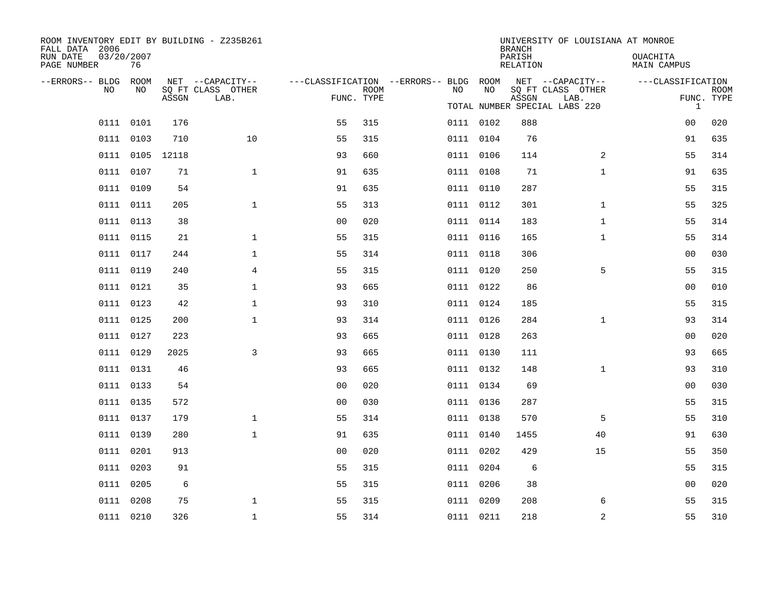| ROOM INVENTORY EDIT BY BUILDING - Z235B261<br>FALL DATA 2006 |                  |                 |                           |                                        |            |           |           | <b>BRANCH</b>      | UNIVERSITY OF LOUISIANA AT MONROE                          |                                       |                           |
|--------------------------------------------------------------|------------------|-----------------|---------------------------|----------------------------------------|------------|-----------|-----------|--------------------|------------------------------------------------------------|---------------------------------------|---------------------------|
| RUN DATE<br>PAGE NUMBER                                      | 03/20/2007<br>76 |                 |                           |                                        |            |           |           | PARISH<br>RELATION |                                                            | <b>OUACHITA</b><br><b>MAIN CAMPUS</b> |                           |
| --ERRORS-- BLDG ROOM                                         | NO               |                 | NET --CAPACITY--          | ---CLASSIFICATION --ERRORS-- BLDG ROOM | ROOM       |           | NO        |                    | NET --CAPACITY--                                           | ---CLASSIFICATION                     |                           |
| NO                                                           |                  | ASSGN           | SQ FT CLASS OTHER<br>LAB. |                                        | FUNC. TYPE | NO        |           | ASSGN              | SQ FT CLASS OTHER<br>LAB.<br>TOTAL NUMBER SPECIAL LABS 220 | $\mathbf{1}$                          | <b>ROOM</b><br>FUNC. TYPE |
|                                                              | 0111 0101        | 176             |                           | 55                                     | 315        | 0111 0102 |           | 888                |                                                            | 00                                    | 020                       |
|                                                              | 0111 0103        | 710             | 10                        | 55                                     | 315        | 0111 0104 |           | 76                 |                                                            | 91                                    | 635                       |
|                                                              |                  | 0111 0105 12118 |                           | 93                                     | 660        | 0111 0106 |           | 114                | $\overline{2}$                                             | 55                                    | 314                       |
|                                                              | 0111 0107        | 71              | $\mathbf{1}$              | 91                                     | 635        | 0111 0108 |           | 71                 | $\mathbf{1}$                                               | 91                                    | 635                       |
|                                                              | 0111 0109        | 54              |                           | 91                                     | 635        | 0111 0110 |           | 287                |                                                            | 55                                    | 315                       |
|                                                              | 0111 0111        | 205             | $\mathbf{1}$              | 55                                     | 313        | 0111 0112 |           | 301                | $\mathbf{1}$                                               | 55                                    | 325                       |
|                                                              | 0111 0113        | 38              |                           | 0 <sub>0</sub>                         | 020        | 0111 0114 |           | 183                | $\mathbf{1}$                                               | 55                                    | 314                       |
|                                                              | 0111 0115        | 21              | $\mathbf 1$               | 55                                     | 315        | 0111 0116 |           | 165                | $\mathbf{1}$                                               | 55                                    | 314                       |
|                                                              | 0111 0117        | 244             | $\mathbf{1}$              | 55                                     | 314        | 0111 0118 |           | 306                |                                                            | 0 <sub>0</sub>                        | 030                       |
|                                                              | 0111 0119        | 240             | 4                         | 55                                     | 315        |           | 0111 0120 | 250                | 5                                                          | 55                                    | 315                       |
|                                                              | 0111 0121        | 35              | $\mathbf{1}$              | 93                                     | 665        | 0111 0122 |           | 86                 |                                                            | 00                                    | 010                       |
|                                                              | 0111 0123        | 42              | $\mathbf 1$               | 93                                     | 310        | 0111 0124 |           | 185                |                                                            | 55                                    | 315                       |
|                                                              | 0111 0125        | 200             | $\mathbf{1}$              | 93                                     | 314        | 0111 0126 |           | 284                | $\mathbf{1}$                                               | 93                                    | 314                       |
|                                                              | 0111 0127        | 223             |                           | 93                                     | 665        |           | 0111 0128 | 263                |                                                            | 0 <sub>0</sub>                        | 020                       |
|                                                              | 0111 0129        | 2025            | $\overline{3}$            | 93                                     | 665        | 0111 0130 |           | 111                |                                                            | 93                                    | 665                       |
|                                                              | 0111 0131        | 46              |                           | 93                                     | 665        |           | 0111 0132 | 148                | $\mathbf{1}$                                               | 93                                    | 310                       |
|                                                              | 0111 0133        | 54              |                           | 0 <sub>0</sub>                         | 020        | 0111 0134 |           | 69                 |                                                            | 0 <sub>0</sub>                        | 030                       |
|                                                              | 0111 0135        | 572             |                           | 0 <sub>0</sub>                         | 030        |           | 0111 0136 | 287                |                                                            | 55                                    | 315                       |
|                                                              | 0111 0137        | 179             | $\mathbf{1}$              | 55                                     | 314        | 0111 0138 |           | 570                | 5                                                          | 55                                    | 310                       |
|                                                              | 0111 0139        | 280             | $\mathbf{1}$              | 91                                     | 635        | 0111 0140 |           | 1455               | 40                                                         | 91                                    | 630                       |
|                                                              | 0111 0201        | 913             |                           | 0 <sub>0</sub>                         | 020        | 0111 0202 |           | 429                | 15                                                         | 55                                    | 350                       |
|                                                              | 0111 0203        | 91              |                           | 55                                     | 315        | 0111 0204 |           | 6                  |                                                            | 55                                    | 315                       |
|                                                              | 0111 0205        | 6               |                           | 55                                     | 315        | 0111 0206 |           | 38                 |                                                            | 0 <sub>0</sub>                        | 020                       |
|                                                              | 0111 0208        | 75              | $\mathbf 1$               | 55                                     | 315        | 0111 0209 |           | 208                | 6                                                          | 55                                    | 315                       |
|                                                              | 0111 0210        | 326             | $\mathbf 1$               | 55                                     | 314        | 0111 0211 |           | 218                | 2                                                          | 55                                    | 310                       |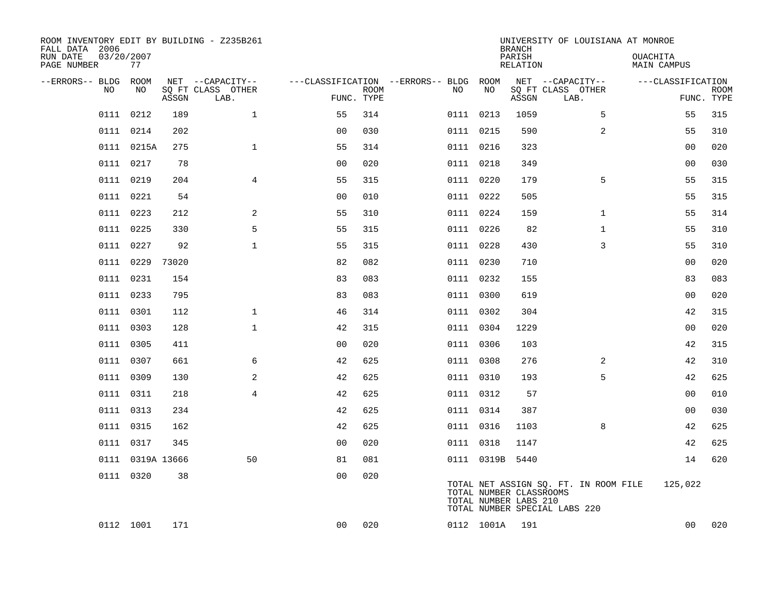| ROOM INVENTORY EDIT BY BUILDING - Z235B261<br>FALL DATA 2006 |                  |       |                           |                                        |                           |           |                                                  | <b>BRANCH</b>      | UNIVERSITY OF LOUISIANA AT MONROE                                      |                         |                           |
|--------------------------------------------------------------|------------------|-------|---------------------------|----------------------------------------|---------------------------|-----------|--------------------------------------------------|--------------------|------------------------------------------------------------------------|-------------------------|---------------------------|
| RUN DATE<br>PAGE NUMBER                                      | 03/20/2007<br>77 |       |                           |                                        |                           |           |                                                  | PARISH<br>RELATION |                                                                        | OUACHITA<br>MAIN CAMPUS |                           |
| --ERRORS-- BLDG                                              | ROOM             |       | NET --CAPACITY--          | ---CLASSIFICATION --ERRORS-- BLDG ROOM |                           |           |                                                  |                    | NET --CAPACITY--                                                       | ---CLASSIFICATION       |                           |
| NO                                                           | NO               | ASSGN | SQ FT CLASS OTHER<br>LAB. |                                        | <b>ROOM</b><br>FUNC. TYPE | NO        | NO                                               | ASSGN              | SQ FT CLASS OTHER<br>LAB.                                              |                         | <b>ROOM</b><br>FUNC. TYPE |
| 0111                                                         | 0212             | 189   | $\mathbf{1}$              | 55                                     | 314                       | 0111 0213 |                                                  | 1059               | 5                                                                      | 55                      | 315                       |
|                                                              | 0111 0214        | 202   |                           | 0 <sub>0</sub>                         | 030                       | 0111 0215 |                                                  | 590                | $\overline{a}$                                                         | 55                      | 310                       |
|                                                              | 0111 0215A       | 275   | $\mathbf{1}$              | 55                                     | 314                       | 0111 0216 |                                                  | 323                |                                                                        | 0 <sub>0</sub>          | 020                       |
|                                                              | 0111 0217        | 78    |                           | 0 <sub>0</sub>                         | 020                       | 0111 0218 |                                                  | 349                |                                                                        | 00                      | 030                       |
|                                                              | 0111 0219        | 204   | $\overline{4}$            | 55                                     | 315                       | 0111 0220 |                                                  | 179                | 5                                                                      | 55                      | 315                       |
|                                                              | 0111 0221        | 54    |                           | 0 <sub>0</sub>                         | 010                       | 0111 0222 |                                                  | 505                |                                                                        | 55                      | 315                       |
|                                                              | 0111 0223        | 212   | 2                         | 55                                     | 310                       | 0111 0224 |                                                  | 159                | $\mathbf{1}$                                                           | 55                      | 314                       |
|                                                              | 0111 0225        | 330   | 5                         | 55                                     | 315                       | 0111 0226 |                                                  | 82                 | $\mathbf{1}$                                                           | 55                      | 310                       |
| 0111                                                         | 0227             | 92    | $\mathbf{1}$              | 55                                     | 315                       | 0111 0228 |                                                  | 430                | 3                                                                      | 55                      | 310                       |
|                                                              | 0111 0229        | 73020 |                           | 82                                     | 082                       | 0111 0230 |                                                  | 710                |                                                                        | 00                      | 020                       |
|                                                              | 0111 0231        | 154   |                           | 83                                     | 083                       | 0111 0232 |                                                  | 155                |                                                                        | 83                      | 083                       |
|                                                              | 0111 0233        | 795   |                           | 83                                     | 083                       | 0111 0300 |                                                  | 619                |                                                                        | 0 <sub>0</sub>          | 020                       |
|                                                              | 0111 0301        | 112   | $\mathbf 1$               | 46                                     | 314                       | 0111 0302 |                                                  | 304                |                                                                        | 42                      | 315                       |
|                                                              | 0111 0303        | 128   | $\mathbf{1}$              | 42                                     | 315                       | 0111 0304 |                                                  | 1229               |                                                                        | 00                      | 020                       |
|                                                              | 0111 0305        | 411   |                           | 0 <sub>0</sub>                         | 020                       | 0111 0306 |                                                  | 103                |                                                                        | 42                      | 315                       |
|                                                              | 0111 0307        | 661   | 6                         | 42                                     | 625                       | 0111 0308 |                                                  | 276                | $\overline{2}$                                                         | 42                      | 310                       |
|                                                              | 0111 0309        | 130   | 2                         | 42                                     | 625                       | 0111 0310 |                                                  | 193                | 5                                                                      | 42                      | 625                       |
|                                                              | 0111 0311        | 218   | $\overline{4}$            | 42                                     | 625                       | 0111 0312 |                                                  | 57                 |                                                                        | 00                      | 010                       |
|                                                              | 0111 0313        | 234   |                           | 42                                     | 625                       | 0111 0314 |                                                  | 387                |                                                                        | 0 <sub>0</sub>          | 030                       |
|                                                              | 0111 0315        | 162   |                           | 42                                     | 625                       | 0111 0316 |                                                  | 1103               | 8                                                                      | 42                      | 625                       |
|                                                              | 0111 0317        | 345   |                           | 0 <sub>0</sub>                         | 020                       | 0111 0318 |                                                  | 1147               |                                                                        | 42                      | 625                       |
|                                                              | 0111 0319A 13666 |       | 50                        | 81                                     | 081                       |           | 0111 0319B 5440                                  |                    |                                                                        | 14                      | 620                       |
|                                                              | 0111 0320        | 38    |                           | 0 <sub>0</sub>                         | 020                       |           | TOTAL NUMBER CLASSROOMS<br>TOTAL NUMBER LABS 210 |                    | TOTAL NET ASSIGN SQ. FT. IN ROOM FILE<br>TOTAL NUMBER SPECIAL LABS 220 | 125,022                 |                           |
|                                                              | 0112 1001        | 171   |                           | 0 <sub>0</sub>                         | 020                       |           | 0112 1001A                                       | 191                |                                                                        | 00                      | 020                       |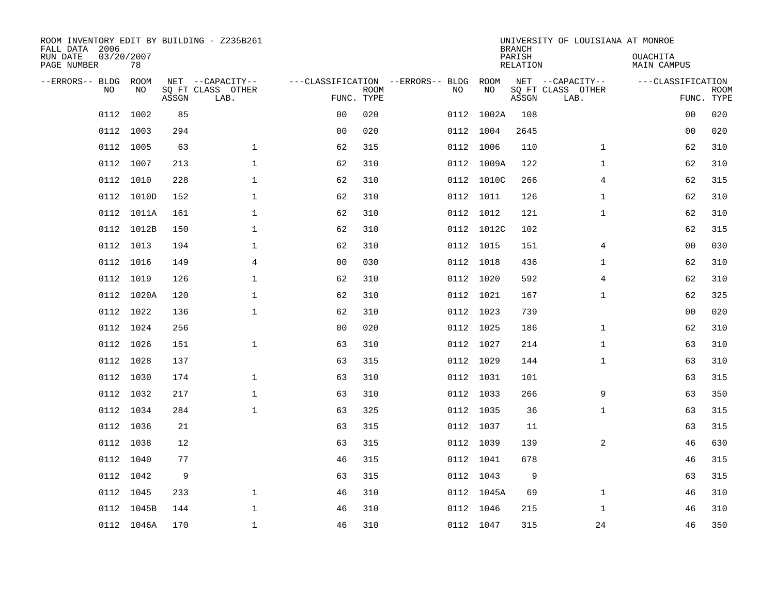| ROOM INVENTORY EDIT BY BUILDING - Z235B261<br>FALL DATA 2006 |                  |       |                           |                                        |             |           |            | <b>BRANCH</b>             | UNIVERSITY OF LOUISIANA AT MONROE |                                |                           |
|--------------------------------------------------------------|------------------|-------|---------------------------|----------------------------------------|-------------|-----------|------------|---------------------------|-----------------------------------|--------------------------------|---------------------------|
| RUN DATE<br>PAGE NUMBER                                      | 03/20/2007<br>78 |       |                           |                                        |             |           |            | PARISH<br><b>RELATION</b> |                                   | OUACHITA<br><b>MAIN CAMPUS</b> |                           |
| --ERRORS-- BLDG                                              | ROOM             |       | NET --CAPACITY--          | ---CLASSIFICATION --ERRORS-- BLDG ROOM |             |           |            |                           | NET --CAPACITY--                  | ---CLASSIFICATION              |                           |
| NO.                                                          | NO               | ASSGN | SQ FT CLASS OTHER<br>LAB. | FUNC. TYPE                             | <b>ROOM</b> | NO        | NO         | ASSGN                     | SQ FT CLASS OTHER<br>LAB.         |                                | <b>ROOM</b><br>FUNC. TYPE |
| 0112                                                         | 1002             | 85    |                           | 0 <sub>0</sub>                         | 020         |           | 0112 1002A | 108                       |                                   | 00                             | 020                       |
|                                                              | 0112 1003        | 294   |                           | 0 <sub>0</sub>                         | 020         | 0112 1004 |            | 2645                      |                                   | 00                             | 020                       |
| 0112                                                         | 1005             | 63    | $\mathbf 1$               | 62                                     | 315         |           | 0112 1006  | 110                       | $\mathbf{1}$                      | 62                             | 310                       |
|                                                              | 0112 1007        | 213   | $\mathbf 1$               | 62                                     | 310         |           | 0112 1009A | 122                       | $\mathbf{1}$                      | 62                             | 310                       |
| 0112                                                         | 1010             | 228   | $\mathbf{1}$              | 62                                     | 310         |           | 0112 1010C | 266                       | $\overline{4}$                    | 62                             | 315                       |
|                                                              | 0112 1010D       | 152   | $\mathbf{1}$              | 62                                     | 310         |           | 0112 1011  | 126                       | $\mathbf{1}$                      | 62                             | 310                       |
| 0112                                                         | 1011A            | 161   | $\mathbf{1}$              | 62                                     | 310         |           | 0112 1012  | 121                       | $\mathbf{1}$                      | 62                             | 310                       |
|                                                              | 0112 1012B       | 150   | $\mathbf 1$               | 62                                     | 310         |           | 0112 1012C | 102                       |                                   | 62                             | 315                       |
| 0112                                                         | 1013             | 194   | $\mathbf 1$               | 62                                     | 310         | 0112 1015 |            | 151                       | 4                                 | 0 <sub>0</sub>                 | 030                       |
|                                                              | 0112 1016        | 149   | $\overline{4}$            | 0 <sub>0</sub>                         | 030         |           | 0112 1018  | 436                       | $\mathbf{1}$                      | 62                             | 310                       |
| 0112                                                         | 1019             | 126   | $\mathbf 1$               | 62                                     | 310         | 0112 1020 |            | 592                       | 4                                 | 62                             | 310                       |
|                                                              | 0112 1020A       | 120   | $\mathbf{1}$              | 62                                     | 310         |           | 0112 1021  | 167                       | $\mathbf{1}$                      | 62                             | 325                       |
| 0112                                                         | 1022             | 136   | $\mathbf 1$               | 62                                     | 310         |           | 0112 1023  | 739                       |                                   | 00                             | 020                       |
|                                                              | 0112 1024        | 256   |                           | 0 <sub>0</sub>                         | 020         |           | 0112 1025  | 186                       | $\mathbf{1}$                      | 62                             | 310                       |
| 0112                                                         | 1026             | 151   | $\mathbf 1$               | 63                                     | 310         | 0112 1027 |            | 214                       | $\mathbf{1}$                      | 63                             | 310                       |
|                                                              | 0112 1028        | 137   |                           | 63                                     | 315         | 0112 1029 |            | 144                       | $\mathbf{1}$                      | 63                             | 310                       |
|                                                              | 0112 1030        | 174   | $\mathbf 1$               | 63                                     | 310         | 0112 1031 |            | 101                       |                                   | 63                             | 315                       |
|                                                              | 0112 1032        | 217   | $\mathbf{1}$              | 63                                     | 310         | 0112 1033 |            | 266                       | 9                                 | 63                             | 350                       |
|                                                              | 0112 1034        | 284   | $\mathbf{1}$              | 63                                     | 325         | 0112 1035 |            | 36                        | $\mathbf{1}$                      | 63                             | 315                       |
|                                                              | 0112 1036        | 21    |                           | 63                                     | 315         | 0112 1037 |            | 11                        |                                   | 63                             | 315                       |
|                                                              | 0112 1038        | 12    |                           | 63                                     | 315         | 0112 1039 |            | 139                       | 2                                 | 46                             | 630                       |
|                                                              | 0112 1040        | 77    |                           | 46                                     | 315         |           | 0112 1041  | 678                       |                                   | 46                             | 315                       |
|                                                              | 0112 1042        | 9     |                           | 63                                     | 315         |           | 0112 1043  | 9                         |                                   | 63                             | 315                       |
|                                                              | 0112 1045        | 233   | $\mathbf{1}$              | 46                                     | 310         |           | 0112 1045A | 69                        | $\mathbf{1}$                      | 46                             | 310                       |
|                                                              | 0112 1045B       | 144   | $\mathbf 1$               | 46                                     | 310         | 0112 1046 |            | 215                       | $\mathbf{1}$                      | 46                             | 310                       |
|                                                              | 0112 1046A       | 170   | $\mathbf{1}$              | 46                                     | 310         |           | 0112 1047  | 315                       | 24                                | 46                             | 350                       |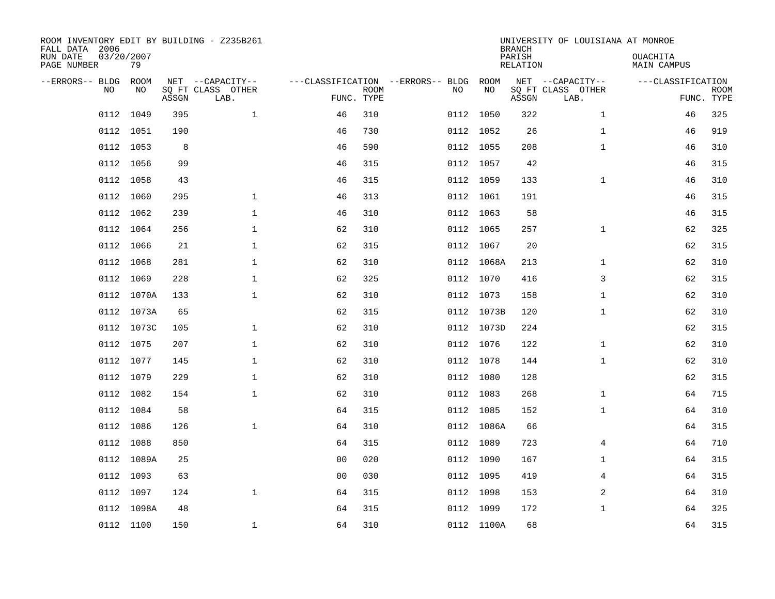| ROOM INVENTORY EDIT BY BUILDING - Z235B261<br>FALL DATA 2006<br>RUN DATE<br>PAGE NUMBER | 03/20/2007<br>79 |       |                                               |                |             |                                              |            | <b>BRANCH</b><br>PARISH<br><b>RELATION</b> | UNIVERSITY OF LOUISIANA AT MONROE             | OUACHITA<br><b>MAIN CAMPUS</b> |                           |
|-----------------------------------------------------------------------------------------|------------------|-------|-----------------------------------------------|----------------|-------------|----------------------------------------------|------------|--------------------------------------------|-----------------------------------------------|--------------------------------|---------------------------|
| --ERRORS-- BLDG<br>NO.                                                                  | ROOM<br>NO       | ASSGN | NET --CAPACITY--<br>SQ FT CLASS OTHER<br>LAB. | FUNC. TYPE     | <b>ROOM</b> | ---CLASSIFICATION --ERRORS-- BLDG ROOM<br>NO | NO         | ASSGN                                      | NET --CAPACITY--<br>SQ FT CLASS OTHER<br>LAB. | ---CLASSIFICATION              | <b>ROOM</b><br>FUNC. TYPE |
| 0112                                                                                    | 1049             | 395   | $\mathbf{1}$                                  | 46             | 310         |                                              | 0112 1050  | 322                                        | $\mathbf{1}$                                  | 46                             | 325                       |
|                                                                                         | 0112 1051        | 190   |                                               | 46             | 730         |                                              | 0112 1052  | 26                                         | $\mathbf{1}$                                  | 46                             | 919                       |
|                                                                                         | 0112 1053        | 8     |                                               | 46             | 590         |                                              | 0112 1055  | 208                                        | $\mathbf{1}$                                  | 46                             | 310                       |
|                                                                                         | 0112 1056        | 99    |                                               | 46             | 315         |                                              | 0112 1057  | 42                                         |                                               | 46                             | 315                       |
| 0112                                                                                    | 1058             | 43    |                                               | 46             | 315         |                                              | 0112 1059  | 133                                        | $\mathbf{1}$                                  | 46                             | 310                       |
|                                                                                         | 0112 1060        | 295   | $\mathbf 1$                                   | 46             | 313         |                                              | 0112 1061  | 191                                        |                                               | 46                             | 315                       |
| 0112                                                                                    | 1062             | 239   | $\mathbf{1}$                                  | 46             | 310         |                                              | 0112 1063  | 58                                         |                                               | 46                             | 315                       |
|                                                                                         | 0112 1064        | 256   | $\mathbf{1}$                                  | 62             | 310         |                                              | 0112 1065  | 257                                        | $\mathbf{1}$                                  | 62                             | 325                       |
| 0112                                                                                    | 1066             | 21    | $\mathbf{1}$                                  | 62             | 315         |                                              | 0112 1067  | 20                                         |                                               | 62                             | 315                       |
|                                                                                         | 0112 1068        | 281   | 1                                             | 62             | 310         |                                              | 0112 1068A | 213                                        | $\mathbf{1}$                                  | 62                             | 310                       |
| 0112                                                                                    | 1069             | 228   | $\mathbf 1$                                   | 62             | 325         |                                              | 0112 1070  | 416                                        | 3                                             | 62                             | 315                       |
|                                                                                         | 0112 1070A       | 133   | $\mathbf{1}$                                  | 62             | 310         |                                              | 0112 1073  | 158                                        | $\mathbf{1}$                                  | 62                             | 310                       |
| 0112                                                                                    | 1073A            | 65    |                                               | 62             | 315         |                                              | 0112 1073B | 120                                        | $\mathbf{1}$                                  | 62                             | 310                       |
|                                                                                         | 0112 1073C       | 105   | $\mathbf 1$                                   | 62             | 310         |                                              | 0112 1073D | 224                                        |                                               | 62                             | 315                       |
|                                                                                         | 0112 1075        | 207   | $\mathbf{1}$                                  | 62             | 310         |                                              | 0112 1076  | 122                                        | $\mathbf{1}$                                  | 62                             | 310                       |
|                                                                                         | 0112 1077        | 145   | 1                                             | 62             | 310         |                                              | 0112 1078  | 144                                        | $\mathbf{1}$                                  | 62                             | 310                       |
|                                                                                         | 0112 1079        | 229   | $\mathbf 1$                                   | 62             | 310         |                                              | 0112 1080  | 128                                        |                                               | 62                             | 315                       |
|                                                                                         | 0112 1082        | 154   | $\mathbf 1$                                   | 62             | 310         |                                              | 0112 1083  | 268                                        | $\mathbf{1}$                                  | 64                             | 715                       |
|                                                                                         | 0112 1084        | 58    |                                               | 64             | 315         |                                              | 0112 1085  | 152                                        | $\mathbf{1}$                                  | 64                             | 310                       |
|                                                                                         | 0112 1086        | 126   | $\mathbf{1}$                                  | 64             | 310         |                                              | 0112 1086A | 66                                         |                                               | 64                             | 315                       |
|                                                                                         | 0112 1088        | 850   |                                               | 64             | 315         |                                              | 0112 1089  | 723                                        | 4                                             | 64                             | 710                       |
|                                                                                         | 0112 1089A       | 25    |                                               | 00             | 020         |                                              | 0112 1090  | 167                                        | $\mathbf{1}$                                  | 64                             | 315                       |
|                                                                                         | 0112 1093        | 63    |                                               | 0 <sub>0</sub> | 030         |                                              | 0112 1095  | 419                                        | 4                                             | 64                             | 315                       |
|                                                                                         | 0112 1097        | 124   | $\mathbf{1}$                                  | 64             | 315         |                                              | 0112 1098  | 153                                        | 2                                             | 64                             | 310                       |
|                                                                                         | 0112 1098A       | 48    |                                               | 64             | 315         |                                              | 0112 1099  | 172                                        | $\mathbf{1}$                                  | 64                             | 325                       |
|                                                                                         | 0112 1100        | 150   | 1                                             | 64             | 310         |                                              | 0112 1100A | 68                                         |                                               | 64                             | 315                       |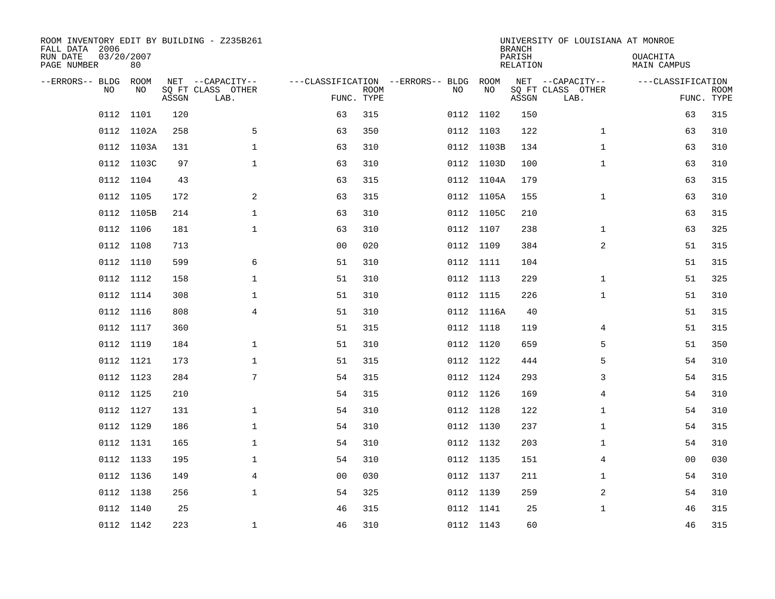| ROOM INVENTORY EDIT BY BUILDING - Z235B261<br>FALL DATA 2006<br>RUN DATE<br>PAGE NUMBER | 03/20/2007<br>80 |       |                                               |                                   |                           |    |            | <b>BRANCH</b><br>PARISH<br><b>RELATION</b> | UNIVERSITY OF LOUISIANA AT MONROE             | OUACHITA<br>MAIN CAMPUS |                           |
|-----------------------------------------------------------------------------------------|------------------|-------|-----------------------------------------------|-----------------------------------|---------------------------|----|------------|--------------------------------------------|-----------------------------------------------|-------------------------|---------------------------|
| --ERRORS-- BLDG<br>NO.                                                                  | ROOM<br>NO       | ASSGN | NET --CAPACITY--<br>SQ FT CLASS OTHER<br>LAB. | ---CLASSIFICATION --ERRORS-- BLDG | <b>ROOM</b><br>FUNC. TYPE | NO | ROOM<br>NO | ASSGN                                      | NET --CAPACITY--<br>SQ FT CLASS OTHER<br>LAB. | ---CLASSIFICATION       | <b>ROOM</b><br>FUNC. TYPE |
| 0112                                                                                    | 1101             | 120   |                                               | 63                                | 315                       |    | 0112 1102  | 150                                        |                                               | 63                      | 315                       |
|                                                                                         | 0112 1102A       | 258   | 5                                             | 63                                | 350                       |    | 0112 1103  | 122                                        | $\mathbf{1}$                                  | 63                      | 310                       |
| 0112                                                                                    | 1103A            | 131   | $\mathbf 1$                                   | 63                                | 310                       |    | 0112 1103B | 134                                        | $\mathbf{1}$                                  | 63                      | 310                       |
|                                                                                         | 0112 1103C       | 97    | $\mathbf{1}$                                  | 63                                | 310                       |    | 0112 1103D | 100                                        | $\mathbf{1}$                                  | 63                      | 310                       |
| 0112                                                                                    | 1104             | 43    |                                               | 63                                | 315                       |    | 0112 1104A | 179                                        |                                               | 63                      | 315                       |
|                                                                                         | 0112 1105        | 172   | 2                                             | 63                                | 315                       |    | 0112 1105A | 155                                        | $\mathbf{1}$                                  | 63                      | 310                       |
| 0112                                                                                    | 1105B            | 214   | $\mathbf{1}$                                  | 63                                | 310                       |    | 0112 1105C | 210                                        |                                               | 63                      | 315                       |
|                                                                                         | 0112 1106        | 181   | $\mathbf{1}$                                  | 63                                | 310                       |    | 0112 1107  | 238                                        | $\mathbf{1}$                                  | 63                      | 325                       |
| 0112                                                                                    | 1108             | 713   |                                               | 0 <sub>0</sub>                    | 020                       |    | 0112 1109  | 384                                        | 2                                             | 51                      | 315                       |
|                                                                                         | 0112 1110        | 599   | 6                                             | 51                                | 310                       |    | 0112 1111  | 104                                        |                                               | 51                      | 315                       |
|                                                                                         | 0112 1112        | 158   | $\mathbf 1$                                   | 51                                | 310                       |    | 0112 1113  | 229                                        | $\mathbf{1}$                                  | 51                      | 325                       |
|                                                                                         | 0112 1114        | 308   | $\mathbf 1$                                   | 51                                | 310                       |    | 0112 1115  | 226                                        | $\mathbf{1}$                                  | 51                      | 310                       |
|                                                                                         | 0112 1116        | 808   | 4                                             | 51                                | 310                       |    | 0112 1116A | 40                                         |                                               | 51                      | 315                       |
|                                                                                         | 0112 1117        | 360   |                                               | 51                                | 315                       |    | 0112 1118  | 119                                        | 4                                             | 51                      | 315                       |
|                                                                                         | 0112 1119        | 184   | $\mathbf 1$                                   | 51                                | 310                       |    | 0112 1120  | 659                                        | 5                                             | 51                      | 350                       |
|                                                                                         | 0112 1121        | 173   | $\mathbf 1$                                   | 51                                | 315                       |    | 0112 1122  | 444                                        | 5                                             | 54                      | 310                       |
|                                                                                         | 0112 1123        | 284   | 7                                             | 54                                | 315                       |    | 0112 1124  | 293                                        | 3                                             | 54                      | 315                       |
|                                                                                         | 0112 1125        | 210   |                                               | 54                                | 315                       |    | 0112 1126  | 169                                        | 4                                             | 54                      | 310                       |
|                                                                                         | 0112 1127        | 131   | 1                                             | 54                                | 310                       |    | 0112 1128  | 122                                        | 1                                             | 54                      | 310                       |
|                                                                                         | 0112 1129        | 186   | $\mathbf 1$                                   | 54                                | 310                       |    | 0112 1130  | 237                                        | $\mathbf{1}$                                  | 54                      | 315                       |
|                                                                                         | 0112 1131        | 165   | $\mathbf 1$                                   | 54                                | 310                       |    | 0112 1132  | 203                                        | $\mathbf{1}$                                  | 54                      | 310                       |
|                                                                                         | 0112 1133        | 195   | 1                                             | 54                                | 310                       |    | 0112 1135  | 151                                        | 4                                             | 00                      | 030                       |
|                                                                                         | 0112 1136        | 149   | 4                                             | 0 <sub>0</sub>                    | 030                       |    | 0112 1137  | 211                                        | $\mathbf{1}$                                  | 54                      | 310                       |
|                                                                                         | 0112 1138        | 256   | $\mathbf{1}$                                  | 54                                | 325                       |    | 0112 1139  | 259                                        | 2                                             | 54                      | 310                       |
|                                                                                         | 0112 1140        | 25    |                                               | 46                                | 315                       |    | 0112 1141  | 25                                         | $\mathbf{1}$                                  | 46                      | 315                       |
|                                                                                         | 0112 1142        | 223   | $\mathbf 1$                                   | 46                                | 310                       |    | 0112 1143  | 60                                         |                                               | 46                      | 315                       |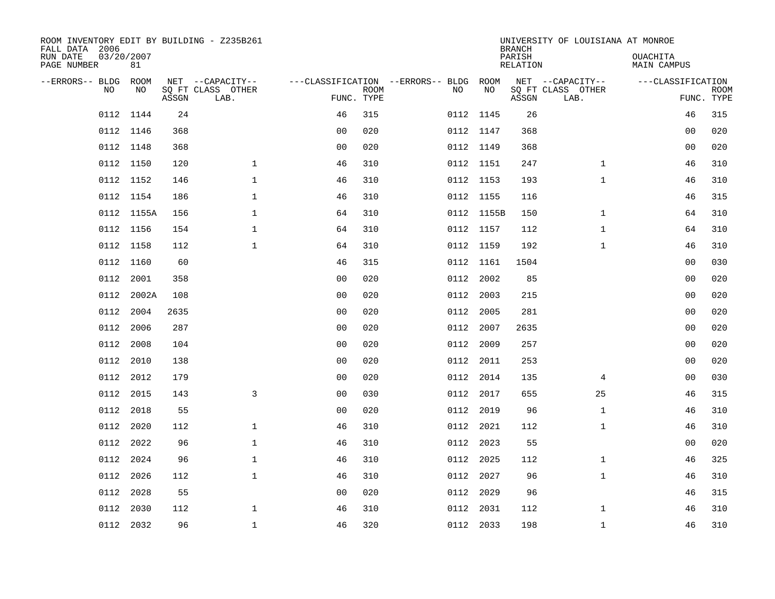| ROOM INVENTORY EDIT BY BUILDING - Z235B261<br>FALL DATA 2006 |                  |       |                           |                |             |                                        |            | <b>BRANCH</b>             | UNIVERSITY OF LOUISIANA AT MONROE |                                |                           |
|--------------------------------------------------------------|------------------|-------|---------------------------|----------------|-------------|----------------------------------------|------------|---------------------------|-----------------------------------|--------------------------------|---------------------------|
| RUN DATE<br>PAGE NUMBER                                      | 03/20/2007<br>81 |       |                           |                |             |                                        |            | PARISH<br><b>RELATION</b> |                                   | OUACHITA<br><b>MAIN CAMPUS</b> |                           |
| --ERRORS-- BLDG                                              | ROOM             |       | NET --CAPACITY--          |                |             | ---CLASSIFICATION --ERRORS-- BLDG ROOM |            |                           | NET --CAPACITY--                  | ---CLASSIFICATION              |                           |
| NO                                                           | NO               | ASSGN | SQ FT CLASS OTHER<br>LAB. | FUNC. TYPE     | <b>ROOM</b> | NO                                     | NO         | ASSGN                     | SQ FT CLASS OTHER<br>LAB.         |                                | <b>ROOM</b><br>FUNC. TYPE |
| 0112                                                         | 1144             | 24    |                           | 46             | 315         |                                        | 0112 1145  | 26                        |                                   | 46                             | 315                       |
|                                                              | 0112 1146        | 368   |                           | 0 <sub>0</sub> | 020         |                                        | 0112 1147  | 368                       |                                   | 00                             | 020                       |
| 0112                                                         | 1148             | 368   |                           | 0 <sub>0</sub> | 020         |                                        | 0112 1149  | 368                       |                                   | 0 <sub>0</sub>                 | 020                       |
|                                                              | 0112 1150        | 120   | $\mathbf{1}$              | 46             | 310         |                                        | 0112 1151  | 247                       | $\mathbf{1}$                      | 46                             | 310                       |
|                                                              | 0112 1152        | 146   | $\mathbf{1}$              | 46             | 310         |                                        | 0112 1153  | 193                       | $\mathbf{1}$                      | 46                             | 310                       |
|                                                              | 0112 1154        | 186   | $\mathbf 1$               | 46             | 310         |                                        | 0112 1155  | 116                       |                                   | 46                             | 315                       |
|                                                              | 0112 1155A       | 156   | $\mathbf{1}$              | 64             | 310         |                                        | 0112 1155B | 150                       | $\mathbf{1}$                      | 64                             | 310                       |
|                                                              | 0112 1156        | 154   | $\mathbf{1}$              | 64             | 310         |                                        | 0112 1157  | 112                       | $\mathbf{1}$                      | 64                             | 310                       |
|                                                              | 0112 1158        | 112   | $\mathbf 1$               | 64             | 310         |                                        | 0112 1159  | 192                       | $\mathbf{1}$                      | 46                             | 310                       |
|                                                              | 0112 1160        | 60    |                           | 46             | 315         |                                        | 0112 1161  | 1504                      |                                   | 00                             | 030                       |
| 0112                                                         | 2001             | 358   |                           | 0 <sub>0</sub> | 020         |                                        | 0112 2002  | 85                        |                                   | 00                             | 020                       |
| 0112                                                         | 2002A            | 108   |                           | 0 <sub>0</sub> | 020         |                                        | 0112 2003  | 215                       |                                   | 00                             | 020                       |
| 0112                                                         | 2004             | 2635  |                           | 0 <sub>0</sub> | 020         | 0112                                   | 2005       | 281                       |                                   | 0 <sub>0</sub>                 | 020                       |
| 0112                                                         | 2006             | 287   |                           | 0 <sub>0</sub> | 020         |                                        | 0112 2007  | 2635                      |                                   | 00                             | 020                       |
|                                                              | 0112 2008        | 104   |                           | 0 <sub>0</sub> | 020         |                                        | 0112 2009  | 257                       |                                   | 0 <sub>0</sub>                 | 020                       |
| 0112                                                         | 2010             | 138   |                           | 0 <sub>0</sub> | 020         |                                        | 0112 2011  | 253                       |                                   | 0 <sub>0</sub>                 | 020                       |
|                                                              | 0112 2012        | 179   |                           | 0 <sub>0</sub> | 020         |                                        | 0112 2014  | 135                       | $\overline{4}$                    | 0 <sub>0</sub>                 | 030                       |
| 0112                                                         | 2015             | 143   | $\mathbf{3}$              | 0 <sub>0</sub> | 030         |                                        | 0112 2017  | 655                       | 25                                | 46                             | 315                       |
|                                                              | 0112 2018        | 55    |                           | 0 <sub>0</sub> | 020         |                                        | 0112 2019  | 96                        | $\mathbf{1}$                      | 46                             | 310                       |
| 0112                                                         | 2020             | 112   | $\mathbf 1$               | 46             | 310         |                                        | 0112 2021  | 112                       | $\mathbf{1}$                      | 46                             | 310                       |
|                                                              | 0112 2022        | 96    | $\mathbf{1}$              | 46             | 310         |                                        | 0112 2023  | 55                        |                                   | 00                             | 020                       |
| 0112                                                         | 2024             | 96    | $\mathbf{1}$              | 46             | 310         |                                        | 0112 2025  | 112                       | $\mathbf{1}$                      | 46                             | 325                       |
| 0112                                                         | 2026             | 112   | $\mathbf 1$               | 46             | 310         |                                        | 0112 2027  | 96                        | $\mathbf{1}$                      | 46                             | 310                       |
| 0112                                                         | 2028             | 55    |                           | 0 <sub>0</sub> | 020         | 0112                                   | 2029       | 96                        |                                   | 46                             | 315                       |
| 0112                                                         | 2030             | 112   | $\mathbf{1}$              | 46             | 310         |                                        | 0112 2031  | 112                       | $\mathbf{1}$                      | 46                             | 310                       |
|                                                              | 0112 2032        | 96    | $\mathbf{1}$              | 46             | 320         |                                        | 0112 2033  | 198                       | $\mathbf{1}$                      | 46                             | 310                       |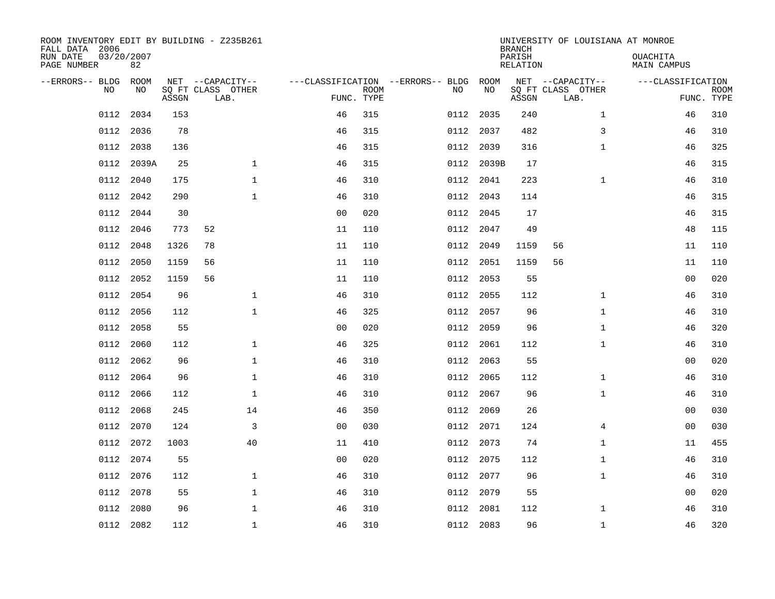| ROOM INVENTORY EDIT BY BUILDING - Z235B261<br>FALL DATA 2006 |           |       |                           |                |             |                                        |            | <b>BRANCH</b>      | UNIVERSITY OF LOUISIANA AT MONROE |                                |                           |
|--------------------------------------------------------------|-----------|-------|---------------------------|----------------|-------------|----------------------------------------|------------|--------------------|-----------------------------------|--------------------------------|---------------------------|
| 03/20/2007<br>RUN DATE<br>PAGE NUMBER                        | 82        |       |                           |                |             |                                        |            | PARISH<br>RELATION |                                   | <b>OUACHITA</b><br>MAIN CAMPUS |                           |
| --ERRORS-- BLDG ROOM                                         |           |       | NET --CAPACITY--          |                |             | ---CLASSIFICATION --ERRORS-- BLDG ROOM |            |                    | NET --CAPACITY--                  | ---CLASSIFICATION              |                           |
| NO.                                                          | NO        | ASSGN | SQ FT CLASS OTHER<br>LAB. | FUNC. TYPE     | <b>ROOM</b> | NO                                     | NO         | ASSGN              | SQ FT CLASS OTHER<br>LAB.         |                                | <b>ROOM</b><br>FUNC. TYPE |
| 0112                                                         | 2034      | 153   |                           | 46             | 315         | 0112                                   | 2035       | 240                | $\mathbf{1}$                      | 46                             | 310                       |
| 0112                                                         | 2036      | 78    |                           | 46             | 315         | 0112                                   | 2037       | 482                | 3                                 | 46                             | 310                       |
| 0112                                                         | 2038      | 136   |                           | 46             | 315         |                                        | 0112 2039  | 316                | $\mathbf{1}$                      | 46                             | 325                       |
| 0112                                                         | 2039A     | 25    | $\mathbf{1}$              | 46             | 315         |                                        | 0112 2039B | 17                 |                                   | 46                             | 315                       |
| 0112                                                         | 2040      | 175   | $\mathbf{1}$              | 46             | 310         |                                        | 0112 2041  | 223                | $\mathbf{1}$                      | 46                             | 310                       |
| 0112                                                         | 2042      | 290   | $\mathbf 1$               | 46             | 310         |                                        | 0112 2043  | 114                |                                   | 46                             | 315                       |
| 0112                                                         | 2044      | 30    |                           | 0 <sub>0</sub> | 020         |                                        | 0112 2045  | 17                 |                                   | 46                             | 315                       |
| 0112                                                         | 2046      | 773   | 52                        | 11             | 110         |                                        | 0112 2047  | 49                 |                                   | 48                             | 115                       |
| 0112                                                         | 2048      | 1326  | 78                        | 11             | 110         | 0112                                   | 2049       | 1159               | 56                                | 11                             | 110                       |
| 0112                                                         | 2050      | 1159  | 56                        | 11             | 110         |                                        | 0112 2051  | 1159               | 56                                | 11                             | 110                       |
| 0112                                                         | 2052      | 1159  | 56                        | 11             | 110         | 0112                                   | 2053       | 55                 |                                   | 00                             | 020                       |
| 0112                                                         | 2054      | 96    | $\mathbf 1$               | 46             | 310         |                                        | 0112 2055  | 112                | $\mathbf{1}$                      | 46                             | 310                       |
| 0112                                                         | 2056      | 112   | $\mathbf{1}$              | 46             | 325         | 0112                                   | 2057       | 96                 | $\mathbf{1}$                      | 46                             | 310                       |
| 0112                                                         | 2058      | 55    |                           | 0 <sub>0</sub> | 020         |                                        | 0112 2059  | 96                 | $\mathbf{1}$                      | 46                             | 320                       |
| 0112                                                         | 2060      | 112   | $\mathbf 1$               | 46             | 325         |                                        | 0112 2061  | 112                | $\mathbf{1}$                      | 46                             | 310                       |
| 0112                                                         | 2062      | 96    | $\mathbf{1}$              | 46             | 310         |                                        | 0112 2063  | 55                 |                                   | 0 <sub>0</sub>                 | 020                       |
| 0112                                                         | 2064      | 96    | $\mathbf{1}$              | 46             | 310         | 0112                                   | 2065       | 112                | $\mathbf{1}$                      | 46                             | 310                       |
| 0112                                                         | 2066      | 112   | $\mathbf 1$               | 46             | 310         | 0112                                   | 2067       | 96                 | $\mathbf{1}$                      | 46                             | 310                       |
| 0112                                                         | 2068      | 245   | 14                        | 46             | 350         |                                        | 0112 2069  | 26                 |                                   | 00                             | 030                       |
| 0112                                                         | 2070      | 124   | 3                         | 0 <sub>0</sub> | 030         |                                        | 0112 2071  | 124                | 4                                 | 0 <sub>0</sub>                 | 030                       |
| 0112                                                         | 2072      | 1003  | 40                        | 11             | 410         |                                        | 0112 2073  | 74                 | $\mathbf{1}$                      | 11                             | 455                       |
| 0112                                                         | 2074      | 55    |                           | 0 <sub>0</sub> | 020         |                                        | 0112 2075  | 112                | $\mathbf{1}$                      | 46                             | 310                       |
| 0112                                                         | 2076      | 112   | $\mathbf{1}$              | 46             | 310         |                                        | 0112 2077  | 96                 | $\mathbf{1}$                      | 46                             | 310                       |
| 0112                                                         | 2078      | 55    | $\mathbf{1}$              | 46             | 310         | 0112                                   | 2079       | 55                 |                                   | 0 <sub>0</sub>                 | 020                       |
| 0112                                                         | 2080      | 96    | 1                         | 46             | 310         | 0112                                   | 2081       | 112                | $\mathbf{1}$                      | 46                             | 310                       |
|                                                              | 0112 2082 | 112   | $\mathbf{1}$              | 46             | 310         |                                        | 0112 2083  | 96                 | $\mathbf{1}$                      | 46                             | 320                       |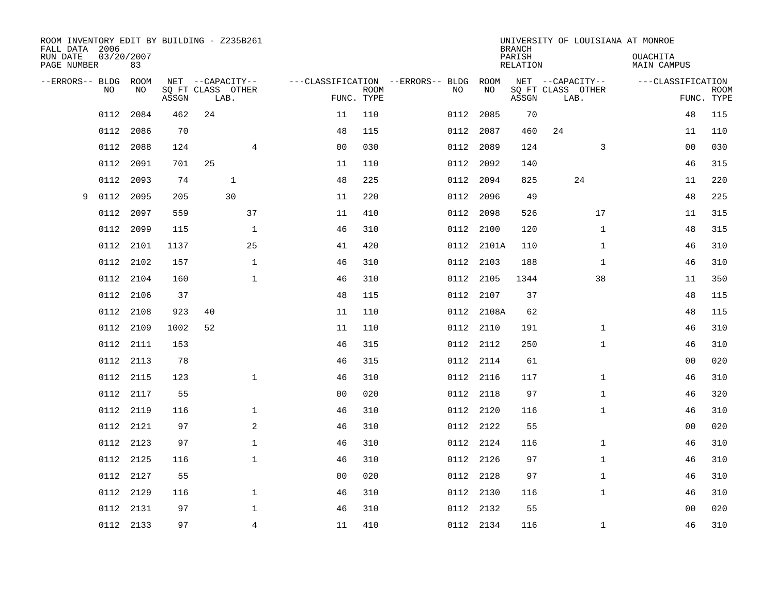| ROOM INVENTORY EDIT BY BUILDING - Z235B261<br>FALL DATA 2006 |      |                  |       |    |                           |                |                           |                                        |            | <b>BRANCH</b>      | UNIVERSITY OF LOUISIANA AT MONROE |                                       |                           |
|--------------------------------------------------------------|------|------------------|-------|----|---------------------------|----------------|---------------------------|----------------------------------------|------------|--------------------|-----------------------------------|---------------------------------------|---------------------------|
| RUN DATE<br>PAGE NUMBER                                      |      | 03/20/2007<br>83 |       |    |                           |                |                           |                                        |            | PARISH<br>RELATION |                                   | <b>OUACHITA</b><br><b>MAIN CAMPUS</b> |                           |
| --ERRORS-- BLDG ROOM                                         |      |                  |       |    | NET --CAPACITY--          |                |                           | ---CLASSIFICATION --ERRORS-- BLDG ROOM |            |                    | NET --CAPACITY--                  | ---CLASSIFICATION                     |                           |
|                                                              | NO   | NO               | ASSGN |    | SQ FT CLASS OTHER<br>LAB. |                | <b>ROOM</b><br>FUNC. TYPE | NO                                     | NO         | ASSGN              | SQ FT CLASS OTHER<br>LAB.         |                                       | <b>ROOM</b><br>FUNC. TYPE |
|                                                              | 0112 | 2084             | 462   | 24 |                           | 11             | 110                       |                                        | 0112 2085  | 70                 |                                   | 48                                    | 115                       |
|                                                              | 0112 | 2086             | 70    |    |                           | 48             | 115                       | 0112                                   | 2087       | 460                | 24                                | 11                                    | 110                       |
|                                                              | 0112 | 2088             | 124   |    | $\overline{4}$            | 0 <sub>0</sub> | 030                       |                                        | 0112 2089  | 124                | 3                                 | 0 <sub>0</sub>                        | 030                       |
|                                                              | 0112 | 2091             | 701   | 25 |                           | 11             | 110                       |                                        | 0112 2092  | 140                |                                   | 46                                    | 315                       |
|                                                              | 0112 | 2093             | 74    |    | $\mathbf{1}$              | 48             | 225                       |                                        | 0112 2094  | 825                | 24                                | 11                                    | 220                       |
| 9                                                            | 0112 | 2095             | 205   |    | 30                        | 11             | 220                       |                                        | 0112 2096  | 49                 |                                   | 48                                    | 225                       |
|                                                              | 0112 | 2097             | 559   |    | 37                        | 11             | 410                       |                                        | 0112 2098  | 526                | 17                                | 11                                    | 315                       |
|                                                              | 0112 | 2099             | 115   |    | $\mathbf 1$               | 46             | 310                       |                                        | 0112 2100  | 120                | $\mathbf{1}$                      | 48                                    | 315                       |
|                                                              | 0112 | 2101             | 1137  |    | 25                        | 41             | 420                       |                                        | 0112 2101A | 110                | $\mathbf{1}$                      | 46                                    | 310                       |
|                                                              | 0112 | 2102             | 157   |    | $\mathbf{1}$              | 46             | 310                       |                                        | 0112 2103  | 188                | $\mathbf{1}$                      | 46                                    | 310                       |
|                                                              | 0112 | 2104             | 160   |    | $\mathbf 1$               | 46             | 310                       | 0112                                   | 2105       | 1344               | 38                                | 11                                    | 350                       |
|                                                              | 0112 | 2106             | 37    |    |                           | 48             | 115                       |                                        | 0112 2107  | 37                 |                                   | 48                                    | 115                       |
|                                                              | 0112 | 2108             | 923   | 40 |                           | 11             | 110                       |                                        | 0112 2108A | 62                 |                                   | 48                                    | 115                       |
|                                                              | 0112 | 2109             | 1002  | 52 |                           | 11             | 110                       |                                        | 0112 2110  | 191                | $\mathbf{1}$                      | 46                                    | 310                       |
|                                                              | 0112 | 2111             | 153   |    |                           | 46             | 315                       |                                        | 0112 2112  | 250                | $\mathbf{1}$                      | 46                                    | 310                       |
|                                                              | 0112 | 2113             | 78    |    |                           | 46             | 315                       |                                        | 0112 2114  | 61                 |                                   | 0 <sub>0</sub>                        | 020                       |
|                                                              |      | 0112 2115        | 123   |    | $\mathbf{1}$              | 46             | 310                       |                                        | 0112 2116  | 117                | $\mathbf{1}$                      | 46                                    | 310                       |
|                                                              | 0112 | 2117             | 55    |    |                           | 0 <sub>0</sub> | 020                       |                                        | 0112 2118  | 97                 | $\mathbf{1}$                      | 46                                    | 320                       |
|                                                              |      | 0112 2119        | 116   |    | $\mathbf{1}$              | 46             | 310                       |                                        | 0112 2120  | 116                | $\mathbf{1}$                      | 46                                    | 310                       |
|                                                              | 0112 | 2121             | 97    |    | 2                         | 46             | 310                       |                                        | 0112 2122  | 55                 |                                   | 0 <sub>0</sub>                        | 020                       |
|                                                              |      | 0112 2123        | 97    |    | $\mathbf 1$               | 46             | 310                       |                                        | 0112 2124  | 116                | $\mathbf{1}$                      | 46                                    | 310                       |
|                                                              | 0112 | 2125             | 116   |    | $\mathbf 1$               | 46             | 310                       |                                        | 0112 2126  | 97                 | $\mathbf{1}$                      | 46                                    | 310                       |
|                                                              |      | 0112 2127        | 55    |    |                           | 0 <sub>0</sub> | 020                       |                                        | 0112 2128  | 97                 | $\mathbf{1}$                      | 46                                    | 310                       |
|                                                              | 0112 | 2129             | 116   |    | $\mathbf{1}$              | 46             | 310                       |                                        | 0112 2130  | 116                | $\mathbf{1}$                      | 46                                    | 310                       |
|                                                              | 0112 | 2131             | 97    |    | $\mathbf 1$               | 46             | 310                       |                                        | 0112 2132  | 55                 |                                   | 0 <sub>0</sub>                        | 020                       |
|                                                              |      | 0112 2133        | 97    |    | $\overline{4}$            | 11             | 410                       |                                        | 0112 2134  | 116                | $\mathbf{1}$                      | 46                                    | 310                       |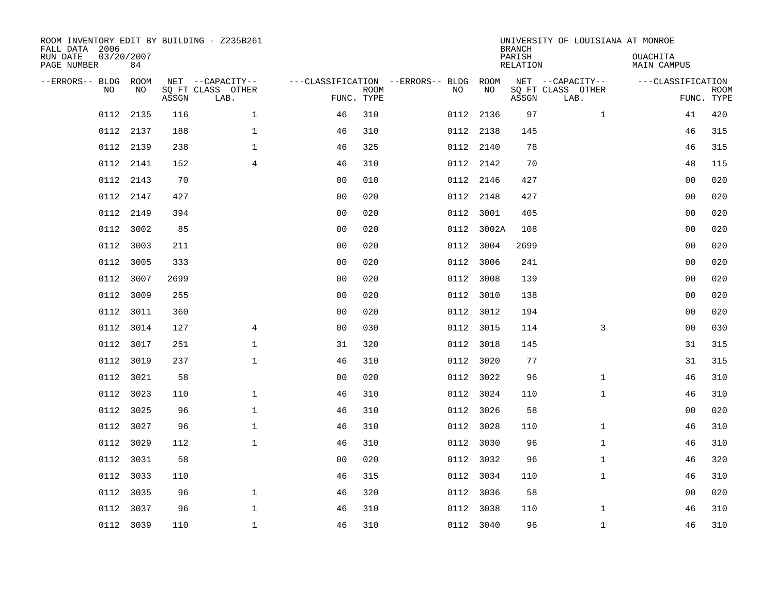| FALL DATA 2006<br>RUN DATE<br>PAGE NUMBER | 03/20/2007 | 84          |       | ROOM INVENTORY EDIT BY BUILDING - Z235B261    |                                        |                           |      |            | <b>BRANCH</b><br>PARISH<br>RELATION | UNIVERSITY OF LOUISIANA AT MONROE             | <b>OUACHITA</b><br>MAIN CAMPUS |                           |
|-------------------------------------------|------------|-------------|-------|-----------------------------------------------|----------------------------------------|---------------------------|------|------------|-------------------------------------|-----------------------------------------------|--------------------------------|---------------------------|
| --ERRORS-- BLDG                           | <b>NO</b>  | ROOM<br>NO. | ASSGN | NET --CAPACITY--<br>SQ FT CLASS OTHER<br>LAB. | ---CLASSIFICATION --ERRORS-- BLDG ROOM | <b>ROOM</b><br>FUNC. TYPE | NO   | NO         | ASSGN                               | NET --CAPACITY--<br>SQ FT CLASS OTHER<br>LAB. | ---CLASSIFICATION              | <b>ROOM</b><br>FUNC. TYPE |
|                                           | 0112       | 2135        | 116   | $\mathbf{1}$                                  | 46                                     | 310                       |      | 0112 2136  | 97                                  | $\mathbf{1}$                                  | 41                             | 420                       |
|                                           | 0112       | 2137        | 188   | $\mathbf 1$                                   | 46                                     | 310                       |      | 0112 2138  | 145                                 |                                               | 46                             | 315                       |
|                                           | 0112       | 2139        | 238   | $\mathbf{1}$                                  | 46                                     | 325                       |      | 0112 2140  | 78                                  |                                               | 46                             | 315                       |
|                                           | 0112 2141  |             | 152   | $\overline{4}$                                | 46                                     | 310                       |      | 0112 2142  | 70                                  |                                               | 48                             | 115                       |
|                                           | 0112       | 2143        | 70    |                                               | 0 <sub>0</sub>                         | 010                       | 0112 | 2146       | 427                                 |                                               | 0 <sub>0</sub>                 | 020                       |
|                                           | 0112 2147  |             | 427   |                                               | 0 <sub>0</sub>                         | 020                       |      | 0112 2148  | 427                                 |                                               | 00                             | 020                       |
|                                           | 0112       | 2149        | 394   |                                               | 0 <sub>0</sub>                         | 020                       | 0112 | 3001       | 405                                 |                                               | 0 <sub>0</sub>                 | 020                       |
|                                           | 0112       | 3002        | 85    |                                               | 0 <sub>0</sub>                         | 020                       |      | 0112 3002A | 108                                 |                                               | 0 <sub>0</sub>                 | 020                       |
|                                           | 0112       | 3003        | 211   |                                               | 0 <sub>0</sub>                         | 020                       | 0112 | 3004       | 2699                                |                                               | 00                             | 020                       |
|                                           | 0112       | 3005        | 333   |                                               | 0 <sub>0</sub>                         | 020                       |      | 0112 3006  | 241                                 |                                               | 00                             | 020                       |
|                                           | 0112       | 3007        | 2699  |                                               | 0 <sub>0</sub>                         | 020                       | 0112 | 3008       | 139                                 |                                               | 0 <sub>0</sub>                 | 020                       |
|                                           | 0112       | 3009        | 255   |                                               | 0 <sub>0</sub>                         | 020                       |      | 0112 3010  | 138                                 |                                               | 00                             | 020                       |
|                                           | 0112       | 3011        | 360   |                                               | 0 <sub>0</sub>                         | 020                       |      | 0112 3012  | 194                                 |                                               | 0 <sub>0</sub>                 | 020                       |
|                                           | 0112 3014  |             | 127   | $\overline{4}$                                | 0 <sub>0</sub>                         | 030                       |      | 0112 3015  | 114                                 | 3                                             | 0 <sub>0</sub>                 | 030                       |
|                                           | 0112 3017  |             | 251   | $\mathbf{1}$                                  | 31                                     | 320                       |      | 0112 3018  | 145                                 |                                               | 31                             | 315                       |
|                                           | 0112 3019  |             | 237   | $\mathbf{1}$                                  | 46                                     | 310                       |      | 0112 3020  | 77                                  |                                               | 31                             | 315                       |
|                                           | 0112 3021  |             | 58    |                                               | 0 <sub>0</sub>                         | 020                       |      | 0112 3022  | 96                                  | $\mathbf{1}$                                  | 46                             | 310                       |
|                                           | 0112       | 3023        | 110   | $\mathbf{1}$                                  | 46                                     | 310                       |      | 0112 3024  | 110                                 | $\mathbf{1}$                                  | 46                             | 310                       |
|                                           | 0112 3025  |             | 96    | $\mathbf 1$                                   | 46                                     | 310                       |      | 0112 3026  | 58                                  |                                               | 00                             | 020                       |
|                                           | 0112       | 3027        | 96    | $\mathbf 1$                                   | 46                                     | 310                       |      | 0112 3028  | 110                                 | $\mathbf{1}$                                  | 46                             | 310                       |
|                                           | 0112 3029  |             | 112   | $\mathbf 1$                                   | 46                                     | 310                       |      | 0112 3030  | 96                                  | $\mathbf{1}$                                  | 46                             | 310                       |
|                                           | 0112       | 3031        | 58    |                                               | 00                                     | 020                       |      | 0112 3032  | 96                                  | $\mathbf{1}$                                  | 46                             | 320                       |
|                                           | 0112 3033  |             | 110   |                                               | 46                                     | 315                       |      | 0112 3034  | 110                                 | $\mathbf{1}$                                  | 46                             | 310                       |
|                                           | 0112       | 3035        | 96    | $\mathbf{1}$                                  | 46                                     | 320                       |      | 0112 3036  | 58                                  |                                               | 0 <sub>0</sub>                 | 020                       |
|                                           | 0112       | 3037        | 96    | $\mathbf{1}$                                  | 46                                     | 310                       |      | 0112 3038  | 110                                 | $\mathbf{1}$                                  | 46                             | 310                       |
|                                           | 0112 3039  |             | 110   | $\mathbf{1}$                                  | 46                                     | 310                       |      | 0112 3040  | 96                                  | $\mathbf{1}$                                  | 46                             | 310                       |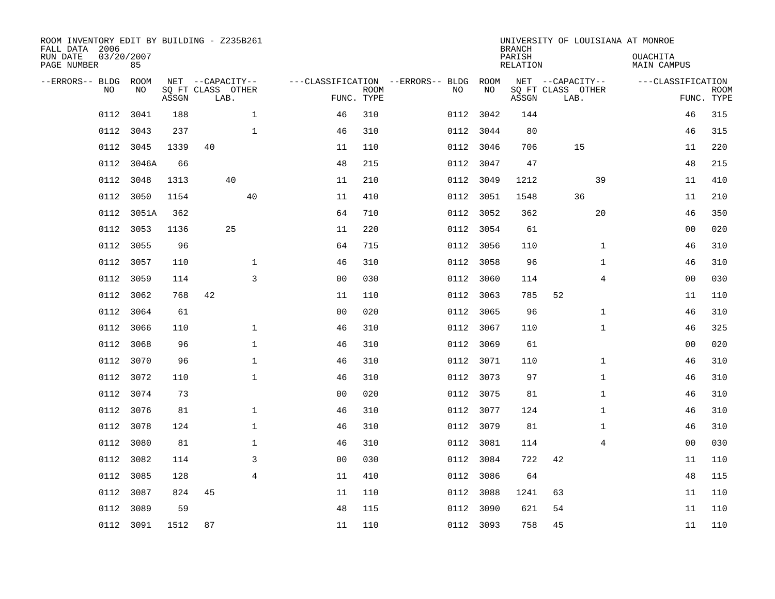| ROOM INVENTORY EDIT BY BUILDING - Z235B261<br>FALL DATA 2006<br>RUN DATE | 03/20/2007 |       |                                       |                |             |                                              |           | <b>BRANCH</b><br>PARISH | UNIVERSITY OF LOUISIANA AT MONROE     | OUACHITA           |             |
|--------------------------------------------------------------------------|------------|-------|---------------------------------------|----------------|-------------|----------------------------------------------|-----------|-------------------------|---------------------------------------|--------------------|-------------|
| PAGE NUMBER                                                              | 85         |       |                                       |                |             |                                              |           | <b>RELATION</b>         |                                       | <b>MAIN CAMPUS</b> |             |
| --ERRORS-- BLDG ROOM<br>NO                                               | NO         |       | NET --CAPACITY--<br>SQ FT CLASS OTHER |                | <b>ROOM</b> | ---CLASSIFICATION --ERRORS-- BLDG ROOM<br>NO | NO        |                         | NET --CAPACITY--<br>SQ FT CLASS OTHER | ---CLASSIFICATION  | <b>ROOM</b> |
|                                                                          |            | ASSGN | LAB.                                  |                | FUNC. TYPE  |                                              |           | ASSGN                   | LAB.                                  |                    | FUNC. TYPE  |
| 0112                                                                     | 3041       | 188   | $\mathbf 1$                           | 46             | 310         |                                              | 0112 3042 | 144                     |                                       | 46                 | 315         |
| 0112                                                                     | 3043       | 237   | $\mathbf 1$                           | 46             | 310         |                                              | 0112 3044 | 80                      |                                       | 46                 | 315         |
| 0112                                                                     | 3045       | 1339  | 40                                    | 11             | 110         |                                              | 0112 3046 | 706                     | 15                                    | 11                 | 220         |
| 0112                                                                     | 3046A      | 66    |                                       | 48             | 215         |                                              | 0112 3047 | 47                      |                                       | 48                 | 215         |
| 0112                                                                     | 3048       | 1313  | 40                                    | 11             | 210         |                                              | 0112 3049 | 1212                    | 39                                    | 11                 | 410         |
| 0112                                                                     | 3050       | 1154  | 40                                    | 11             | 410         |                                              | 0112 3051 | 1548                    | 36                                    | 11                 | 210         |
| 0112                                                                     | 3051A      | 362   |                                       | 64             | 710         |                                              | 0112 3052 | 362                     | 20                                    | 46                 | 350         |
| 0112                                                                     | 3053       | 1136  | 25                                    | 11             | 220         |                                              | 0112 3054 | 61                      |                                       | 00                 | 020         |
| 0112                                                                     | 3055       | 96    |                                       | 64             | 715         | 0112                                         | 3056      | 110                     | $\mathbf{1}$                          | 46                 | 310         |
| 0112                                                                     | 3057       | 110   | $\mathbf 1$                           | 46             | 310         |                                              | 0112 3058 | 96                      | $\mathbf{1}$                          | 46                 | 310         |
| 0112                                                                     | 3059       | 114   | 3                                     | 0 <sub>0</sub> | 030         | 0112                                         | 3060      | 114                     | 4                                     | 0 <sub>0</sub>     | 030         |
| 0112                                                                     | 3062       | 768   | 42                                    | 11             | 110         |                                              | 0112 3063 | 785                     | 52                                    | 11                 | 110         |
| 0112                                                                     | 3064       | 61    |                                       | 0 <sub>0</sub> | 020         | 0112                                         | 3065      | 96                      | $\mathbf{1}$                          | 46                 | 310         |
| 0112                                                                     | 3066       | 110   | $\mathbf 1$                           | 46             | 310         |                                              | 0112 3067 | 110                     | $\mathbf{1}$                          | 46                 | 325         |
| 0112                                                                     | 3068       | 96    | $\mathbf 1$                           | 46             | 310         | 0112                                         | 3069      | 61                      |                                       | 00                 | 020         |
| 0112                                                                     | 3070       | 96    | $\mathbf{1}$                          | 46             | 310         |                                              | 0112 3071 | 110                     | $\mathbf{1}$                          | 46                 | 310         |
| 0112                                                                     | 3072       | 110   | $\mathbf{1}$                          | 46             | 310         |                                              | 0112 3073 | 97                      | $\mathbf{1}$                          | 46                 | 310         |
| 0112                                                                     | 3074       | 73    |                                       | 0 <sub>0</sub> | 020         |                                              | 0112 3075 | 81                      | $\mathbf{1}$                          | 46                 | 310         |
|                                                                          | 0112 3076  | 81    | $\mathbf{1}$                          | 46             | 310         |                                              | 0112 3077 | 124                     | $\mathbf{1}$                          | 46                 | 310         |
|                                                                          | 0112 3078  | 124   | $\mathbf 1$                           | 46             | 310         |                                              | 0112 3079 | 81                      | $\mathbf{1}$                          | 46                 | 310         |
| 0112                                                                     | 3080       | 81    | 1                                     | 46             | 310         |                                              | 0112 3081 | 114                     | 4                                     | 00                 | 030         |
| 0112                                                                     | 3082       | 114   | 3                                     | 0 <sub>0</sub> | 030         |                                              | 0112 3084 | 722                     | 42                                    | 11                 | 110         |
|                                                                          | 0112 3085  | 128   | $\overline{4}$                        | 11             | 410         |                                              | 0112 3086 | 64                      |                                       | 48                 | 115         |
| 0112                                                                     | 3087       | 824   | 45                                    | 11             | 110         |                                              | 0112 3088 | 1241                    | 63                                    | 11                 | 110         |
| 0112                                                                     | 3089       | 59    |                                       | 48             | 115         | 0112                                         | 3090      | 621                     | 54                                    | 11                 | 110         |
|                                                                          | 0112 3091  | 1512  | 87                                    | 11             | 110         |                                              | 0112 3093 | 758                     | 45                                    | 11                 | 110         |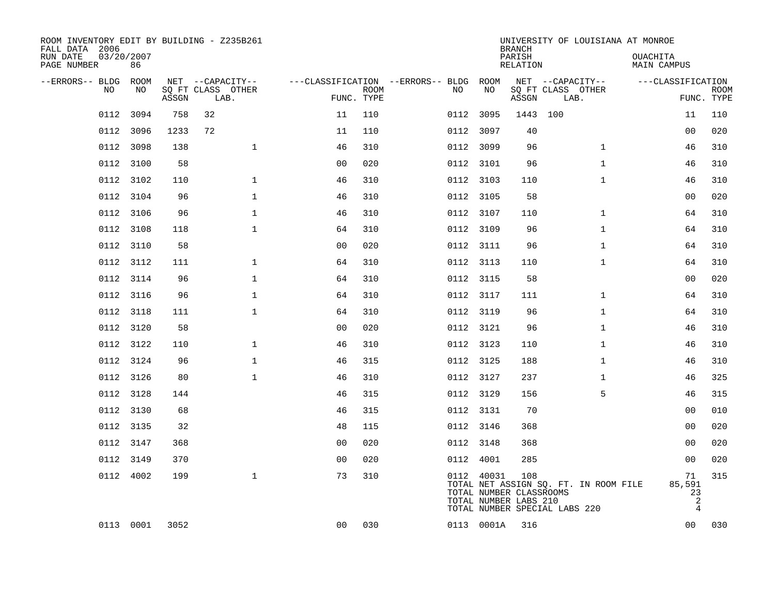| ROOM INVENTORY EDIT BY BUILDING - Z235B261<br>FALL DATA 2006<br>RUN DATE | 03/20/2007 |       |                                       |                |             |                                              |            | <b>BRANCH</b><br>PARISH                                 | UNIVERSITY OF LOUISIANA AT MONROE                                      | OUACHITA                                  |             |
|--------------------------------------------------------------------------|------------|-------|---------------------------------------|----------------|-------------|----------------------------------------------|------------|---------------------------------------------------------|------------------------------------------------------------------------|-------------------------------------------|-------------|
| PAGE NUMBER                                                              | 86         |       |                                       |                |             |                                              |            | <b>RELATION</b>                                         |                                                                        | <b>MAIN CAMPUS</b>                        |             |
| --ERRORS-- BLDG ROOM<br>NO                                               | NO         |       | NET --CAPACITY--<br>SQ FT CLASS OTHER |                | <b>ROOM</b> | ---CLASSIFICATION --ERRORS-- BLDG ROOM<br>NO | NO         |                                                         | NET --CAPACITY--<br>SQ FT CLASS OTHER                                  | ---CLASSIFICATION                         | <b>ROOM</b> |
|                                                                          |            | ASSGN | LAB.                                  |                | FUNC. TYPE  |                                              |            | ASSGN                                                   | LAB.                                                                   |                                           | FUNC. TYPE  |
| 0112                                                                     | 3094       | 758   | 32                                    | 11             | 110         |                                              | 0112 3095  | 1443 100                                                |                                                                        | 11                                        | 110         |
| 0112                                                                     | 3096       | 1233  | 72                                    | 11             | 110         |                                              | 0112 3097  | 40                                                      |                                                                        | 0 <sub>0</sub>                            | 020         |
| 0112                                                                     | 3098       | 138   | $\mathbf{1}$                          | 46             | 310         |                                              | 0112 3099  | 96                                                      | $\mathbf{1}$                                                           | 46                                        | 310         |
| 0112                                                                     | 3100       | 58    |                                       | 0 <sub>0</sub> | 020         |                                              | 0112 3101  | 96                                                      | $\mathbf{1}$                                                           | 46                                        | 310         |
| 0112                                                                     | 3102       | 110   | $\mathbf{1}$                          | 46             | 310         |                                              | 0112 3103  | 110                                                     | $\mathbf{1}$                                                           | 46                                        | 310         |
|                                                                          | 0112 3104  | 96    | $\mathbf 1$                           | 46             | 310         |                                              | 0112 3105  | 58                                                      |                                                                        | 00                                        | 020         |
| 0112                                                                     | 3106       | 96    | $\mathbf{1}$                          | 46             | 310         |                                              | 0112 3107  | 110                                                     | $\mathbf{1}$                                                           | 64                                        | 310         |
|                                                                          | 0112 3108  | 118   | $\mathbf{1}$                          | 64             | 310         |                                              | 0112 3109  | 96                                                      | $\mathbf{1}$                                                           | 64                                        | 310         |
| 0112                                                                     | 3110       | 58    |                                       | 0 <sub>0</sub> | 020         |                                              | 0112 3111  | 96                                                      | $\mathbf{1}$                                                           | 64                                        | 310         |
|                                                                          | 0112 3112  | 111   | $\mathbf 1$                           | 64             | 310         |                                              | 0112 3113  | 110                                                     | $\mathbf{1}$                                                           | 64                                        | 310         |
|                                                                          | 0112 3114  | 96    | $\mathbf{1}$                          | 64             | 310         |                                              | 0112 3115  | 58                                                      |                                                                        | 00                                        | 020         |
|                                                                          | 0112 3116  | 96    | $\mathbf 1$                           | 64             | 310         |                                              | 0112 3117  | 111                                                     | $\mathbf{1}$                                                           | 64                                        | 310         |
| 0112                                                                     | 3118       | 111   | $\mathbf 1$                           | 64             | 310         |                                              | 0112 3119  | 96                                                      | $\mathbf{1}$                                                           | 64                                        | 310         |
|                                                                          | 0112 3120  | 58    |                                       | 0 <sub>0</sub> | 020         |                                              | 0112 3121  | 96                                                      | $\mathbf{1}$                                                           | 46                                        | 310         |
|                                                                          | 0112 3122  | 110   | $\mathbf{1}$                          | 46             | 310         |                                              | 0112 3123  | 110                                                     | $\mathbf{1}$                                                           | 46                                        | 310         |
|                                                                          | 0112 3124  | 96    | $\mathbf{1}$                          | 46             | 315         |                                              | 0112 3125  | 188                                                     | $\mathbf{1}$                                                           | 46                                        | 310         |
|                                                                          | 0112 3126  | 80    | $\mathbf{1}$                          | 46             | 310         |                                              | 0112 3127  | 237                                                     | $\mathbf{1}$                                                           | 46                                        | 325         |
|                                                                          | 0112 3128  | 144   |                                       | 46             | 315         |                                              | 0112 3129  | 156                                                     | 5                                                                      | 46                                        | 315         |
|                                                                          | 0112 3130  | 68    |                                       | 46             | 315         |                                              | 0112 3131  | 70                                                      |                                                                        | 00                                        | 010         |
| 0112                                                                     | 3135       | 32    |                                       | 48             | 115         |                                              | 0112 3146  | 368                                                     |                                                                        | 00                                        | 020         |
|                                                                          | 0112 3147  | 368   |                                       | 0 <sub>0</sub> | 020         |                                              | 0112 3148  | 368                                                     |                                                                        | 00                                        | 020         |
| 0112                                                                     | 3149       | 370   |                                       | 0 <sub>0</sub> | 020         |                                              | 0112 4001  | 285                                                     |                                                                        | 0 <sub>0</sub>                            | 020         |
|                                                                          | 0112 4002  | 199   | $\mathbf{1}$                          | 73             | 310         |                                              | 0112 40031 | 108<br>TOTAL NUMBER CLASSROOMS<br>TOTAL NUMBER LABS 210 | TOTAL NET ASSIGN SQ. FT. IN ROOM FILE<br>TOTAL NUMBER SPECIAL LABS 220 | 71<br>85,591<br>23<br>$\overline{c}$<br>4 | 315         |
|                                                                          | 0113 0001  | 3052  |                                       | 0 <sub>0</sub> | 030         |                                              | 0113 0001A | 316                                                     |                                                                        | 00                                        | 030         |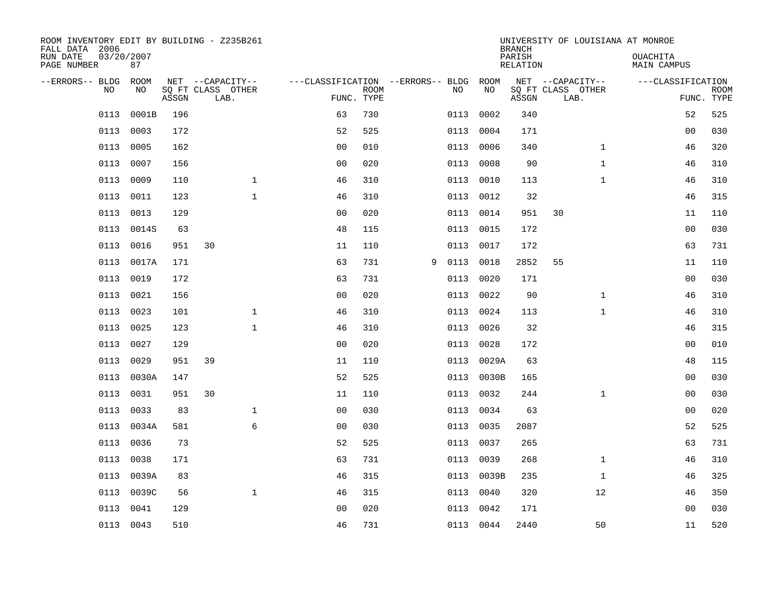| ROOM INVENTORY EDIT BY BUILDING - Z235B261<br>FALL DATA 2006 |                  |       |                           |                                   |                           |   |      |           | <b>BRANCH</b>      | UNIVERSITY OF LOUISIANA AT MONROE |                         |                           |
|--------------------------------------------------------------|------------------|-------|---------------------------|-----------------------------------|---------------------------|---|------|-----------|--------------------|-----------------------------------|-------------------------|---------------------------|
| RUN DATE<br>PAGE NUMBER                                      | 03/20/2007<br>87 |       |                           |                                   |                           |   |      |           | PARISH<br>RELATION |                                   | OUACHITA<br>MAIN CAMPUS |                           |
| --ERRORS-- BLDG                                              | ROOM             |       | NET --CAPACITY--          | ---CLASSIFICATION --ERRORS-- BLDG |                           |   |      | ROOM      |                    | NET --CAPACITY--                  | ---CLASSIFICATION       |                           |
| N <sub>O</sub>                                               | NO.              | ASSGN | SO FT CLASS OTHER<br>LAB. |                                   | <b>ROOM</b><br>FUNC. TYPE |   | NO.  | NO        | ASSGN              | SQ FT CLASS OTHER<br>LAB.         |                         | <b>ROOM</b><br>FUNC. TYPE |
| 0113                                                         | 0001B            | 196   |                           | 63                                | 730                       |   | 0113 | 0002      | 340                |                                   | 52                      | 525                       |
| 0113                                                         | 0003             | 172   |                           | 52                                | 525                       |   | 0113 | 0004      | 171                |                                   | 0 <sub>0</sub>          | 030                       |
| 0113                                                         | 0005             | 162   |                           | 0 <sub>0</sub>                    | 010                       |   | 0113 | 0006      | 340                | $\mathbf{1}$                      | 46                      | 320                       |
| 0113                                                         | 0007             | 156   |                           | 00                                | 020                       |   | 0113 | 0008      | 90                 | $\mathbf{1}$                      | 46                      | 310                       |
| 0113                                                         | 0009             | 110   | $\mathbf{1}$              | 46                                | 310                       |   | 0113 | 0010      | 113                | $\mathbf{1}$                      | 46                      | 310                       |
| 0113                                                         | 0011             | 123   | $\mathbf{1}$              | 46                                | 310                       |   |      | 0113 0012 | 32                 |                                   | 46                      | 315                       |
| 0113                                                         | 0013             | 129   |                           | 0 <sub>0</sub>                    | 020                       |   | 0113 | 0014      | 951                | 30                                | 11                      | 110                       |
| 0113                                                         | 0014S            | 63    |                           | 48                                | 115                       |   | 0113 | 0015      | 172                |                                   | 0 <sub>0</sub>          | 030                       |
| 0113                                                         | 0016             | 951   | 30                        | 11                                | 110                       |   | 0113 | 0017      | 172                |                                   | 63                      | 731                       |
| 0113                                                         | 0017A            | 171   |                           | 63                                | 731                       | 9 | 0113 | 0018      | 2852               | 55                                | 11                      | 110                       |
| 0113                                                         | 0019             | 172   |                           | 63                                | 731                       |   | 0113 | 0020      | 171                |                                   | 0 <sub>0</sub>          | 030                       |
| 0113                                                         | 0021             | 156   |                           | 0 <sub>0</sub>                    | 020                       |   | 0113 | 0022      | 90                 | $\mathbf{1}$                      | 46                      | 310                       |
| 0113                                                         | 0023             | 101   | $\mathbf 1$               | 46                                | 310                       |   | 0113 | 0024      | 113                | $\mathbf{1}$                      | 46                      | 310                       |
| 0113                                                         | 0025             | 123   | $\mathbf 1$               | 46                                | 310                       |   | 0113 | 0026      | 32                 |                                   | 46                      | 315                       |
| 0113                                                         | 0027             | 129   |                           | 0 <sub>0</sub>                    | 020                       |   | 0113 | 0028      | 172                |                                   | 00                      | 010                       |
| 0113                                                         | 0029             | 951   | 39                        | 11                                | 110                       |   | 0113 | 0029A     | 63                 |                                   | 48                      | 115                       |
| 0113                                                         | 0030A            | 147   |                           | 52                                | 525                       |   | 0113 | 0030B     | 165                |                                   | 0 <sub>0</sub>          | 030                       |
| 0113                                                         | 0031             | 951   | 30                        | 11                                | 110                       |   | 0113 | 0032      | 244                | $\mathbf{1}$                      | 00                      | 030                       |
| 0113                                                         | 0033             | 83    | $\mathbf 1$               | 0 <sub>0</sub>                    | 030                       |   |      | 0113 0034 | 63                 |                                   | 00                      | 020                       |
| 0113                                                         | 0034A            | 581   | 6                         | 0 <sub>0</sub>                    | 030                       |   | 0113 | 0035      | 2087               |                                   | 52                      | 525                       |
| 0113                                                         | 0036             | 73    |                           | 52                                | 525                       |   | 0113 | 0037      | 265                |                                   | 63                      | 731                       |
| 0113                                                         | 0038             | 171   |                           | 63                                | 731                       |   | 0113 | 0039      | 268                | $\mathbf{1}$                      | 46                      | 310                       |
| 0113                                                         | 0039A            | 83    |                           | 46                                | 315                       |   | 0113 | 0039B     | 235                | $\mathbf{1}$                      | 46                      | 325                       |
| 0113                                                         | 0039C            | 56    | $\mathbf{1}$              | 46                                | 315                       |   | 0113 | 0040      | 320                | 12                                | 46                      | 350                       |
| 0113                                                         | 0041             | 129   |                           | 0 <sub>0</sub>                    | 020                       |   | 0113 | 0042      | 171                |                                   | 0 <sub>0</sub>          | 030                       |
|                                                              | 0113 0043        | 510   |                           | 46                                | 731                       |   |      | 0113 0044 | 2440               | 50                                | 11                      | 520                       |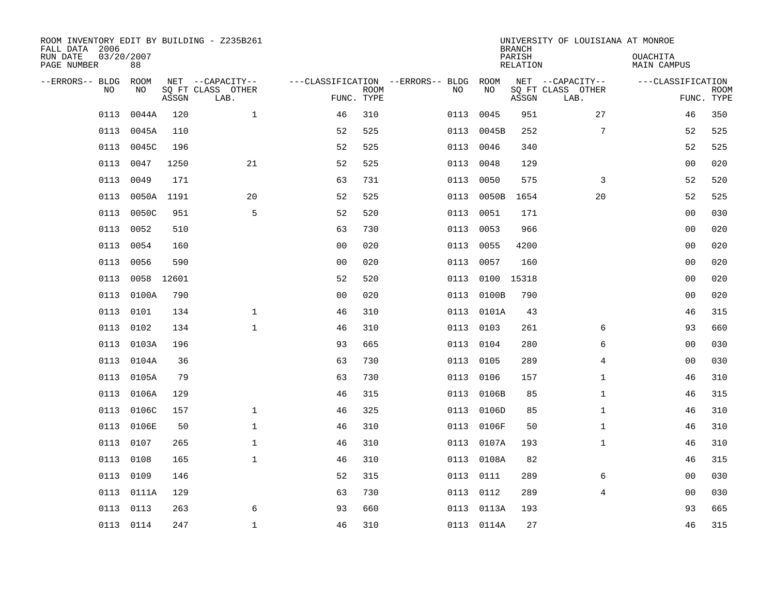| ROOM INVENTORY EDIT BY BUILDING - Z235B261<br>FALL DATA 2006 |                  |       |                           |                |             |                                        |            | <b>BRANCH</b>      | UNIVERSITY OF LOUISIANA AT MONROE |                                |                           |
|--------------------------------------------------------------|------------------|-------|---------------------------|----------------|-------------|----------------------------------------|------------|--------------------|-----------------------------------|--------------------------------|---------------------------|
| RUN DATE<br>PAGE NUMBER                                      | 03/20/2007<br>88 |       |                           |                |             |                                        |            | PARISH<br>RELATION |                                   | <b>OUACHITA</b><br>MAIN CAMPUS |                           |
| --ERRORS-- BLDG ROOM                                         |                  |       | NET --CAPACITY--          |                |             | ---CLASSIFICATION --ERRORS-- BLDG ROOM |            |                    | NET --CAPACITY--                  | ---CLASSIFICATION              |                           |
| NO                                                           | NO               | ASSGN | SQ FT CLASS OTHER<br>LAB. | FUNC. TYPE     | <b>ROOM</b> | NO                                     | NO         | ASSGN              | SQ FT CLASS OTHER<br>LAB.         |                                | <b>ROOM</b><br>FUNC. TYPE |
| 0113                                                         | 0044A            | 120   | $\mathbf{1}$              | 46             | 310         | 0113                                   | 0045       | 951                | 27                                | 46                             | 350                       |
| 0113                                                         | 0045A            | 110   |                           | 52             | 525         | 0113                                   | 0045B      | 252                | 7                                 | 52                             | 525                       |
| 0113                                                         | 0045C            | 196   |                           | 52             | 525         | 0113                                   | 0046       | 340                |                                   | 52                             | 525                       |
| 0113                                                         | 0047             | 1250  | 21                        | 52             | 525         | 0113                                   | 0048       | 129                |                                   | 0 <sub>0</sub>                 | 020                       |
| 0113                                                         | 0049             | 171   |                           | 63             | 731         | 0113                                   | 0050       | 575                | 3                                 | 52                             | 520                       |
| 0113                                                         | 0050A 1191       |       | 20                        | 52             | 525         |                                        | 0113 0050B | 1654               | 20                                | 52                             | 525                       |
| 0113                                                         | 0050C            | 951   | 5                         | 52             | 520         | 0113                                   | 0051       | 171                |                                   | 0 <sub>0</sub>                 | 030                       |
| 0113                                                         | 0052             | 510   |                           | 63             | 730         | 0113                                   | 0053       | 966                |                                   | 0 <sub>0</sub>                 | 020                       |
| 0113                                                         | 0054             | 160   |                           | 0 <sub>0</sub> | 020         | 0113                                   | 0055       | 4200               |                                   | 00                             | 020                       |
| 0113                                                         | 0056             | 590   |                           | 0 <sub>0</sub> | 020         | 0113                                   | 0057       | 160                |                                   | 00                             | 020                       |
| 0113                                                         | 0058             | 12601 |                           | 52             | 520         | 0113                                   |            | 0100 15318         |                                   | 0 <sub>0</sub>                 | 020                       |
| 0113                                                         | 0100A            | 790   |                           | 0 <sub>0</sub> | 020         | 0113                                   | 0100B      | 790                |                                   | 0 <sub>0</sub>                 | 020                       |
| 0113                                                         | 0101             | 134   | $\mathbf 1$               | 46             | 310         | 0113                                   | 0101A      | 43                 |                                   | 46                             | 315                       |
| 0113                                                         | 0102             | 134   | $\mathbf 1$               | 46             | 310         | 0113                                   | 0103       | 261                | 6                                 | 93                             | 660                       |
| 0113                                                         | 0103A            | 196   |                           | 93             | 665         | 0113                                   | 0104       | 280                | 6                                 | 0 <sub>0</sub>                 | 030                       |
| 0113                                                         | 0104A            | 36    |                           | 63             | 730         | 0113                                   | 0105       | 289                | 4                                 | 00                             | 030                       |
|                                                              | 0113 0105A       | 79    |                           | 63             | 730         |                                        | 0113 0106  | 157                | $\mathbf{1}$                      | 46                             | 310                       |
| 0113                                                         | 0106A            | 129   |                           | 46             | 315         | 0113                                   | 0106B      | 85                 | $\mathbf{1}$                      | 46                             | 315                       |
| 0113                                                         | 0106C            | 157   | $\mathbf{1}$              | 46             | 325         |                                        | 0113 0106D | 85                 | $\mathbf{1}$                      | 46                             | 310                       |
| 0113                                                         | 0106E            | 50    | $\mathbf 1$               | 46             | 310         | 0113                                   | 0106F      | 50                 | $\mathbf{1}$                      | 46                             | 310                       |
| 0113                                                         | 0107             | 265   | $\mathbf 1$               | 46             | 310         |                                        | 0113 0107A | 193                | $\mathbf{1}$                      | 46                             | 310                       |
| 0113                                                         | 0108             | 165   | $\mathbf{1}$              | 46             | 310         | 0113                                   | 0108A      | 82                 |                                   | 46                             | 315                       |
| 0113                                                         | 0109             | 146   |                           | 52             | 315         |                                        | 0113 0111  | 289                | 6                                 | 0 <sub>0</sub>                 | 030                       |
| 0113                                                         | 0111A            | 129   |                           | 63             | 730         | 0113                                   | 0112       | 289                | 4                                 | 00                             | 030                       |
|                                                              | 0113 0113        | 263   | 6                         | 93             | 660         |                                        | 0113 0113A | 193                |                                   | 93                             | 665                       |
|                                                              | 0113 0114        | 247   | $\mathbf{1}$              | 46             | 310         |                                        | 0113 0114A | 27                 |                                   | 46                             | 315                       |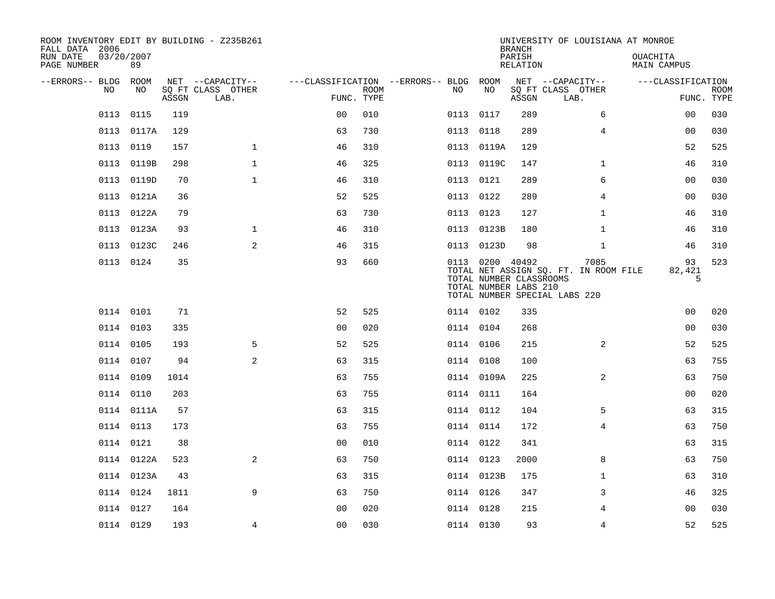| ROOM INVENTORY EDIT BY BUILDING - Z235B261<br>FALL DATA 2006 |            |       |                           |                                        |             |           |                 | <b>BRANCH</b>                                    | UNIVERSITY OF LOUISIANA AT MONROE                                              |                                |                           |
|--------------------------------------------------------------|------------|-------|---------------------------|----------------------------------------|-------------|-----------|-----------------|--------------------------------------------------|--------------------------------------------------------------------------------|--------------------------------|---------------------------|
| 03/20/2007<br>RUN DATE<br>PAGE NUMBER                        | 89         |       |                           |                                        |             |           |                 | PARISH<br>RELATION                               |                                                                                | <b>OUACHITA</b><br>MAIN CAMPUS |                           |
| --ERRORS-- BLDG ROOM                                         |            |       | NET --CAPACITY--          | ---CLASSIFICATION --ERRORS-- BLDG ROOM |             |           |                 |                                                  | NET --CAPACITY--                                                               | ---CLASSIFICATION              |                           |
| NO                                                           | NO         | ASSGN | SQ FT CLASS OTHER<br>LAB. | FUNC. TYPE                             | <b>ROOM</b> | NO        | NO              | ASSGN                                            | SQ FT CLASS OTHER<br>LAB.                                                      |                                | <b>ROOM</b><br>FUNC. TYPE |
| 0113                                                         | 0115       | 119   |                           | 0 <sub>0</sub>                         | 010         | 0113      | 0117            | 289                                              | 6                                                                              | 00                             | 030                       |
| 0113                                                         | 0117A      | 129   |                           | 63                                     | 730         | 0113      | 0118            | 289                                              | 4                                                                              | 00                             | 030                       |
| 0113                                                         | 0119       | 157   | $\mathbf{1}$              | 46                                     | 310         |           | 0113 0119A      | 129                                              |                                                                                | 52                             | 525                       |
| 0113                                                         | 0119B      | 298   | $\mathbf 1$               | 46                                     | 325         |           | 0113 0119C      | 147                                              | $\mathbf{1}$                                                                   | 46                             | 310                       |
| 0113                                                         | 0119D      | 70    | $\mathbf{1}$              | 46                                     | 310         | 0113 0121 |                 | 289                                              | 6                                                                              | 0 <sub>0</sub>                 | 030                       |
| 0113                                                         | 0121A      | 36    |                           | 52                                     | 525         | 0113 0122 |                 | 289                                              | $\overline{4}$                                                                 | 0 <sub>0</sub>                 | 030                       |
|                                                              | 0113 0122A | 79    |                           | 63                                     | 730         | 0113 0123 |                 | 127                                              | $\mathbf{1}$                                                                   | 46                             | 310                       |
|                                                              | 0113 0123A | 93    | $\mathbf{1}$              | 46                                     | 310         |           | 0113 0123B      | 180                                              | $\mathbf{1}$                                                                   | 46                             | 310                       |
| 0113                                                         | 0123C      | 246   | 2                         | 46                                     | 315         | 0113      | 0123D           | 98                                               | $\mathbf{1}$                                                                   | 46                             | 310                       |
|                                                              | 0113 0124  | 35    |                           | 93                                     | 660         |           | 0113 0200 40492 | TOTAL NUMBER CLASSROOMS<br>TOTAL NUMBER LABS 210 | 7085<br>TOTAL NET ASSIGN SQ. FT. IN ROOM FILE<br>TOTAL NUMBER SPECIAL LABS 220 | 93<br>82,421<br>5              | 523                       |
|                                                              | 0114 0101  | 71    |                           | 52                                     | 525         | 0114 0102 |                 | 335                                              |                                                                                | 00                             | 020                       |
|                                                              | 0114 0103  | 335   |                           | 0 <sub>0</sub>                         | 020         | 0114 0104 |                 | 268                                              |                                                                                | 00                             | 030                       |
|                                                              | 0114 0105  | 193   | 5                         | 52                                     | 525         | 0114 0106 |                 | 215                                              | $\overline{2}$                                                                 | 52                             | 525                       |
|                                                              | 0114 0107  | 94    | 2                         | 63                                     | 315         | 0114 0108 |                 | 100                                              |                                                                                | 63                             | 755                       |
|                                                              | 0114 0109  | 1014  |                           | 63                                     | 755         |           | 0114 0109A      | 225                                              | 2                                                                              | 63                             | 750                       |
|                                                              | 0114 0110  | 203   |                           | 63                                     | 755         | 0114 0111 |                 | 164                                              |                                                                                | 0 <sub>0</sub>                 | 020                       |
|                                                              | 0114 0111A | 57    |                           | 63                                     | 315         | 0114 0112 |                 | 104                                              | 5                                                                              | 63                             | 315                       |
|                                                              | 0114 0113  | 173   |                           | 63                                     | 755         | 0114 0114 |                 | 172                                              | $\overline{4}$                                                                 | 63                             | 750                       |
|                                                              | 0114 0121  | 38    |                           | 0 <sub>0</sub>                         | 010         | 0114 0122 |                 | 341                                              |                                                                                | 63                             | 315                       |
|                                                              | 0114 0122A | 523   | 2                         | 63                                     | 750         | 0114 0123 |                 | 2000                                             | 8                                                                              | 63                             | 750                       |
|                                                              | 0114 0123A | 43    |                           | 63                                     | 315         |           | 0114 0123B      | 175                                              | $\mathbf{1}$                                                                   | 63                             | 310                       |
|                                                              | 0114 0124  | 1811  | 9                         | 63                                     | 750         | 0114 0126 |                 | 347                                              | 3                                                                              | 46                             | 325                       |
|                                                              | 0114 0127  | 164   |                           | 00                                     | 020         | 0114 0128 |                 | 215                                              | 4                                                                              | 00                             | 030                       |
|                                                              | 0114 0129  | 193   | 4                         | 0 <sub>0</sub>                         | 030         | 0114 0130 |                 | 93                                               | 4                                                                              | 52                             | 525                       |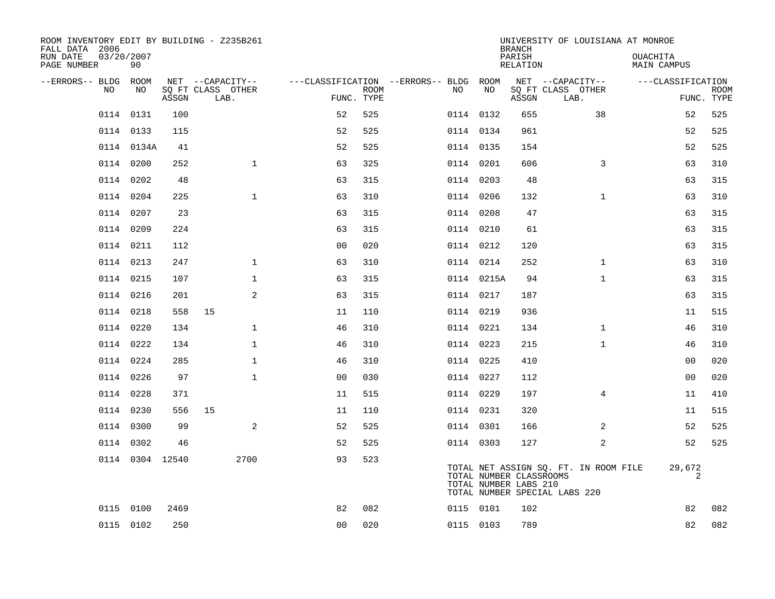| ROOM INVENTORY EDIT BY BUILDING - Z235B261<br>FALL DATA 2006 |                  |       |                           |                |                           |                                        |            | <b>BRANCH</b>                                    | UNIVERSITY OF LOUISIANA AT MONROE                                      |                         |                           |
|--------------------------------------------------------------|------------------|-------|---------------------------|----------------|---------------------------|----------------------------------------|------------|--------------------------------------------------|------------------------------------------------------------------------|-------------------------|---------------------------|
| RUN DATE<br>PAGE NUMBER                                      | 03/20/2007<br>90 |       |                           |                |                           |                                        |            | PARISH<br>RELATION                               |                                                                        | OUACHITA<br>MAIN CAMPUS |                           |
| --ERRORS-- BLDG ROOM                                         |                  |       | NET --CAPACITY--          |                |                           | ---CLASSIFICATION --ERRORS-- BLDG ROOM |            |                                                  | NET --CAPACITY--                                                       | ---CLASSIFICATION       |                           |
| NO                                                           | NO               | ASSGN | SQ FT CLASS OTHER<br>LAB. |                | <b>ROOM</b><br>FUNC. TYPE | NO                                     | NO         | ASSGN                                            | SQ FT CLASS OTHER<br>LAB.                                              |                         | <b>ROOM</b><br>FUNC. TYPE |
|                                                              | 0114 0131        | 100   |                           | 52             | 525                       | 0114 0132                              |            | 655                                              | 38                                                                     | 52                      | 525                       |
|                                                              | 0114 0133        | 115   |                           | 52             | 525                       | 0114 0134                              |            | 961                                              |                                                                        | 52                      | 525                       |
|                                                              | 0114 0134A       | 41    |                           | 52             | 525                       | 0114 0135                              |            | 154                                              |                                                                        | 52                      | 525                       |
|                                                              | 0114 0200        | 252   | $\mathbf{1}$              | 63             | 325                       | 0114 0201                              |            | 606                                              | 3                                                                      | 63                      | 310                       |
| 0114                                                         | 0202             | 48    |                           | 63             | 315                       | 0114 0203                              |            | 48                                               |                                                                        | 63                      | 315                       |
|                                                              | 0114 0204        | 225   | $\mathbf{1}$              | 63             | 310                       | 0114 0206                              |            | 132                                              | $\mathbf{1}$                                                           | 63                      | 310                       |
|                                                              | 0114 0207        | 23    |                           | 63             | 315                       | 0114 0208                              |            | 47                                               |                                                                        | 63                      | 315                       |
|                                                              | 0114 0209        | 224   |                           | 63             | 315                       |                                        | 0114 0210  | 61                                               |                                                                        | 63                      | 315                       |
| 0114                                                         | 0211             | 112   |                           | 0 <sub>0</sub> | 020                       | 0114 0212                              |            | 120                                              |                                                                        | 63                      | 315                       |
|                                                              | 0114 0213        | 247   | 1                         | 63             | 310                       | 0114 0214                              |            | 252                                              | $\mathbf{1}$                                                           | 63                      | 310                       |
| 0114                                                         | 0215             | 107   | $\mathbf 1$               | 63             | 315                       |                                        | 0114 0215A | 94                                               | $\mathbf{1}$                                                           | 63                      | 315                       |
|                                                              | 0114 0216        | 201   | 2                         | 63             | 315                       | 0114 0217                              |            | 187                                              |                                                                        | 63                      | 315                       |
|                                                              | 0114 0218        | 558   | 15                        | 11             | 110                       | 0114 0219                              |            | 936                                              |                                                                        | 11                      | 515                       |
|                                                              | 0114 0220        | 134   | $\mathbf 1$               | 46             | 310                       | 0114 0221                              |            | 134                                              | $\mathbf{1}$                                                           | 46                      | 310                       |
|                                                              | 0114 0222        | 134   | $\mathbf{1}$              | 46             | 310                       | 0114 0223                              |            | 215                                              | $\mathbf{1}$                                                           | 46                      | 310                       |
|                                                              | 0114 0224        | 285   | $\mathbf 1$               | 46             | 310                       | 0114 0225                              |            | 410                                              |                                                                        | 00                      | 020                       |
|                                                              | 0114 0226        | 97    | $\mathbf{1}$              | 0 <sub>0</sub> | 030                       | 0114 0227                              |            | 112                                              |                                                                        | 00                      | 020                       |
|                                                              | 0114 0228        | 371   |                           | 11             | 515                       | 0114 0229                              |            | 197                                              | 4                                                                      | 11                      | 410                       |
|                                                              | 0114 0230        | 556   | 15                        | 11             | 110                       | 0114 0231                              |            | 320                                              |                                                                        | 11                      | 515                       |
|                                                              | 0114 0300        | 99    | 2                         | 52             | 525                       | 0114 0301                              |            | 166                                              | 2                                                                      | 52                      | 525                       |
|                                                              | 0114 0302        | 46    |                           | 52             | 525                       | 0114 0303                              |            | 127                                              | 2                                                                      | 52                      | 525                       |
|                                                              | 0114 0304 12540  |       | 2700                      | 93             | 523                       |                                        |            | TOTAL NUMBER CLASSROOMS<br>TOTAL NUMBER LABS 210 | TOTAL NET ASSIGN SQ. FT. IN ROOM FILE<br>TOTAL NUMBER SPECIAL LABS 220 | 29,672<br>2             |                           |
|                                                              | 0115 0100        | 2469  |                           | 82             | 082                       | 0115 0101                              |            | 102                                              |                                                                        | 82                      | 082                       |
|                                                              | 0115 0102        | 250   |                           | 0 <sub>0</sub> | 020                       | 0115 0103                              |            | 789                                              |                                                                        | 82                      | 082                       |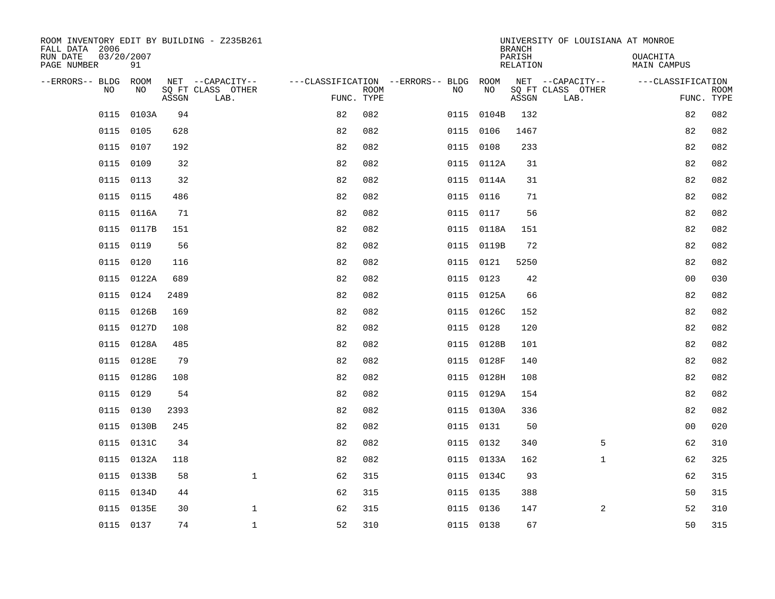| ROOM INVENTORY EDIT BY BUILDING - Z235B261<br>FALL DATA 2006 |                  |       |                           |                                        |             |           | <b>BRANCH</b> | UNIVERSITY OF LOUISIANA AT MONROE |                           |                                |                           |
|--------------------------------------------------------------|------------------|-------|---------------------------|----------------------------------------|-------------|-----------|---------------|-----------------------------------|---------------------------|--------------------------------|---------------------------|
| RUN DATE<br>PAGE NUMBER                                      | 03/20/2007<br>91 |       |                           |                                        |             |           |               | PARISH<br><b>RELATION</b>         |                           | OUACHITA<br><b>MAIN CAMPUS</b> |                           |
| --ERRORS-- BLDG ROOM                                         |                  |       | NET --CAPACITY--          | ---CLASSIFICATION --ERRORS-- BLDG ROOM |             |           |               |                                   | NET --CAPACITY--          | ---CLASSIFICATION              |                           |
| NO                                                           | NO               | ASSGN | SQ FT CLASS OTHER<br>LAB. | FUNC. TYPE                             | <b>ROOM</b> | NO        | NO            | ASSGN                             | SQ FT CLASS OTHER<br>LAB. |                                | <b>ROOM</b><br>FUNC. TYPE |
| 0115                                                         | 0103A            | 94    |                           | 82                                     | 082         | 0115      | 0104B         | 132                               |                           | 82                             | 082                       |
| 0115                                                         | 0105             | 628   |                           | 82                                     | 082         | 0115 0106 |               | 1467                              |                           | 82                             | 082                       |
| 0115                                                         | 0107             | 192   |                           | 82                                     | 082         | 0115 0108 |               | 233                               |                           | 82                             | 082                       |
| 0115                                                         | 0109             | 32    |                           | 82                                     | 082         |           | 0115 0112A    | 31                                |                           | 82                             | 082                       |
| 0115                                                         | 0113             | 32    |                           | 82                                     | 082         |           | 0115 0114A    | 31                                |                           | 82                             | 082                       |
| 0115                                                         | 0115             | 486   |                           | 82                                     | 082         | 0115 0116 |               | 71                                |                           | 82                             | 082                       |
| 0115                                                         | 0116A            | 71    |                           | 82                                     | 082         | 0115 0117 |               | 56                                |                           | 82                             | 082                       |
| 0115                                                         | 0117B            | 151   |                           | 82                                     | 082         |           | 0115 0118A    | 151                               |                           | 82                             | 082                       |
| 0115                                                         | 0119             | 56    |                           | 82                                     | 082         | 0115      | 0119B         | 72                                |                           | 82                             | 082                       |
| 0115                                                         | 0120             | 116   |                           | 82                                     | 082         |           | 0115 0121     | 5250                              |                           | 82                             | 082                       |
| 0115                                                         | 0122A            | 689   |                           | 82                                     | 082         | 0115 0123 |               | 42                                |                           | 0 <sub>0</sub>                 | 030                       |
| 0115                                                         | 0124             | 2489  |                           | 82                                     | 082         |           | 0115 0125A    | 66                                |                           | 82                             | 082                       |
| 0115                                                         | 0126B            | 169   |                           | 82                                     | 082         | 0115      | 0126C         | 152                               |                           | 82                             | 082                       |
| 0115                                                         | 0127D            | 108   |                           | 82                                     | 082         | 0115 0128 |               | 120                               |                           | 82                             | 082                       |
| 0115                                                         | 0128A            | 485   |                           | 82                                     | 082         |           | 0115 0128B    | 101                               |                           | 82                             | 082                       |
| 0115                                                         | 0128E            | 79    |                           | 82                                     | 082         |           | 0115 0128F    | 140                               |                           | 82                             | 082                       |
| 0115                                                         | 0128G            | 108   |                           | 82                                     | 082         | 0115      | 0128H         | 108                               |                           | 82                             | 082                       |
| 0115                                                         | 0129             | 54    |                           | 82                                     | 082         |           | 0115 0129A    | 154                               |                           | 82                             | 082                       |
|                                                              | 0115 0130        | 2393  |                           | 82                                     | 082         |           | 0115 0130A    | 336                               |                           | 82                             | 082                       |
| 0115                                                         | 0130B            | 245   |                           | 82                                     | 082         | 0115 0131 |               | 50                                |                           | 0 <sub>0</sub>                 | 020                       |
|                                                              | 0115 0131C       | 34    |                           | 82                                     | 082         | 0115 0132 |               | 340                               | 5                         | 62                             | 310                       |
| 0115                                                         | 0132A            | 118   |                           | 82                                     | 082         |           | 0115 0133A    | 162                               | $\mathbf{1}$              | 62                             | 325                       |
|                                                              | 0115 0133B       | 58    | $\mathbf{1}$              | 62                                     | 315         |           | 0115 0134C    | 93                                |                           | 62                             | 315                       |
| 0115                                                         | 0134D            | 44    |                           | 62                                     | 315         | 0115 0135 |               | 388                               |                           | 50                             | 315                       |
|                                                              | 0115 0135E       | 30    | $\mathbf{1}$              | 62                                     | 315         | 0115 0136 |               | 147                               | 2                         | 52                             | 310                       |
|                                                              | 0115 0137        | 74    | $\mathbf{1}$              | 52                                     | 310         | 0115 0138 |               | 67                                |                           | 50                             | 315                       |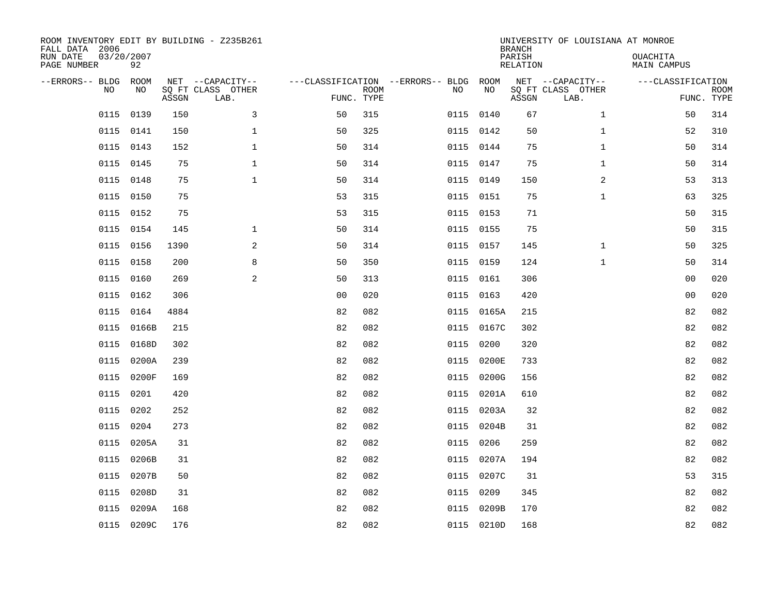| ROOM INVENTORY EDIT BY BUILDING - Z235B261<br>FALL DATA 2006<br>RUN DATE<br>PAGE NUMBER | 03/20/2007<br>92 |       |                                               |                                                      |             |           |            | <b>BRANCH</b><br>PARISH<br><b>RELATION</b> | UNIVERSITY OF LOUISIANA AT MONROE             | OUACHITA<br><b>MAIN CAMPUS</b> |                           |
|-----------------------------------------------------------------------------------------|------------------|-------|-----------------------------------------------|------------------------------------------------------|-------------|-----------|------------|--------------------------------------------|-----------------------------------------------|--------------------------------|---------------------------|
| --ERRORS-- BLDG ROOM<br>NO                                                              | NO               | ASSGN | NET --CAPACITY--<br>SQ FT CLASS OTHER<br>LAB. | ---CLASSIFICATION --ERRORS-- BLDG ROOM<br>FUNC. TYPE | <b>ROOM</b> | NO        | NO         | ASSGN                                      | NET --CAPACITY--<br>SQ FT CLASS OTHER<br>LAB. | ---CLASSIFICATION              | <b>ROOM</b><br>FUNC. TYPE |
| 0115                                                                                    | 0139             | 150   | 3                                             | 50                                                   | 315         | 0115 0140 |            | 67                                         | $\mathbf{1}$                                  | 50                             | 314                       |
|                                                                                         | 0115 0141        | 150   | $\mathbf 1$                                   | 50                                                   | 325         | 0115 0142 |            | 50                                         | $\mathbf{1}$                                  | 52                             | 310                       |
| 0115                                                                                    | 0143             | 152   | $\mathbf 1$                                   | 50                                                   | 314         | 0115 0144 |            | 75                                         | $\mathbf{1}$                                  | 50                             | 314                       |
| 0115                                                                                    | 0145             | 75    | $\mathbf 1$                                   | 50                                                   | 314         | 0115 0147 |            | 75                                         | $\mathbf{1}$                                  | 50                             | 314                       |
| 0115                                                                                    | 0148             | 75    | $\mathbf{1}$                                  | 50                                                   | 314         | 0115 0149 |            | 150                                        | $\overline{a}$                                | 53                             | 313                       |
| 0115                                                                                    | 0150             | 75    |                                               | 53                                                   | 315         | 0115 0151 |            | 75                                         | $\mathbf{1}$                                  | 63                             | 325                       |
| 0115                                                                                    | 0152             | 75    |                                               | 53                                                   | 315         | 0115 0153 |            | 71                                         |                                               | 50                             | 315                       |
|                                                                                         | 0115 0154        | 145   | $\mathbf 1$                                   | 50                                                   | 314         | 0115 0155 |            | 75                                         |                                               | 50                             | 315                       |
| 0115                                                                                    | 0156             | 1390  | 2                                             | 50                                                   | 314         | 0115 0157 |            | 145                                        | $\mathbf{1}$                                  | 50                             | 325                       |
|                                                                                         | 0115 0158        | 200   | 8                                             | 50                                                   | 350         | 0115 0159 |            | 124                                        | $\mathbf{1}$                                  | 50                             | 314                       |
| 0115                                                                                    | 0160             | 269   | 2                                             | 50                                                   | 313         | 0115 0161 |            | 306                                        |                                               | 0 <sub>0</sub>                 | 020                       |
| 0115                                                                                    | 0162             | 306   |                                               | 0 <sub>0</sub>                                       | 020         | 0115 0163 |            | 420                                        |                                               | 0 <sub>0</sub>                 | 020                       |
| 0115                                                                                    | 0164             | 4884  |                                               | 82                                                   | 082         | 0115      | 0165A      | 215                                        |                                               | 82                             | 082                       |
| 0115                                                                                    | 0166B            | 215   |                                               | 82                                                   | 082         |           | 0115 0167C | 302                                        |                                               | 82                             | 082                       |
| 0115                                                                                    | 0168D            | 302   |                                               | 82                                                   | 082         | 0115      | 0200       | 320                                        |                                               | 82                             | 082                       |
| 0115                                                                                    | 0200A            | 239   |                                               | 82                                                   | 082         | 0115      | 0200E      | 733                                        |                                               | 82                             | 082                       |
| 0115                                                                                    | 0200F            | 169   |                                               | 82                                                   | 082         | 0115      | 0200G      | 156                                        |                                               | 82                             | 082                       |
| 0115                                                                                    | 0201             | 420   |                                               | 82                                                   | 082         | 0115      | 0201A      | 610                                        |                                               | 82                             | 082                       |
| 0115                                                                                    | 0202             | 252   |                                               | 82                                                   | 082         |           | 0115 0203A | 32                                         |                                               | 82                             | 082                       |
| 0115                                                                                    | 0204             | 273   |                                               | 82                                                   | 082         |           | 0115 0204B | 31                                         |                                               | 82                             | 082                       |
|                                                                                         | 0115 0205A       | 31    |                                               | 82                                                   | 082         | 0115 0206 |            | 259                                        |                                               | 82                             | 082                       |
| 0115                                                                                    | 0206B            | 31    |                                               | 82                                                   | 082         | 0115      | 0207A      | 194                                        |                                               | 82                             | 082                       |
| 0115                                                                                    | 0207B            | 50    |                                               | 82                                                   | 082         |           | 0115 0207C | 31                                         |                                               | 53                             | 315                       |
| 0115                                                                                    | 0208D            | 31    |                                               | 82                                                   | 082         | 0115      | 0209       | 345                                        |                                               | 82                             | 082                       |
| 0115                                                                                    | 0209A            | 168   |                                               | 82                                                   | 082         |           | 0115 0209B | 170                                        |                                               | 82                             | 082                       |
|                                                                                         | 0115 0209C       | 176   |                                               | 82                                                   | 082         |           | 0115 0210D | 168                                        |                                               | 82                             | 082                       |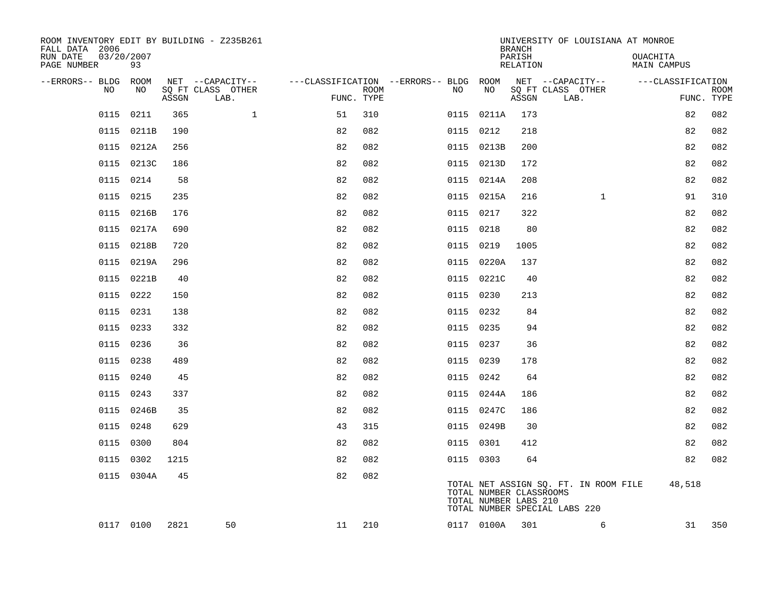| ROOM INVENTORY EDIT BY BUILDING - Z235B261<br>FALL DATA 2006 |                  |       |                           |                                        |                           |           |                                                  | <b>BRANCH</b>      | UNIVERSITY OF LOUISIANA AT MONROE                                      |                         |                           |
|--------------------------------------------------------------|------------------|-------|---------------------------|----------------------------------------|---------------------------|-----------|--------------------------------------------------|--------------------|------------------------------------------------------------------------|-------------------------|---------------------------|
| RUN DATE<br>PAGE NUMBER                                      | 03/20/2007<br>93 |       |                           |                                        |                           |           |                                                  | PARISH<br>RELATION |                                                                        | OUACHITA<br>MAIN CAMPUS |                           |
| --ERRORS-- BLDG ROOM                                         |                  |       | NET --CAPACITY--          | ---CLASSIFICATION --ERRORS-- BLDG ROOM |                           |           |                                                  |                    | NET --CAPACITY--                                                       | ---CLASSIFICATION       |                           |
| NO                                                           | NO               | ASSGN | SQ FT CLASS OTHER<br>LAB. |                                        | <b>ROOM</b><br>FUNC. TYPE | NO        | NO                                               | ASSGN              | SQ FT CLASS OTHER<br>LAB.                                              |                         | <b>ROOM</b><br>FUNC. TYPE |
| 0115                                                         | 0211             | 365   | $\mathbf{1}$              | 51                                     | 310                       |           | 0115 0211A                                       | 173                |                                                                        | 82                      | 082                       |
|                                                              | 0115 0211B       | 190   |                           | 82                                     | 082                       | 0115 0212 |                                                  | 218                |                                                                        | 82                      | 082                       |
| 0115                                                         | 0212A            | 256   |                           | 82                                     | 082                       |           | 0115 0213B                                       | 200                |                                                                        | 82                      | 082                       |
|                                                              | 0115 0213C       | 186   |                           | 82                                     | 082                       |           | 0115 0213D                                       | 172                |                                                                        | 82                      | 082                       |
| 0115                                                         | 0214             | 58    |                           | 82                                     | 082                       |           | 0115 0214A                                       | 208                |                                                                        | 82                      | 082                       |
|                                                              | 0115 0215        | 235   |                           | 82                                     | 082                       |           | 0115 0215A                                       | 216                | $\mathbf{1}$                                                           | 91                      | 310                       |
| 0115                                                         | 0216B            | 176   |                           | 82                                     | 082                       | 0115 0217 |                                                  | 322                |                                                                        | 82                      | 082                       |
|                                                              | 0115 0217A       | 690   |                           | 82                                     | 082                       | 0115 0218 |                                                  | 80                 |                                                                        | 82                      | 082                       |
| 0115                                                         | 0218B            | 720   |                           | 82                                     | 082                       | 0115 0219 |                                                  | 1005               |                                                                        | 82                      | 082                       |
|                                                              | 0115 0219A       | 296   |                           | 82                                     | 082                       |           | 0115 0220A                                       | 137                |                                                                        | 82                      | 082                       |
| 0115                                                         | 0221B            | 40    |                           | 82                                     | 082                       |           | 0115 0221C                                       | 40                 |                                                                        | 82                      | 082                       |
|                                                              | 0115 0222        | 150   |                           | 82                                     | 082                       | 0115 0230 |                                                  | 213                |                                                                        | 82                      | 082                       |
| 0115                                                         | 0231             | 138   |                           | 82                                     | 082                       | 0115 0232 |                                                  | 84                 |                                                                        | 82                      | 082                       |
|                                                              | 0115 0233        | 332   |                           | 82                                     | 082                       | 0115 0235 |                                                  | 94                 |                                                                        | 82                      | 082                       |
|                                                              | 0115 0236        | 36    |                           | 82                                     | 082                       | 0115 0237 |                                                  | 36                 |                                                                        | 82                      | 082                       |
|                                                              | 0115 0238        | 489   |                           | 82                                     | 082                       | 0115 0239 |                                                  | 178                |                                                                        | 82                      | 082                       |
|                                                              | 0115 0240        | 45    |                           | 82                                     | 082                       | 0115 0242 |                                                  | 64                 |                                                                        | 82                      | 082                       |
| 0115                                                         | 0243             | 337   |                           | 82                                     | 082                       |           | 0115 0244A                                       | 186                |                                                                        | 82                      | 082                       |
|                                                              | 0115 0246B       | 35    |                           | 82                                     | 082                       |           | 0115 0247C                                       | 186                |                                                                        | 82                      | 082                       |
| 0115                                                         | 0248             | 629   |                           | 43                                     | 315                       |           | 0115 0249B                                       | 30                 |                                                                        | 82                      | 082                       |
| 0115                                                         | 0300             | 804   |                           | 82                                     | 082                       | 0115 0301 |                                                  | 412                |                                                                        | 82                      | 082                       |
| 0115                                                         | 0302             | 1215  |                           | 82                                     | 082                       | 0115 0303 |                                                  | 64                 |                                                                        | 82                      | 082                       |
|                                                              | 0115 0304A       | 45    |                           | 82                                     | 082                       |           | TOTAL NUMBER CLASSROOMS<br>TOTAL NUMBER LABS 210 |                    | TOTAL NET ASSIGN SQ. FT. IN ROOM FILE<br>TOTAL NUMBER SPECIAL LABS 220 | 48,518                  |                           |
|                                                              | 0117 0100        | 2821  | 50                        | 11                                     | 210                       |           | 0117 0100A                                       | 301                | 6                                                                      | 31                      | 350                       |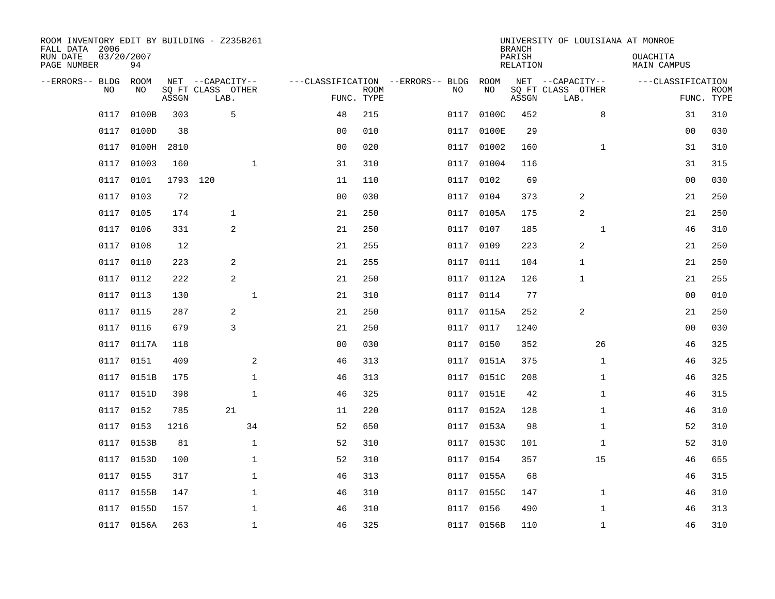| ROOM INVENTORY EDIT BY BUILDING - Z235B261<br>FALL DATA 2006 |                  |       |                           |                |             |                                   |            | <b>BRANCH</b>      | UNIVERSITY OF LOUISIANA AT MONROE |                         |                           |
|--------------------------------------------------------------|------------------|-------|---------------------------|----------------|-------------|-----------------------------------|------------|--------------------|-----------------------------------|-------------------------|---------------------------|
| RUN DATE<br>PAGE NUMBER                                      | 03/20/2007<br>94 |       |                           |                |             |                                   |            | PARISH<br>RELATION |                                   | OUACHITA<br>MAIN CAMPUS |                           |
| --ERRORS-- BLDG                                              | ROOM             |       | NET --CAPACITY--          |                |             | ---CLASSIFICATION --ERRORS-- BLDG | ROOM       |                    | NET --CAPACITY--                  | ---CLASSIFICATION       |                           |
| N <sub>O</sub>                                               | NO.              | ASSGN | SO FT CLASS OTHER<br>LAB. | FUNC. TYPE     | <b>ROOM</b> | NO.                               | NO         | ASSGN              | SQ FT CLASS OTHER<br>LAB.         |                         | <b>ROOM</b><br>FUNC. TYPE |
| 0117                                                         | 0100B            | 303   | 5                         | 48             | 215         | 0117                              | 0100C      | 452                | 8                                 | 31                      | 310                       |
| 0117                                                         | 0100D            | 38    |                           | 0 <sub>0</sub> | 010         | 0117                              | 0100E      | 29                 |                                   | 0 <sub>0</sub>          | 030                       |
| 0117                                                         | 0100H            | 2810  |                           | 0 <sub>0</sub> | 020         | 0117                              | 01002      | 160                | $\mathbf{1}$                      | 31                      | 310                       |
| 0117                                                         | 01003            | 160   | $\mathbf 1$               | 31             | 310         | 0117                              | 01004      | 116                |                                   | 31                      | 315                       |
| 0117                                                         | 0101             | 1793  | 120                       | 11             | 110         | 0117                              | 0102       | 69                 |                                   | 0 <sub>0</sub>          | 030                       |
| 0117                                                         | 0103             | 72    |                           | 0 <sub>0</sub> | 030         | 0117                              | 0104       | 373                | 2                                 | 21                      | 250                       |
| 0117                                                         | 0105             | 174   | $\mathbf{1}$              | 21             | 250         | 0117                              | 0105A      | 175                | 2                                 | 21                      | 250                       |
| 0117                                                         | 0106             | 331   | 2                         | 21             | 250         |                                   | 0117 0107  | 185                | $\mathbf{1}$                      | 46                      | 310                       |
| 0117                                                         | 0108             | 12    |                           | 21             | 255         | 0117                              | 0109       | 223                | 2                                 | 21                      | 250                       |
| 0117                                                         | 0110             | 223   | 2                         | 21             | 255         | 0117                              | 0111       | 104                | $\mathbf{1}$                      | 21                      | 250                       |
| 0117                                                         | 0112             | 222   | 2                         | 21             | 250         | 0117                              | 0112A      | 126                | 1                                 | 21                      | 255                       |
| 0117                                                         | 0113             | 130   | $\mathbf 1$               | 21             | 310         |                                   | 0117 0114  | 77                 |                                   | 00                      | 010                       |
| 0117                                                         | 0115             | 287   | 2                         | 21             | 250         | 0117                              | 0115A      | 252                | 2                                 | 21                      | 250                       |
| 0117                                                         | 0116             | 679   | 3                         | 21             | 250         | 0117                              | 0117       | 1240               |                                   | 0 <sub>0</sub>          | 030                       |
| 0117                                                         | 0117A            | 118   |                           | 0 <sub>0</sub> | 030         | 0117                              | 0150       | 352                | 26                                | 46                      | 325                       |
| 0117                                                         | 0151             | 409   | 2                         | 46             | 313         | 0117                              | 0151A      | 375                | $\mathbf{1}$                      | 46                      | 325                       |
| 0117                                                         | 0151B            | 175   | $\mathbf{1}$              | 46             | 313         |                                   | 0117 0151C | 208                | $\mathbf{1}$                      | 46                      | 325                       |
| 0117                                                         | 0151D            | 398   | $\mathbf{1}$              | 46             | 325         | 0117                              | 0151E      | 42                 | $\mathbf{1}$                      | 46                      | 315                       |
| 0117                                                         | 0152             | 785   | 21                        | 11             | 220         |                                   | 0117 0152A | 128                | $\mathbf{1}$                      | 46                      | 310                       |
| 0117                                                         | 0153             | 1216  | 34                        | 52             | 650         | 0117                              | 0153A      | 98                 | $\mathbf{1}$                      | 52                      | 310                       |
| 0117                                                         | 0153B            | 81    | $\mathbf 1$               | 52             | 310         |                                   | 0117 0153C | 101                | $\mathbf{1}$                      | 52                      | 310                       |
| 0117                                                         | 0153D            | 100   | $\mathbf 1$               | 52             | 310         | 0117                              | 0154       | 357                | 15                                | 46                      | 655                       |
| 0117                                                         | 0155             | 317   | $\mathbf 1$               | 46             | 313         |                                   | 0117 0155A | 68                 |                                   | 46                      | 315                       |
| 0117                                                         | 0155B            | 147   | $\mathbf 1$               | 46             | 310         | 0117                              | 0155C      | 147                | $\mathbf{1}$                      | 46                      | 310                       |
| 0117                                                         | 0155D            | 157   | $\mathbf{1}$              | 46             | 310         |                                   | 0117 0156  | 490                | $\mathbf{1}$                      | 46                      | 313                       |
|                                                              | 0117 0156A       | 263   | $\mathbf 1$               | 46             | 325         |                                   | 0117 0156B | 110                | $\mathbf{1}$                      | 46                      | 310                       |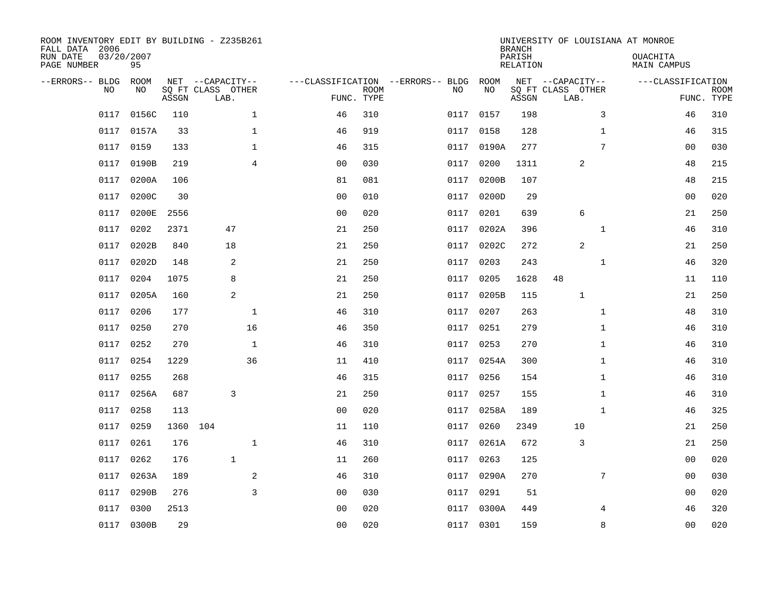| ROOM INVENTORY EDIT BY BUILDING - Z235B261<br>FALL DATA 2006 |                  |          |                           |                |                                   |             |           |           | <b>BRANCH</b>      |                           |              | UNIVERSITY OF LOUISIANA AT MONROE |                           |
|--------------------------------------------------------------|------------------|----------|---------------------------|----------------|-----------------------------------|-------------|-----------|-----------|--------------------|---------------------------|--------------|-----------------------------------|---------------------------|
| RUN DATE<br>PAGE NUMBER                                      | 03/20/2007<br>95 |          |                           |                |                                   |             |           |           | PARISH<br>RELATION |                           |              | OUACHITA<br>MAIN CAMPUS           |                           |
| --ERRORS-- BLDG                                              | ROOM             |          | NET --CAPACITY--          |                | ---CLASSIFICATION --ERRORS-- BLDG |             |           | ROOM      |                    | NET --CAPACITY--          |              | ---CLASSIFICATION                 |                           |
| N <sub>O</sub>                                               | NO.              | ASSGN    | SO FT CLASS OTHER<br>LAB. |                | FUNC. TYPE                        | <b>ROOM</b> | NO.       | NO        | ASSGN              | SQ FT CLASS OTHER<br>LAB. |              |                                   | <b>ROOM</b><br>FUNC. TYPE |
| 0117                                                         | 0156C            | 110      |                           | $\mathbf 1$    | 46                                | 310         | 0117      | 0157      | 198                |                           | 3            | 46                                | 310                       |
| 0117                                                         | 0157A            | 33       |                           | $\mathbf{1}$   | 46                                | 919         | 0117      | 0158      | 128                |                           | $\mathbf{1}$ | 46                                | 315                       |
| 0117                                                         | 0159             | 133      |                           | $\mathbf 1$    | 46                                | 315         | 0117      | 0190A     | 277                |                           | 7            | 0 <sub>0</sub>                    | 030                       |
| 0117                                                         | 0190B            | 219      |                           | $\overline{4}$ | 0 <sub>0</sub>                    | 030         | 0117      | 0200      | 1311               | 2                         |              | 48                                | 215                       |
| 0117                                                         | 0200A            | 106      |                           |                | 81                                | 081         | 0117      | 0200B     | 107                |                           |              | 48                                | 215                       |
| 0117                                                         | 0200C            | 30       |                           |                | 0 <sub>0</sub>                    | 010         | 0117      | 0200D     | 29                 |                           |              | 0 <sub>0</sub>                    | 020                       |
| 0117                                                         | 0200E            | 2556     |                           |                | 0 <sub>0</sub>                    | 020         | 0117      | 0201      | 639                | 6                         |              | 21                                | 250                       |
| 0117                                                         | 0202             | 2371     | 47                        |                | 21                                | 250         | 0117      | 0202A     | 396                |                           | $\mathbf{1}$ | 46                                | 310                       |
| 0117                                                         | 0202B            | 840      | 18                        |                | 21                                | 250         | 0117      | 0202C     | 272                | 2                         |              | 21                                | 250                       |
| 0117                                                         | 0202D            | 148      | 2                         |                | 21                                | 250         | 0117      | 0203      | 243                |                           | $\mathbf{1}$ | 46                                | 320                       |
| 0117                                                         | 0204             | 1075     | 8                         |                | 21                                | 250         | 0117      | 0205      | 1628               | 48                        |              | 11                                | 110                       |
| 0117                                                         | 0205A            | 160      | 2                         |                | 21                                | 250         | 0117      | 0205B     | 115                | $\mathbf{1}$              |              | 21                                | 250                       |
| 0117                                                         | 0206             | 177      |                           | $\mathbf{1}$   | 46                                | 310         | 0117      | 0207      | 263                |                           | $\mathbf{1}$ | 48                                | 310                       |
| 0117                                                         | 0250             | 270      |                           | 16             | 46                                | 350         |           | 0117 0251 | 279                |                           | $\mathbf{1}$ | 46                                | 310                       |
| 0117                                                         | 0252             | 270      |                           | $\mathbf{1}$   | 46                                | 310         | 0117      | 0253      | 270                |                           | $\mathbf{1}$ | 46                                | 310                       |
| 0117                                                         | 0254             | 1229     |                           | 36             | 11                                | 410         | 0117      | 0254A     | 300                |                           | $\mathbf{1}$ | 46                                | 310                       |
| 0117                                                         | 0255             | 268      |                           |                | 46                                | 315         | 0117      | 0256      | 154                |                           | $\mathbf{1}$ | 46                                | 310                       |
| 0117                                                         | 0256A            | 687      | 3                         |                | 21                                | 250         | 0117      | 0257      | 155                |                           | $\mathbf{1}$ | 46                                | 310                       |
| 0117                                                         | 0258             | 113      |                           |                | 0 <sub>0</sub>                    | 020         | 0117      | 0258A     | 189                |                           | $\mathbf{1}$ | 46                                | 325                       |
| 0117                                                         | 0259             | 1360 104 |                           |                | 11                                | 110         | 0117      | 0260      | 2349               | 10                        |              | 21                                | 250                       |
| 0117                                                         | 0261             | 176      |                           | $\mathbf 1$    | 46                                | 310         | 0117      | 0261A     | 672                | 3                         |              | 21                                | 250                       |
| 0117                                                         | 0262             | 176      | $\mathbf{1}$              |                | 11                                | 260         | 0117      | 0263      | 125                |                           |              | 00                                | 020                       |
| 0117                                                         | 0263A            | 189      |                           | 2              | 46                                | 310         | 0117      | 0290A     | 270                |                           | 7            | 00                                | 030                       |
| 0117                                                         | 0290B            | 276      |                           | 3              | 0 <sub>0</sub>                    | 030         | 0117      | 0291      | 51                 |                           |              | 0 <sub>0</sub>                    | 020                       |
| 0117                                                         | 0300             | 2513     |                           |                | 0 <sub>0</sub>                    | 020         | 0117      | 0300A     | 449                |                           | 4            | 46                                | 320                       |
|                                                              | 0117 0300B       | 29       |                           |                | 0 <sub>0</sub>                    | 020         | 0117 0301 |           | 159                |                           | 8            | 0 <sub>0</sub>                    | 020                       |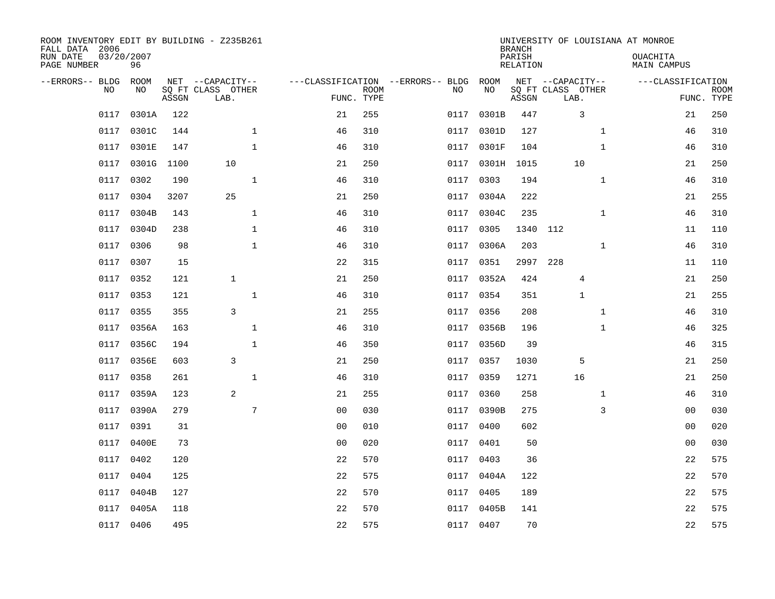| ROOM INVENTORY EDIT BY BUILDING - Z235B261<br>FALL DATA 2006<br>RUN DATE<br>PAGE NUMBER | 03/20/2007<br>96 |       |                                               |                                                      |             |      |            | <b>BRANCH</b><br>PARISH<br><b>RELATION</b> |                                               |              | UNIVERSITY OF LOUISIANA AT MONROE<br>OUACHITA<br><b>MAIN CAMPUS</b> |                           |
|-----------------------------------------------------------------------------------------|------------------|-------|-----------------------------------------------|------------------------------------------------------|-------------|------|------------|--------------------------------------------|-----------------------------------------------|--------------|---------------------------------------------------------------------|---------------------------|
| --ERRORS-- BLDG<br>NO                                                                   | ROOM<br>NO       | ASSGN | NET --CAPACITY--<br>SQ FT CLASS OTHER<br>LAB. | ---CLASSIFICATION --ERRORS-- BLDG ROOM<br>FUNC. TYPE | <b>ROOM</b> | NO   | NO         | ASSGN                                      | NET --CAPACITY--<br>SQ FT CLASS OTHER<br>LAB. |              | ---CLASSIFICATION                                                   | <b>ROOM</b><br>FUNC. TYPE |
| 0117                                                                                    | 0301A            | 122   |                                               | 21                                                   | 255         | 0117 | 0301B      | 447                                        |                                               | 3            | 21                                                                  | 250                       |
| 0117                                                                                    | 0301C            | 144   | $\mathbf 1$                                   | 46                                                   | 310         | 0117 | 0301D      | 127                                        |                                               | $\mathbf{1}$ | 46                                                                  | 310                       |
| 0117                                                                                    | 0301E            | 147   | $\mathbf{1}$                                  | 46                                                   | 310         | 0117 | 0301F      | 104                                        |                                               | $\mathbf{1}$ | 46                                                                  | 310                       |
| 0117                                                                                    | 0301G            | 1100  | 10                                            | 21                                                   | 250         | 0117 | 0301H      | 1015                                       | 10                                            |              | 21                                                                  | 250                       |
| 0117                                                                                    | 0302             | 190   | $\mathbf{1}$                                  | 46                                                   | 310         | 0117 | 0303       | 194                                        |                                               | $\mathbf{1}$ | 46                                                                  | 310                       |
| 0117                                                                                    | 0304             | 3207  | 25                                            | 21                                                   | 250         |      | 0117 0304A | 222                                        |                                               |              | 21                                                                  | 255                       |
| 0117                                                                                    | 0304B            | 143   | $\mathbf{1}$                                  | 46                                                   | 310         | 0117 | 0304C      | 235                                        |                                               | $\mathbf{1}$ | 46                                                                  | 310                       |
|                                                                                         | 0117 0304D       | 238   | $\mathbf{1}$                                  | 46                                                   | 310         |      | 0117 0305  | 1340                                       | 112                                           |              | 11                                                                  | 110                       |
| 0117                                                                                    | 0306             | 98    | $\mathbf 1$                                   | 46                                                   | 310         | 0117 | 0306A      | 203                                        |                                               | $\mathbf{1}$ | 46                                                                  | 310                       |
| 0117                                                                                    | 0307             | 15    |                                               | 22                                                   | 315         |      | 0117 0351  | 2997                                       | 228                                           |              | 11                                                                  | 110                       |
| 0117                                                                                    | 0352             | 121   | $\mathbf{1}$                                  | 21                                                   | 250         | 0117 | 0352A      | 424                                        |                                               | 4            | 21                                                                  | 250                       |
|                                                                                         | 0117 0353        | 121   | $\mathbf{1}$                                  | 46                                                   | 310         |      | 0117 0354  | 351                                        |                                               | 1            | 21                                                                  | 255                       |
| 0117                                                                                    | 0355             | 355   | 3                                             | 21                                                   | 255         | 0117 | 0356       | 208                                        |                                               | $\mathbf{1}$ | 46                                                                  | 310                       |
| 0117                                                                                    | 0356A            | 163   | $\mathbf 1$                                   | 46                                                   | 310         | 0117 | 0356B      | 196                                        |                                               | $\mathbf{1}$ | 46                                                                  | 325                       |
| 0117                                                                                    | 0356C            | 194   | $\mathbf{1}$                                  | 46                                                   | 350         |      | 0117 0356D | 39                                         |                                               |              | 46                                                                  | 315                       |
| 0117                                                                                    | 0356E            | 603   | 3                                             | 21                                                   | 250         | 0117 | 0357       | 1030                                       |                                               | 5            | 21                                                                  | 250                       |
| 0117                                                                                    | 0358             | 261   | $\mathbf{1}$                                  | 46                                                   | 310         | 0117 | 0359       | 1271                                       | 16                                            |              | 21                                                                  | 250                       |
| 0117                                                                                    | 0359A            | 123   | 2                                             | 21                                                   | 255         | 0117 | 0360       | 258                                        |                                               | $\mathbf{1}$ | 46                                                                  | 310                       |
| 0117                                                                                    | 0390A            | 279   | $\overline{7}$                                | 0 <sub>0</sub>                                       | 030         |      | 0117 0390B | 275                                        |                                               | 3            | 00                                                                  | 030                       |
| 0117                                                                                    | 0391             | 31    |                                               | 0 <sub>0</sub>                                       | 010         | 0117 | 0400       | 602                                        |                                               |              | 00                                                                  | 020                       |
| 0117                                                                                    | 0400E            | 73    |                                               | 0 <sub>0</sub>                                       | 020         |      | 0117 0401  | 50                                         |                                               |              | 0 <sub>0</sub>                                                      | 030                       |
| 0117                                                                                    | 0402             | 120   |                                               | 22                                                   | 570         | 0117 | 0403       | 36                                         |                                               |              | 22                                                                  | 575                       |
| 0117                                                                                    | 0404             | 125   |                                               | 22                                                   | 575         |      | 0117 0404A | 122                                        |                                               |              | 22                                                                  | 570                       |
| 0117                                                                                    | 0404B            | 127   |                                               | 22                                                   | 570         | 0117 | 0405       | 189                                        |                                               |              | 22                                                                  | 575                       |
| 0117                                                                                    | 0405A            | 118   |                                               | 22                                                   | 570         |      | 0117 0405B | 141                                        |                                               |              | 22                                                                  | 575                       |
|                                                                                         | 0117 0406        | 495   |                                               | 22                                                   | 575         |      | 0117 0407  | 70                                         |                                               |              | 22                                                                  | 575                       |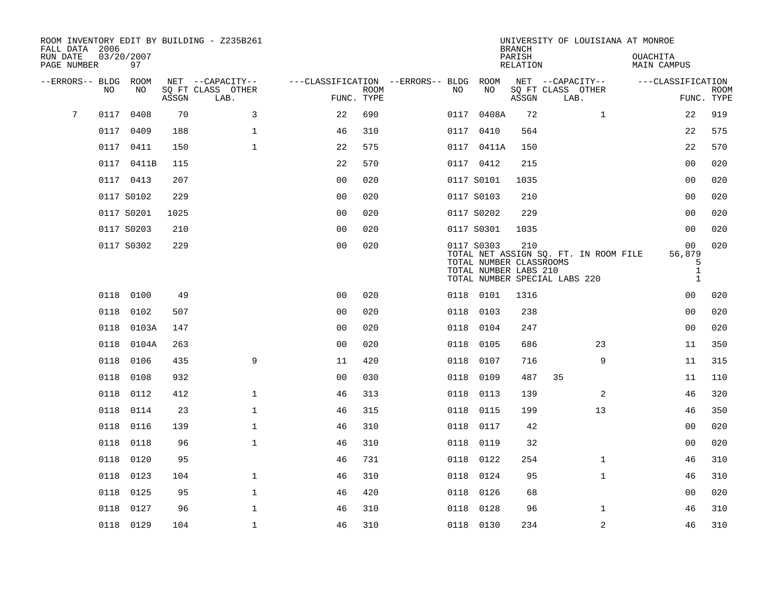| FALL DATA 2006          |      |                  |       | ROOM INVENTORY EDIT BY BUILDING - Z235B261 |                                        |             |      |                                                  | <b>BRANCH</b>      | UNIVERSITY OF LOUISIANA AT MONROE     |                                   |                           |
|-------------------------|------|------------------|-------|--------------------------------------------|----------------------------------------|-------------|------|--------------------------------------------------|--------------------|---------------------------------------|-----------------------------------|---------------------------|
| RUN DATE<br>PAGE NUMBER |      | 03/20/2007<br>97 |       |                                            |                                        |             |      |                                                  | PARISH<br>RELATION |                                       | OUACHITA<br>MAIN CAMPUS           |                           |
| --ERRORS-- BLDG         |      | ROOM             |       | NET --CAPACITY--                           | ---CLASSIFICATION --ERRORS-- BLDG ROOM |             |      |                                                  |                    | NET --CAPACITY--                      | ---CLASSIFICATION                 |                           |
|                         | NO.  | NO.              | ASSGN | SO FT CLASS OTHER<br>LAB.                  | FUNC. TYPE                             | <b>ROOM</b> | NO.  | NO                                               | ASSGN              | SQ FT CLASS OTHER<br>LAB.             |                                   | <b>ROOM</b><br>FUNC. TYPE |
| 7                       | 0117 | 0408             | 70    | 3                                          | 22                                     | 690         | 0117 | 0408A                                            | 72                 | $\mathbf{1}$                          | 22                                | 919                       |
|                         | 0117 | 0409             | 188   | $\mathbf{1}$                               | 46                                     | 310         |      | 0117 0410                                        | 564                |                                       | 22                                | 575                       |
|                         | 0117 | 0411             | 150   | $\mathbf 1$                                | 22                                     | 575         |      | 0117 0411A                                       | 150                |                                       | 22                                | 570                       |
|                         |      | 0117 0411B       | 115   |                                            | 22                                     | 570         |      | 0117 0412                                        | 215                |                                       | 0 <sub>0</sub>                    | 020                       |
|                         |      | 0117 0413        | 207   |                                            | 0 <sub>0</sub>                         | 020         |      | 0117 S0101                                       | 1035               |                                       | 0 <sub>0</sub>                    | 020                       |
|                         |      | 0117 S0102       | 229   |                                            | 0 <sub>0</sub>                         | 020         |      | 0117 S0103                                       | 210                |                                       | 0 <sub>0</sub>                    | 020                       |
|                         |      | 0117 S0201       | 1025  |                                            | 0 <sub>0</sub>                         | 020         |      | 0117 S0202                                       | 229                |                                       | 0 <sub>0</sub>                    | 020                       |
|                         |      | 0117 S0203       | 210   |                                            | 0 <sub>0</sub>                         | 020         |      | 0117 S0301                                       | 1035               |                                       | 0 <sub>0</sub>                    | 020                       |
|                         |      | 0117 S0302       | 229   |                                            | 0 <sub>0</sub>                         | 020         |      | 0117 S0303                                       | 210                | TOTAL NET ASSIGN SQ. FT. IN ROOM FILE | 0 <sub>0</sub><br>56,879          | 020                       |
|                         |      |                  |       |                                            |                                        |             |      | TOTAL NUMBER CLASSROOMS<br>TOTAL NUMBER LABS 210 |                    | TOTAL NUMBER SPECIAL LABS 220         | 5<br>$\mathbf{1}$<br>$\mathbf{1}$ |                           |
|                         | 0118 | 0100             | 49    |                                            | 0 <sub>0</sub>                         | 020         |      | 0118 0101                                        | 1316               |                                       | 00                                | 020                       |
|                         | 0118 | 0102             | 507   |                                            | 0 <sub>0</sub>                         | 020         | 0118 | 0103                                             | 238                |                                       | 0 <sub>0</sub>                    | 020                       |
|                         | 0118 | 0103A            | 147   |                                            | 0 <sub>0</sub>                         | 020         | 0118 | 0104                                             | 247                |                                       | 0 <sub>0</sub>                    | 020                       |
|                         | 0118 | 0104A            | 263   |                                            | 0 <sub>0</sub>                         | 020         | 0118 | 0105                                             | 686                | 23                                    | 11                                | 350                       |
|                         | 0118 | 0106             | 435   | 9                                          | 11                                     | 420         | 0118 | 0107                                             | 716                | 9                                     | 11                                | 315                       |
|                         | 0118 | 0108             | 932   |                                            | 0 <sub>0</sub>                         | 030         | 0118 | 0109                                             | 487                | 35                                    | 11                                | 110                       |
|                         | 0118 | 0112             | 412   | $\mathbf{1}$                               | 46                                     | 313         | 0118 | 0113                                             | 139                | 2                                     | 46                                | 320                       |
|                         | 0118 | 0114             | 23    | $\mathbf{1}$                               | 46                                     | 315         |      | 0118 0115                                        | 199                | 13                                    | 46                                | 350                       |
|                         | 0118 | 0116             | 139   | $\mathbf 1$                                | 46                                     | 310         | 0118 | 0117                                             | 42                 |                                       | 00                                | 020                       |
|                         | 0118 | 0118             | 96    | $\mathbf{1}$                               | 46                                     | 310         |      | 0118 0119                                        | 32                 |                                       | 00                                | 020                       |
|                         | 0118 | 0120             | 95    |                                            | 46                                     | 731         | 0118 | 0122                                             | 254                | $\mathbf{1}$                          | 46                                | 310                       |
|                         | 0118 | 0123             | 104   | $\mathbf 1$                                | 46                                     | 310         |      | 0118 0124                                        | 95                 | $\mathbf{1}$                          | 46                                | 310                       |
|                         | 0118 | 0125             | 95    | $\mathbf{1}$                               | 46                                     | 420         | 0118 | 0126                                             | 68                 |                                       | 00                                | 020                       |
|                         | 0118 | 0127             | 96    | $\mathbf{1}$                               | 46                                     | 310         | 0118 | 0128                                             | 96                 | $\mathbf{1}$                          | 46                                | 310                       |
|                         |      | 0118 0129        | 104   | $\mathbf{1}$                               | 46                                     | 310         |      | 0118 0130                                        | 234                | $\overline{a}$                        | 46                                | 310                       |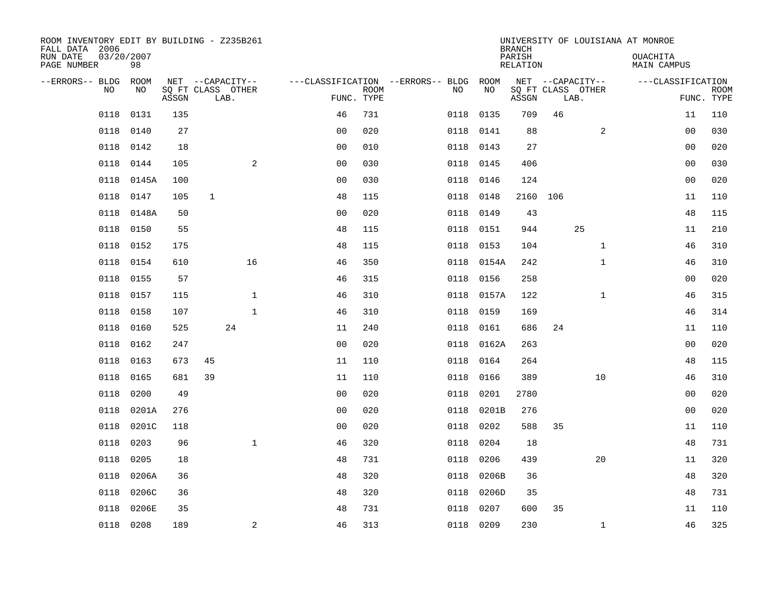| ROOM INVENTORY EDIT BY BUILDING - Z235B261<br>FALL DATA 2006 |                  |       |                           |              |                                        |             |           |            | <b>BRANCH</b>      |      |                   | UNIVERSITY OF LOUISIANA AT MONROE |                           |
|--------------------------------------------------------------|------------------|-------|---------------------------|--------------|----------------------------------------|-------------|-----------|------------|--------------------|------|-------------------|-----------------------------------|---------------------------|
| RUN DATE<br>PAGE NUMBER                                      | 03/20/2007<br>98 |       |                           |              |                                        |             |           |            | PARISH<br>RELATION |      |                   | <b>OUACHITA</b><br>MAIN CAMPUS    |                           |
| --ERRORS-- BLDG ROOM                                         |                  |       | NET --CAPACITY--          |              | ---CLASSIFICATION --ERRORS-- BLDG ROOM |             |           |            |                    |      | NET --CAPACITY--  | ---CLASSIFICATION                 |                           |
| NO                                                           | NO               | ASSGN | SQ FT CLASS OTHER<br>LAB. |              | FUNC. TYPE                             | <b>ROOM</b> | NO        | NO         | ASSGN              | LAB. | SQ FT CLASS OTHER |                                   | <b>ROOM</b><br>FUNC. TYPE |
| 0118                                                         | 0131             | 135   |                           |              | 46                                     | 731         | 0118      | 0135       | 709                | 46   |                   | 11                                | 110                       |
| 0118                                                         | 0140             | 27    |                           |              | 0 <sub>0</sub>                         | 020         | 0118      | 0141       | 88                 |      | 2                 | 00                                | 030                       |
| 0118                                                         | 0142             | 18    |                           |              | 0 <sub>0</sub>                         | 010         | 0118      | 0143       | 27                 |      |                   | 00                                | 020                       |
| 0118                                                         | 0144             | 105   |                           | 2            | 0 <sub>0</sub>                         | 030         | 0118 0145 |            | 406                |      |                   | 0 <sub>0</sub>                    | 030                       |
| 0118                                                         | 0145A            | 100   |                           |              | 00                                     | 030         | 0118      | 0146       | 124                |      |                   | 00                                | 020                       |
| 0118                                                         | 0147             | 105   | $\mathbf 1$               |              | 48                                     | 115         | 0118 0148 |            | 2160 106           |      |                   | 11                                | 110                       |
| 0118                                                         | 0148A            | 50    |                           |              | 0 <sub>0</sub>                         | 020         | 0118      | 0149       | 43                 |      |                   | 48                                | 115                       |
| 0118                                                         | 0150             | 55    |                           |              | 48                                     | 115         | 0118      | 0151       | 944                |      | 25                | 11                                | 210                       |
| 0118                                                         | 0152             | 175   |                           |              | 48                                     | 115         | 0118      | 0153       | 104                |      | $\mathbf{1}$      | 46                                | 310                       |
| 0118                                                         | 0154             | 610   |                           | 16           | 46                                     | 350         |           | 0118 0154A | 242                |      | $\mathbf{1}$      | 46                                | 310                       |
| 0118                                                         | 0155             | 57    |                           |              | 46                                     | 315         | 0118      | 0156       | 258                |      |                   | 0 <sub>0</sub>                    | 020                       |
| 0118                                                         | 0157             | 115   |                           | $\mathbf{1}$ | 46                                     | 310         |           | 0118 0157A | 122                |      | $\mathbf{1}$      | 46                                | 315                       |
| 0118                                                         | 0158             | 107   |                           | $\mathbf{1}$ | 46                                     | 310         | 0118      | 0159       | 169                |      |                   | 46                                | 314                       |
| 0118                                                         | 0160             | 525   | 24                        |              | 11                                     | 240         | 0118      | 0161       | 686                | 24   |                   | 11                                | 110                       |
| 0118                                                         | 0162             | 247   |                           |              | 0 <sub>0</sub>                         | 020         | 0118      | 0162A      | 263                |      |                   | 0 <sub>0</sub>                    | 020                       |
| 0118                                                         | 0163             | 673   | 45                        |              | 11                                     | 110         | 0118      | 0164       | 264                |      |                   | 48                                | 115                       |
| 0118                                                         | 0165             | 681   | 39                        |              | 11                                     | 110         | 0118      | 0166       | 389                |      | 10                | 46                                | 310                       |
| 0118                                                         | 0200             | 49    |                           |              | 00                                     | 020         | 0118      | 0201       | 2780               |      |                   | 00                                | 020                       |
| 0118                                                         | 0201A            | 276   |                           |              | 0 <sub>0</sub>                         | 020         | 0118      | 0201B      | 276                |      |                   | 0 <sub>0</sub>                    | 020                       |
| 0118                                                         | 0201C            | 118   |                           |              | 00                                     | 020         | 0118      | 0202       | 588                | 35   |                   | 11                                | 110                       |
| 0118                                                         | 0203             | 96    |                           | $\mathbf{1}$ | 46                                     | 320         | 0118      | 0204       | 18                 |      |                   | 48                                | 731                       |
| 0118                                                         | 0205             | 18    |                           |              | 48                                     | 731         | 0118      | 0206       | 439                |      | 20                | 11                                | 320                       |
| 0118                                                         | 0206A            | 36    |                           |              | 48                                     | 320         | 0118      | 0206B      | 36                 |      |                   | 48                                | 320                       |
| 0118                                                         | 0206C            | 36    |                           |              | 48                                     | 320         | 0118      | 0206D      | 35                 |      |                   | 48                                | 731                       |
| 0118                                                         | 0206E            | 35    |                           |              | 48                                     | 731         | 0118      | 0207       | 600                | 35   |                   | 11                                | 110                       |
|                                                              | 0118 0208        | 189   |                           | 2            | 46                                     | 313         | 0118 0209 |            | 230                |      | $\mathbf{1}$      | 46                                | 325                       |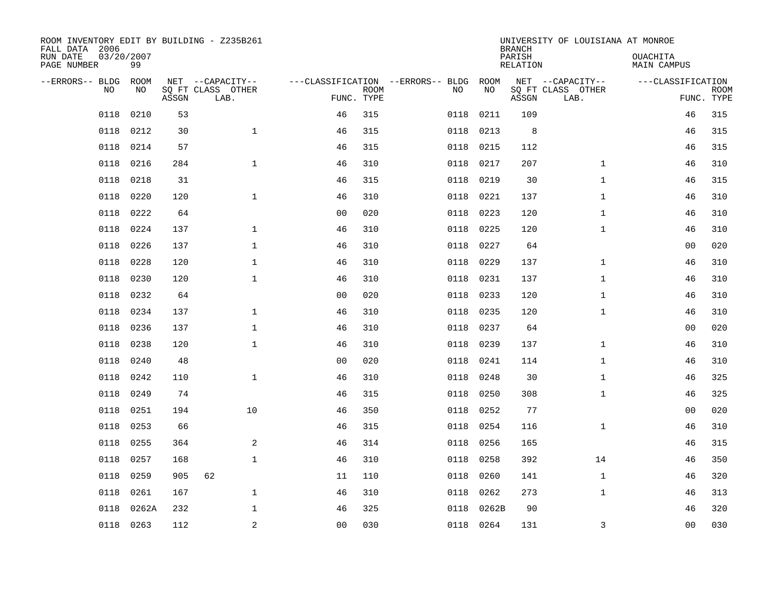| ROOM INVENTORY EDIT BY BUILDING - Z235B261<br>FALL DATA 2006 |                  |       |                           |                |             |                                   |           | <b>BRANCH</b>             | UNIVERSITY OF LOUISIANA AT MONROE |                                |                           |
|--------------------------------------------------------------|------------------|-------|---------------------------|----------------|-------------|-----------------------------------|-----------|---------------------------|-----------------------------------|--------------------------------|---------------------------|
| RUN DATE<br>PAGE NUMBER                                      | 03/20/2007<br>99 |       |                           |                |             |                                   |           | PARISH<br><b>RELATION</b> |                                   | OUACHITA<br><b>MAIN CAMPUS</b> |                           |
| --ERRORS-- BLDG                                              | ROOM             |       | NET --CAPACITY--          |                |             | ---CLASSIFICATION --ERRORS-- BLDG | ROOM      |                           | NET --CAPACITY--                  | ---CLASSIFICATION              |                           |
| NO                                                           | NO               | ASSGN | SQ FT CLASS OTHER<br>LAB. | FUNC. TYPE     | <b>ROOM</b> | NO                                | NO        | ASSGN                     | SQ FT CLASS OTHER<br>LAB.         |                                | <b>ROOM</b><br>FUNC. TYPE |
| 0118                                                         | 0210             | 53    |                           | 46             | 315         | 0118                              | 0211      | 109                       |                                   | 46                             | 315                       |
| 0118                                                         | 0212             | 30    | $\mathbf{1}$              | 46             | 315         | 0118                              | 0213      | 8                         |                                   | 46                             | 315                       |
| 0118                                                         | 0214             | 57    |                           | 46             | 315         | 0118                              | 0215      | 112                       |                                   | 46                             | 315                       |
| 0118                                                         | 0216             | 284   | $\mathbf{1}$              | 46             | 310         | 0118                              | 0217      | 207                       | $\mathbf{1}$                      | 46                             | 310                       |
| 0118                                                         | 0218             | 31    |                           | 46             | 315         | 0118                              | 0219      | 30                        | $\mathbf{1}$                      | 46                             | 315                       |
| 0118                                                         | 0220             | 120   | $\mathbf{1}$              | 46             | 310         | 0118                              | 0221      | 137                       | $\mathbf{1}$                      | 46                             | 310                       |
| 0118                                                         | 0222             | 64    |                           | 0 <sub>0</sub> | 020         | 0118                              | 0223      | 120                       | $\mathbf{1}$                      | 46                             | 310                       |
| 0118                                                         | 0224             | 137   | $\mathbf 1$               | 46             | 310         | 0118                              | 0225      | 120                       | $\mathbf{1}$                      | 46                             | 310                       |
| 0118                                                         | 0226             | 137   | $\mathbf{1}$              | 46             | 310         | 0118                              | 0227      | 64                        |                                   | 0 <sub>0</sub>                 | 020                       |
| 0118                                                         | 0228             | 120   | $\mathbf 1$               | 46             | 310         | 0118                              | 0229      | 137                       | $\mathbf{1}$                      | 46                             | 310                       |
| 0118                                                         | 0230             | 120   | $\mathbf{1}$              | 46             | 310         | 0118                              | 0231      | 137                       | $\mathbf{1}$                      | 46                             | 310                       |
| 0118                                                         | 0232             | 64    |                           | 0 <sub>0</sub> | 020         | 0118                              | 0233      | 120                       | $\mathbf{1}$                      | 46                             | 310                       |
| 0118                                                         | 0234             | 137   | $\mathbf{1}$              | 46             | 310         | 0118                              | 0235      | 120                       | $\mathbf{1}$                      | 46                             | 310                       |
| 0118                                                         | 0236             | 137   | $\mathbf{1}$              | 46             | 310         | 0118                              | 0237      | 64                        |                                   | 0 <sub>0</sub>                 | 020                       |
| 0118                                                         | 0238             | 120   | $\mathbf 1$               | 46             | 310         | 0118                              | 0239      | 137                       | $\mathbf{1}$                      | 46                             | 310                       |
| 0118                                                         | 0240             | 48    |                           | 0 <sub>0</sub> | 020         | 0118                              | 0241      | 114                       | $\mathbf{1}$                      | 46                             | 310                       |
| 0118                                                         | 0242             | 110   | $\mathbf{1}$              | 46             | 310         | 0118                              | 0248      | 30                        | $\mathbf{1}$                      | 46                             | 325                       |
| 0118                                                         | 0249             | 74    |                           | 46             | 315         | 0118                              | 0250      | 308                       | $\mathbf{1}$                      | 46                             | 325                       |
| 0118                                                         | 0251             | 194   | 10                        | 46             | 350         | 0118                              | 0252      | 77                        |                                   | 00                             | 020                       |
| 0118                                                         | 0253             | 66    |                           | 46             | 315         | 0118                              | 0254      | 116                       | $\mathbf{1}$                      | 46                             | 310                       |
| 0118                                                         | 0255             | 364   | 2                         | 46             | 314         | 0118                              | 0256      | 165                       |                                   | 46                             | 315                       |
| 0118                                                         | 0257             | 168   | $\mathbf{1}$              | 46             | 310         | 0118                              | 0258      | 392                       | 14                                | 46                             | 350                       |
| 0118                                                         | 0259             | 905   | 62                        | 11             | 110         | 0118                              | 0260      | 141                       | $\mathbf{1}$                      | 46                             | 320                       |
| 0118                                                         | 0261             | 167   | $\mathbf{1}$              | 46             | 310         | 0118                              | 0262      | 273                       | $\mathbf{1}$                      | 46                             | 313                       |
| 0118                                                         | 0262A            | 232   | $\mathbf 1$               | 46             | 325         | 0118                              | 0262B     | 90                        |                                   | 46                             | 320                       |
|                                                              | 0118 0263        | 112   | 2                         | 00             | 030         |                                   | 0118 0264 | 131                       | 3                                 | 00                             | 030                       |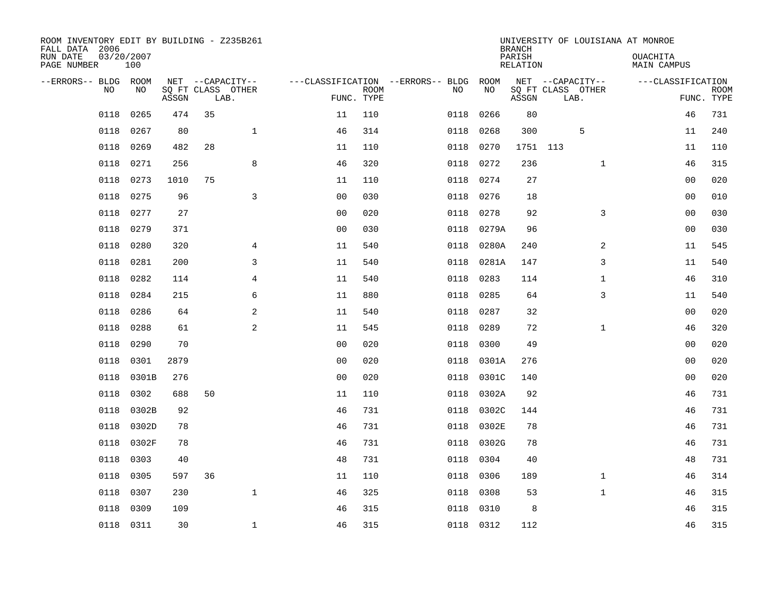| ROOM INVENTORY EDIT BY BUILDING - Z235B261<br>FALL DATA 2006 |                   |       |                           |                |                                   |             |      |           | <b>BRANCH</b>      |                           | UNIVERSITY OF LOUISIANA AT MONROE |                |                           |
|--------------------------------------------------------------|-------------------|-------|---------------------------|----------------|-----------------------------------|-------------|------|-----------|--------------------|---------------------------|-----------------------------------|----------------|---------------------------|
| RUN DATE<br>PAGE NUMBER                                      | 03/20/2007<br>100 |       |                           |                |                                   |             |      |           | PARISH<br>RELATION |                           | OUACHITA<br>MAIN CAMPUS           |                |                           |
| --ERRORS-- BLDG ROOM                                         |                   |       | NET --CAPACITY--          |                | ---CLASSIFICATION --ERRORS-- BLDG |             |      | ROOM      |                    | NET --CAPACITY--          | ---CLASSIFICATION                 |                |                           |
| N <sub>O</sub>                                               | NO.               | ASSGN | SO FT CLASS OTHER<br>LAB. |                | FUNC. TYPE                        | <b>ROOM</b> | NO.  | NO        | ASSGN              | SQ FT CLASS OTHER<br>LAB. |                                   |                | <b>ROOM</b><br>FUNC. TYPE |
| 0118                                                         | 0265              | 474   | 35                        |                | 11                                | 110         | 0118 | 0266      | 80                 |                           |                                   | 46             | 731                       |
| 0118                                                         | 0267              | 80    |                           | $\mathbf{1}$   | 46                                | 314         | 0118 | 0268      | 300                | 5                         |                                   | 11             | 240                       |
| 0118                                                         | 0269              | 482   | 28                        |                | 11                                | 110         | 0118 | 0270      | 1751 113           |                           |                                   | 11             | 110                       |
| 0118                                                         | 0271              | 256   |                           | 8              | 46                                | 320         | 0118 | 0272      | 236                | $\mathbf{1}$              |                                   | 46             | 315                       |
| 0118                                                         | 0273              | 1010  | 75                        |                | 11                                | 110         | 0118 | 0274      | 27                 |                           |                                   | 0 <sub>0</sub> | 020                       |
| 0118                                                         | 0275              | 96    |                           | $\overline{3}$ | 0 <sub>0</sub>                    | 030         | 0118 | 0276      | 18                 |                           |                                   | 0 <sub>0</sub> | 010                       |
| 0118                                                         | 0277              | 27    |                           |                | 0 <sub>0</sub>                    | 020         | 0118 | 0278      | 92                 | 3                         |                                   | 00             | 030                       |
| 0118                                                         | 0279              | 371   |                           |                | 0 <sub>0</sub>                    | 030         | 0118 | 0279A     | 96                 |                           |                                   | 0 <sub>0</sub> | 030                       |
| 0118                                                         | 0280              | 320   |                           | 4              | 11                                | 540         | 0118 | 0280A     | 240                | 2                         |                                   | 11             | 545                       |
| 0118                                                         | 0281              | 200   |                           | 3              | 11                                | 540         | 0118 | 0281A     | 147                | 3                         |                                   | 11             | 540                       |
| 0118                                                         | 0282              | 114   |                           | 4              | 11                                | 540         | 0118 | 0283      | 114                | $\mathbf{1}$              |                                   | 46             | 310                       |
| 0118                                                         | 0284              | 215   |                           | 6              | 11                                | 880         | 0118 | 0285      | 64                 | 3                         |                                   | 11             | 540                       |
| 0118                                                         | 0286              | 64    |                           | 2              | 11                                | 540         | 0118 | 0287      | 32                 |                           |                                   | 00             | 020                       |
| 0118                                                         | 0288              | 61    |                           | 2              | 11                                | 545         | 0118 | 0289      | 72                 | $\mathbf{1}$              |                                   | 46             | 320                       |
| 0118                                                         | 0290              | 70    |                           |                | 0 <sub>0</sub>                    | 020         | 0118 | 0300      | 49                 |                           |                                   | 00             | 020                       |
| 0118                                                         | 0301              | 2879  |                           |                | 0 <sub>0</sub>                    | 020         | 0118 | 0301A     | 276                |                           |                                   | 00             | 020                       |
| 0118                                                         | 0301B             | 276   |                           |                | 0 <sub>0</sub>                    | 020         | 0118 | 0301C     | 140                |                           |                                   | 0 <sub>0</sub> | 020                       |
| 0118                                                         | 0302              | 688   | 50                        |                | 11                                | 110         | 0118 | 0302A     | 92                 |                           |                                   | 46             | 731                       |
| 0118                                                         | 0302B             | 92    |                           |                | 46                                | 731         | 0118 | 0302C     | 144                |                           |                                   | 46             | 731                       |
| 0118                                                         | 0302D             | 78    |                           |                | 46                                | 731         | 0118 | 0302E     | 78                 |                           |                                   | 46             | 731                       |
| 0118                                                         | 0302F             | 78    |                           |                | 46                                | 731         | 0118 | 0302G     | 78                 |                           |                                   | 46             | 731                       |
| 0118                                                         | 0303              | 40    |                           |                | 48                                | 731         | 0118 | 0304      | 40                 |                           |                                   | 48             | 731                       |
| 0118                                                         | 0305              | 597   | 36                        |                | 11                                | 110         | 0118 | 0306      | 189                | $\mathbf{1}$              |                                   | 46             | 314                       |
| 0118                                                         | 0307              | 230   |                           | $\mathbf{1}$   | 46                                | 325         | 0118 | 0308      | 53                 | $\mathbf{1}$              |                                   | 46             | 315                       |
| 0118                                                         | 0309              | 109   |                           |                | 46                                | 315         | 0118 | 0310      | 8                  |                           |                                   | 46             | 315                       |
|                                                              | 0118 0311         | 30    |                           | $\mathbf{1}$   | 46                                | 315         |      | 0118 0312 | 112                |                           |                                   | 46             | 315                       |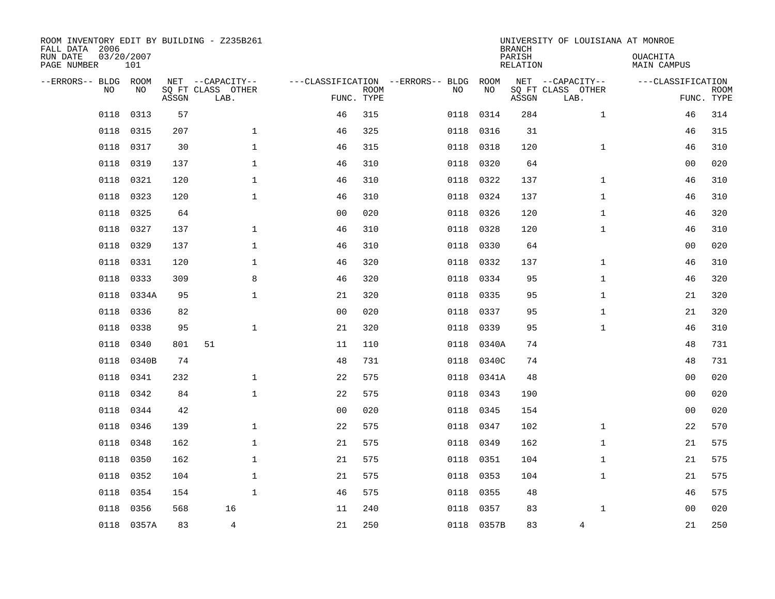| ROOM INVENTORY EDIT BY BUILDING - Z235B261<br>FALL DATA 2006<br>RUN DATE<br>PAGE NUMBER | 03/20/2007<br>101 |       |                                               |                |                           |                                         |            | <b>BRANCH</b><br>PARISH<br><b>RELATION</b> | UNIVERSITY OF LOUISIANA AT MONROE             | OUACHITA<br>MAIN CAMPUS |                           |
|-----------------------------------------------------------------------------------------|-------------------|-------|-----------------------------------------------|----------------|---------------------------|-----------------------------------------|------------|--------------------------------------------|-----------------------------------------------|-------------------------|---------------------------|
| --ERRORS-- BLDG ROOM<br>NO.                                                             | NO                | ASSGN | NET --CAPACITY--<br>SQ FT CLASS OTHER<br>LAB. |                | <b>ROOM</b><br>FUNC. TYPE | ---CLASSIFICATION --ERRORS-- BLDG<br>NO | ROOM<br>NO | ASSGN                                      | NET --CAPACITY--<br>SQ FT CLASS OTHER<br>LAB. | ---CLASSIFICATION       | <b>ROOM</b><br>FUNC. TYPE |
| 0118                                                                                    | 0313              | 57    |                                               | 46             | 315                       | 0118                                    | 0314       | 284                                        | $\mathbf{1}$                                  | 46                      | 314                       |
| 0118                                                                                    | 0315              | 207   | $\mathbf{1}$                                  | 46             | 325                       | 0118                                    | 0316       | 31                                         |                                               | 46                      | 315                       |
| 0118                                                                                    | 0317              | 30    | $\mathbf 1$                                   | 46             | 315                       | 0118                                    | 0318       | 120                                        | $\mathbf{1}$                                  | 46                      | 310                       |
| 0118                                                                                    | 0319              | 137   | $\mathbf{1}$                                  | 46             | 310                       | 0118                                    | 0320       | 64                                         |                                               | 0 <sub>0</sub>          | 020                       |
| 0118                                                                                    | 0321              | 120   | $\mathbf 1$                                   | 46             | 310                       | 0118                                    | 0322       | 137                                        | $\mathbf{1}$                                  | 46                      | 310                       |
| 0118                                                                                    | 0323              | 120   | $\mathbf{1}$                                  | 46             | 310                       | 0118                                    | 0324       | 137                                        | $\mathbf{1}$                                  | 46                      | 310                       |
| 0118                                                                                    | 0325              | 64    |                                               | 0 <sub>0</sub> | 020                       | 0118                                    | 0326       | 120                                        | $\mathbf{1}$                                  | 46                      | 320                       |
| 0118                                                                                    | 0327              | 137   | $\mathbf 1$                                   | 46             | 310                       | 0118                                    | 0328       | 120                                        | $\mathbf{1}$                                  | 46                      | 310                       |
| 0118                                                                                    | 0329              | 137   | $\mathbf{1}$                                  | 46             | 310                       | 0118                                    | 0330       | 64                                         |                                               | 0 <sub>0</sub>          | 020                       |
| 0118                                                                                    | 0331              | 120   | $\mathbf 1$                                   | 46             | 320                       | 0118                                    | 0332       | 137                                        | $\mathbf{1}$                                  | 46                      | 310                       |
| 0118                                                                                    | 0333              | 309   | 8                                             | 46             | 320                       | 0118                                    | 0334       | 95                                         | $\mathbf{1}$                                  | 46                      | 320                       |
| 0118                                                                                    | 0334A             | 95    | $\mathbf 1$                                   | 21             | 320                       | 0118                                    | 0335       | 95                                         | $\mathbf{1}$                                  | 21                      | 320                       |
| 0118                                                                                    | 0336              | 82    |                                               | 0 <sub>0</sub> | 020                       | 0118                                    | 0337       | 95                                         | $\mathbf{1}$                                  | 21                      | 320                       |
| 0118                                                                                    | 0338              | 95    | $\mathbf{1}$                                  | 21             | 320                       | 0118                                    | 0339       | 95                                         | $\mathbf{1}$                                  | 46                      | 310                       |
| 0118                                                                                    | 0340              | 801   | 51                                            | 11             | 110                       | 0118                                    | 0340A      | 74                                         |                                               | 48                      | 731                       |
| 0118                                                                                    | 0340B             | 74    |                                               | 48             | 731                       | 0118                                    | 0340C      | 74                                         |                                               | 48                      | 731                       |
| 0118                                                                                    | 0341              | 232   | $\mathbf 1$                                   | 22             | 575                       | 0118                                    | 0341A      | 48                                         |                                               | 00                      | 020                       |
| 0118                                                                                    | 0342              | 84    | $\mathbf{1}$                                  | 22             | 575                       | 0118                                    | 0343       | 190                                        |                                               | 00                      | 020                       |
| 0118                                                                                    | 0344              | 42    |                                               | 0 <sub>0</sub> | 020                       | 0118                                    | 0345       | 154                                        |                                               | 0 <sub>0</sub>          | 020                       |
| 0118                                                                                    | 0346              | 139   | $\mathbf{1}$                                  | 22             | 575                       | 0118                                    | 0347       | 102                                        | $\mathbf{1}$                                  | 22                      | 570                       |
| 0118                                                                                    | 0348              | 162   | $\mathbf{1}$                                  | 21             | 575                       | 0118                                    | 0349       | 162                                        | $\mathbf{1}$                                  | 21                      | 575                       |
| 0118                                                                                    | 0350              | 162   | $\mathbf{1}$                                  | 21             | 575                       | 0118                                    | 0351       | 104                                        | $\mathbf{1}$                                  | 21                      | 575                       |
| 0118                                                                                    | 0352              | 104   | $\mathbf{1}$                                  | 21             | 575                       | 0118                                    | 0353       | 104                                        | $\mathbf{1}$                                  | 21                      | 575                       |
| 0118                                                                                    | 0354              | 154   | $\mathbf{1}$                                  | 46             | 575                       | 0118                                    | 0355       | 48                                         |                                               | 46                      | 575                       |
| 0118                                                                                    | 0356              | 568   | 16                                            | 11             | 240                       | 0118                                    | 0357       | 83                                         | $\mathbf{1}$                                  | 0 <sub>0</sub>          | 020                       |
|                                                                                         | 0118 0357A        | 83    | $\overline{4}$                                | 21             | 250                       |                                         | 0118 0357B | 83                                         | 4                                             | 21                      | 250                       |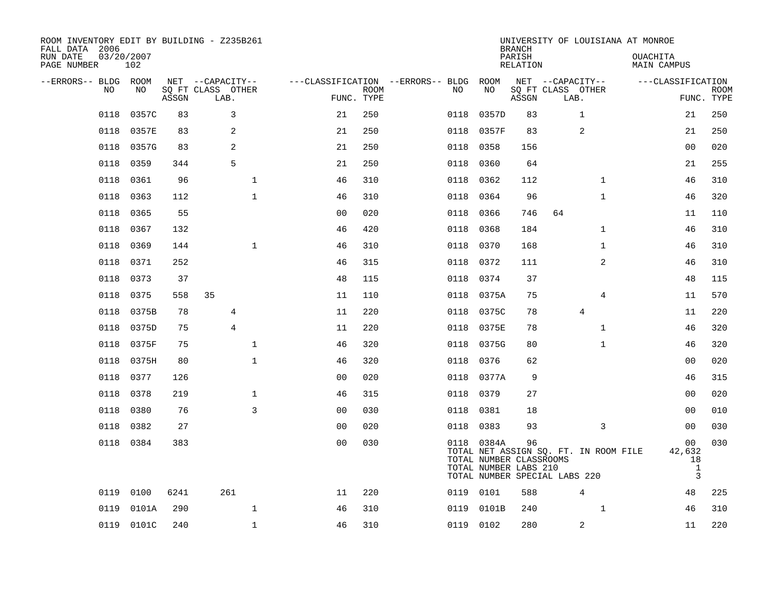| ROOM INVENTORY EDIT BY BUILDING - Z235B261<br>FALL DATA 2006<br>RUN DATE<br>PAGE NUMBER | 03/20/2007<br>102 |       |                           |                |                           |                                   |                                                                | <b>BRANCH</b><br>PARISH<br><b>RELATION</b> | UNIVERSITY OF LOUISIANA AT MONROE                                      | OUACHITA<br><b>MAIN CAMPUS</b>                     |                           |
|-----------------------------------------------------------------------------------------|-------------------|-------|---------------------------|----------------|---------------------------|-----------------------------------|----------------------------------------------------------------|--------------------------------------------|------------------------------------------------------------------------|----------------------------------------------------|---------------------------|
| --ERRORS-- BLDG ROOM                                                                    |                   |       | NET --CAPACITY--          |                |                           | ---CLASSIFICATION --ERRORS-- BLDG | ROOM                                                           |                                            | NET --CAPACITY--                                                       | ---CLASSIFICATION                                  |                           |
| <b>NO</b>                                                                               | NO.               | ASSGN | SQ FT CLASS OTHER<br>LAB. |                | <b>ROOM</b><br>FUNC. TYPE | NO                                | NO                                                             | ASSGN                                      | SQ FT CLASS OTHER<br>LAB.                                              |                                                    | <b>ROOM</b><br>FUNC. TYPE |
| 0118                                                                                    | 0357C             | 83    | 3                         | 21             | 250                       | 0118                              | 0357D                                                          | 83                                         | 1                                                                      | 21                                                 | 250                       |
| 0118                                                                                    | 0357E             | 83    | 2                         | 21             | 250                       | 0118                              | 0357F                                                          | 83                                         | 2                                                                      | 21                                                 | 250                       |
| 0118                                                                                    | 0357G             | 83    | 2                         | 21             | 250                       | 0118                              | 0358                                                           | 156                                        |                                                                        | 00                                                 | 020                       |
| 0118                                                                                    | 0359              | 344   | 5                         | 21             | 250                       | 0118                              | 0360                                                           | 64                                         |                                                                        | 21                                                 | 255                       |
| 0118                                                                                    | 0361              | 96    | $\mathbf 1$               | 46             | 310                       | 0118                              | 0362                                                           | 112                                        | $\mathbf{1}$                                                           | 46                                                 | 310                       |
| 0118                                                                                    | 0363              | 112   | $\mathbf 1$               | 46             | 310                       | 0118                              | 0364                                                           | 96                                         | $\mathbf{1}$                                                           | 46                                                 | 320                       |
| 0118                                                                                    | 0365              | 55    |                           | 0 <sub>0</sub> | 020                       | 0118                              | 0366                                                           | 746                                        | 64                                                                     | 11                                                 | 110                       |
| 0118                                                                                    | 0367              | 132   |                           | 46             | 420                       | 0118                              | 0368                                                           | 184                                        | $\mathbf{1}$                                                           | 46                                                 | 310                       |
| 0118                                                                                    | 0369              | 144   | $\mathbf{1}$              | 46             | 310                       | 0118                              | 0370                                                           | 168                                        | $\mathbf{1}$                                                           | 46                                                 | 310                       |
| 0118                                                                                    | 0371              | 252   |                           | 46             | 315                       | 0118                              | 0372                                                           | 111                                        | 2                                                                      | 46                                                 | 310                       |
| 0118                                                                                    | 0373              | 37    |                           | 48             | 115                       | 0118                              | 0374                                                           | 37                                         |                                                                        | 48                                                 | 115                       |
| 0118                                                                                    | 0375              | 558   | 35                        | 11             | 110                       | 0118                              | 0375A                                                          | 75                                         | 4                                                                      | 11                                                 | 570                       |
| 0118                                                                                    | 0375B             | 78    | 4                         | 11             | 220                       | 0118                              | 0375C                                                          | 78                                         | 4                                                                      | 11                                                 | 220                       |
| 0118                                                                                    | 0375D             | 75    | $\overline{4}$            | 11             | 220                       |                                   | 0118 0375E                                                     | 78                                         | $\mathbf{1}$                                                           | 46                                                 | 320                       |
| 0118                                                                                    | 0375F             | 75    | $\mathbf{1}$              | 46             | 320                       | 0118                              | 0375G                                                          | 80                                         | $\mathbf{1}$                                                           | 46                                                 | 320                       |
| 0118                                                                                    | 0375H             | 80    | $\mathbf 1$               | 46             | 320                       | 0118                              | 0376                                                           | 62                                         |                                                                        | 00                                                 | 020                       |
| 0118                                                                                    | 0377              | 126   |                           | 0 <sub>0</sub> | 020                       | 0118                              | 0377A                                                          | 9                                          |                                                                        | 46                                                 | 315                       |
| 0118                                                                                    | 0378              | 219   | $\mathbf 1$               | 46             | 315                       |                                   | 0118 0379                                                      | 27                                         |                                                                        | 0 <sub>0</sub>                                     | 020                       |
| 0118                                                                                    | 0380              | 76    | 3                         | 0 <sub>0</sub> | 030                       | 0118                              | 0381                                                           | 18                                         |                                                                        | 0 <sub>0</sub>                                     | 010                       |
| 0118                                                                                    | 0382              | 27    |                           | 0 <sub>0</sub> | 020                       |                                   | 0118 0383                                                      | 93                                         | 3                                                                      | 0 <sub>0</sub>                                     | 030                       |
| 0118                                                                                    | 0384              | 383   |                           | 0 <sub>0</sub> | 030                       |                                   | 0118 0384A<br>TOTAL NUMBER CLASSROOMS<br>TOTAL NUMBER LABS 210 | 96                                         | TOTAL NET ASSIGN SQ. FT. IN ROOM FILE<br>TOTAL NUMBER SPECIAL LABS 220 | 00<br>42,632<br>18<br>$\mathbf{1}$<br>$\mathbf{3}$ | 030                       |
| 0119                                                                                    | 0100              | 6241  | 261                       | 11             | 220                       |                                   | 0119 0101                                                      | 588                                        | 4                                                                      | 48                                                 | 225                       |
| 0119                                                                                    | 0101A             | 290   | $\mathbf{1}$              | 46             | 310                       | 0119                              | 0101B                                                          | 240                                        | $\mathbf{1}$                                                           | 46                                                 | 310                       |
|                                                                                         | 0119 0101C        | 240   | $\mathbf{1}$              | 46             | 310                       |                                   | 0119 0102                                                      | 280                                        | 2                                                                      | 11                                                 | 220                       |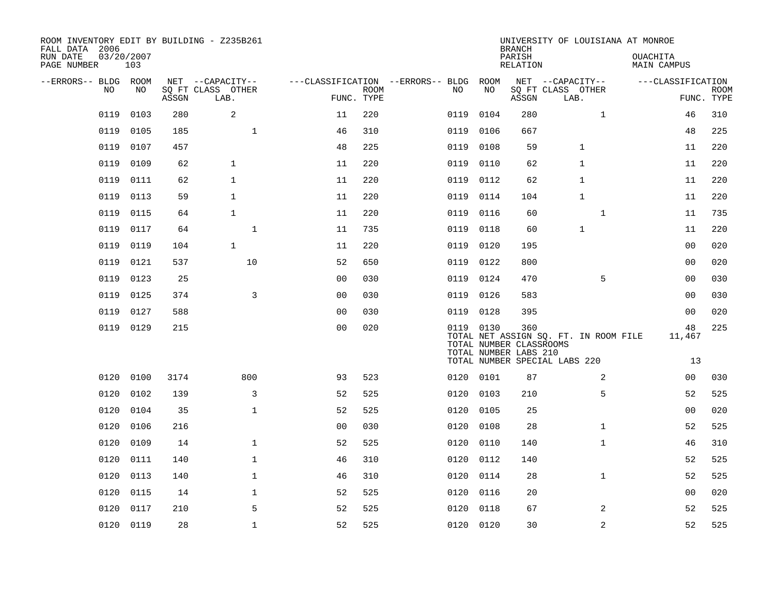| ROOM INVENTORY EDIT BY BUILDING - Z235B261<br>FALL DATA 2006<br>RUN DATE<br>PAGE NUMBER | 03/20/2007<br>103 |       |                           |                                   |                           |      |           | <b>BRANCH</b><br>PARISH<br><b>RELATION</b>              |                                                                        |              | UNIVERSITY OF LOUISIANA AT MONROE<br>OUACHITA<br>MAIN CAMPUS |                    |                           |
|-----------------------------------------------------------------------------------------|-------------------|-------|---------------------------|-----------------------------------|---------------------------|------|-----------|---------------------------------------------------------|------------------------------------------------------------------------|--------------|--------------------------------------------------------------|--------------------|---------------------------|
| --ERRORS-- BLDG ROOM                                                                    |                   |       | NET --CAPACITY--          | ---CLASSIFICATION --ERRORS-- BLDG |                           |      | ROOM      |                                                         | NET --CAPACITY--                                                       |              | ---CLASSIFICATION                                            |                    |                           |
| NO                                                                                      | NO                | ASSGN | SQ FT CLASS OTHER<br>LAB. |                                   | <b>ROOM</b><br>FUNC. TYPE | NO   | NO        | ASSGN                                                   | SQ FT CLASS OTHER<br>LAB.                                              |              |                                                              |                    | <b>ROOM</b><br>FUNC. TYPE |
| 0119                                                                                    | 0103              | 280   | 2                         | 11                                | 220                       | 0119 | 0104      | 280                                                     |                                                                        | $\mathbf{1}$ |                                                              | 46                 | 310                       |
| 0119                                                                                    | 0105              | 185   | 1                         | 46                                | 310                       | 0119 | 0106      | 667                                                     |                                                                        |              |                                                              | 48                 | 225                       |
| 0119                                                                                    | 0107              | 457   |                           | 48                                | 225                       | 0119 | 0108      | 59                                                      | $\mathbf 1$                                                            |              |                                                              | 11                 | 220                       |
| 0119                                                                                    | 0109              | 62    | $\mathbf{1}$              | 11                                | 220                       | 0119 | 0110      | 62                                                      | 1                                                                      |              |                                                              | 11                 | 220                       |
| 0119                                                                                    | 0111              | 62    | $\mathbf{1}$              | 11                                | 220                       | 0119 | 0112      | 62                                                      | 1                                                                      |              |                                                              | 11                 | 220                       |
| 0119                                                                                    | 0113              | 59    | $\mathbf{1}$              | 11                                | 220                       | 0119 | 0114      | 104                                                     | $\mathbf{1}$                                                           |              |                                                              | 11                 | 220                       |
| 0119                                                                                    | 0115              | 64    | $\mathbf{1}$              | 11                                | 220                       | 0119 | 0116      | 60                                                      |                                                                        | $\mathbf{1}$ |                                                              | 11                 | 735                       |
| 0119                                                                                    | 0117              | 64    | $\mathbf{1}$              | 11                                | 735                       | 0119 | 0118      | 60                                                      | $\mathbf{1}$                                                           |              |                                                              | 11                 | 220                       |
| 0119                                                                                    | 0119              | 104   | $\mathbf{1}$              | 11                                | 220                       | 0119 | 0120      | 195                                                     |                                                                        |              |                                                              | 00                 | 020                       |
| 0119                                                                                    | 0121              | 537   | 10                        | 52                                | 650                       | 0119 | 0122      | 800                                                     |                                                                        |              |                                                              | 00                 | 020                       |
| 0119                                                                                    | 0123              | 25    |                           | 0 <sub>0</sub>                    | 030                       | 0119 | 0124      | 470                                                     |                                                                        | 5            |                                                              | 0 <sub>0</sub>     | 030                       |
| 0119                                                                                    | 0125              | 374   | 3                         | 0 <sub>0</sub>                    | 030                       | 0119 | 0126      | 583                                                     |                                                                        |              |                                                              | 00                 | 030                       |
| 0119                                                                                    | 0127              | 588   |                           | 0 <sub>0</sub>                    | 030                       | 0119 | 0128      | 395                                                     |                                                                        |              |                                                              | 0 <sub>0</sub>     | 020                       |
|                                                                                         | 0119 0129         | 215   |                           | 00                                | 020                       |      | 0119 0130 | 360<br>TOTAL NUMBER CLASSROOMS<br>TOTAL NUMBER LABS 210 | TOTAL NET ASSIGN SQ. FT. IN ROOM FILE<br>TOTAL NUMBER SPECIAL LABS 220 |              |                                                              | 48<br>11,467<br>13 | 225                       |
| 0120                                                                                    | 0100              | 3174  | 800                       | 93                                | 523                       | 0120 | 0101      | 87                                                      |                                                                        | 2            |                                                              | 00                 | 030                       |
| 0120                                                                                    | 0102              | 139   | 3                         | 52                                | 525                       | 0120 | 0103      | 210                                                     |                                                                        | 5            |                                                              | 52                 | 525                       |
| 0120                                                                                    | 0104              | 35    | $\mathbf{1}$              | 52                                | 525                       | 0120 | 0105      | 25                                                      |                                                                        |              |                                                              | 00                 | 020                       |
| 0120                                                                                    | 0106              | 216   |                           | 0 <sub>0</sub>                    | 030                       | 0120 | 0108      | 28                                                      |                                                                        | $\mathbf{1}$ |                                                              | 52                 | 525                       |
| 0120                                                                                    | 0109              | 14    | $\mathbf{1}$              | 52                                | 525                       | 0120 | 0110      | 140                                                     |                                                                        | $\mathbf{1}$ |                                                              | 46                 | 310                       |
|                                                                                         |                   | 140   | $\mathbf 1$               | 46                                | 310                       |      | 0112      | 140                                                     |                                                                        |              |                                                              | 52                 | 525                       |
| 0120<br>0120                                                                            | 0111<br>0113      |       | $\mathbf 1$               |                                   |                           | 0120 |           | 28                                                      |                                                                        | $\mathbf{1}$ |                                                              | 52                 | 525                       |
|                                                                                         |                   | 140   |                           | 46                                | 310                       | 0120 | 0114      |                                                         |                                                                        |              |                                                              |                    |                           |
| 0120                                                                                    | 0115              | 14    | $\mathbf 1$               | 52                                | 525                       | 0120 | 0116      | 20                                                      |                                                                        |              |                                                              | 0 <sub>0</sub>     | 020                       |
| 0120                                                                                    | 0117              | 210   | 5                         | 52                                | 525                       | 0120 | 0118      | 67                                                      |                                                                        | 2            |                                                              | 52                 | 525                       |
|                                                                                         | 0120 0119         | 28    | 1                         | 52                                | 525                       |      | 0120 0120 | 30                                                      |                                                                        | 2            |                                                              | 52                 | 525                       |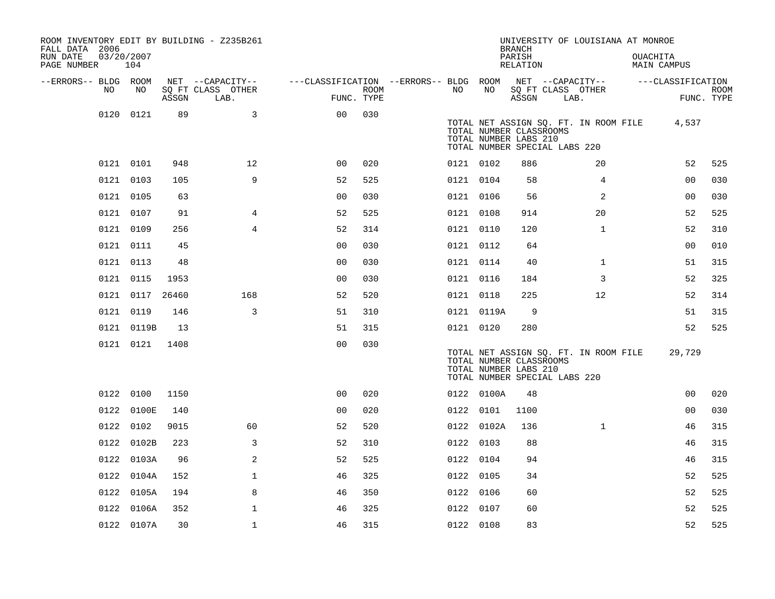| ROOM INVENTORY EDIT BY BUILDING - Z235B261<br>FALL DATA 2006 |                   |       |                           |                                        |             |           |            | <b>BRANCH</b>                                                                     |      | UNIVERSITY OF LOUISIANA AT MONROE     |                                |                           |
|--------------------------------------------------------------|-------------------|-------|---------------------------|----------------------------------------|-------------|-----------|------------|-----------------------------------------------------------------------------------|------|---------------------------------------|--------------------------------|---------------------------|
| RUN DATE<br>PAGE NUMBER                                      | 03/20/2007<br>104 |       |                           |                                        |             |           |            | PARISH<br>RELATION                                                                |      |                                       | <b>OUACHITA</b><br>MAIN CAMPUS |                           |
| --ERRORS-- BLDG ROOM                                         |                   |       | NET --CAPACITY--          | ---CLASSIFICATION --ERRORS-- BLDG ROOM |             |           |            |                                                                                   |      | NET --CAPACITY--                      | ---CLASSIFICATION              |                           |
| NO                                                           | NO                | ASSGN | SQ FT CLASS OTHER<br>LAB. | FUNC. TYPE                             | <b>ROOM</b> | NO.       | NO         | ASSGN                                                                             | LAB. | SQ FT CLASS OTHER                     |                                | <b>ROOM</b><br>FUNC. TYPE |
| 0120                                                         | 0121              | 89    | 3                         | 0 <sub>0</sub>                         | 030         |           |            |                                                                                   |      |                                       |                                |                           |
|                                                              |                   |       |                           |                                        |             |           |            | TOTAL NUMBER CLASSROOMS<br>TOTAL NUMBER LABS 210<br>TOTAL NUMBER SPECIAL LABS 220 |      | TOTAL NET ASSIGN SQ. FT. IN ROOM FILE | 4,537                          |                           |
|                                                              | 0121 0101         | 948   | 12 <sup>°</sup>           | 0 <sub>0</sub>                         | 020         | 0121 0102 |            | 886                                                                               |      | 20                                    | 52                             | 525                       |
|                                                              | 0121 0103         | 105   | 9                         | 52                                     | 525         | 0121 0104 |            | 58                                                                                |      | 4                                     | 0 <sub>0</sub>                 | 030                       |
|                                                              | 0121 0105         | 63    |                           | 0 <sub>0</sub>                         | 030         | 0121 0106 |            | 56                                                                                |      | 2                                     | 0 <sub>0</sub>                 | 030                       |
|                                                              | 0121 0107         | 91    | 4                         | 52                                     | 525         | 0121 0108 |            | 914                                                                               |      | 20                                    | 52                             | 525                       |
|                                                              | 0121 0109         | 256   | $\overline{4}$            | 52                                     | 314         | 0121 0110 |            | 120                                                                               |      | $\mathbf{1}$                          | 52                             | 310                       |
|                                                              | 0121 0111         | 45    |                           | 0 <sub>0</sub>                         | 030         | 0121 0112 |            | 64                                                                                |      |                                       | 0 <sub>0</sub>                 | 010                       |
|                                                              | 0121 0113         | 48    |                           | 0 <sub>0</sub>                         | 030         | 0121 0114 |            | 40                                                                                |      | $\mathbf{1}$                          | 51                             | 315                       |
|                                                              | 0121 0115         | 1953  |                           | 0 <sub>0</sub>                         | 030         | 0121 0116 |            | 184                                                                               |      | 3                                     | 52                             | 325                       |
|                                                              | 0121 0117         | 26460 | 168                       | 52                                     | 520         | 0121 0118 |            | 225                                                                               |      | 12                                    | 52                             | 314                       |
|                                                              | 0121 0119         | 146   | 3                         | 51                                     | 310         |           | 0121 0119A | 9                                                                                 |      |                                       | 51                             | 315                       |
|                                                              | 0121 0119B        | 13    |                           | 51                                     | 315         | 0121 0120 |            | 280                                                                               |      |                                       | 52                             | 525                       |
|                                                              | 0121 0121         | 1408  |                           | 0 <sub>0</sub>                         | 030         |           |            | TOTAL NUMBER CLASSROOMS<br>TOTAL NUMBER LABS 210<br>TOTAL NUMBER SPECIAL LABS 220 |      | TOTAL NET ASSIGN SQ. FT. IN ROOM FILE | 29,729                         |                           |
|                                                              | 0122 0100         | 1150  |                           | 0 <sub>0</sub>                         | 020         |           | 0122 0100A | 48                                                                                |      |                                       | 0 <sub>0</sub>                 | 020                       |
| 0122                                                         | 0100E             | 140   |                           | 0 <sub>0</sub>                         | 020         | 0122 0101 |            | 1100                                                                              |      |                                       | 0 <sub>0</sub>                 | 030                       |
|                                                              | 0122 0102         | 9015  | 60                        | 52                                     | 520         |           | 0122 0102A | 136                                                                               |      | $\mathbf{1}$                          | 46                             | 315                       |
|                                                              | 0122 0102B        | 223   | 3                         | 52                                     | 310         | 0122 0103 |            | 88                                                                                |      |                                       | 46                             | 315                       |
| 0122                                                         | 0103A             | 96    | 2                         | 52                                     | 525         | 0122 0104 |            | 94                                                                                |      |                                       | 46                             | 315                       |
|                                                              | 0122 0104A        | 152   | $\mathbf 1$               | 46                                     | 325         | 0122 0105 |            | 34                                                                                |      |                                       | 52                             | 525                       |
|                                                              | 0122 0105A        | 194   | 8                         | 46                                     | 350         | 0122 0106 |            | 60                                                                                |      |                                       | 52                             | 525                       |
|                                                              | 0122 0106A        | 352   | $\mathbf{1}$              | 46                                     | 325         | 0122 0107 |            | 60                                                                                |      |                                       | 52                             | 525                       |
|                                                              | 0122 0107A        | 30    | $\mathbf 1$               | 46                                     | 315         | 0122 0108 |            | 83                                                                                |      |                                       | 52                             | 525                       |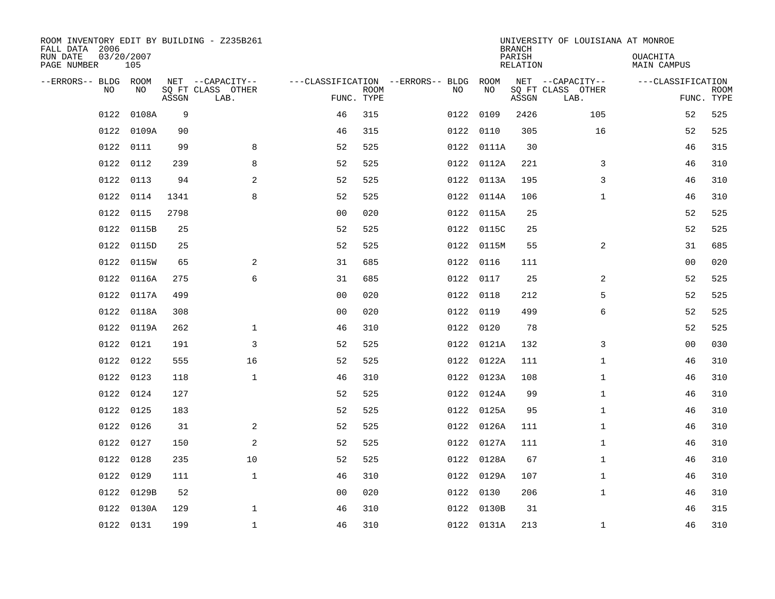| ROOM INVENTORY EDIT BY BUILDING - Z235B261<br>FALL DATA 2006 |                   |       |                           |                |             |                                        |            | <b>BRANCH</b>      | UNIVERSITY OF LOUISIANA AT MONROE |                                |                           |
|--------------------------------------------------------------|-------------------|-------|---------------------------|----------------|-------------|----------------------------------------|------------|--------------------|-----------------------------------|--------------------------------|---------------------------|
| RUN DATE<br>PAGE NUMBER                                      | 03/20/2007<br>105 |       |                           |                |             |                                        |            | PARISH<br>RELATION |                                   | <b>OUACHITA</b><br>MAIN CAMPUS |                           |
| --ERRORS-- BLDG ROOM                                         |                   |       | NET --CAPACITY--          |                |             | ---CLASSIFICATION --ERRORS-- BLDG ROOM |            |                    | NET --CAPACITY--                  | ---CLASSIFICATION              |                           |
| NO                                                           | NO                | ASSGN | SQ FT CLASS OTHER<br>LAB. | FUNC. TYPE     | <b>ROOM</b> | NO                                     | NO         | ASSGN              | SQ FT CLASS OTHER<br>LAB.         |                                | <b>ROOM</b><br>FUNC. TYPE |
| 0122                                                         | 0108A             | 9     |                           | 46             | 315         |                                        | 0122 0109  | 2426               | 105                               | 52                             | 525                       |
| 0122                                                         | 0109A             | 90    |                           | 46             | 315         |                                        | 0122 0110  | 305                | 16                                | 52                             | 525                       |
| 0122                                                         | 0111              | 99    | 8                         | 52             | 525         |                                        | 0122 0111A | 30                 |                                   | 46                             | 315                       |
| 0122                                                         | 0112              | 239   | 8                         | 52             | 525         |                                        | 0122 0112A | 221                | 3                                 | 46                             | 310                       |
| 0122                                                         | 0113              | 94    | $\overline{a}$            | 52             | 525         |                                        | 0122 0113A | 195                | 3                                 | 46                             | 310                       |
| 0122                                                         | 0114              | 1341  | 8                         | 52             | 525         |                                        | 0122 0114A | 106                | $\mathbf{1}$                      | 46                             | 310                       |
| 0122                                                         | 0115              | 2798  |                           | 0 <sub>0</sub> | 020         |                                        | 0122 0115A | 25                 |                                   | 52                             | 525                       |
| 0122                                                         | 0115B             | 25    |                           | 52             | 525         |                                        | 0122 0115C | 25                 |                                   | 52                             | 525                       |
| 0122                                                         | 0115D             | 25    |                           | 52             | 525         |                                        | 0122 0115M | 55                 | $\overline{a}$                    | 31                             | 685                       |
| 0122                                                         | 0115W             | 65    | 2                         | 31             | 685         |                                        | 0122 0116  | 111                |                                   | 00                             | 020                       |
| 0122                                                         | 0116A             | 275   | 6                         | 31             | 685         |                                        | 0122 0117  | 25                 | $\overline{2}$                    | 52                             | 525                       |
| 0122                                                         | 0117A             | 499   |                           | 0 <sub>0</sub> | 020         |                                        | 0122 0118  | 212                | 5                                 | 52                             | 525                       |
| 0122                                                         | 0118A             | 308   |                           | 0 <sub>0</sub> | 020         |                                        | 0122 0119  | 499                | 6                                 | 52                             | 525                       |
| 0122                                                         | 0119A             | 262   | $\mathbf 1$               | 46             | 310         |                                        | 0122 0120  | 78                 |                                   | 52                             | 525                       |
| 0122                                                         | 0121              | 191   | 3                         | 52             | 525         |                                        | 0122 0121A | 132                | 3                                 | 0 <sub>0</sub>                 | 030                       |
| 0122                                                         | 0122              | 555   | 16                        | 52             | 525         |                                        | 0122 0122A | 111                | $\mathbf{1}$                      | 46                             | 310                       |
|                                                              | 0122 0123         | 118   | $\mathbf{1}$              | 46             | 310         |                                        | 0122 0123A | 108                | $\mathbf{1}$                      | 46                             | 310                       |
| 0122                                                         | 0124              | 127   |                           | 52             | 525         |                                        | 0122 0124A | 99                 | $\mathbf{1}$                      | 46                             | 310                       |
|                                                              | 0122 0125         | 183   |                           | 52             | 525         |                                        | 0122 0125A | 95                 | $\mathbf{1}$                      | 46                             | 310                       |
| 0122                                                         | 0126              | 31    | 2                         | 52             | 525         |                                        | 0122 0126A | 111                | $\mathbf{1}$                      | 46                             | 310                       |
| 0122                                                         | 0127              | 150   | 2                         | 52             | 525         |                                        | 0122 0127A | 111                | $\mathbf{1}$                      | 46                             | 310                       |
| 0122                                                         | 0128              | 235   | 10                        | 52             | 525         |                                        | 0122 0128A | 67                 | $\mathbf{1}$                      | 46                             | 310                       |
| 0122                                                         | 0129              | 111   | $\mathbf{1}$              | 46             | 310         |                                        | 0122 0129A | 107                | $\mathbf{1}$                      | 46                             | 310                       |
| 0122                                                         | 0129B             | 52    |                           | 0 <sub>0</sub> | 020         |                                        | 0122 0130  | 206                | $\mathbf{1}$                      | 46                             | 310                       |
| 0122                                                         | 0130A             | 129   | $\mathbf{1}$              | 46             | 310         |                                        | 0122 0130B | 31                 |                                   | 46                             | 315                       |
|                                                              | 0122 0131         | 199   | $\mathbf{1}$              | 46             | 310         |                                        | 0122 0131A | 213                | $\mathbf{1}$                      | 46                             | 310                       |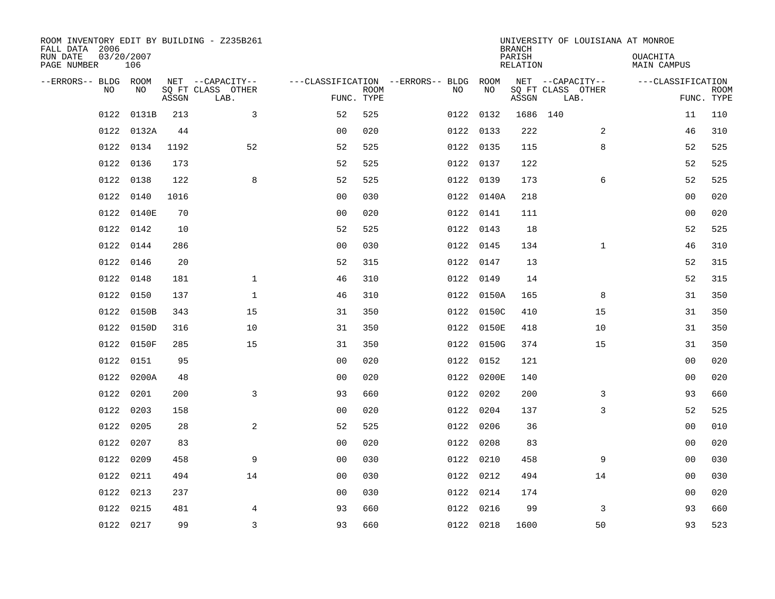| ROOM INVENTORY EDIT BY BUILDING - Z235B261<br>FALL DATA 2006 |                   |       |                           |                                        |             |           |            | <b>BRANCH</b>      | UNIVERSITY OF LOUISIANA AT MONROE |                                |                           |
|--------------------------------------------------------------|-------------------|-------|---------------------------|----------------------------------------|-------------|-----------|------------|--------------------|-----------------------------------|--------------------------------|---------------------------|
| RUN DATE<br>PAGE NUMBER                                      | 03/20/2007<br>106 |       |                           |                                        |             |           |            | PARISH<br>RELATION |                                   | <b>OUACHITA</b><br>MAIN CAMPUS |                           |
| --ERRORS-- BLDG ROOM                                         |                   |       | NET --CAPACITY--          | ---CLASSIFICATION --ERRORS-- BLDG ROOM |             |           |            |                    | NET --CAPACITY--                  | ---CLASSIFICATION              |                           |
| NO.                                                          | NO.               | ASSGN | SQ FT CLASS OTHER<br>LAB. | FUNC. TYPE                             | <b>ROOM</b> | NO.       | NO         | ASSGN              | SQ FT CLASS OTHER<br>LAB.         |                                | <b>ROOM</b><br>FUNC. TYPE |
| 0122                                                         | 0131B             | 213   | 3                         | 52                                     | 525         | 0122 0132 |            | 1686 140           |                                   | 11                             | 110                       |
|                                                              | 0122 0132A        | 44    |                           | 0 <sub>0</sub>                         | 020         | 0122 0133 |            | 222                | 2                                 | 46                             | 310                       |
|                                                              | 0122 0134         | 1192  | 52                        | 52                                     | 525         | 0122 0135 |            | 115                | 8                                 | 52                             | 525                       |
|                                                              | 0122 0136         | 173   |                           | 52                                     | 525         | 0122 0137 |            | 122                |                                   | 52                             | 525                       |
| 0122                                                         | 0138              | 122   | 8                         | 52                                     | 525         | 0122 0139 |            | 173                | 6                                 | 52                             | 525                       |
| 0122                                                         | 0140              | 1016  |                           | 0 <sub>0</sub>                         | 030         |           | 0122 0140A | 218                |                                   | 0 <sub>0</sub>                 | 020                       |
| 0122                                                         | 0140E             | 70    |                           | 0 <sub>0</sub>                         | 020         | 0122 0141 |            | 111                |                                   | 0 <sub>0</sub>                 | 020                       |
| 0122                                                         | 0142              | 10    |                           | 52                                     | 525         | 0122 0143 |            | 18                 |                                   | 52                             | 525                       |
| 0122                                                         | 0144              | 286   |                           | 0 <sub>0</sub>                         | 030         | 0122 0145 |            | 134                | $\mathbf{1}$                      | 46                             | 310                       |
| 0122                                                         | 0146              | 20    |                           | 52                                     | 315         | 0122 0147 |            | 13                 |                                   | 52                             | 315                       |
| 0122                                                         | 0148              | 181   | $\mathbf{1}$              | 46                                     | 310         | 0122 0149 |            | 14                 |                                   | 52                             | 315                       |
| 0122                                                         | 0150              | 137   | $\mathbf{1}$              | 46                                     | 310         |           | 0122 0150A | 165                | 8                                 | 31                             | 350                       |
| 0122                                                         | 0150B             | 343   | 15                        | 31                                     | 350         |           | 0122 0150C | 410                | 15                                | 31                             | 350                       |
| 0122                                                         | 0150D             | 316   | 10                        | 31                                     | 350         |           | 0122 0150E | 418                | 10                                | 31                             | 350                       |
| 0122                                                         | 0150F             | 285   | 15                        | 31                                     | 350         |           | 0122 0150G | 374                | 15                                | 31                             | 350                       |
| 0122                                                         | 0151              | 95    |                           | 0 <sub>0</sub>                         | 020         | 0122 0152 |            | 121                |                                   | 0 <sub>0</sub>                 | 020                       |
| 0122                                                         | 0200A             | 48    |                           | 0 <sub>0</sub>                         | 020         |           | 0122 0200E | 140                |                                   | 00                             | 020                       |
| 0122                                                         | 0201              | 200   | 3                         | 93                                     | 660         | 0122 0202 |            | 200                | 3                                 | 93                             | 660                       |
| 0122                                                         | 0203              | 158   |                           | 0 <sub>0</sub>                         | 020         | 0122 0204 |            | 137                | 3                                 | 52                             | 525                       |
| 0122                                                         | 0205              | 28    | 2                         | 52                                     | 525         | 0122 0206 |            | 36                 |                                   | 0 <sub>0</sub>                 | 010                       |
| 0122                                                         | 0207              | 83    |                           | 0 <sub>0</sub>                         | 020         | 0122 0208 |            | 83                 |                                   | 0 <sub>0</sub>                 | 020                       |
| 0122                                                         | 0209              | 458   | 9                         | 0 <sub>0</sub>                         | 030         | 0122 0210 |            | 458                | 9                                 | 00                             | 030                       |
|                                                              | 0122 0211         | 494   | 14                        | 0 <sub>0</sub>                         | 030         | 0122 0212 |            | 494                | 14                                | 00                             | 030                       |
| 0122                                                         | 0213              | 237   |                           | 0 <sub>0</sub>                         | 030         | 0122 0214 |            | 174                |                                   | 0 <sub>0</sub>                 | 020                       |
| 0122                                                         | 0215              | 481   | 4                         | 93                                     | 660         | 0122 0216 |            | 99                 | 3                                 | 93                             | 660                       |
|                                                              | 0122 0217         | 99    | $\overline{3}$            | 93                                     | 660         | 0122 0218 |            | 1600               | 50                                | 93                             | 523                       |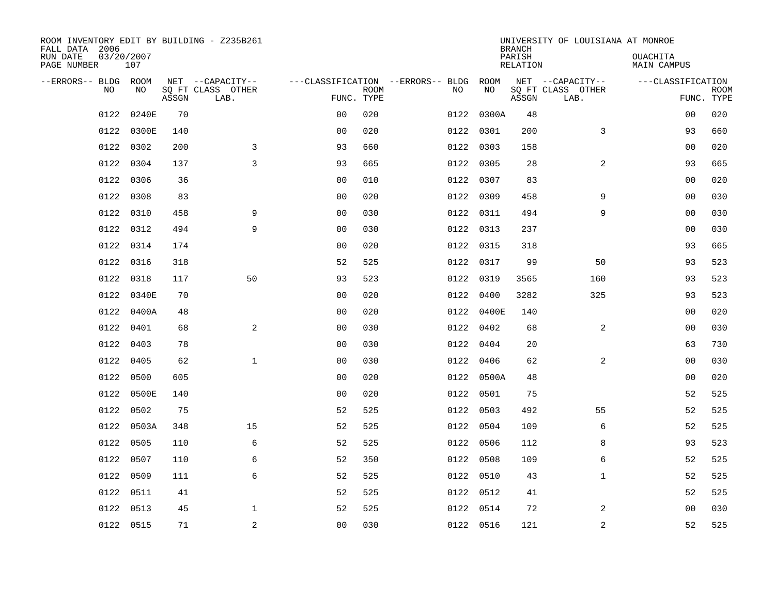| ROOM INVENTORY EDIT BY BUILDING - Z235B261<br>FALL DATA 2006 |                   |       |                           |                |             |                                   |            | <b>BRANCH</b>      | UNIVERSITY OF LOUISIANA AT MONROE |                                |             |
|--------------------------------------------------------------|-------------------|-------|---------------------------|----------------|-------------|-----------------------------------|------------|--------------------|-----------------------------------|--------------------------------|-------------|
| RUN DATE<br>PAGE NUMBER                                      | 03/20/2007<br>107 |       |                           |                |             |                                   |            | PARISH<br>RELATION |                                   | <b>OUACHITA</b><br>MAIN CAMPUS |             |
| --ERRORS-- BLDG ROOM                                         |                   |       | NET --CAPACITY--          |                |             | ---CLASSIFICATION --ERRORS-- BLDG | ROOM       |                    | NET --CAPACITY--                  | ---CLASSIFICATION              |             |
| N <sub>O</sub>                                               | NO.               | ASSGN | SO FT CLASS OTHER<br>LAB. | FUNC. TYPE     | <b>ROOM</b> | NO.                               | NO         | ASSGN              | SQ FT CLASS OTHER<br>LAB.         | FUNC. TYPE                     | <b>ROOM</b> |
| 0122                                                         | 0240E             | 70    |                           | 0 <sub>0</sub> | 020         |                                   | 0122 0300A | 48                 |                                   | 00                             | 020         |
| 0122                                                         | 0300E             | 140   |                           | 0 <sub>0</sub> | 020         |                                   | 0122 0301  | 200                | 3                                 | 93                             | 660         |
| 0122                                                         | 0302              | 200   | 3                         | 93             | 660         |                                   | 0122 0303  | 158                |                                   | 00                             | 020         |
| 0122                                                         | 0304              | 137   | $\overline{3}$            | 93             | 665         |                                   | 0122 0305  | 28                 | 2                                 | 93                             | 665         |
| 0122                                                         | 0306              | 36    |                           | 00             | 010         |                                   | 0122 0307  | 83                 |                                   | 0 <sub>0</sub>                 | 020         |
| 0122                                                         | 0308              | 83    |                           | 0 <sub>0</sub> | 020         |                                   | 0122 0309  | 458                | 9                                 | 0 <sub>0</sub>                 | 030         |
| 0122                                                         | 0310              | 458   | 9                         | 0 <sub>0</sub> | 030         |                                   | 0122 0311  | 494                | 9                                 | 00                             | 030         |
| 0122                                                         | 0312              | 494   | 9                         | 0 <sub>0</sub> | 030         |                                   | 0122 0313  | 237                |                                   | 0 <sub>0</sub>                 | 030         |
| 0122                                                         | 0314              | 174   |                           | 0 <sub>0</sub> | 020         | 0122                              | 0315       | 318                |                                   | 93                             | 665         |
| 0122                                                         | 0316              | 318   |                           | 52             | 525         |                                   | 0122 0317  | 99                 | 50                                | 93                             | 523         |
| 0122                                                         | 0318              | 117   | 50                        | 93             | 523         |                                   | 0122 0319  | 3565               | 160                               | 93                             | 523         |
| 0122                                                         | 0340E             | 70    |                           | 0 <sub>0</sub> | 020         |                                   | 0122 0400  | 3282               | 325                               | 93                             | 523         |
| 0122                                                         | 0400A             | 48    |                           | 0 <sub>0</sub> | 020         |                                   | 0122 0400E | 140                |                                   | 00                             | 020         |
| 0122                                                         | 0401              | 68    | 2                         | 0 <sub>0</sub> | 030         |                                   | 0122 0402  | 68                 | 2                                 | 0 <sub>0</sub>                 | 030         |
| 0122                                                         | 0403              | 78    |                           | 0 <sub>0</sub> | 030         |                                   | 0122 0404  | 20                 |                                   | 63                             | 730         |
| 0122                                                         | 0405              | 62    | $\mathbf{1}$              | 0 <sub>0</sub> | 030         |                                   | 0122 0406  | 62                 | 2                                 | 00                             | 030         |
| 0122                                                         | 0500              | 605   |                           | 0 <sub>0</sub> | 020         |                                   | 0122 0500A | 48                 |                                   | 0 <sub>0</sub>                 | 020         |
| 0122                                                         | 0500E             | 140   |                           | 0 <sub>0</sub> | 020         |                                   | 0122 0501  | 75                 |                                   | 52                             | 525         |
| 0122                                                         | 0502              | 75    |                           | 52             | 525         |                                   | 0122 0503  | 492                | 55                                | 52                             | 525         |
| 0122                                                         | 0503A             | 348   | 15                        | 52             | 525         |                                   | 0122 0504  | 109                | 6                                 | 52                             | 525         |
| 0122                                                         | 0505              | 110   | 6                         | 52             | 525         |                                   | 0122 0506  | 112                | 8                                 | 93                             | 523         |
| 0122                                                         | 0507              | 110   | 6                         | 52             | 350         |                                   | 0122 0508  | 109                | 6                                 | 52                             | 525         |
| 0122                                                         | 0509              | 111   | 6                         | 52             | 525         |                                   | 0122 0510  | 43                 | $\mathbf{1}$                      | 52                             | 525         |
| 0122                                                         | 0511              | 41    |                           | 52             | 525         |                                   | 0122 0512  | 41                 |                                   | 52                             | 525         |
| 0122                                                         | 0513              | 45    | $\mathbf{1}$              | 52             | 525         |                                   | 0122 0514  | 72                 | 2                                 | 00                             | 030         |
|                                                              | 0122 0515         | 71    | 2                         | 0 <sub>0</sub> | 030         |                                   | 0122 0516  | 121                | $\overline{a}$                    | 52                             | 525         |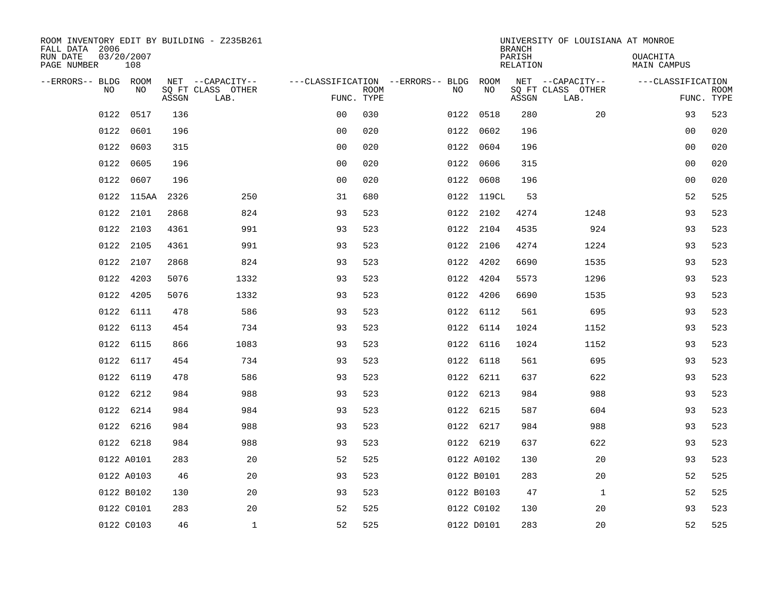| ROOM INVENTORY EDIT BY BUILDING - Z235B261<br>FALL DATA 2006 |                   |       |                           |                |             |                                   |            | <b>BRANCH</b>             | UNIVERSITY OF LOUISIANA AT MONROE |                                |             |
|--------------------------------------------------------------|-------------------|-------|---------------------------|----------------|-------------|-----------------------------------|------------|---------------------------|-----------------------------------|--------------------------------|-------------|
| RUN DATE<br>PAGE NUMBER                                      | 03/20/2007<br>108 |       |                           |                |             |                                   |            | PARISH<br><b>RELATION</b> |                                   | OUACHITA<br><b>MAIN CAMPUS</b> |             |
| --ERRORS-- BLDG ROOM                                         |                   |       | NET --CAPACITY--          |                |             | ---CLASSIFICATION --ERRORS-- BLDG | ROOM       |                           | NET --CAPACITY--                  | ---CLASSIFICATION              |             |
| NO                                                           | NO                | ASSGN | SQ FT CLASS OTHER<br>LAB. | FUNC. TYPE     | <b>ROOM</b> | NO                                | NO         | ASSGN                     | SQ FT CLASS OTHER<br>LAB.         | FUNC. TYPE                     | <b>ROOM</b> |
| 0122                                                         | 0517              | 136   |                           | 0 <sub>0</sub> | 030         |                                   | 0122 0518  | 280                       | 20                                | 93                             | 523         |
| 0122                                                         | 0601              | 196   |                           | 0 <sub>0</sub> | 020         | 0122                              | 0602       | 196                       |                                   | 00                             | 020         |
| 0122                                                         | 0603              | 315   |                           | 0 <sub>0</sub> | 020         | 0122                              | 0604       | 196                       |                                   | 0 <sub>0</sub>                 | 020         |
| 0122                                                         | 0605              | 196   |                           | 0 <sub>0</sub> | 020         |                                   | 0122 0606  | 315                       |                                   | 0 <sub>0</sub>                 | 020         |
| 0122                                                         | 0607              | 196   |                           | 0 <sub>0</sub> | 020         |                                   | 0122 0608  | 196                       |                                   | 0 <sub>0</sub>                 | 020         |
| 0122                                                         | 115AA             | 2326  | 250                       | 31             | 680         |                                   | 0122 119CL | 53                        |                                   | 52                             | 525         |
| 0122                                                         | 2101              | 2868  | 824                       | 93             | 523         |                                   | 0122 2102  | 4274                      | 1248                              | 93                             | 523         |
| 0122                                                         | 2103              | 4361  | 991                       | 93             | 523         |                                   | 0122 2104  | 4535                      | 924                               | 93                             | 523         |
| 0122                                                         | 2105              | 4361  | 991                       | 93             | 523         |                                   | 0122 2106  | 4274                      | 1224                              | 93                             | 523         |
|                                                              | 0122 2107         | 2868  | 824                       | 93             | 523         |                                   | 0122 4202  | 6690                      | 1535                              | 93                             | 523         |
| 0122                                                         | 4203              | 5076  | 1332                      | 93             | 523         | 0122                              | 4204       | 5573                      | 1296                              | 93                             | 523         |
|                                                              | 0122 4205         | 5076  | 1332                      | 93             | 523         |                                   | 0122 4206  | 6690                      | 1535                              | 93                             | 523         |
| 0122                                                         | 6111              | 478   | 586                       | 93             | 523         | 0122                              | 6112       | 561                       | 695                               | 93                             | 523         |
| 0122                                                         | 6113              | 454   | 734                       | 93             | 523         |                                   | 0122 6114  | 1024                      | 1152                              | 93                             | 523         |
| 0122                                                         | 6115              | 866   | 1083                      | 93             | 523         |                                   | 0122 6116  | 1024                      | 1152                              | 93                             | 523         |
| 0122                                                         | 6117              | 454   | 734                       | 93             | 523         |                                   | 0122 6118  | 561                       | 695                               | 93                             | 523         |
| 0122                                                         | 6119              | 478   | 586                       | 93             | 523         |                                   | 0122 6211  | 637                       | 622                               | 93                             | 523         |
| 0122                                                         | 6212              | 984   | 988                       | 93             | 523         |                                   | 0122 6213  | 984                       | 988                               | 93                             | 523         |
|                                                              | 0122 6214         | 984   | 984                       | 93             | 523         |                                   | 0122 6215  | 587                       | 604                               | 93                             | 523         |
|                                                              | 0122 6216         | 984   | 988                       | 93             | 523         |                                   | 0122 6217  | 984                       | 988                               | 93                             | 523         |
|                                                              | 0122 6218         | 984   | 988                       | 93             | 523         |                                   | 0122 6219  | 637                       | 622                               | 93                             | 523         |
|                                                              | 0122 A0101        | 283   | 20                        | 52             | 525         |                                   | 0122 A0102 | 130                       | 20                                | 93                             | 523         |
|                                                              | 0122 A0103        | 46    | 20                        | 93             | 523         |                                   | 0122 B0101 | 283                       | 20                                | 52                             | 525         |
|                                                              | 0122 B0102        | 130   | 20                        | 93             | 523         |                                   | 0122 B0103 | 47                        | $\mathbf{1}$                      | 52                             | 525         |
|                                                              | 0122 C0101        | 283   | 20                        | 52             | 525         |                                   | 0122 C0102 | 130                       | 20                                | 93                             | 523         |
|                                                              | 0122 C0103        | 46    | $\mathbf{1}$              | 52             | 525         |                                   | 0122 D0101 | 283                       | 20                                | 52                             | 525         |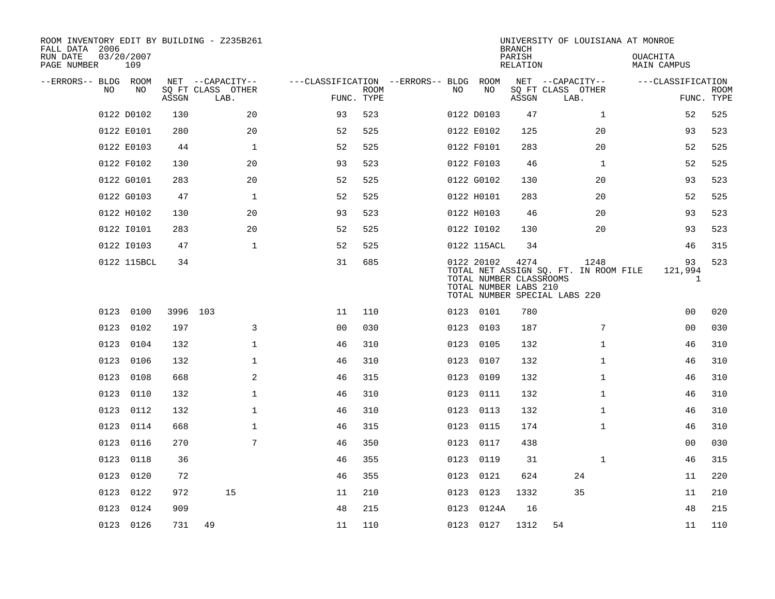| ROOM INVENTORY EDIT BY BUILDING - Z235B261<br>FALL DATA 2006 |                   |          |                           |                                        |             |      |                                                                | <b>BRANCH</b>      | UNIVERSITY OF LOUISIANA AT MONROE                                              |                              |                           |
|--------------------------------------------------------------|-------------------|----------|---------------------------|----------------------------------------|-------------|------|----------------------------------------------------------------|--------------------|--------------------------------------------------------------------------------|------------------------------|---------------------------|
| RUN DATE<br>PAGE NUMBER                                      | 03/20/2007<br>109 |          |                           |                                        |             |      |                                                                | PARISH<br>RELATION |                                                                                | OUACHITA<br>MAIN CAMPUS      |                           |
| --ERRORS-- BLDG ROOM                                         |                   |          | NET --CAPACITY--          | ---CLASSIFICATION --ERRORS-- BLDG ROOM |             |      |                                                                |                    | NET --CAPACITY--                                                               | ---CLASSIFICATION            |                           |
| N <sub>O</sub>                                               | NO.               | ASSGN    | SO FT CLASS OTHER<br>LAB. | FUNC. TYPE                             | <b>ROOM</b> | NO.  | NO                                                             | ASSGN              | SQ FT CLASS OTHER<br>LAB.                                                      |                              | <b>ROOM</b><br>FUNC. TYPE |
|                                                              | 0122 D0102        | 130      | 20                        | 93                                     | 523         |      | 0122 D0103                                                     | 47                 | $\mathbf{1}$                                                                   | 52                           | 525                       |
|                                                              | 0122 E0101        | 280      | 20                        | 52                                     | 525         |      | 0122 E0102                                                     | 125                | 20                                                                             | 93                           | 523                       |
|                                                              | 0122 E0103        | 44       | $\mathbf{1}$              | 52                                     | 525         |      | 0122 F0101                                                     | 283                | 20                                                                             | 52                           | 525                       |
|                                                              | 0122 F0102        | 130      | 20                        | 93                                     | 523         |      | 0122 F0103                                                     | 46                 | $\mathbf{1}$                                                                   | 52                           | 525                       |
|                                                              | 0122 G0101        | 283      | 20                        | 52                                     | 525         |      | 0122 G0102                                                     | 130                | 20                                                                             | 93                           | 523                       |
|                                                              | 0122 G0103        | 47       | $\mathbf 1$               | 52                                     | 525         |      | 0122 H0101                                                     | 283                | 20                                                                             | 52                           | 525                       |
|                                                              | 0122 H0102        | 130      | 20                        | 93                                     | 523         |      | 0122 H0103                                                     | 46                 | 20                                                                             | 93                           | 523                       |
|                                                              | 0122 I0101        | 283      | 20                        | 52                                     | 525         |      | 0122 I0102                                                     | 130                | 20                                                                             | 93                           | 523                       |
|                                                              | 0122 I0103        | 47       | $\mathbf{1}$              | 52                                     | 525         |      | 0122 115ACL                                                    | 34                 |                                                                                | 46                           | 315                       |
|                                                              | 0122 115BCL       | 34       |                           | 31                                     | 685         |      | 0122 20102<br>TOTAL NUMBER CLASSROOMS<br>TOTAL NUMBER LABS 210 | 4274               | 1248<br>TOTAL NET ASSIGN SQ. FT. IN ROOM FILE<br>TOTAL NUMBER SPECIAL LABS 220 | 93<br>121,994<br>$\mathbf 1$ | 523                       |
|                                                              | 0123 0100         | 3996 103 |                           | 11                                     | 110         |      | 0123 0101                                                      | 780                |                                                                                | 0 <sub>0</sub>               | 020                       |
| 0123                                                         | 0102              | 197      | 3                         | 0 <sub>0</sub>                         | 030         |      | 0123 0103                                                      | 187                | 7                                                                              | 0 <sub>0</sub>               | 030                       |
| 0123                                                         | 0104              | 132      | 1                         | 46                                     | 310         | 0123 | 0105                                                           | 132                | $\mathbf{1}$                                                                   | 46                           | 310                       |
| 0123                                                         | 0106              | 132      | $\mathbf 1$               | 46                                     | 310         | 0123 | 0107                                                           | 132                | $\mathbf{1}$                                                                   | 46                           | 310                       |
| 0123                                                         | 0108              | 668      | 2                         | 46                                     | 315         | 0123 | 0109                                                           | 132                | $\mathbf{1}$                                                                   | 46                           | 310                       |
| 0123                                                         | 0110              | 132      | $\mathbf 1$               | 46                                     | 310         | 0123 | 0111                                                           | 132                | $\mathbf{1}$                                                                   | 46                           | 310                       |
|                                                              | 0123 0112         | 132      | $\mathbf{1}$              | 46                                     | 310         |      | 0123 0113                                                      | 132                | $\mathbf{1}$                                                                   | 46                           | 310                       |
|                                                              | 0123 0114         | 668      | $\mathbf{1}$              | 46                                     | 315         |      | 0123 0115                                                      | 174                | $\mathbf{1}$                                                                   | 46                           | 310                       |
|                                                              | 0123 0116         | 270      | 7                         | 46                                     | 350         |      | 0123 0117                                                      | 438                |                                                                                | 00                           | 030                       |
| 0123                                                         | 0118              | 36       |                           | 46                                     | 355         |      | 0123 0119                                                      | 31                 | $\mathbf{1}$                                                                   | 46                           | 315                       |
|                                                              | 0123 0120         | 72       |                           | 46                                     | 355         | 0123 | 0121                                                           | 624                | 24                                                                             | 11                           | 220                       |
| 0123                                                         | 0122              | 972      | 15                        | 11                                     | 210         |      | 0123 0123                                                      | 1332               | 35                                                                             | 11                           | 210                       |
| 0123                                                         | 0124              | 909      |                           | 48                                     | 215         | 0123 | 0124A                                                          | 16                 |                                                                                | 48                           | 215                       |
|                                                              | 0123 0126         | 731      | 49                        | 11                                     | 110         |      | 0123 0127                                                      | 1312               | 54                                                                             | 11                           | 110                       |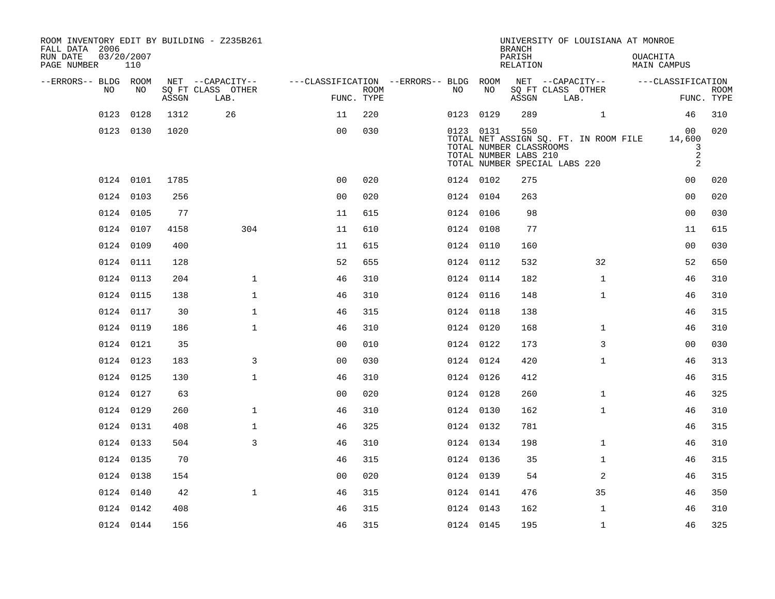| ROOM INVENTORY EDIT BY BUILDING - Z235B261<br>FALL DATA 2006<br>RUN DATE<br>PAGE NUMBER | 03/20/2007<br>110 |       |                                               |                                        |                           |           |           | <b>BRANCH</b><br>PARISH<br><b>RELATION</b>              |                               | UNIVERSITY OF LOUISIANA AT MONROE     | OUACHITA<br><b>MAIN CAMPUS</b>           |                           |
|-----------------------------------------------------------------------------------------|-------------------|-------|-----------------------------------------------|----------------------------------------|---------------------------|-----------|-----------|---------------------------------------------------------|-------------------------------|---------------------------------------|------------------------------------------|---------------------------|
| --ERRORS-- BLDG ROOM<br>NO                                                              | NO                | ASSGN | NET --CAPACITY--<br>SQ FT CLASS OTHER<br>LAB. | ---CLASSIFICATION --ERRORS-- BLDG ROOM | <b>ROOM</b><br>FUNC. TYPE | NO.       | NO        | ASSGN                                                   | SQ FT CLASS OTHER<br>LAB.     | NET --CAPACITY--                      | ---CLASSIFICATION                        | <b>ROOM</b><br>FUNC. TYPE |
| 0123                                                                                    | 0128              | 1312  | 26                                            | 11                                     | 220                       | 0123 0129 |           | 289                                                     |                               | $\mathbf{1}$                          | 46                                       | 310                       |
|                                                                                         | 0123 0130         | 1020  |                                               | 0 <sub>0</sub>                         | 030                       |           | 0123 0131 | 550<br>TOTAL NUMBER CLASSROOMS<br>TOTAL NUMBER LABS 210 | TOTAL NUMBER SPECIAL LABS 220 | TOTAL NET ASSIGN SQ. FT. IN ROOM FILE | 00<br>14,600<br>3<br>$\overline{2}$<br>2 | 020                       |
|                                                                                         | 0124 0101         | 1785  |                                               | 0 <sub>0</sub>                         | 020                       | 0124 0102 |           | 275                                                     |                               |                                       | 0 <sub>0</sub>                           | 020                       |
|                                                                                         | 0124 0103         | 256   |                                               | 0 <sub>0</sub>                         | 020                       | 0124 0104 |           | 263                                                     |                               |                                       | 0 <sub>0</sub>                           | 020                       |
|                                                                                         | 0124 0105         | 77    |                                               | 11                                     | 615                       |           | 0124 0106 | 98                                                      |                               |                                       | 0 <sub>0</sub>                           | 030                       |
|                                                                                         | 0124 0107         | 4158  | 304                                           | 11                                     | 610                       | 0124 0108 |           | 77                                                      |                               |                                       | 11                                       | 615                       |
|                                                                                         | 0124 0109         | 400   |                                               | 11                                     | 615                       | 0124 0110 |           | 160                                                     |                               |                                       | 0 <sub>0</sub>                           | 030                       |
|                                                                                         | 0124 0111         | 128   |                                               | 52                                     | 655                       | 0124 0112 |           | 532                                                     |                               | 32                                    | 52                                       | 650                       |
|                                                                                         | 0124 0113         | 204   | $\mathbf{1}$                                  | 46                                     | 310                       | 0124 0114 |           | 182                                                     |                               | $\mathbf{1}$                          | 46                                       | 310                       |
|                                                                                         | 0124 0115         | 138   | $\mathbf 1$                                   | 46                                     | 310                       |           | 0124 0116 | 148                                                     |                               | $\mathbf{1}$                          | 46                                       | 310                       |
|                                                                                         | 0124 0117         | 30    | $\mathbf{1}$                                  | 46                                     | 315                       | 0124 0118 |           | 138                                                     |                               |                                       | 46                                       | 315                       |
|                                                                                         | 0124 0119         | 186   | $\mathbf 1$                                   | 46                                     | 310                       |           | 0124 0120 | 168                                                     |                               | $\mathbf{1}$                          | 46                                       | 310                       |
|                                                                                         | 0124 0121         | 35    |                                               | 0 <sub>0</sub>                         | 010                       | 0124 0122 |           | 173                                                     |                               | 3                                     | 0 <sub>0</sub>                           | 030                       |
|                                                                                         | 0124 0123         | 183   | 3                                             | 00                                     | 030                       | 0124 0124 |           | 420                                                     |                               | $\mathbf{1}$                          | 46                                       | 313                       |
|                                                                                         | 0124 0125         | 130   | $\mathbf{1}$                                  | 46                                     | 310                       | 0124 0126 |           | 412                                                     |                               |                                       | 46                                       | 315                       |
|                                                                                         | 0124 0127         | 63    |                                               | 0 <sub>0</sub>                         | 020                       |           | 0124 0128 | 260                                                     |                               | $\mathbf{1}$                          | 46                                       | 325                       |
|                                                                                         | 0124 0129         | 260   | $\mathbf 1$                                   | 46                                     | 310                       | 0124 0130 |           | 162                                                     |                               | $\mathbf{1}$                          | 46                                       | 310                       |
|                                                                                         | 0124 0131         | 408   | $\mathbf 1$                                   | 46                                     | 325                       | 0124 0132 |           | 781                                                     |                               |                                       | 46                                       | 315                       |
|                                                                                         | 0124 0133         | 504   | 3                                             | 46                                     | 310                       | 0124 0134 |           | 198                                                     |                               | $\mathbf{1}$                          | 46                                       | 310                       |
|                                                                                         | 0124 0135         | 70    |                                               | 46                                     | 315                       | 0124 0136 |           | 35                                                      |                               | $\mathbf{1}$                          | 46                                       | 315                       |
|                                                                                         | 0124 0138         | 154   |                                               | 0 <sub>0</sub>                         | 020                       | 0124 0139 |           | 54                                                      |                               | 2                                     | 46                                       | 315                       |
|                                                                                         | 0124 0140         | 42    | $\mathbf{1}$                                  | 46                                     | 315                       | 0124 0141 |           | 476                                                     |                               | 35                                    | 46                                       | 350                       |
|                                                                                         | 0124 0142         | 408   |                                               | 46                                     | 315                       | 0124 0143 |           | 162                                                     |                               | $\mathbf{1}$                          | 46                                       | 310                       |
|                                                                                         | 0124 0144         | 156   |                                               | 46                                     | 315                       | 0124 0145 |           | 195                                                     |                               | $\mathbf{1}$                          | 46                                       | 325                       |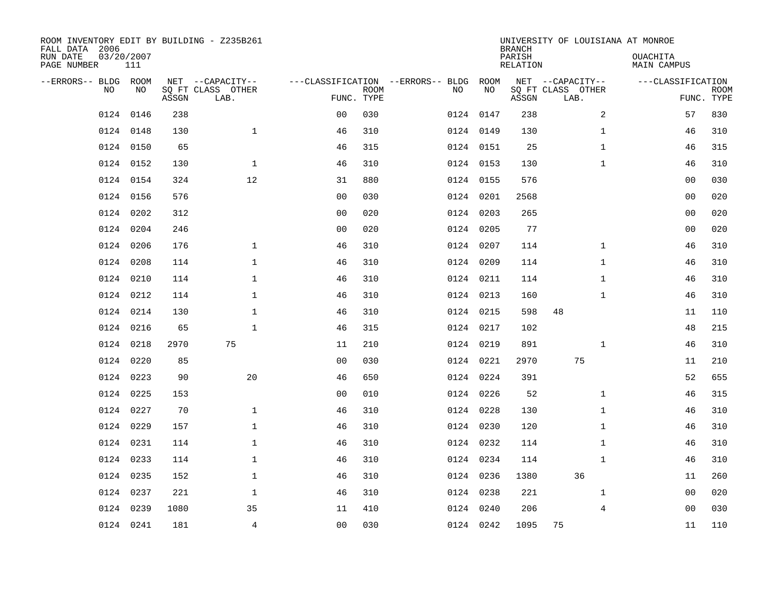| ROOM INVENTORY EDIT BY BUILDING - Z235B261<br>FALL DATA 2006<br>RUN DATE<br>PAGE NUMBER | 03/20/2007<br>111 |       |                                               |                |             |                                         |            | <b>BRANCH</b><br>PARISH<br><b>RELATION</b> | UNIVERSITY OF LOUISIANA AT MONROE             | OUACHITA<br><b>MAIN CAMPUS</b> |                           |
|-----------------------------------------------------------------------------------------|-------------------|-------|-----------------------------------------------|----------------|-------------|-----------------------------------------|------------|--------------------------------------------|-----------------------------------------------|--------------------------------|---------------------------|
| --ERRORS-- BLDG ROOM<br>NO                                                              | NO                | ASSGN | NET --CAPACITY--<br>SQ FT CLASS OTHER<br>LAB. | FUNC. TYPE     | <b>ROOM</b> | ---CLASSIFICATION --ERRORS-- BLDG<br>NO | ROOM<br>NO | ASSGN                                      | NET --CAPACITY--<br>SQ FT CLASS OTHER<br>LAB. | ---CLASSIFICATION              | <b>ROOM</b><br>FUNC. TYPE |
| 0124                                                                                    | 0146              | 238   |                                               | 0 <sub>0</sub> | 030         |                                         | 0124 0147  | 238                                        | $\overline{a}$                                | 57                             | 830                       |
| 0124                                                                                    | 0148              | 130   | $\mathbf{1}$                                  | 46             | 310         |                                         | 0124 0149  | 130                                        | $\mathbf{1}$                                  | 46                             | 310                       |
| 0124                                                                                    | 0150              | 65    |                                               | 46             | 315         |                                         | 0124 0151  | 25                                         | $\mathbf{1}$                                  | 46                             | 315                       |
|                                                                                         | 0124 0152         | 130   | $\mathbf{1}$                                  | 46             | 310         |                                         | 0124 0153  | 130                                        | $\mathbf{1}$                                  | 46                             | 310                       |
|                                                                                         | 0124 0154         | 324   | 12                                            | 31             | 880         |                                         | 0124 0155  | 576                                        |                                               | 0 <sub>0</sub>                 | 030                       |
|                                                                                         | 0124 0156         | 576   |                                               | 0 <sub>0</sub> | 030         |                                         | 0124 0201  | 2568                                       |                                               | 0 <sub>0</sub>                 | 020                       |
| 0124                                                                                    | 0202              | 312   |                                               | 0 <sub>0</sub> | 020         |                                         | 0124 0203  | 265                                        |                                               | 0 <sub>0</sub>                 | 020                       |
|                                                                                         | 0124 0204         | 246   |                                               | 0 <sub>0</sub> | 020         |                                         | 0124 0205  | 77                                         |                                               | 00                             | 020                       |
| 0124                                                                                    | 0206              | 176   | $\mathbf 1$                                   | 46             | 310         |                                         | 0124 0207  | 114                                        | $\mathbf{1}$                                  | 46                             | 310                       |
|                                                                                         | 0124 0208         | 114   | $\mathbf 1$                                   | 46             | 310         |                                         | 0124 0209  | 114                                        | $\mathbf{1}$                                  | 46                             | 310                       |
| 0124                                                                                    | 0210              | 114   | $\mathbf{1}$                                  | 46             | 310         |                                         | 0124 0211  | 114                                        | $\mathbf{1}$                                  | 46                             | 310                       |
|                                                                                         | 0124 0212         | 114   | $\mathbf{1}$                                  | 46             | 310         |                                         | 0124 0213  | 160                                        | $\mathbf{1}$                                  | 46                             | 310                       |
| 0124                                                                                    | 0214              | 130   | $\mathbf{1}$                                  | 46             | 310         |                                         | 0124 0215  | 598                                        | 48                                            | 11                             | 110                       |
| 0124                                                                                    | 0216              | 65    | $\mathbf{1}$                                  | 46             | 315         |                                         | 0124 0217  | 102                                        |                                               | 48                             | 215                       |
| 0124                                                                                    | 0218              | 2970  | 75                                            | 11             | 210         |                                         | 0124 0219  | 891                                        | $\mathbf{1}$                                  | 46                             | 310                       |
| 0124                                                                                    | 0220              | 85    |                                               | 0 <sub>0</sub> | 030         |                                         | 0124 0221  | 2970                                       | 75                                            | 11                             | 210                       |
|                                                                                         | 0124 0223         | 90    | 20                                            | 46             | 650         |                                         | 0124 0224  | 391                                        |                                               | 52                             | 655                       |
| 0124                                                                                    | 0225              | 153   |                                               | 0 <sub>0</sub> | 010         |                                         | 0124 0226  | 52                                         | $\mathbf{1}$                                  | 46                             | 315                       |
|                                                                                         | 0124 0227         | 70    | $\mathbf{1}$                                  | 46             | 310         |                                         | 0124 0228  | 130                                        | $\mathbf{1}$                                  | 46                             | 310                       |
|                                                                                         | 0124 0229         | 157   | $\mathbf{1}$                                  | 46             | 310         |                                         | 0124 0230  | 120                                        | $\mathbf{1}$                                  | 46                             | 310                       |
|                                                                                         | 0124 0231         | 114   | $\mathbf 1$                                   | 46             | 310         |                                         | 0124 0232  | 114                                        | $\mathbf{1}$                                  | 46                             | 310                       |
|                                                                                         | 0124 0233         | 114   | $\mathbf 1$                                   | 46             | 310         |                                         | 0124 0234  | 114                                        | $\mathbf{1}$                                  | 46                             | 310                       |
|                                                                                         | 0124 0235         | 152   | 1                                             | 46             | 310         |                                         | 0124 0236  | 1380                                       | 36                                            | 11                             | 260                       |
| 0124                                                                                    | 0237              | 221   | $\mathbf 1$                                   | 46             | 310         |                                         | 0124 0238  | 221                                        | $\mathbf{1}$                                  | 00                             | 020                       |
| 0124                                                                                    | 0239              | 1080  | 35                                            | 11             | 410         |                                         | 0124 0240  | 206                                        | 4                                             | 00                             | 030                       |
|                                                                                         | 0124 0241         | 181   | $\overline{4}$                                | 0 <sub>0</sub> | 030         |                                         | 0124 0242  | 1095                                       | 75                                            | 11                             | 110                       |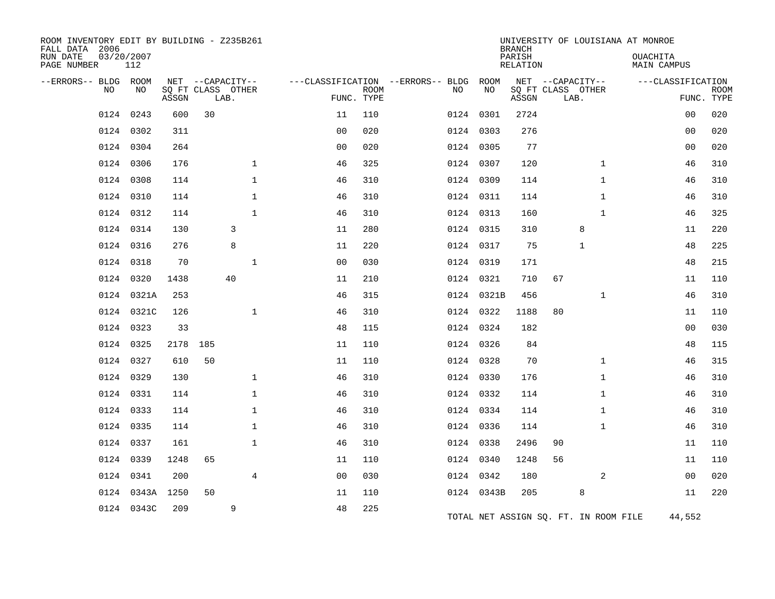| ROOM INVENTORY EDIT BY BUILDING - Z235B261<br>FALL DATA 2006<br>RUN DATE<br>PAGE NUMBER | 03/20/2007<br>112 |       |                           |              |                |                           |                                   |            | <b>BRANCH</b><br>PARISH<br><b>RELATION</b> |                                       |              | UNIVERSITY OF LOUISIANA AT MONROE<br>OUACHITA<br><b>MAIN CAMPUS</b> |                           |
|-----------------------------------------------------------------------------------------|-------------------|-------|---------------------------|--------------|----------------|---------------------------|-----------------------------------|------------|--------------------------------------------|---------------------------------------|--------------|---------------------------------------------------------------------|---------------------------|
| --ERRORS-- BLDG                                                                         | ROOM              |       | NET --CAPACITY--          |              |                |                           | ---CLASSIFICATION --ERRORS-- BLDG | ROOM       |                                            | NET --CAPACITY--                      |              | ---CLASSIFICATION                                                   |                           |
| NO                                                                                      | NO                | ASSGN | SQ FT CLASS OTHER<br>LAB. |              |                | <b>ROOM</b><br>FUNC. TYPE | NO                                | NO         | ASSGN                                      | SQ FT CLASS OTHER<br>LAB.             |              |                                                                     | <b>ROOM</b><br>FUNC. TYPE |
| 0124                                                                                    | 0243              | 600   | 30                        |              | 11             | 110                       |                                   | 0124 0301  | 2724                                       |                                       |              | 00                                                                  | 020                       |
| 0124                                                                                    | 0302              | 311   |                           |              | 0 <sup>0</sup> | 020                       |                                   | 0124 0303  | 276                                        |                                       |              | 0 <sub>0</sub>                                                      | 020                       |
| 0124                                                                                    | 0304              | 264   |                           |              | 0 <sub>0</sub> | 020                       |                                   | 0124 0305  | 77                                         |                                       |              | 00                                                                  | 020                       |
| 0124                                                                                    | 0306              | 176   |                           | $\mathbf{1}$ | 46             | 325                       |                                   | 0124 0307  | 120                                        |                                       | $\mathbf{1}$ | 46                                                                  | 310                       |
| 0124                                                                                    | 0308              | 114   |                           | $\mathbf{1}$ | 46             | 310                       |                                   | 0124 0309  | 114                                        |                                       | $\mathbf{1}$ | 46                                                                  | 310                       |
| 0124                                                                                    | 0310              | 114   |                           | $\mathbf 1$  | 46             | 310                       |                                   | 0124 0311  | 114                                        |                                       | $\mathbf{1}$ | 46                                                                  | 310                       |
|                                                                                         | 0124 0312         | 114   |                           | $\mathbf{1}$ | 46             | 310                       |                                   | 0124 0313  | 160                                        |                                       | $\mathbf{1}$ | 46                                                                  | 325                       |
| 0124                                                                                    | 0314              | 130   |                           | 3            | 11             | 280                       |                                   | 0124 0315  | 310                                        | 8                                     |              | 11                                                                  | 220                       |
| 0124                                                                                    | 0316              | 276   |                           | 8            | 11             | 220                       |                                   | 0124 0317  | 75                                         | 1                                     |              | 48                                                                  | 225                       |
| 0124                                                                                    | 0318              | 70    |                           | $\mathbf 1$  | 0 <sub>0</sub> | 030                       |                                   | 0124 0319  | 171                                        |                                       |              | 48                                                                  | 215                       |
|                                                                                         | 0124 0320         | 1438  |                           | 40           | 11             | 210                       |                                   | 0124 0321  | 710                                        | 67                                    |              | 11                                                                  | 110                       |
| 0124                                                                                    | 0321A             | 253   |                           |              | 46             | 315                       |                                   | 0124 0321B | 456                                        |                                       | $\mathbf{1}$ | 46                                                                  | 310                       |
|                                                                                         | 0124 0321C        | 126   |                           | $\mathbf 1$  | 46             | 310                       |                                   | 0124 0322  | 1188                                       | 80                                    |              | 11                                                                  | 110                       |
| 0124                                                                                    | 0323              | 33    |                           |              | 48             | 115                       |                                   | 0124 0324  | 182                                        |                                       |              | 0 <sub>0</sub>                                                      | 030                       |
|                                                                                         | 0124 0325         | 2178  | 185                       |              | 11             | 110                       |                                   | 0124 0326  | 84                                         |                                       |              | 48                                                                  | 115                       |
| 0124                                                                                    | 0327              | 610   | 50                        |              | 11             | 110                       |                                   | 0124 0328  | 70                                         |                                       | $\mathbf{1}$ | 46                                                                  | 315                       |
|                                                                                         | 0124 0329         | 130   |                           | $\mathbf{1}$ | 46             | 310                       |                                   | 0124 0330  | 176                                        |                                       | $\mathbf{1}$ | 46                                                                  | 310                       |
|                                                                                         | 0124 0331         | 114   |                           | $\mathbf{1}$ | 46             | 310                       |                                   | 0124 0332  | 114                                        |                                       | $\mathbf{1}$ | 46                                                                  | 310                       |
|                                                                                         | 0124 0333         | 114   |                           | $\mathbf{1}$ | 46             | 310                       |                                   | 0124 0334  | 114                                        |                                       | $\mathbf{1}$ | 46                                                                  | 310                       |
| 0124                                                                                    | 0335              | 114   |                           | $\mathbf{1}$ | 46             | 310                       |                                   | 0124 0336  | 114                                        |                                       | $\mathbf{1}$ | 46                                                                  | 310                       |
|                                                                                         | 0124 0337         | 161   |                           | $\mathbf{1}$ | 46             | 310                       |                                   | 0124 0338  | 2496                                       | 90                                    |              | 11                                                                  | 110                       |
| 0124                                                                                    | 0339              | 1248  | 65                        |              | 11             | 110                       |                                   | 0124 0340  | 1248                                       | 56                                    |              | 11                                                                  | 110                       |
| 0124                                                                                    | 0341              | 200   |                           | 4            | 0 <sub>0</sub> | 030                       |                                   | 0124 0342  | 180                                        |                                       | 2            | 00                                                                  | 020                       |
| 0124                                                                                    | 0343A             | 1250  | 50                        |              | 11             | 110                       |                                   | 0124 0343B | 205                                        | 8                                     |              | 11                                                                  | 220                       |
|                                                                                         | 0124 0343C        | 209   |                           | 9            | 48             | 225                       |                                   |            |                                            | TOTAL NET ASSIGN SQ. FT. IN ROOM FILE |              | 44,552                                                              |                           |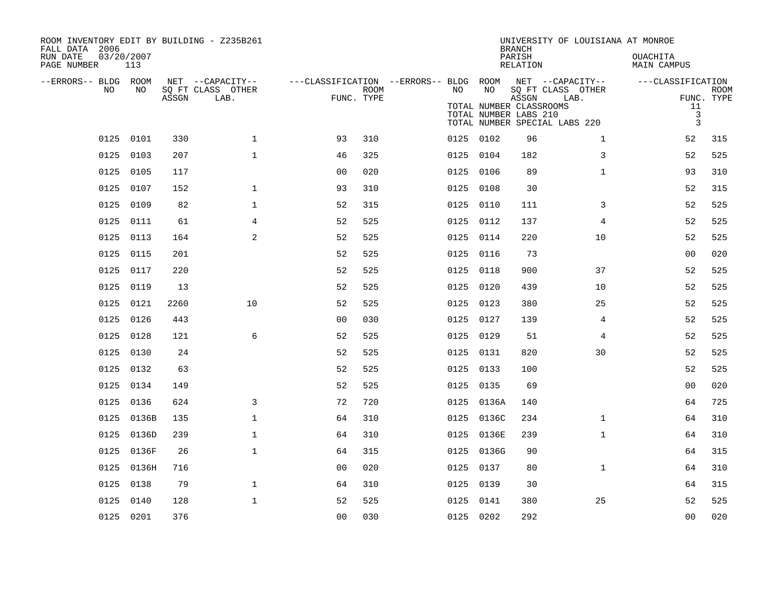| ROOM INVENTORY EDIT BY BUILDING - Z235B261<br>FALL DATA 2006<br>RUN DATE<br>PAGE NUMBER | 03/20/2007<br>113 |       |                                               |                                                      |      |           |                                                        | <b>BRANCH</b><br>PARISH<br><b>RELATION</b> | UNIVERSITY OF LOUISIANA AT MONROE                                              | OUACHITA<br><b>MAIN CAMPUS</b>                            |                           |
|-----------------------------------------------------------------------------------------|-------------------|-------|-----------------------------------------------|------------------------------------------------------|------|-----------|--------------------------------------------------------|--------------------------------------------|--------------------------------------------------------------------------------|-----------------------------------------------------------|---------------------------|
| --ERRORS-- BLDG ROOM<br>NO.                                                             | NO.               | ASSGN | NET --CAPACITY--<br>SQ FT CLASS OTHER<br>LAB. | ---CLASSIFICATION --ERRORS-- BLDG ROOM<br>FUNC. TYPE | ROOM | NO.       | NO<br>TOTAL NUMBER CLASSROOMS<br>TOTAL NUMBER LABS 210 | ASSGN                                      | NET --CAPACITY--<br>SQ FT CLASS OTHER<br>LAB.<br>TOTAL NUMBER SPECIAL LABS 220 | ---CLASSIFICATION<br>11<br>$\mathbf{3}$<br>$\overline{3}$ | <b>ROOM</b><br>FUNC. TYPE |
| 0125                                                                                    | 0101              | 330   | $\mathbf{1}$                                  | 93                                                   | 310  |           | 0125 0102                                              | 96                                         | $\mathbf{1}$                                                                   | 52                                                        | 315                       |
| 0125                                                                                    | 0103              | 207   | $\mathbf{1}$                                  | 46                                                   | 325  |           | 0125 0104                                              | 182                                        | 3                                                                              | 52                                                        | 525                       |
| 0125                                                                                    | 0105              | 117   |                                               | 0 <sub>0</sub>                                       | 020  |           | 0125 0106                                              | 89                                         | $\mathbf{1}$                                                                   | 93                                                        | 310                       |
|                                                                                         | 0125 0107         | 152   | $\mathbf{1}$                                  | 93                                                   | 310  |           | 0125 0108                                              | 30                                         |                                                                                | 52                                                        | 315                       |
| 0125                                                                                    | 0109              | 82    | $\mathbf{1}$                                  | 52                                                   | 315  |           | 0125 0110                                              | 111                                        | 3                                                                              | 52                                                        | 525                       |
|                                                                                         | 0125 0111         | 61    | 4                                             | 52                                                   | 525  | 0125 0112 |                                                        | 137                                        | 4                                                                              | 52                                                        | 525                       |
|                                                                                         | 0125 0113         | 164   | 2                                             | 52                                                   | 525  | 0125 0114 |                                                        | 220                                        | 10                                                                             | 52                                                        | 525                       |
|                                                                                         | 0125 0115         | 201   |                                               | 52                                                   | 525  | 0125 0116 |                                                        | 73                                         |                                                                                | 0 <sub>0</sub>                                            | 020                       |
|                                                                                         | 0125 0117         | 220   |                                               | 52                                                   | 525  |           | 0125 0118                                              | 900                                        | 37                                                                             | 52                                                        | 525                       |
| 0125                                                                                    | 0119              | 13    |                                               | 52                                                   | 525  |           | 0125 0120                                              | 439                                        | 10                                                                             | 52                                                        | 525                       |
|                                                                                         | 0125 0121         | 2260  | 10                                            | 52                                                   | 525  | 0125 0123 |                                                        | 380                                        | 25                                                                             | 52                                                        | 525                       |
| 0125                                                                                    | 0126              | 443   |                                               | 0 <sub>0</sub>                                       | 030  |           | 0125 0127                                              | 139                                        | 4                                                                              | 52                                                        | 525                       |
|                                                                                         | 0125 0128         | 121   | 6                                             | 52                                                   | 525  |           | 0125 0129                                              | 51                                         | 4                                                                              | 52                                                        | 525                       |
| 0125                                                                                    | 0130              | 24    |                                               | 52                                                   | 525  |           | 0125 0131                                              | 820                                        | 30                                                                             | 52                                                        | 525                       |
|                                                                                         | 0125 0132         | 63    |                                               | 52                                                   | 525  |           | 0125 0133                                              | 100                                        |                                                                                | 52                                                        | 525                       |
| 0125                                                                                    | 0134              | 149   |                                               | 52                                                   | 525  |           | 0125 0135                                              | 69                                         |                                                                                | 0 <sub>0</sub>                                            | 020                       |
| 0125                                                                                    | 0136              | 624   | 3                                             | 72                                                   | 720  |           | 0125 0136A                                             | 140                                        |                                                                                | 64                                                        | 725                       |
| 0125                                                                                    | 0136B             | 135   | $\mathbf{1}$                                  | 64                                                   | 310  |           | 0125 0136C                                             | 234                                        | $\mathbf{1}$                                                                   | 64                                                        | 310                       |
| 0125                                                                                    | 0136D             | 239   | $\mathbf{1}$                                  | 64                                                   | 310  |           | 0125 0136E                                             | 239                                        | $\mathbf{1}$                                                                   | 64                                                        | 310                       |
| 0125                                                                                    | 0136F             | 26    | $\mathbf{1}$                                  | 64                                                   | 315  |           | 0125 0136G                                             | 90                                         |                                                                                | 64                                                        | 315                       |
|                                                                                         | 0125 0136H        | 716   |                                               | 0 <sub>0</sub>                                       | 020  |           | 0125 0137                                              | 80                                         | $\mathbf{1}$                                                                   | 64                                                        | 310                       |
| 0125                                                                                    | 0138              | 79    | $\mathbf{1}$                                  | 64                                                   | 310  |           | 0125 0139                                              | 30                                         |                                                                                | 64                                                        | 315                       |
|                                                                                         | 0125 0140         | 128   | $\mathbf 1$                                   | 52                                                   | 525  |           | 0125 0141                                              | 380                                        | 25                                                                             | 52                                                        | 525                       |
|                                                                                         | 0125 0201         | 376   |                                               | 0 <sub>0</sub>                                       | 030  |           | 0125 0202                                              | 292                                        |                                                                                | 0 <sub>0</sub>                                            | 020                       |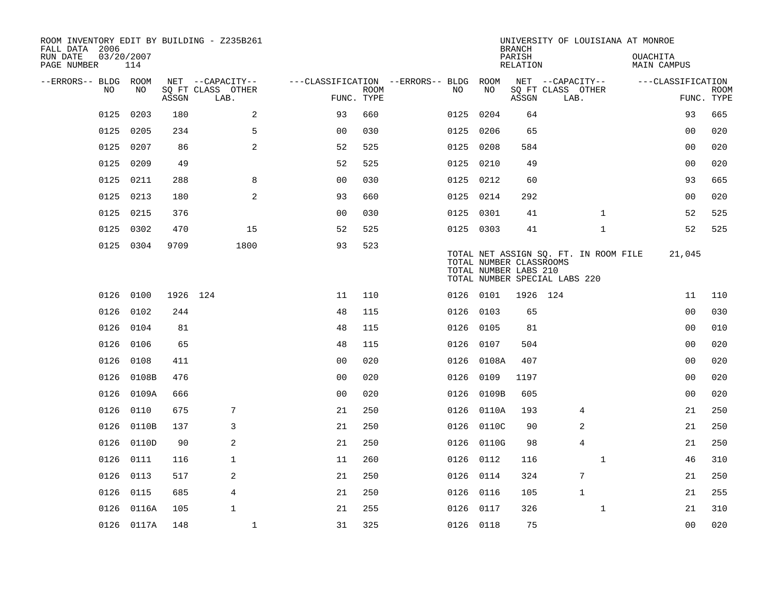| ROOM INVENTORY EDIT BY BUILDING - Z235B261<br>FALL DATA 2006 |                   |          |                           |                                        |      |           |            | <b>BRANCH</b>                                                                                                              |                           | UNIVERSITY OF LOUISIANA AT MONROE |                           |
|--------------------------------------------------------------|-------------------|----------|---------------------------|----------------------------------------|------|-----------|------------|----------------------------------------------------------------------------------------------------------------------------|---------------------------|-----------------------------------|---------------------------|
| RUN DATE<br>PAGE NUMBER                                      | 03/20/2007<br>114 |          |                           |                                        |      |           |            | PARISH<br>RELATION                                                                                                         |                           | OUACHITA<br>MAIN CAMPUS           |                           |
| --ERRORS-- BLDG ROOM                                         |                   |          | NET --CAPACITY--          | ---CLASSIFICATION --ERRORS-- BLDG ROOM |      |           |            | NET --CAPACITY--                                                                                                           |                           | ---CLASSIFICATION                 |                           |
| NO                                                           | NO.               | ASSGN    | SQ FT CLASS OTHER<br>LAB. | FUNC. TYPE                             | ROOM | NO.       | NO         | ASSGN                                                                                                                      | SQ FT CLASS OTHER<br>LAB. |                                   | <b>ROOM</b><br>FUNC. TYPE |
| 0125                                                         | 0203              | 180      | 2                         | 93                                     | 660  |           | 0125 0204  | 64                                                                                                                         |                           | 93                                | 665                       |
|                                                              | 0125 0205         | 234      | 5                         | 0 <sub>0</sub>                         | 030  |           | 0125 0206  | 65                                                                                                                         |                           | 0 <sub>0</sub>                    | 020                       |
|                                                              | 0125 0207         | 86       | 2                         | 52                                     | 525  |           | 0125 0208  | 584                                                                                                                        |                           | 0 <sub>0</sub>                    | 020                       |
|                                                              | 0125 0209         | 49       |                           | 52                                     | 525  |           | 0125 0210  | 49                                                                                                                         |                           | 00                                | 020                       |
| 0125                                                         | 0211              | 288      | 8                         | 00                                     | 030  |           | 0125 0212  | 60                                                                                                                         |                           | 93                                | 665                       |
| 0125                                                         | 0213              | 180      | 2                         | 93                                     | 660  | 0125 0214 |            | 292                                                                                                                        |                           | 0 <sub>0</sub>                    | 020                       |
| 0125                                                         | 0215              | 376      |                           | 0 <sub>0</sub>                         | 030  |           | 0125 0301  | 41                                                                                                                         | $\mathbf{1}$              | 52                                | 525                       |
|                                                              | 0125 0302         | 470      | 15                        | 52                                     | 525  |           | 0125 0303  | 41                                                                                                                         | $\mathbf{1}$              | 52                                | 525                       |
|                                                              | 0125 0304         | 9709     | 1800                      | 93                                     | 523  |           |            | TOTAL NET ASSIGN SQ. FT. IN ROOM FILE<br>TOTAL NUMBER CLASSROOMS<br>TOTAL NUMBER LABS 210<br>TOTAL NUMBER SPECIAL LABS 220 |                           | 21,045                            |                           |
|                                                              | 0126 0100         | 1926 124 |                           | 11                                     | 110  |           | 0126 0101  | 1926 124                                                                                                                   |                           | 11                                | 110                       |
| 0126                                                         | 0102              | 244      |                           | 48                                     | 115  |           | 0126 0103  | 65                                                                                                                         |                           | 0 <sub>0</sub>                    | 030                       |
|                                                              | 0126 0104         | 81       |                           | 48                                     | 115  |           | 0126 0105  | 81                                                                                                                         |                           | 00                                | 010                       |
| 0126                                                         | 0106              | 65       |                           | 48                                     | 115  |           | 0126 0107  | 504                                                                                                                        |                           | 0 <sub>0</sub>                    | 020                       |
|                                                              | 0126 0108         | 411      |                           | 0 <sub>0</sub>                         | 020  |           | 0126 0108A | 407                                                                                                                        |                           | 0 <sub>0</sub>                    | 020                       |
| 0126                                                         | 0108B             | 476      |                           | 0 <sub>0</sub>                         | 020  | 0126      | 0109       | 1197                                                                                                                       |                           | 0 <sub>0</sub>                    | 020                       |
|                                                              | 0126 0109A        | 666      |                           | 0 <sub>0</sub>                         | 020  |           | 0126 0109B | 605                                                                                                                        |                           | 00                                | 020                       |
|                                                              | 0126 0110         | 675      | 7                         | 21                                     | 250  |           | 0126 0110A | 193                                                                                                                        | 4                         | 21                                | 250                       |
|                                                              | 0126 0110B        | 137      | 3                         | 21                                     | 250  |           | 0126 0110C | 90                                                                                                                         | 2                         | 21                                | 250                       |
|                                                              | 0126 0110D        | 90       | 2                         | 21                                     | 250  |           | 0126 0110G | 98                                                                                                                         | $\overline{4}$            | 21                                | 250                       |
|                                                              | 0126 0111         | 116      | $\mathbf{1}$              | 11                                     | 260  |           | 0126 0112  | 116                                                                                                                        | $\mathbf{1}$              | 46                                | 310                       |
|                                                              | 0126 0113         | 517      | 2                         | 21                                     | 250  |           | 0126 0114  | 324                                                                                                                        | $7\phantom{.0}$           | 21                                | 250                       |
|                                                              | 0126 0115         | 685      | 4                         | 21                                     | 250  |           | 0126 0116  | 105                                                                                                                        | $\mathbf{1}$              | 21                                | 255                       |
|                                                              | 0126 0116A        | 105      | $\mathbf{1}$              | 21                                     | 255  |           | 0126 0117  | 326                                                                                                                        | $\mathbf{1}$              | 21                                | 310                       |
|                                                              | 0126 0117A        | 148      | $\mathbf{1}$              | 31                                     | 325  |           | 0126 0118  | 75                                                                                                                         |                           | 0 <sub>0</sub>                    | 020                       |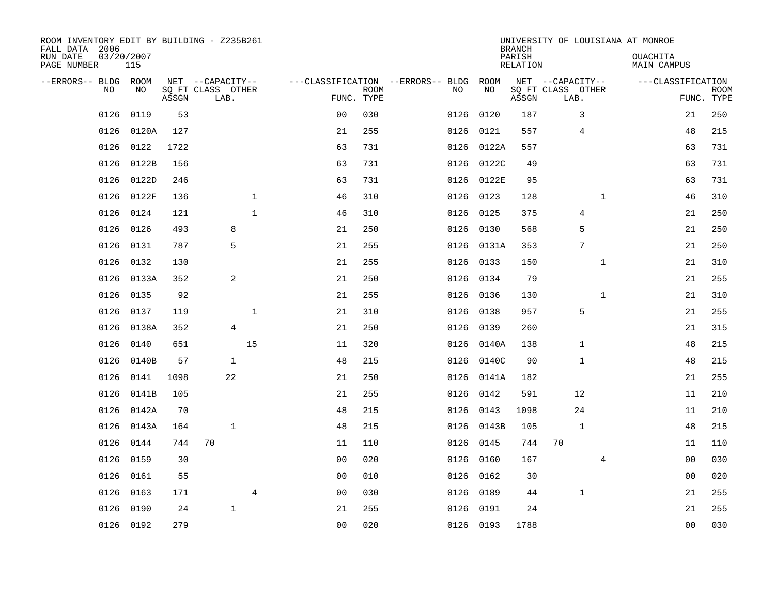| ROOM INVENTORY EDIT BY BUILDING - Z235B261<br>FALL DATA 2006<br>RUN DATE<br>PAGE NUMBER | 03/20/2007<br>115 |       |                                               |                |                |                           |                                         |            | <b>BRANCH</b><br>PARISH<br><b>RELATION</b> | UNIVERSITY OF LOUISIANA AT MONROE             |              | OUACHITA<br><b>MAIN CAMPUS</b> |                           |
|-----------------------------------------------------------------------------------------|-------------------|-------|-----------------------------------------------|----------------|----------------|---------------------------|-----------------------------------------|------------|--------------------------------------------|-----------------------------------------------|--------------|--------------------------------|---------------------------|
| --ERRORS-- BLDG ROOM<br>NO                                                              | NO                | ASSGN | NET --CAPACITY--<br>SQ FT CLASS OTHER<br>LAB. |                |                | <b>ROOM</b><br>FUNC. TYPE | ---CLASSIFICATION --ERRORS-- BLDG<br>NO | ROOM<br>NO | ASSGN                                      | NET --CAPACITY--<br>SQ FT CLASS OTHER<br>LAB. |              | ---CLASSIFICATION              | <b>ROOM</b><br>FUNC. TYPE |
| 0126                                                                                    | 0119              | 53    |                                               |                | 0 <sub>0</sub> | 030                       | 0126                                    | 0120       | 187                                        | 3                                             |              | 21                             | 250                       |
| 0126                                                                                    | 0120A             | 127   |                                               |                | 21             | 255                       | 0126                                    | 0121       | 557                                        | 4                                             |              | 48                             | 215                       |
| 0126                                                                                    | 0122              | 1722  |                                               |                | 63             | 731                       | 0126                                    | 0122A      | 557                                        |                                               |              | 63                             | 731                       |
| 0126                                                                                    | 0122B             | 156   |                                               |                | 63             | 731                       |                                         | 0126 0122C | 49                                         |                                               |              | 63                             | 731                       |
| 0126                                                                                    | 0122D             | 246   |                                               |                | 63             | 731                       |                                         | 0126 0122E | 95                                         |                                               |              | 63                             | 731                       |
| 0126                                                                                    | 0122F             | 136   |                                               | $\mathbf 1$    | 46             | 310                       |                                         | 0126 0123  | 128                                        |                                               | $\mathbf{1}$ | 46                             | 310                       |
| 0126                                                                                    | 0124              | 121   |                                               | $\mathbf{1}$   | 46             | 310                       |                                         | 0126 0125  | 375                                        | $\overline{4}$                                |              | 21                             | 250                       |
| 0126                                                                                    | 0126              | 493   | 8                                             |                | 21             | 250                       |                                         | 0126 0130  | 568                                        | 5                                             |              | 21                             | 250                       |
| 0126                                                                                    | 0131              | 787   | 5                                             |                | 21             | 255                       | 0126                                    | 0131A      | 353                                        | $7\phantom{.0}$                               |              | 21                             | 250                       |
| 0126                                                                                    | 0132              | 130   |                                               |                | 21             | 255                       |                                         | 0126 0133  | 150                                        |                                               | $\mathbf{1}$ | 21                             | 310                       |
| 0126                                                                                    | 0133A             | 352   | 2                                             |                | 21             | 250                       | 0126                                    | 0134       | 79                                         |                                               |              | 21                             | 255                       |
| 0126                                                                                    | 0135              | 92    |                                               |                | 21             | 255                       |                                         | 0126 0136  | 130                                        |                                               | $\mathbf{1}$ | 21                             | 310                       |
| 0126                                                                                    | 0137              | 119   |                                               | $\mathbf 1$    | 21             | 310                       | 0126                                    | 0138       | 957                                        | 5                                             |              | 21                             | 255                       |
| 0126                                                                                    | 0138A             | 352   | 4                                             |                | 21             | 250                       | 0126                                    | 0139       | 260                                        |                                               |              | 21                             | 315                       |
| 0126                                                                                    | 0140              | 651   |                                               | 15             | 11             | 320                       | 0126                                    | 0140A      | 138                                        | $\mathbf{1}$                                  |              | 48                             | 215                       |
| 0126                                                                                    | 0140B             | 57    | $\mathbf{1}$                                  |                | 48             | 215                       |                                         | 0126 0140C | 90                                         | $\mathbf{1}$                                  |              | 48                             | 215                       |
| 0126                                                                                    | 0141              | 1098  | 22                                            |                | 21             | 250                       | 0126                                    | 0141A      | 182                                        |                                               |              | 21                             | 255                       |
| 0126                                                                                    | 0141B             | 105   |                                               |                | 21             | 255                       | 0126                                    | 0142       | 591                                        | 12                                            |              | 11                             | 210                       |
|                                                                                         | 0126 0142A        | 70    |                                               |                | 48             | 215                       |                                         | 0126 0143  | 1098                                       | 24                                            |              | 11                             | 210                       |
| 0126                                                                                    | 0143A             | 164   | $\mathbf{1}$                                  |                | 48             | 215                       |                                         | 0126 0143B | 105                                        | 1                                             |              | 48                             | 215                       |
| 0126                                                                                    | 0144              | 744   | 70                                            |                | 11             | 110                       |                                         | 0126 0145  | 744                                        | 70                                            |              | 11                             | 110                       |
| 0126                                                                                    | 0159              | 30    |                                               |                | 0 <sub>0</sub> | 020                       | 0126                                    | 0160       | 167                                        |                                               | 4            | 00                             | 030                       |
| 0126                                                                                    | 0161              | 55    |                                               |                | 0 <sub>0</sub> | 010                       |                                         | 0126 0162  | 30                                         |                                               |              | 0 <sub>0</sub>                 | 020                       |
| 0126                                                                                    | 0163              | 171   |                                               | $\overline{4}$ | 0 <sub>0</sub> | 030                       | 0126                                    | 0189       | 44                                         | 1                                             |              | 21                             | 255                       |
| 0126                                                                                    | 0190              | 24    | $\mathbf{1}$                                  |                | 21             | 255                       |                                         | 0126 0191  | 24                                         |                                               |              | 21                             | 255                       |
|                                                                                         | 0126 0192         | 279   |                                               |                | 00             | 020                       |                                         | 0126 0193  | 1788                                       |                                               |              | 0 <sub>0</sub>                 | 030                       |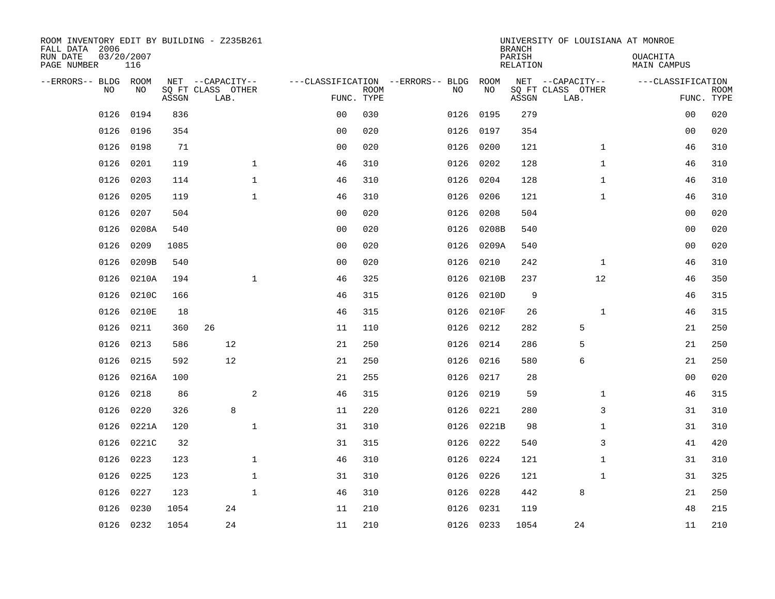| ROOM INVENTORY EDIT BY BUILDING - Z235B261<br>FALL DATA 2006<br>RUN DATE<br>PAGE NUMBER | 03/20/2007<br>116 |       |                                               |                |                                   |                           |           |            | <b>BRANCH</b><br>PARISH<br><b>RELATION</b> | UNIVERSITY OF LOUISIANA AT MONROE             | OUACHITA<br><b>MAIN CAMPUS</b> |                           |
|-----------------------------------------------------------------------------------------|-------------------|-------|-----------------------------------------------|----------------|-----------------------------------|---------------------------|-----------|------------|--------------------------------------------|-----------------------------------------------|--------------------------------|---------------------------|
| --ERRORS-- BLDG ROOM<br>NO                                                              | NO                | ASSGN | NET --CAPACITY--<br>SQ FT CLASS OTHER<br>LAB. |                | ---CLASSIFICATION --ERRORS-- BLDG | <b>ROOM</b><br>FUNC. TYPE | NO        | ROOM<br>NO | ASSGN                                      | NET --CAPACITY--<br>SQ FT CLASS OTHER<br>LAB. | ---CLASSIFICATION              | <b>ROOM</b><br>FUNC. TYPE |
| 0126                                                                                    | 0194              | 836   |                                               |                | 00                                | 030                       | 0126      | 0195       | 279                                        |                                               | 0 <sub>0</sub>                 | 020                       |
| 0126                                                                                    | 0196              | 354   |                                               |                | 0 <sub>0</sub>                    | 020                       | 0126      | 0197       | 354                                        |                                               | 00                             | 020                       |
| 0126                                                                                    | 0198              | 71    |                                               |                | 0 <sub>0</sub>                    | 020                       | 0126      | 0200       | 121                                        | $\mathbf{1}$                                  | 46                             | 310                       |
| 0126                                                                                    | 0201              | 119   |                                               | $\mathbf 1$    | 46                                | 310                       | 0126      | 0202       | 128                                        | $\mathbf{1}$                                  | 46                             | 310                       |
| 0126                                                                                    | 0203              | 114   |                                               | $\mathbf{1}$   | 46                                | 310                       | 0126      | 0204       | 128                                        | $\mathbf{1}$                                  | 46                             | 310                       |
| 0126                                                                                    | 0205              | 119   |                                               | $\mathbf{1}$   | 46                                | 310                       | 0126      | 0206       | 121                                        | $\mathbf{1}$                                  | 46                             | 310                       |
| 0126                                                                                    | 0207              | 504   |                                               |                | 0 <sub>0</sub>                    | 020                       | 0126      | 0208       | 504                                        |                                               | 0 <sub>0</sub>                 | 020                       |
| 0126                                                                                    | 0208A             | 540   |                                               |                | 0 <sub>0</sub>                    | 020                       | 0126      | 0208B      | 540                                        |                                               | 0 <sub>0</sub>                 | 020                       |
| 0126                                                                                    | 0209              | 1085  |                                               |                | 0 <sub>0</sub>                    | 020                       | 0126      | 0209A      | 540                                        |                                               | 0 <sub>0</sub>                 | 020                       |
| 0126                                                                                    | 0209B             | 540   |                                               |                | 0 <sub>0</sub>                    | 020                       | 0126      | 0210       | 242                                        | $\mathbf{1}$                                  | 46                             | 310                       |
| 0126                                                                                    | 0210A             | 194   |                                               | $\mathbf 1$    | 46                                | 325                       | 0126      | 0210B      | 237                                        | 12                                            | 46                             | 350                       |
| 0126                                                                                    | 0210C             | 166   |                                               |                | 46                                | 315                       | 0126      | 0210D      | 9                                          |                                               | 46                             | 315                       |
| 0126                                                                                    | 0210E             | 18    |                                               |                | 46                                | 315                       | 0126      | 0210F      | 26                                         | $\mathbf{1}$                                  | 46                             | 315                       |
| 0126                                                                                    | 0211              | 360   | 26                                            |                | 11                                | 110                       | 0126      | 0212       | 282                                        | 5                                             | 21                             | 250                       |
| 0126                                                                                    | 0213              | 586   | 12                                            |                | 21                                | 250                       | 0126      | 0214       | 286                                        | 5                                             | 21                             | 250                       |
| 0126                                                                                    | 0215              | 592   | 12                                            |                | 21                                | 250                       | 0126      | 0216       | 580                                        | 6                                             | 21                             | 250                       |
| 0126                                                                                    | 0216A             | 100   |                                               |                | 21                                | 255                       | 0126      | 0217       | 28                                         |                                               | 0 <sub>0</sub>                 | 020                       |
| 0126                                                                                    | 0218              | 86    |                                               | $\overline{a}$ | 46                                | 315                       | 0126      | 0219       | 59                                         | $\mathbf{1}$                                  | 46                             | 315                       |
| 0126                                                                                    | 0220              | 326   | 8                                             |                | 11                                | 220                       | 0126      | 0221       | 280                                        | 3                                             | 31                             | 310                       |
| 0126                                                                                    | 0221A             | 120   |                                               | $\mathbf 1$    | 31                                | 310                       | 0126      | 0221B      | 98                                         | $\mathbf{1}$                                  | 31                             | 310                       |
| 0126                                                                                    | 0221C             | 32    |                                               |                | 31                                | 315                       | 0126 0222 |            | 540                                        | 3                                             | 41                             | 420                       |
| 0126                                                                                    | 0223              | 123   |                                               | $\mathbf 1$    | 46                                | 310                       | 0126      | 0224       | 121                                        | $\mathbf{1}$                                  | 31                             | 310                       |
| 0126                                                                                    | 0225              | 123   |                                               | $\mathbf 1$    | 31                                | 310                       | 0126      | 0226       | 121                                        | $\mathbf{1}$                                  | 31                             | 325                       |
| 0126                                                                                    | 0227              | 123   |                                               | $\mathbf{1}$   | 46                                | 310                       | 0126      | 0228       | 442                                        | 8                                             | 21                             | 250                       |
| 0126                                                                                    | 0230              | 1054  | 24                                            |                | 11                                | 210                       | 0126      | 0231       | 119                                        |                                               | 48                             | 215                       |
|                                                                                         | 0126 0232         | 1054  | 24                                            |                | 11                                | 210                       | 0126 0233 |            | 1054                                       | 24                                            | 11                             | 210                       |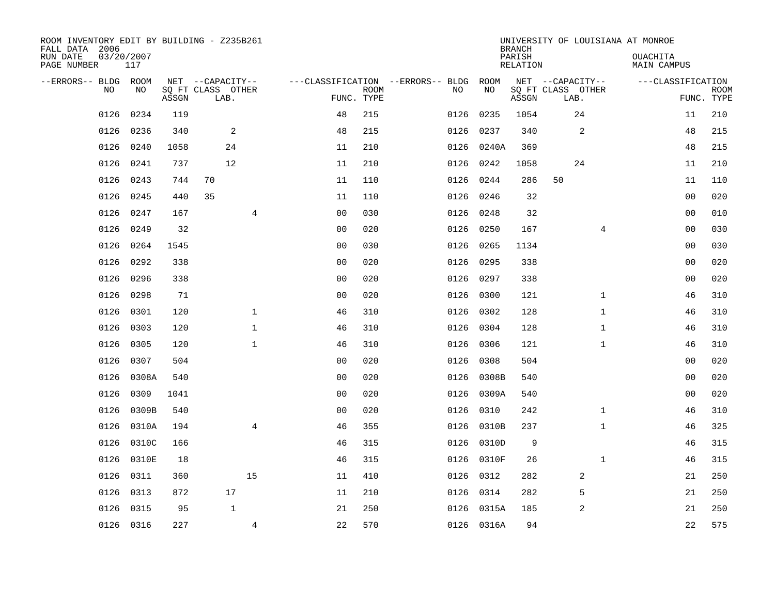| ROOM INVENTORY EDIT BY BUILDING - Z235B261<br>FALL DATA 2006 |                   |       |                           |                |                                        |             |      |            | <b>BRANCH</b>      |                           |                | UNIVERSITY OF LOUISIANA AT MONROE |                           |
|--------------------------------------------------------------|-------------------|-------|---------------------------|----------------|----------------------------------------|-------------|------|------------|--------------------|---------------------------|----------------|-----------------------------------|---------------------------|
| RUN DATE<br>PAGE NUMBER                                      | 03/20/2007<br>117 |       |                           |                |                                        |             |      |            | PARISH<br>RELATION |                           |                | <b>OUACHITA</b><br>MAIN CAMPUS    |                           |
| --ERRORS-- BLDG ROOM                                         |                   |       | NET --CAPACITY--          |                | ---CLASSIFICATION --ERRORS-- BLDG ROOM |             |      |            |                    | NET --CAPACITY--          |                | ---CLASSIFICATION                 |                           |
| NO.                                                          | NO.               | ASSGN | SQ FT CLASS OTHER<br>LAB. |                | FUNC. TYPE                             | <b>ROOM</b> | NO.  | NO         | ASSGN              | SQ FT CLASS OTHER<br>LAB. |                |                                   | <b>ROOM</b><br>FUNC. TYPE |
| 0126                                                         | 0234              | 119   |                           |                | 48                                     | 215         | 0126 | 0235       | 1054               | 24                        |                | 11                                | 210                       |
| 0126                                                         | 0236              | 340   | $\overline{a}$            |                | 48                                     | 215         | 0126 | 0237       | 340                |                           | 2              | 48                                | 215                       |
| 0126                                                         | 0240              | 1058  | 24                        |                | 11                                     | 210         | 0126 | 0240A      | 369                |                           |                | 48                                | 215                       |
| 0126                                                         | 0241              | 737   | 12                        |                | 11                                     | 210         |      | 0126 0242  | 1058               | 24                        |                | 11                                | 210                       |
| 0126                                                         | 0243              | 744   | 70                        |                | 11                                     | 110         | 0126 | 0244       | 286                | 50                        |                | 11                                | 110                       |
| 0126                                                         | 0245              | 440   | 35                        |                | 11                                     | 110         |      | 0126 0246  | 32                 |                           |                | 00                                | 020                       |
| 0126                                                         | 0247              | 167   |                           | $\overline{4}$ | 0 <sub>0</sub>                         | 030         | 0126 | 0248       | 32                 |                           |                | 0 <sub>0</sub>                    | 010                       |
| 0126                                                         | 0249              | 32    |                           |                | 0 <sub>0</sub>                         | 020         |      | 0126 0250  | 167                |                           | $\overline{4}$ | 0 <sub>0</sub>                    | 030                       |
| 0126                                                         | 0264              | 1545  |                           |                | 0 <sub>0</sub>                         | 030         | 0126 | 0265       | 1134               |                           |                | 0 <sub>0</sub>                    | 030                       |
| 0126                                                         | 0292              | 338   |                           |                | 0 <sub>0</sub>                         | 020         |      | 0126 0295  | 338                |                           |                | 0 <sub>0</sub>                    | 020                       |
| 0126                                                         | 0296              | 338   |                           |                | 0 <sub>0</sub>                         | 020         | 0126 | 0297       | 338                |                           |                | 00                                | 020                       |
| 0126                                                         | 0298              | 71    |                           |                | 0 <sub>0</sub>                         | 020         |      | 0126 0300  | 121                |                           | $\mathbf{1}$   | 46                                | 310                       |
| 0126                                                         | 0301              | 120   |                           | $\mathbf{1}$   | 46                                     | 310         | 0126 | 0302       | 128                |                           | $\mathbf{1}$   | 46                                | 310                       |
| 0126                                                         | 0303              | 120   |                           | $\mathbf{1}$   | 46                                     | 310         | 0126 | 0304       | 128                |                           | $\mathbf{1}$   | 46                                | 310                       |
| 0126                                                         | 0305              | 120   |                           | $\mathbf 1$    | 46                                     | 310         | 0126 | 0306       | 121                |                           | $\mathbf{1}$   | 46                                | 310                       |
| 0126                                                         | 0307              | 504   |                           |                | 0 <sub>0</sub>                         | 020         |      | 0126 0308  | 504                |                           |                | 00                                | 020                       |
| 0126                                                         | 0308A             | 540   |                           |                | 0 <sub>0</sub>                         | 020         | 0126 | 0308B      | 540                |                           |                | 0 <sub>0</sub>                    | 020                       |
| 0126                                                         | 0309              | 1041  |                           |                | 0 <sub>0</sub>                         | 020         |      | 0126 0309A | 540                |                           |                | 0 <sub>0</sub>                    | 020                       |
| 0126                                                         | 0309B             | 540   |                           |                | 0 <sub>0</sub>                         | 020         |      | 0126 0310  | 242                |                           | $\mathbf{1}$   | 46                                | 310                       |
| 0126                                                         | 0310A             | 194   |                           | $\overline{4}$ | 46                                     | 355         |      | 0126 0310B | 237                |                           | $\mathbf{1}$   | 46                                | 325                       |
| 0126                                                         | 0310C             | 166   |                           |                | 46                                     | 315         |      | 0126 0310D | 9                  |                           |                | 46                                | 315                       |
| 0126                                                         | 0310E             | 18    |                           |                | 46                                     | 315         |      | 0126 0310F | 26                 |                           | $\mathbf{1}$   | 46                                | 315                       |
| 0126                                                         | 0311              | 360   |                           | 15             | 11                                     | 410         |      | 0126 0312  | 282                |                           | 2              | 21                                | 250                       |
| 0126                                                         | 0313              | 872   | 17                        |                | 11                                     | 210         | 0126 | 0314       | 282                | 5                         |                | 21                                | 250                       |
| 0126                                                         | 0315              | 95    | $\mathbf{1}$              |                | 21                                     | 250         |      | 0126 0315A | 185                |                           | 2              | 21                                | 250                       |
|                                                              | 0126 0316         | 227   |                           | $\overline{4}$ | 22                                     | 570         |      | 0126 0316A | 94                 |                           |                | 22                                | 575                       |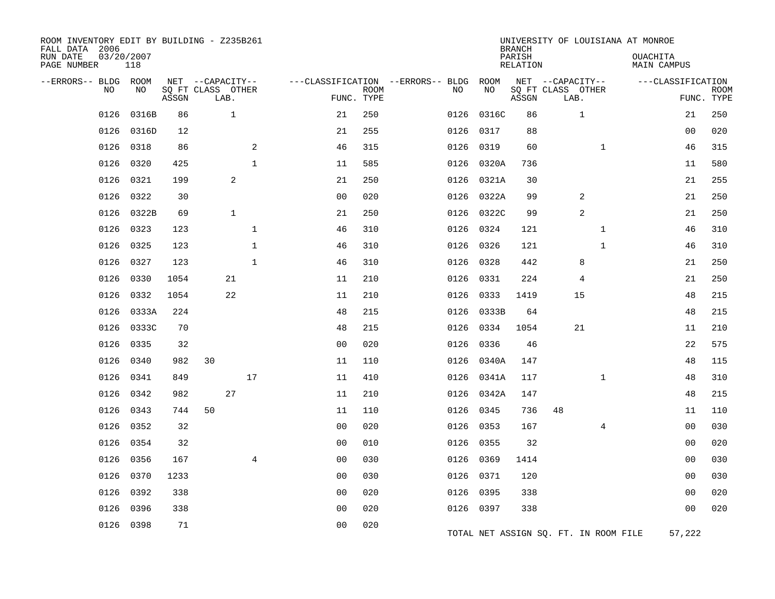| ROOM INVENTORY EDIT BY BUILDING - Z235B261<br>FALL DATA 2006<br>RUN DATE<br>PAGE NUMBER | 03/20/2007<br>118 |       |                                               |                |                |                           |                                         |            | <b>BRANCH</b><br>PARISH<br>RELATION |                                               |              | UNIVERSITY OF LOUISIANA AT MONROE<br>OUACHITA<br><b>MAIN CAMPUS</b> |                           |
|-----------------------------------------------------------------------------------------|-------------------|-------|-----------------------------------------------|----------------|----------------|---------------------------|-----------------------------------------|------------|-------------------------------------|-----------------------------------------------|--------------|---------------------------------------------------------------------|---------------------------|
| --ERRORS-- BLDG<br>NO                                                                   | ROOM<br>NO        | ASSGN | NET --CAPACITY--<br>SQ FT CLASS OTHER<br>LAB. |                |                | <b>ROOM</b><br>FUNC. TYPE | ---CLASSIFICATION --ERRORS-- BLDG<br>NO | ROOM<br>NO | ASSGN                               | NET --CAPACITY--<br>SQ FT CLASS OTHER<br>LAB. |              | ---CLASSIFICATION                                                   | <b>ROOM</b><br>FUNC. TYPE |
| 0126                                                                                    | 0316B             | 86    | $\mathbf{1}$                                  |                | 21             | 250                       | 0126                                    | 0316C      | 86                                  | 1                                             |              | 21                                                                  | 250                       |
| 0126                                                                                    | 0316D             | 12    |                                               |                | 21             | 255                       | 0126                                    | 0317       | 88                                  |                                               |              | 00                                                                  | 020                       |
| 0126                                                                                    | 0318              | 86    |                                               | 2              | 46             | 315                       | 0126                                    | 0319       | 60                                  |                                               | $\mathbf{1}$ | 46                                                                  | 315                       |
| 0126                                                                                    | 0320              | 425   |                                               | $\mathbf{1}$   | 11             | 585                       | 0126                                    | 0320A      | 736                                 |                                               |              | 11                                                                  | 580                       |
| 0126                                                                                    | 0321              | 199   | $\overline{c}$                                |                | 21             | 250                       |                                         | 0126 0321A | 30                                  |                                               |              | 21                                                                  | 255                       |
| 0126                                                                                    | 0322              | 30    |                                               |                | 0 <sub>0</sub> | 020                       | 0126                                    | 0322A      | 99                                  | 2                                             |              | 21                                                                  | 250                       |
| 0126                                                                                    | 0322B             | 69    | $\mathbf{1}$                                  |                | 21             | 250                       |                                         | 0126 0322C | 99                                  | 2                                             |              | 21                                                                  | 250                       |
| 0126                                                                                    | 0323              | 123   |                                               | $\mathbf{1}$   | 46             | 310                       | 0126                                    | 0324       | 121                                 |                                               | $\mathbf{1}$ | 46                                                                  | 310                       |
| 0126                                                                                    | 0325              | 123   |                                               | $\mathbf{1}$   | 46             | 310                       | 0126                                    | 0326       | 121                                 |                                               | $\mathbf{1}$ | 46                                                                  | 310                       |
| 0126                                                                                    | 0327              | 123   |                                               | $\mathbf{1}$   | 46             | 310                       | 0126                                    | 0328       | 442                                 | 8                                             |              | 21                                                                  | 250                       |
| 0126                                                                                    | 0330              | 1054  | 21                                            |                | 11             | 210                       | 0126                                    | 0331       | 224                                 | 4                                             |              | 21                                                                  | 250                       |
| 0126                                                                                    | 0332              | 1054  | 22                                            |                | 11             | 210                       | 0126                                    | 0333       | 1419                                | 15                                            |              | 48                                                                  | 215                       |
| 0126                                                                                    | 0333A             | 224   |                                               |                | 48             | 215                       | 0126                                    | 0333B      | 64                                  |                                               |              | 48                                                                  | 215                       |
| 0126                                                                                    | 0333C             | 70    |                                               |                | 48             | 215                       |                                         | 0126 0334  | 1054                                | 21                                            |              | 11                                                                  | 210                       |
| 0126                                                                                    | 0335              | 32    |                                               |                | 0 <sub>0</sub> | 020                       | 0126                                    | 0336       | 46                                  |                                               |              | 22                                                                  | 575                       |
| 0126                                                                                    | 0340              | 982   | 30                                            |                | 11             | 110                       |                                         | 0126 0340A | 147                                 |                                               |              | 48                                                                  | 115                       |
| 0126                                                                                    | 0341              | 849   |                                               | 17             | 11             | 410                       | 0126                                    | 0341A      | 117                                 |                                               | $\mathbf{1}$ | 48                                                                  | 310                       |
| 0126                                                                                    | 0342              | 982   | 27                                            |                | 11             | 210                       |                                         | 0126 0342A | 147                                 |                                               |              | 48                                                                  | 215                       |
| 0126                                                                                    | 0343              | 744   | 50                                            |                | 11             | 110                       | 0126                                    | 0345       | 736                                 | 48                                            |              | 11                                                                  | 110                       |
| 0126                                                                                    | 0352              | 32    |                                               |                | 00             | 020                       | 0126                                    | 0353       | 167                                 |                                               | 4            | 00                                                                  | 030                       |
| 0126                                                                                    | 0354              | 32    |                                               |                | 0 <sub>0</sub> | 010                       | 0126                                    | 0355       | 32                                  |                                               |              | 0 <sub>0</sub>                                                      | 020                       |
| 0126                                                                                    | 0356              | 167   |                                               | $\overline{4}$ | 0 <sub>0</sub> | 030                       |                                         | 0126 0369  | 1414                                |                                               |              | 0 <sub>0</sub>                                                      | 030                       |
| 0126                                                                                    | 0370              | 1233  |                                               |                | 0 <sub>0</sub> | 030                       |                                         | 0126 0371  | 120                                 |                                               |              | 00                                                                  | 030                       |
| 0126                                                                                    | 0392              | 338   |                                               |                | 0 <sub>0</sub> | 020                       | 0126                                    | 0395       | 338                                 |                                               |              | 0 <sub>0</sub>                                                      | 020                       |
| 0126                                                                                    | 0396              | 338   |                                               |                | 0 <sub>0</sub> | 020                       |                                         | 0126 0397  | 338                                 |                                               |              | 0 <sub>0</sub>                                                      | 020                       |
| 0126                                                                                    | 0398              | 71    |                                               |                | 0 <sub>0</sub> | 020                       |                                         |            |                                     | TOTAL NET ASSIGN SQ. FT. IN ROOM FILE         |              | 57,222                                                              |                           |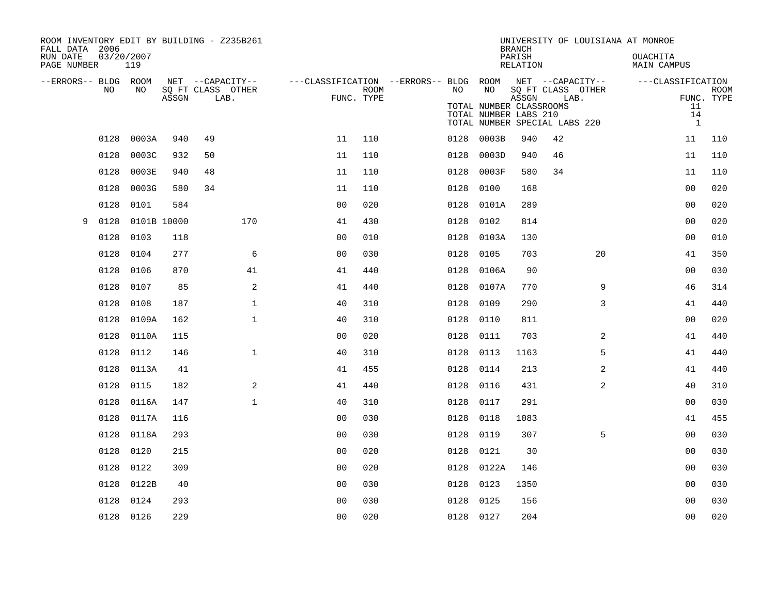| ROOM INVENTORY EDIT BY BUILDING - Z235B261<br>FALL DATA 2006 |                   |             |                   |                  |                                                         |      |           |                                                  | <b>BRANCH</b>      |                                       |    | UNIVERSITY OF LOUISIANA AT MONROE |             |
|--------------------------------------------------------------|-------------------|-------------|-------------------|------------------|---------------------------------------------------------|------|-----------|--------------------------------------------------|--------------------|---------------------------------------|----|-----------------------------------|-------------|
| RUN DATE<br>PAGE NUMBER                                      | 03/20/2007<br>119 |             |                   |                  |                                                         |      |           |                                                  | PARISH<br>RELATION |                                       |    | OUACHITA<br>MAIN CAMPUS           |             |
| --ERRORS-- BLDG ROOM                                         | NO.<br>NO.        |             | SO FT CLASS OTHER | NET --CAPACITY-- | ---CLASSIFICATION --ERRORS-- BLDG ROOM NET --CAPACITY-- | ROOM | NO        | NO                                               |                    | SQ FT CLASS OTHER                     |    | ---CLASSIFICATION                 | <b>ROOM</b> |
|                                                              |                   | ASSGN       |                   | LAB.             | FUNC. TYPE                                              |      |           | TOTAL NUMBER CLASSROOMS<br>TOTAL NUMBER LABS 210 | ASSGN              | LAB.<br>TOTAL NUMBER SPECIAL LABS 220 |    | 11<br>14<br>$\mathbf{1}$          | FUNC. TYPE  |
|                                                              | 0128<br>0003A     |             | 940<br>49         |                  | 11                                                      | 110  | 0128      | 0003B                                            | 940                | 42                                    |    | 11                                | 110         |
|                                                              | 0128<br>0003C     |             | 932<br>50         |                  | 11                                                      | 110  | 0128      | 0003D                                            | 940                | 46                                    |    | 11                                | 110         |
|                                                              | 0128<br>0003E     |             | 940<br>48         |                  | 11                                                      | 110  |           | 0128 0003F                                       | 580                | 34                                    |    | 11                                | 110         |
|                                                              | 0128<br>0003G     |             | 580<br>34         |                  | 11                                                      | 110  | 0128      | 0100                                             | 168                |                                       |    | 0 <sub>0</sub>                    | 020         |
|                                                              | 0128<br>0101      |             | 584               |                  | 0 <sub>0</sub>                                          | 020  | 0128      | 0101A                                            | 289                |                                       |    | 0 <sub>0</sub>                    | 020         |
| 9                                                            | 0128              | 0101B 10000 |                   | 170              | 41                                                      | 430  | 0128 0102 |                                                  | 814                |                                       |    | 0 <sub>0</sub>                    | 020         |
|                                                              | 0128<br>0103      |             | 118               |                  | 0 <sub>0</sub>                                          | 010  |           | 0128 0103A                                       | 130                |                                       |    | 0 <sub>0</sub>                    | 010         |
|                                                              | 0128<br>0104      |             | 277               | 6                | 0 <sub>0</sub>                                          | 030  | 0128      | 0105                                             | 703                |                                       | 20 | 41                                | 350         |
|                                                              | 0128<br>0106      |             | 870               | 41               | 41                                                      | 440  |           | 0128 0106A                                       | 90                 |                                       |    | 0 <sub>0</sub>                    | 030         |
|                                                              | 0107<br>0128      |             | 85                | 2                | 41                                                      | 440  | 0128      | 0107A                                            | 770                |                                       | 9  | 46                                | 314         |
|                                                              | 0128<br>0108      |             | 187               | $\mathbf{1}$     | 40                                                      | 310  | 0128      | 0109                                             | 290                |                                       | 3  | 41                                | 440         |
|                                                              | 0128<br>0109A     |             | 162               | $\mathbf{1}$     | 40                                                      | 310  | 0128      | 0110                                             | 811                |                                       |    | 0 <sub>0</sub>                    | 020         |
|                                                              | 0128<br>0110A     |             | 115               |                  | 0 <sub>0</sub>                                          | 020  | 0128      | 0111                                             | 703                |                                       | 2  | 41                                | 440         |
|                                                              | 0128<br>0112      |             | 146               | $\mathbf{1}$     | 40                                                      | 310  | 0128      | 0113                                             | 1163               |                                       | 5  | 41                                | 440         |
|                                                              | 0128<br>0113A     |             | 41                |                  | 41                                                      | 455  | 0128 0114 |                                                  | 213                |                                       | 2  | 41                                | 440         |
|                                                              | 0128<br>0115      |             | 182               | 2                | 41                                                      | 440  | 0128      | 0116                                             | 431                |                                       | 2  | 40                                | 310         |
|                                                              | 0128<br>0116A     |             | 147               | $\mathbf{1}$     | 40                                                      | 310  | 0128 0117 |                                                  | 291                |                                       |    | 0 <sub>0</sub>                    | 030         |
|                                                              | 0128<br>0117A     |             | 116               |                  | 0 <sub>0</sub>                                          | 030  | 0128      | 0118                                             | 1083               |                                       |    | 41                                | 455         |
|                                                              | 0128<br>0118A     |             | 293               |                  | 0 <sub>0</sub>                                          | 030  | 0128      | 0119                                             | 307                |                                       | 5  | 00                                | 030         |
|                                                              | 0128<br>0120      |             | 215               |                  | 00                                                      | 020  | 0128      | 0121                                             | 30                 |                                       |    | 0 <sub>0</sub>                    | 030         |
|                                                              | 0128<br>0122      |             | 309               |                  | 0 <sub>0</sub>                                          | 020  |           | 0128 0122A                                       | 146                |                                       |    | 0 <sub>0</sub>                    | 030         |
|                                                              | 0128<br>0122B     |             | 40                |                  | 0 <sub>0</sub>                                          | 030  | 0128      | 0123                                             | 1350               |                                       |    | 00                                | 030         |
|                                                              | 0128<br>0124      |             | 293               |                  | 0 <sub>0</sub>                                          | 030  | 0128 0125 |                                                  | 156                |                                       |    | 0 <sub>0</sub>                    | 030         |
|                                                              | 0128 0126         |             | 229               |                  | 0 <sub>0</sub>                                          | 020  | 0128 0127 |                                                  | 204                |                                       |    | 0 <sub>0</sub>                    | 020         |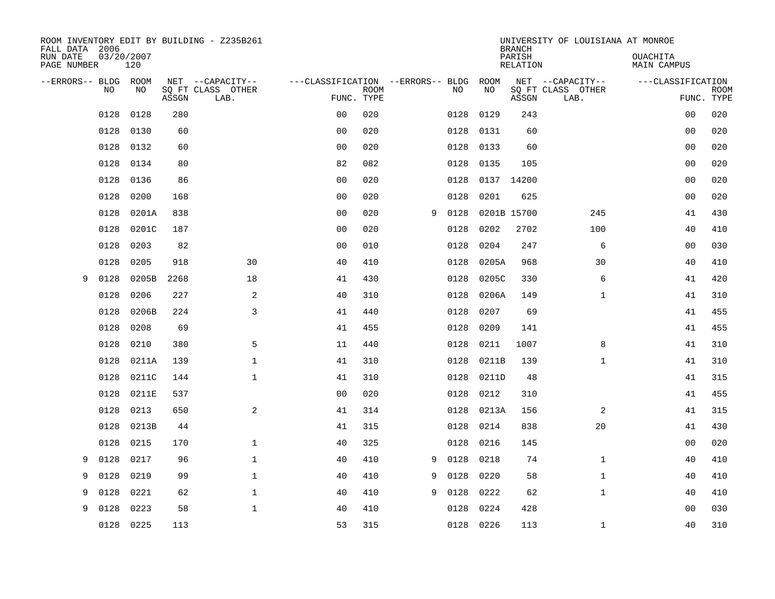| ROOM INVENTORY EDIT BY BUILDING - Z235B261<br>FALL DATA 2006 |                   |       |                           |                                   |             |   |      |             | <b>BRANCH</b>             | UNIVERSITY OF LOUISIANA AT MONROE |                                |                           |
|--------------------------------------------------------------|-------------------|-------|---------------------------|-----------------------------------|-------------|---|------|-------------|---------------------------|-----------------------------------|--------------------------------|---------------------------|
| RUN DATE<br>PAGE NUMBER                                      | 03/20/2007<br>120 |       |                           |                                   |             |   |      |             | PARISH<br><b>RELATION</b> |                                   | OUACHITA<br><b>MAIN CAMPUS</b> |                           |
| --ERRORS-- BLDG ROOM                                         |                   |       | NET --CAPACITY--          | ---CLASSIFICATION --ERRORS-- BLDG |             |   |      | ROOM        |                           | NET --CAPACITY--                  | ---CLASSIFICATION              |                           |
| NO                                                           | NO                | ASSGN | SQ FT CLASS OTHER<br>LAB. | FUNC. TYPE                        | <b>ROOM</b> |   | NO   | NO          | ASSGN                     | SQ FT CLASS OTHER<br>LAB.         |                                | <b>ROOM</b><br>FUNC. TYPE |
| 0128                                                         | 0128              | 280   |                           | 0 <sub>0</sub>                    | 020         |   | 0128 | 0129        | 243                       |                                   | 00                             | 020                       |
| 0128                                                         | 0130              | 60    |                           | 0 <sub>0</sub>                    | 020         |   | 0128 | 0131        | 60                        |                                   | 00                             | 020                       |
| 0128                                                         | 0132              | 60    |                           | 0 <sub>0</sub>                    | 020         |   | 0128 | 0133        | 60                        |                                   | 00                             | 020                       |
| 0128                                                         | 0134              | 80    |                           | 82                                | 082         |   | 0128 | 0135        | 105                       |                                   | 0 <sub>0</sub>                 | 020                       |
| 0128                                                         | 0136              | 86    |                           | 0 <sub>0</sub>                    | 020         |   | 0128 | 0137        | 14200                     |                                   | 0 <sub>0</sub>                 | 020                       |
| 0128                                                         | 0200              | 168   |                           | 0 <sub>0</sub>                    | 020         |   | 0128 | 0201        | 625                       |                                   | 0 <sub>0</sub>                 | 020                       |
| 0128                                                         | 0201A             | 838   |                           | 0 <sub>0</sub>                    | 020         | 9 | 0128 | 0201B 15700 |                           | 245                               | 41                             | 430                       |
| 0128                                                         | 0201C             | 187   |                           | 0 <sub>0</sub>                    | 020         |   | 0128 | 0202        | 2702                      | 100                               | 40                             | 410                       |
| 0128                                                         | 0203              | 82    |                           | 0 <sub>0</sub>                    | 010         |   | 0128 | 0204        | 247                       | 6                                 | 00                             | 030                       |
| 0128                                                         | 0205              | 918   | 30                        | 40                                | 410         |   | 0128 | 0205A       | 968                       | 30                                | 40                             | 410                       |
| 0128<br>9                                                    | 0205B             | 2268  | 18                        | 41                                | 430         |   | 0128 | 0205C       | 330                       | 6                                 | 41                             | 420                       |
| 0128                                                         | 0206              | 227   | 2                         | 40                                | 310         |   | 0128 | 0206A       | 149                       | $\mathbf{1}$                      | 41                             | 310                       |
| 0128                                                         | 0206B             | 224   | $\mathbf{3}$              | 41                                | 440         |   | 0128 | 0207        | 69                        |                                   | 41                             | 455                       |
| 0128                                                         | 0208              | 69    |                           | 41                                | 455         |   | 0128 | 0209        | 141                       |                                   | 41                             | 455                       |
| 0128                                                         | 0210              | 380   | 5                         | 11                                | 440         |   | 0128 | 0211        | 1007                      | 8                                 | 41                             | 310                       |
| 0128                                                         | 0211A             | 139   | $\mathbf{1}$              | 41                                | 310         |   | 0128 | 0211B       | 139                       | $\mathbf{1}$                      | 41                             | 310                       |
| 0128                                                         | 0211C             | 144   | $\mathbf{1}$              | 41                                | 310         |   | 0128 | 0211D       | 48                        |                                   | 41                             | 315                       |
| 0128                                                         | 0211E             | 537   |                           | 0 <sub>0</sub>                    | 020         |   | 0128 | 0212        | 310                       |                                   | 41                             | 455                       |
| 0128                                                         | 0213              | 650   | 2                         | 41                                | 314         |   | 0128 | 0213A       | 156                       | 2                                 | 41                             | 315                       |
| 0128                                                         | 0213B             | 44    |                           | 41                                | 315         |   | 0128 | 0214        | 838                       | 20                                | 41                             | 430                       |
| 0128                                                         | 0215              | 170   | $\mathbf 1$               | 40                                | 325         |   | 0128 | 0216        | 145                       |                                   | 00                             | 020                       |
| 9<br>0128                                                    | 0217              | 96    | $\mathbf 1$               | 40                                | 410         | 9 | 0128 | 0218        | 74                        | $\mathbf{1}$                      | 40                             | 410                       |
| 0128<br>9                                                    | 0219              | 99    | $\mathbf{1}$              | 40                                | 410         | 9 | 0128 | 0220        | 58                        | $\mathbf{1}$                      | 40                             | 410                       |
| 9<br>0128                                                    | 0221              | 62    | $\mathbf{1}$              | 40                                | 410         | 9 | 0128 | 0222        | 62                        | $\mathbf{1}$                      | 40                             | 410                       |
| 9<br>0128                                                    | 0223              | 58    | $\mathbf{1}$              | 40                                | 410         |   | 0128 | 0224        | 428                       |                                   | 0 <sub>0</sub>                 | 030                       |
| 0128                                                         | 0225              | 113   |                           | 53                                | 315         |   |      | 0128 0226   | 113                       | $\mathbf{1}$                      | 40                             | 310                       |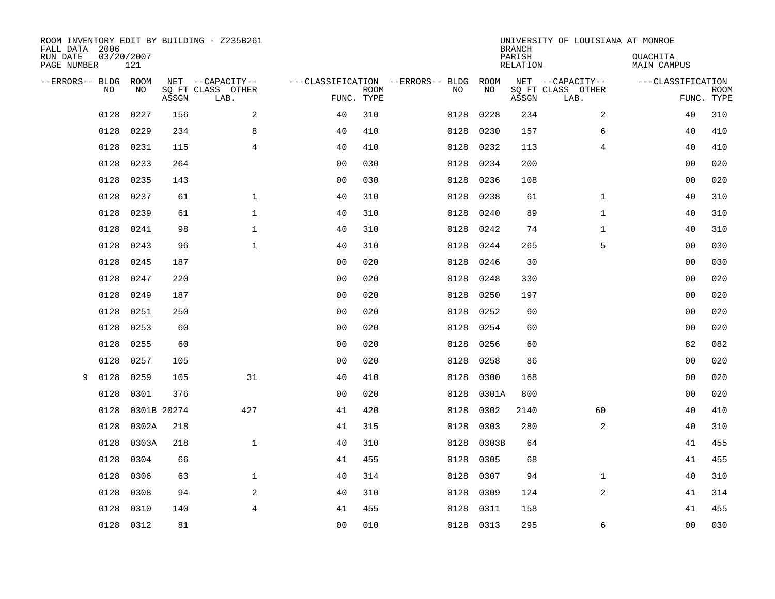| FALL DATA 2006          |                |             |       | ROOM INVENTORY EDIT BY BUILDING - Z235B261 |                |             |                                   |           | <b>BRANCH</b>      | UNIVERSITY OF LOUISIANA AT MONROE |                         |                           |
|-------------------------|----------------|-------------|-------|--------------------------------------------|----------------|-------------|-----------------------------------|-----------|--------------------|-----------------------------------|-------------------------|---------------------------|
| RUN DATE<br>PAGE NUMBER | 03/20/2007     | 121         |       |                                            |                |             |                                   |           | PARISH<br>RELATION |                                   | OUACHITA<br>MAIN CAMPUS |                           |
| --ERRORS-- BLDG ROOM    |                |             |       | NET --CAPACITY--                           |                |             | ---CLASSIFICATION --ERRORS-- BLDG | ROOM      |                    | NET --CAPACITY--                  | ---CLASSIFICATION       |                           |
|                         | N <sub>O</sub> | NO.         | ASSGN | SO FT CLASS OTHER<br>LAB.                  | FUNC. TYPE     | <b>ROOM</b> | NO.                               | NO        | ASSGN              | SQ FT CLASS OTHER<br>LAB.         |                         | <b>ROOM</b><br>FUNC. TYPE |
|                         | 0128           | 0227        | 156   | 2                                          | 40             | 310         | 0128                              | 0228      | 234                | $\overline{2}$                    | 40                      | 310                       |
|                         | 0128           | 0229        | 234   | 8                                          | 40             | 410         | 0128                              | 0230      | 157                | 6                                 | 40                      | 410                       |
|                         | 0128           | 0231        | 115   | $\overline{4}$                             | 40             | 410         | 0128                              | 0232      | 113                | $\overline{4}$                    | 40                      | 410                       |
|                         | 0128           | 0233        | 264   |                                            | 0 <sub>0</sub> | 030         | 0128                              | 0234      | 200                |                                   | 0 <sub>0</sub>          | 020                       |
|                         | 0128           | 0235        | 143   |                                            | 00             | 030         | 0128                              | 0236      | 108                |                                   | 00                      | 020                       |
|                         | 0128           | 0237        | 61    | $\mathbf 1$                                | 40             | 310         | 0128                              | 0238      | 61                 | $\mathbf{1}$                      | 40                      | 310                       |
|                         | 0128           | 0239        | 61    | $\mathbf{1}$                               | 40             | 310         | 0128                              | 0240      | 89                 | $\mathbf{1}$                      | 40                      | 310                       |
|                         | 0128           | 0241        | 98    | $\mathbf{1}$                               | 40             | 310         | 0128                              | 0242      | 74                 | $\mathbf{1}$                      | 40                      | 310                       |
|                         | 0128           | 0243        | 96    | $\mathbf{1}$                               | 40             | 310         | 0128                              | 0244      | 265                | 5                                 | 0 <sub>0</sub>          | 030                       |
|                         | 0128           | 0245        | 187   |                                            | 0 <sub>0</sub> | 020         | 0128                              | 0246      | 30                 |                                   | 00                      | 030                       |
|                         | 0128           | 0247        | 220   |                                            | 0 <sub>0</sub> | 020         | 0128                              | 0248      | 330                |                                   | 00                      | 020                       |
|                         | 0128           | 0249        | 187   |                                            | 0 <sub>0</sub> | 020         | 0128                              | 0250      | 197                |                                   | 0 <sub>0</sub>          | 020                       |
|                         | 0128           | 0251        | 250   |                                            | 0 <sub>0</sub> | 020         | 0128                              | 0252      | 60                 |                                   | 0 <sub>0</sub>          | 020                       |
|                         | 0128           | 0253        | 60    |                                            | 0 <sub>0</sub> | 020         | 0128                              | 0254      | 60                 |                                   | 0 <sub>0</sub>          | 020                       |
|                         | 0128           | 0255        | 60    |                                            | 00             | 020         | 0128                              | 0256      | 60                 |                                   | 82                      | 082                       |
|                         | 0128           | 0257        | 105   |                                            | 0 <sub>0</sub> | 020         | 0128                              | 0258      | 86                 |                                   | 00                      | 020                       |
| 9                       | 0128           | 0259        | 105   | 31                                         | 40             | 410         | 0128                              | 0300      | 168                |                                   | 00                      | 020                       |
|                         | 0128           | 0301        | 376   |                                            | 0 <sub>0</sub> | 020         | 0128                              | 0301A     | 800                |                                   | 00                      | 020                       |
|                         | 0128           | 0301B 20274 |       | 427                                        | 41             | 420         | 0128                              | 0302      | 2140               | 60                                | 40                      | 410                       |
|                         | 0128           | 0302A       | 218   |                                            | 41             | 315         | 0128                              | 0303      | 280                | 2                                 | 40                      | 310                       |
|                         | 0128           | 0303A       | 218   | $\mathbf 1$                                | 40             | 310         | 0128                              | 0303B     | 64                 |                                   | 41                      | 455                       |
|                         | 0128           | 0304        | 66    |                                            | 41             | 455         | 0128                              | 0305      | 68                 |                                   | 41                      | 455                       |
|                         | 0128           | 0306        | 63    | $\mathbf{1}$                               | 40             | 314         | 0128                              | 0307      | 94                 | $\mathbf{1}$                      | 40                      | 310                       |
|                         | 0128           | 0308        | 94    | 2                                          | 40             | 310         | 0128                              | 0309      | 124                | 2                                 | 41                      | 314                       |
|                         | 0128           | 0310        | 140   | $\overline{4}$                             | 41             | 455         | 0128                              | 0311      | 158                |                                   | 41                      | 455                       |
|                         | 0128 0312      |             | 81    |                                            | 0 <sub>0</sub> | 010         |                                   | 0128 0313 | 295                | 6                                 | 0 <sub>0</sub>          | 030                       |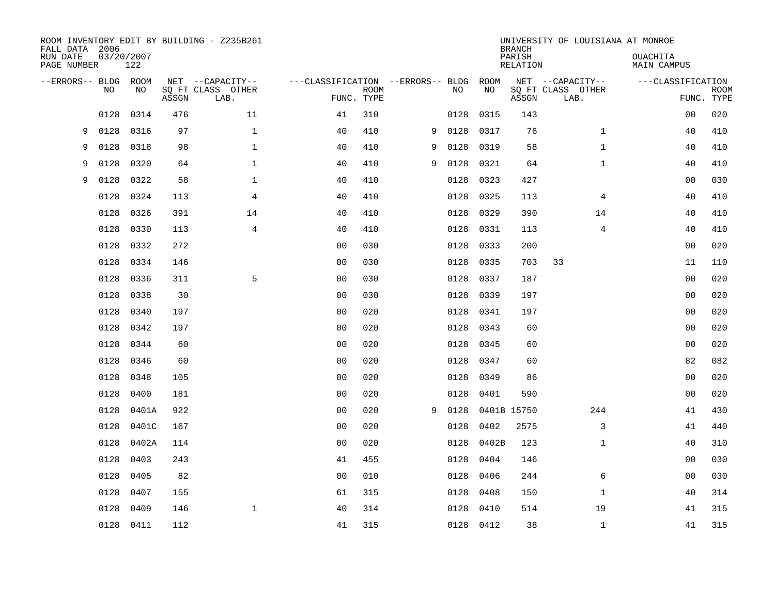| FALL DATA 2006<br>RUN DATE<br>PAGE NUMBER |      | 03/20/2007<br>122 |       | ROOM INVENTORY EDIT BY BUILDING - Z235B261    |                                   |                           |   |      |            | <b>BRANCH</b><br>PARISH<br><b>RELATION</b> | UNIVERSITY OF LOUISIANA AT MONROE             | OUACHITA<br><b>MAIN CAMPUS</b> |                           |
|-------------------------------------------|------|-------------------|-------|-----------------------------------------------|-----------------------------------|---------------------------|---|------|------------|--------------------------------------------|-----------------------------------------------|--------------------------------|---------------------------|
| --ERRORS-- BLDG ROOM                      | NO   | NO                | ASSGN | NET --CAPACITY--<br>SQ FT CLASS OTHER<br>LAB. | ---CLASSIFICATION --ERRORS-- BLDG | <b>ROOM</b><br>FUNC. TYPE |   | NO   | ROOM<br>NO | ASSGN                                      | NET --CAPACITY--<br>SQ FT CLASS OTHER<br>LAB. | ---CLASSIFICATION              | <b>ROOM</b><br>FUNC. TYPE |
|                                           | 0128 | 0314              | 476   | 11                                            | 41                                | 310                       |   | 0128 | 0315       | 143                                        |                                               | 0 <sub>0</sub>                 | 020                       |
| 9                                         | 0128 | 0316              | 97    | $\mathbf 1$                                   | 40                                | 410                       | 9 | 0128 | 0317       | 76                                         | $\mathbf{1}$                                  | 40                             | 410                       |
| 9                                         | 0128 | 0318              | 98    | $\mathbf 1$                                   | 40                                | 410                       | 9 | 0128 | 0319       | 58                                         | $\mathbf{1}$                                  | 40                             | 410                       |
| 9                                         | 0128 | 0320              | 64    | $\mathbf 1$                                   | 40                                | 410                       | 9 | 0128 | 0321       | 64                                         | $\mathbf{1}$                                  | 40                             | 410                       |
| 9                                         | 0128 | 0322              | 58    | $\mathbf{1}$                                  | 40                                | 410                       |   | 0128 | 0323       | 427                                        |                                               | 0 <sub>0</sub>                 | 030                       |
|                                           | 0128 | 0324              | 113   | 4                                             | 40                                | 410                       |   | 0128 | 0325       | 113                                        | 4                                             | 40                             | 410                       |
|                                           | 0128 | 0326              | 391   | 14                                            | 40                                | 410                       |   | 0128 | 0329       | 390                                        | 14                                            | 40                             | 410                       |
|                                           | 0128 | 0330              | 113   | $\overline{4}$                                | 40                                | 410                       |   | 0128 | 0331       | 113                                        | $\overline{4}$                                | 40                             | 410                       |
|                                           | 0128 | 0332              | 272   |                                               | 0 <sub>0</sub>                    | 030                       |   | 0128 | 0333       | 200                                        |                                               | 0 <sub>0</sub>                 | 020                       |
|                                           | 0128 | 0334              | 146   |                                               | 0 <sub>0</sub>                    | 030                       |   | 0128 | 0335       | 703                                        | 33                                            | 11                             | 110                       |
|                                           | 0128 | 0336              | 311   | 5                                             | 0 <sub>0</sub>                    | 030                       |   | 0128 | 0337       | 187                                        |                                               | 00                             | 020                       |
|                                           | 0128 | 0338              | 30    |                                               | 0 <sub>0</sub>                    | 030                       |   | 0128 | 0339       | 197                                        |                                               | 00                             | 020                       |
|                                           | 0128 | 0340              | 197   |                                               | 0 <sub>0</sub>                    | 020                       |   | 0128 | 0341       | 197                                        |                                               | 00                             | 020                       |
|                                           | 0128 | 0342              | 197   |                                               | 0 <sub>0</sub>                    | 020                       |   | 0128 | 0343       | 60                                         |                                               | 00                             | 020                       |
|                                           | 0128 | 0344              | 60    |                                               | 0 <sub>0</sub>                    | 020                       |   | 0128 | 0345       | 60                                         |                                               | 00                             | 020                       |
|                                           | 0128 | 0346              | 60    |                                               | 0 <sub>0</sub>                    | 020                       |   | 0128 | 0347       | 60                                         |                                               | 82                             | 082                       |
|                                           | 0128 | 0348              | 105   |                                               | 0 <sub>0</sub>                    | 020                       |   | 0128 | 0349       | 86                                         |                                               | 0 <sub>0</sub>                 | 020                       |
|                                           | 0128 | 0400              | 181   |                                               | 0 <sub>0</sub>                    | 020                       |   | 0128 | 0401       | 590                                        |                                               | 00                             | 020                       |
|                                           | 0128 | 0401A             | 922   |                                               | 0 <sub>0</sub>                    | 020                       | 9 | 0128 |            | 0401B 15750                                | 244                                           | 41                             | 430                       |
|                                           | 0128 | 0401C             | 167   |                                               | 0 <sub>0</sub>                    | 020                       |   | 0128 | 0402       | 2575                                       | 3                                             | 41                             | 440                       |
|                                           | 0128 | 0402A             | 114   |                                               | 0 <sub>0</sub>                    | 020                       |   | 0128 | 0402B      | 123                                        | $\mathbf{1}$                                  | 40                             | 310                       |
|                                           | 0128 | 0403              | 243   |                                               | 41                                | 455                       |   | 0128 | 0404       | 146                                        |                                               | 00                             | 030                       |
|                                           | 0128 | 0405              | 82    |                                               | 0 <sub>0</sub>                    | 010                       |   | 0128 | 0406       | 244                                        | 6                                             | 0 <sub>0</sub>                 | 030                       |
|                                           | 0128 | 0407              | 155   |                                               | 61                                | 315                       |   | 0128 | 0408       | 150                                        | $\mathbf{1}$                                  | 40                             | 314                       |
|                                           | 0128 | 0409              | 146   | $\mathbf 1$                                   | 40                                | 314                       |   | 0128 | 0410       | 514                                        | 19                                            | 41                             | 315                       |
|                                           |      | 0128 0411         | 112   |                                               | 41                                | 315                       |   |      | 0128 0412  | 38                                         | $\mathbf{1}$                                  | 41                             | 315                       |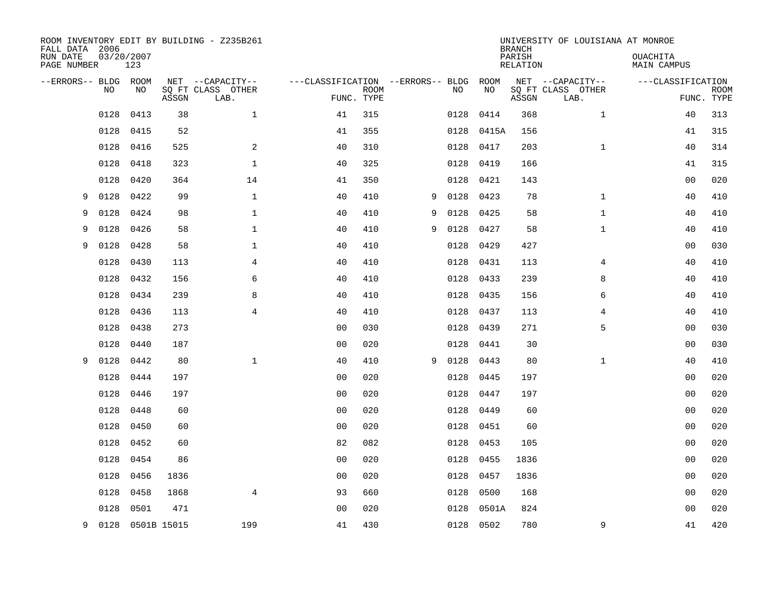| FALL DATA 2006<br>RUN DATE |      | 03/20/2007       |       | ROOM INVENTORY EDIT BY BUILDING - Z235B261 |                                        |             |   |      |            | <b>BRANCH</b><br>PARISH | UNIVERSITY OF LOUISIANA AT MONROE     | OUACHITA           |             |
|----------------------------|------|------------------|-------|--------------------------------------------|----------------------------------------|-------------|---|------|------------|-------------------------|---------------------------------------|--------------------|-------------|
| PAGE NUMBER                |      | 123              |       |                                            |                                        |             |   |      |            | <b>RELATION</b>         |                                       | <b>MAIN CAMPUS</b> |             |
| --ERRORS-- BLDG ROOM       | NO   | NO               |       | NET --CAPACITY--<br>SQ FT CLASS OTHER      | ---CLASSIFICATION --ERRORS-- BLDG ROOM | <b>ROOM</b> |   | NO   | NO         |                         | NET --CAPACITY--<br>SQ FT CLASS OTHER | ---CLASSIFICATION  | <b>ROOM</b> |
|                            |      |                  | ASSGN | LAB.                                       |                                        | FUNC. TYPE  |   |      |            | ASSGN                   | LAB.                                  |                    | FUNC. TYPE  |
|                            | 0128 | 0413             | 38    | $\mathbf 1$                                | 41                                     | 315         |   | 0128 | 0414       | 368                     | $\mathbf{1}$                          | 40                 | 313         |
|                            | 0128 | 0415             | 52    |                                            | 41                                     | 355         |   |      | 0128 0415A | 156                     |                                       | 41                 | 315         |
|                            | 0128 | 0416             | 525   | 2                                          | 40                                     | 310         |   | 0128 | 0417       | 203                     | $\mathbf{1}$                          | 40                 | 314         |
|                            | 0128 | 0418             | 323   | $\mathbf 1$                                | 40                                     | 325         |   | 0128 | 0419       | 166                     |                                       | 41                 | 315         |
|                            | 0128 | 0420             | 364   | 14                                         | 41                                     | 350         |   | 0128 | 0421       | 143                     |                                       | 0 <sub>0</sub>     | 020         |
| 9                          | 0128 | 0422             | 99    | $\mathbf 1$                                | 40                                     | 410         | 9 | 0128 | 0423       | 78                      | $\mathbf{1}$                          | 40                 | 410         |
| 9                          | 0128 | 0424             | 98    | $\mathbf{1}$                               | 40                                     | 410         | 9 | 0128 | 0425       | 58                      | $\mathbf{1}$                          | 40                 | 410         |
| 9                          | 0128 | 0426             | 58    | $\mathbf{1}$                               | 40                                     | 410         | 9 | 0128 | 0427       | 58                      | $\mathbf{1}$                          | 40                 | 410         |
| 9                          | 0128 | 0428             | 58    | $\mathbf{1}$                               | 40                                     | 410         |   | 0128 | 0429       | 427                     |                                       | 0 <sub>0</sub>     | 030         |
|                            | 0128 | 0430             | 113   | 4                                          | 40                                     | 410         |   | 0128 | 0431       | 113                     | 4                                     | 40                 | 410         |
|                            | 0128 | 0432             | 156   | 6                                          | 40                                     | 410         |   | 0128 | 0433       | 239                     | 8                                     | 40                 | 410         |
|                            | 0128 | 0434             | 239   | 8                                          | 40                                     | 410         |   | 0128 | 0435       | 156                     | 6                                     | 40                 | 410         |
|                            | 0128 | 0436             | 113   | $\overline{4}$                             | 40                                     | 410         |   | 0128 | 0437       | 113                     | 4                                     | 40                 | 410         |
|                            | 0128 | 0438             | 273   |                                            | 0 <sub>0</sub>                         | 030         |   | 0128 | 0439       | 271                     | 5                                     | 00                 | 030         |
|                            | 0128 | 0440             | 187   |                                            | 0 <sub>0</sub>                         | 020         |   | 0128 | 0441       | 30                      |                                       | 00                 | 030         |
| 9                          | 0128 | 0442             | 80    | $\mathbf{1}$                               | 40                                     | 410         | 9 | 0128 | 0443       | 80                      | $\mathbf{1}$                          | 40                 | 410         |
|                            | 0128 | 0444             | 197   |                                            | 0 <sub>0</sub>                         | 020         |   | 0128 | 0445       | 197                     |                                       | 0 <sub>0</sub>     | 020         |
|                            | 0128 | 0446             | 197   |                                            | 0 <sub>0</sub>                         | 020         |   | 0128 | 0447       | 197                     |                                       | 00                 | 020         |
|                            | 0128 | 0448             | 60    |                                            | 0 <sub>0</sub>                         | 020         |   | 0128 | 0449       | 60                      |                                       | 00                 | 020         |
|                            | 0128 | 0450             | 60    |                                            | 0 <sub>0</sub>                         | 020         |   | 0128 | 0451       | 60                      |                                       | 00                 | 020         |
|                            | 0128 | 0452             | 60    |                                            | 82                                     | 082         |   | 0128 | 0453       | 105                     |                                       | 0 <sub>0</sub>     | 020         |
|                            | 0128 | 0454             | 86    |                                            | 0 <sub>0</sub>                         | 020         |   | 0128 | 0455       | 1836                    |                                       | 0 <sub>0</sub>     | 020         |
|                            | 0128 | 0456             | 1836  |                                            | 0 <sub>0</sub>                         | 020         |   | 0128 | 0457       | 1836                    |                                       | 0 <sub>0</sub>     | 020         |
|                            | 0128 | 0458             | 1868  | $\overline{4}$                             | 93                                     | 660         |   | 0128 | 0500       | 168                     |                                       | 0 <sub>0</sub>     | 020         |
|                            | 0128 | 0501             | 471   |                                            | 0 <sub>0</sub>                         | 020         |   | 0128 | 0501A      | 824                     |                                       | 0 <sub>0</sub>     | 020         |
| 9                          |      | 0128 0501B 15015 |       | 199                                        | 41                                     | 430         |   |      | 0128 0502  | 780                     | 9                                     | 41                 | 420         |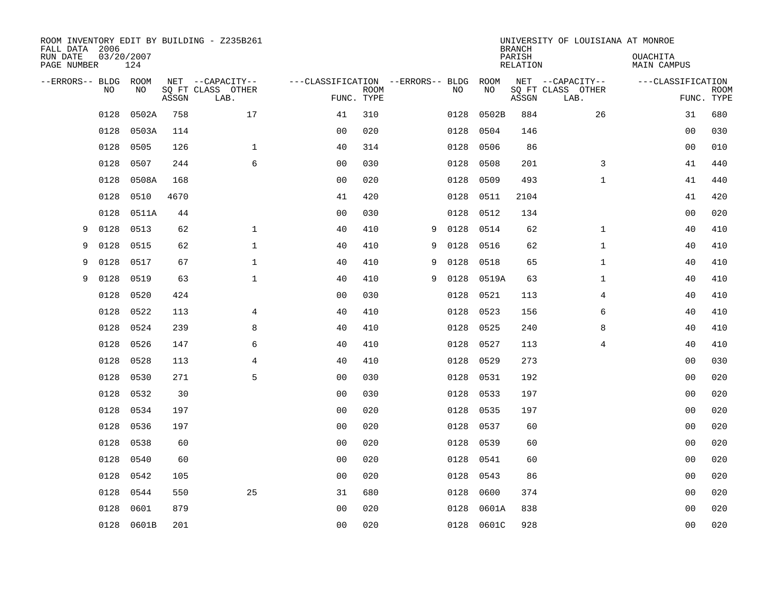| FALL DATA 2006          |      |                   |       | ROOM INVENTORY EDIT BY BUILDING - Z235B261 |                                   |             |   |      |            | <b>BRANCH</b>             | UNIVERSITY OF LOUISIANA AT MONROE |                                |             |
|-------------------------|------|-------------------|-------|--------------------------------------------|-----------------------------------|-------------|---|------|------------|---------------------------|-----------------------------------|--------------------------------|-------------|
| RUN DATE<br>PAGE NUMBER |      | 03/20/2007<br>124 |       |                                            |                                   |             |   |      |            | PARISH<br><b>RELATION</b> |                                   | OUACHITA<br><b>MAIN CAMPUS</b> |             |
| --ERRORS-- BLDG ROOM    |      |                   |       | NET --CAPACITY--                           | ---CLASSIFICATION --ERRORS-- BLDG |             |   |      | ROOM       |                           | NET --CAPACITY--                  | ---CLASSIFICATION              |             |
|                         | NO   | NO                | ASSGN | SQ FT CLASS OTHER<br>LAB.                  | FUNC. TYPE                        | <b>ROOM</b> |   | NO   | NO         | ASSGN                     | SQ FT CLASS OTHER<br>LAB.         | FUNC. TYPE                     | <b>ROOM</b> |
|                         | 0128 | 0502A             | 758   | 17                                         | 41                                | 310         |   | 0128 | 0502B      | 884                       | 26                                | 31                             | 680         |
|                         | 0128 | 0503A             | 114   |                                            | 0 <sub>0</sub>                    | 020         |   | 0128 | 0504       | 146                       |                                   | 00                             | 030         |
|                         | 0128 | 0505              | 126   | $\mathbf 1$                                | 40                                | 314         |   | 0128 | 0506       | 86                        |                                   | 00                             | 010         |
|                         | 0128 | 0507              | 244   | 6                                          | 0 <sub>0</sub>                    | 030         |   | 0128 | 0508       | 201                       | 3                                 | 41                             | 440         |
|                         | 0128 | 0508A             | 168   |                                            | 0 <sub>0</sub>                    | 020         |   | 0128 | 0509       | 493                       | $\mathbf{1}$                      | 41                             | 440         |
|                         | 0128 | 0510              | 4670  |                                            | 41                                | 420         |   | 0128 | 0511       | 2104                      |                                   | 41                             | 420         |
|                         | 0128 | 0511A             | 44    |                                            | 0 <sub>0</sub>                    | 030         |   | 0128 | 0512       | 134                       |                                   | 0 <sub>0</sub>                 | 020         |
| 9                       | 0128 | 0513              | 62    | $\mathbf{1}$                               | 40                                | 410         | 9 | 0128 | 0514       | 62                        | $\mathbf{1}$                      | 40                             | 410         |
| 9                       | 0128 | 0515              | 62    | $\mathbf{1}$                               | 40                                | 410         | 9 | 0128 | 0516       | 62                        | $\mathbf{1}$                      | 40                             | 410         |
| 9                       | 0128 | 0517              | 67    | $\mathbf{1}$                               | 40                                | 410         | 9 | 0128 | 0518       | 65                        | $\mathbf{1}$                      | 40                             | 410         |
| 9                       | 0128 | 0519              | 63    | $\mathbf{1}$                               | 40                                | 410         | 9 | 0128 | 0519A      | 63                        | $\mathbf{1}$                      | 40                             | 410         |
|                         | 0128 | 0520              | 424   |                                            | 0 <sub>0</sub>                    | 030         |   | 0128 | 0521       | 113                       | 4                                 | 40                             | 410         |
|                         | 0128 | 0522              | 113   | $\overline{4}$                             | 40                                | 410         |   | 0128 | 0523       | 156                       | 6                                 | 40                             | 410         |
|                         | 0128 | 0524              | 239   | 8                                          | 40                                | 410         |   | 0128 | 0525       | 240                       | 8                                 | 40                             | 410         |
|                         | 0128 | 0526              | 147   | 6                                          | 40                                | 410         |   | 0128 | 0527       | 113                       | 4                                 | 40                             | 410         |
|                         | 0128 | 0528              | 113   | 4                                          | 40                                | 410         |   | 0128 | 0529       | 273                       |                                   | 00                             | 030         |
|                         | 0128 | 0530              | 271   | 5                                          | 0 <sub>0</sub>                    | 030         |   | 0128 | 0531       | 192                       |                                   | 0 <sub>0</sub>                 | 020         |
|                         | 0128 | 0532              | 30    |                                            | 0 <sub>0</sub>                    | 030         |   | 0128 | 0533       | 197                       |                                   | 00                             | 020         |
|                         | 0128 | 0534              | 197   |                                            | 0 <sub>0</sub>                    | 020         |   | 0128 | 0535       | 197                       |                                   | 00                             | 020         |
|                         | 0128 | 0536              | 197   |                                            | 0 <sub>0</sub>                    | 020         |   | 0128 | 0537       | 60                        |                                   | 00                             | 020         |
|                         | 0128 | 0538              | 60    |                                            | 0 <sub>0</sub>                    | 020         |   | 0128 | 0539       | 60                        |                                   | 0 <sub>0</sub>                 | 020         |
|                         | 0128 | 0540              | 60    |                                            | 0 <sub>0</sub>                    | 020         |   | 0128 | 0541       | 60                        |                                   | 0 <sub>0</sub>                 | 020         |
|                         | 0128 | 0542              | 105   |                                            | 0 <sub>0</sub>                    | 020         |   | 0128 | 0543       | 86                        |                                   | 0 <sub>0</sub>                 | 020         |
|                         | 0128 | 0544              | 550   | 25                                         | 31                                | 680         |   | 0128 | 0600       | 374                       |                                   | 0 <sub>0</sub>                 | 020         |
|                         | 0128 | 0601              | 879   |                                            | 0 <sub>0</sub>                    | 020         |   | 0128 | 0601A      | 838                       |                                   | 0 <sub>0</sub>                 | 020         |
|                         |      | 0128 0601B        | 201   |                                            | 00                                | 020         |   |      | 0128 0601C | 928                       |                                   | 0 <sub>0</sub>                 | 020         |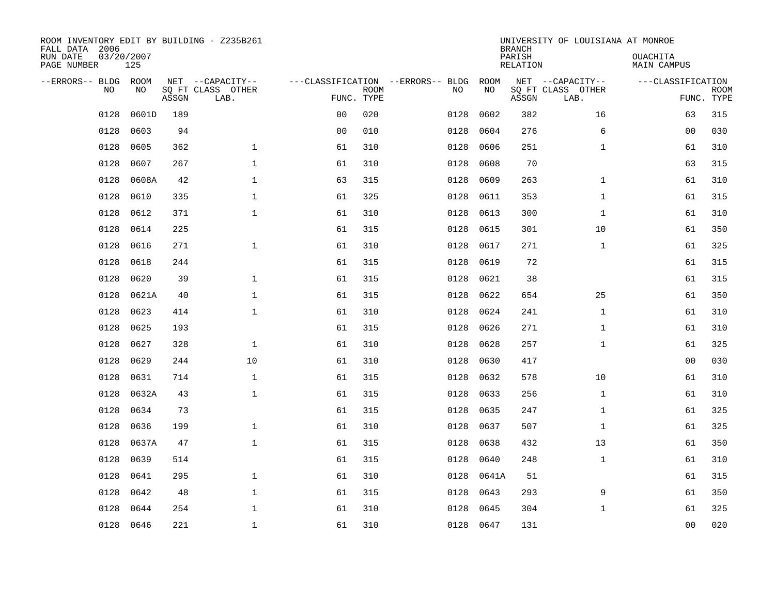| ROOM INVENTORY EDIT BY BUILDING - Z235B261<br>FALL DATA 2006<br>RUN DATE<br>PAGE NUMBER | 03/20/2007<br>125 |       |                                               |                |             |                                         |            | <b>BRANCH</b><br>PARISH<br><b>RELATION</b> | UNIVERSITY OF LOUISIANA AT MONROE             | OUACHITA<br><b>MAIN CAMPUS</b> |                           |
|-----------------------------------------------------------------------------------------|-------------------|-------|-----------------------------------------------|----------------|-------------|-----------------------------------------|------------|--------------------------------------------|-----------------------------------------------|--------------------------------|---------------------------|
| --ERRORS-- BLDG ROOM<br>NO                                                              | NO                | ASSGN | NET --CAPACITY--<br>SQ FT CLASS OTHER<br>LAB. | FUNC. TYPE     | <b>ROOM</b> | ---CLASSIFICATION --ERRORS-- BLDG<br>NO | ROOM<br>NO | ASSGN                                      | NET --CAPACITY--<br>SQ FT CLASS OTHER<br>LAB. | ---CLASSIFICATION              | <b>ROOM</b><br>FUNC. TYPE |
| 0128                                                                                    | 0601D             | 189   |                                               | 0 <sub>0</sub> | 020         | 0128                                    | 0602       | 382                                        | 16                                            | 63                             | 315                       |
| 0128                                                                                    | 0603              | 94    |                                               | 0 <sub>0</sub> | 010         | 0128                                    | 0604       | 276                                        | 6                                             | 00                             | 030                       |
| 0128                                                                                    | 0605              | 362   | $\mathbf 1$                                   | 61             | 310         | 0128                                    | 0606       | 251                                        | $\mathbf{1}$                                  | 61                             | 310                       |
| 0128                                                                                    | 0607              | 267   | $\mathbf 1$                                   | 61             | 310         | 0128                                    | 0608       | 70                                         |                                               | 63                             | 315                       |
| 0128                                                                                    | 0608A             | 42    | $\mathbf{1}$                                  | 63             | 315         | 0128                                    | 0609       | 263                                        | $\mathbf{1}$                                  | 61                             | 310                       |
| 0128                                                                                    | 0610              | 335   | $\mathbf{1}$                                  | 61             | 325         | 0128                                    | 0611       | 353                                        | $\mathbf{1}$                                  | 61                             | 315                       |
| 0128                                                                                    | 0612              | 371   | $\mathbf{1}$                                  | 61             | 310         | 0128                                    | 0613       | 300                                        | $\mathbf{1}$                                  | 61                             | 310                       |
| 0128                                                                                    | 0614              | 225   |                                               | 61             | 315         | 0128                                    | 0615       | 301                                        | 10                                            | 61                             | 350                       |
| 0128                                                                                    | 0616              | 271   | $\mathbf{1}$                                  | 61             | 310         | 0128                                    | 0617       | 271                                        | $\mathbf{1}$                                  | 61                             | 325                       |
| 0128                                                                                    | 0618              | 244   |                                               | 61             | 315         | 0128                                    | 0619       | 72                                         |                                               | 61                             | 315                       |
| 0128                                                                                    | 0620              | 39    | $\mathbf{1}$                                  | 61             | 315         | 0128                                    | 0621       | 38                                         |                                               | 61                             | 315                       |
| 0128                                                                                    | 0621A             | 40    | $\mathbf{1}$                                  | 61             | 315         | 0128                                    | 0622       | 654                                        | 25                                            | 61                             | 350                       |
| 0128                                                                                    | 0623              | 414   | $\mathbf 1$                                   | 61             | 310         | 0128                                    | 0624       | 241                                        | $\mathbf{1}$                                  | 61                             | 310                       |
| 0128                                                                                    | 0625              | 193   |                                               | 61             | 315         | 0128                                    | 0626       | 271                                        | $\mathbf{1}$                                  | 61                             | 310                       |
| 0128                                                                                    | 0627              | 328   | $\mathbf 1$                                   | 61             | 310         | 0128                                    | 0628       | 257                                        | $\mathbf{1}$                                  | 61                             | 325                       |
| 0128                                                                                    | 0629              | 244   | 10                                            | 61             | 310         | 0128                                    | 0630       | 417                                        |                                               | 00                             | 030                       |
| 0128                                                                                    | 0631              | 714   | $\mathbf 1$                                   | 61             | 315         | 0128                                    | 0632       | 578                                        | 10                                            | 61                             | 310                       |
| 0128                                                                                    | 0632A             | 43    | $\mathbf{1}$                                  | 61             | 315         | 0128                                    | 0633       | 256                                        | $\mathbf{1}$                                  | 61                             | 310                       |
| 0128                                                                                    | 0634              | 73    |                                               | 61             | 315         | 0128                                    | 0635       | 247                                        | $\mathbf{1}$                                  | 61                             | 325                       |
| 0128                                                                                    | 0636              | 199   | $\mathbf 1$                                   | 61             | 310         | 0128                                    | 0637       | 507                                        | $\mathbf{1}$                                  | 61                             | 325                       |
| 0128                                                                                    | 0637A             | 47    | $\mathbf 1$                                   | 61             | 315         | 0128                                    | 0638       | 432                                        | 13                                            | 61                             | 350                       |
| 0128                                                                                    | 0639              | 514   |                                               | 61             | 315         | 0128                                    | 0640       | 248                                        | $\mathbf{1}$                                  | 61                             | 310                       |
| 0128                                                                                    | 0641              | 295   | $\mathbf 1$                                   | 61             | 310         | 0128                                    | 0641A      | 51                                         |                                               | 61                             | 315                       |
| 0128                                                                                    | 0642              | 48    | $\mathbf{1}$                                  | 61             | 315         | 0128                                    | 0643       | 293                                        | 9                                             | 61                             | 350                       |
| 0128                                                                                    | 0644              | 254   | $\mathbf 1$                                   | 61             | 310         | 0128                                    | 0645       | 304                                        | $\mathbf{1}$                                  | 61                             | 325                       |
|                                                                                         | 0128 0646         | 221   | $\mathbf{1}$                                  | 61             | 310         |                                         | 0128 0647  | 131                                        |                                               | 0 <sub>0</sub>                 | 020                       |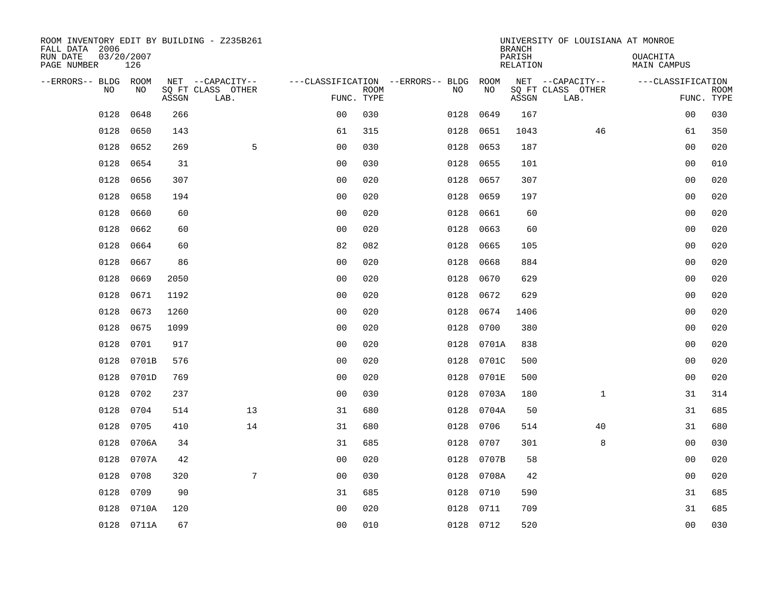| ROOM INVENTORY EDIT BY BUILDING - Z235B261<br>FALL DATA 2006 |                   |       |                           |                |             |                                        |            | <b>BRANCH</b>             | UNIVERSITY OF LOUISIANA AT MONROE |                                |             |
|--------------------------------------------------------------|-------------------|-------|---------------------------|----------------|-------------|----------------------------------------|------------|---------------------------|-----------------------------------|--------------------------------|-------------|
| RUN DATE<br>PAGE NUMBER                                      | 03/20/2007<br>126 |       |                           |                |             |                                        |            | PARISH<br><b>RELATION</b> |                                   | OUACHITA<br><b>MAIN CAMPUS</b> |             |
| --ERRORS-- BLDG ROOM                                         |                   |       | NET --CAPACITY--          |                |             | ---CLASSIFICATION --ERRORS-- BLDG ROOM |            |                           | NET --CAPACITY--                  | ---CLASSIFICATION              |             |
| NO                                                           | NO                | ASSGN | SQ FT CLASS OTHER<br>LAB. | FUNC. TYPE     | <b>ROOM</b> | NO                                     | NO         | ASSGN                     | SQ FT CLASS OTHER<br>LAB.         | FUNC. TYPE                     | <b>ROOM</b> |
| 0128                                                         | 0648              | 266   |                           | 0 <sub>0</sub> | 030         | 0128                                   | 0649       | 167                       |                                   | 00                             | 030         |
| 0128                                                         | 0650              | 143   |                           | 61             | 315         | 0128                                   | 0651       | 1043                      | 46                                | 61                             | 350         |
| 0128                                                         | 0652              | 269   | 5                         | 0 <sub>0</sub> | 030         | 0128                                   | 0653       | 187                       |                                   | 00                             | 020         |
| 0128                                                         | 0654              | 31    |                           | 0 <sub>0</sub> | 030         | 0128                                   | 0655       | 101                       |                                   | 0 <sub>0</sub>                 | 010         |
| 0128                                                         | 0656              | 307   |                           | 0 <sub>0</sub> | 020         | 0128                                   | 0657       | 307                       |                                   | 0 <sub>0</sub>                 | 020         |
| 0128                                                         | 0658              | 194   |                           | 0 <sub>0</sub> | 020         | 0128                                   | 0659       | 197                       |                                   | 0 <sub>0</sub>                 | 020         |
| 0128                                                         | 0660              | 60    |                           | 0 <sub>0</sub> | 020         | 0128                                   | 0661       | 60                        |                                   | 00                             | 020         |
| 0128                                                         | 0662              | 60    |                           | 0 <sub>0</sub> | 020         | 0128                                   | 0663       | 60                        |                                   | 0 <sub>0</sub>                 | 020         |
| 0128                                                         | 0664              | 60    |                           | 82             | 082         | 0128                                   | 0665       | 105                       |                                   | 0 <sub>0</sub>                 | 020         |
| 0128                                                         | 0667              | 86    |                           | 0 <sub>0</sub> | 020         | 0128                                   | 0668       | 884                       |                                   | 0 <sub>0</sub>                 | 020         |
| 0128                                                         | 0669              | 2050  |                           | 0 <sub>0</sub> | 020         | 0128                                   | 0670       | 629                       |                                   | 0 <sub>0</sub>                 | 020         |
| 0128                                                         | 0671              | 1192  |                           | 0 <sub>0</sub> | 020         | 0128                                   | 0672       | 629                       |                                   | 0 <sub>0</sub>                 | 020         |
| 0128                                                         | 0673              | 1260  |                           | 0 <sub>0</sub> | 020         | 0128                                   | 0674       | 1406                      |                                   | 00                             | 020         |
| 0128                                                         | 0675              | 1099  |                           | 0 <sub>0</sub> | 020         | 0128                                   | 0700       | 380                       |                                   | 00                             | 020         |
| 0128                                                         | 0701              | 917   |                           | 0 <sub>0</sub> | 020         | 0128                                   | 0701A      | 838                       |                                   | 0 <sub>0</sub>                 | 020         |
| 0128                                                         | 0701B             | 576   |                           | 0 <sub>0</sub> | 020         | 0128                                   | 0701C      | 500                       |                                   | 0 <sub>0</sub>                 | 020         |
| 0128                                                         | 0701D             | 769   |                           | 0 <sub>0</sub> | 020         | 0128                                   | 0701E      | 500                       |                                   | 0 <sub>0</sub>                 | 020         |
| 0128                                                         | 0702              | 237   |                           | 0 <sub>0</sub> | 030         | 0128                                   | 0703A      | 180                       | $\mathbf{1}$                      | 31                             | 314         |
| 0128                                                         | 0704              | 514   | 13                        | 31             | 680         |                                        | 0128 0704A | 50                        |                                   | 31                             | 685         |
| 0128                                                         | 0705              | 410   | 14                        | 31             | 680         | 0128                                   | 0706       | 514                       | 40                                | 31                             | 680         |
| 0128                                                         | 0706A             | 34    |                           | 31             | 685         | 0128                                   | 0707       | 301                       | 8                                 | 00                             | 030         |
| 0128                                                         | 0707A             | 42    |                           | 0 <sub>0</sub> | 020         | 0128                                   | 0707B      | 58                        |                                   | 00                             | 020         |
| 0128                                                         | 0708              | 320   | 7                         | 0 <sub>0</sub> | 030         |                                        | 0128 0708A | 42                        |                                   | 0 <sub>0</sub>                 | 020         |
| 0128                                                         | 0709              | 90    |                           | 31             | 685         | 0128                                   | 0710       | 590                       |                                   | 31                             | 685         |
| 0128                                                         | 0710A             | 120   |                           | 0 <sub>0</sub> | 020         | 0128                                   | 0711       | 709                       |                                   | 31                             | 685         |
|                                                              | 0128 0711A        | 67    |                           | 0 <sub>0</sub> | 010         |                                        | 0128 0712  | 520                       |                                   | 0 <sub>0</sub>                 | 030         |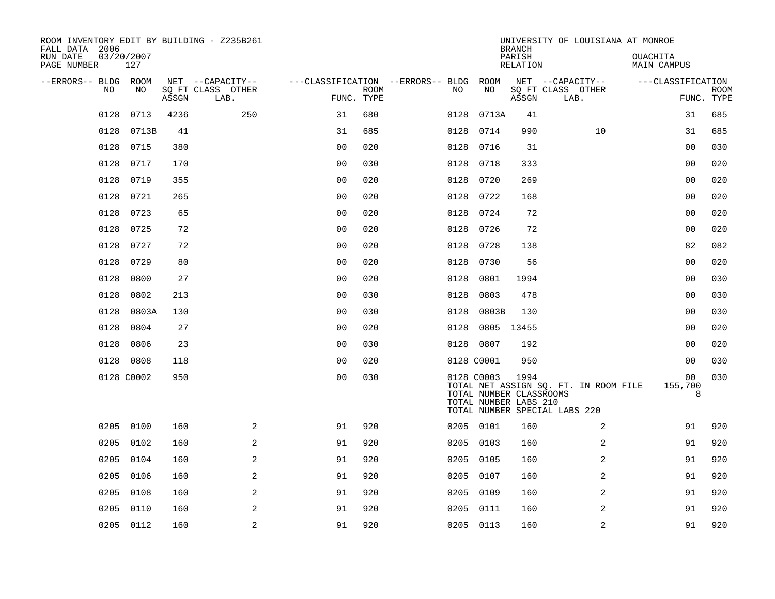| ROOM INVENTORY EDIT BY BUILDING - Z235B261<br>FALL DATA 2006 |                   |       |                           |                |             |                                        |            | <b>BRANCH</b>                                            | UNIVERSITY OF LOUISIANA AT MONROE                                      |                                |             |
|--------------------------------------------------------------|-------------------|-------|---------------------------|----------------|-------------|----------------------------------------|------------|----------------------------------------------------------|------------------------------------------------------------------------|--------------------------------|-------------|
| RUN DATE<br>PAGE NUMBER                                      | 03/20/2007<br>127 |       |                           |                |             |                                        |            | PARISH<br><b>RELATION</b>                                |                                                                        | OUACHITA<br><b>MAIN CAMPUS</b> |             |
| --ERRORS-- BLDG ROOM<br>NO                                   | NO                |       | NET --CAPACITY--          |                | <b>ROOM</b> | ---CLASSIFICATION --ERRORS-- BLDG ROOM | NO         |                                                          | NET --CAPACITY--                                                       | ---CLASSIFICATION              | <b>ROOM</b> |
|                                                              |                   | ASSGN | SQ FT CLASS OTHER<br>LAB. | FUNC. TYPE     |             | NO                                     |            | ASSGN                                                    | SQ FT CLASS OTHER<br>LAB.                                              |                                | FUNC. TYPE  |
| 0128                                                         | 0713              | 4236  | 250                       | 31             | 680         | 0128                                   |            | 0713A<br>41                                              |                                                                        | 31                             | 685         |
| 0128                                                         | 0713B             | 41    |                           | 31             | 685         | 0128                                   | 0714       | 990                                                      | 10                                                                     | 31                             | 685         |
| 0128                                                         | 0715              | 380   |                           | 0 <sub>0</sub> | 020         |                                        | 0128 0716  | 31                                                       |                                                                        | 0 <sub>0</sub>                 | 030         |
| 0128                                                         | 0717              | 170   |                           | 0 <sub>0</sub> | 030         |                                        | 0128 0718  | 333                                                      |                                                                        | 00                             | 020         |
| 0128                                                         | 0719              | 355   |                           | 0 <sub>0</sub> | 020         | 0128                                   | 0720       | 269                                                      |                                                                        | 0 <sub>0</sub>                 | 020         |
| 0128                                                         | 0721              | 265   |                           | 0 <sub>0</sub> | 020         |                                        | 0128 0722  | 168                                                      |                                                                        | 0 <sub>0</sub>                 | 020         |
| 0128                                                         | 0723              | 65    |                           | 0 <sub>0</sub> | 020         |                                        | 0128 0724  | 72                                                       |                                                                        | 0 <sub>0</sub>                 | 020         |
|                                                              | 0128 0725         | 72    |                           | 0 <sub>0</sub> | 020         |                                        | 0128 0726  | 72                                                       |                                                                        | 0 <sub>0</sub>                 | 020         |
| 0128                                                         | 0727              | 72    |                           | 0 <sub>0</sub> | 020         | 0128                                   | 0728       | 138                                                      |                                                                        | 82                             | 082         |
| 0128                                                         | 0729              | 80    |                           | 0 <sub>0</sub> | 020         | 0128                                   | 0730       | 56                                                       |                                                                        | 00                             | 020         |
| 0128                                                         | 0800              | 27    |                           | 0 <sub>0</sub> | 020         | 0128                                   | 0801       | 1994                                                     |                                                                        | 0 <sub>0</sub>                 | 030         |
| 0128                                                         | 0802              | 213   |                           | 0 <sub>0</sub> | 030         | 0128                                   | 0803       | 478                                                      |                                                                        | 0 <sub>0</sub>                 | 030         |
| 0128                                                         | 0803A             | 130   |                           | 0 <sub>0</sub> | 030         | 0128                                   |            | 0803B<br>130                                             |                                                                        | 0 <sub>0</sub>                 | 030         |
| 0128                                                         | 0804              | 27    |                           | 0 <sub>0</sub> | 020         | 0128                                   |            | 0805 13455                                               |                                                                        | 00                             | 020         |
|                                                              | 0128 0806         | 23    |                           | 0 <sub>0</sub> | 030         |                                        | 0128 0807  | 192                                                      |                                                                        | 00                             | 020         |
|                                                              | 0128 0808         | 118   |                           | 0 <sub>0</sub> | 020         |                                        | 0128 C0001 | 950                                                      |                                                                        | 0 <sub>0</sub>                 | 030         |
|                                                              | 0128 C0002        | 950   |                           | 0 <sub>0</sub> | 030         |                                        | 0128 C0003 | 1994<br>TOTAL NUMBER CLASSROOMS<br>TOTAL NUMBER LABS 210 | TOTAL NET ASSIGN SQ. FT. IN ROOM FILE<br>TOTAL NUMBER SPECIAL LABS 220 | 00<br>155,700<br>8             | 030         |
| 0205                                                         | 0100              | 160   | 2                         | 91             | 920         |                                        | 0205 0101  | 160                                                      | 2                                                                      | 91                             | 920         |
| 0205                                                         | 0102              | 160   | 2                         | 91             | 920         |                                        | 0205 0103  | 160                                                      | 2                                                                      | 91                             | 920         |
| 0205                                                         | 0104              | 160   | $\mathbf{2}$              | 91             | 920         | 0205                                   | 0105       | 160                                                      | 2                                                                      | 91                             | 920         |
| 0205                                                         | 0106              | 160   | 2                         | 91             | 920         |                                        | 0205 0107  | 160                                                      | 2                                                                      | 91                             | 920         |
| 0205                                                         | 0108              | 160   | 2                         | 91             | 920         | 0205                                   | 0109       | 160                                                      | 2                                                                      | 91                             | 920         |
| 0205                                                         | 0110              | 160   | 2                         | 91             | 920         |                                        | 0205 0111  | 160                                                      | 2                                                                      | 91                             | 920         |
|                                                              | 0205 0112         | 160   | $\overline{a}$            | 91             | 920         |                                        | 0205 0113  | 160                                                      | 2                                                                      | 91                             | 920         |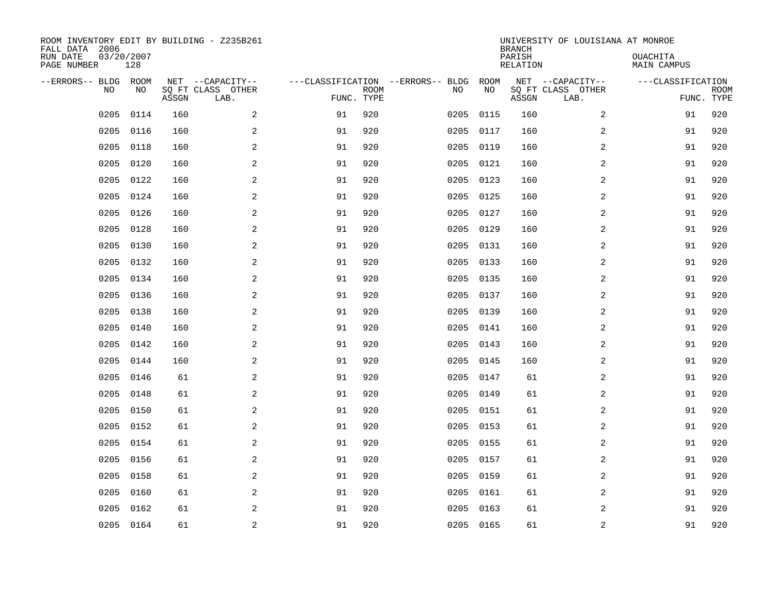| ROOM INVENTORY EDIT BY BUILDING - Z235B261<br>FALL DATA 2006<br>RUN DATE<br>PAGE NUMBER | 03/20/2007<br>128 |       |                                               |    |                           |                                         |            | <b>BRANCH</b><br>PARISH<br><b>RELATION</b> | UNIVERSITY OF LOUISIANA AT MONROE             | OUACHITA<br><b>MAIN CAMPUS</b> |                           |
|-----------------------------------------------------------------------------------------|-------------------|-------|-----------------------------------------------|----|---------------------------|-----------------------------------------|------------|--------------------------------------------|-----------------------------------------------|--------------------------------|---------------------------|
| --ERRORS-- BLDG<br>NO                                                                   | ROOM<br>NO        | ASSGN | NET --CAPACITY--<br>SQ FT CLASS OTHER<br>LAB. |    | <b>ROOM</b><br>FUNC. TYPE | ---CLASSIFICATION --ERRORS-- BLDG<br>NO | ROOM<br>NO | ASSGN                                      | NET --CAPACITY--<br>SQ FT CLASS OTHER<br>LAB. | ---CLASSIFICATION              | <b>ROOM</b><br>FUNC. TYPE |
| 0205                                                                                    | 0114              | 160   | 2                                             | 91 | 920                       | 0205                                    | 0115       | 160                                        | 2                                             | 91                             | 920                       |
| 0205                                                                                    | 0116              | 160   | $\sqrt{2}$                                    | 91 | 920                       | 0205                                    | 0117       | 160                                        | $\boldsymbol{2}$                              | 91                             | 920                       |
| 0205                                                                                    | 0118              | 160   | 2                                             | 91 | 920                       | 0205                                    | 0119       | 160                                        | 2                                             | 91                             | 920                       |
| 0205                                                                                    | 0120              | 160   | 2                                             | 91 | 920                       | 0205                                    | 0121       | 160                                        | 2                                             | 91                             | 920                       |
| 0205                                                                                    | 0122              | 160   | 2                                             | 91 | 920                       | 0205                                    | 0123       | 160                                        | 2                                             | 91                             | 920                       |
| 0205                                                                                    | 0124              | 160   | 2                                             | 91 | 920                       |                                         | 0205 0125  | 160                                        | 2                                             | 91                             | 920                       |
| 0205                                                                                    | 0126              | 160   | 2                                             | 91 | 920                       | 0205                                    | 0127       | 160                                        | 2                                             | 91                             | 920                       |
| 0205                                                                                    | 0128              | 160   | 2                                             | 91 | 920                       |                                         | 0205 0129  | 160                                        | 2                                             | 91                             | 920                       |
| 0205                                                                                    | 0130              | 160   | 2                                             | 91 | 920                       | 0205                                    | 0131       | 160                                        | 2                                             | 91                             | 920                       |
| 0205                                                                                    | 0132              | 160   | 2                                             | 91 | 920                       | 0205                                    | 0133       | 160                                        | 2                                             | 91                             | 920                       |
| 0205                                                                                    | 0134              | 160   | 2                                             | 91 | 920                       | 0205                                    | 0135       | 160                                        | 2                                             | 91                             | 920                       |
| 0205                                                                                    | 0136              | 160   | 2                                             | 91 | 920                       | 0205                                    | 0137       | 160                                        | 2                                             | 91                             | 920                       |
| 0205                                                                                    | 0138              | 160   | 2                                             | 91 | 920                       | 0205                                    | 0139       | 160                                        | 2                                             | 91                             | 920                       |
| 0205                                                                                    | 0140              | 160   | 2                                             | 91 | 920                       | 0205                                    | 0141       | 160                                        | 2                                             | 91                             | 920                       |
| 0205                                                                                    | 0142              | 160   | 2                                             | 91 | 920                       | 0205                                    | 0143       | 160                                        | 2                                             | 91                             | 920                       |
| 0205                                                                                    | 0144              | 160   | 2                                             | 91 | 920                       | 0205                                    | 0145       | 160                                        | $\overline{a}$                                | 91                             | 920                       |
| 0205                                                                                    | 0146              | 61    | 2                                             | 91 | 920                       | 0205                                    | 0147       | 61                                         | 2                                             | 91                             | 920                       |
| 0205                                                                                    | 0148              | 61    | $\overline{a}$                                | 91 | 920                       | 0205                                    | 0149       | 61                                         | 2                                             | 91                             | 920                       |
| 0205                                                                                    | 0150              | 61    | 2                                             | 91 | 920                       | 0205                                    | 0151       | 61                                         | 2                                             | 91                             | 920                       |
| 0205                                                                                    | 0152              | 61    | 2                                             | 91 | 920                       | 0205                                    | 0153       | 61                                         | 2                                             | 91                             | 920                       |
| 0205                                                                                    | 0154              | 61    | 2                                             | 91 | 920                       |                                         | 0205 0155  | 61                                         | 2                                             | 91                             | 920                       |
| 0205                                                                                    | 0156              | 61    | 2                                             | 91 | 920                       | 0205                                    | 0157       | 61                                         | 2                                             | 91                             | 920                       |
| 0205                                                                                    | 0158              | 61    | 2                                             | 91 | 920                       | 0205                                    | 0159       | 61                                         | 2                                             | 91                             | 920                       |
| 0205                                                                                    | 0160              | 61    | 2                                             | 91 | 920                       | 0205                                    | 0161       | 61                                         | 2                                             | 91                             | 920                       |
| 0205                                                                                    | 0162              | 61    | 2                                             | 91 | 920                       | 0205                                    | 0163       | 61                                         | 2                                             | 91                             | 920                       |
| 0205                                                                                    | 0164              | 61    | $\sqrt{2}$                                    | 91 | 920                       |                                         | 0205 0165  | 61                                         | $\boldsymbol{2}$                              | 91                             | 920                       |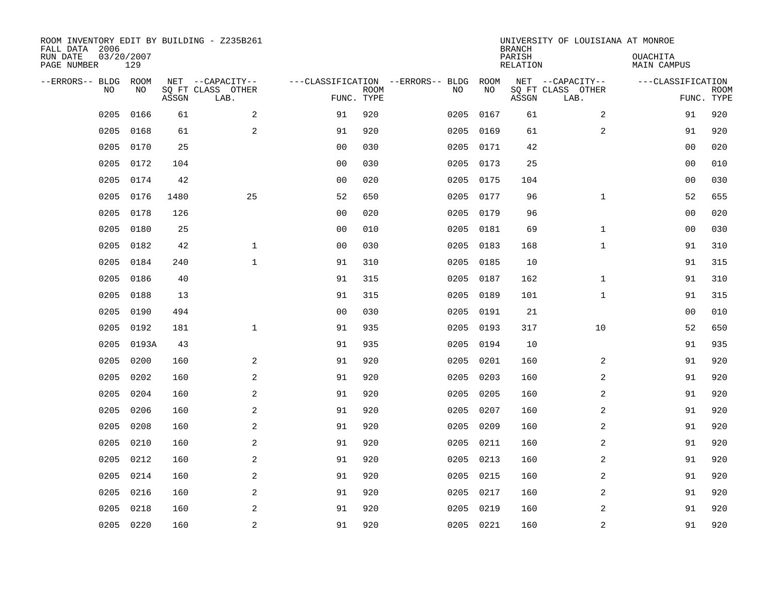| ROOM INVENTORY EDIT BY BUILDING - Z235B261<br>FALL DATA 2006<br>RUN DATE<br>PAGE NUMBER | 03/20/2007<br>129 |       |                                               |                |             |                                         |            | <b>BRANCH</b><br>PARISH<br><b>RELATION</b> | UNIVERSITY OF LOUISIANA AT MONROE             | OUACHITA<br><b>MAIN CAMPUS</b>  |             |
|-----------------------------------------------------------------------------------------|-------------------|-------|-----------------------------------------------|----------------|-------------|-----------------------------------------|------------|--------------------------------------------|-----------------------------------------------|---------------------------------|-------------|
|                                                                                         |                   |       |                                               |                |             |                                         |            |                                            |                                               |                                 |             |
| --ERRORS-- BLDG ROOM<br>NO                                                              | NO                | ASSGN | NET --CAPACITY--<br>SQ FT CLASS OTHER<br>LAB. | FUNC. TYPE     | <b>ROOM</b> | ---CLASSIFICATION --ERRORS-- BLDG<br>NO | ROOM<br>NO | ASSGN                                      | NET --CAPACITY--<br>SQ FT CLASS OTHER<br>LAB. | ---CLASSIFICATION<br>FUNC. TYPE | <b>ROOM</b> |
| 0205                                                                                    | 0166              | 61    | 2                                             | 91             | 920         | 0205                                    | 0167       | 61                                         | 2                                             | 91                              | 920         |
| 0205                                                                                    | 0168              | 61    | 2                                             | 91             | 920         | 0205                                    | 0169       | 61                                         | 2                                             | 91                              | 920         |
| 0205                                                                                    | 0170              | 25    |                                               | 0 <sub>0</sub> | 030         | 0205                                    | 0171       | 42                                         |                                               | 00                              | 020         |
| 0205                                                                                    | 0172              | 104   |                                               | 0 <sub>0</sub> | 030         |                                         | 0205 0173  | 25                                         |                                               | 0 <sub>0</sub>                  | 010         |
| 0205                                                                                    | 0174              | 42    |                                               | 0 <sub>0</sub> | 020         | 0205                                    | 0175       | 104                                        |                                               | 0 <sub>0</sub>                  | 030         |
| 0205                                                                                    | 0176              | 1480  | 25                                            | 52             | 650         |                                         | 0205 0177  | 96                                         | $\mathbf{1}$                                  | 52                              | 655         |
| 0205                                                                                    | 0178              | 126   |                                               | 0 <sub>0</sub> | 020         | 0205                                    | 0179       | 96                                         |                                               | 00                              | 020         |
| 0205                                                                                    | 0180              | 25    |                                               | 0 <sub>0</sub> | 010         | 0205                                    | 0181       | 69                                         | $\mathbf{1}$                                  | 0 <sub>0</sub>                  | 030         |
| 0205                                                                                    | 0182              | 42    | $\mathbf{1}$                                  | 0 <sub>0</sub> | 030         | 0205                                    | 0183       | 168                                        | $\mathbf{1}$                                  | 91                              | 310         |
| 0205                                                                                    | 0184              | 240   | $\mathbf{1}$                                  | 91             | 310         |                                         | 0205 0185  | 10                                         |                                               | 91                              | 315         |
| 0205                                                                                    | 0186              | 40    |                                               | 91             | 315         | 0205                                    | 0187       | 162                                        | $\mathbf{1}$                                  | 91                              | 310         |
| 0205                                                                                    | 0188              | 13    |                                               | 91             | 315         |                                         | 0205 0189  | 101                                        | $\mathbf{1}$                                  | 91                              | 315         |
| 0205                                                                                    | 0190              | 494   |                                               | 0 <sub>0</sub> | 030         | 0205                                    | 0191       | 21                                         |                                               | 00                              | 010         |
| 0205                                                                                    | 0192              | 181   | $\mathbf 1$                                   | 91             | 935         | 0205                                    | 0193       | 317                                        | 10                                            | 52                              | 650         |
| 0205                                                                                    | 0193A             | 43    |                                               | 91             | 935         | 0205                                    | 0194       | 10                                         |                                               | 91                              | 935         |
| 0205                                                                                    | 0200              | 160   | 2                                             | 91             | 920         | 0205                                    | 0201       | 160                                        | 2                                             | 91                              | 920         |
| 0205                                                                                    | 0202              | 160   | 2                                             | 91             | 920         | 0205                                    | 0203       | 160                                        | 2                                             | 91                              | 920         |
| 0205                                                                                    | 0204              | 160   | 2                                             | 91             | 920         | 0205                                    | 0205       | 160                                        | $\overline{a}$                                | 91                              | 920         |
| 0205                                                                                    | 0206              | 160   | 2                                             | 91             | 920         | 0205                                    | 0207       | 160                                        | 2                                             | 91                              | 920         |
| 0205                                                                                    | 0208              | 160   | $\overline{a}$                                | 91             | 920         | 0205                                    | 0209       | 160                                        | 2                                             | 91                              | 920         |
| 0205                                                                                    | 0210              | 160   | 2                                             | 91             | 920         |                                         | 0205 0211  | 160                                        | 2                                             | 91                              | 920         |
| 0205                                                                                    | 0212              | 160   | 2                                             | 91             | 920         | 0205                                    | 0213       | 160                                        | 2                                             | 91                              | 920         |
| 0205                                                                                    | 0214              | 160   | 2                                             | 91             | 920         | 0205                                    | 0215       | 160                                        | 2                                             | 91                              | 920         |
| 0205                                                                                    | 0216              | 160   | 2                                             | 91             | 920         | 0205                                    | 0217       | 160                                        | 2                                             | 91                              | 920         |
| 0205                                                                                    | 0218              | 160   | 2                                             | 91             | 920         | 0205                                    | 0219       | 160                                        | 2                                             | 91                              | 920         |
|                                                                                         | 0205 0220         | 160   | $\overline{c}$                                | 91             | 920         |                                         | 0205 0221  | 160                                        | $\overline{c}$                                | 91                              | 920         |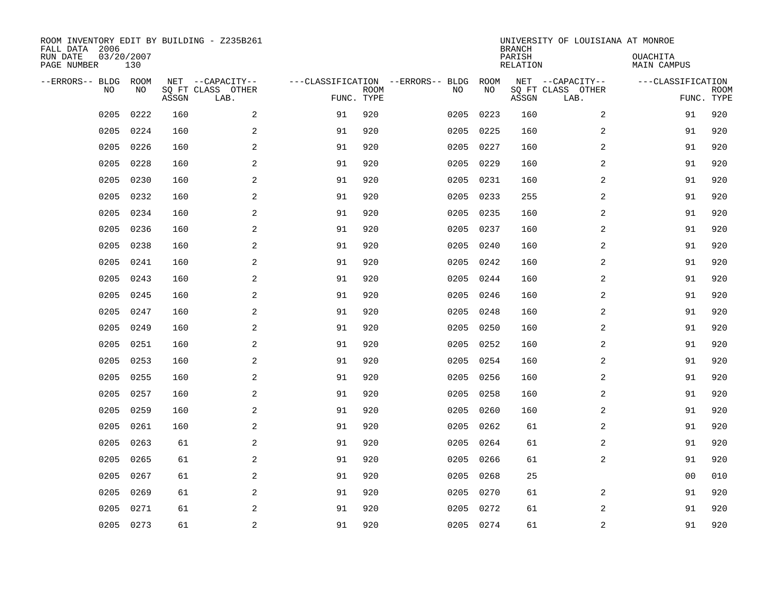| ROOM INVENTORY EDIT BY BUILDING - Z235B261<br>FALL DATA 2006<br>RUN DATE | 03/20/2007 |       |                                       |            |             |                                         |            | <b>BRANCH</b><br>PARISH | UNIVERSITY OF LOUISIANA AT MONROE     | OUACHITA           |             |
|--------------------------------------------------------------------------|------------|-------|---------------------------------------|------------|-------------|-----------------------------------------|------------|-------------------------|---------------------------------------|--------------------|-------------|
| PAGE NUMBER                                                              | 130        |       |                                       |            |             |                                         |            | <b>RELATION</b>         |                                       | <b>MAIN CAMPUS</b> |             |
| --ERRORS-- BLDG ROOM<br>NO                                               | NO         |       | NET --CAPACITY--<br>SQ FT CLASS OTHER |            | <b>ROOM</b> | ---CLASSIFICATION --ERRORS-- BLDG<br>NO | ROOM<br>NO |                         | NET --CAPACITY--<br>SQ FT CLASS OTHER | ---CLASSIFICATION  | <b>ROOM</b> |
|                                                                          |            | ASSGN | LAB.                                  | FUNC. TYPE |             |                                         |            | ASSGN                   | LAB.                                  |                    | FUNC. TYPE  |
| 0205                                                                     | 0222       | 160   | 2                                     | 91         | 920         | 0205                                    | 0223       | 160                     | 2                                     | 91                 | 920         |
| 0205                                                                     | 0224       | 160   | 2                                     | 91         | 920         | 0205                                    | 0225       | 160                     | 2                                     | 91                 | 920         |
| 0205                                                                     | 0226       | 160   | 2                                     | 91         | 920         | 0205                                    | 0227       | 160                     | 2                                     | 91                 | 920         |
| 0205                                                                     | 0228       | 160   | $\overline{a}$                        | 91         | 920         | 0205                                    | 0229       | 160                     | 2                                     | 91                 | 920         |
| 0205                                                                     | 0230       | 160   | 2                                     | 91         | 920         | 0205                                    | 0231       | 160                     | $\overline{a}$                        | 91                 | 920         |
| 0205                                                                     | 0232       | 160   | 2                                     | 91         | 920         | 0205                                    | 0233       | 255                     | $\overline{a}$                        | 91                 | 920         |
| 0205                                                                     | 0234       | 160   | $\overline{a}$                        | 91         | 920         | 0205                                    | 0235       | 160                     | $\overline{a}$                        | 91                 | 920         |
| 0205                                                                     | 0236       | 160   | 2                                     | 91         | 920         | 0205                                    | 0237       | 160                     | 2                                     | 91                 | 920         |
| 0205                                                                     | 0238       | 160   | 2                                     | 91         | 920         | 0205                                    | 0240       | 160                     | 2                                     | 91                 | 920         |
| 0205                                                                     | 0241       | 160   | 2                                     | 91         | 920         | 0205                                    | 0242       | 160                     | 2                                     | 91                 | 920         |
| 0205                                                                     | 0243       | 160   | 2                                     | 91         | 920         | 0205                                    | 0244       | 160                     | 2                                     | 91                 | 920         |
| 0205                                                                     | 0245       | 160   | 2                                     | 91         | 920         | 0205                                    | 0246       | 160                     | $\overline{2}$                        | 91                 | 920         |
| 0205                                                                     | 0247       | 160   | 2                                     | 91         | 920         | 0205                                    | 0248       | 160                     | 2                                     | 91                 | 920         |
| 0205                                                                     | 0249       | 160   | $\overline{a}$                        | 91         | 920         | 0205                                    | 0250       | 160                     | 2                                     | 91                 | 920         |
| 0205                                                                     | 0251       | 160   | 2                                     | 91         | 920         | 0205                                    | 0252       | 160                     | 2                                     | 91                 | 920         |
| 0205                                                                     | 0253       | 160   | 2                                     | 91         | 920         | 0205                                    | 0254       | 160                     | 2                                     | 91                 | 920         |
| 0205                                                                     | 0255       | 160   | 2                                     | 91         | 920         | 0205                                    | 0256       | 160                     | 2                                     | 91                 | 920         |
| 0205                                                                     | 0257       | 160   | 2                                     | 91         | 920         | 0205                                    | 0258       | 160                     | $\overline{a}$                        | 91                 | 920         |
| 0205                                                                     | 0259       | 160   | 2                                     | 91         | 920         | 0205                                    | 0260       | 160                     | 2                                     | 91                 | 920         |
| 0205                                                                     | 0261       | 160   | $\overline{a}$                        | 91         | 920         | 0205                                    | 0262       | 61                      | 2                                     | 91                 | 920         |
| 0205                                                                     | 0263       | 61    | 2                                     | 91         | 920         | 0205                                    | 0264       | 61                      | 2                                     | 91                 | 920         |
| 0205                                                                     | 0265       | 61    | 2                                     | 91         | 920         | 0205                                    | 0266       | 61                      | 2                                     | 91                 | 920         |
| 0205                                                                     | 0267       | 61    | 2                                     | 91         | 920         | 0205                                    | 0268       | 25                      |                                       | 0 <sub>0</sub>     | 010         |
| 0205                                                                     | 0269       | 61    | 2                                     | 91         | 920         | 0205                                    | 0270       | 61                      | 2                                     | 91                 | 920         |
| 0205                                                                     | 0271       | 61    | 2                                     | 91         | 920         | 0205                                    | 0272       | 61                      | 2                                     | 91                 | 920         |
|                                                                          | 0205 0273  | 61    | $\overline{c}$                        | 91         | 920         |                                         | 0205 0274  | 61                      | $\mathbf 2$                           | 91                 | 920         |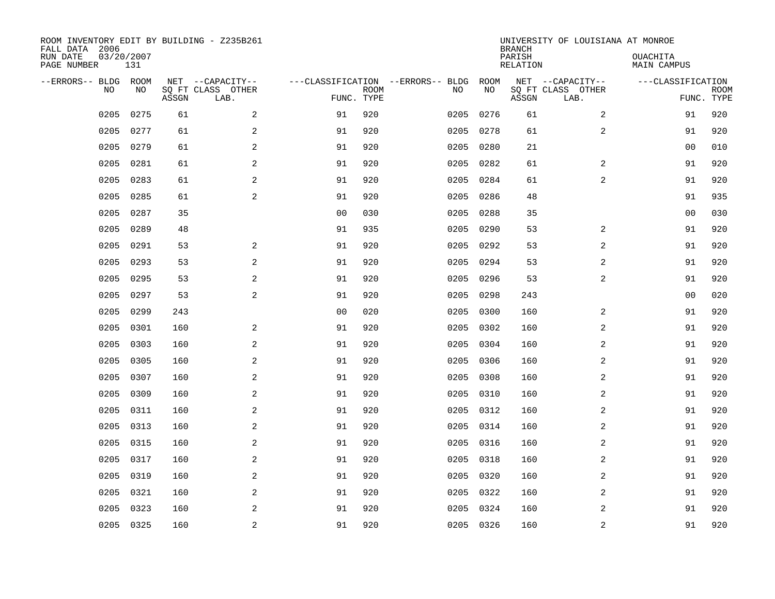| ROOM INVENTORY EDIT BY BUILDING - Z235B261<br>FALL DATA 2006<br>RUN DATE | 03/20/2007 |       |                                       |                |             |                                         |            | <b>BRANCH</b><br>PARISH | UNIVERSITY OF LOUISIANA AT MONROE     | OUACHITA           |             |
|--------------------------------------------------------------------------|------------|-------|---------------------------------------|----------------|-------------|-----------------------------------------|------------|-------------------------|---------------------------------------|--------------------|-------------|
| PAGE NUMBER                                                              | 131        |       |                                       |                |             |                                         |            | <b>RELATION</b>         |                                       | <b>MAIN CAMPUS</b> |             |
| --ERRORS-- BLDG ROOM<br>NO                                               | NO         |       | NET --CAPACITY--<br>SQ FT CLASS OTHER |                | <b>ROOM</b> | ---CLASSIFICATION --ERRORS-- BLDG<br>NO | ROOM<br>NO |                         | NET --CAPACITY--<br>SQ FT CLASS OTHER | ---CLASSIFICATION  | <b>ROOM</b> |
|                                                                          |            | ASSGN | LAB.                                  | FUNC. TYPE     |             |                                         |            | ASSGN                   | LAB.                                  |                    | FUNC. TYPE  |
| 0205                                                                     | 0275       | 61    | 2                                     | 91             | 920         | 0205                                    | 0276       | 61                      | 2                                     | 91                 | 920         |
| 0205                                                                     | 0277       | 61    | 2                                     | 91             | 920         | 0205                                    | 0278       | 61                      | 2                                     | 91                 | 920         |
| 0205                                                                     | 0279       | 61    | 2                                     | 91             | 920         | 0205                                    | 0280       | 21                      |                                       | 00                 | 010         |
| 0205                                                                     | 0281       | 61    | $\mathbf{2}$                          | 91             | 920         | 0205                                    | 0282       | 61                      | 2                                     | 91                 | 920         |
| 0205                                                                     | 0283       | 61    | 2                                     | 91             | 920         | 0205                                    | 0284       | 61                      | $\overline{a}$                        | 91                 | 920         |
| 0205                                                                     | 0285       | 61    | 2                                     | 91             | 920         | 0205                                    | 0286       | 48                      |                                       | 91                 | 935         |
| 0205                                                                     | 0287       | 35    |                                       | 0 <sub>0</sub> | 030         | 0205                                    | 0288       | 35                      |                                       | 00                 | 030         |
| 0205                                                                     | 0289       | 48    |                                       | 91             | 935         | 0205                                    | 0290       | 53                      | 2                                     | 91                 | 920         |
| 0205                                                                     | 0291       | 53    | 2                                     | 91             | 920         | 0205                                    | 0292       | 53                      | 2                                     | 91                 | 920         |
| 0205                                                                     | 0293       | 53    | 2                                     | 91             | 920         | 0205                                    | 0294       | 53                      | 2                                     | 91                 | 920         |
| 0205                                                                     | 0295       | 53    | 2                                     | 91             | 920         | 0205                                    | 0296       | 53                      | 2                                     | 91                 | 920         |
| 0205                                                                     | 0297       | 53    | 2                                     | 91             | 920         | 0205                                    | 0298       | 243                     |                                       | 0 <sub>0</sub>     | 020         |
| 0205                                                                     | 0299       | 243   |                                       | 0 <sub>0</sub> | 020         | 0205                                    | 0300       | 160                     | 2                                     | 91                 | 920         |
| 0205                                                                     | 0301       | 160   | $\overline{a}$                        | 91             | 920         | 0205                                    | 0302       | 160                     | 2                                     | 91                 | 920         |
| 0205                                                                     | 0303       | 160   | 2                                     | 91             | 920         | 0205                                    | 0304       | 160                     | 2                                     | 91                 | 920         |
| 0205                                                                     | 0305       | 160   | 2                                     | 91             | 920         | 0205                                    | 0306       | 160                     | 2                                     | 91                 | 920         |
| 0205                                                                     | 0307       | 160   | 2                                     | 91             | 920         | 0205                                    | 0308       | 160                     | 2                                     | 91                 | 920         |
| 0205                                                                     | 0309       | 160   | 2                                     | 91             | 920         | 0205                                    | 0310       | 160                     | $\overline{a}$                        | 91                 | 920         |
| 0205                                                                     | 0311       | 160   | 2                                     | 91             | 920         |                                         | 0205 0312  | 160                     | 2                                     | 91                 | 920         |
| 0205                                                                     | 0313       | 160   | $\overline{a}$                        | 91             | 920         | 0205                                    | 0314       | 160                     | 2                                     | 91                 | 920         |
| 0205                                                                     | 0315       | 160   | 2                                     | 91             | 920         |                                         | 0205 0316  | 160                     | 2                                     | 91                 | 920         |
| 0205                                                                     | 0317       | 160   | 2                                     | 91             | 920         | 0205                                    | 0318       | 160                     | 2                                     | 91                 | 920         |
| 0205                                                                     | 0319       | 160   | 2                                     | 91             | 920         | 0205                                    | 0320       | 160                     | 2                                     | 91                 | 920         |
| 0205                                                                     | 0321       | 160   | 2                                     | 91             | 920         | 0205                                    | 0322       | 160                     | 2                                     | 91                 | 920         |
| 0205                                                                     | 0323       | 160   | 2                                     | 91             | 920         | 0205                                    | 0324       | 160                     | 2                                     | 91                 | 920         |
|                                                                          | 0205 0325  | 160   | $\overline{c}$                        | 91             | 920         |                                         | 0205 0326  | 160                     | $\overline{c}$                        | 91                 | 920         |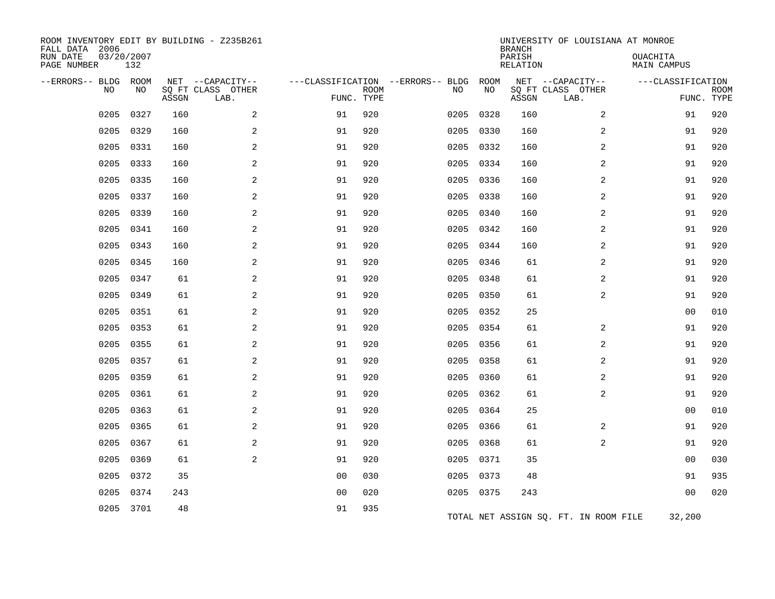| ROOM INVENTORY EDIT BY BUILDING - Z235B261<br>FALL DATA 2006<br>RUN DATE<br>PAGE NUMBER | 03/20/2007<br>132 |       |                                               |                |             |                                         |            | <b>BRANCH</b><br>PARISH<br><b>RELATION</b> | UNIVERSITY OF LOUISIANA AT MONROE             | OUACHITA<br><b>MAIN CAMPUS</b> |                           |
|-----------------------------------------------------------------------------------------|-------------------|-------|-----------------------------------------------|----------------|-------------|-----------------------------------------|------------|--------------------------------------------|-----------------------------------------------|--------------------------------|---------------------------|
| --ERRORS-- BLDG ROOM<br>NO                                                              | NO                | ASSGN | NET --CAPACITY--<br>SQ FT CLASS OTHER<br>LAB. | FUNC. TYPE     | <b>ROOM</b> | ---CLASSIFICATION --ERRORS-- BLDG<br>NO | ROOM<br>NO | ASSGN                                      | NET --CAPACITY--<br>SQ FT CLASS OTHER<br>LAB. | ---CLASSIFICATION              | <b>ROOM</b><br>FUNC. TYPE |
| 0205                                                                                    | 0327              | 160   | 2                                             | 91             | 920         | 0205                                    | 0328       | 160                                        | 2                                             | 91                             | 920                       |
| 0205                                                                                    | 0329              | 160   | 2                                             | 91             | 920         |                                         | 0205 0330  | 160                                        | 2                                             | 91                             | 920                       |
| 0205                                                                                    | 0331              | 160   | 2                                             | 91             | 920         |                                         | 0205 0332  | 160                                        | 2                                             | 91                             | 920                       |
| 0205                                                                                    | 0333              | 160   | 2                                             | 91             | 920         |                                         | 0205 0334  | 160                                        | 2                                             | 91                             | 920                       |
| 0205                                                                                    | 0335              | 160   | 2                                             | 91             | 920         | 0205                                    | 0336       | 160                                        | 2                                             | 91                             | 920                       |
| 0205                                                                                    | 0337              | 160   | 2                                             | 91             | 920         | 0205                                    | 0338       | 160                                        | 2                                             | 91                             | 920                       |
| 0205                                                                                    | 0339              | 160   | 2                                             | 91             | 920         |                                         | 0205 0340  | 160                                        | 2                                             | 91                             | 920                       |
| 0205                                                                                    | 0341              | 160   | 2                                             | 91             | 920         | 0205                                    | 0342       | 160                                        | 2                                             | 91                             | 920                       |
| 0205                                                                                    | 0343              | 160   | 2                                             | 91             | 920         | 0205                                    | 0344       | 160                                        | 2                                             | 91                             | 920                       |
| 0205                                                                                    | 0345              | 160   | 2                                             | 91             | 920         | 0205                                    | 0346       | 61                                         | 2                                             | 91                             | 920                       |
| 0205                                                                                    | 0347              | 61    | 2                                             | 91             | 920         | 0205                                    | 0348       | 61                                         | 2                                             | 91                             | 920                       |
| 0205                                                                                    | 0349              | 61    | 2                                             | 91             | 920         | 0205                                    | 0350       | 61                                         | 2                                             | 91                             | 920                       |
| 0205                                                                                    | 0351              | 61    | 2                                             | 91             | 920         | 0205                                    | 0352       | 25                                         |                                               | 0 <sub>0</sub>                 | 010                       |
| 0205                                                                                    | 0353              | 61    | 2                                             | 91             | 920         | 0205                                    | 0354       | 61                                         | 2                                             | 91                             | 920                       |
| 0205                                                                                    | 0355              | 61    | 2                                             | 91             | 920         | 0205                                    | 0356       | 61                                         | 2                                             | 91                             | 920                       |
| 0205                                                                                    | 0357              | 61    | 2                                             | 91             | 920         | 0205                                    | 0358       | 61                                         | 2                                             | 91                             | 920                       |
| 0205                                                                                    | 0359              | 61    | 2                                             | 91             | 920         | 0205                                    | 0360       | 61                                         | 2                                             | 91                             | 920                       |
| 0205                                                                                    | 0361              | 61    | 2                                             | 91             | 920         | 0205                                    | 0362       | 61                                         | 2                                             | 91                             | 920                       |
| 0205                                                                                    | 0363              | 61    | 2                                             | 91             | 920         | 0205                                    | 0364       | 25                                         |                                               | 0 <sub>0</sub>                 | 010                       |
| 0205                                                                                    | 0365              | 61    | 2                                             | 91             | 920         | 0205                                    | 0366       | 61                                         | 2                                             | 91                             | 920                       |
| 0205                                                                                    | 0367              | 61    | 2                                             | 91             | 920         |                                         | 0205 0368  | 61                                         | 2                                             | 91                             | 920                       |
| 0205                                                                                    | 0369              | 61    | 2                                             | 91             | 920         | 0205                                    | 0371       | 35                                         |                                               | 0 <sub>0</sub>                 | 030                       |
| 0205                                                                                    | 0372              | 35    |                                               | 0 <sub>0</sub> | 030         |                                         | 0205 0373  | 48                                         |                                               | 91                             | 935                       |
| 0205                                                                                    | 0374              | 243   |                                               | 00             | 020         |                                         | 0205 0375  | 243                                        |                                               | 0 <sub>0</sub>                 | 020                       |
|                                                                                         | 0205 3701         | 48    |                                               | 91             | 935         |                                         |            |                                            | TOTAL NET ASSIGN SQ. FT. IN ROOM FILE         | 32,200                         |                           |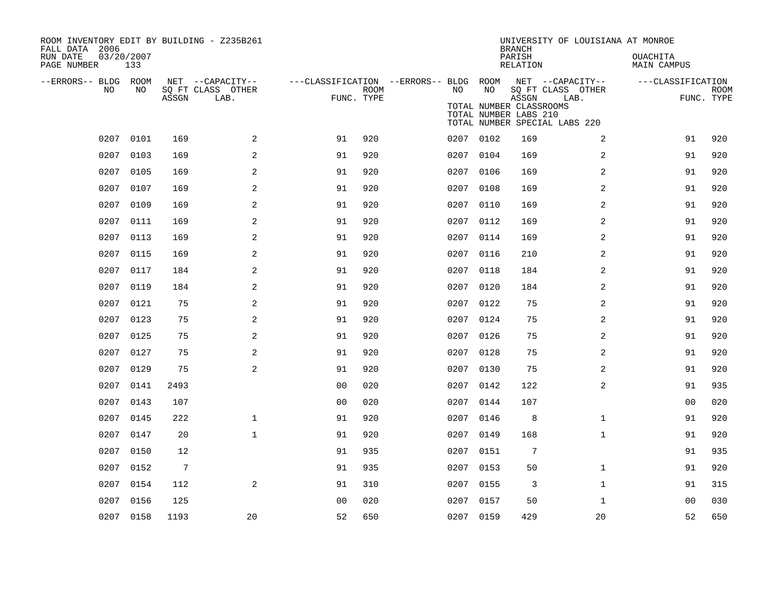| ROOM INVENTORY EDIT BY BUILDING - Z235B261<br>FALL DATA 2006<br>RUN DATE<br>PAGE NUMBER | 03/20/2007<br>133 |                 |                           |                                        |             |           |           | <b>BRANCH</b><br>PARISH<br>RELATION                       | UNIVERSITY OF LOUISIANA AT MONROE                          | <b>OUACHITA</b><br>MAIN CAMPUS |                           |
|-----------------------------------------------------------------------------------------|-------------------|-----------------|---------------------------|----------------------------------------|-------------|-----------|-----------|-----------------------------------------------------------|------------------------------------------------------------|--------------------------------|---------------------------|
| --ERRORS-- BLDG ROOM                                                                    |                   |                 | NET --CAPACITY--          | ---CLASSIFICATION --ERRORS-- BLDG ROOM |             |           |           |                                                           | NET --CAPACITY--                                           | ---CLASSIFICATION              |                           |
| <b>NO</b>                                                                               | NO.               | ASSGN           | SQ FT CLASS OTHER<br>LAB. | FUNC. TYPE                             | <b>ROOM</b> | NO.       | NO        | ASSGN<br>TOTAL NUMBER CLASSROOMS<br>TOTAL NUMBER LABS 210 | SQ FT CLASS OTHER<br>LAB.<br>TOTAL NUMBER SPECIAL LABS 220 |                                | <b>ROOM</b><br>FUNC. TYPE |
| 0207                                                                                    | 0101              | 169             | 2                         | 91                                     | 920         |           | 0207 0102 | 169                                                       | 2                                                          | 91                             | 920                       |
| 0207                                                                                    | 0103              | 169             | 2                         | 91                                     | 920         | 0207      | 0104      | 169                                                       | 2                                                          | 91                             | 920                       |
| 0207                                                                                    | 0105              | 169             | 2                         | 91                                     | 920         | 0207      | 0106      | 169                                                       | 2                                                          | 91                             | 920                       |
| 0207                                                                                    | 0107              | 169             | 2                         | 91                                     | 920         | 0207 0108 |           | 169                                                       | 2                                                          | 91                             | 920                       |
| 0207                                                                                    | 0109              | 169             | 2                         | 91                                     | 920         | 0207      | 0110      | 169                                                       | 2                                                          | 91                             | 920                       |
| 0207                                                                                    | 0111              | 169             | 2                         | 91                                     | 920         | 0207 0112 |           | 169                                                       | 2                                                          | 91                             | 920                       |
| 0207                                                                                    | 0113              | 169             | 2                         | 91                                     | 920         | 0207 0114 |           | 169                                                       | 2                                                          | 91                             | 920                       |
| 0207                                                                                    | 0115              | 169             | 2                         | 91                                     | 920         | 0207 0116 |           | 210                                                       | 2                                                          | 91                             | 920                       |
| 0207                                                                                    | 0117              | 184             | 2                         | 91                                     | 920         | 0207      | 0118      | 184                                                       | 2                                                          | 91                             | 920                       |
| 0207                                                                                    | 0119              | 184             | 2                         | 91                                     | 920         | 0207 0120 |           | 184                                                       | 2                                                          | 91                             | 920                       |
| 0207                                                                                    | 0121              | 75              | 2                         | 91                                     | 920         | 0207      | 0122      | 75                                                        | 2                                                          | 91                             | 920                       |
| 0207                                                                                    | 0123              | 75              | 2                         | 91                                     | 920         | 0207      | 0124      | 75                                                        | $\overline{a}$                                             | 91                             | 920                       |
| 0207                                                                                    | 0125              | 75              | 2                         | 91                                     | 920         |           | 0207 0126 | 75                                                        | 2                                                          | 91                             | 920                       |
| 0207                                                                                    | 0127              | 75              | 2                         | 91                                     | 920         | 0207      | 0128      | 75                                                        | 2                                                          | 91                             | 920                       |
| 0207                                                                                    | 0129              | 75              | 2                         | 91                                     | 920         |           | 0207 0130 | 75                                                        | $\overline{a}$                                             | 91                             | 920                       |
| 0207                                                                                    | 0141              | 2493            |                           | 0 <sub>0</sub>                         | 020         | 0207      | 0142      | 122                                                       | 2                                                          | 91                             | 935                       |
|                                                                                         | 0207 0143         | 107             |                           | 0 <sub>0</sub>                         | 020         |           | 0207 0144 | 107                                                       |                                                            | 00                             | 020                       |
| 0207                                                                                    | 0145              | 222             | $\mathbf{1}$              | 91                                     | 920         | 0207      | 0146      | 8                                                         | $\mathbf{1}$                                               | 91                             | 920                       |
|                                                                                         | 0207 0147         | 20              | $\mathbf{1}$              | 91                                     | 920         |           | 0207 0149 | 168                                                       | $\mathbf{1}$                                               | 91                             | 920                       |
| 0207                                                                                    | 0150              | 12              |                           | 91                                     | 935         | 0207      | 0151      | 7                                                         |                                                            | 91                             | 935                       |
|                                                                                         | 0207 0152         | $7\phantom{.0}$ |                           | 91                                     | 935         | 0207 0153 |           | 50                                                        | $\mathbf{1}$                                               | 91                             | 920                       |
| 0207                                                                                    | 0154              | 112             | 2                         | 91                                     | 310         | 0207      | 0155      | 3                                                         | $\mathbf{1}$                                               | 91                             | 315                       |
| 0207                                                                                    | 0156              | 125             |                           | 0 <sub>0</sub>                         | 020         |           | 0207 0157 | 50                                                        | $\mathbf{1}$                                               | 00                             | 030                       |
|                                                                                         | 0207 0158         | 1193            | 20                        | 52                                     | 650         | 0207 0159 |           | 429                                                       | 20                                                         | 52                             | 650                       |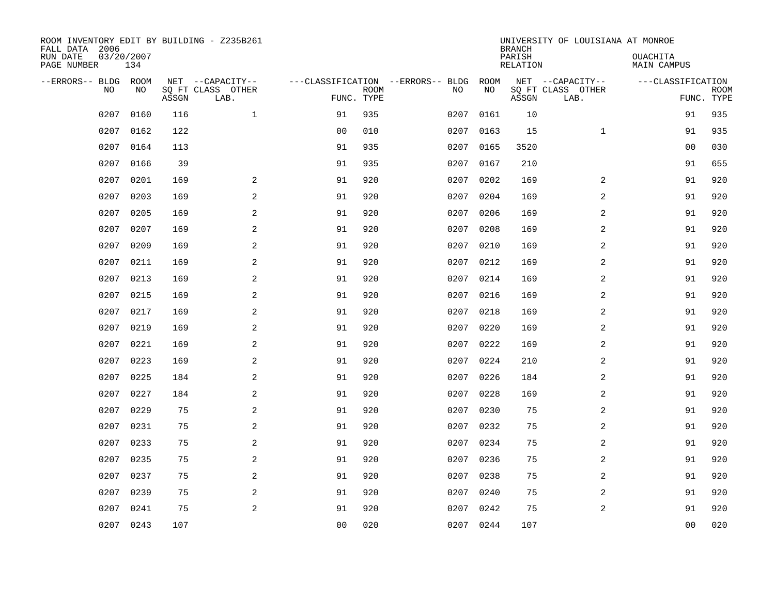| ROOM INVENTORY EDIT BY BUILDING - Z235B261<br>FALL DATA 2006<br>RUN DATE | 03/20/2007 |       |                                               |                |                           |                                         |            | <b>BRANCH</b><br>PARISH | UNIVERSITY OF LOUISIANA AT MONROE             | OUACHITA                        |             |
|--------------------------------------------------------------------------|------------|-------|-----------------------------------------------|----------------|---------------------------|-----------------------------------------|------------|-------------------------|-----------------------------------------------|---------------------------------|-------------|
| PAGE NUMBER                                                              | 134        |       |                                               |                |                           |                                         |            | <b>RELATION</b>         |                                               | <b>MAIN CAMPUS</b>              |             |
| --ERRORS-- BLDG<br>NO                                                    | ROOM<br>NO | ASSGN | NET --CAPACITY--<br>SQ FT CLASS OTHER<br>LAB. |                | <b>ROOM</b><br>FUNC. TYPE | ---CLASSIFICATION --ERRORS-- BLDG<br>NO | ROOM<br>NO | ASSGN                   | NET --CAPACITY--<br>SQ FT CLASS OTHER<br>LAB. | ---CLASSIFICATION<br>FUNC. TYPE | <b>ROOM</b> |
| 0207                                                                     | 0160       | 116   | $\mathbf{1}$                                  | 91             | 935                       | 0207                                    | 0161       | 10                      |                                               | 91                              | 935         |
| 0207                                                                     | 0162       | 122   |                                               | 0 <sub>0</sub> | 010                       | 0207                                    | 0163       | 15                      | $\mathbf{1}$                                  | 91                              | 935         |
| 0207                                                                     | 0164       | 113   |                                               | 91             | 935                       | 0207                                    | 0165       | 3520                    |                                               | 00                              | 030         |
| 0207                                                                     | 0166       | 39    |                                               | 91             | 935                       | 0207                                    | 0167       | 210                     |                                               | 91                              | 655         |
| 0207                                                                     | 0201       | 169   | 2                                             | 91             | 920                       | 0207                                    | 0202       | 169                     | 2                                             | 91                              | 920         |
| 0207                                                                     | 0203       | 169   | 2                                             | 91             | 920                       | 0207                                    | 0204       | 169                     | 2                                             | 91                              | 920         |
| 0207                                                                     | 0205       | 169   | 2                                             | 91             | 920                       | 0207                                    | 0206       | 169                     | 2                                             | 91                              | 920         |
| 0207                                                                     | 0207       | 169   | 2                                             | 91             | 920                       |                                         | 0207 0208  | 169                     | 2                                             | 91                              | 920         |
| 0207                                                                     | 0209       | 169   | 2                                             | 91             | 920                       | 0207                                    | 0210       | 169                     | 2                                             | 91                              | 920         |
| 0207                                                                     | 0211       | 169   | 2                                             | 91             | 920                       | 0207                                    | 0212       | 169                     | 2                                             | 91                              | 920         |
| 0207                                                                     | 0213       | 169   | 2                                             | 91             | 920                       | 0207                                    | 0214       | 169                     | 2                                             | 91                              | 920         |
| 0207                                                                     | 0215       | 169   | 2                                             | 91             | 920                       |                                         | 0207 0216  | 169                     | 2                                             | 91                              | 920         |
| 0207                                                                     | 0217       | 169   | 2                                             | 91             | 920                       | 0207                                    | 0218       | 169                     | 2                                             | 91                              | 920         |
| 0207                                                                     | 0219       | 169   | 2                                             | 91             | 920                       | 0207                                    | 0220       | 169                     | 2                                             | 91                              | 920         |
| 0207                                                                     | 0221       | 169   | 2                                             | 91             | 920                       | 0207                                    | 0222       | 169                     | 2                                             | 91                              | 920         |
| 0207                                                                     | 0223       | 169   | 2                                             | 91             | 920                       | 0207                                    | 0224       | 210                     | $\overline{a}$                                | 91                              | 920         |
| 0207                                                                     | 0225       | 184   | 2                                             | 91             | 920                       | 0207                                    | 0226       | 184                     | 2                                             | 91                              | 920         |
| 0207                                                                     | 0227       | 184   | $\mathbf{2}$                                  | 91             | 920                       | 0207                                    | 0228       | 169                     | 2                                             | 91                              | 920         |
| 0207                                                                     | 0229       | 75    | 2                                             | 91             | 920                       | 0207                                    | 0230       | 75                      | 2                                             | 91                              | 920         |
| 0207                                                                     | 0231       | 75    | 2                                             | 91             | 920                       | 0207                                    | 0232       | 75                      | 2                                             | 91                              | 920         |
| 0207                                                                     | 0233       | 75    | 2                                             | 91             | 920                       | 0207                                    | 0234       | 75                      | 2                                             | 91                              | 920         |
| 0207                                                                     | 0235       | 75    | 2                                             | 91             | 920                       | 0207                                    | 0236       | 75                      | 2                                             | 91                              | 920         |
| 0207                                                                     | 0237       | 75    | 2                                             | 91             | 920                       | 0207                                    | 0238       | 75                      | 2                                             | 91                              | 920         |
| 0207                                                                     | 0239       | 75    | 2                                             | 91             | 920                       | 0207                                    | 0240       | 75                      | 2                                             | 91                              | 920         |
| 0207                                                                     | 0241       | 75    | 2                                             | 91             | 920                       | 0207                                    | 0242       | 75                      | 2                                             | 91                              | 920         |
| 0207                                                                     | 0243       | 107   |                                               | 0 <sub>0</sub> | 020                       |                                         | 0207 0244  | 107                     |                                               | 0 <sub>0</sub>                  | 020         |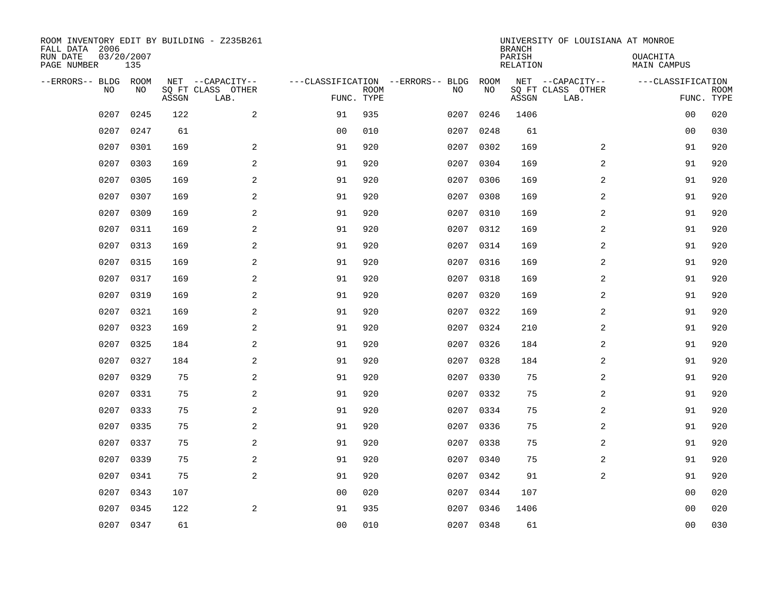| ROOM INVENTORY EDIT BY BUILDING - Z235B261<br>FALL DATA 2006<br>RUN DATE<br>03/20/2007 |           |       |                           |                |             |                                   | <b>BRANCH</b><br>PARISH | UNIVERSITY OF LOUISIANA AT MONROE | OUACHITA                  |                    |             |
|----------------------------------------------------------------------------------------|-----------|-------|---------------------------|----------------|-------------|-----------------------------------|-------------------------|-----------------------------------|---------------------------|--------------------|-------------|
| PAGE NUMBER                                                                            | 135       |       |                           |                |             |                                   |                         | <b>RELATION</b>                   |                           | <b>MAIN CAMPUS</b> |             |
| --ERRORS-- BLDG                                                                        | ROOM      |       | NET --CAPACITY--          |                |             | ---CLASSIFICATION --ERRORS-- BLDG | ROOM                    |                                   | NET --CAPACITY--          | ---CLASSIFICATION  |             |
| NO                                                                                     | NO        | ASSGN | SQ FT CLASS OTHER<br>LAB. | FUNC. TYPE     | <b>ROOM</b> | NO                                | NO                      | ASSGN                             | SQ FT CLASS OTHER<br>LAB. | FUNC. TYPE         | <b>ROOM</b> |
| 0207                                                                                   | 0245      | 122   | 2                         | 91             | 935         | 0207                              | 0246                    | 1406                              |                           | 0 <sub>0</sub>     | 020         |
| 0207                                                                                   | 0247      | 61    |                           | 0 <sub>0</sub> | 010         | 0207                              | 0248                    | 61                                |                           | 00                 | 030         |
| 0207                                                                                   | 0301      | 169   | 2                         | 91             | 920         | 0207                              | 0302                    | 169                               | 2                         | 91                 | 920         |
| 0207                                                                                   | 0303      | 169   | 2                         | 91             | 920         | 0207                              | 0304                    | 169                               | 2                         | 91                 | 920         |
| 0207                                                                                   | 0305      | 169   | 2                         | 91             | 920         | 0207                              | 0306                    | 169                               | 2                         | 91                 | 920         |
| 0207                                                                                   | 0307      | 169   | 2                         | 91             | 920         | 0207                              | 0308                    | 169                               | 2                         | 91                 | 920         |
| 0207                                                                                   | 0309      | 169   | 2                         | 91             | 920         | 0207                              | 0310                    | 169                               | 2                         | 91                 | 920         |
| 0207                                                                                   | 0311      | 169   | 2                         | 91             | 920         |                                   | 0207 0312               | 169                               | 2                         | 91                 | 920         |
| 0207                                                                                   | 0313      | 169   | 2                         | 91             | 920         | 0207                              | 0314                    | 169                               | 2                         | 91                 | 920         |
| 0207                                                                                   | 0315      | 169   | 2                         | 91             | 920         |                                   | 0207 0316               | 169                               | 2                         | 91                 | 920         |
| 0207                                                                                   | 0317      | 169   | 2                         | 91             | 920         | 0207                              | 0318                    | 169                               | 2                         | 91                 | 920         |
| 0207                                                                                   | 0319      | 169   | 2                         | 91             | 920         |                                   | 0207 0320               | 169                               | 2                         | 91                 | 920         |
| 0207                                                                                   | 0321      | 169   | 2                         | 91             | 920         | 0207                              | 0322                    | 169                               | 2                         | 91                 | 920         |
| 0207                                                                                   | 0323      | 169   | 2                         | 91             | 920         | 0207                              | 0324                    | 210                               | 2                         | 91                 | 920         |
| 0207                                                                                   | 0325      | 184   | 2                         | 91             | 920         | 0207                              | 0326                    | 184                               | 2                         | 91                 | 920         |
| 0207                                                                                   | 0327      | 184   | 2                         | 91             | 920         | 0207                              | 0328                    | 184                               | $\overline{a}$            | 91                 | 920         |
| 0207                                                                                   | 0329      | 75    | 2                         | 91             | 920         | 0207                              | 0330                    | 75                                | 2                         | 91                 | 920         |
| 0207                                                                                   | 0331      | 75    | $\mathbf{2}$              | 91             | 920         | 0207                              | 0332                    | 75                                | 2                         | 91                 | 920         |
| 0207                                                                                   | 0333      | 75    | 2                         | 91             | 920         | 0207                              | 0334                    | 75                                | 2                         | 91                 | 920         |
| 0207                                                                                   | 0335      | 75    | 2                         | 91             | 920         | 0207                              | 0336                    | 75                                | 2                         | 91                 | 920         |
| 0207                                                                                   | 0337      | 75    | 2                         | 91             | 920         |                                   | 0207 0338               | 75                                | 2                         | 91                 | 920         |
| 0207                                                                                   | 0339      | 75    | 2                         | 91             | 920         | 0207                              | 0340                    | 75                                | 2                         | 91                 | 920         |
| 0207                                                                                   | 0341      | 75    | 2                         | 91             | 920         | 0207                              | 0342                    | 91                                | 2                         | 91                 | 920         |
| 0207                                                                                   | 0343      | 107   |                           | 0 <sub>0</sub> | 020         | 0207                              | 0344                    | 107                               |                           | 0 <sub>0</sub>     | 020         |
| 0207                                                                                   | 0345      | 122   | 2                         | 91             | 935         | 0207                              | 0346                    | 1406                              |                           | 0 <sub>0</sub>     | 020         |
|                                                                                        | 0207 0347 | 61    |                           | 0 <sub>0</sub> | 010         |                                   | 0207 0348               | 61                                |                           | 0 <sub>0</sub>     | 030         |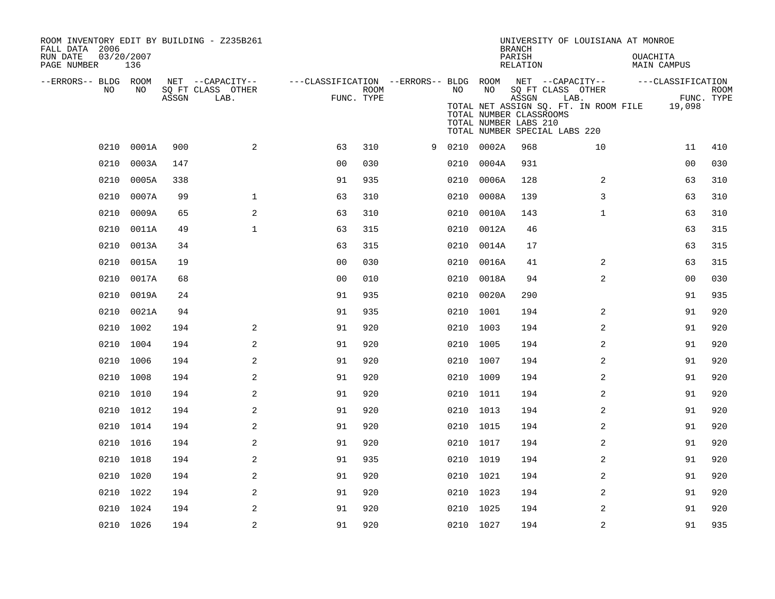| ROOM INVENTORY EDIT BY BUILDING - Z235B261<br>FALL DATA 2006 |                   |       |                                       |                                        |      |   |      | <b>BRANCH</b>                                    | UNIVERSITY OF LOUISIANA AT MONROE |                                                                                |                                |             |
|--------------------------------------------------------------|-------------------|-------|---------------------------------------|----------------------------------------|------|---|------|--------------------------------------------------|-----------------------------------|--------------------------------------------------------------------------------|--------------------------------|-------------|
| RUN DATE<br>PAGE NUMBER                                      | 03/20/2007<br>136 |       |                                       |                                        |      |   |      |                                                  | PARISH<br>RELATION                |                                                                                | <b>OUACHITA</b><br>MAIN CAMPUS |             |
| --ERRORS-- BLDG ROOM<br>NO.                                  | NO.               |       | NET --CAPACITY--<br>SO FT CLASS OTHER | ---CLASSIFICATION --ERRORS-- BLDG ROOM | ROOM |   | NO.  | NO                                               |                                   | NET --CAPACITY--<br>SQ FT CLASS OTHER                                          | ---CLASSIFICATION              | <b>ROOM</b> |
|                                                              |                   | ASSGN | LAB.                                  | FUNC. TYPE                             |      |   |      | TOTAL NUMBER CLASSROOMS<br>TOTAL NUMBER LABS 210 | ASSGN                             | LAB.<br>TOTAL NET ASSIGN SQ. FT. IN ROOM FILE<br>TOTAL NUMBER SPECIAL LABS 220 | 19,098                         | FUNC. TYPE  |
| 0210                                                         | 0001A             | 900   | 2                                     | 63                                     | 310  | 9 |      | 0210 0002A                                       | 968                               | 10                                                                             | 11                             | 410         |
| 0210                                                         | 0003A             | 147   |                                       | 0 <sub>0</sub>                         | 030  |   | 0210 | 0004A                                            | 931                               |                                                                                | 0 <sub>0</sub>                 | 030         |
| 0210                                                         | 0005A             | 338   |                                       | 91                                     | 935  |   | 0210 | 0006A                                            | 128                               | 2                                                                              | 63                             | 310         |
| 0210                                                         | 0007A             | 99    | $\mathbf{1}$                          | 63                                     | 310  |   | 0210 | 0008A                                            | 139                               | 3                                                                              | 63                             | 310         |
| 0210                                                         | 0009A             | 65    | 2                                     | 63                                     | 310  |   | 0210 | 0010A                                            | 143                               | $\mathbf{1}$                                                                   | 63                             | 310         |
| 0210                                                         | 0011A             | 49    | $\mathbf{1}$                          | 63                                     | 315  |   | 0210 | 0012A                                            | 46                                |                                                                                | 63                             | 315         |
| 0210                                                         | 0013A             | 34    |                                       | 63                                     | 315  |   | 0210 | 0014A                                            | 17                                |                                                                                | 63                             | 315         |
| 0210                                                         | 0015A             | 19    |                                       | 0 <sub>0</sub>                         | 030  |   | 0210 | 0016A                                            | 41                                | 2                                                                              | 63                             | 315         |
| 0210                                                         | 0017A             | 68    |                                       | 0 <sub>0</sub>                         | 010  |   | 0210 | 0018A                                            | 94                                | $\overline{2}$                                                                 | 0 <sub>0</sub>                 | 030         |
| 0210                                                         | 0019A             | 24    |                                       | 91                                     | 935  |   | 0210 | 0020A                                            | 290                               |                                                                                | 91                             | 935         |
| 0210                                                         | 0021A             | 94    |                                       | 91                                     | 935  |   | 0210 | 1001                                             | 194                               | 2                                                                              | 91                             | 920         |
| 0210                                                         | 1002              | 194   | 2                                     | 91                                     | 920  |   | 0210 | 1003                                             | 194                               | $\overline{a}$                                                                 | 91                             | 920         |
|                                                              | 0210 1004         | 194   | 2                                     | 91                                     | 920  |   |      | 0210 1005                                        | 194                               | $\overline{a}$                                                                 | 91                             | 920         |
|                                                              | 0210 1006         | 194   | 2                                     | 91                                     | 920  |   |      | 0210 1007                                        | 194                               | 2                                                                              | 91                             | 920         |
|                                                              | 0210 1008         | 194   | 2                                     | 91                                     | 920  |   |      | 0210 1009                                        | 194                               | 2                                                                              | 91                             | 920         |
|                                                              | 0210 1010         | 194   | 2                                     | 91                                     | 920  |   |      | 0210 1011                                        | 194                               | 2                                                                              | 91                             | 920         |
|                                                              | 0210 1012         | 194   | 2                                     | 91                                     | 920  |   |      | 0210 1013                                        | 194                               | 2                                                                              | 91                             | 920         |
|                                                              | 0210 1014         | 194   | 2                                     | 91                                     | 920  |   |      | 0210 1015                                        | 194                               | 2                                                                              | 91                             | 920         |
|                                                              | 0210 1016         | 194   | 2                                     | 91                                     | 920  |   |      | 0210 1017                                        | 194                               | 2                                                                              | 91                             | 920         |
| 0210                                                         | 1018              | 194   | $\sqrt{2}$                            | 91                                     | 935  |   |      | 0210 1019                                        | 194                               | $\overline{a}$                                                                 | 91                             | 920         |
|                                                              | 0210 1020         | 194   | $\sqrt{2}$                            | 91                                     | 920  |   |      | 0210 1021                                        | 194                               | $\boldsymbol{2}$                                                               | 91                             | 920         |
| 0210                                                         | 1022              | 194   | 2                                     | 91                                     | 920  |   |      | 0210 1023                                        | 194                               | 2                                                                              | 91                             | 920         |
|                                                              | 0210 1024         | 194   | 2                                     | 91                                     | 920  |   | 0210 | 1025                                             | 194                               | 2                                                                              | 91                             | 920         |
|                                                              | 0210 1026         | 194   | $\overline{a}$                        | 91                                     | 920  |   |      | 0210 1027                                        | 194                               | 2                                                                              | 91                             | 935         |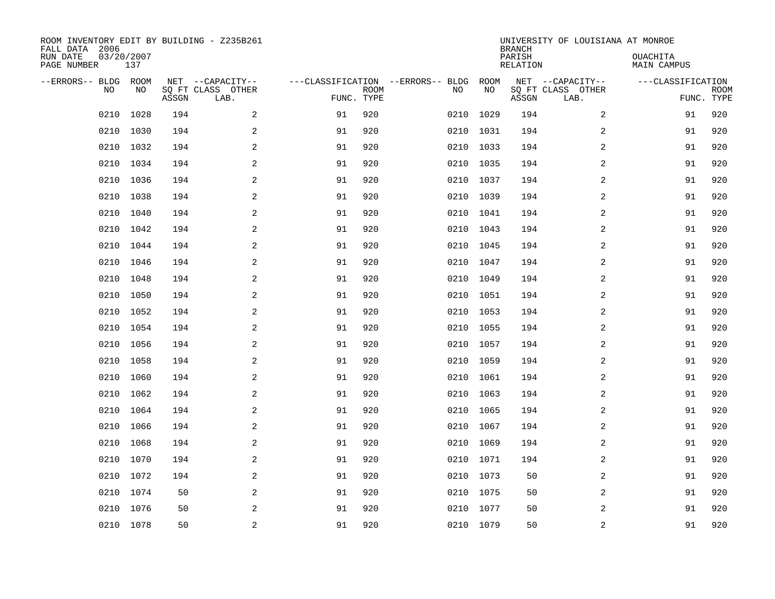| ROOM INVENTORY EDIT BY BUILDING - Z235B261<br>FALL DATA 2006<br>RUN DATE<br>PAGE NUMBER | 03/20/2007<br>137 |       |                                               |    |                           |                                         |            | <b>BRANCH</b><br>PARISH<br><b>RELATION</b> | UNIVERSITY OF LOUISIANA AT MONROE             | OUACHITA<br>MAIN CAMPUS         |             |
|-----------------------------------------------------------------------------------------|-------------------|-------|-----------------------------------------------|----|---------------------------|-----------------------------------------|------------|--------------------------------------------|-----------------------------------------------|---------------------------------|-------------|
| --ERRORS-- BLDG<br>NO                                                                   | ROOM<br>NO        | ASSGN | NET --CAPACITY--<br>SQ FT CLASS OTHER<br>LAB. |    | <b>ROOM</b><br>FUNC. TYPE | ---CLASSIFICATION --ERRORS-- BLDG<br>NO | ROOM<br>NO | ASSGN                                      | NET --CAPACITY--<br>SQ FT CLASS OTHER<br>LAB. | ---CLASSIFICATION<br>FUNC. TYPE | <b>ROOM</b> |
| 0210                                                                                    | 1028              | 194   | 2                                             | 91 | 920                       | 0210                                    | 1029       | 194                                        | 2                                             | 91                              | 920         |
| 0210                                                                                    | 1030              | 194   | $\sqrt{2}$                                    | 91 | 920                       | 0210                                    | 1031       | 194                                        | $\boldsymbol{2}$                              | 91                              | 920         |
| 0210                                                                                    | 1032              | 194   | 2                                             | 91 | 920                       | 0210                                    | 1033       | 194                                        | 2                                             | 91                              | 920         |
| 0210                                                                                    | 1034              | 194   | 2                                             | 91 | 920                       | 0210                                    | 1035       | 194                                        | 2                                             | 91                              | 920         |
| 0210                                                                                    | 1036              | 194   | 2                                             | 91 | 920                       | 0210                                    | 1037       | 194                                        | 2                                             | 91                              | 920         |
| 0210                                                                                    | 1038              | 194   | 2                                             | 91 | 920                       |                                         | 0210 1039  | 194                                        | 2                                             | 91                              | 920         |
| 0210                                                                                    | 1040              | 194   | 2                                             | 91 | 920                       | 0210                                    | 1041       | 194                                        | 2                                             | 91                              | 920         |
| 0210                                                                                    | 1042              | 194   | 2                                             | 91 | 920                       |                                         | 0210 1043  | 194                                        | 2                                             | 91                              | 920         |
| 0210                                                                                    | 1044              | 194   | 2                                             | 91 | 920                       | 0210                                    | 1045       | 194                                        | 2                                             | 91                              | 920         |
| 0210                                                                                    | 1046              | 194   | 2                                             | 91 | 920                       |                                         | 0210 1047  | 194                                        | 2                                             | 91                              | 920         |
| 0210                                                                                    | 1048              | 194   | 2                                             | 91 | 920                       | 0210                                    | 1049       | 194                                        | 2                                             | 91                              | 920         |
| 0210                                                                                    | 1050              | 194   | 2                                             | 91 | 920                       |                                         | 0210 1051  | 194                                        | 2                                             | 91                              | 920         |
| 0210                                                                                    | 1052              | 194   | 2                                             | 91 | 920                       | 0210                                    | 1053       | 194                                        | 2                                             | 91                              | 920         |
| 0210                                                                                    | 1054              | 194   | 2                                             | 91 | 920                       | 0210                                    | 1055       | 194                                        | 2                                             | 91                              | 920         |
| 0210                                                                                    | 1056              | 194   | 2                                             | 91 | 920                       | 0210                                    | 1057       | 194                                        | 2                                             | 91                              | 920         |
| 0210                                                                                    | 1058              | 194   | 2                                             | 91 | 920                       | 0210                                    | 1059       | 194                                        | $\overline{a}$                                | 91                              | 920         |
| 0210                                                                                    | 1060              | 194   | 2                                             | 91 | 920                       | 0210                                    | 1061       | 194                                        | 2                                             | 91                              | 920         |
| 0210                                                                                    | 1062              | 194   | $\mathbf{2}$                                  | 91 | 920                       | 0210                                    | 1063       | 194                                        | 2                                             | 91                              | 920         |
| 0210                                                                                    | 1064              | 194   | 2                                             | 91 | 920                       | 0210                                    | 1065       | 194                                        | 2                                             | 91                              | 920         |
| 0210                                                                                    | 1066              | 194   | 2                                             | 91 | 920                       |                                         | 0210 1067  | 194                                        | 2                                             | 91                              | 920         |
| 0210                                                                                    | 1068              | 194   | 2                                             | 91 | 920                       | 0210                                    | 1069       | 194                                        | 2                                             | 91                              | 920         |
| 0210                                                                                    | 1070              | 194   | 2                                             | 91 | 920                       |                                         | 0210 1071  | 194                                        | 2                                             | 91                              | 920         |
| 0210                                                                                    | 1072              | 194   | 2                                             | 91 | 920                       |                                         | 0210 1073  | 50                                         | 2                                             | 91                              | 920         |
| 0210                                                                                    | 1074              | 50    | 2                                             | 91 | 920                       | 0210                                    | 1075       | 50                                         | 2                                             | 91                              | 920         |
| 0210                                                                                    | 1076              | 50    | 2                                             | 91 | 920                       | 0210                                    | 1077       | 50                                         | 2                                             | 91                              | 920         |
|                                                                                         | 0210 1078         | 50    | $\overline{c}$                                | 91 | 920                       |                                         | 0210 1079  | 50                                         | $\overline{c}$                                | 91                              | 920         |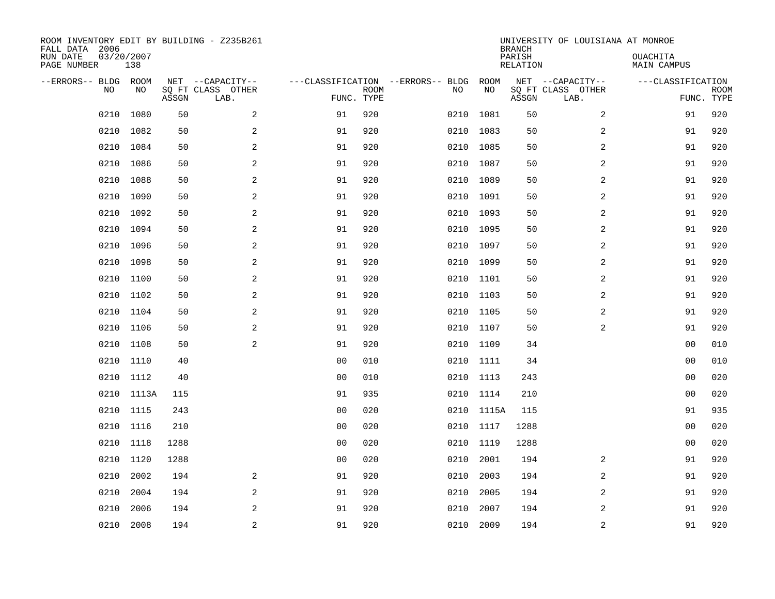| ROOM INVENTORY EDIT BY BUILDING - Z235B261<br>FALL DATA 2006<br>RUN DATE<br>03/20/2007 |           |       |                           |                                   |             |           | <b>BRANCH</b><br>PARISH | UNIVERSITY OF LOUISIANA AT MONROE | OUACHITA                  |                    |             |
|----------------------------------------------------------------------------------------|-----------|-------|---------------------------|-----------------------------------|-------------|-----------|-------------------------|-----------------------------------|---------------------------|--------------------|-------------|
| PAGE NUMBER                                                                            | 138       |       |                           |                                   |             |           |                         | <b>RELATION</b>                   |                           | <b>MAIN CAMPUS</b> |             |
| --ERRORS-- BLDG ROOM                                                                   |           |       | NET --CAPACITY--          | ---CLASSIFICATION --ERRORS-- BLDG |             |           | ROOM                    |                                   | NET --CAPACITY--          | ---CLASSIFICATION  |             |
| NO                                                                                     | NO        | ASSGN | SQ FT CLASS OTHER<br>LAB. | FUNC. TYPE                        | <b>ROOM</b> | NO        | NO                      | ASSGN                             | SQ FT CLASS OTHER<br>LAB. | FUNC. TYPE         | <b>ROOM</b> |
| 0210                                                                                   | 1080      | 50    | 2                         | 91                                | 920         | 0210      | 1081                    | 50                                | 2                         | 91                 | 920         |
| 0210                                                                                   | 1082      | 50    | 2                         | 91                                | 920         | 0210      | 1083                    | 50                                | 2                         | 91                 | 920         |
| 0210                                                                                   | 1084      | 50    | 2                         | 91                                | 920         | 0210      | 1085                    | 50                                | $\overline{a}$            | 91                 | 920         |
| 0210                                                                                   | 1086      | 50    | 2                         | 91                                | 920         | 0210      | 1087                    | 50                                | $\overline{a}$            | 91                 | 920         |
| 0210                                                                                   | 1088      | 50    | $\mathbf{2}$              | 91                                | 920         | 0210      | 1089                    | 50                                | 2                         | 91                 | 920         |
| 0210                                                                                   | 1090      | 50    | 2                         | 91                                | 920         | 0210      | 1091                    | 50                                | 2                         | 91                 | 920         |
| 0210                                                                                   | 1092      | 50    | 2                         | 91                                | 920         | 0210      | 1093                    | 50                                | 2                         | 91                 | 920         |
|                                                                                        | 0210 1094 | 50    | 2                         | 91                                | 920         | 0210 1095 |                         | 50                                | 2                         | 91                 | 920         |
| 0210                                                                                   | 1096      | 50    | 2                         | 91                                | 920         | 0210      | 1097                    | 50                                | 2                         | 91                 | 920         |
| 0210                                                                                   | 1098      | 50    | 2                         | 91                                | 920         |           | 0210 1099               | 50                                | 2                         | 91                 | 920         |
| 0210                                                                                   | 1100      | 50    | 2                         | 91                                | 920         | 0210      | 1101                    | 50                                | 2                         | 91                 | 920         |
| 0210                                                                                   | 1102      | 50    | 2                         | 91                                | 920         | 0210      | 1103                    | 50                                | 2                         | 91                 | 920         |
| 0210                                                                                   | 1104      | 50    | 2                         | 91                                | 920         | 0210      | 1105                    | 50                                | 2                         | 91                 | 920         |
| 0210                                                                                   | 1106      | 50    | 2                         | 91                                | 920         | 0210      | 1107                    | 50                                | $\overline{a}$            | 91                 | 920         |
| 0210                                                                                   | 1108      | 50    | 2                         | 91                                | 920         | 0210      | 1109                    | 34                                |                           | 0 <sub>0</sub>     | 010         |
| 0210                                                                                   | 1110      | 40    |                           | 0 <sub>0</sub>                    | 010         | 0210 1111 |                         | 34                                |                           | 00                 | 010         |
| 0210                                                                                   | 1112      | 40    |                           | 0 <sub>0</sub>                    | 010         | 0210 1113 |                         | 243                               |                           | 00                 | 020         |
| 0210                                                                                   | 1113A     | 115   |                           | 91                                | 935         | 0210      | 1114                    | 210                               |                           | 0 <sub>0</sub>     | 020         |
|                                                                                        | 0210 1115 | 243   |                           | 0 <sub>0</sub>                    | 020         |           | 0210 1115A              | 115                               |                           | 91                 | 935         |
| 0210                                                                                   | 1116      | 210   |                           | 0 <sub>0</sub>                    | 020         | 0210 1117 |                         | 1288                              |                           | 0 <sub>0</sub>     | 020         |
| 0210                                                                                   | 1118      | 1288  |                           | 0 <sub>0</sub>                    | 020         | 0210 1119 |                         | 1288                              |                           | 0 <sub>0</sub>     | 020         |
| 0210                                                                                   | 1120      | 1288  |                           | 00                                | 020         | 0210      | 2001                    | 194                               | 2                         | 91                 | 920         |
| 0210                                                                                   | 2002      | 194   | 2                         | 91                                | 920         | 0210      | 2003                    | 194                               | 2                         | 91                 | 920         |
| 0210                                                                                   | 2004      | 194   | $\mathbf{2}$              | 91                                | 920         | 0210      | 2005                    | 194                               | 2                         | 91                 | 920         |
| 0210                                                                                   | 2006      | 194   | 2                         | 91                                | 920         | 0210      | 2007                    | 194                               | 2                         | 91                 | 920         |
| 0210                                                                                   | 2008      | 194   | 2                         | 91                                | 920         | 0210 2009 |                         | 194                               | 2                         | 91                 | 920         |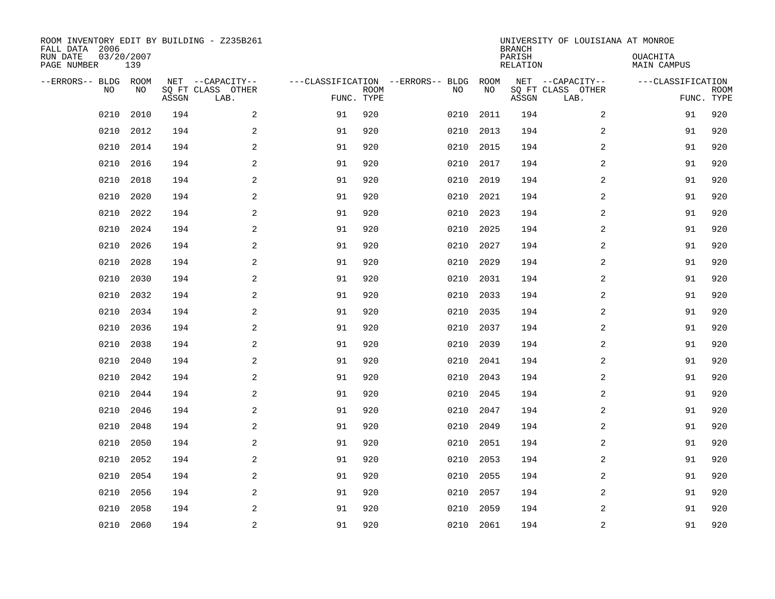| ROOM INVENTORY EDIT BY BUILDING - Z235B261<br>FALL DATA 2006<br>RUN DATE<br>03/20/2007 |      |       |                           |                                   |             |      | <b>BRANCH</b><br>PARISH | UNIVERSITY OF LOUISIANA AT MONROE | OUACHITA                  |                    |             |
|----------------------------------------------------------------------------------------|------|-------|---------------------------|-----------------------------------|-------------|------|-------------------------|-----------------------------------|---------------------------|--------------------|-------------|
| PAGE NUMBER                                                                            | 139  |       |                           |                                   |             |      |                         | <b>RELATION</b>                   |                           | <b>MAIN CAMPUS</b> |             |
| --ERRORS-- BLDG ROOM<br>NO                                                             | NO   |       | NET --CAPACITY--          | ---CLASSIFICATION --ERRORS-- BLDG | <b>ROOM</b> |      | ROOM<br>NO              |                                   | NET --CAPACITY--          | ---CLASSIFICATION  |             |
|                                                                                        |      | ASSGN | SQ FT CLASS OTHER<br>LAB. | FUNC. TYPE                        |             | NO   |                         | ASSGN                             | SQ FT CLASS OTHER<br>LAB. | FUNC. TYPE         | <b>ROOM</b> |
| 0210                                                                                   | 2010 | 194   | 2                         | 91                                | 920         | 0210 | 2011                    | 194                               | 2                         | 91                 | 920         |
| 0210                                                                                   | 2012 | 194   | 2                         | 91                                | 920         | 0210 | 2013                    | 194                               | 2                         | 91                 | 920         |
| 0210                                                                                   | 2014 | 194   | 2                         | 91                                | 920         | 0210 | 2015                    | 194                               | 2                         | 91                 | 920         |
| 0210                                                                                   | 2016 | 194   | $\overline{a}$            | 91                                | 920         | 0210 | 2017                    | 194                               | 2                         | 91                 | 920         |
| 0210                                                                                   | 2018 | 194   | 2                         | 91                                | 920         | 0210 | 2019                    | 194                               | $\overline{a}$            | 91                 | 920         |
| 0210                                                                                   | 2020 | 194   | 2                         | 91                                | 920         | 0210 | 2021                    | 194                               | $\overline{a}$            | 91                 | 920         |
| 0210                                                                                   | 2022 | 194   | $\overline{a}$            | 91                                | 920         | 0210 | 2023                    | 194                               | $\overline{a}$            | 91                 | 920         |
| 0210                                                                                   | 2024 | 194   | 2                         | 91                                | 920         | 0210 | 2025                    | 194                               | 2                         | 91                 | 920         |
| 0210                                                                                   | 2026 | 194   | 2                         | 91                                | 920         | 0210 | 2027                    | 194                               | 2                         | 91                 | 920         |
| 0210                                                                                   | 2028 | 194   | 2                         | 91                                | 920         | 0210 | 2029                    | 194                               | 2                         | 91                 | 920         |
| 0210                                                                                   | 2030 | 194   | 2                         | 91                                | 920         | 0210 | 2031                    | 194                               | 2                         | 91                 | 920         |
| 0210                                                                                   | 2032 | 194   | 2                         | 91                                | 920         | 0210 | 2033                    | 194                               | 2                         | 91                 | 920         |
| 0210                                                                                   | 2034 | 194   | 2                         | 91                                | 920         | 0210 | 2035                    | 194                               | 2                         | 91                 | 920         |
| 0210                                                                                   | 2036 | 194   | $\overline{a}$            | 91                                | 920         | 0210 | 2037                    | 194                               | 2                         | 91                 | 920         |
| 0210                                                                                   | 2038 | 194   | 2                         | 91                                | 920         | 0210 | 2039                    | 194                               | 2                         | 91                 | 920         |
| 0210                                                                                   | 2040 | 194   | $\overline{a}$            | 91                                | 920         | 0210 | 2041                    | 194                               | 2                         | 91                 | 920         |
| 0210                                                                                   | 2042 | 194   | 2                         | 91                                | 920         | 0210 | 2043                    | 194                               | 2                         | 91                 | 920         |
| 0210                                                                                   | 2044 | 194   | 2                         | 91                                | 920         | 0210 | 2045                    | 194                               | $\overline{a}$            | 91                 | 920         |
| 0210                                                                                   | 2046 | 194   | 2                         | 91                                | 920         | 0210 | 2047                    | 194                               | 2                         | 91                 | 920         |
| 0210                                                                                   | 2048 | 194   | $\overline{a}$            | 91                                | 920         | 0210 | 2049                    | 194                               | 2                         | 91                 | 920         |
| 0210                                                                                   | 2050 | 194   | 2                         | 91                                | 920         | 0210 | 2051                    | 194                               | 2                         | 91                 | 920         |
| 0210                                                                                   | 2052 | 194   | 2                         | 91                                | 920         | 0210 | 2053                    | 194                               | 2                         | 91                 | 920         |
| 0210                                                                                   | 2054 | 194   | 2                         | 91                                | 920         | 0210 | 2055                    | 194                               | 2                         | 91                 | 920         |
| 0210                                                                                   | 2056 | 194   | 2                         | 91                                | 920         | 0210 | 2057                    | 194                               | $\overline{a}$            | 91                 | 920         |
| 0210                                                                                   | 2058 | 194   | 2                         | 91                                | 920         | 0210 | 2059                    | 194                               | 2                         | 91                 | 920         |
| 0210                                                                                   | 2060 | 194   | $\overline{c}$            | 91                                | 920         |      | 0210 2061               | 194                               | $\overline{c}$            | 91                 | 920         |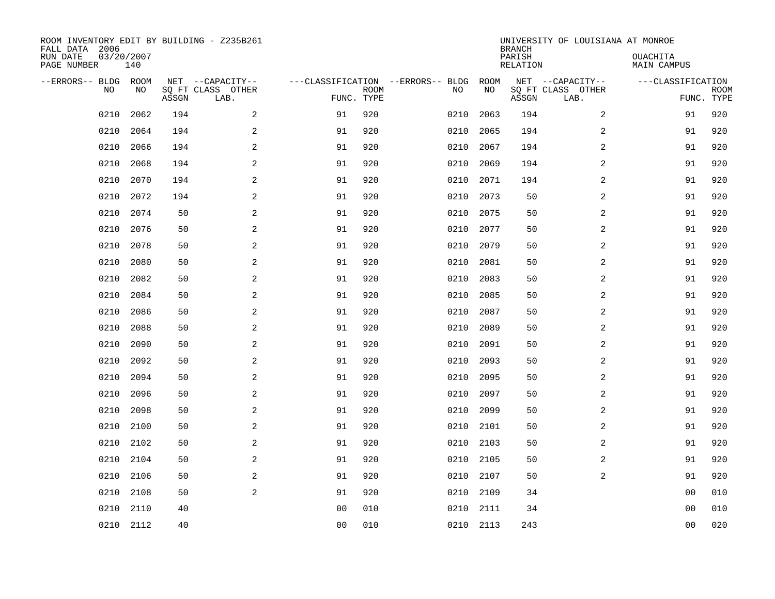| ROOM INVENTORY EDIT BY BUILDING - Z235B261<br>FALL DATA 2006<br>RUN DATE | 03/20/2007 |       |                           |                |             |                                   |           | <b>BRANCH</b><br>PARISH | UNIVERSITY OF LOUISIANA AT MONROE | OUACHITA           |             |
|--------------------------------------------------------------------------|------------|-------|---------------------------|----------------|-------------|-----------------------------------|-----------|-------------------------|-----------------------------------|--------------------|-------------|
| PAGE NUMBER                                                              | 140        |       |                           |                |             |                                   |           | <b>RELATION</b>         |                                   | <b>MAIN CAMPUS</b> |             |
| --ERRORS-- BLDG ROOM                                                     |            |       | NET --CAPACITY--          |                |             | ---CLASSIFICATION --ERRORS-- BLDG | ROOM      |                         | NET --CAPACITY--                  | ---CLASSIFICATION  |             |
| NO                                                                       | NO         | ASSGN | SQ FT CLASS OTHER<br>LAB. | FUNC. TYPE     | <b>ROOM</b> | NO                                | NO        | ASSGN                   | SQ FT CLASS OTHER<br>LAB.         | FUNC. TYPE         | <b>ROOM</b> |
| 0210                                                                     | 2062       | 194   | 2                         | 91             | 920         | 0210                              | 2063      | 194                     | 2                                 | 91                 | 920         |
| 0210                                                                     | 2064       | 194   | 2                         | 91             | 920         | 0210                              | 2065      | 194                     | 2                                 | 91                 | 920         |
| 0210                                                                     | 2066       | 194   | 2                         | 91             | 920         | 0210                              | 2067      | 194                     | 2                                 | 91                 | 920         |
| 0210                                                                     | 2068       | 194   | $\mathbf{2}$              | 91             | 920         | 0210                              | 2069      | 194                     | 2                                 | 91                 | 920         |
| 0210                                                                     | 2070       | 194   | 2                         | 91             | 920         | 0210                              | 2071      | 194                     | $\overline{a}$                    | 91                 | 920         |
| 0210                                                                     | 2072       | 194   | 2                         | 91             | 920         | 0210                              | 2073      | 50                      | $\overline{a}$                    | 91                 | 920         |
| 0210                                                                     | 2074       | 50    | $\mathbf{2}$              | 91             | 920         | 0210                              | 2075      | 50                      | $\overline{a}$                    | 91                 | 920         |
| 0210                                                                     | 2076       | 50    | 2                         | 91             | 920         | 0210                              | 2077      | 50                      | 2                                 | 91                 | 920         |
| 0210                                                                     | 2078       | 50    | 2                         | 91             | 920         | 0210                              | 2079      | 50                      | 2                                 | 91                 | 920         |
| 0210                                                                     | 2080       | 50    | 2                         | 91             | 920         | 0210                              | 2081      | 50                      | 2                                 | 91                 | 920         |
| 0210                                                                     | 2082       | 50    | 2                         | 91             | 920         | 0210                              | 2083      | 50                      | 2                                 | 91                 | 920         |
| 0210                                                                     | 2084       | 50    | 2                         | 91             | 920         | 0210                              | 2085      | 50                      | 2                                 | 91                 | 920         |
| 0210                                                                     | 2086       | 50    | 2                         | 91             | 920         | 0210                              | 2087      | 50                      | 2                                 | 91                 | 920         |
| 0210                                                                     | 2088       | 50    | $\mathbf{2}$              | 91             | 920         | 0210                              | 2089      | 50                      | 2                                 | 91                 | 920         |
| 0210                                                                     | 2090       | 50    | 2                         | 91             | 920         | 0210                              | 2091      | 50                      | 2                                 | 91                 | 920         |
| 0210                                                                     | 2092       | 50    | 2                         | 91             | 920         | 0210                              | 2093      | 50                      | 2                                 | 91                 | 920         |
| 0210                                                                     | 2094       | 50    | 2                         | 91             | 920         | 0210                              | 2095      | 50                      | 2                                 | 91                 | 920         |
| 0210                                                                     | 2096       | 50    | 2                         | 91             | 920         | 0210                              | 2097      | 50                      | $\overline{a}$                    | 91                 | 920         |
| 0210                                                                     | 2098       | 50    | 2                         | 91             | 920         | 0210                              | 2099      | 50                      | 2                                 | 91                 | 920         |
| 0210                                                                     | 2100       | 50    | 2                         | 91             | 920         | 0210                              | 2101      | 50                      | 2                                 | 91                 | 920         |
| 0210                                                                     | 2102       | 50    | 2                         | 91             | 920         | 0210                              | 2103      | 50                      | 2                                 | 91                 | 920         |
| 0210                                                                     | 2104       | 50    | 2                         | 91             | 920         | 0210                              | 2105      | 50                      | 2                                 | 91                 | 920         |
| 0210                                                                     | 2106       | 50    | 2                         | 91             | 920         | 0210                              | 2107      | 50                      | $\overline{2}$                    | 91                 | 920         |
| 0210                                                                     | 2108       | 50    | 2                         | 91             | 920         | 0210                              | 2109      | 34                      |                                   | 00                 | 010         |
| 0210                                                                     | 2110       | 40    |                           | 0 <sub>0</sub> | 010         | 0210                              | 2111      | 34                      |                                   | 0 <sub>0</sub>     | 010         |
|                                                                          | 0210 2112  | 40    |                           | 0 <sub>0</sub> | 010         |                                   | 0210 2113 | 243                     |                                   | 0 <sub>0</sub>     | 020         |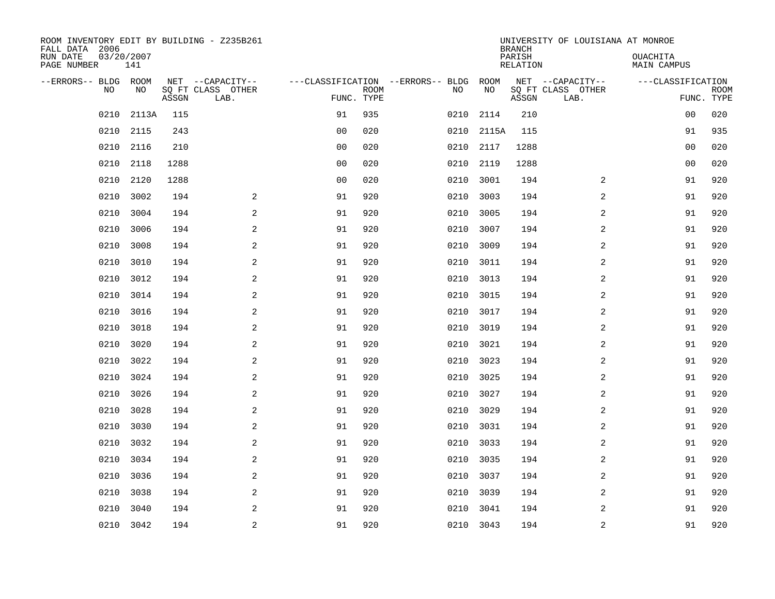| ROOM INVENTORY EDIT BY BUILDING - Z235B261<br>FALL DATA 2006 |                   |       |                           |                                   |             |      | <b>BRANCH</b> | UNIVERSITY OF LOUISIANA AT MONROE |                           |                                |             |
|--------------------------------------------------------------|-------------------|-------|---------------------------|-----------------------------------|-------------|------|---------------|-----------------------------------|---------------------------|--------------------------------|-------------|
| RUN DATE<br>PAGE NUMBER                                      | 03/20/2007<br>141 |       |                           |                                   |             |      |               | PARISH<br><b>RELATION</b>         |                           | OUACHITA<br><b>MAIN CAMPUS</b> |             |
| --ERRORS-- BLDG ROOM                                         |                   |       | NET --CAPACITY--          | ---CLASSIFICATION --ERRORS-- BLDG |             |      | ROOM          |                                   | NET --CAPACITY--          | ---CLASSIFICATION              |             |
| NO.                                                          | NO                | ASSGN | SQ FT CLASS OTHER<br>LAB. | FUNC. TYPE                        | <b>ROOM</b> | NO   | NO            | ASSGN                             | SQ FT CLASS OTHER<br>LAB. | FUNC. TYPE                     | <b>ROOM</b> |
| 0210                                                         | 2113A             | 115   |                           | 91                                | 935         | 0210 | 2114          | 210                               |                           | 00                             | 020         |
| 0210                                                         | 2115              | 243   |                           | 0 <sub>0</sub>                    | 020         | 0210 | 2115A         | 115                               |                           | 91                             | 935         |
| 0210                                                         | 2116              | 210   |                           | 0 <sub>0</sub>                    | 020         | 0210 | 2117          | 1288                              |                           | 00                             | 020         |
| 0210                                                         | 2118              | 1288  |                           | 0 <sub>0</sub>                    | 020         | 0210 | 2119          | 1288                              |                           | 0 <sub>0</sub>                 | 020         |
| 0210                                                         | 2120              | 1288  |                           | 0 <sub>0</sub>                    | 020         | 0210 | 3001          | 194                               | 2                         | 91                             | 920         |
| 0210                                                         | 3002              | 194   | 2                         | 91                                | 920         | 0210 | 3003          | 194                               | $\overline{a}$            | 91                             | 920         |
| 0210                                                         | 3004              | 194   | $\mathbf{2}$              | 91                                | 920         | 0210 | 3005          | 194                               | $\overline{a}$            | 91                             | 920         |
| 0210                                                         | 3006              | 194   | 2                         | 91                                | 920         | 0210 | 3007          | 194                               | 2                         | 91                             | 920         |
| 0210                                                         | 3008              | 194   | 2                         | 91                                | 920         | 0210 | 3009          | 194                               | 2                         | 91                             | 920         |
| 0210                                                         | 3010              | 194   | 2                         | 91                                | 920         | 0210 | 3011          | 194                               | 2                         | 91                             | 920         |
| 0210                                                         | 3012              | 194   | 2                         | 91                                | 920         | 0210 | 3013          | 194                               | 2                         | 91                             | 920         |
| 0210                                                         | 3014              | 194   | 2                         | 91                                | 920         | 0210 | 3015          | 194                               | $\overline{2}$            | 91                             | 920         |
| 0210                                                         | 3016              | 194   | 2                         | 91                                | 920         | 0210 | 3017          | 194                               | 2                         | 91                             | 920         |
| 0210                                                         | 3018              | 194   | $\overline{a}$            | 91                                | 920         | 0210 | 3019          | 194                               | 2                         | 91                             | 920         |
| 0210                                                         | 3020              | 194   | 2                         | 91                                | 920         | 0210 | 3021          | 194                               | 2                         | 91                             | 920         |
| 0210                                                         | 3022              | 194   | 2                         | 91                                | 920         | 0210 | 3023          | 194                               | 2                         | 91                             | 920         |
| 0210                                                         | 3024              | 194   | 2                         | 91                                | 920         | 0210 | 3025          | 194                               | 2                         | 91                             | 920         |
| 0210                                                         | 3026              | 194   | 2                         | 91                                | 920         | 0210 | 3027          | 194                               | $\overline{a}$            | 91                             | 920         |
| 0210                                                         | 3028              | 194   | 2                         | 91                                | 920         | 0210 | 3029          | 194                               | 2                         | 91                             | 920         |
| 0210                                                         | 3030              | 194   | $\overline{a}$            | 91                                | 920         | 0210 | 3031          | 194                               | 2                         | 91                             | 920         |
| 0210                                                         | 3032              | 194   | 2                         | 91                                | 920         | 0210 | 3033          | 194                               | 2                         | 91                             | 920         |
| 0210                                                         | 3034              | 194   | 2                         | 91                                | 920         | 0210 | 3035          | 194                               | 2                         | 91                             | 920         |
| 0210                                                         | 3036              | 194   | 2                         | 91                                | 920         | 0210 | 3037          | 194                               | 2                         | 91                             | 920         |
| 0210                                                         | 3038              | 194   | 2                         | 91                                | 920         | 0210 | 3039          | 194                               | 2                         | 91                             | 920         |
| 0210                                                         | 3040              | 194   | 2                         | 91                                | 920         | 0210 | 3041          | 194                               | 2                         | 91                             | 920         |
|                                                              | 0210 3042         | 194   | $\overline{c}$            | 91                                | 920         |      | 0210 3043     | 194                               | $\overline{c}$            | 91                             | 920         |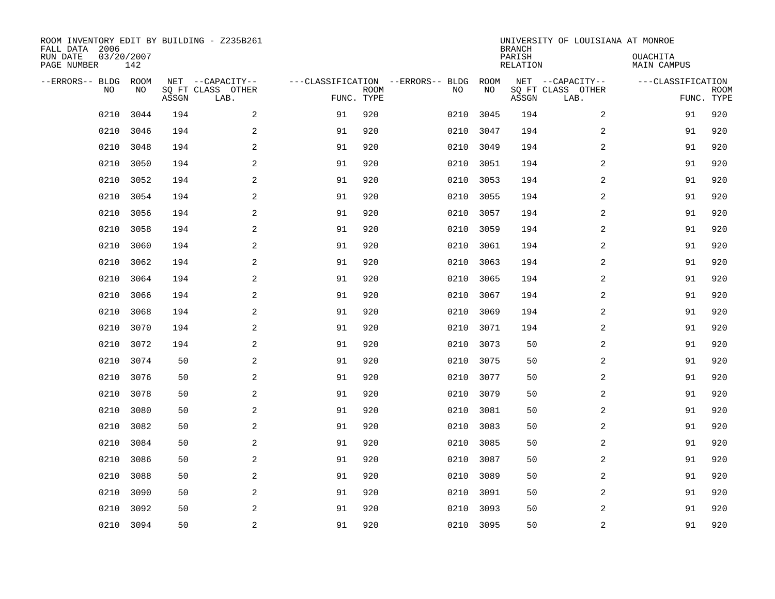| ROOM INVENTORY EDIT BY BUILDING - Z235B261<br>FALL DATA 2006<br>RUN DATE<br>PAGE NUMBER | 03/20/2007<br>142 |       |                                               |            |             |                                         |            | <b>BRANCH</b><br>PARISH<br><b>RELATION</b> | UNIVERSITY OF LOUISIANA AT MONROE             | OUACHITA<br><b>MAIN CAMPUS</b>  |             |
|-----------------------------------------------------------------------------------------|-------------------|-------|-----------------------------------------------|------------|-------------|-----------------------------------------|------------|--------------------------------------------|-----------------------------------------------|---------------------------------|-------------|
|                                                                                         |                   |       |                                               |            |             |                                         |            |                                            |                                               |                                 |             |
| --ERRORS-- BLDG ROOM<br>NO                                                              | NO                | ASSGN | NET --CAPACITY--<br>SQ FT CLASS OTHER<br>LAB. | FUNC. TYPE | <b>ROOM</b> | ---CLASSIFICATION --ERRORS-- BLDG<br>NO | ROOM<br>NO | ASSGN                                      | NET --CAPACITY--<br>SQ FT CLASS OTHER<br>LAB. | ---CLASSIFICATION<br>FUNC. TYPE | <b>ROOM</b> |
| 0210                                                                                    | 3044              | 194   | 2                                             | 91         | 920         | 0210                                    | 3045       | 194                                        | 2                                             | 91                              | 920         |
| 0210                                                                                    | 3046              | 194   | 2                                             | 91         | 920         | 0210                                    | 3047       | 194                                        | 2                                             | 91                              | 920         |
| 0210                                                                                    | 3048              | 194   | 2                                             | 91         | 920         | 0210                                    | 3049       | 194                                        | 2                                             | 91                              | 920         |
| 0210                                                                                    | 3050              | 194   | $\overline{a}$                                | 91         | 920         | 0210                                    | 3051       | 194                                        | $\overline{a}$                                | 91                              | 920         |
| 0210                                                                                    | 3052              | 194   | $\overline{a}$                                | 91         | 920         | 0210                                    | 3053       | 194                                        | 2                                             | 91                              | 920         |
| 0210                                                                                    | 3054              | 194   | 2                                             | 91         | 920         | 0210                                    | 3055       | 194                                        | 2                                             | 91                              | 920         |
| 0210                                                                                    | 3056              | 194   | 2                                             | 91         | 920         | 0210                                    | 3057       | 194                                        | 2                                             | 91                              | 920         |
| 0210                                                                                    | 3058              | 194   | 2                                             | 91         | 920         | 0210                                    | 3059       | 194                                        | 2                                             | 91                              | 920         |
| 0210                                                                                    | 3060              | 194   | 2                                             | 91         | 920         | 0210                                    | 3061       | 194                                        | 2                                             | 91                              | 920         |
| 0210                                                                                    | 3062              | 194   | 2                                             | 91         | 920         | 0210                                    | 3063       | 194                                        | 2                                             | 91                              | 920         |
| 0210                                                                                    | 3064              | 194   | 2                                             | 91         | 920         | 0210                                    | 3065       | 194                                        | 2                                             | 91                              | 920         |
| 0210                                                                                    | 3066              | 194   | 2                                             | 91         | 920         | 0210                                    | 3067       | 194                                        | 2                                             | 91                              | 920         |
| 0210                                                                                    | 3068              | 194   | 2                                             | 91         | 920         | 0210                                    | 3069       | 194                                        | 2                                             | 91                              | 920         |
| 0210                                                                                    | 3070              | 194   | 2                                             | 91         | 920         | 0210                                    | 3071       | 194                                        | 2                                             | 91                              | 920         |
| 0210                                                                                    | 3072              | 194   | 2                                             | 91         | 920         | 0210                                    | 3073       | 50                                         | $\overline{a}$                                | 91                              | 920         |
| 0210                                                                                    | 3074              | 50    | $\mathbf{2}$                                  | 91         | 920         | 0210                                    | 3075       | 50                                         | $\overline{a}$                                | 91                              | 920         |
| 0210                                                                                    | 3076              | 50    | 2                                             | 91         | 920         | 0210                                    | 3077       | 50                                         | 2                                             | 91                              | 920         |
| 0210                                                                                    | 3078              | 50    | 2                                             | 91         | 920         | 0210                                    | 3079       | 50                                         | 2                                             | 91                              | 920         |
| 0210                                                                                    | 3080              | 50    | 2                                             | 91         | 920         | 0210                                    | 3081       | 50                                         | 2                                             | 91                              | 920         |
| 0210                                                                                    | 3082              | 50    | 2                                             | 91         | 920         | 0210                                    | 3083       | 50                                         | 2                                             | 91                              | 920         |
| 0210                                                                                    | 3084              | 50    | 2                                             | 91         | 920         | 0210                                    | 3085       | 50                                         | 2                                             | 91                              | 920         |
| 0210                                                                                    | 3086              | 50    | 2                                             | 91         | 920         | 0210                                    | 3087       | 50                                         | 2                                             | 91                              | 920         |
| 0210                                                                                    | 3088              | 50    | 2                                             | 91         | 920         | 0210                                    | 3089       | 50                                         | 2                                             | 91                              | 920         |
| 0210                                                                                    | 3090              | 50    | $\mathbf{2}$                                  | 91         | 920         | 0210                                    | 3091       | 50                                         | 2                                             | 91                              | 920         |
| 0210                                                                                    | 3092              | 50    | $\mathbf{2}$                                  | 91         | 920         | 0210                                    | 3093       | 50                                         | 2                                             | 91                              | 920         |
| 0210                                                                                    | 3094              | 50    | 2                                             | 91         | 920         |                                         | 0210 3095  | 50                                         | 2                                             | 91                              | 920         |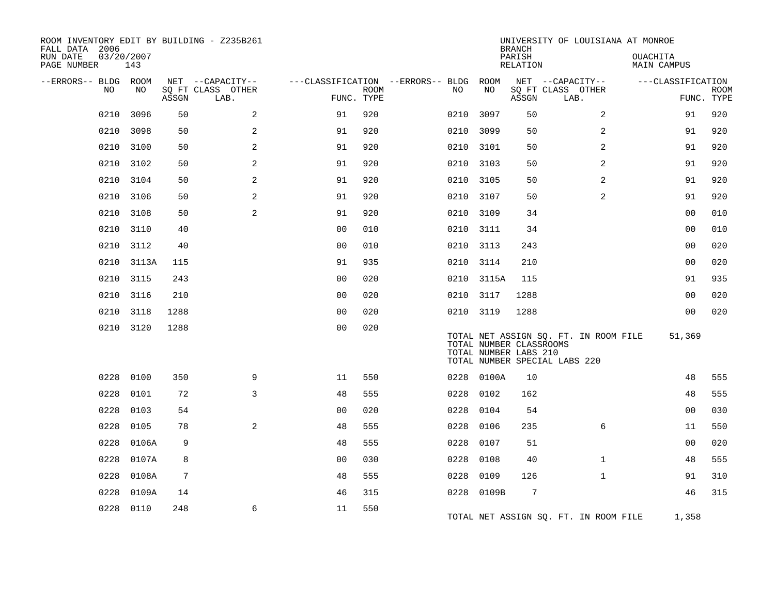| ROOM INVENTORY EDIT BY BUILDING - Z235B261<br>FALL DATA 2006<br>RUN DATE | 03/20/2007 |                |                                       |                |             |                                          |                                                  | <b>BRANCH</b><br>PARISH | UNIVERSITY OF LOUISIANA AT MONROE                                      |                                |             |
|--------------------------------------------------------------------------|------------|----------------|---------------------------------------|----------------|-------------|------------------------------------------|--------------------------------------------------|-------------------------|------------------------------------------------------------------------|--------------------------------|-------------|
| PAGE NUMBER                                                              | 143        |                |                                       |                |             |                                          |                                                  | RELATION                |                                                                        | OUACHITA<br><b>MAIN CAMPUS</b> |             |
| --ERRORS-- BLDG ROOM<br>NO                                               | NO.        |                | NET --CAPACITY--<br>SO FT CLASS OTHER |                | <b>ROOM</b> | ---CLASSIFICATION --ERRORS-- BLDG<br>NO. | ROOM<br>NO                                       |                         | NET --CAPACITY--<br>SQ FT CLASS OTHER                                  | ---CLASSIFICATION              | <b>ROOM</b> |
|                                                                          |            | ASSGN          | LAB.                                  | FUNC. TYPE     |             |                                          |                                                  | ASSGN                   | LAB.                                                                   |                                | FUNC. TYPE  |
| 0210                                                                     | 3096       | 50             | 2                                     | 91             | 920         | 0210                                     | 3097                                             | 50                      | 2                                                                      | 91                             | 920         |
| 0210                                                                     | 3098       | 50             | 2                                     | 91             | 920         | 0210                                     | 3099                                             | 50                      | 2                                                                      | 91                             | 920         |
| 0210                                                                     | 3100       | 50             | 2                                     | 91             | 920         | 0210 3101                                |                                                  | 50                      | 2                                                                      | 91                             | 920         |
| 0210                                                                     | 3102       | 50             | 2                                     | 91             | 920         | 0210                                     | 3103                                             | 50                      | 2                                                                      | 91                             | 920         |
| 0210                                                                     | 3104       | 50             | 2                                     | 91             | 920         | 0210 3105                                |                                                  | 50                      | 2                                                                      | 91                             | 920         |
| 0210                                                                     | 3106       | 50             | $\mathbf{2}$                          | 91             | 920         | 0210 3107                                |                                                  | 50                      | $\overline{a}$                                                         | 91                             | 920         |
| 0210                                                                     | 3108       | 50             | 2                                     | 91             | 920         | 0210 3109                                |                                                  | 34                      |                                                                        | 0 <sub>0</sub>                 | 010         |
| 0210                                                                     | 3110       | 40             |                                       | 0 <sub>0</sub> | 010         | 0210 3111                                |                                                  | 34                      |                                                                        | 0 <sub>0</sub>                 | 010         |
|                                                                          | 0210 3112  | 40             |                                       | 0 <sub>0</sub> | 010         | 0210 3113                                |                                                  | 243                     |                                                                        | 00                             | 020         |
| 0210                                                                     | 3113A      | 115            |                                       | 91             | 935         | 0210 3114                                |                                                  | 210                     |                                                                        | 0 <sub>0</sub>                 | 020         |
|                                                                          | 0210 3115  | 243            |                                       | 0 <sub>0</sub> | 020         |                                          | 0210 3115A                                       | 115                     |                                                                        | 91                             | 935         |
| 0210                                                                     | 3116       | 210            |                                       | 0 <sub>0</sub> | 020         | 0210 3117                                |                                                  | 1288                    |                                                                        | 0 <sub>0</sub>                 | 020         |
| 0210                                                                     | 3118       | 1288           |                                       | 0 <sup>0</sup> | 020         | 0210 3119                                |                                                  | 1288                    |                                                                        | 0 <sub>0</sub>                 | 020         |
|                                                                          | 0210 3120  | 1288           |                                       | 0 <sub>0</sub> | 020         |                                          | TOTAL NUMBER CLASSROOMS<br>TOTAL NUMBER LABS 210 |                         | TOTAL NET ASSIGN SQ. FT. IN ROOM FILE<br>TOTAL NUMBER SPECIAL LABS 220 | 51,369                         |             |
| 0228                                                                     | 0100       | 350            | 9                                     | 11             | 550         |                                          | 0228 0100A                                       | 10                      |                                                                        | 48                             | 555         |
| 0228                                                                     | 0101       | 72             | 3                                     | 48             | 555         | 0228                                     | 0102                                             | 162                     |                                                                        | 48                             | 555         |
| 0228                                                                     | 0103       | 54             |                                       | 0 <sub>0</sub> | 020         | 0228                                     | 0104                                             | 54                      |                                                                        | 00                             | 030         |
| 0228                                                                     | 0105       | 78             | 2                                     | 48             | 555         | 0228                                     | 0106                                             | 235                     | 6                                                                      | 11                             | 550         |
| 0228                                                                     | 0106A      | 9              |                                       | 48             | 555         | 0228                                     | 0107                                             | 51                      |                                                                        | 0 <sub>0</sub>                 | 020         |
| 0228                                                                     | 0107A      | 8              |                                       | 0 <sub>0</sub> | 030         | 0228                                     | 0108                                             | 40                      | $\mathbf{1}$                                                           | 48                             | 555         |
| 0228                                                                     | 0108A      | $\overline{7}$ |                                       | 48             | 555         | 0228                                     | 0109                                             | 126                     | $\mathbf{1}$                                                           | 91                             | 310         |
| 0228                                                                     | 0109A      | 14             |                                       | 46             | 315         |                                          | 0228 0109B                                       | 7                       |                                                                        | 46                             | 315         |
| 0228                                                                     | 0110       | 248            | 6                                     | 11             | 550         |                                          |                                                  |                         | TOTAL NET ASSIGN SQ. FT. IN ROOM FILE                                  | 1,358                          |             |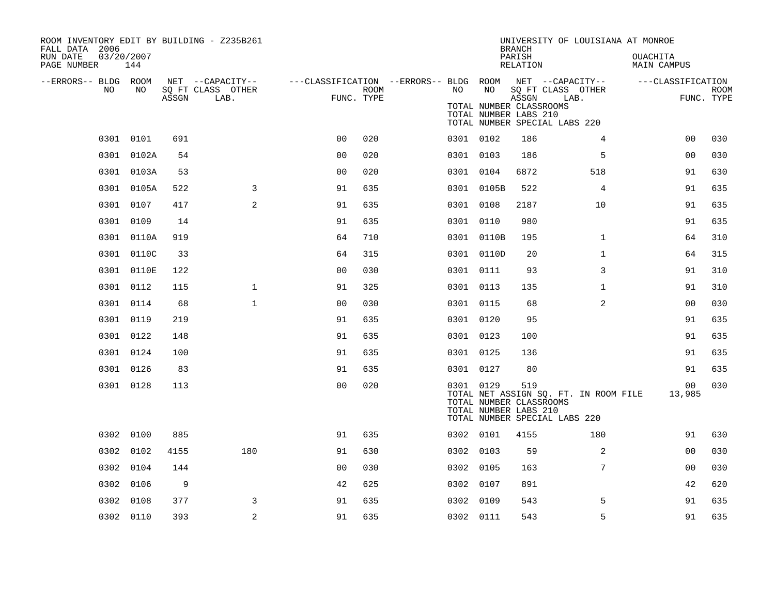| ROOM INVENTORY EDIT BY BUILDING - Z235B261<br>FALL DATA 2006 |                   |       |                                       |                                                         |      |      |                                                               | <b>BRANCH</b>      | UNIVERSITY OF LOUISIANA AT MONROE                                      |                                       |             |
|--------------------------------------------------------------|-------------------|-------|---------------------------------------|---------------------------------------------------------|------|------|---------------------------------------------------------------|--------------------|------------------------------------------------------------------------|---------------------------------------|-------------|
| RUN DATE<br>PAGE NUMBER                                      | 03/20/2007<br>144 |       |                                       |                                                         |      |      |                                                               | PARISH<br>RELATION |                                                                        | <b>OUACHITA</b><br><b>MAIN CAMPUS</b> |             |
| --ERRORS-- BLDG ROOM<br>NO                                   | NO.               |       | NET --CAPACITY--<br>SQ FT CLASS OTHER | ---CLASSIFICATION --ERRORS-- BLDG ROOM NET --CAPACITY-- | ROOM | NO . | NO                                                            |                    | SQ FT CLASS OTHER                                                      | ---CLASSIFICATION                     | <b>ROOM</b> |
|                                                              |                   | ASSGN | LAB.                                  | FUNC. TYPE                                              |      |      | TOTAL NUMBER CLASSROOMS<br>TOTAL NUMBER LABS 210              | ASSGN              | LAB.<br>TOTAL NUMBER SPECIAL LABS 220                                  |                                       | FUNC. TYPE  |
|                                                              | 0301 0101         | 691   |                                       | 0 <sub>0</sub>                                          | 020  |      | 0301 0102                                                     | 186                | $\overline{4}$                                                         | 00                                    | 030         |
|                                                              | 0301 0102A        | 54    |                                       | 0 <sub>0</sub>                                          | 020  |      | 0301 0103                                                     | 186                | 5                                                                      | 0 <sub>0</sub>                        | 030         |
|                                                              | 0301 0103A        | 53    |                                       | 0 <sub>0</sub>                                          | 020  |      | 0301 0104                                                     | 6872               | 518                                                                    | 91                                    | 630         |
|                                                              | 0301 0105A        | 522   | 3                                     | 91                                                      | 635  |      | 0301 0105B                                                    | 522                | 4                                                                      | 91                                    | 635         |
|                                                              | 0301 0107         | 417   | 2                                     | 91                                                      | 635  |      | 0301 0108                                                     | 2187               | 10                                                                     | 91                                    | 635         |
|                                                              | 0301 0109         | 14    |                                       | 91                                                      | 635  |      | 0301 0110                                                     | 980                |                                                                        | 91                                    | 635         |
|                                                              | 0301 0110A        | 919   |                                       | 64                                                      | 710  |      | 0301 0110B                                                    | 195                | $\mathbf{1}$                                                           | 64                                    | 310         |
|                                                              | 0301 0110C        | 33    |                                       | 64                                                      | 315  |      | 0301 0110D                                                    | 20                 | $\mathbf{1}$                                                           | 64                                    | 315         |
|                                                              | 0301 0110E        | 122   |                                       | 0 <sub>0</sub>                                          | 030  |      | 0301 0111                                                     | 93                 | 3                                                                      | 91                                    | 310         |
|                                                              | 0301 0112         | 115   | $\mathbf 1$                           | 91                                                      | 325  |      | 0301 0113                                                     | 135                | $\mathbf{1}$                                                           | 91                                    | 310         |
|                                                              | 0301 0114         | 68    | $\mathbf{1}$                          | 0 <sub>0</sub>                                          | 030  |      | 0301 0115                                                     | 68                 | 2                                                                      | 0 <sub>0</sub>                        | 030         |
|                                                              | 0301 0119         | 219   |                                       | 91                                                      | 635  |      | 0301 0120                                                     | 95                 |                                                                        | 91                                    | 635         |
|                                                              | 0301 0122         | 148   |                                       | 91                                                      | 635  |      | 0301 0123                                                     | 100                |                                                                        | 91                                    | 635         |
|                                                              | 0301 0124         | 100   |                                       | 91                                                      | 635  |      | 0301 0125                                                     | 136                |                                                                        | 91                                    | 635         |
|                                                              | 0301 0126         | 83    |                                       | 91                                                      | 635  |      | 0301 0127                                                     | 80                 |                                                                        | 91                                    | 635         |
|                                                              | 0301 0128         | 113   |                                       | 0 <sub>0</sub>                                          | 020  |      | 0301 0129<br>TOTAL NUMBER CLASSROOMS<br>TOTAL NUMBER LABS 210 | 519                | TOTAL NET ASSIGN SQ. FT. IN ROOM FILE<br>TOTAL NUMBER SPECIAL LABS 220 | 00<br>13,985                          | 030         |
|                                                              | 0302 0100         | 885   |                                       | 91                                                      | 635  |      | 0302 0101                                                     | 4155               | 180                                                                    | 91                                    | 630         |
|                                                              | 0302 0102         | 4155  | 180                                   | 91                                                      | 630  |      | 0302 0103                                                     | 59                 | $\overline{a}$                                                         | 0 <sub>0</sub>                        | 030         |
|                                                              | 0302 0104         | 144   |                                       | 0 <sub>0</sub>                                          | 030  |      | 0302 0105                                                     | 163                | $7\phantom{.}$                                                         | 0 <sub>0</sub>                        | 030         |
| 0302                                                         | 0106              | 9     |                                       | 42                                                      | 625  |      | 0302 0107                                                     | 891                |                                                                        | 42                                    | 620         |
| 0302                                                         | 0108              | 377   | 3                                     | 91                                                      | 635  |      | 0302 0109                                                     | 543                | 5                                                                      | 91                                    | 635         |
|                                                              | 0302 0110         | 393   | 2                                     | 91                                                      | 635  |      | 0302 0111                                                     | 543                | 5                                                                      | 91                                    | 635         |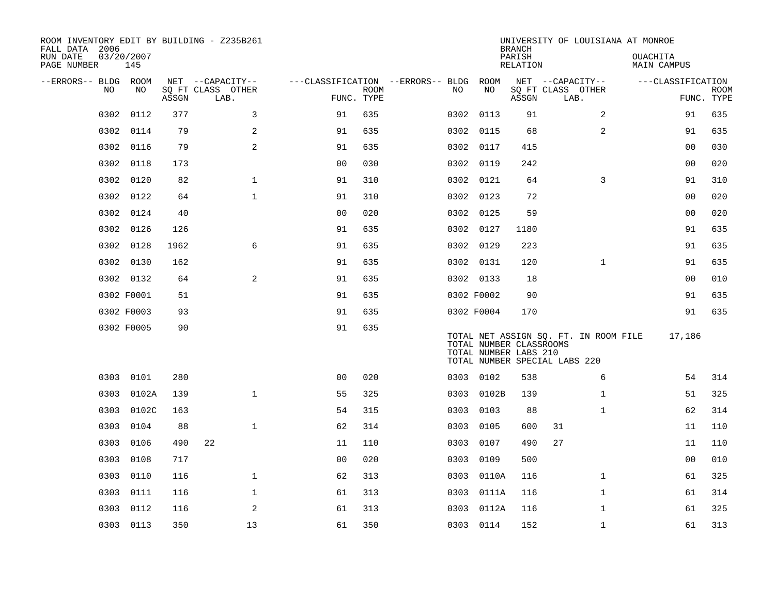| ROOM INVENTORY EDIT BY BUILDING - Z235B261<br>FALL DATA 2006 |                   |       |                                       |                                        |             |      |            | <b>BRANCH</b>                                    |                               |                                       | UNIVERSITY OF LOUISIANA AT MONROE |                |             |
|--------------------------------------------------------------|-------------------|-------|---------------------------------------|----------------------------------------|-------------|------|------------|--------------------------------------------------|-------------------------------|---------------------------------------|-----------------------------------|----------------|-------------|
| RUN DATE<br>PAGE NUMBER                                      | 03/20/2007<br>145 |       |                                       |                                        |             |      |            | PARISH<br>RELATION                               |                               |                                       | <b>OUACHITA</b><br>MAIN CAMPUS    |                |             |
| --ERRORS-- BLDG ROOM<br>NO.                                  | NO                |       | NET --CAPACITY--<br>SQ FT CLASS OTHER | ---CLASSIFICATION --ERRORS-- BLDG ROOM |             | NO   | NO         |                                                  | NET --CAPACITY--              |                                       | ---CLASSIFICATION                 |                |             |
|                                                              |                   | ASSGN | LAB.                                  | FUNC. TYPE                             | <b>ROOM</b> |      |            | ASSGN                                            | SQ FT CLASS OTHER<br>LAB.     |                                       |                                   | FUNC. TYPE     | <b>ROOM</b> |
| 0302                                                         | 0112              | 377   | 3                                     | 91                                     | 635         |      | 0302 0113  | 91                                               |                               | $\overline{2}$                        |                                   | 91             | 635         |
| 0302                                                         | 0114              | 79    | 2                                     | 91                                     | 635         |      | 0302 0115  | 68                                               |                               | 2                                     |                                   | 91             | 635         |
| 0302                                                         | 0116              | 79    | 2                                     | 91                                     | 635         |      | 0302 0117  | 415                                              |                               |                                       |                                   | 0 <sub>0</sub> | 030         |
| 0302                                                         | 0118              | 173   |                                       | 0 <sub>0</sub>                         | 030         |      | 0302 0119  | 242                                              |                               |                                       |                                   | 00             | 020         |
| 0302                                                         | 0120              | 82    | $\mathbf{1}$                          | 91                                     | 310         |      | 0302 0121  | 64                                               |                               | 3                                     |                                   | 91             | 310         |
| 0302                                                         | 0122              | 64    | $\mathbf{1}$                          | 91                                     | 310         |      | 0302 0123  | 72                                               |                               |                                       |                                   | 0 <sub>0</sub> | 020         |
| 0302                                                         | 0124              | 40    |                                       | 0 <sub>0</sub>                         | 020         |      | 0302 0125  | 59                                               |                               |                                       |                                   | 0 <sub>0</sub> | 020         |
| 0302                                                         | 0126              | 126   |                                       | 91                                     | 635         |      | 0302 0127  | 1180                                             |                               |                                       |                                   | 91             | 635         |
| 0302                                                         | 0128              | 1962  | 6                                     | 91                                     | 635         |      | 0302 0129  | 223                                              |                               |                                       |                                   | 91             | 635         |
| 0302                                                         | 0130              | 162   |                                       | 91                                     | 635         |      | 0302 0131  | 120                                              |                               | $\mathbf{1}$                          |                                   | 91             | 635         |
|                                                              | 0302 0132         | 64    | 2                                     | 91                                     | 635         |      | 0302 0133  | 18                                               |                               |                                       |                                   | 0 <sub>0</sub> | 010         |
|                                                              | 0302 F0001        | 51    |                                       | 91                                     | 635         |      | 0302 F0002 | 90                                               |                               |                                       |                                   | 91             | 635         |
|                                                              | 0302 F0003        | 93    |                                       | 91                                     | 635         |      | 0302 F0004 | 170                                              |                               |                                       |                                   | 91             | 635         |
|                                                              | 0302 F0005        | 90    |                                       | 91                                     | 635         |      |            | TOTAL NUMBER CLASSROOMS<br>TOTAL NUMBER LABS 210 | TOTAL NUMBER SPECIAL LABS 220 | TOTAL NET ASSIGN SQ. FT. IN ROOM FILE |                                   | 17,186         |             |
|                                                              | 0303 0101         | 280   |                                       | 0 <sub>0</sub>                         | 020         |      | 0303 0102  | 538                                              |                               | 6                                     |                                   | 54             | 314         |
| 0303                                                         | 0102A             | 139   | $\mathbf{1}$                          | 55                                     | 325         | 0303 | 0102B      | 139                                              |                               | $\mathbf{1}$                          |                                   | 51             | 325         |
| 0303                                                         | 0102C             | 163   |                                       | 54                                     | 315         | 0303 | 0103       | 88                                               |                               | $\mathbf{1}$                          |                                   | 62             | 314         |
| 0303                                                         | 0104              | 88    | $\mathbf{1}$                          | 62                                     | 314         | 0303 | 0105       | 600                                              | 31                            |                                       |                                   | 11             | 110         |
| 0303                                                         | 0106              | 490   | 22                                    | 11                                     | 110         | 0303 | 0107       | 490                                              | 27                            |                                       |                                   | 11             | 110         |
| 0303                                                         | 0108              | 717   |                                       | 00                                     | 020         | 0303 | 0109       | 500                                              |                               |                                       |                                   | 0 <sub>0</sub> | 010         |
| 0303                                                         | 0110              | 116   | $\mathbf 1$                           | 62                                     | 313         |      | 0303 0110A | 116                                              |                               | $\mathbf{1}$                          |                                   | 61             | 325         |
| 0303                                                         | 0111              | 116   | $\mathbf{1}$                          | 61                                     | 313         | 0303 | 0111A      | 116                                              |                               | $\mathbf{1}$                          |                                   | 61             | 314         |
| 0303                                                         | 0112              | 116   | 2                                     | 61                                     | 313         | 0303 | 0112A      | 116                                              |                               | $\mathbf{1}$                          |                                   | 61             | 325         |
|                                                              | 0303 0113         | 350   | 13                                    | 61                                     | 350         |      | 0303 0114  | 152                                              |                               | $\mathbf{1}$                          |                                   | 61             | 313         |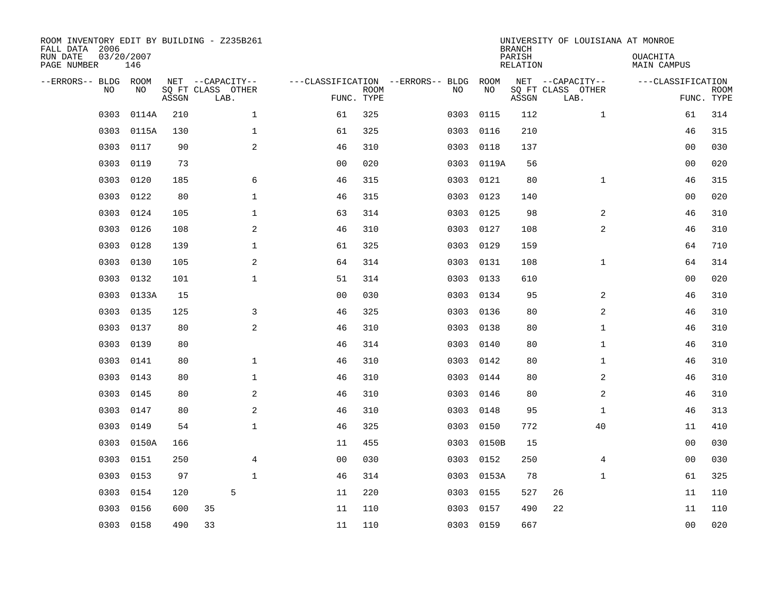| ROOM INVENTORY EDIT BY BUILDING - Z235B261<br>FALL DATA 2006<br>RUN DATE<br>PAGE NUMBER | 03/20/2007<br>146 |       |                                               |                |                           |                                   |      |            | <b>BRANCH</b><br>PARISH<br>RELATION | UNIVERSITY OF LOUISIANA AT MONROE             | <b>OUACHITA</b><br>MAIN CAMPUS  |             |
|-----------------------------------------------------------------------------------------|-------------------|-------|-----------------------------------------------|----------------|---------------------------|-----------------------------------|------|------------|-------------------------------------|-----------------------------------------------|---------------------------------|-------------|
| --ERRORS-- BLDG<br>NO                                                                   | ROOM<br>NO        | ASSGN | NET --CAPACITY--<br>SQ FT CLASS OTHER<br>LAB. |                | <b>ROOM</b><br>FUNC. TYPE | ---CLASSIFICATION --ERRORS-- BLDG | NO   | ROOM<br>NO | ASSGN                               | NET --CAPACITY--<br>SQ FT CLASS OTHER<br>LAB. | ---CLASSIFICATION<br>FUNC. TYPE | <b>ROOM</b> |
| 0303                                                                                    | 0114A             | 210   | $\mathbf{1}$                                  | 61             | 325                       |                                   | 0303 | 0115       | 112                                 | $\mathbf{1}$                                  | 61                              | 314         |
| 0303                                                                                    | 0115A             | 130   | 1                                             | 61             | 325                       |                                   | 0303 | 0116       | 210                                 |                                               | 46                              | 315         |
| 0303                                                                                    | 0117              | 90    | $\mathbf{2}$                                  | 46             | 310                       |                                   | 0303 | 0118       | 137                                 |                                               | 00                              | 030         |
| 0303                                                                                    | 0119              | 73    |                                               | 00             | 020                       |                                   | 0303 | 0119A      | 56                                  |                                               | 0 <sub>0</sub>                  | 020         |
| 0303                                                                                    | 0120              | 185   | 6                                             | 46             | 315                       |                                   | 0303 | 0121       | 80                                  | $\mathbf{1}$                                  | 46                              | 315         |
| 0303                                                                                    | 0122              | 80    | $\mathbf 1$                                   | 46             | 315                       |                                   | 0303 | 0123       | 140                                 |                                               | 0 <sub>0</sub>                  | 020         |
| 0303                                                                                    | 0124              | 105   | $\mathbf 1$                                   | 63             | 314                       |                                   | 0303 | 0125       | 98                                  | 2                                             | 46                              | 310         |
| 0303                                                                                    | 0126              | 108   | 2                                             | 46             | 310                       |                                   | 0303 | 0127       | 108                                 | 2                                             | 46                              | 310         |
| 0303                                                                                    | 0128              | 139   | $\mathbf 1$                                   | 61             | 325                       |                                   | 0303 | 0129       | 159                                 |                                               | 64                              | 710         |
| 0303                                                                                    | 0130              | 105   | 2                                             | 64             | 314                       |                                   | 0303 | 0131       | 108                                 | $\mathbf{1}$                                  | 64                              | 314         |
| 0303                                                                                    | 0132              | 101   | $\mathbf 1$                                   | 51             | 314                       |                                   | 0303 | 0133       | 610                                 |                                               | 00                              | 020         |
| 0303                                                                                    | 0133A             | 15    |                                               | 0 <sub>0</sub> | 030                       |                                   | 0303 | 0134       | 95                                  | 2                                             | 46                              | 310         |
| 0303                                                                                    | 0135              | 125   | 3                                             | 46             | 325                       |                                   | 0303 | 0136       | 80                                  | 2                                             | 46                              | 310         |
| 0303                                                                                    | 0137              | 80    | 2                                             | 46             | 310                       |                                   | 0303 | 0138       | 80                                  | $\mathbf{1}$                                  | 46                              | 310         |
| 0303                                                                                    | 0139              | 80    |                                               | 46             | 314                       |                                   | 0303 | 0140       | 80                                  | $\mathbf{1}$                                  | 46                              | 310         |
| 0303                                                                                    | 0141              | 80    | $\mathbf 1$                                   | 46             | 310                       |                                   | 0303 | 0142       | 80                                  | $\mathbf{1}$                                  | 46                              | 310         |
| 0303                                                                                    | 0143              | 80    | $\mathbf 1$                                   | 46             | 310                       |                                   | 0303 | 0144       | 80                                  | 2                                             | 46                              | 310         |
| 0303                                                                                    | 0145              | 80    | 2                                             | 46             | 310                       |                                   | 0303 | 0146       | 80                                  | 2                                             | 46                              | 310         |
| 0303                                                                                    | 0147              | 80    | 2                                             | 46             | 310                       |                                   | 0303 | 0148       | 95                                  | $\mathbf{1}$                                  | 46                              | 313         |
| 0303                                                                                    | 0149              | 54    | $\mathbf 1$                                   | 46             | 325                       |                                   | 0303 | 0150       | 772                                 | 40                                            | 11                              | 410         |
| 0303                                                                                    | 0150A             | 166   |                                               | 11             | 455                       |                                   | 0303 | 0150B      | 15                                  |                                               | 00                              | 030         |
| 0303                                                                                    | 0151              | 250   | 4                                             | 0 <sub>0</sub> | 030                       |                                   | 0303 | 0152       | 250                                 | 4                                             | 00                              | 030         |
| 0303                                                                                    | 0153              | 97    | $\mathbf{1}$                                  | 46             | 314                       |                                   | 0303 | 0153A      | 78                                  | $\mathbf{1}$                                  | 61                              | 325         |
| 0303                                                                                    | 0154              | 120   | 5                                             | 11             | 220                       |                                   | 0303 | 0155       | 527                                 | 26                                            | 11                              | 110         |
| 0303                                                                                    | 0156              | 600   | 35                                            | 11             | 110                       |                                   | 0303 | 0157       | 490                                 | 22                                            | 11                              | 110         |
|                                                                                         | 0303 0158         | 490   | 33                                            | 11             | 110                       |                                   |      | 0303 0159  | 667                                 |                                               | 0 <sub>0</sub>                  | 020         |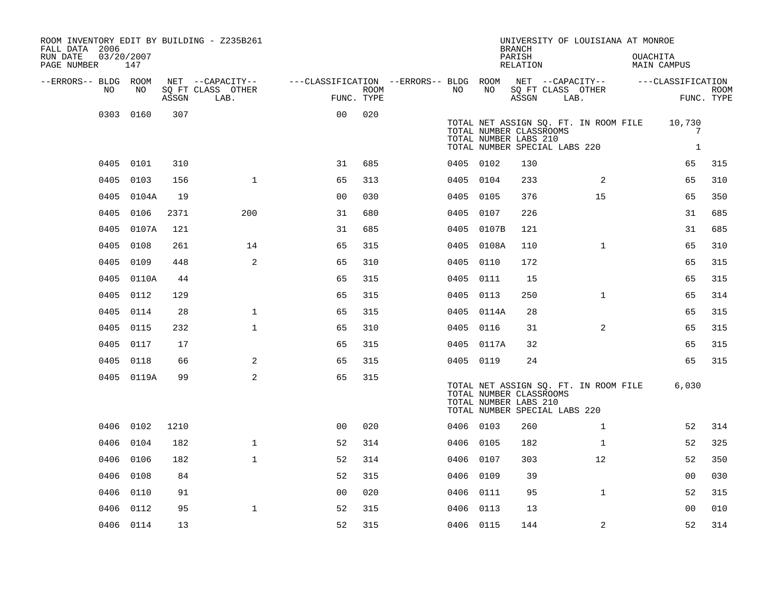| ROOM INVENTORY EDIT BY BUILDING - Z235B261<br>FALL DATA 2006 |                   |       |                           |                                        |      |           |            | UNIVERSITY OF LOUISIANA AT MONROE<br><b>BRANCH</b>                                                                         |                           |                |          |                             |                           |
|--------------------------------------------------------------|-------------------|-------|---------------------------|----------------------------------------|------|-----------|------------|----------------------------------------------------------------------------------------------------------------------------|---------------------------|----------------|----------|-----------------------------|---------------------------|
| RUN DATE<br>PAGE NUMBER                                      | 03/20/2007<br>147 |       |                           |                                        |      |           |            | PARISH<br>RELATION                                                                                                         |                           |                | OUACHITA | MAIN CAMPUS                 |                           |
| --ERRORS-- BLDG ROOM                                         |                   |       | NET --CAPACITY--          | ---CLASSIFICATION --ERRORS-- BLDG ROOM |      |           |            |                                                                                                                            | NET --CAPACITY--          |                |          | ---CLASSIFICATION           |                           |
| NO                                                           | NO                | ASSGN | SQ FT CLASS OTHER<br>LAB. | FUNC. TYPE                             | ROOM | NO.       | NO         | ASSGN                                                                                                                      | SQ FT CLASS OTHER<br>LAB. |                |          |                             | <b>ROOM</b><br>FUNC. TYPE |
|                                                              | 0303 0160         | 307   |                           | 0 <sub>0</sub>                         | 020  |           |            | TOTAL NET ASSIGN SQ. FT. IN ROOM FILE<br>TOTAL NUMBER CLASSROOMS<br>TOTAL NUMBER LABS 210<br>TOTAL NUMBER SPECIAL LABS 220 |                           |                |          | 10,730<br>7<br>$\mathbf{1}$ |                           |
|                                                              | 0405 0101         | 310   |                           | 31                                     | 685  | 0405 0102 |            | 130                                                                                                                        |                           |                |          | 65                          | 315                       |
| 0405                                                         | 0103              | 156   | $\mathbf{1}$              | 65                                     | 313  | 0405 0104 |            | 233                                                                                                                        |                           | 2              |          | 65                          | 310                       |
| 0405                                                         | 0104A             | 19    |                           | 0 <sub>0</sub>                         | 030  | 0405 0105 |            | 376                                                                                                                        |                           | 15             |          | 65                          | 350                       |
| 0405                                                         | 0106              | 2371  | 200                       | 31                                     | 680  | 0405 0107 |            | 226                                                                                                                        |                           |                |          | 31                          | 685                       |
| 0405                                                         | 0107A             | 121   |                           | 31                                     | 685  |           | 0405 0107B | 121                                                                                                                        |                           |                |          | 31                          | 685                       |
| 0405                                                         | 0108              | 261   | 14                        | 65                                     | 315  | 0405      | 0108A      | 110                                                                                                                        |                           | $\mathbf{1}$   |          | 65                          | 310                       |
| 0405                                                         | 0109              | 448   | 2                         | 65                                     | 310  | 0405 0110 |            | 172                                                                                                                        |                           |                |          | 65                          | 315                       |
| 0405                                                         | 0110A             | 44    |                           | 65                                     | 315  | 0405      | 0111       | 15                                                                                                                         |                           |                |          | 65                          | 315                       |
|                                                              | 0405 0112         | 129   |                           | 65                                     | 315  | 0405 0113 |            | 250                                                                                                                        |                           | $\mathbf{1}$   |          | 65                          | 314                       |
| 0405                                                         | 0114              | 28    | $\mathbf{1}$              | 65                                     | 315  |           | 0405 0114A | 28                                                                                                                         |                           |                |          | 65                          | 315                       |
| 0405                                                         | 0115              | 232   | $\mathbf{1}$              | 65                                     | 310  | 0405 0116 |            | 31                                                                                                                         |                           | $\overline{2}$ |          | 65                          | 315                       |
|                                                              | 0405 0117         | 17    |                           | 65                                     | 315  |           | 0405 0117A | 32                                                                                                                         |                           |                |          | 65                          | 315                       |
|                                                              | 0405 0118         | 66    | 2                         | 65                                     | 315  | 0405 0119 |            | 24                                                                                                                         |                           |                |          | 65                          | 315                       |
|                                                              | 0405 0119A        | 99    | 2                         | 65                                     | 315  |           |            | TOTAL NET ASSIGN SQ. FT. IN ROOM FILE<br>TOTAL NUMBER CLASSROOMS<br>TOTAL NUMBER LABS 210<br>TOTAL NUMBER SPECIAL LABS 220 |                           |                |          | 6,030                       |                           |
| 0406                                                         | 0102              | 1210  |                           | 0 <sub>0</sub>                         | 020  | 0406 0103 |            | 260                                                                                                                        |                           | $\mathbf{1}$   |          | 52                          | 314                       |
| 0406                                                         | 0104              | 182   | $\mathbf{1}$              | 52                                     | 314  | 0406 0105 |            | 182                                                                                                                        |                           | $\mathbf{1}$   |          | 52                          | 325                       |
| 0406                                                         | 0106              | 182   | $\mathbf{1}$              | 52                                     | 314  | 0406      | 0107       | 303                                                                                                                        |                           | 12             |          | 52                          | 350                       |
| 0406                                                         | 0108              | 84    |                           | 52                                     | 315  | 0406 0109 |            | 39                                                                                                                         |                           |                |          | 00                          | 030                       |
| 0406                                                         | 0110              | 91    |                           | 0 <sub>0</sub>                         | 020  | 0406      | 0111       | 95                                                                                                                         |                           | $\mathbf{1}$   |          | 52                          | 315                       |
| 0406                                                         | 0112              | 95    | $\mathbf{1}$              | 52                                     | 315  | 0406 0113 |            | 13                                                                                                                         |                           |                |          | 00                          | 010                       |
|                                                              | 0406 0114         | 13    |                           | 52                                     | 315  | 0406 0115 |            | 144                                                                                                                        |                           | 2              |          | 52                          | 314                       |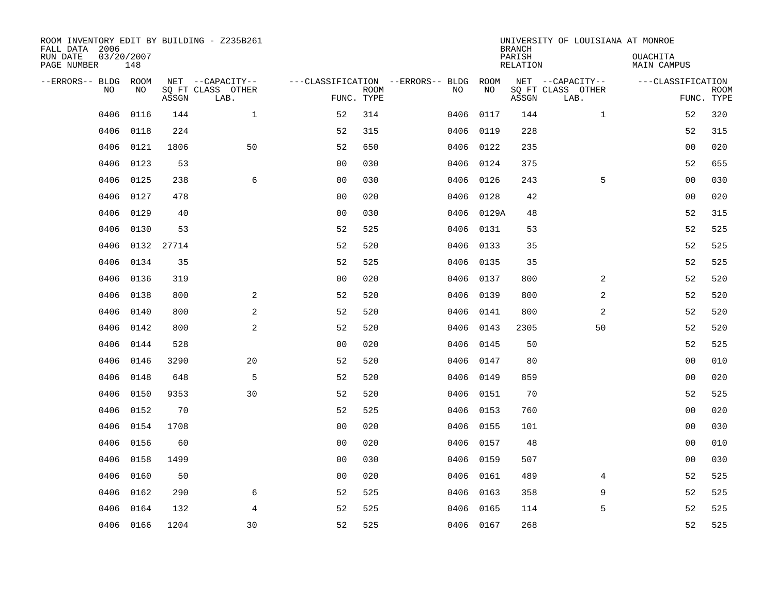| ROOM INVENTORY EDIT BY BUILDING - Z235B261<br>FALL DATA 2006 |                   |       |                           |                |             |                                        |            | <b>BRANCH</b>             | UNIVERSITY OF LOUISIANA AT MONROE |                                |                           |
|--------------------------------------------------------------|-------------------|-------|---------------------------|----------------|-------------|----------------------------------------|------------|---------------------------|-----------------------------------|--------------------------------|---------------------------|
| RUN DATE<br>PAGE NUMBER                                      | 03/20/2007<br>148 |       |                           |                |             |                                        |            | PARISH<br><b>RELATION</b> |                                   | OUACHITA<br><b>MAIN CAMPUS</b> |                           |
| --ERRORS-- BLDG ROOM                                         |                   |       | NET --CAPACITY--          |                |             | ---CLASSIFICATION --ERRORS-- BLDG ROOM |            |                           | NET --CAPACITY--                  | ---CLASSIFICATION              |                           |
| NO                                                           | NO                | ASSGN | SQ FT CLASS OTHER<br>LAB. | FUNC. TYPE     | <b>ROOM</b> | NO                                     | NO         | ASSGN                     | SQ FT CLASS OTHER<br>LAB.         |                                | <b>ROOM</b><br>FUNC. TYPE |
| 0406                                                         | 0116              | 144   | $\mathbf{1}$              | 52             | 314         | 0406                                   | 0117       | 144                       | $\mathbf{1}$                      | 52                             | 320                       |
| 0406                                                         | 0118              | 224   |                           | 52             | 315         | 0406                                   | 0119       | 228                       |                                   | 52                             | 315                       |
| 0406                                                         | 0121              | 1806  | 50                        | 52             | 650         | 0406                                   | 0122       | 235                       |                                   | 0 <sub>0</sub>                 | 020                       |
| 0406                                                         | 0123              | 53    |                           | 0 <sub>0</sub> | 030         |                                        | 0406 0124  | 375                       |                                   | 52                             | 655                       |
| 0406                                                         | 0125              | 238   | 6                         | 00             | 030         | 0406                                   | 0126       | 243                       | 5                                 | 0 <sub>0</sub>                 | 030                       |
| 0406                                                         | 0127              | 478   |                           | 0 <sub>0</sub> | 020         |                                        | 0406 0128  | 42                        |                                   | 0 <sub>0</sub>                 | 020                       |
| 0406                                                         | 0129              | 40    |                           | 0 <sub>0</sub> | 030         |                                        | 0406 0129A | 48                        |                                   | 52                             | 315                       |
| 0406                                                         | 0130              | 53    |                           | 52             | 525         |                                        | 0406 0131  | 53                        |                                   | 52                             | 525                       |
| 0406                                                         | 0132              | 27714 |                           | 52             | 520         | 0406                                   | 0133       | 35                        |                                   | 52                             | 525                       |
| 0406                                                         | 0134              | 35    |                           | 52             | 525         |                                        | 0406 0135  | 35                        |                                   | 52                             | 525                       |
| 0406                                                         | 0136              | 319   |                           | 0 <sub>0</sub> | 020         | 0406                                   | 0137       | 800                       | 2                                 | 52                             | 520                       |
| 0406                                                         | 0138              | 800   | 2                         | 52             | 520         | 0406                                   | 0139       | 800                       | 2                                 | 52                             | 520                       |
| 0406                                                         | 0140              | 800   | $\mathbf{2}$              | 52             | 520         | 0406                                   | 0141       | 800                       | 2                                 | 52                             | 520                       |
| 0406                                                         | 0142              | 800   | 2                         | 52             | 520         | 0406                                   | 0143       | 2305                      | 50                                | 52                             | 520                       |
| 0406                                                         | 0144              | 528   |                           | 0 <sub>0</sub> | 020         |                                        | 0406 0145  | 50                        |                                   | 52                             | 525                       |
| 0406                                                         | 0146              | 3290  | 20                        | 52             | 520         | 0406                                   | 0147       | 80                        |                                   | 0 <sub>0</sub>                 | 010                       |
| 0406                                                         | 0148              | 648   | 5                         | 52             | 520         | 0406                                   | 0149       | 859                       |                                   | 0 <sub>0</sub>                 | 020                       |
| 0406                                                         | 0150              | 9353  | 30                        | 52             | 520         | 0406                                   | 0151       | 70                        |                                   | 52                             | 525                       |
| 0406                                                         | 0152              | 70    |                           | 52             | 525         |                                        | 0406 0153  | 760                       |                                   | 00                             | 020                       |
| 0406                                                         | 0154              | 1708  |                           | 0 <sub>0</sub> | 020         | 0406                                   | 0155       | 101                       |                                   | 00                             | 030                       |
| 0406                                                         | 0156              | 60    |                           | 0 <sub>0</sub> | 020         |                                        | 0406 0157  | 48                        |                                   | 0 <sub>0</sub>                 | 010                       |
| 0406                                                         | 0158              | 1499  |                           | 0 <sub>0</sub> | 030         | 0406                                   | 0159       | 507                       |                                   | 0 <sub>0</sub>                 | 030                       |
| 0406                                                         | 0160              | 50    |                           | 0 <sub>0</sub> | 020         |                                        | 0406 0161  | 489                       | 4                                 | 52                             | 525                       |
| 0406                                                         | 0162              | 290   | 6                         | 52             | 525         | 0406                                   | 0163       | 358                       | 9                                 | 52                             | 525                       |
| 0406                                                         | 0164              | 132   | $\overline{4}$            | 52             | 525         |                                        | 0406 0165  | 114                       | 5                                 | 52                             | 525                       |
|                                                              | 0406 0166         | 1204  | 30                        | 52             | 525         |                                        | 0406 0167  | 268                       |                                   | 52                             | 525                       |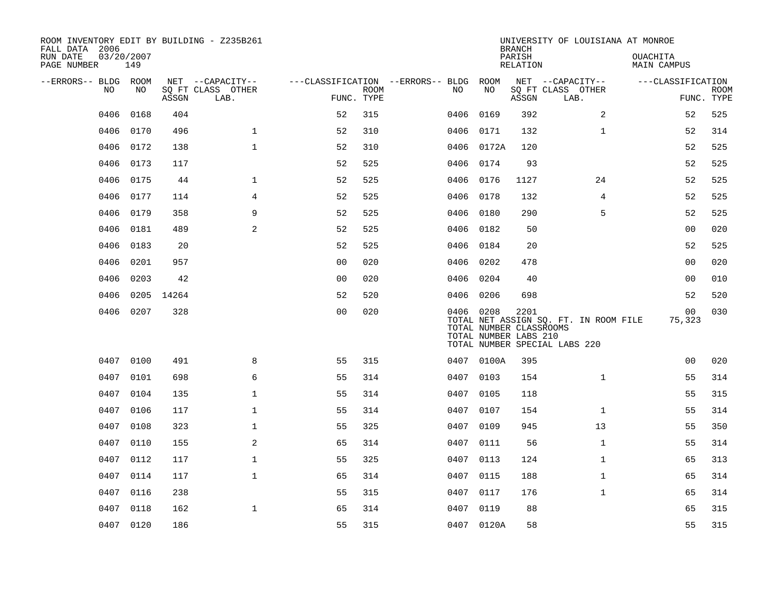| ROOM INVENTORY EDIT BY BUILDING - Z235B261<br>FALL DATA 2006 |                   |            |                           |                                        |                           |           |            | <b>BRANCH</b>                                            | UNIVERSITY OF LOUISIANA AT MONROE                                      |                                |                           |
|--------------------------------------------------------------|-------------------|------------|---------------------------|----------------------------------------|---------------------------|-----------|------------|----------------------------------------------------------|------------------------------------------------------------------------|--------------------------------|---------------------------|
| RUN DATE<br>PAGE NUMBER                                      | 03/20/2007<br>149 |            |                           |                                        |                           |           |            | PARISH<br>RELATION                                       |                                                                        | <b>OUACHITA</b><br>MAIN CAMPUS |                           |
| --ERRORS-- BLDG ROOM                                         |                   |            | NET --CAPACITY--          | ---CLASSIFICATION --ERRORS-- BLDG ROOM |                           |           |            |                                                          | NET --CAPACITY--                                                       | ---CLASSIFICATION              |                           |
| NO                                                           | NO                | ASSGN      | SQ FT CLASS OTHER<br>LAB. |                                        | <b>ROOM</b><br>FUNC. TYPE | NO        | NO         | ASSGN                                                    | SQ FT CLASS OTHER<br>LAB.                                              |                                | <b>ROOM</b><br>FUNC. TYPE |
| 0406                                                         | 0168              | 404        |                           | 52                                     | 315                       | 0406      | 0169       | 392                                                      | 2                                                                      | 52                             | 525                       |
| 0406                                                         | 0170              | 496        | $\mathbf{1}$              | 52                                     | 310                       | 0406 0171 |            | 132                                                      | $\mathbf{1}$                                                           | 52                             | 314                       |
| 0406                                                         | 0172              | 138        | $\mathbf{1}$              | 52                                     | 310                       |           | 0406 0172A | 120                                                      |                                                                        | 52                             | 525                       |
| 0406                                                         | 0173              | 117        |                           | 52                                     | 525                       | 0406 0174 |            | 93                                                       |                                                                        | 52                             | 525                       |
| 0406                                                         | 0175              | 44         | $\mathbf{1}$              | 52                                     | 525                       | 0406 0176 |            | 1127                                                     | 24                                                                     | 52                             | 525                       |
| 0406                                                         | 0177              | 114        | $\overline{4}$            | 52                                     | 525                       | 0406 0178 |            | 132                                                      | $\overline{4}$                                                         | 52                             | 525                       |
| 0406                                                         | 0179              | 358        | 9                         | 52                                     | 525                       | 0406 0180 |            | 290                                                      | 5                                                                      | 52                             | 525                       |
| 0406                                                         | 0181              | 489        | 2                         | 52                                     | 525                       | 0406 0182 |            | 50                                                       |                                                                        | 0 <sub>0</sub>                 | 020                       |
| 0406                                                         | 0183              | 20         |                           | 52                                     | 525                       | 0406      | 0184       | 20                                                       |                                                                        | 52                             | 525                       |
| 0406                                                         | 0201              | 957        |                           | 0 <sub>0</sub>                         | 020                       | 0406 0202 |            | 478                                                      |                                                                        | 00                             | 020                       |
| 0406                                                         | 0203              | 42         |                           | 0 <sub>0</sub>                         | 020                       | 0406      | 0204       | 40                                                       |                                                                        | 0 <sub>0</sub>                 | 010                       |
| 0406                                                         |                   | 0205 14264 |                           | 52                                     | 520                       | 0406 0206 |            | 698                                                      |                                                                        | 52                             | 520                       |
| 0406                                                         | 0207              | 328        |                           | 0 <sub>0</sub>                         | 020                       | 0406 0208 |            | 2201<br>TOTAL NUMBER CLASSROOMS<br>TOTAL NUMBER LABS 210 | TOTAL NET ASSIGN SQ. FT. IN ROOM FILE<br>TOTAL NUMBER SPECIAL LABS 220 | 00<br>75,323                   | 030                       |
| 0407                                                         | 0100              | 491        | 8                         | 55                                     | 315                       |           | 0407 0100A | 395                                                      |                                                                        | 0 <sub>0</sub>                 | 020                       |
| 0407                                                         | 0101              | 698        | 6                         | 55                                     | 314                       | 0407 0103 |            | 154                                                      | $\mathbf{1}$                                                           | 55                             | 314                       |
| 0407                                                         | 0104              | 135        | $\mathbf{1}$              | 55                                     | 314                       | 0407      | 0105       | 118                                                      |                                                                        | 55                             | 315                       |
| 0407                                                         | 0106              | 117        | $\mathbf 1$               | 55                                     | 314                       | 0407 0107 |            | 154                                                      | $\mathbf{1}$                                                           | 55                             | 314                       |
| 0407                                                         | 0108              | 323        | $\mathbf 1$               | 55                                     | 325                       | 0407      | 0109       | 945                                                      | 13                                                                     | 55                             | 350                       |
| 0407                                                         | 0110              | 155        | 2                         | 65                                     | 314                       | 0407 0111 |            | 56                                                       | $\mathbf{1}$                                                           | 55                             | 314                       |
| 0407                                                         | 0112              | 117        | $\mathbf{1}$              | 55                                     | 325                       | 0407      | 0113       | 124                                                      | $\mathbf{1}$                                                           | 65                             | 313                       |
|                                                              | 0407 0114         | 117        | $\mathbf{1}$              | 65                                     | 314                       | 0407 0115 |            | 188                                                      | $\mathbf{1}$                                                           | 65                             | 314                       |
| 0407                                                         | 0116              | 238        |                           | 55                                     | 315                       | 0407      | 0117       | 176                                                      | $\mathbf{1}$                                                           | 65                             | 314                       |
| 0407                                                         | 0118              | 162        | $\mathbf 1$               | 65                                     | 314                       | 0407 0119 |            | 88                                                       |                                                                        | 65                             | 315                       |
|                                                              | 0407 0120         | 186        |                           | 55                                     | 315                       |           | 0407 0120A | 58                                                       |                                                                        | 55                             | 315                       |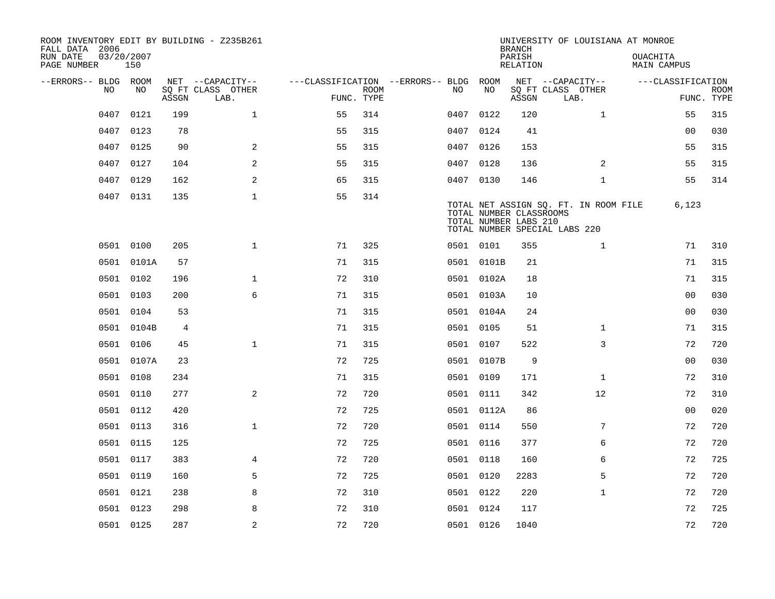| ROOM INVENTORY EDIT BY BUILDING - Z235B261<br>FALL DATA 2006 |                   |       |                           |                                        |             |           |            | <b>BRANCH</b>                                    | UNIVERSITY OF LOUISIANA AT MONROE                                      |                                |                           |
|--------------------------------------------------------------|-------------------|-------|---------------------------|----------------------------------------|-------------|-----------|------------|--------------------------------------------------|------------------------------------------------------------------------|--------------------------------|---------------------------|
| RUN DATE<br>PAGE NUMBER                                      | 03/20/2007<br>150 |       |                           |                                        |             |           |            | PARISH<br>RELATION                               |                                                                        | <b>OUACHITA</b><br>MAIN CAMPUS |                           |
| --ERRORS-- BLDG ROOM                                         |                   |       | NET --CAPACITY--          | ---CLASSIFICATION --ERRORS-- BLDG ROOM |             |           |            |                                                  | NET --CAPACITY--                                                       | ---CLASSIFICATION              |                           |
| NO.                                                          | NO.               | ASSGN | SQ FT CLASS OTHER<br>LAB. | FUNC. TYPE                             | <b>ROOM</b> | NO.       | NO         | ASSGN                                            | SQ FT CLASS OTHER<br>LAB.                                              |                                | <b>ROOM</b><br>FUNC. TYPE |
| 0407                                                         | 0121              | 199   | $\mathbf{1}$              | 55                                     | 314         | 0407      | 0122       | 120                                              | $\mathbf{1}$                                                           | 55                             | 315                       |
| 0407                                                         | 0123              | 78    |                           | 55                                     | 315         | 0407 0124 |            | 41                                               |                                                                        | 00                             | 030                       |
| 0407                                                         | 0125              | 90    | 2                         | 55                                     | 315         | 0407 0126 |            | 153                                              |                                                                        | 55                             | 315                       |
| 0407                                                         | 0127              | 104   | 2                         | 55                                     | 315         |           | 0407 0128  | 136                                              | 2                                                                      | 55                             | 315                       |
| 0407                                                         | 0129              | 162   | 2                         | 65                                     | 315         | 0407 0130 |            | 146                                              | $\mathbf{1}$                                                           | 55                             | 314                       |
|                                                              | 0407 0131         | 135   | $\mathbf{1}$              | 55                                     | 314         |           |            | TOTAL NUMBER CLASSROOMS<br>TOTAL NUMBER LABS 210 | TOTAL NET ASSIGN SQ. FT. IN ROOM FILE<br>TOTAL NUMBER SPECIAL LABS 220 | 6,123                          |                           |
|                                                              | 0501 0100         | 205   | $\mathbf{1}$              | 71                                     | 325         |           | 0501 0101  | 355                                              | $\mathbf{1}$                                                           | 71                             | 310                       |
|                                                              | 0501 0101A        | 57    |                           | 71                                     | 315         |           | 0501 0101B | 21                                               |                                                                        | 71                             | 315                       |
|                                                              | 0501 0102         | 196   | $\mathbf 1$               | 72                                     | 310         |           | 0501 0102A | 18                                               |                                                                        | 71                             | 315                       |
|                                                              | 0501 0103         | 200   | 6                         | 71                                     | 315         |           | 0501 0103A | 10                                               |                                                                        | 0 <sub>0</sub>                 | 030                       |
| 0501                                                         | 0104              | 53    |                           | 71                                     | 315         |           | 0501 0104A | 24                                               |                                                                        | 0 <sub>0</sub>                 | 030                       |
|                                                              | 0501 0104B        | 4     |                           | 71                                     | 315         |           | 0501 0105  | 51                                               | $\mathbf{1}$                                                           | 71                             | 315                       |
| 0501                                                         | 0106              | 45    | $\mathbf{1}$              | 71                                     | 315         | 0501 0107 |            | 522                                              | 3                                                                      | 72                             | 720                       |
|                                                              | 0501 0107A        | 23    |                           | 72                                     | 725         |           | 0501 0107B | 9                                                |                                                                        | 0 <sub>0</sub>                 | 030                       |
|                                                              | 0501 0108         | 234   |                           | 71                                     | 315         | 0501 0109 |            | 171                                              | $\mathbf{1}$                                                           | 72                             | 310                       |
|                                                              | 0501 0110         | 277   | $\mathbf{2}$              | 72                                     | 720         |           | 0501 0111  | 342                                              | 12                                                                     | 72                             | 310                       |
|                                                              | 0501 0112         | 420   |                           | 72                                     | 725         |           | 0501 0112A | 86                                               |                                                                        | 0 <sub>0</sub>                 | 020                       |
|                                                              | 0501 0113         | 316   | $\mathbf 1$               | 72                                     | 720         | 0501 0114 |            | 550                                              | 7                                                                      | 72                             | 720                       |
|                                                              | 0501 0115         | 125   |                           | 72                                     | 725         |           | 0501 0116  | 377                                              | 6                                                                      | 72                             | 720                       |
|                                                              | 0501 0117         | 383   | $\overline{4}$            | 72                                     | 720         | 0501 0118 |            | 160                                              | 6                                                                      | 72                             | 725                       |
|                                                              | 0501 0119         | 160   | 5                         | 72                                     | 725         | 0501 0120 |            | 2283                                             | 5                                                                      | 72                             | 720                       |
| 0501                                                         | 0121              | 238   | 8                         | 72                                     | 310         | 0501 0122 |            | 220                                              | $\mathbf{1}$                                                           | 72                             | 720                       |
| 0501                                                         | 0123              | 298   | 8                         | 72                                     | 310         |           | 0501 0124  | 117                                              |                                                                        | 72                             | 725                       |
|                                                              | 0501 0125         | 287   | 2                         | 72                                     | 720         | 0501 0126 |            | 1040                                             |                                                                        | 72                             | 720                       |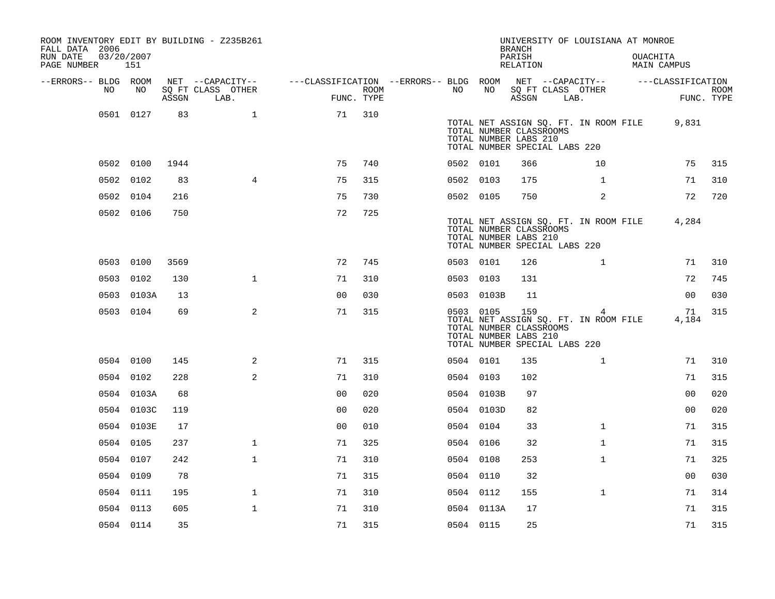| ROOM INVENTORY EDIT BY BUILDING - Z235B261<br>FALL DATA 2006<br>RUN DATE | 03/20/2007 |       |                                       |                                        |      |           |            | <b>BRANCH</b><br>PARISH                                 | UNIVERSITY OF LOUISIANA AT MONROE                                           | OUACHITA          |                    |
|--------------------------------------------------------------------------|------------|-------|---------------------------------------|----------------------------------------|------|-----------|------------|---------------------------------------------------------|-----------------------------------------------------------------------------|-------------------|--------------------|
| PAGE NUMBER                                                              | 151        |       |                                       |                                        |      |           |            | RELATION                                                |                                                                             | MAIN CAMPUS       |                    |
| --ERRORS-- BLDG ROOM<br>NO.                                              | NO         |       | NET --CAPACITY--<br>SQ FT CLASS OTHER | ---CLASSIFICATION --ERRORS-- BLDG ROOM | ROOM | NO        | NO         |                                                         | NET --CAPACITY--<br>SQ FT CLASS OTHER                                       | ---CLASSIFICATION |                    |
|                                                                          |            | ASSGN | LAB.                                  | FUNC. TYPE                             |      |           |            | ASSGN                                                   | LAB.                                                                        |                   | ROOM<br>FUNC. TYPE |
|                                                                          | 0501 0127  | 83    | $\mathbf{1}$                          | 71                                     | 310  |           |            | TOTAL NUMBER CLASSROOMS<br>TOTAL NUMBER LABS 210        | TOTAL NET ASSIGN SQ. FT. IN ROOM FILE<br>TOTAL NUMBER SPECIAL LABS 220      | 9,831             |                    |
|                                                                          | 0502 0100  | 1944  |                                       | 75                                     | 740  | 0502 0101 |            | 366                                                     | 10                                                                          | 75                | 315                |
|                                                                          | 0502 0102  | 83    | $\overline{4}$                        | 75                                     | 315  | 0502 0103 |            | 175                                                     | $\mathbf{1}$                                                                | 71                | 310                |
|                                                                          | 0502 0104  | 216   |                                       | 75                                     | 730  | 0502 0105 |            | 750                                                     | $\overline{a}$                                                              | 72                | 720                |
|                                                                          | 0502 0106  | 750   |                                       | 72                                     | 725  |           |            | TOTAL NUMBER CLASSROOMS<br>TOTAL NUMBER LABS 210        | TOTAL NET ASSIGN SQ. FT. IN ROOM FILE<br>TOTAL NUMBER SPECIAL LABS 220      | 4,284             |                    |
|                                                                          | 0503 0100  | 3569  |                                       | 72                                     | 745  | 0503 0101 |            | 126                                                     | $\mathbf{1}$                                                                | 71                | 310                |
|                                                                          | 0503 0102  | 130   | $\mathbf 1$                           | 71                                     | 310  | 0503 0103 |            | 131                                                     |                                                                             | 72                | 745                |
|                                                                          | 0503 0103A | 13    |                                       | 0 <sub>0</sub>                         | 030  |           | 0503 0103B | 11                                                      |                                                                             | 0 <sub>0</sub>    | 030                |
|                                                                          | 0503 0104  | 69    | 2                                     | 71                                     | 315  | 0503 0105 |            | 159<br>TOTAL NUMBER CLASSROOMS<br>TOTAL NUMBER LABS 210 | 4<br>TOTAL NET ASSIGN SQ. FT. IN ROOM FILE<br>TOTAL NUMBER SPECIAL LABS 220 | 71<br>4,184       | 315                |
|                                                                          | 0504 0100  | 145   | 2                                     | 71                                     | 315  | 0504 0101 |            | 135                                                     | $\mathbf{1}$                                                                | 71                | 310                |
|                                                                          | 0504 0102  | 228   | 2                                     | 71                                     | 310  | 0504 0103 |            | 102                                                     |                                                                             | 71                | 315                |
|                                                                          | 0504 0103A | 68    |                                       | 0 <sub>0</sub>                         | 020  |           | 0504 0103B | 97                                                      |                                                                             | 0 <sub>0</sub>    | 020                |
|                                                                          | 0504 0103C | 119   |                                       | 0 <sub>0</sub>                         | 020  |           | 0504 0103D | 82                                                      |                                                                             | 00                | 020                |
|                                                                          | 0504 0103E | 17    |                                       | 0 <sub>0</sub>                         | 010  | 0504 0104 |            | 33                                                      | $\mathbf{1}$                                                                | 71                | 315                |
|                                                                          | 0504 0105  | 237   | $\mathbf 1$                           | 71                                     | 325  | 0504 0106 |            | 32                                                      | $\mathbf{1}$                                                                | 71                | 315                |
|                                                                          | 0504 0107  | 242   | $\mathbf{1}$                          | 71                                     | 310  | 0504 0108 |            | 253                                                     | $\mathbf{1}$                                                                | 71                | 325                |
|                                                                          | 0504 0109  | 78    |                                       | 71                                     | 315  | 0504 0110 |            | 32                                                      |                                                                             | 00                | 030                |
|                                                                          | 0504 0111  | 195   | $\mathbf 1$                           | 71                                     | 310  | 0504 0112 |            | 155                                                     | $\mathbf{1}$                                                                | 71                | 314                |
|                                                                          | 0504 0113  | 605   | $\mathbf{1}$                          | 71                                     | 310  |           | 0504 0113A | 17                                                      |                                                                             | 71                | 315                |
|                                                                          | 0504 0114  | 35    |                                       | 71                                     | 315  | 0504 0115 |            | 25                                                      |                                                                             | 71                | 315                |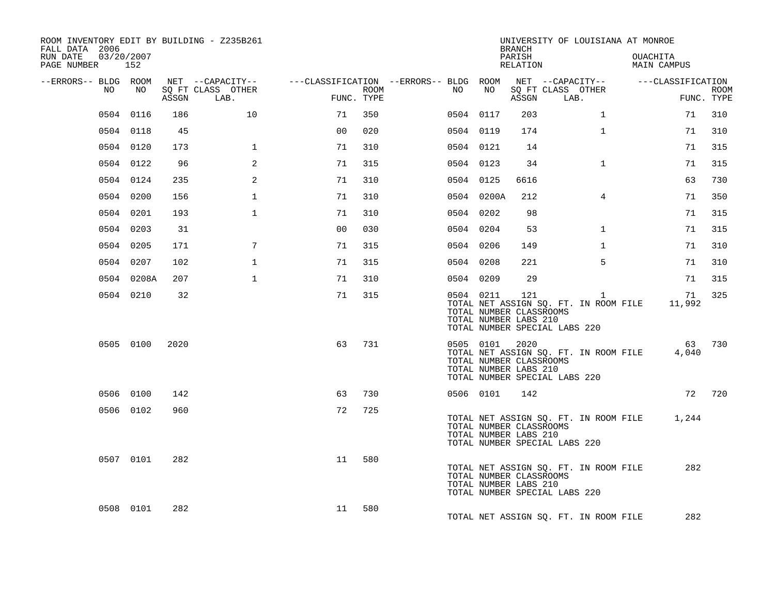| ROOM INVENTORY EDIT BY BUILDING - Z235B261<br>FALL DATA 2006 |            |       |                           |                |      |                                        |                                                               | <b>BRANCH</b>      | UNIVERSITY OF LOUISIANA AT MONROE                                                      |                                |                           |
|--------------------------------------------------------------|------------|-------|---------------------------|----------------|------|----------------------------------------|---------------------------------------------------------------|--------------------|----------------------------------------------------------------------------------------|--------------------------------|---------------------------|
| 03/20/2007<br>RUN DATE<br>PAGE NUMBER 152                    |            |       |                           |                |      |                                        |                                                               | PARISH<br>RELATION |                                                                                        | OUACHITA<br><b>MAIN CAMPUS</b> |                           |
| --ERRORS-- BLDG ROOM                                         |            |       | NET --CAPACITY--          |                |      | ---CLASSIFICATION --ERRORS-- BLDG ROOM |                                                               |                    | NET --CAPACITY--                                                                       | ---CLASSIFICATION              |                           |
| NO                                                           | NO         | ASSGN | SQ FT CLASS OTHER<br>LAB. | FUNC. TYPE     | ROOM | NO .                                   | NO                                                            | ASSGN              | SQ FT CLASS OTHER<br>LAB.                                                              |                                | <b>ROOM</b><br>FUNC. TYPE |
|                                                              | 0504 0116  | 186   | 10                        | 71             | 350  |                                        | 0504 0117                                                     | 203                | $\mathbf{1}$                                                                           | 71                             | 310                       |
|                                                              | 0504 0118  | 45    |                           | 0 <sub>0</sub> | 020  |                                        | 0504 0119                                                     | 174                | $\mathbf{1}$                                                                           | 71                             | 310                       |
|                                                              | 0504 0120  | 173   | $\mathbf 1$               | 71             | 310  |                                        | 0504 0121                                                     | 14                 |                                                                                        | 71                             | 315                       |
|                                                              | 0504 0122  | 96    | 2                         | 71             | 315  |                                        | 0504 0123                                                     | 34                 | $\mathbf{1}$                                                                           | 71                             | 315                       |
|                                                              | 0504 0124  | 235   | 2                         | 71             | 310  |                                        | 0504 0125                                                     | 6616               |                                                                                        | 63                             | 730                       |
|                                                              | 0504 0200  | 156   | $\mathbf 1$               | 71             | 310  |                                        | 0504 0200A                                                    | 212                | $\overline{4}$                                                                         | 71                             | 350                       |
|                                                              | 0504 0201  | 193   | $\mathbf{1}$              | 71             | 310  |                                        | 0504 0202                                                     | 98                 |                                                                                        | 71                             | 315                       |
|                                                              | 0504 0203  | 31    |                           | 0 <sub>0</sub> | 030  |                                        | 0504 0204                                                     | 53                 | $\mathbf{1}$                                                                           | 71                             | 315                       |
|                                                              | 0504 0205  | 171   | 7                         | 71             | 315  |                                        | 0504 0206                                                     | 149                | $\mathbf{1}$                                                                           | 71                             | 310                       |
|                                                              | 0504 0207  | 102   | $\mathbf 1$               | 71             | 315  |                                        | 0504 0208                                                     | 221                | 5                                                                                      | 71                             | 310                       |
|                                                              | 0504 0208A | 207   | $\mathbf{1}$              | 71             | 310  |                                        | 0504 0209                                                     | 29                 |                                                                                        | 71                             | 315                       |
|                                                              | 0504 0210  | 32    |                           | 71             | 315  |                                        | 0504 0211<br>TOTAL NUMBER CLASSROOMS<br>TOTAL NUMBER LABS 210 | 121                | $\mathbf{1}$<br>TOTAL NET ASSIGN SQ. FT. IN ROOM FILE<br>TOTAL NUMBER SPECIAL LABS 220 | 71<br>11,992                   | 325                       |
|                                                              | 0505 0100  | 2020  |                           | 63             | 731  |                                        | 0505 0101<br>TOTAL NUMBER CLASSROOMS<br>TOTAL NUMBER LABS 210 | 2020               | TOTAL NET ASSIGN SQ. FT. IN ROOM FILE<br>TOTAL NUMBER SPECIAL LABS 220                 | 63<br>4,040                    | 730                       |
|                                                              | 0506 0100  | 142   |                           | 63             | 730  |                                        | 0506 0101                                                     | 142                |                                                                                        |                                | 72 720                    |
|                                                              | 0506 0102  | 960   |                           | 72             | 725  |                                        | TOTAL NUMBER CLASSROOMS<br>TOTAL NUMBER LABS 210              |                    | TOTAL NET ASSIGN SQ. FT. IN ROOM FILE<br>TOTAL NUMBER SPECIAL LABS 220                 | 1,244                          |                           |
|                                                              | 0507 0101  | 282   |                           | 11             | 580  |                                        | TOTAL NUMBER CLASSROOMS<br>TOTAL NUMBER LABS 210              |                    | TOTAL NET ASSIGN SQ. FT. IN ROOM FILE<br>TOTAL NUMBER SPECIAL LABS 220                 | 282                            |                           |
|                                                              | 0508 0101  | 282   |                           | 11             | 580  |                                        |                                                               |                    | TOTAL NET ASSIGN SQ. FT. IN ROOM FILE                                                  | 282                            |                           |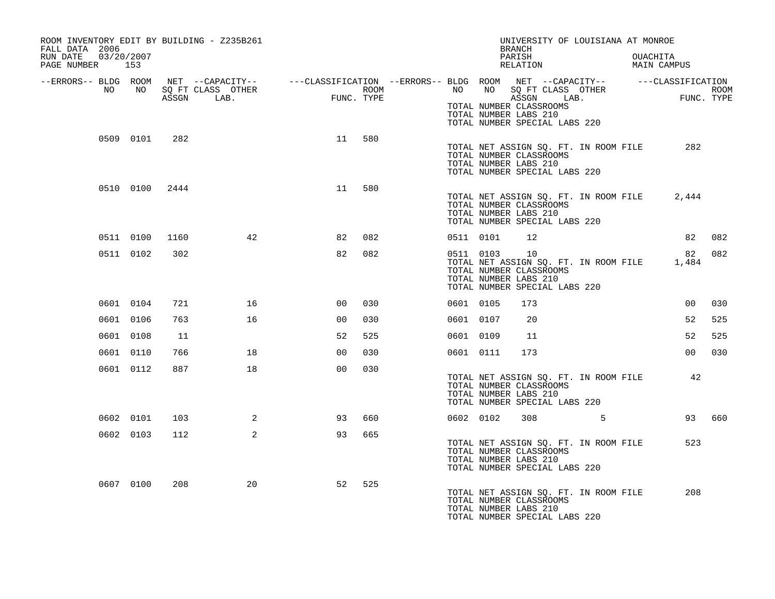| ROOM INVENTORY EDIT BY BUILDING - Z235B261<br>FALL DATA 2006 |                 |       |                   |                                                                                                                                                                                     |      |           |              | UNIVERSITY OF LOUISIANA AT MONROE<br>BRANCH                                                                                |  |                                                                                                                                                                                                                                                                                                                                                                                      |        |
|--------------------------------------------------------------|-----------------|-------|-------------------|-------------------------------------------------------------------------------------------------------------------------------------------------------------------------------------|------|-----------|--------------|----------------------------------------------------------------------------------------------------------------------------|--|--------------------------------------------------------------------------------------------------------------------------------------------------------------------------------------------------------------------------------------------------------------------------------------------------------------------------------------------------------------------------------------|--------|
| RUN DATE<br>03/20/2007<br>PAGE NUMBER 153                    |                 |       |                   |                                                                                                                                                                                     |      |           |              | PARISH<br>RELATION                                                                                                         |  | OUACHITA<br>MAIN CAMPUS                                                                                                                                                                                                                                                                                                                                                              |        |
| NO                                                           | NO <sub>1</sub> |       | SQ FT CLASS OTHER | --ERRORS-- BLDG ROOM NET --CAPACITY-- ----CLASSIFICATION --ERRORS-- BLDG ROOM NET --CAPACITY-- -----CLASSIFICATION<br>$\begin{array}{c}\n\text{FININ} \\ \text{FININ}\n\end{array}$ | ROOM |           |              | NO NO SQ FT CLASS OTHER                                                                                                    |  | $\overline{L}$ $\overline{L}$ $\overline{L}$ $\overline{L}$ $\overline{L}$ $\overline{L}$ $\overline{L}$ $\overline{L}$ $\overline{L}$ $\overline{L}$ $\overline{L}$ $\overline{L}$ $\overline{L}$ $\overline{L}$ $\overline{L}$ $\overline{L}$ $\overline{L}$ $\overline{L}$ $\overline{L}$ $\overline{L}$ $\overline{L}$ $\overline{L}$ $\overline{L}$ $\overline{L}$ $\overline{$ | ROOM   |
|                                                              |                 | ASSGN | LAB.              | FUNC. TYPE                                                                                                                                                                          |      |           |              | ASSGN LAB.<br>TOTAL NUMBER CLASSROOMS<br>TOTAL NUMBER LABS 210<br>TOTAL NUMBER SPECIAL LABS 220                            |  | FUNC. TYPE                                                                                                                                                                                                                                                                                                                                                                           |        |
|                                                              | 0509 0101       | 282   |                   | 11                                                                                                                                                                                  | 580  |           |              | TOTAL NET ASSIGN SQ. FT. IN ROOM FILE<br>TOTAL NUMBER CLASSROOMS<br>TOTAL NUMBER LABS 210<br>TOTAL NUMBER SPECIAL LABS 220 |  | 282                                                                                                                                                                                                                                                                                                                                                                                  |        |
|                                                              | 0510 0100 2444  |       |                   | 11                                                                                                                                                                                  | 580  |           |              | TOTAL NET ASSIGN SQ. FT. IN ROOM FILE<br>TOTAL NUMBER CLASSROOMS<br>TOTAL NUMBER LABS 210<br>TOTAL NUMBER SPECIAL LABS 220 |  | 2,444                                                                                                                                                                                                                                                                                                                                                                                |        |
|                                                              | 0511 0100       | 1160  | 42                | 82                                                                                                                                                                                  | 082  |           | 0511 0101    | 12                                                                                                                         |  | 82                                                                                                                                                                                                                                                                                                                                                                                   | 082    |
|                                                              | 0511 0102       | 302   |                   | 82                                                                                                                                                                                  | 082  |           | 0511 0103 10 | TOTAL NET ASSIGN SQ. FT. IN ROOM FILE<br>TOTAL NUMBER CLASSROOMS<br>TOTAL NUMBER LABS 210<br>TOTAL NUMBER SPECIAL LABS 220 |  | 82<br>1,484                                                                                                                                                                                                                                                                                                                                                                          | 082    |
|                                                              | 0601 0104       | 721   | 16                | 0 <sub>0</sub>                                                                                                                                                                      | 030  | 0601 0105 |              | 173                                                                                                                        |  | 00                                                                                                                                                                                                                                                                                                                                                                                   | 030    |
|                                                              | 0601 0106       | 763   | 16                | 00                                                                                                                                                                                  | 030  | 0601 0107 |              | 20                                                                                                                         |  | 52                                                                                                                                                                                                                                                                                                                                                                                   | 525    |
|                                                              | 0601 0108       | 11    |                   | 52                                                                                                                                                                                  | 525  | 0601 0109 |              | 11                                                                                                                         |  | 52                                                                                                                                                                                                                                                                                                                                                                                   | 525    |
|                                                              | 0601 0110       | 766   | 18                | 0 <sub>0</sub>                                                                                                                                                                      | 030  | 0601 0111 |              | 173                                                                                                                        |  | 00                                                                                                                                                                                                                                                                                                                                                                                   | 030    |
|                                                              | 0601 0112       | 887   | 18                | 0 <sub>0</sub>                                                                                                                                                                      | 030  |           |              | TOTAL NET ASSIGN SQ. FT. IN ROOM FILE<br>TOTAL NUMBER CLASSROOMS<br>TOTAL NUMBER LABS 210<br>TOTAL NUMBER SPECIAL LABS 220 |  | 42                                                                                                                                                                                                                                                                                                                                                                                   |        |
|                                                              | 0602 0101       | 103   | 2                 | 93                                                                                                                                                                                  | 660  |           | 0602 0102    | 308 5                                                                                                                      |  |                                                                                                                                                                                                                                                                                                                                                                                      | 93 660 |
|                                                              | 0602 0103       | 112   | $\overline{2}$    | 93                                                                                                                                                                                  | 665  |           |              | TOTAL NET ASSIGN SQ. FT. IN ROOM FILE<br>TOTAL NUMBER CLASSROOMS<br>TOTAL NUMBER LABS 210<br>TOTAL NUMBER SPECIAL LABS 220 |  | 523                                                                                                                                                                                                                                                                                                                                                                                  |        |
|                                                              | 0607 0100       | 208   | 20                | 52                                                                                                                                                                                  | 525  |           |              | TOTAL NET ASSIGN SQ. FT. IN ROOM FILE<br>TOTAL NUMBER CLASSROOMS<br>TOTAL NUMBER LABS 210<br>TOTAL NUMBER SPECIAL LABS 220 |  | 208                                                                                                                                                                                                                                                                                                                                                                                  |        |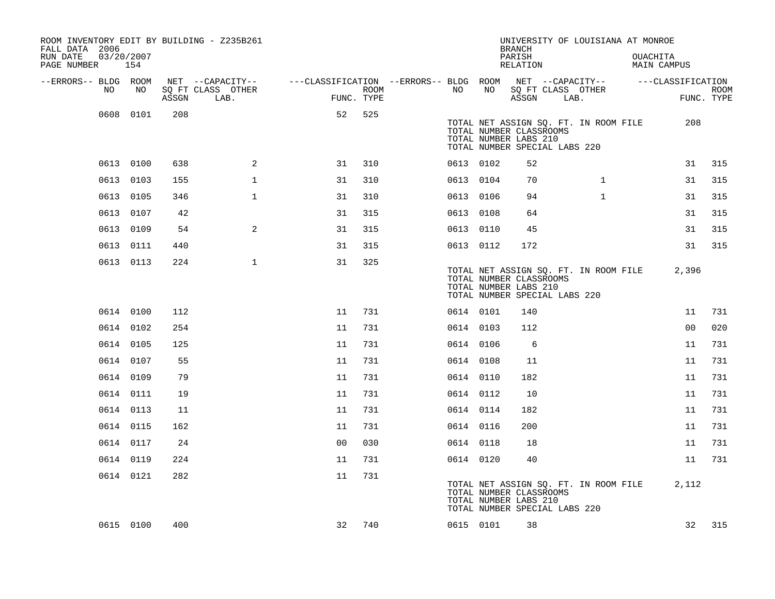| ROOM INVENTORY EDIT BY BUILDING - Z235B261<br>FALL DATA 2006<br>RUN DATE<br>PAGE NUMBER | 03/20/2007<br>154 |       |                           |                                        |      |           |    | <b>BRANCH</b><br>PARISH<br>RELATION                                               |      | UNIVERSITY OF LOUISIANA AT MONROE     | OUACHITA | <b>MAIN CAMPUS</b> |             |
|-----------------------------------------------------------------------------------------|-------------------|-------|---------------------------|----------------------------------------|------|-----------|----|-----------------------------------------------------------------------------------|------|---------------------------------------|----------|--------------------|-------------|
| --ERRORS-- BLDG ROOM                                                                    |                   |       | NET --CAPACITY--          | ---CLASSIFICATION --ERRORS-- BLDG ROOM |      |           |    |                                                                                   |      | NET --CAPACITY--                      |          | ---CLASSIFICATION  |             |
| NO                                                                                      | NO                | ASSGN | SQ FT CLASS OTHER<br>LAB. | FUNC. TYPE                             | ROOM | NO        | NO | SQ FT CLASS OTHER<br>ASSGN                                                        | LAB. |                                       |          | FUNC. TYPE         | <b>ROOM</b> |
|                                                                                         | 0608 0101         | 208   |                           | 52                                     | 525  |           |    |                                                                                   |      |                                       |          |                    |             |
|                                                                                         |                   |       |                           |                                        |      |           |    | TOTAL NUMBER CLASSROOMS<br>TOTAL NUMBER LABS 210<br>TOTAL NUMBER SPECIAL LABS 220 |      | TOTAL NET ASSIGN SQ. FT. IN ROOM FILE |          | 208                |             |
|                                                                                         | 0613 0100         | 638   | $\overline{a}$            | 31                                     | 310  | 0613 0102 |    | 52                                                                                |      |                                       |          | 31                 | 315         |
|                                                                                         | 0613 0103         | 155   | $\mathbf 1$               | 31                                     | 310  | 0613 0104 |    | 70                                                                                |      | $\mathbf{1}$                          |          | 31                 | 315         |
|                                                                                         | 0613 0105         | 346   | $\mathbf{1}$              | 31                                     | 310  | 0613 0106 |    | 94                                                                                |      | $\mathbf{1}$                          |          | 31                 | 315         |
|                                                                                         | 0613 0107         | 42    |                           | 31                                     | 315  | 0613 0108 |    | 64                                                                                |      |                                       |          | 31                 | 315         |
|                                                                                         | 0613 0109         | 54    | $\mathbf{2}$              | 31                                     | 315  | 0613 0110 |    | 45                                                                                |      |                                       |          | 31                 | 315         |
|                                                                                         | 0613 0111         | 440   |                           | 31                                     | 315  | 0613 0112 |    | 172                                                                               |      |                                       |          | 31                 | 315         |
|                                                                                         | 0613 0113         | 224   | $\mathbf{1}$              | 31                                     | 325  |           |    | TOTAL NUMBER CLASSROOMS<br>TOTAL NUMBER LABS 210<br>TOTAL NUMBER SPECIAL LABS 220 |      | TOTAL NET ASSIGN SQ. FT. IN ROOM FILE |          | 2,396              |             |
|                                                                                         | 0614 0100         | 112   |                           | 11                                     | 731  | 0614 0101 |    | 140                                                                               |      |                                       |          | 11                 | 731         |
|                                                                                         | 0614 0102         | 254   |                           | 11                                     | 731  | 0614 0103 |    | 112                                                                               |      |                                       |          | 0 <sub>0</sub>     | 020         |
|                                                                                         | 0614 0105         | 125   |                           | 11                                     | 731  | 0614 0106 |    | 6                                                                                 |      |                                       |          | 11                 | 731         |
|                                                                                         | 0614 0107         | 55    |                           | 11                                     | 731  | 0614 0108 |    | 11                                                                                |      |                                       |          | 11                 | 731         |
|                                                                                         | 0614 0109         | 79    |                           | 11                                     | 731  | 0614 0110 |    | 182                                                                               |      |                                       |          | 11                 | 731         |
|                                                                                         | 0614 0111         | 19    |                           | 11                                     | 731  | 0614 0112 |    | 10                                                                                |      |                                       |          | 11                 | 731         |
|                                                                                         | 0614 0113         | 11    |                           | 11                                     | 731  | 0614 0114 |    | 182                                                                               |      |                                       |          | 11                 | 731         |
|                                                                                         | 0614 0115         | 162   |                           | 11                                     | 731  | 0614 0116 |    | 200                                                                               |      |                                       |          | 11                 | 731         |
|                                                                                         | 0614 0117         | 24    |                           | 0 <sub>0</sub>                         | 030  | 0614 0118 |    | 18                                                                                |      |                                       |          | 11                 | 731         |
|                                                                                         | 0614 0119         | 224   |                           | 11                                     | 731  | 0614 0120 |    | 40                                                                                |      |                                       |          | 11                 | 731         |
|                                                                                         | 0614 0121         | 282   |                           | 11                                     | 731  |           |    | TOTAL NUMBER CLASSROOMS<br>TOTAL NUMBER LABS 210<br>TOTAL NUMBER SPECIAL LABS 220 |      | TOTAL NET ASSIGN SQ. FT. IN ROOM FILE |          | 2,112              |             |
|                                                                                         | 0615 0100         | 400   |                           | 32                                     | 740  | 0615 0101 |    | 38                                                                                |      |                                       |          | 32                 | 315         |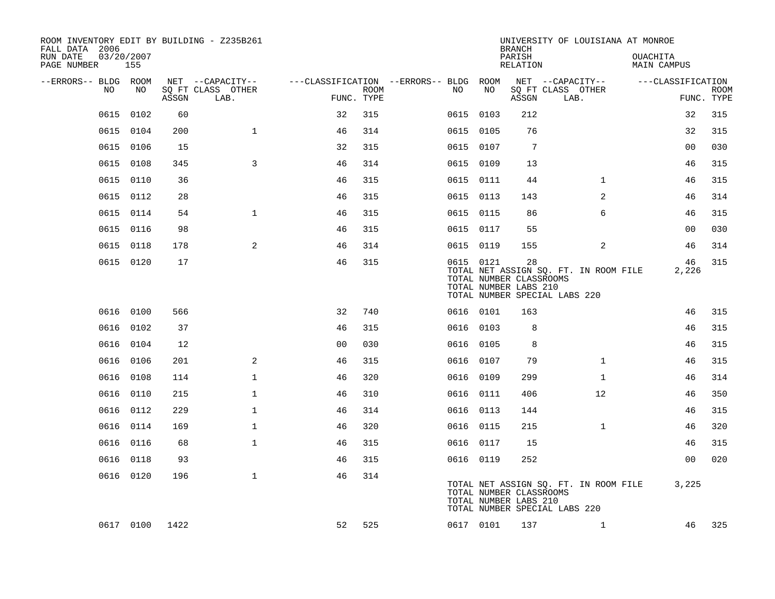| ROOM INVENTORY EDIT BY BUILDING - Z235B261<br>FALL DATA 2006 |                   |       |                           |                                        |             |           |           | <b>BRANCH</b>                                          | UNIVERSITY OF LOUISIANA AT MONROE                                      |                                |                           |
|--------------------------------------------------------------|-------------------|-------|---------------------------|----------------------------------------|-------------|-----------|-----------|--------------------------------------------------------|------------------------------------------------------------------------|--------------------------------|---------------------------|
| RUN DATE<br>PAGE NUMBER                                      | 03/20/2007<br>155 |       |                           |                                        |             |           |           | PARISH<br>RELATION                                     |                                                                        | <b>OUACHITA</b><br>MAIN CAMPUS |                           |
| --ERRORS-- BLDG ROOM                                         |                   |       | NET --CAPACITY--          | ---CLASSIFICATION --ERRORS-- BLDG ROOM |             |           |           |                                                        | NET --CAPACITY--                                                       | ---CLASSIFICATION              |                           |
| NO                                                           | NO                | ASSGN | SQ FT CLASS OTHER<br>LAB. | FUNC. TYPE                             | <b>ROOM</b> | NO.       | NO        | ASSGN                                                  | SQ FT CLASS OTHER<br>LAB.                                              |                                | <b>ROOM</b><br>FUNC. TYPE |
| 0615                                                         | 0102              | 60    |                           | 32                                     | 315         | 0615 0103 |           | 212                                                    |                                                                        | 32                             | 315                       |
|                                                              | 0615 0104         | 200   | $\mathbf{1}$              | 46                                     | 314         | 0615 0105 |           | 76                                                     |                                                                        | 32                             | 315                       |
|                                                              | 0615 0106         | 15    |                           | 32                                     | 315         | 0615 0107 |           | $7\phantom{.0}$                                        |                                                                        | 0 <sub>0</sub>                 | 030                       |
| 0615                                                         | 0108              | 345   | 3                         | 46                                     | 314         | 0615 0109 |           | 13                                                     |                                                                        | 46                             | 315                       |
| 0615                                                         | 0110              | 36    |                           | 46                                     | 315         | 0615 0111 |           | 44                                                     | $\mathbf{1}$                                                           | 46                             | 315                       |
|                                                              | 0615 0112         | 28    |                           | 46                                     | 315         | 0615 0113 |           | 143                                                    | 2                                                                      | 46                             | 314                       |
| 0615                                                         | 0114              | 54    | $\mathbf{1}$              | 46                                     | 315         | 0615 0115 |           | 86                                                     | 6                                                                      | 46                             | 315                       |
|                                                              | 0615 0116         | 98    |                           | 46                                     | 315         | 0615 0117 |           | 55                                                     |                                                                        | 0 <sub>0</sub>                 | 030                       |
| 0615                                                         | 0118              | 178   | 2                         | 46                                     | 314         | 0615 0119 |           | 155                                                    | $\overline{2}$                                                         | 46                             | 314                       |
|                                                              | 0615 0120         | 17    |                           | 46                                     | 315         | 0615 0121 |           | 28<br>TOTAL NUMBER CLASSROOMS<br>TOTAL NUMBER LABS 210 | TOTAL NET ASSIGN SQ. FT. IN ROOM FILE<br>TOTAL NUMBER SPECIAL LABS 220 | 46<br>2,226                    | 315                       |
|                                                              | 0616 0100         | 566   |                           | 32                                     | 740         | 0616 0101 |           | 163                                                    |                                                                        | 46                             | 315                       |
|                                                              | 0616 0102         | 37    |                           | 46                                     | 315         | 0616 0103 |           | 8                                                      |                                                                        | 46                             | 315                       |
|                                                              | 0616 0104         | 12    |                           | 0 <sub>0</sub>                         | 030         | 0616 0105 |           | 8                                                      |                                                                        | 46                             | 315                       |
|                                                              | 0616 0106         | 201   | 2                         | 46                                     | 315         | 0616 0107 |           | 79                                                     | $\mathbf{1}$                                                           | 46                             | 315                       |
|                                                              | 0616 0108         | 114   | $\mathbf 1$               | 46                                     | 320         | 0616 0109 |           | 299                                                    | $\mathbf{1}$                                                           | 46                             | 314                       |
| 0616                                                         | 0110              | 215   | $\mathbf{1}$              | 46                                     | 310         | 0616 0111 |           | 406                                                    | 12                                                                     | 46                             | 350                       |
|                                                              | 0616 0112         | 229   | $\mathbf 1$               | 46                                     | 314         | 0616 0113 |           | 144                                                    |                                                                        | 46                             | 315                       |
| 0616                                                         | 0114              | 169   | $\mathbf{1}$              | 46                                     | 320         | 0616 0115 |           | 215                                                    | $\mathbf{1}$                                                           | 46                             | 320                       |
|                                                              | 0616 0116         | 68    | $\mathbf{1}$              | 46                                     | 315         | 0616 0117 |           | 15                                                     |                                                                        | 46                             | 315                       |
| 0616                                                         | 0118              | 93    |                           | 46                                     | 315         | 0616 0119 |           | 252                                                    |                                                                        | 0 <sub>0</sub>                 | 020                       |
|                                                              | 0616 0120         | 196   | $\mathbf{1}$              | 46                                     | 314         |           |           | TOTAL NUMBER CLASSROOMS<br>TOTAL NUMBER LABS 210       | TOTAL NET ASSIGN SQ. FT. IN ROOM FILE<br>TOTAL NUMBER SPECIAL LABS 220 | 3,225                          |                           |
|                                                              | 0617 0100         | 1422  |                           | 52                                     | 525         |           | 0617 0101 | 137                                                    | $\mathbf{1}$                                                           | 46                             | 325                       |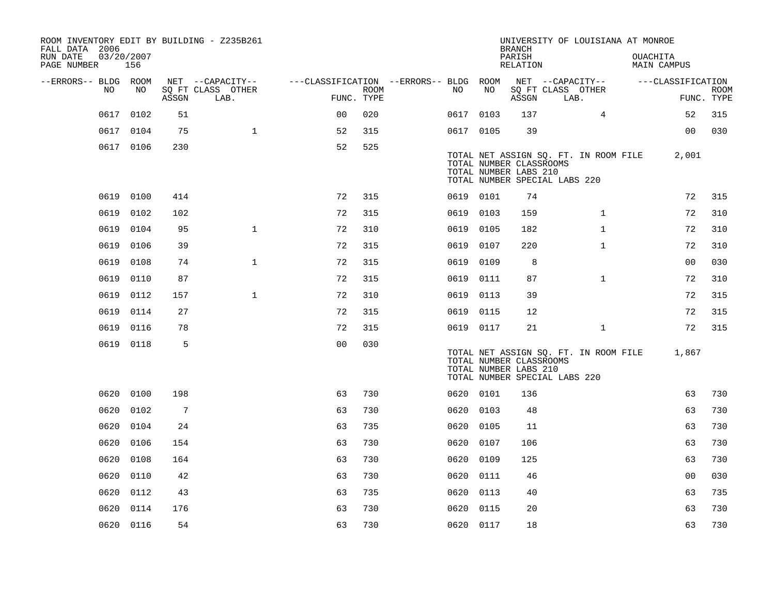| FALL DATA 2006          |      |                   |       | ROOM INVENTORY EDIT BY BUILDING - Z235B261 |                                        |             |           |      | <b>BRANCH</b>                                                                     |      | UNIVERSITY OF LOUISIANA AT MONROE     |                 |                    |             |
|-------------------------|------|-------------------|-------|--------------------------------------------|----------------------------------------|-------------|-----------|------|-----------------------------------------------------------------------------------|------|---------------------------------------|-----------------|--------------------|-------------|
| RUN DATE<br>PAGE NUMBER |      | 03/20/2007<br>156 |       |                                            |                                        |             |           |      | PARISH<br>RELATION                                                                |      |                                       | <b>OUACHITA</b> | <b>MAIN CAMPUS</b> |             |
| --ERRORS-- BLDG ROOM    | NO.  | NO                |       | NET --CAPACITY--<br>SQ FT CLASS OTHER      | ---CLASSIFICATION --ERRORS-- BLDG ROOM | <b>ROOM</b> | NO.       | NO   | NET --CAPACITY--                                                                  |      | SQ FT CLASS OTHER                     |                 | ---CLASSIFICATION  | <b>ROOM</b> |
|                         |      |                   | ASSGN | LAB.                                       | FUNC. TYPE                             |             |           |      | ASSGN                                                                             | LAB. |                                       |                 |                    | FUNC. TYPE  |
|                         | 0617 | 0102              | 51    |                                            | 0 <sup>0</sup>                         | 020         | 0617      | 0103 | 137                                                                               |      | $\overline{4}$                        |                 | 52                 | 315         |
|                         | 0617 | 0104              | 75    | $\mathbf{1}$                               | 52                                     | 315         | 0617 0105 |      | 39                                                                                |      |                                       |                 | 0 <sub>0</sub>     | 030         |
|                         |      | 0617 0106         | 230   |                                            | 52                                     | 525         |           |      | TOTAL NUMBER CLASSROOMS<br>TOTAL NUMBER LABS 210<br>TOTAL NUMBER SPECIAL LABS 220 |      | TOTAL NET ASSIGN SQ. FT. IN ROOM FILE |                 | 2,001              |             |
|                         | 0619 | 0100              | 414   |                                            | 72                                     | 315         | 0619 0101 |      | 74                                                                                |      |                                       |                 | 72                 | 315         |
|                         | 0619 | 0102              | 102   |                                            | 72                                     | 315         | 0619 0103 |      | 159                                                                               |      | $\mathbf{1}$                          |                 | 72                 | 310         |
|                         | 0619 | 0104              | 95    | $\mathbf{1}$                               | 72                                     | 310         | 0619 0105 |      | 182                                                                               |      | $\mathbf{1}$                          |                 | 72                 | 310         |
|                         | 0619 | 0106              | 39    |                                            | 72                                     | 315         | 0619      | 0107 | 220                                                                               |      | $\mathbf{1}$                          |                 | 72                 | 310         |
|                         | 0619 | 0108              | 74    | $\mathbf{1}$                               | 72                                     | 315         | 0619 0109 |      | 8                                                                                 |      |                                       |                 | 0 <sub>0</sub>     | 030         |
|                         | 0619 | 0110              | 87    |                                            | 72                                     | 315         | 0619      | 0111 | 87                                                                                |      | $\mathbf{1}$                          |                 | 72                 | 310         |
|                         | 0619 | 0112              | 157   | $\mathbf 1$                                | 72                                     | 310         | 0619 0113 |      | 39                                                                                |      |                                       |                 | 72                 | 315         |
|                         | 0619 | 0114              | 27    |                                            | 72                                     | 315         | 0619      | 0115 | 12                                                                                |      |                                       |                 | 72                 | 315         |
|                         | 0619 | 0116              | 78    |                                            | 72                                     | 315         | 0619 0117 |      | 21                                                                                |      | $\mathbf{1}$                          |                 | 72                 | 315         |
|                         |      | 0619 0118         | 5     |                                            | 0 <sub>0</sub>                         | 030         |           |      | TOTAL NUMBER CLASSROOMS<br>TOTAL NUMBER LABS 210<br>TOTAL NUMBER SPECIAL LABS 220 |      | TOTAL NET ASSIGN SQ. FT. IN ROOM FILE |                 | 1,867              |             |
|                         | 0620 | 0100              | 198   |                                            | 63                                     | 730         | 0620 0101 |      | 136                                                                               |      |                                       |                 | 63                 | 730         |
|                         | 0620 | 0102              | 7     |                                            | 63                                     | 730         | 0620 0103 |      | 48                                                                                |      |                                       |                 | 63                 | 730         |
|                         | 0620 | 0104              | 24    |                                            | 63                                     | 735         | 0620      | 0105 | 11                                                                                |      |                                       |                 | 63                 | 730         |
|                         | 0620 | 0106              | 154   |                                            | 63                                     | 730         | 0620      | 0107 | 106                                                                               |      |                                       |                 | 63                 | 730         |
|                         | 0620 | 0108              | 164   |                                            | 63                                     | 730         | 0620      | 0109 | 125                                                                               |      |                                       |                 | 63                 | 730         |
|                         | 0620 | 0110              | 42    |                                            | 63                                     | 730         | 0620 0111 |      | 46                                                                                |      |                                       |                 | 0 <sub>0</sub>     | 030         |
|                         | 0620 | 0112              | 43    |                                            | 63                                     | 735         | 0620      | 0113 | 40                                                                                |      |                                       |                 | 63                 | 735         |
|                         | 0620 | 0114              | 176   |                                            | 63                                     | 730         | 0620      | 0115 | 20                                                                                |      |                                       |                 | 63                 | 730         |
|                         |      | 0620 0116         | 54    |                                            | 63                                     | 730         | 0620 0117 |      | 18                                                                                |      |                                       |                 | 63                 | 730         |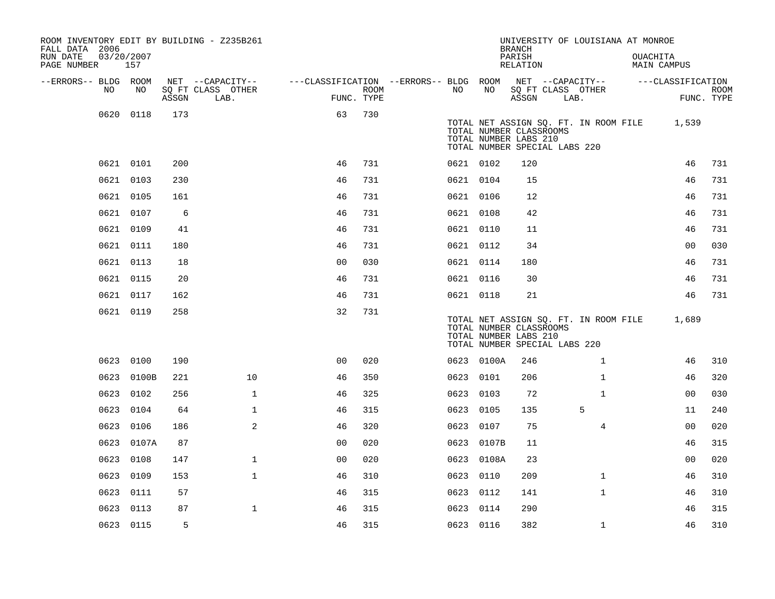| ROOM INVENTORY EDIT BY BUILDING - Z235B261<br>FALL DATA 2006 |                   |       |                                       |                                        |      |           |            | <b>BRANCH</b>                                                                     |      | UNIVERSITY OF LOUISIANA AT MONROE     |          |                   |             |
|--------------------------------------------------------------|-------------------|-------|---------------------------------------|----------------------------------------|------|-----------|------------|-----------------------------------------------------------------------------------|------|---------------------------------------|----------|-------------------|-------------|
| RUN DATE<br>PAGE NUMBER                                      | 03/20/2007<br>157 |       |                                       |                                        |      |           |            | PARISH<br>RELATION                                                                |      |                                       | OUACHITA | MAIN CAMPUS       |             |
| --ERRORS-- BLDG ROOM<br>NO.                                  | NO                |       | NET --CAPACITY--<br>SQ FT CLASS OTHER | ---CLASSIFICATION --ERRORS-- BLDG ROOM | ROOM | NO.       | NO         |                                                                                   |      | NET --CAPACITY--                      |          | ---CLASSIFICATION | <b>ROOM</b> |
|                                                              |                   | ASSGN | LAB.                                  | FUNC. TYPE                             |      |           |            | SQ FT CLASS OTHER<br>ASSGN                                                        | LAB. |                                       |          |                   | FUNC. TYPE  |
| 0620                                                         | 0118              | 173   |                                       | 63                                     | 730  |           |            | TOTAL NUMBER CLASSROOMS<br>TOTAL NUMBER LABS 210<br>TOTAL NUMBER SPECIAL LABS 220 |      | TOTAL NET ASSIGN SQ. FT. IN ROOM FILE |          | 1,539             |             |
|                                                              | 0621 0101         | 200   |                                       | 46                                     | 731  | 0621 0102 |            | 120                                                                               |      |                                       |          | 46                | 731         |
|                                                              | 0621 0103         | 230   |                                       | 46                                     | 731  | 0621 0104 |            | 15                                                                                |      |                                       |          | 46                | 731         |
|                                                              | 0621 0105         | 161   |                                       | 46                                     | 731  | 0621 0106 |            | 12                                                                                |      |                                       |          | 46                | 731         |
|                                                              | 0621 0107         | 6     |                                       | 46                                     | 731  | 0621 0108 |            | 42                                                                                |      |                                       |          | 46                | 731         |
|                                                              | 0621 0109         | 41    |                                       | 46                                     | 731  | 0621 0110 |            | 11                                                                                |      |                                       |          | 46                | 731         |
|                                                              | 0621 0111         | 180   |                                       | 46                                     | 731  | 0621 0112 |            | 34                                                                                |      |                                       |          | 0 <sub>0</sub>    | 030         |
|                                                              | 0621 0113         | 18    |                                       | 0 <sub>0</sub>                         | 030  | 0621 0114 |            | 180                                                                               |      |                                       |          | 46                | 731         |
|                                                              | 0621 0115         | 20    |                                       | 46                                     | 731  | 0621 0116 |            | 30                                                                                |      |                                       |          | 46                | 731         |
|                                                              | 0621 0117         | 162   |                                       | 46                                     | 731  | 0621 0118 |            | 21                                                                                |      |                                       |          | 46                | 731         |
|                                                              | 0621 0119         | 258   |                                       | 32                                     | 731  |           |            | TOTAL NUMBER CLASSROOMS<br>TOTAL NUMBER LABS 210<br>TOTAL NUMBER SPECIAL LABS 220 |      | TOTAL NET ASSIGN SQ. FT. IN ROOM FILE |          | 1,689             |             |
|                                                              | 0623 0100         | 190   |                                       | 0 <sub>0</sub>                         | 020  |           | 0623 0100A | 246                                                                               |      | $\mathbf{1}$                          |          | 46                | 310         |
|                                                              | 0623 0100B        | 221   | 10                                    | 46                                     | 350  | 0623 0101 |            | 206                                                                               |      | $\mathbf{1}$                          |          | 46                | 320         |
| 0623                                                         | 0102              | 256   | $\mathbf{1}$                          | 46                                     | 325  | 0623 0103 |            | 72                                                                                |      | $\mathbf{1}$                          |          | 0 <sub>0</sub>    | 030         |
| 0623                                                         | 0104              | 64    | $\mathbf{1}$                          | 46                                     | 315  | 0623 0105 |            | 135                                                                               |      | 5                                     |          | 11                | 240         |
| 0623                                                         | 0106              | 186   | 2                                     | 46                                     | 320  | 0623 0107 |            | 75                                                                                |      | $\overline{4}$                        |          | 0 <sub>0</sub>    | 020         |
|                                                              | 0623 0107A        | 87    |                                       | 0 <sub>0</sub>                         | 020  |           | 0623 0107B | 11                                                                                |      |                                       |          | 46                | 315         |
| 0623                                                         | 0108              | 147   | $\mathbf{1}$                          | 0 <sub>0</sub>                         | 020  |           | 0623 0108A | 23                                                                                |      |                                       |          | 0 <sub>0</sub>    | 020         |
| 0623                                                         | 0109              | 153   | $\mathbf{1}$                          | 46                                     | 310  | 0623 0110 |            | 209                                                                               |      | $\mathbf{1}$                          |          | 46                | 310         |
| 0623                                                         | 0111              | 57    |                                       | 46                                     | 315  | 0623      | 0112       | 141                                                                               |      | $\mathbf{1}$                          |          | 46                | 310         |
| 0623                                                         | 0113              | 87    | $\mathbf{1}$                          | 46                                     | 315  | 0623 0114 |            | 290                                                                               |      |                                       |          | 46                | 315         |
|                                                              | 0623 0115         | 5     |                                       | 46                                     | 315  | 0623 0116 |            | 382                                                                               |      | $\mathbf{1}$                          |          | 46                | 310         |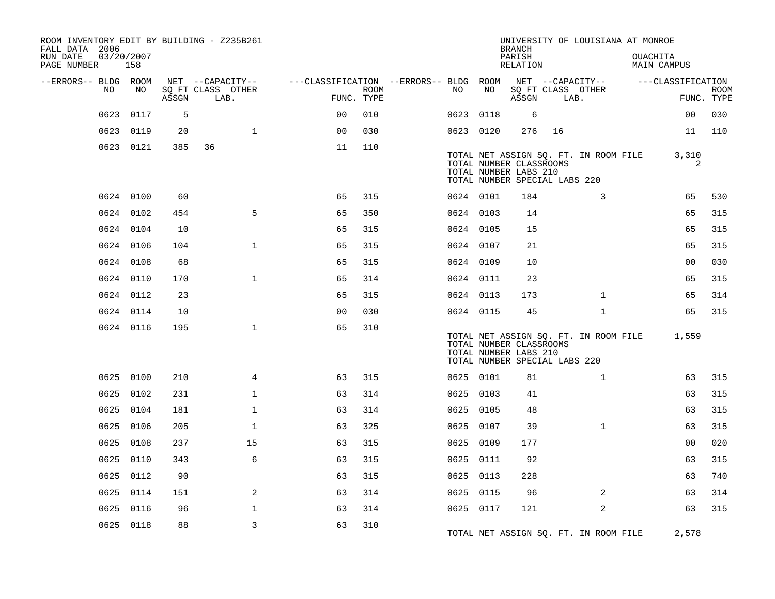| ROOM INVENTORY EDIT BY BUILDING - Z235B261<br>FALL DATA 2006 |                   |       |                           |                                        |                           |           |      | <b>BRANCH</b>                                                                     |      | UNIVERSITY OF LOUISIANA AT MONROE     |                         |                           |
|--------------------------------------------------------------|-------------------|-------|---------------------------|----------------------------------------|---------------------------|-----------|------|-----------------------------------------------------------------------------------|------|---------------------------------------|-------------------------|---------------------------|
| RUN DATE<br>PAGE NUMBER                                      | 03/20/2007<br>158 |       |                           |                                        |                           |           |      | PARISH<br>RELATION                                                                |      |                                       | OUACHITA<br>MAIN CAMPUS |                           |
| --ERRORS-- BLDG ROOM                                         |                   |       | NET --CAPACITY--          | ---CLASSIFICATION --ERRORS-- BLDG ROOM |                           |           |      |                                                                                   |      | NET --CAPACITY--                      | ---CLASSIFICATION       |                           |
| NO                                                           | NO                | ASSGN | SQ FT CLASS OTHER<br>LAB. |                                        | <b>ROOM</b><br>FUNC. TYPE | NO        | NO   | ASSGN                                                                             | LAB. | SQ FT CLASS OTHER                     |                         | <b>ROOM</b><br>FUNC. TYPE |
| 0623                                                         | 0117              | 5     |                           | 00                                     | 010                       | 0623      | 0118 | 6                                                                                 |      |                                       | 0 <sub>0</sub>          | 030                       |
| 0623                                                         | 0119              | 20    | $\mathbf{1}$              | 0 <sup>0</sup>                         | 030                       | 0623 0120 |      | 276                                                                               | 16   |                                       | 11                      | 110                       |
|                                                              | 0623 0121         | 385   | 36                        | 11                                     | 110                       |           |      | TOTAL NUMBER CLASSROOMS<br>TOTAL NUMBER LABS 210<br>TOTAL NUMBER SPECIAL LABS 220 |      | TOTAL NET ASSIGN SQ. FT. IN ROOM FILE | 3,310<br>2              |                           |
|                                                              | 0624 0100         | 60    |                           | 65                                     | 315                       | 0624 0101 |      | 184                                                                               |      | 3                                     | 65                      | 530                       |
|                                                              | 0624 0102         | 454   | 5                         | 65                                     | 350                       | 0624 0103 |      | 14                                                                                |      |                                       | 65                      | 315                       |
|                                                              | 0624 0104         | 10    |                           | 65                                     | 315                       | 0624 0105 |      | 15                                                                                |      |                                       | 65                      | 315                       |
|                                                              | 0624 0106         | 104   | $\mathbf 1$               | 65                                     | 315                       | 0624 0107 |      | 21                                                                                |      |                                       | 65                      | 315                       |
|                                                              | 0624 0108         | 68    |                           | 65                                     | 315                       | 0624 0109 |      | 10                                                                                |      |                                       | 0 <sub>0</sub>          | 030                       |
|                                                              | 0624 0110         | 170   | $\mathbf{1}$              | 65                                     | 314                       | 0624 0111 |      | 23                                                                                |      |                                       | 65                      | 315                       |
|                                                              | 0624 0112         | 23    |                           | 65                                     | 315                       | 0624 0113 |      | 173                                                                               |      | $\mathbf{1}$                          | 65                      | 314                       |
|                                                              | 0624 0114         | 10    |                           | 0 <sub>0</sub>                         | 030                       | 0624 0115 |      | 45                                                                                |      | $\mathbf{1}$                          | 65                      | 315                       |
|                                                              | 0624 0116         | 195   | $\mathbf{1}$              | 65                                     | 310                       |           |      | TOTAL NUMBER CLASSROOMS<br>TOTAL NUMBER LABS 210<br>TOTAL NUMBER SPECIAL LABS 220 |      | TOTAL NET ASSIGN SQ. FT. IN ROOM FILE | 1,559                   |                           |
|                                                              | 0625 0100         | 210   | $\overline{4}$            | 63                                     | 315                       | 0625 0101 |      | 81                                                                                |      | $\mathbf{1}$                          | 63                      | 315                       |
|                                                              | 0625 0102         | 231   | $\mathbf 1$               | 63                                     | 314                       | 0625 0103 |      | 41                                                                                |      |                                       | 63                      | 315                       |
| 0625                                                         | 0104              | 181   | $\mathbf 1$               | 63                                     | 314                       | 0625 0105 |      | 48                                                                                |      |                                       | 63                      | 315                       |
| 0625                                                         | 0106              | 205   | $\mathbf{1}$              | 63                                     | 325                       | 0625 0107 |      | 39                                                                                |      | $\mathbf{1}$                          | 63                      | 315                       |
| 0625                                                         | 0108              | 237   | 15                        | 63                                     | 315                       | 0625 0109 |      | 177                                                                               |      |                                       | 0 <sub>0</sub>          | 020                       |
| 0625                                                         | 0110              | 343   | 6                         | 63                                     | 315                       | 0625 0111 |      | 92                                                                                |      |                                       | 63                      | 315                       |
| 0625                                                         | 0112              | 90    |                           | 63                                     | 315                       | 0625 0113 |      | 228                                                                               |      |                                       | 63                      | 740                       |
| 0625                                                         | 0114              | 151   | 2                         | 63                                     | 314                       | 0625 0115 |      | 96                                                                                |      | 2                                     | 63                      | 314                       |
| 0625                                                         | 0116              | 96    | $\mathbf{1}$              | 63                                     | 314                       | 0625 0117 |      | 121                                                                               |      | 2                                     | 63                      | 315                       |
|                                                              | 0625 0118         | 88    | 3                         | 63                                     | 310                       |           |      |                                                                                   |      | TOTAL NET ASSIGN SQ. FT. IN ROOM FILE | 2,578                   |                           |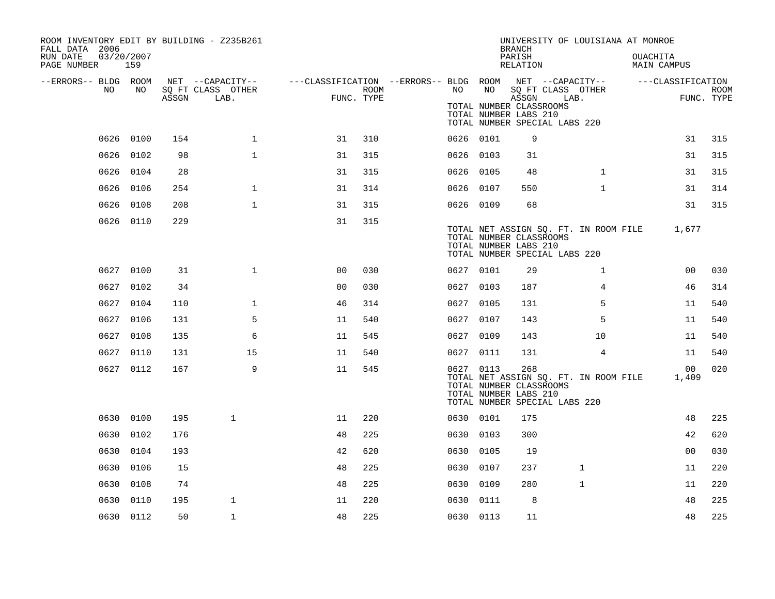| ROOM INVENTORY EDIT BY BUILDING - Z235B261<br>FALL DATA 2006<br>RUN DATE<br>PAGE NUMBER | 03/20/2007<br>159 |       |                                               |                                                         |                           |           |      | UNIVERSITY OF LOUISIANA AT MONROE<br><b>BRANCH</b><br>PARISH<br>RELATION                                                          |                | OUACHITA<br>MAIN CAMPUS |                |                           |
|-----------------------------------------------------------------------------------------|-------------------|-------|-----------------------------------------------|---------------------------------------------------------|---------------------------|-----------|------|-----------------------------------------------------------------------------------------------------------------------------------|----------------|-------------------------|----------------|---------------------------|
| --ERRORS-- BLDG ROOM<br>NO.                                                             | NO                | ASSGN | NET --CAPACITY--<br>SQ FT CLASS OTHER<br>LAB. | ---CLASSIFICATION --ERRORS-- BLDG ROOM NET --CAPACITY-- | <b>ROOM</b><br>FUNC. TYPE | NO .      | NO   | SQ FT CLASS OTHER<br>ASSGN<br>TOTAL NUMBER CLASSROOMS<br>TOTAL NUMBER LABS 210<br>TOTAL NUMBER SPECIAL LABS 220                   | LAB.           | ---CLASSIFICATION       |                | <b>ROOM</b><br>FUNC. TYPE |
|                                                                                         | 0626 0100         | 154   | $\mathbf{1}$                                  | 31                                                      | 310                       | 0626 0101 |      | 9                                                                                                                                 |                |                         | 31             | 315                       |
|                                                                                         | 0626 0102         | 98    | $\mathbf{1}$                                  | 31                                                      | 315                       | 0626 0103 |      | 31                                                                                                                                |                |                         | 31             | 315                       |
|                                                                                         | 0626 0104         | 28    |                                               | 31                                                      | 315                       | 0626 0105 |      | 48                                                                                                                                | $\mathbf{1}$   |                         | 31             | 315                       |
|                                                                                         | 0626 0106         | 254   | $\mathbf 1$                                   | 31                                                      | 314                       | 0626 0107 |      | 550                                                                                                                               | $\mathbf{1}$   |                         | 31             | 314                       |
| 0626                                                                                    | 0108              | 208   | $\mathbf{1}$                                  | 31                                                      | 315                       | 0626 0109 |      | 68                                                                                                                                |                |                         | 31             | 315                       |
|                                                                                         | 0626 0110         | 229   |                                               | 31                                                      | 315                       |           |      | TOTAL NET ASSIGN SQ. FT. IN ROOM FILE<br>TOTAL NUMBER CLASSROOMS<br>TOTAL NUMBER LABS 210<br>TOTAL NUMBER SPECIAL LABS 220        |                |                         | 1,677          |                           |
|                                                                                         | 0627 0100         | 31    | $\mathbf 1$                                   | 00                                                      | 030                       | 0627 0101 |      | 29                                                                                                                                | $\mathbf{1}$   |                         | 00             | 030                       |
|                                                                                         | 0627 0102         | 34    |                                               | 0 <sub>0</sub>                                          | 030                       | 0627 0103 |      | 187                                                                                                                               | 4              |                         | 46             | 314                       |
|                                                                                         | 0627 0104         | 110   | $\mathbf{1}$                                  | 46                                                      | 314                       | 0627 0105 |      | 131                                                                                                                               | 5              |                         | 11             | 540                       |
|                                                                                         | 0627 0106         | 131   | 5                                             | 11                                                      | 540                       | 0627 0107 |      | 143                                                                                                                               | 5              |                         | 11             | 540                       |
| 0627                                                                                    | 0108              | 135   | 6                                             | 11                                                      | 545                       | 0627 0109 |      | 143                                                                                                                               | 10             |                         | 11             | 540                       |
|                                                                                         | 0627 0110         | 131   | 15                                            | 11                                                      | 540                       | 0627 0111 |      | 131                                                                                                                               | $\overline{4}$ |                         | 11             | 540                       |
|                                                                                         | 0627 0112         | 167   | 9                                             | 11                                                      | 545                       | 0627 0113 |      | 268<br>TOTAL NET ASSIGN SQ. FT. IN ROOM FILE<br>TOTAL NUMBER CLASSROOMS<br>TOTAL NUMBER LABS 210<br>TOTAL NUMBER SPECIAL LABS 220 |                |                         | 00<br>1,409    | 020                       |
|                                                                                         | 0630 0100         | 195   | $\mathbf{1}$                                  | 11                                                      | 220                       | 0630 0101 |      | 175                                                                                                                               |                |                         | 48             | 225                       |
| 0630                                                                                    | 0102              | 176   |                                               | 48                                                      | 225                       | 0630 0103 |      | 300                                                                                                                               |                |                         | 42             | 620                       |
| 0630                                                                                    | 0104              | 193   |                                               | 42                                                      | 620                       | 0630 0105 |      | 19                                                                                                                                |                |                         | 0 <sub>0</sub> | 030                       |
| 0630                                                                                    | 0106              | 15    |                                               | 48                                                      | 225                       | 0630      | 0107 | 237                                                                                                                               | 1              |                         | 11             | 220                       |
| 0630                                                                                    | 0108              | 74    |                                               | 48                                                      | 225                       | 0630      | 0109 | 280                                                                                                                               | 1              |                         | 11             | 220                       |
| 0630                                                                                    | 0110              | 195   | $\mathbf{1}$                                  | 11                                                      | 220                       | 0630      | 0111 | 8                                                                                                                                 |                |                         | 48             | 225                       |
|                                                                                         | 0630 0112         | 50    | $\mathbf{1}$                                  | 48                                                      | 225                       | 0630 0113 |      | 11                                                                                                                                |                |                         | 48             | 225                       |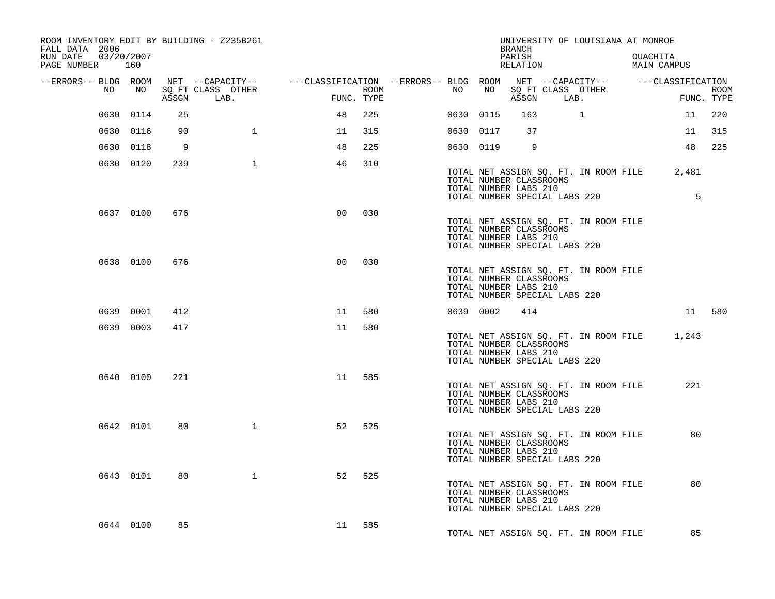| ROOM INVENTORY EDIT BY BUILDING - Z235B261<br>FALL DATA 2006<br>RUN DATE<br>PAGE NUMBER 160 | 03/20/2007 |     |                   |                                                                                                                    |     |                  |           |                                                  | BRANCH<br>PARISH<br>RELATION |                               | UNIVERSITY OF LOUISIANA AT MONROE     | OUACHITA<br>MAIN CAMPUS                     |            |
|---------------------------------------------------------------------------------------------|------------|-----|-------------------|--------------------------------------------------------------------------------------------------------------------|-----|------------------|-----------|--------------------------------------------------|------------------------------|-------------------------------|---------------------------------------|---------------------------------------------|------------|
|                                                                                             |            |     |                   |                                                                                                                    |     |                  |           |                                                  |                              |                               |                                       |                                             |            |
| NO                                                                                          | NO         |     | SQ FT CLASS OTHER | --ERRORS-- BLDG ROOM NET --CAPACITY-- ----CLASSIFICATION --ERRORS-- BLDG ROOM NET --CAPACITY-- -----CLASSIFICATION |     | ROOM <b>ROOM</b> | NO        | NO                                               |                              | SQ FT CLASS OTHER             |                                       |                                             | ROOM       |
|                                                                                             |            |     | ASSGN LAB.        | FUNC. TYPE                                                                                                         |     |                  |           |                                                  |                              | ASSGN LAB.                    |                                       |                                             | FUNC. TYPE |
|                                                                                             | 0630 0114  | 25  |                   | 48                                                                                                                 | 225 |                  | 0630 0115 |                                                  | 163                          | $\sim$ 1                      |                                       | 11                                          | 220        |
|                                                                                             | 0630 0116  | 90  | $\mathbf{1}$      | 11                                                                                                                 | 315 |                  | 0630 0117 |                                                  | 37                           |                               |                                       | 11                                          | 315        |
|                                                                                             | 0630 0118  | 9   |                   | 48                                                                                                                 | 225 |                  | 0630 0119 |                                                  | 9                            |                               |                                       | 48                                          | 225        |
|                                                                                             | 0630 0120  | 239 | $\mathbf{1}$      | 46                                                                                                                 | 310 |                  |           | TOTAL NUMBER CLASSROOMS<br>TOTAL NUMBER LABS 210 |                              |                               |                                       | TOTAL NET ASSIGN SQ. FT. IN ROOM FILE 2,481 |            |
|                                                                                             |            |     |                   |                                                                                                                    |     |                  |           |                                                  |                              | TOTAL NUMBER SPECIAL LABS 220 |                                       | 5                                           |            |
|                                                                                             | 0637 0100  | 676 |                   | 0 <sub>0</sub>                                                                                                     | 030 |                  |           | TOTAL NUMBER CLASSROOMS<br>TOTAL NUMBER LABS 210 |                              | TOTAL NUMBER SPECIAL LABS 220 | TOTAL NET ASSIGN SQ. FT. IN ROOM FILE |                                             |            |
|                                                                                             | 0638 0100  | 676 |                   | 0 <sub>0</sub>                                                                                                     | 030 |                  |           | TOTAL NUMBER CLASSROOMS<br>TOTAL NUMBER LABS 210 |                              | TOTAL NUMBER SPECIAL LABS 220 | TOTAL NET ASSIGN SQ. FT. IN ROOM FILE |                                             |            |
|                                                                                             | 0639 0001  | 412 |                   | 11                                                                                                                 | 580 |                  | 0639 0002 |                                                  | 414                          |                               |                                       |                                             | 11 580     |
|                                                                                             | 0639 0003  | 417 |                   | 11                                                                                                                 | 580 |                  |           | TOTAL NUMBER CLASSROOMS<br>TOTAL NUMBER LABS 210 |                              | TOTAL NUMBER SPECIAL LABS 220 | TOTAL NET ASSIGN SQ. FT. IN ROOM FILE | 1,243                                       |            |
|                                                                                             | 0640 0100  | 221 |                   | 11                                                                                                                 | 585 |                  |           | TOTAL NUMBER CLASSROOMS<br>TOTAL NUMBER LABS 210 |                              | TOTAL NUMBER SPECIAL LABS 220 | TOTAL NET ASSIGN SQ. FT. IN ROOM FILE | 221                                         |            |
|                                                                                             | 0642 0101  | 80  | $\mathbf{1}$      | 52                                                                                                                 | 525 |                  |           | TOTAL NUMBER CLASSROOMS<br>TOTAL NUMBER LABS 210 |                              | TOTAL NUMBER SPECIAL LABS 220 | TOTAL NET ASSIGN SQ. FT. IN ROOM FILE | 80                                          |            |
|                                                                                             | 0643 0101  | 80  | $\mathbf{1}$      | 52                                                                                                                 | 525 |                  |           | TOTAL NUMBER CLASSROOMS<br>TOTAL NUMBER LABS 210 |                              | TOTAL NUMBER SPECIAL LABS 220 | TOTAL NET ASSIGN SQ. FT. IN ROOM FILE | 80                                          |            |
|                                                                                             | 0644 0100  | 85  |                   | 11 585                                                                                                             |     |                  |           |                                                  |                              |                               | TOTAL NET ASSIGN SQ. FT. IN ROOM FILE | 85                                          |            |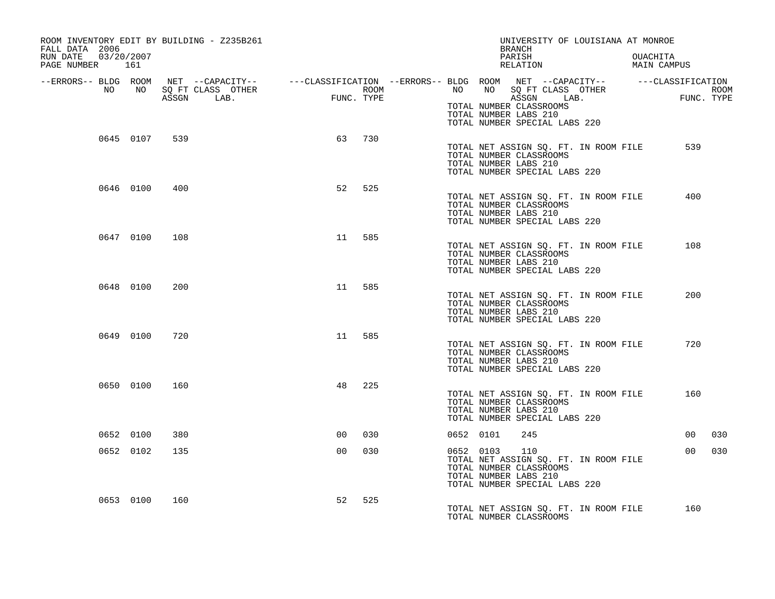| ROOM INVENTORY EDIT BY BUILDING - Z235B261<br>FALL DATA 2006 |                                         |      | UNIVERSITY OF LOUISIANA AT MONROE<br>BRANCH                                                                                                    |                                |
|--------------------------------------------------------------|-----------------------------------------|------|------------------------------------------------------------------------------------------------------------------------------------------------|--------------------------------|
| 03/20/2007<br>RUN DATE<br>PAGE NUMBER 161                    |                                         |      | PARISH<br>RELATION                                                                                                                             | OUACHITA<br><b>MAIN CAMPUS</b> |
| NO<br>NO                                                     | SQ FT CLASS OTHER                       | ROOM | --ERRORS-- BLDG ROOM NET --CAPACITY-- ----CLASSIFICATION --ERRORS-- BLDG ROOM NET --CAPACITY-- -----CLASSIFICATION<br>NO NO SQ FT CLASS OTHER  | ROOM                           |
|                                                              | <b>EUNC</b><br>FUNC. TYPE<br>ASSGN LAB. |      | ASSGN LAB.<br>TOTAL NUMBER CLASSROOMS<br>TOTAL NUMBER LABS 210<br>TOTAL NUMBER SPECIAL LABS 220                                                | FUNC. TYPE                     |
| 0645 0107<br>539                                             | 63                                      | 730  | TOTAL NET ASSIGN SQ. FT. IN ROOM FILE<br>TOTAL NUMBER CLASSROOMS<br>TOTAL NUMBER LABS 210<br>TOTAL NUMBER SPECIAL LABS 220                     | 539                            |
| 0646 0100<br>400                                             | 52                                      | 525  | TOTAL NET ASSIGN SQ. FT. IN ROOM FILE<br>TOTAL NUMBER CLASSROOMS<br>TOTAL NUMBER LABS 210<br>TOTAL NUMBER SPECIAL LABS 220                     | 400                            |
| 0647 0100<br>108                                             | 11                                      | 585  | TOTAL NET ASSIGN SQ. FT. IN ROOM FILE<br>TOTAL NUMBER CLASSROOMS<br>TOTAL NUMBER LABS 210<br>TOTAL NUMBER SPECIAL LABS 220                     | 108                            |
| 0648 0100<br>200                                             | 11                                      | 585  | TOTAL NET ASSIGN SQ. FT. IN ROOM FILE<br>TOTAL NUMBER CLASSROOMS<br>TOTAL NUMBER LABS 210<br>TOTAL NUMBER SPECIAL LABS 220                     | 200                            |
| 0649 0100<br>720                                             | 11                                      | 585  | TOTAL NET ASSIGN SQ. FT. IN ROOM FILE<br>TOTAL NUMBER CLASSROOMS<br>TOTAL NUMBER LABS 210<br>TOTAL NUMBER SPECIAL LABS 220                     | 720                            |
| 0650 0100<br>160                                             | 48                                      | 225  | TOTAL NET ASSIGN SQ. FT. IN ROOM FILE<br>TOTAL NUMBER CLASSROOMS<br>TOTAL NUMBER LABS 210<br>TOTAL NUMBER SPECIAL LABS 220                     | 160                            |
| 0652 0100<br>380                                             | 0 <sup>0</sup>                          | 030  | 0652 0101<br>245                                                                                                                               | 00 <sub>o</sub><br>030         |
| 0652 0102<br>135                                             | 0 <sub>0</sub>                          | 030  | 0652 0103<br>110<br>TOTAL NET ASSIGN SQ. FT. IN ROOM FILE<br>TOTAL NUMBER CLASSROOMS<br>TOTAL NUMBER LABS 210<br>TOTAL NUMBER SPECIAL LABS 220 | 030<br>00                      |
| 0653 0100<br>160                                             | 52                                      | 525  | TOTAL NET ASSIGN SQ. FT. IN ROOM FILE<br>TOTAL NUMBER CLASSROOMS                                                                               | 160                            |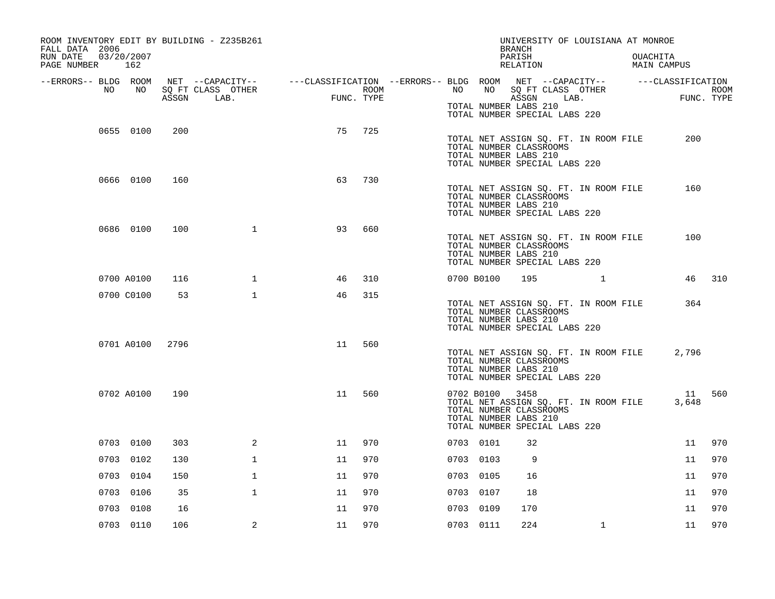| ROOM INVENTORY EDIT BY BUILDING - Z235B261<br>FALL DATA 2006 |            |       |                   |                                                                             |            |            |                 | <b>BRANCH</b>                                                                     | UNIVERSITY OF LOUISIANA AT MONROE     |                         |             |
|--------------------------------------------------------------|------------|-------|-------------------|-----------------------------------------------------------------------------|------------|------------|-----------------|-----------------------------------------------------------------------------------|---------------------------------------|-------------------------|-------------|
| RUN DATE<br>PAGE NUMBER 162                                  | 03/20/2007 |       |                   |                                                                             |            |            |                 | PARISH<br>RELATION                                                                |                                       | OUACHITA<br>MAIN CAMPUS |             |
| --ERRORS-- BLDG ROOM<br>NO                                   | NO         |       | SQ FT CLASS OTHER | NET --CAPACITY--    ---CLASSIFICATION --ERRORS-- BLDG ROOM NET --CAPACITY-- | ROOM       | NO         | NO              |                                                                                   | SQ FT CLASS OTHER                     | ---CLASSIFICATION       | <b>ROOM</b> |
|                                                              |            | ASSGN | LAB.              |                                                                             | FUNC. TYPE |            |                 | ASSGN<br>TOTAL NUMBER LABS 210<br>TOTAL NUMBER SPECIAL LABS 220                   | LAB.                                  |                         | FUNC. TYPE  |
|                                                              | 0655 0100  | 200   |                   | 75                                                                          | 725        |            |                 | TOTAL NUMBER CLASSROOMS<br>TOTAL NUMBER LABS 210<br>TOTAL NUMBER SPECIAL LABS 220 | TOTAL NET ASSIGN SQ. FT. IN ROOM FILE | 200                     |             |
|                                                              | 0666 0100  | 160   |                   | 63                                                                          | 730        |            |                 | TOTAL NUMBER CLASSROOMS<br>TOTAL NUMBER LABS 210<br>TOTAL NUMBER SPECIAL LABS 220 | TOTAL NET ASSIGN SQ. FT. IN ROOM FILE | 160                     |             |
|                                                              | 0686 0100  | 100   | $\mathbf 1$       | 93                                                                          | 660        |            |                 | TOTAL NUMBER CLASSROOMS<br>TOTAL NUMBER LABS 210<br>TOTAL NUMBER SPECIAL LABS 220 | TOTAL NET ASSIGN SQ. FT. IN ROOM FILE | 100                     |             |
|                                                              | 0700 A0100 | 116   | $\mathbf{1}$      | 46                                                                          | 310        | 0700 B0100 |                 |                                                                                   | 195 1                                 |                         | 46 310      |
|                                                              | 0700 C0100 | 53    | $\mathbf{1}$      | 46                                                                          | 315        |            |                 | TOTAL NUMBER CLASSROOMS<br>TOTAL NUMBER LABS 210<br>TOTAL NUMBER SPECIAL LABS 220 | TOTAL NET ASSIGN SQ. FT. IN ROOM FILE | 364                     |             |
|                                                              | 0701 A0100 | 2796  |                   | 11                                                                          | 560        |            |                 | TOTAL NUMBER CLASSROOMS<br>TOTAL NUMBER LABS 210<br>TOTAL NUMBER SPECIAL LABS 220 | TOTAL NET ASSIGN SQ. FT. IN ROOM FILE | 2,796                   |             |
|                                                              | 0702 A0100 | 190   |                   | 11                                                                          | 560        |            | 0702 B0100 3458 | TOTAL NUMBER CLASSROOMS<br>TOTAL NUMBER LABS 210<br>TOTAL NUMBER SPECIAL LABS 220 | TOTAL NET ASSIGN SQ. FT. IN ROOM FILE | 11<br>3,648             | 560         |
|                                                              | 0703 0100  | 303   | 2                 | 11                                                                          | 970        | 0703 0101  |                 | 32                                                                                |                                       | 11                      | 970         |
|                                                              | 0703 0102  | 130   | $\mathbf 1$       | 11                                                                          | 970        | 0703 0103  |                 | 9                                                                                 |                                       | 11                      | 970         |
|                                                              | 0703 0104  | 150   | $\mathbf{1}$      | 11                                                                          | 970        | 0703 0105  |                 | 16                                                                                |                                       | 11                      | 970         |
|                                                              | 0703 0106  | 35    | $\mathbf{1}$      | 11                                                                          | 970        | 0703 0107  |                 | 18                                                                                |                                       | 11                      | 970         |
|                                                              | 0703 0108  | 16    |                   | 11                                                                          | 970        | 0703 0109  |                 | 170                                                                               |                                       | 11                      | 970         |
|                                                              | 0703 0110  | 106   | 2                 | 11                                                                          | 970        | 0703 0111  |                 | 224                                                                               | $\mathbf{1}$                          | 11                      | 970         |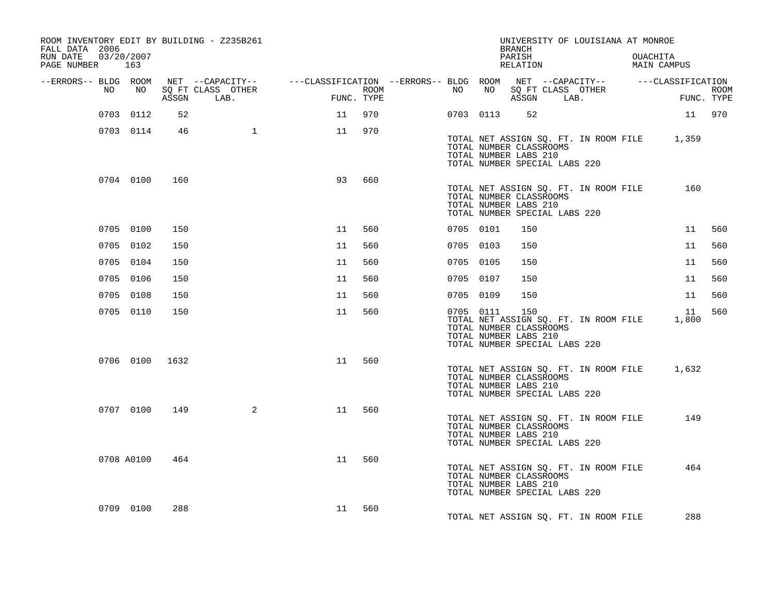| ROOM INVENTORY EDIT BY BUILDING - Z235B261<br>FALL DATA 2006<br>RUN DATE<br>PAGE NUMBER 163 | 03/20/2007     |       |                           |                                                                                                |                    |           |           | <b>BRANCH</b><br>PARISH<br>RELATION                                                      | UNIVERSITY OF LOUISIANA AT MONROE           | OUACHITA | MAIN CAMPUS |                           |
|---------------------------------------------------------------------------------------------|----------------|-------|---------------------------|------------------------------------------------------------------------------------------------|--------------------|-----------|-----------|------------------------------------------------------------------------------------------|---------------------------------------------|----------|-------------|---------------------------|
| --ERRORS-- BLDG ROOM                                                                        |                |       |                           | NET --CAPACITY-- - ---CLASSIFICATION --ERRORS-- BLDG ROOM NET --CAPACITY-- - ---CLASSIFICATION |                    |           |           |                                                                                          |                                             |          |             |                           |
| NO                                                                                          | NO             | ASSGN | SQ FT CLASS OTHER<br>LAB. |                                                                                                | ROOM<br>FUNC. TYPE | NO        | NO        | ASSGN LAB.                                                                               | SQ FT CLASS OTHER                           |          |             | <b>ROOM</b><br>FUNC. TYPE |
|                                                                                             | 0703 0112      | 52    |                           | 11                                                                                             | 970                |           | 0703 0113 | 52                                                                                       |                                             |          | 11 970      |                           |
|                                                                                             | 0703 0114      | 46    | $\mathbf{1}$              | 11                                                                                             | 970                |           |           | TOTAL NUMBER CLASSROOMS<br>TOTAL NUMBER LABS 210<br>TOTAL NUMBER SPECIAL LABS 220        | TOTAL NET ASSIGN SQ. FT. IN ROOM FILE 1,359 |          |             |                           |
|                                                                                             | 0704 0100      | 160   |                           | 93                                                                                             | 660                |           |           | TOTAL NUMBER CLASSROOMS<br>TOTAL NUMBER LABS 210<br>TOTAL NUMBER SPECIAL LABS 220        | TOTAL NET ASSIGN SQ. FT. IN ROOM FILE       |          | 160         |                           |
|                                                                                             | 0705 0100      | 150   |                           | 11                                                                                             | 560                | 0705 0101 |           | 150                                                                                      |                                             |          | 11          | 560                       |
|                                                                                             | 0705 0102      | 150   |                           | 11                                                                                             | 560                | 0705 0103 |           | 150                                                                                      |                                             |          | 11          | 560                       |
|                                                                                             | 0705 0104      | 150   |                           | 11                                                                                             | 560                | 0705 0105 |           | 150                                                                                      |                                             |          | 11          | 560                       |
|                                                                                             | 0705 0106      | 150   |                           | 11                                                                                             | 560                | 0705 0107 |           | 150                                                                                      |                                             |          | 11          | 560                       |
|                                                                                             | 0705 0108      | 150   |                           | 11                                                                                             | 560                | 0705 0109 |           | 150                                                                                      |                                             |          | 11          | 560                       |
|                                                                                             | 0705 0110      | 150   |                           | 11                                                                                             | 560                | 0705 0111 |           | 150<br>TOTAL NUMBER CLASSROOMS<br>TOTAL NUMBER LABS 210<br>TOTAL NUMBER SPECIAL LABS 220 | TOTAL NET ASSIGN SQ. FT. IN ROOM FILE       |          | 11<br>1,800 | 560                       |
|                                                                                             | 0706 0100 1632 |       |                           | 11                                                                                             | 560                |           |           | TOTAL NUMBER CLASSROOMS<br>TOTAL NUMBER LABS 210<br>TOTAL NUMBER SPECIAL LABS 220        | TOTAL NET ASSIGN SQ. FT. IN ROOM FILE       |          | 1,632       |                           |
|                                                                                             | 0707 0100      | 149   | $\overline{a}$            | 11                                                                                             | 560                |           |           | TOTAL NUMBER CLASSROOMS<br>TOTAL NUMBER LABS 210<br>TOTAL NUMBER SPECIAL LABS 220        | TOTAL NET ASSIGN SQ. FT. IN ROOM FILE       |          | 149         |                           |
|                                                                                             | 0708 A0100     | 464   |                           | 11                                                                                             | 560                |           |           | TOTAL NUMBER CLASSROOMS<br>TOTAL NUMBER LABS 210<br>TOTAL NUMBER SPECIAL LABS 220        | TOTAL NET ASSIGN SQ. FT. IN ROOM FILE       |          | 464         |                           |
|                                                                                             | 0709 0100      | 288   |                           | 11                                                                                             | 560                |           |           |                                                                                          | TOTAL NET ASSIGN SQ. FT. IN ROOM FILE       |          | 288         |                           |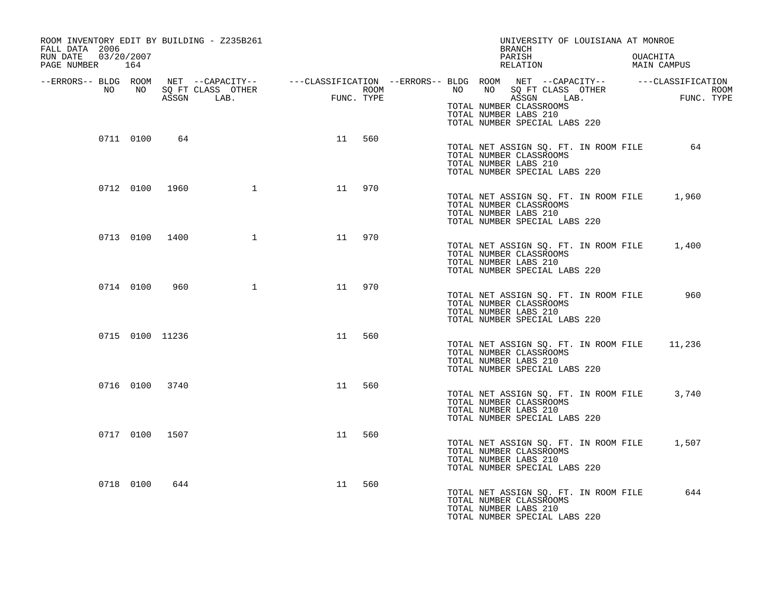| ROOM INVENTORY EDIT BY BUILDING - Z235B261<br>FALL DATA 2006 |           |                 |                                 |                                                          |     | UNIVERSITY OF LOUISIANA AT MONROE<br>BRANCH                                                                                                                                                                              |
|--------------------------------------------------------------|-----------|-----------------|---------------------------------|----------------------------------------------------------|-----|--------------------------------------------------------------------------------------------------------------------------------------------------------------------------------------------------------------------------|
| 03/20/2007<br>RUN DATE<br>PAGE NUMBER 164                    |           |                 |                                 |                                                          |     | PARISH<br>OUACHITA<br>RELATION<br>MAIN CAMPUS                                                                                                                                                                            |
| NO                                                           | NO NO     |                 | SQ FT CLASS OTHER<br>ASSGN LAB. | $\begin{aligned} \text{FUN} \end{aligned}$<br>FUNC. TYPE |     | --ERRORS-- BLDG ROOM NET --CAPACITY-- ----CLASSIFICATION --ERRORS-- BLDG ROOM NET --CAPACITY-- -----CLASSIFICATION<br>NO SQ FT CLASS OTHER<br>ROOM <b>ROOM</b><br>NO NO<br>ROOM<br><b>FU</b><br>ASSGN LAB.<br>FUNC. TYPE |
|                                                              |           |                 |                                 |                                                          |     | TOTAL NUMBER CLASSROOMS<br>TOTAL NUMBER LABS 210<br>TOTAL NUMBER SPECIAL LABS 220                                                                                                                                        |
|                                                              | 0711 0100 | 64              |                                 | 11                                                       | 560 | TOTAL NET ASSIGN SQ. FT. IN ROOM FILE 64<br>TOTAL NUMBER CLASSROOMS<br>TOTAL NUMBER LABS 210<br>TOTAL NUMBER SPECIAL LABS 220                                                                                            |
|                                                              |           | 0712 0100 1960  | $\mathbf{1}$                    | 11                                                       | 970 | TOTAL NET ASSIGN SQ. FT. IN ROOM FILE<br>1,960<br>TOTAL NUMBER CLASSROOMS<br>TOTAL NUMBER LABS 210<br>TOTAL NUMBER SPECIAL LABS 220                                                                                      |
|                                                              |           | 0713 0100 1400  |                                 | $\mathbf 1$<br>11                                        | 970 | TOTAL NET ASSIGN SQ. FT. IN ROOM FILE 1,400<br>TOTAL NUMBER CLASSROOMS<br>TOTAL NUMBER LABS 210<br>TOTAL NUMBER SPECIAL LABS 220                                                                                         |
|                                                              | 0714 0100 | 960             |                                 | $\mathbf 1$<br>11                                        | 970 | 960<br>TOTAL NET ASSIGN SQ. FT. IN ROOM FILE<br>TOTAL NUMBER CLASSROOMS<br>TOTAL NUMBER LABS 210<br>TOTAL NUMBER SPECIAL LABS 220                                                                                        |
|                                                              |           | 0715 0100 11236 |                                 | 11                                                       | 560 | TOTAL NET ASSIGN SQ. FT. IN ROOM FILE 11,236<br>TOTAL NUMBER CLASSROOMS<br>TOTAL NUMBER LABS 210<br>TOTAL NUMBER SPECIAL LABS 220                                                                                        |
|                                                              |           | 0716 0100 3740  |                                 | 11                                                       | 560 | TOTAL NET ASSIGN SQ. FT. IN ROOM FILE<br>3,740<br>TOTAL NUMBER CLASSROOMS<br>TOTAL NUMBER LABS 210<br>TOTAL NUMBER SPECIAL LABS 220                                                                                      |
|                                                              |           | 0717 0100 1507  |                                 | 11                                                       | 560 | TOTAL NET ASSIGN SQ. FT. IN ROOM FILE<br>1,507<br>TOTAL NUMBER CLASSROOMS<br>TOTAL NUMBER LABS 210<br>TOTAL NUMBER SPECIAL LABS 220                                                                                      |
|                                                              | 0718 0100 | 644             |                                 | 11                                                       | 560 | 644<br>TOTAL NET ASSIGN SQ. FT. IN ROOM FILE<br>TOTAL NUMBER CLASSROOMS<br>TOTAL NUMBER LABS 210<br>TOTAL NUMBER SPECIAL LABS 220                                                                                        |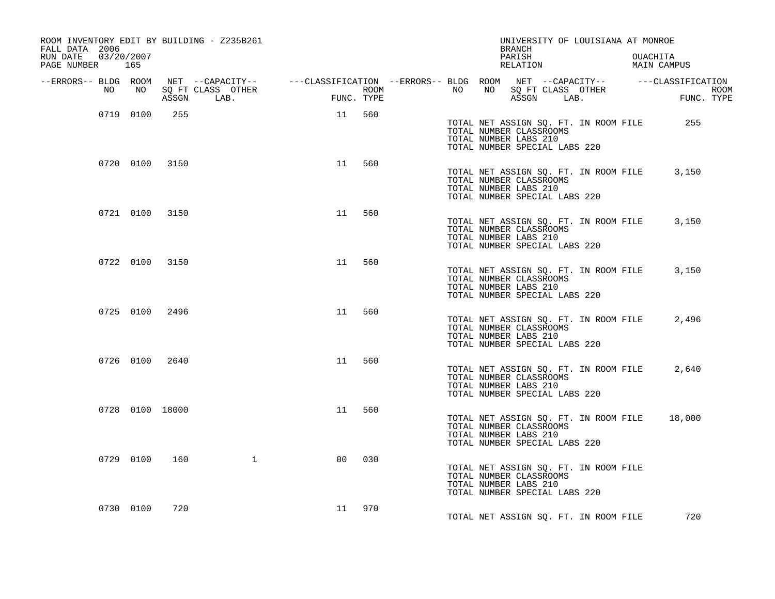| ROOM INVENTORY EDIT BY BUILDING - Z235B261<br>FALL DATA 2006 |                                   |                                | UNIVERSITY OF LOUISIANA AT MONROE<br>BRANCH                                                                                       |                         |
|--------------------------------------------------------------|-----------------------------------|--------------------------------|-----------------------------------------------------------------------------------------------------------------------------------|-------------------------|
| 03/20/2007<br>RUN DATE<br>PAGE NUMBER 165                    |                                   |                                | PARISH<br>RELATION                                                                                                                | OUACHITA<br>MAIN CAMPUS |
|                                                              |                                   |                                | --ERRORS-- BLDG ROOM NET --CAPACITY-- -----CLASSIFICATION --ERRORS-- BLDG ROOM NET --CAPACITY-- -----CLASSIFICATION               |                         |
| NO<br>NO<br>ASSGN                                            | FIMC<br>SQ FT CLASS OTHER<br>LAB. | ROOM <b>ROOM</b><br>FUNC. TYPE | NO NO SOFT CLASS OTHER<br>ASSGN LAB. THE FUNC<br>ASSGN LAB.                                                                       | ROOM<br>FUNC. TYPE      |
| 0719 0100<br>255                                             |                                   | 11 560                         | TOTAL NET ASSIGN SQ. FT. IN ROOM FILE<br>TOTAL NUMBER CLASSROOMS<br>TOTAL NUMBER LABS 210<br>TOTAL NUMBER SPECIAL LABS 220        | 255                     |
| 0720 0100 3150                                               | 11                                | 560                            | TOTAL NET ASSIGN SQ. FT. IN ROOM FILE<br>TOTAL NUMBER CLASSROOMS<br>TOTAL NUMBER LABS 210<br>TOTAL NUMBER SPECIAL LABS 220        | 3,150                   |
| 0721 0100 3150                                               | 11                                | 560                            | TOTAL NET ASSIGN SQ. FT. IN ROOM FILE<br>TOTAL NUMBER CLASSROOMS<br>TOTAL NUMBER LABS 210<br>TOTAL NUMBER SPECIAL LABS 220        | 3,150                   |
| 0722 0100 3150                                               | 11                                | 560                            | TOTAL NET ASSIGN SQ. FT. IN ROOM FILE<br>TOTAL NUMBER CLASSROOMS<br>TOTAL NUMBER LABS 210<br>TOTAL NUMBER SPECIAL LABS 220        | 3,150                   |
| 0725 0100 2496                                               | 11                                | 560                            | TOTAL NET ASSIGN SQ. FT. IN ROOM FILE<br>TOTAL NUMBER CLASSROOMS<br>TOTAL NUMBER LABS 210<br>TOTAL NUMBER SPECIAL LABS 220        | 2,496                   |
| 0726 0100 2640                                               | 11                                | 560                            | TOTAL NET ASSIGN SQ. FT. IN ROOM FILE<br>TOTAL NUMBER CLASSROOMS<br>TOTAL NUMBER LABS 210<br>TOTAL NUMBER SPECIAL LABS 220        | 2,640                   |
| 0728 0100 18000                                              | 11                                | 560                            | TOTAL NET ASSIGN SQ. FT. IN ROOM FILE 18,000<br>TOTAL NUMBER CLASSROOMS<br>TOTAL NUMBER LABS 210<br>TOTAL NUMBER SPECIAL LABS 220 |                         |
| 0729 0100<br>160                                             | $\mathbf{1}$<br>00                | 030                            | TOTAL NET ASSIGN SQ. FT. IN ROOM FILE<br>TOTAL NUMBER CLASSROOMS<br>TOTAL NUMBER LABS 210<br>TOTAL NUMBER SPECIAL LABS 220        |                         |
| 0730 0100<br>720                                             |                                   | 11 970                         | TOTAL NET ASSIGN SO. FT. IN ROOM FILE                                                                                             | 720                     |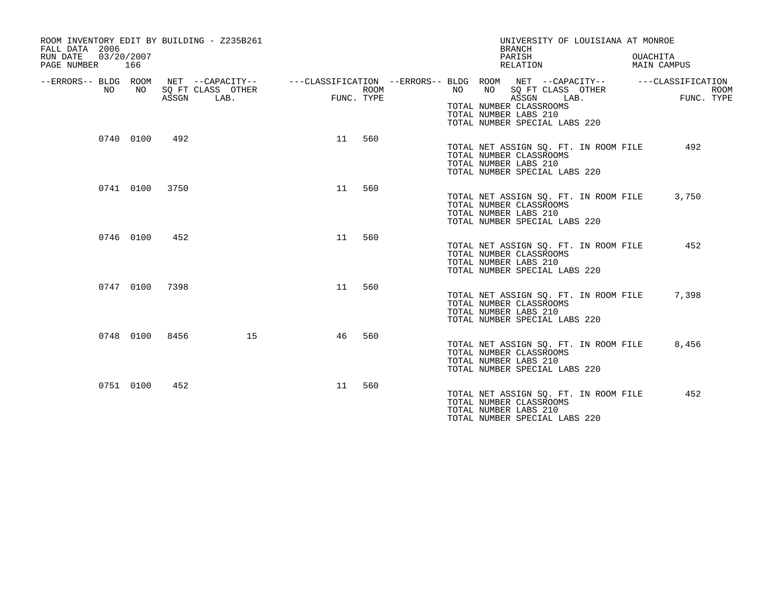| ROOM INVENTORY EDIT BY BUILDING - Z235B261<br>FALL DATA 2006<br>03/20/2007<br>RUN DATE<br>PAGE NUMBER | 166       |       |                           |            |      |    | UNIVERSITY OF LOUISIANA AT MONROE<br><b>BRANCH</b><br>PARISH<br>RELATION                                                                                                                                                |      | OUACHITA<br>MAIN CAMPUS   |
|-------------------------------------------------------------------------------------------------------|-----------|-------|---------------------------|------------|------|----|-------------------------------------------------------------------------------------------------------------------------------------------------------------------------------------------------------------------------|------|---------------------------|
| --ERRORS-- BLDG ROOM<br>NO                                                                            | NO        | ASSGN | SQ FT CLASS OTHER<br>LAB. | FUNC. TYPE | ROOM | NO | NET --CAPACITY-- - ---CLASSIFICATION --ERRORS-- BLDG ROOM NET --CAPACITY-- - ---CLASSIFICATION<br>SQ FT CLASS OTHER<br>NO<br>ASSGN<br>TOTAL NUMBER CLASSROOMS<br>TOTAL NUMBER LABS 210<br>TOTAL NUMBER SPECIAL LABS 220 | LAB. | <b>ROOM</b><br>FUNC. TYPE |
|                                                                                                       | 0740 0100 | 492   |                           | 11         | 560  |    | TOTAL NET ASSIGN SQ. FT. IN ROOM FILE<br>TOTAL NUMBER CLASSROOMS<br>TOTAL NUMBER LABS 210<br>TOTAL NUMBER SPECIAL LABS 220                                                                                              |      | 492                       |
|                                                                                                       | 0741 0100 | 3750  |                           | 11         | 560  |    | TOTAL NET ASSIGN SQ. FT. IN ROOM FILE<br>TOTAL NUMBER CLASSROOMS<br>TOTAL NUMBER LABS 210<br>TOTAL NUMBER SPECIAL LABS 220                                                                                              |      | 3,750                     |
|                                                                                                       | 0746 0100 | 452   |                           | 11         | 560  |    | TOTAL NET ASSIGN SQ. FT. IN ROOM FILE<br>TOTAL NUMBER CLASSROOMS<br>TOTAL NUMBER LABS 210<br>TOTAL NUMBER SPECIAL LABS 220                                                                                              |      | 452                       |
|                                                                                                       | 0747 0100 | 7398  |                           | 11         | 560  |    | TOTAL NET ASSIGN SQ. FT. IN ROOM FILE<br>TOTAL NUMBER CLASSROOMS<br>TOTAL NUMBER LABS 210<br>TOTAL NUMBER SPECIAL LABS 220                                                                                              |      | 7,398                     |
|                                                                                                       | 0748 0100 | 8456  | 15                        | 46         | 560  |    | TOTAL NET ASSIGN SQ. FT. IN ROOM FILE<br>TOTAL NUMBER CLASSROOMS<br>TOTAL NUMBER LABS 210<br>TOTAL NUMBER SPECIAL LABS 220                                                                                              |      | 8,456                     |
|                                                                                                       | 0751 0100 | 452   |                           | 11         | 560  |    | TOTAL NET ASSIGN SQ. FT. IN ROOM FILE<br>TOTAL NUMBER CLASSROOMS<br>TOTAL NUMBER LABS 210<br>TOTAL NUMBER SPECIAL LABS 220                                                                                              |      | 452                       |